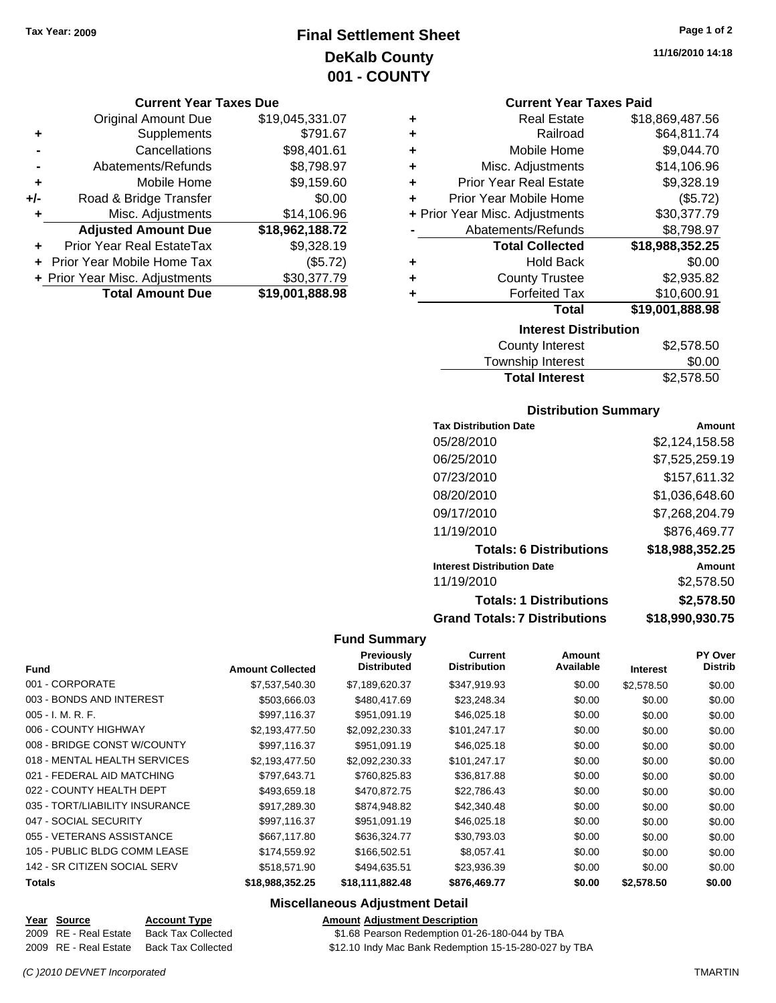# **Final Settlement Sheet Tax Year: 2009 Page 1 of 2 DeKalb County 001 - COUNTY**

#### **Current Year Taxes Due**

|     | <b>Original Amount Due</b>       | \$19,045,331.07 |
|-----|----------------------------------|-----------------|
| ٠   | Supplements                      | \$791.67        |
|     | Cancellations                    | \$98,401.61     |
|     | Abatements/Refunds               | \$8,798.97      |
| ٠   | Mobile Home                      | \$9,159.60      |
| +/- | Road & Bridge Transfer           | \$0.00          |
| ٠   | Misc. Adjustments                | \$14,106.96     |
|     | <b>Adjusted Amount Due</b>       | \$18,962,188.72 |
|     | <b>Prior Year Real EstateTax</b> | \$9,328.19      |
|     | Prior Year Mobile Home Tax       | (\$5.72)        |
|     | + Prior Year Misc. Adjustments   | \$30,377.79     |
|     | <b>Total Amount Due</b>          | \$19,001,888.98 |

**11/16/2010 14:18**

#### **Current Year Taxes Paid**

| ٠ | <b>Real Estate</b>             | \$18,869,487.56 |
|---|--------------------------------|-----------------|
| ٠ | Railroad                       | \$64,811.74     |
| ٠ | Mobile Home                    | \$9,044.70      |
| ٠ | Misc. Adjustments              | \$14,106.96     |
| ٠ | <b>Prior Year Real Estate</b>  | \$9,328.19      |
| ٠ | Prior Year Mobile Home         | (\$5.72)        |
|   | + Prior Year Misc. Adjustments | \$30,377.79     |
|   | Abatements/Refunds             | \$8,798.97      |
|   | <b>Total Collected</b>         | \$18,988,352.25 |
| ٠ | <b>Hold Back</b>               | \$0.00          |
| ٠ | <b>County Trustee</b>          | \$2,935.82      |
| ٠ | <b>Forfeited Tax</b>           | \$10,600.91     |
|   | <b>Total</b>                   | \$19,001,888.98 |
|   | <b>Interest Distribution</b>   |                 |

| \$2,578.50 |
|------------|
| \$0.00     |
| \$2,578.50 |
|            |

#### **Distribution Summary**

| Amount          |
|-----------------|
| \$2,124,158.58  |
| \$7,525,259.19  |
| \$157,611.32    |
| \$1,036,648.60  |
| \$7,268,204.79  |
| \$876,469.77    |
| \$18,988,352.25 |
| Amount          |
| \$2,578.50      |
| \$2,578.50      |
| \$18,990,930.75 |
|                 |

#### **Fund Summary**

 $\overline{\phantom{0}}$ 

| <b>Fund</b>                    | <b>Amount Collected</b> | <b>Previously</b><br><b>Distributed</b> | <b>Current</b><br><b>Distribution</b> | Amount<br>Available | <b>Interest</b> | <b>PY Over</b><br><b>Distrib</b> |
|--------------------------------|-------------------------|-----------------------------------------|---------------------------------------|---------------------|-----------------|----------------------------------|
|                                |                         |                                         |                                       |                     |                 |                                  |
| 001 - CORPORATE                | \$7,537,540.30          | \$7,189,620.37                          | \$347,919.93                          | \$0.00              | \$2,578.50      | \$0.00                           |
| 003 - BONDS AND INTEREST       | \$503,666.03            | \$480,417.69                            | \$23,248.34                           | \$0.00              | \$0.00          | \$0.00                           |
| $005 - I. M. R. F.$            | \$997,116.37            | \$951,091.19                            | \$46,025.18                           | \$0.00              | \$0.00          | \$0.00                           |
| 006 - COUNTY HIGHWAY           | \$2,193,477.50          | \$2,092,230.33                          | \$101,247.17                          | \$0.00              | \$0.00          | \$0.00                           |
| 008 - BRIDGE CONST W/COUNTY    | \$997,116.37            | \$951,091.19                            | \$46,025.18                           | \$0.00              | \$0.00          | \$0.00                           |
| 018 - MENTAL HEALTH SERVICES   | \$2,193,477.50          | \$2,092,230.33                          | \$101,247.17                          | \$0.00              | \$0.00          | \$0.00                           |
| 021 - FEDERAL AID MATCHING     | \$797,643.71            | \$760,825.83                            | \$36,817.88                           | \$0.00              | \$0.00          | \$0.00                           |
| 022 - COUNTY HEALTH DEPT       | \$493,659.18            | \$470,872.75                            | \$22,786.43                           | \$0.00              | \$0.00          | \$0.00                           |
| 035 - TORT/LIABILITY INSURANCE | \$917,289.30            | \$874,948.82                            | \$42,340.48                           | \$0.00              | \$0.00          | \$0.00                           |
| 047 - SOCIAL SECURITY          | \$997,116.37            | \$951,091.19                            | \$46,025.18                           | \$0.00              | \$0.00          | \$0.00                           |
| 055 - VETERANS ASSISTANCE      | \$667,117.80            | \$636,324.77                            | \$30,793.03                           | \$0.00              | \$0.00          | \$0.00                           |
| 105 - PUBLIC BLDG COMM LEASE   | \$174,559.92            | \$166,502.51                            | \$8,057.41                            | \$0.00              | \$0.00          | \$0.00                           |
| 142 - SR CITIZEN SOCIAL SERV   | \$518,571.90            | \$494,635.51                            | \$23,936.39                           | \$0.00              | \$0.00          | \$0.00                           |
| <b>Totals</b>                  | \$18,988,352.25         | \$18,111,882.48                         | \$876,469.77                          | \$0.00              | \$2,578.50      | \$0.00                           |

#### **Miscellaneous Adjustment Detail**

## **Year Source Account Type Amount Adjustment Description**

2009 RE - Real Estate Back Tax Collected \$1.68 Pearson Redemption 01-26-180-044 by TBA

2009 RE - Real Estate Back Tax Collected \$12.10 Indy Mac Bank Redemption 15-15-280-027 by TBA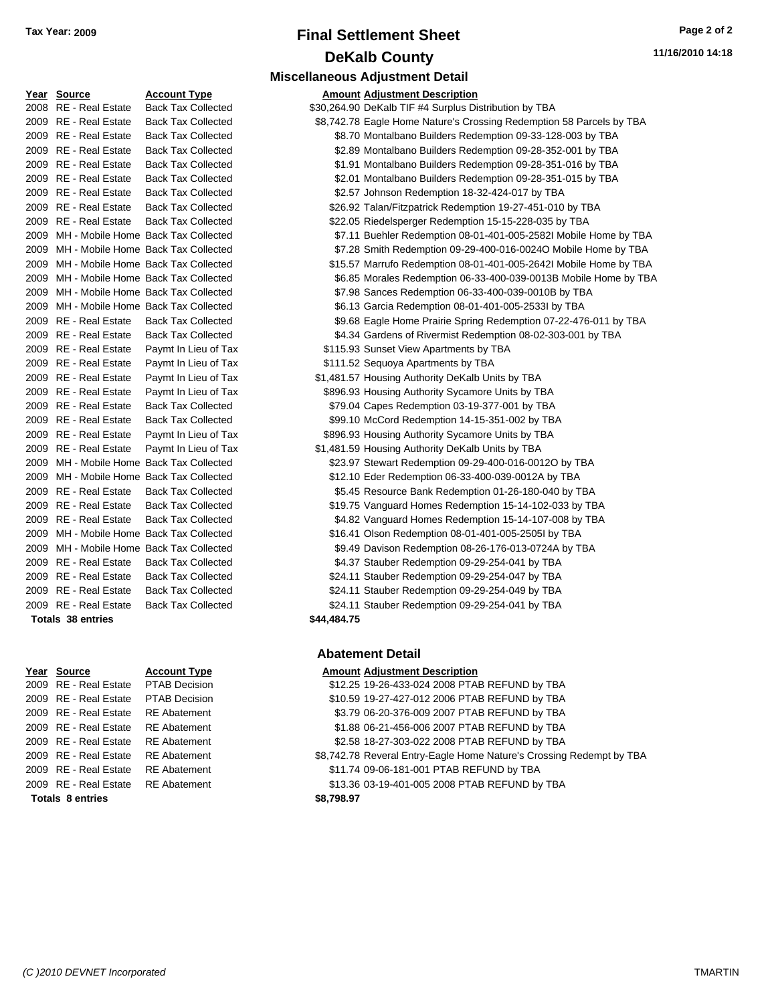# **Final Settlement Sheet Tax Year: 2009 Page 2 of 2 DeKalb County**

**Miscellaneous Adjustment Detail**

|      | <u>real obtitue</u>      | AGGANII I ANG                            |             | <u>Alliount Aujustinent Description</u>   |
|------|--------------------------|------------------------------------------|-------------|-------------------------------------------|
|      | 2008 RE - Real Estate    | <b>Back Tax Collected</b>                |             | \$30,264.90 DeKalb TIF #4 Surplus Distril |
|      | 2009 RE - Real Estate    | <b>Back Tax Collected</b>                |             | \$8,742.78 Eagle Home Nature's Crossir    |
|      | 2009 RE - Real Estate    | <b>Back Tax Collected</b>                |             | \$8.70 Montalbano Builders Redemp         |
|      | 2009 RE - Real Estate    | <b>Back Tax Collected</b>                |             | \$2.89 Montalbano Builders Redemp         |
|      | 2009 RE - Real Estate    | <b>Back Tax Collected</b>                |             | \$1.91 Montalbano Builders Redemp         |
|      | 2009 RE - Real Estate    | <b>Back Tax Collected</b>                |             | \$2.01 Montalbano Builders Redemp         |
| 2009 | RE - Real Estate         | <b>Back Tax Collected</b>                |             | \$2.57 Johnson Redemption 18-32-4         |
| 2009 | RE - Real Estate         | <b>Back Tax Collected</b>                |             | \$26.92 Talan/Fitzpatrick Redemption      |
| 2009 | <b>RE</b> - Real Estate  | <b>Back Tax Collected</b>                |             | \$22.05 Riedelsperger Redemption 1        |
| 2009 |                          | MH - Mobile Home Back Tax Collected      |             | \$7.11 Buehler Redemption 08-01-4         |
| 2009 |                          | MH - Mobile Home Back Tax Collected      |             | \$7.28 Smith Redemption 09-29-400         |
| 2009 |                          | MH - Mobile Home Back Tax Collected      |             | \$15.57 Marrufo Redemption 08-01-4        |
| 2009 |                          | MH - Mobile Home Back Tax Collected      |             | \$6.85 Morales Redemption 06-33-4         |
| 2009 |                          | MH - Mobile Home Back Tax Collected      |             | \$7.98 Sances Redemption 06-33-4          |
| 2009 |                          | MH - Mobile Home Back Tax Collected      |             | \$6.13 Garcia Redemption 08-01-40         |
| 2009 | RE - Real Estate         | <b>Back Tax Collected</b>                |             | \$9.68 Eagle Home Prairie Spring R        |
| 2009 | RE - Real Estate         | <b>Back Tax Collected</b>                |             | \$4.34 Gardens of Rivermist Redem         |
| 2009 | RE - Real Estate         | Paymt In Lieu of Tax                     |             | \$115.93 Sunset View Apartments by 7      |
|      | 2009 RE - Real Estate    | Paymt In Lieu of Tax                     |             | \$111.52 Sequoya Apartments by TBA        |
|      | 2009 RE - Real Estate    | Paymt In Lieu of Tax                     |             | \$1,481.57 Housing Authority DeKalb Un    |
|      | 2009 RE - Real Estate    | Paymt In Lieu of Tax                     |             | \$896.93 Housing Authority Sycamore       |
| 2009 | <b>RE</b> - Real Estate  | <b>Back Tax Collected</b>                |             | \$79.04 Capes Redemption 03-19-37         |
|      | 2009 RE - Real Estate    | <b>Back Tax Collected</b>                |             | \$99.10 McCord Redemption 14-15-3         |
|      | 2009 RE - Real Estate    | Paymt In Lieu of Tax                     |             | \$896.93 Housing Authority Sycamore       |
|      | 2009 RE - Real Estate    | Paymt In Lieu of Tax                     |             | \$1,481.59 Housing Authority DeKalb Un    |
| 2009 |                          | MH - Mobile Home Back Tax Collected      |             | \$23.97 Stewart Redemption 09-29-4        |
| 2009 |                          | MH - Mobile Home Back Tax Collected      |             | \$12.10 Eder Redemption 06-33-400-        |
| 2009 | RE - Real Estate         | <b>Back Tax Collected</b>                |             | \$5.45 Resource Bank Redemption           |
| 2009 | RE - Real Estate         | <b>Back Tax Collected</b>                |             | \$19.75 Vanguard Homes Redemptio          |
|      | 2009 RE - Real Estate    | <b>Back Tax Collected</b>                |             | \$4.82 Vanguard Homes Redemptio           |
|      |                          | 2009 MH - Mobile Home Back Tax Collected |             | \$16.41 Olson Redemption 08-01-401        |
|      |                          | 2009 MH - Mobile Home Back Tax Collected |             | \$9.49 Davison Redemption 08-26-1         |
|      | 2009 RE - Real Estate    | <b>Back Tax Collected</b>                |             | \$4.37 Stauber Redemption 09-29-2         |
|      | 2009 RE - Real Estate    | <b>Back Tax Collected</b>                |             | \$24.11 Stauber Redemption 09-29-2        |
|      | 2009 RE - Real Estate    | <b>Back Tax Collected</b>                |             | \$24.11 Stauber Redemption 09-29-2        |
|      | 2009 RE - Real Estate    | <b>Back Tax Collected</b>                |             | \$24.11 Stauber Redemption 09-29-2        |
|      | <b>Totals 38 entries</b> |                                          | \$44,484.75 |                                           |

| 2009 RE - Real Estate |
|-----------------------|
| 2009 RE - Real Estate |
| 2009 RE - Real Estate |
| 2009 RE - Real Estate |
| 2009 RE - Real Estate |
| 2009 RE - Real Estate |
| 2009 RE - Real Estate |
| 2009 RE - Real Estate |
| Totale Rentries       |

# PTAB Decision PTAB Decision RE Abatement RE Abatement RE Abatement

| Year Source                              | <b>Account Type</b>                      |             | <b>Amount Adjustment Description</b>                                 |
|------------------------------------------|------------------------------------------|-------------|----------------------------------------------------------------------|
| 2008 RE - Real Estate                    | <b>Back Tax Collected</b>                |             | \$30,264.90 DeKalb TIF #4 Surplus Distribution by TBA                |
| 2009 RE - Real Estate                    | <b>Back Tax Collected</b>                |             | \$8,742.78 Eagle Home Nature's Crossing Redemption 58 Parcels by TBA |
| 2009 RE - Real Estate                    | <b>Back Tax Collected</b>                |             | \$8.70 Montalbano Builders Redemption 09-33-128-003 by TBA           |
| 2009 RE - Real Estate                    | <b>Back Tax Collected</b>                |             | \$2.89 Montalbano Builders Redemption 09-28-352-001 by TBA           |
| 2009 RE - Real Estate                    | <b>Back Tax Collected</b>                |             | \$1.91 Montalbano Builders Redemption 09-28-351-016 by TBA           |
| 2009 RE - Real Estate                    | <b>Back Tax Collected</b>                |             | \$2.01 Montalbano Builders Redemption 09-28-351-015 by TBA           |
| 2009 RE - Real Estate                    | <b>Back Tax Collected</b>                |             | \$2.57 Johnson Redemption 18-32-424-017 by TBA                       |
| 2009 RE - Real Estate                    | <b>Back Tax Collected</b>                |             | \$26.92 Talan/Fitzpatrick Redemption 19-27-451-010 by TBA            |
| 2009 RE - Real Estate                    | <b>Back Tax Collected</b>                |             | \$22.05 Riedelsperger Redemption 15-15-228-035 by TBA                |
| 2009 MH - Mobile Home Back Tax Collected |                                          |             | \$7.11 Buehler Redemption 08-01-401-005-2582l Mobile Home by TBA     |
| 2009 MH - Mobile Home Back Tax Collected |                                          |             | \$7.28 Smith Redemption 09-29-400-016-0024O Mobile Home by TBA       |
|                                          | 2009 MH - Mobile Home Back Tax Collected |             | \$15.57 Marrufo Redemption 08-01-401-005-2642I Mobile Home by TBA    |
|                                          | 2009 MH - Mobile Home Back Tax Collected |             | \$6.85 Morales Redemption 06-33-400-039-0013B Mobile Home by TBA     |
|                                          | 2009 MH - Mobile Home Back Tax Collected |             | \$7.98 Sances Redemption 06-33-400-039-0010B by TBA                  |
|                                          | 2009 MH - Mobile Home Back Tax Collected |             | \$6.13 Garcia Redemption 08-01-401-005-2533l by TBA                  |
| 2009 RE - Real Estate                    | <b>Back Tax Collected</b>                |             | \$9.68 Eagle Home Prairie Spring Redemption 07-22-476-011 by TBA     |
| 2009 RE - Real Estate                    | <b>Back Tax Collected</b>                |             | \$4.34 Gardens of Rivermist Redemption 08-02-303-001 by TBA          |
| 2009 RE - Real Estate                    | Paymt In Lieu of Tax                     |             | \$115.93 Sunset View Apartments by TBA                               |
| 2009 RE - Real Estate                    | Paymt In Lieu of Tax                     |             | \$111.52 Sequoya Apartments by TBA                                   |
| 2009 RE - Real Estate                    | Paymt In Lieu of Tax                     |             | \$1,481.57 Housing Authority DeKalb Units by TBA                     |
| 2009 RE - Real Estate                    | Paymt In Lieu of Tax                     |             | \$896.93 Housing Authority Sycamore Units by TBA                     |
| 2009 RE - Real Estate                    | <b>Back Tax Collected</b>                |             | \$79.04 Capes Redemption 03-19-377-001 by TBA                        |
| 2009 RE - Real Estate                    | <b>Back Tax Collected</b>                |             | \$99.10 McCord Redemption 14-15-351-002 by TBA                       |
| 2009 RE - Real Estate                    | Paymt In Lieu of Tax                     |             | \$896.93 Housing Authority Sycamore Units by TBA                     |
| 2009 RE - Real Estate                    | Paymt In Lieu of Tax                     |             | \$1,481.59 Housing Authority DeKalb Units by TBA                     |
| 2009 MH - Mobile Home Back Tax Collected |                                          |             | \$23.97 Stewart Redemption 09-29-400-016-0012O by TBA                |
| 2009 MH - Mobile Home Back Tax Collected |                                          |             | \$12.10 Eder Redemption 06-33-400-039-0012A by TBA                   |
| 2009 RE - Real Estate                    | <b>Back Tax Collected</b>                |             | \$5.45 Resource Bank Redemption 01-26-180-040 by TBA                 |
| 2009 RE - Real Estate                    | <b>Back Tax Collected</b>                |             | \$19.75 Vanguard Homes Redemption 15-14-102-033 by TBA               |
| 2009 RE - Real Estate                    | <b>Back Tax Collected</b>                |             | \$4.82 Vanguard Homes Redemption 15-14-107-008 by TBA                |
| 2009 MH - Mobile Home Back Tax Collected |                                          |             | \$16.41 Olson Redemption 08-01-401-005-2505l by TBA                  |
| 2009 MH - Mobile Home Back Tax Collected |                                          |             | \$9.49 Davison Redemption 08-26-176-013-0724A by TBA                 |
| 2009 RE - Real Estate                    | <b>Back Tax Collected</b>                |             | \$4.37 Stauber Redemption 09-29-254-041 by TBA                       |
| 2009 RE - Real Estate                    | <b>Back Tax Collected</b>                |             | \$24.11 Stauber Redemption 09-29-254-047 by TBA                      |
| 2009 RE - Real Estate                    | <b>Back Tax Collected</b>                |             | \$24.11 Stauber Redemption 09-29-254-049 by TBA                      |
| 2009 RE - Real Estate                    | <b>Back Tax Collected</b>                |             | \$24.11 Stauber Redemption 09-29-254-041 by TBA                      |
| <b>Totals 38 entries</b>                 |                                          | \$44,484.75 |                                                                      |
|                                          |                                          |             |                                                                      |

#### **Abatement Detail**

#### **Year Source Account Type Amount Adjustment Description**

| <b>Totals 8 entries</b> |                                     | \$8,798.97                                                           |
|-------------------------|-------------------------------------|----------------------------------------------------------------------|
|                         | 2009 RE - Real Estate RE Abatement  | \$13.36 03-19-401-005 2008 PTAB REFUND by TBA                        |
| 2009 RE - Real Estate   | RE Abatement                        | \$11.74 09-06-181-001 PTAB REFUND by TBA                             |
|                         | 2009 RE - Real Estate RE Abatement  | \$8,742.78 Reveral Entry-Eagle Home Nature's Crossing Redempt by TBA |
|                         | 2009 RE - Real Estate RE Abatement  | \$2.58 18-27-303-022 2008 PTAB REFUND by TBA                         |
|                         | 2009 RE - Real Estate RE Abatement  | \$1.88 06-21-456-006 2007 PTAB REFUND by TBA                         |
|                         | 2009 RE - Real Estate RE Abatement  | \$3.79 06-20-376-009 2007 PTAB REFUND by TBA                         |
|                         | 2009 RE - Real Estate PTAB Decision | \$10.59 19-27-427-012 2006 PTAB REFUND by TBA                        |
|                         | 2009 RE - Real Estate PTAB Decision | \$12.25 19-26-433-024 2008 PTAB REFUND by TBA                        |
|                         |                                     |                                                                      |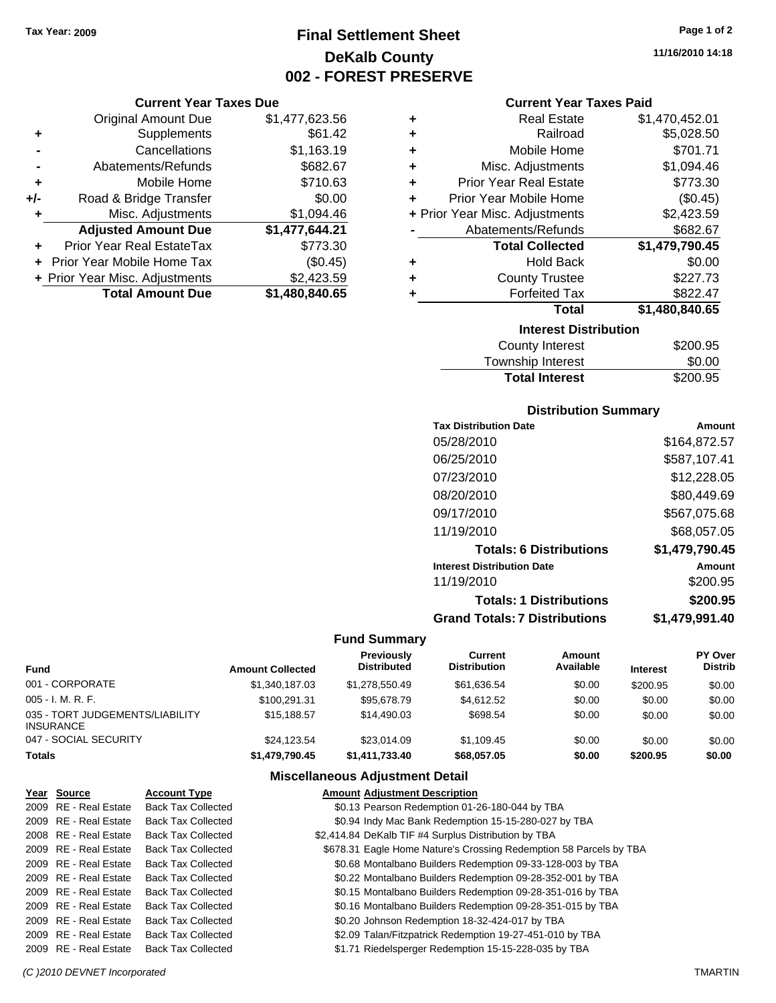# **Final Settlement Sheet Tax Year: 2009 Page 1 of 2 DeKalb County 002 - FOREST PRESERVE**

#### **Current Year Taxes Due**

|       | <b>Original Amount Due</b>     | \$1,477,623.56 |
|-------|--------------------------------|----------------|
| ٠     | Supplements                    | \$61.42        |
|       | Cancellations                  | \$1,163.19     |
|       | Abatements/Refunds             | \$682.67       |
| ٠     | Mobile Home                    | \$710.63       |
| $+/-$ | Road & Bridge Transfer         | \$0.00         |
| ٠     | Misc. Adjustments              | \$1,094.46     |
|       | <b>Adjusted Amount Due</b>     | \$1,477,644.21 |
| ÷     | Prior Year Real EstateTax      | \$773.30       |
|       | Prior Year Mobile Home Tax     | (\$0.45)       |
|       | + Prior Year Misc. Adjustments | \$2,423.59     |
|       | <b>Total Amount Due</b>        | \$1,480,840.65 |

#### **Current Year Taxes Paid**

| ٠ | <b>Real Estate</b>             | \$1,470,452.01 |
|---|--------------------------------|----------------|
| ٠ | Railroad                       | \$5,028.50     |
| ٠ | Mobile Home                    | \$701.71       |
| ٠ | Misc. Adjustments              | \$1,094.46     |
| ٠ | <b>Prior Year Real Estate</b>  | \$773.30       |
| ٠ | Prior Year Mobile Home         | (\$0.45)       |
|   | + Prior Year Misc. Adjustments | \$2,423.59     |
|   | Abatements/Refunds             | \$682.67       |
|   |                                |                |
|   | <b>Total Collected</b>         | \$1,479,790.45 |
| ٠ | <b>Hold Back</b>               | \$0.00         |
| ٠ | <b>County Trustee</b>          | \$227.73       |
| ٠ | <b>Forfeited Tax</b>           | \$822.47       |
|   | Total                          | \$1,480,840.65 |
|   | <b>Interest Distribution</b>   |                |

| <b>Total Interest</b> | \$200.95 |
|-----------------------|----------|
| Township Interest     | \$0.00   |
| County Interest       | \$200.95 |

#### **Distribution Summary**

| <b>Tax Distribution Date</b>         | Amount         |
|--------------------------------------|----------------|
| 05/28/2010                           | \$164,872.57   |
| 06/25/2010                           | \$587,107.41   |
| 07/23/2010                           | \$12,228.05    |
| 08/20/2010                           | \$80,449.69    |
| 09/17/2010                           | \$567,075.68   |
| 11/19/2010                           | \$68,057.05    |
| <b>Totals: 6 Distributions</b>       | \$1,479,790.45 |
| <b>Interest Distribution Date</b>    | Amount         |
| 11/19/2010                           | \$200.95       |
| <b>Totals: 1 Distributions</b>       | \$200.95       |
| <b>Grand Totals: 7 Distributions</b> | \$1,479,991.40 |

#### **Fund Summary**

| Fund                                         | <b>Amount Collected</b> | <b>Previously</b><br><b>Distributed</b> | Current<br><b>Distribution</b> | Amount<br>Available | <b>Interest</b> | PY Over<br><b>Distrib</b> |
|----------------------------------------------|-------------------------|-----------------------------------------|--------------------------------|---------------------|-----------------|---------------------------|
| 001 - CORPORATE                              | \$1,340,187.03          | \$1,278,550.49                          | \$61,636.54                    | \$0.00              | \$200.95        | \$0.00                    |
| 005 - I. M. R. F.                            | \$100.291.31            | \$95.678.79                             | \$4,612.52                     | \$0.00              | \$0.00          | \$0.00                    |
| 035 - TORT JUDGEMENTS/LIABILITY<br>INSURANCE | \$15,188,57             | \$14,490.03                             | \$698.54                       | \$0.00              | \$0.00          | \$0.00                    |
| 047 - SOCIAL SECURITY                        | \$24.123.54             | \$23,014.09                             | \$1,109.45                     | \$0.00              | \$0.00          | \$0.00                    |
| Totals                                       | \$1,479,790.45          | \$1,411,733.40                          | \$68,057.05                    | \$0.00              | \$200.95        | \$0.00                    |

| Year Source           | <b>Account Type</b>       | <b>Amount Adjustment Description</b>                               |
|-----------------------|---------------------------|--------------------------------------------------------------------|
| 2009 RE - Real Estate | <b>Back Tax Collected</b> | \$0.13 Pearson Redemption 01-26-180-044 by TBA                     |
| 2009 RE - Real Estate | <b>Back Tax Collected</b> | \$0.94 Indy Mac Bank Redemption 15-15-280-027 by TBA               |
| 2008 RE - Real Estate | <b>Back Tax Collected</b> | \$2,414.84 DeKalb TIF #4 Surplus Distribution by TBA               |
| 2009 RE - Real Estate | <b>Back Tax Collected</b> | \$678.31 Eagle Home Nature's Crossing Redemption 58 Parcels by TBA |
| 2009 RE - Real Estate | <b>Back Tax Collected</b> | \$0.68 Montalbano Builders Redemption 09-33-128-003 by TBA         |
| 2009 RE - Real Estate | <b>Back Tax Collected</b> | \$0.22 Montalbano Builders Redemption 09-28-352-001 by TBA         |
| 2009 RE - Real Estate | <b>Back Tax Collected</b> | \$0.15 Montalbano Builders Redemption 09-28-351-016 by TBA         |
| 2009 RE - Real Estate | <b>Back Tax Collected</b> | \$0.16 Montalbano Builders Redemption 09-28-351-015 by TBA         |
| 2009 RE - Real Estate | <b>Back Tax Collected</b> | \$0.20 Johnson Redemption 18-32-424-017 by TBA                     |
| 2009 RE - Real Estate | <b>Back Tax Collected</b> | \$2.09 Talan/Fitzpatrick Redemption 19-27-451-010 by TBA           |
| 2009 RE - Real Estate | <b>Back Tax Collected</b> | \$1.71 Riedelsperger Redemption 15-15-228-035 by TBA               |
|                       |                           |                                                                    |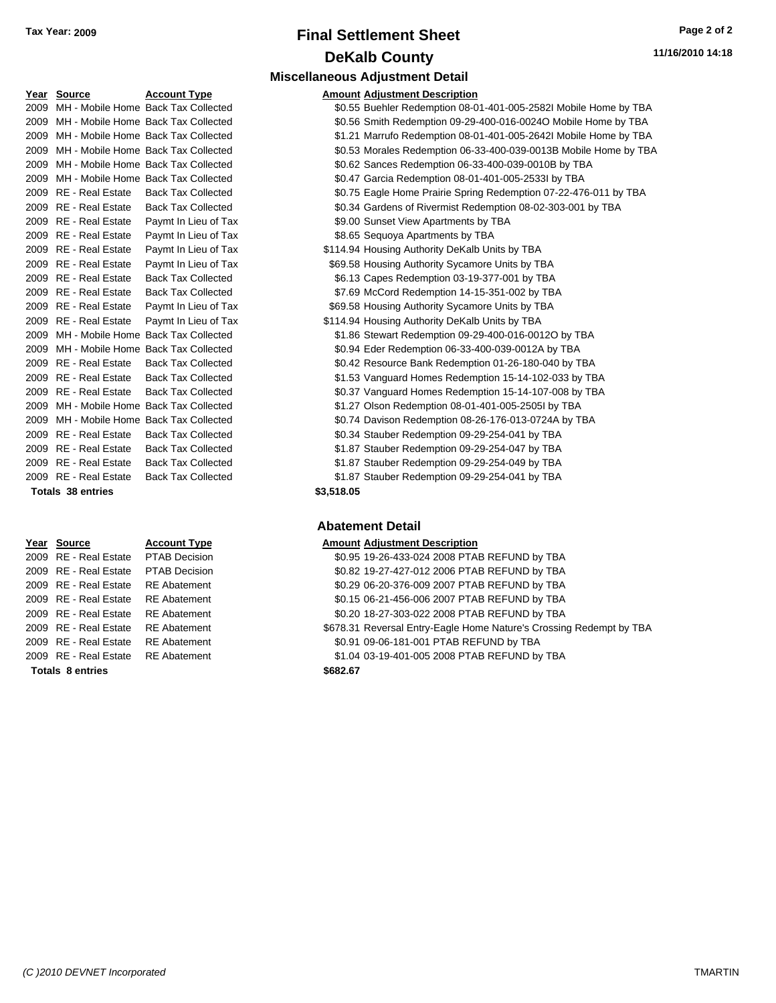| Tax Year: 2009 | <b>Final Settlement Sheet</b>          | Page 2 of 2      |
|----------------|----------------------------------------|------------------|
|                | <b>DeKalb County</b>                   | 11/16/2010 14:18 |
|                | <b>Miscellaneous Adjustment Detail</b> |                  |

**Amount Adjustment Description** 

| Year | <b>Source</b>            | <b>Account Type</b>                 | Amount     |
|------|--------------------------|-------------------------------------|------------|
| 2009 |                          | MH - Mobile Home Back Tax Collected | \$0.55     |
| 2009 |                          | MH - Mobile Home Back Tax Collected | \$0.56     |
| 2009 |                          | MH - Mobile Home Back Tax Collected | \$1.21     |
| 2009 |                          | MH - Mobile Home Back Tax Collected | \$0.53     |
| 2009 |                          | MH - Mobile Home Back Tax Collected | \$0.62     |
| 2009 |                          | MH - Mobile Home Back Tax Collected | \$0.47     |
| 2009 | <b>RE</b> - Real Estate  | <b>Back Tax Collected</b>           | \$0.75     |
| 2009 | RE - Real Estate         | <b>Back Tax Collected</b>           | \$0.34     |
| 2009 | <b>RE</b> - Real Estate  | Paymt In Lieu of Tax                | \$9.00     |
|      | 2009 RE - Real Estate    | Paymt In Lieu of Tax                | \$8.65     |
|      | 2009 RE - Real Estate    | Paymt In Lieu of Tax                | \$114.94   |
| 2009 | <b>RE</b> - Real Estate  | Paymt In Lieu of Tax                | \$69.58    |
|      | 2009 RE - Real Estate    | <b>Back Tax Collected</b>           | \$6.13     |
| 2009 | <b>RE</b> - Real Estate  | <b>Back Tax Collected</b>           | \$7.69     |
| 2009 | <b>RE</b> - Real Estate  | Paymt In Lieu of Tax                | \$69.58    |
| 2009 | RE - Real Estate         | Paymt In Lieu of Tax                | \$114.94   |
| 2009 |                          | MH - Mobile Home Back Tax Collected | \$1.86     |
| 2009 |                          | MH - Mobile Home Back Tax Collected | \$0.94     |
| 2009 | <b>RE</b> - Real Estate  | <b>Back Tax Collected</b>           | \$0.42     |
| 2009 | <b>RE</b> - Real Estate  | <b>Back Tax Collected</b>           | \$1.53     |
| 2009 | RE - Real Estate         | <b>Back Tax Collected</b>           | \$0.37     |
| 2009 |                          | MH - Mobile Home Back Tax Collected | \$1.27     |
| 2009 |                          | MH - Mobile Home Back Tax Collected | \$0.74     |
| 2009 | RE - Real Estate         | <b>Back Tax Collected</b>           | \$0.34     |
| 2009 | <b>RE</b> - Real Estate  | <b>Back Tax Collected</b>           | \$1.87     |
| 2009 | RE - Real Estate         | <b>Back Tax Collected</b>           | \$1.87     |
| 2009 | <b>RE</b> - Real Estate  | <b>Back Tax Collected</b>           | \$1.87     |
|      | <b>Totals 38 entries</b> |                                     | \$3,518.05 |

#### 2009 RE - Real Estate PTAB Decision 2009 RE - Real Estate PTAB Decision 2009 RE - Real Estate RE Abatement 2009 RE - Real Estate RE Abatement 2009 RE - Real Estate RE Abatement 2009 RE - Real Estate RE Abatement 2009 RE - Real Estate RE Abatement **Totals \$682.67 8 entries**

#### \$0.55 Buehler Redemption 08-01-401-005-2582I Mobile Home by TBA \$0.56 Smith Redemption 09-29-400-016-0024O Mobile Home by TBA \$1.21 Marrufo Redemption 08-01-401-005-2642I Mobile Home by TBA \$0.53 Morales Redemption 06-33-400-039-0013B Mobile Home by TBA \$0.62 Sances Redemption 06-33-400-039-0010B by TBA \$0.47 Garcia Redemption 08-01-401-005-2533I by TBA \$0.75 Eagle Home Prairie Spring Redemption 07-22-476-011 by TBA \$0.34 Gardens of Rivermist Redemption 08-02-303-001 by TBA 2009 Real Estate Apartments by TBA 2009 x - Real Estate \$8.65 Sequoya Apartments by TBA 2009 x 5114.94 Housing Authority DeKalb Units by TBA 2009 x 569.58 Housing Authority Sycamore Units by TBA \$6.13 Capes Redemption 03-19-377-001 by TBA \$7.69 McCord Redemption 14-15-351-002 by TBA 2009 x 569.58 Housing Authority Sycamore Units by TBA 2009 x 5114.94 Housing Authority DeKalb Units by TBA \$1.86 Stewart Redemption 09-29-400-016-0012O by TBA \$0.94 Eder Redemption 06-33-400-039-0012A by TBA \$0.42 Resource Bank Redemption 01-26-180-040 by TBA \$1.53 Vanguard Homes Redemption 15-14-102-033 by TBA \$0.37 Vanguard Homes Redemption 15-14-107-008 by TBA \$1.27 Olson Redemption 08-01-401-005-2505I by TBA \$0.74 Davison Redemption 08-26-176-013-0724A by TBA \$0.34 Stauber Redemption 09-29-254-041 by TBA \$1.87 Stauber Redemption 09-29-254-047 by TBA \$1.87 Stauber Redemption 09-29-254-049 by TBA \$1.87 Stauber Redemption 09-29-254-041 by TBA

#### **Abatement Detail**

#### **Year Source Account Type Amount Adjustment Description**

| 2009 RE - Real Estate               | RE Abatement | \$0.91 09-06-181-001 PTAB REFUND by TBA                             |
|-------------------------------------|--------------|---------------------------------------------------------------------|
|                                     |              |                                                                     |
| 2009 RE - Real Estate RE Abatement  |              | \$678.31 Reversal Entry-Eagle Home Nature's Crossing Redempt by TBA |
| 2009 RE - Real Estate RE Abatement  |              | \$0.20 18-27-303-022 2008 PTAB REFUND by TBA                        |
| 2009 RE - Real Estate RE Abatement  |              | \$0.15 06-21-456-006 2007 PTAB REFUND by TBA                        |
| 2009 RE - Real Estate RE Abatement  |              | \$0.29 06-20-376-009 2007 PTAB REFUND by TBA                        |
| 2009 RE - Real Estate PTAB Decision |              | \$0.82 19-27-427-012 2006 PTAB REFUND by TBA                        |
| 2009 RE - Real Estate PTAB Decision |              | \$0.95 19-26-433-024 2008 PTAB REFUND by TBA                        |
|                                     |              |                                                                     |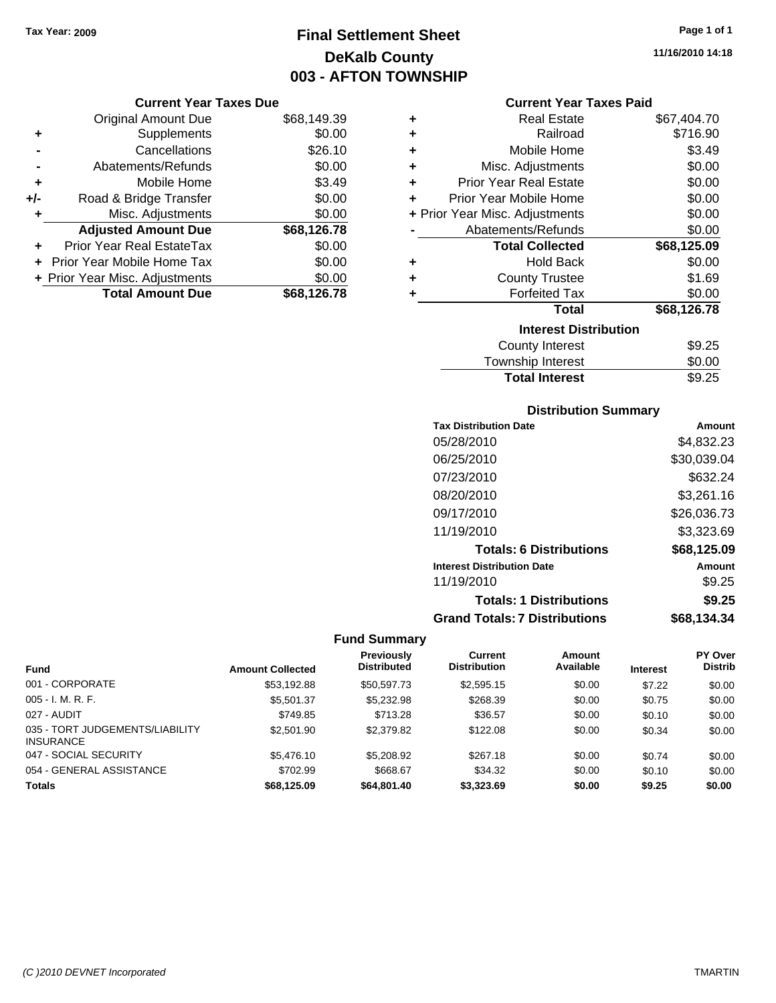# **Final Settlement Sheet Tax Year: 2009 Page 1 of 1 DeKalb County 003 - AFTON TOWNSHIP**

**Current Year Taxes Due**

| OUITCHL TCUL TUACS DUC         |             |
|--------------------------------|-------------|
| <b>Original Amount Due</b>     | \$68,149.39 |
| Supplements                    | \$0.00      |
| Cancellations                  | \$26.10     |
| Abatements/Refunds             | \$0.00      |
| Mobile Home                    | \$3.49      |
| Road & Bridge Transfer         | \$0.00      |
| Misc. Adjustments              | \$0.00      |
| <b>Adjusted Amount Due</b>     | \$68,126.78 |
| Prior Year Real EstateTax      | \$0.00      |
| Prior Year Mobile Home Tax     | \$0.00      |
| + Prior Year Misc. Adjustments | \$0.00      |
| <b>Total Amount Due</b>        | \$68,126.78 |
|                                |             |

#### **Current Year Taxes Paid**

| ٠ | Real Estate                    | \$67,404.70 |
|---|--------------------------------|-------------|
| ÷ | Railroad                       | \$716.90    |
| ÷ | Mobile Home                    | \$3.49      |
| ÷ | Misc. Adjustments              | \$0.00      |
| ÷ | <b>Prior Year Real Estate</b>  | \$0.00      |
| ٠ | Prior Year Mobile Home         | \$0.00      |
|   | + Prior Year Misc. Adjustments | \$0.00      |
|   | Abatements/Refunds             | \$0.00      |
|   | <b>Total Collected</b>         | \$68,125.09 |
| ٠ | <b>Hold Back</b>               | \$0.00      |
| ٠ | <b>County Trustee</b>          | \$1.69      |
| ٠ | <b>Forfeited Tax</b>           | \$0.00      |
|   | Total                          | \$68,126.78 |
|   | <b>Interest Distribution</b>   |             |
|   | County Interest                | \$9.25      |
|   | <b>Township Interest</b>       | \$0.00      |
|   | <b>Total Interest</b>          | \$9.25      |

#### **Distribution Summary**

| <b>Tax Distribution Date</b>         | Amount      |
|--------------------------------------|-------------|
| 05/28/2010                           | \$4,832.23  |
| 06/25/2010                           | \$30,039.04 |
| 07/23/2010                           | \$632.24    |
| 08/20/2010                           | \$3,261.16  |
| 09/17/2010                           | \$26,036.73 |
| 11/19/2010                           | \$3,323.69  |
| <b>Totals: 6 Distributions</b>       | \$68,125.09 |
| <b>Interest Distribution Date</b>    | Amount      |
| 11/19/2010                           | \$9.25      |
| <b>Totals: 1 Distributions</b>       | \$9.25      |
| <b>Grand Totals: 7 Distributions</b> | \$68,134.34 |

|                                                     |                         | <b>Previously</b>  | Current             | <b>Amount</b> |                 | <b>PY Over</b> |
|-----------------------------------------------------|-------------------------|--------------------|---------------------|---------------|-----------------|----------------|
| <b>Fund</b>                                         | <b>Amount Collected</b> | <b>Distributed</b> | <b>Distribution</b> | Available     | <b>Interest</b> | <b>Distrib</b> |
| 001 - CORPORATE                                     | \$53,192.88             | \$50,597.73        | \$2,595.15          | \$0.00        | \$7.22          | \$0.00         |
| $005 - I. M. R. F.$                                 | \$5,501.37              | \$5,232.98         | \$268.39            | \$0.00        | \$0.75          | \$0.00         |
| 027 - AUDIT                                         | \$749.85                | \$713.28           | \$36.57             | \$0.00        | \$0.10          | \$0.00         |
| 035 - TORT JUDGEMENTS/LIABILITY<br><b>INSURANCE</b> | \$2,501.90              | \$2,379.82         | \$122.08            | \$0.00        | \$0.34          | \$0.00         |
| 047 - SOCIAL SECURITY                               | \$5,476.10              | \$5,208.92         | \$267.18            | \$0.00        | \$0.74          | \$0.00         |
| 054 - GENERAL ASSISTANCE                            | \$702.99                | \$668.67           | \$34.32             | \$0.00        | \$0.10          | \$0.00         |
| <b>Totals</b>                                       | \$68.125.09             | \$64,801.40        | \$3,323,69          | \$0.00        | \$9.25          | \$0.00         |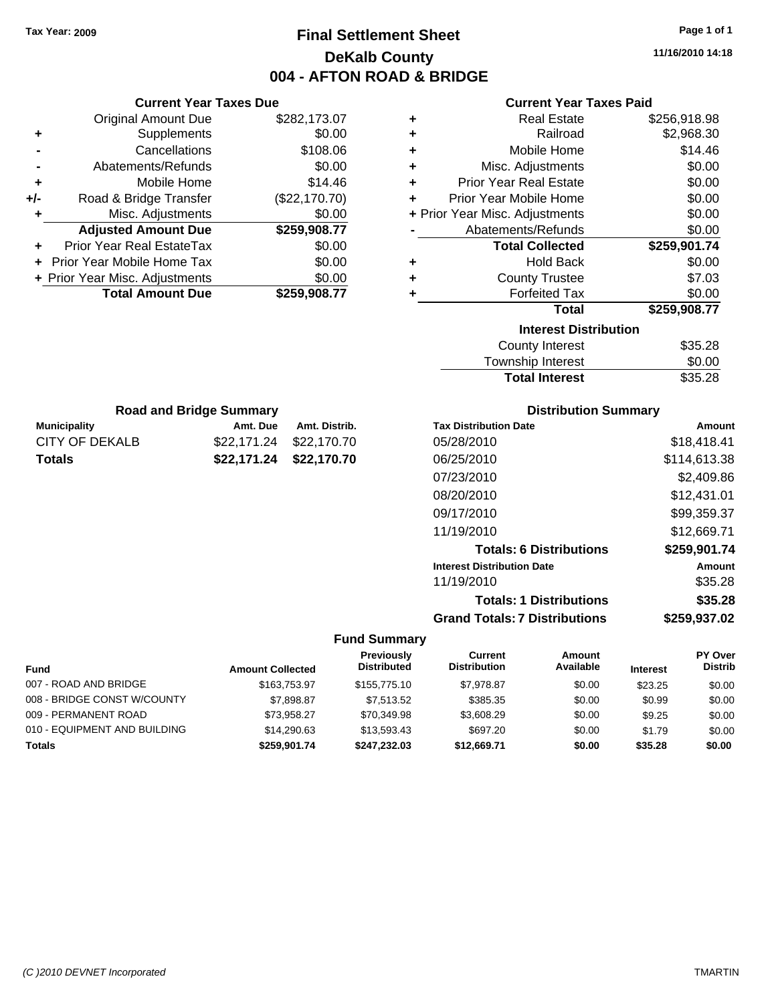# **Final Settlement Sheet Tax Year: 2009 Page 1 of 1 DeKalb County 004 - AFTON ROAD & BRIDGE**

**11/16/2010 14:18**

| <b>Current Year Taxes Paid</b> |  |  |  |
|--------------------------------|--|--|--|
|--------------------------------|--|--|--|

| ٠ | <b>Real Estate</b>             | \$256,918.98 |
|---|--------------------------------|--------------|
| ٠ | Railroad                       | \$2,968.30   |
| ٠ | Mobile Home                    | \$14.46      |
| ٠ | Misc. Adjustments              | \$0.00       |
| ÷ | <b>Prior Year Real Estate</b>  | \$0.00       |
| ٠ | Prior Year Mobile Home         | \$0.00       |
|   | + Prior Year Misc. Adjustments | \$0.00       |
|   | Abatements/Refunds             | \$0.00       |
|   | <b>Total Collected</b>         | \$259,901.74 |
|   |                                |              |
| ٠ | Hold Back                      | \$0.00       |
| ٠ | <b>County Trustee</b>          | \$7.03       |
| ٠ | <b>Forfeited Tax</b>           | \$0.00       |
|   | <b>Total</b>                   | \$259,908.77 |
|   | <b>Interest Distribution</b>   |              |
|   | <b>County Interest</b>         | \$35.28      |

| <b>Total Interest</b> | \$35.28 |
|-----------------------|---------|
| Township Interest     | \$0.00  |
| County Interest       | \$35.28 |

| <b>Distribution Summary</b>          |              |
|--------------------------------------|--------------|
| <b>Tax Distribution Date</b>         | Amount       |
| 05/28/2010                           | \$18,418.41  |
| 06/25/2010                           | \$114,613.38 |
| 07/23/2010                           | \$2,409.86   |
| 08/20/2010                           | \$12,431.01  |
| 09/17/2010                           | \$99,359.37  |
| 11/19/2010                           | \$12,669.71  |
| <b>Totals: 6 Distributions</b>       | \$259,901.74 |
| <b>Interest Distribution Date</b>    | Amount       |
| 11/19/2010                           | \$35.28      |
| <b>Totals: 1 Distributions</b>       | \$35.28      |
| <b>Grand Totals: 7 Distributions</b> | \$259.937.02 |

#### **Fund Summary**

| <b>Fund</b>                  | <b>Amount Collected</b> | Previously<br><b>Distributed</b> | Current<br><b>Distribution</b> | Amount<br>Available | <b>Interest</b> | PY Over<br><b>Distrib</b> |
|------------------------------|-------------------------|----------------------------------|--------------------------------|---------------------|-----------------|---------------------------|
| 007 - ROAD AND BRIDGE        | \$163,753,97            | \$155,775.10                     | \$7.978.87                     | \$0.00              | \$23.25         | \$0.00                    |
| 008 - BRIDGE CONST W/COUNTY  | \$7,898.87              | \$7,513,52                       | \$385.35                       | \$0.00              | \$0.99          | \$0.00                    |
| 009 - PERMANENT ROAD         | \$73.958.27             | \$70.349.98                      | \$3,608.29                     | \$0.00              | \$9.25          | \$0.00                    |
| 010 - EQUIPMENT AND BUILDING | \$14,290.63             | \$13,593.43                      | \$697.20                       | \$0.00              | \$1.79          | \$0.00                    |
| <b>Totals</b>                | \$259,901.74            | \$247.232.03                     | \$12.669.71                    | \$0.00              | \$35.28         | \$0.00                    |

|     | <b>Current Year Taxes Due</b>  |               |
|-----|--------------------------------|---------------|
|     | <b>Original Amount Due</b>     | \$282,173.07  |
| ٠   | Supplements                    | \$0.00        |
|     | Cancellations                  | \$108.06      |
|     | Abatements/Refunds             | \$0.00        |
| ٠   | Mobile Home                    | \$14.46       |
| +/- | Road & Bridge Transfer         | (\$22,170.70) |
| ٠   | Misc. Adjustments              | \$0.00        |
|     | <b>Adjusted Amount Due</b>     | \$259,908.77  |
|     | Prior Year Real EstateTax      | \$0.00        |
|     | Prior Year Mobile Home Tax     | \$0.00        |
|     | + Prior Year Misc. Adjustments | \$0.00        |
|     | <b>Total Amount Due</b>        | \$259,908.77  |

**Municipality Municipality** Amt. Due Amt. Distrib. **Road and Bridge Summary**

CITY OF DEKALB \$22,171.24 \$22,170.70 **Totals \$22,171.24 \$22,170.70**

*(C )2010 DEVNET Incorporated* TMARTIN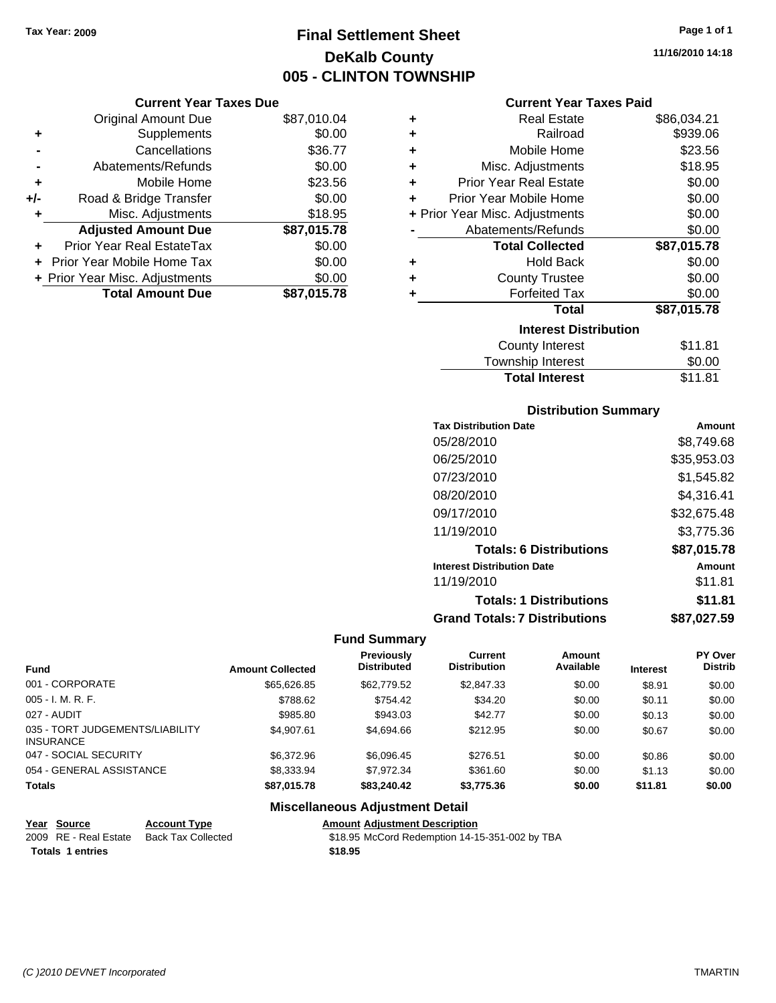# **Final Settlement Sheet Tax Year: 2009 Page 1 of 1 DeKalb County 005 - CLINTON TOWNSHIP**

#### **Current Year Taxes Due**

|       | <b>Original Amount Due</b>       | \$87,010.04 |
|-------|----------------------------------|-------------|
| ٠     | Supplements                      | \$0.00      |
|       | Cancellations                    | \$36.77     |
|       | Abatements/Refunds               | \$0.00      |
| ÷     | Mobile Home                      | \$23.56     |
| $+/-$ | Road & Bridge Transfer           | \$0.00      |
| ٠     | Misc. Adjustments                | \$18.95     |
|       | <b>Adjusted Amount Due</b>       | \$87,015.78 |
|       | <b>Prior Year Real EstateTax</b> | \$0.00      |
|       | Prior Year Mobile Home Tax       | \$0.00      |
|       | + Prior Year Misc. Adjustments   | \$0.00      |
|       | <b>Total Amount Due</b>          | \$87,015.78 |

|   | <b>Real Estate</b>             | \$86,034.21 |
|---|--------------------------------|-------------|
| ÷ | Railroad                       | \$939.06    |
| ٠ | Mobile Home                    | \$23.56     |
| ٠ | Misc. Adjustments              | \$18.95     |
| ٠ | <b>Prior Year Real Estate</b>  | \$0.00      |
| ٠ | Prior Year Mobile Home         | \$0.00      |
|   | + Prior Year Misc. Adjustments | \$0.00      |
|   | Abatements/Refunds             | \$0.00      |
|   | <b>Total Collected</b>         | \$87,015.78 |
| ٠ | <b>Hold Back</b>               | \$0.00      |
| ٠ | <b>County Trustee</b>          | \$0.00      |
| ٠ | <b>Forfeited Tax</b>           | \$0.00      |
|   | Total                          | \$87,015.78 |
|   | <b>Interest Distribution</b>   |             |
|   | <b>County Interest</b>         | \$11.81     |
|   | <b>Township Interest</b>       | \$0.00      |
|   | <b>Total Interest</b>          | \$11.81     |

#### **Distribution Summary**

| <b>Tax Distribution Date</b>         | Amount      |
|--------------------------------------|-------------|
| 05/28/2010                           | \$8.749.68  |
| 06/25/2010                           | \$35,953.03 |
| 07/23/2010                           | \$1,545.82  |
| 08/20/2010                           | \$4,316.41  |
| 09/17/2010                           | \$32,675.48 |
| 11/19/2010                           | \$3,775.36  |
| <b>Totals: 6 Distributions</b>       | \$87,015.78 |
| <b>Interest Distribution Date</b>    | Amount      |
| 11/19/2010                           | \$11.81     |
| <b>Totals: 1 Distributions</b>       | \$11.81     |
| <b>Grand Totals: 7 Distributions</b> | \$87.027.59 |

#### **Fund Summary**

|                                                     |                         | <b>Previously</b>  | Current             | Amount    |                 | PY Over        |
|-----------------------------------------------------|-------------------------|--------------------|---------------------|-----------|-----------------|----------------|
| <b>Fund</b>                                         | <b>Amount Collected</b> | <b>Distributed</b> | <b>Distribution</b> | Available | <b>Interest</b> | <b>Distrib</b> |
| 001 - CORPORATE                                     | \$65,626.85             | \$62,779.52        | \$2,847.33          | \$0.00    | \$8.91          | \$0.00         |
| $005 - I. M. R. F.$                                 | \$788.62                | \$754.42           | \$34.20             | \$0.00    | \$0.11          | \$0.00         |
| 027 - AUDIT                                         | \$985.80                | \$943.03           | \$42.77             | \$0.00    | \$0.13          | \$0.00         |
| 035 - TORT JUDGEMENTS/LIABILITY<br><b>INSURANCE</b> | \$4,907.61              | \$4,694.66         | \$212.95            | \$0.00    | \$0.67          | \$0.00         |
| 047 - SOCIAL SECURITY                               | \$6,372.96              | \$6.096.45         | \$276.51            | \$0.00    | \$0.86          | \$0.00         |
| 054 - GENERAL ASSISTANCE                            | \$8,333,94              | \$7.972.34         | \$361.60            | \$0.00    | \$1.13          | \$0.00         |
| <b>Totals</b>                                       | \$87,015.78             | \$83,240,42        | \$3,775,36          | \$0.00    | \$11.81         | \$0.00         |

| Year Source             | <b>Account Type</b> | <b>Amount Adjustment Description</b>           |
|-------------------------|---------------------|------------------------------------------------|
| 2009 RE - Real Estate   | Back Tax Collected  | \$18.95 McCord Redemption 14-15-351-002 by TBA |
| <b>Totals 1 entries</b> |                     | \$18.95                                        |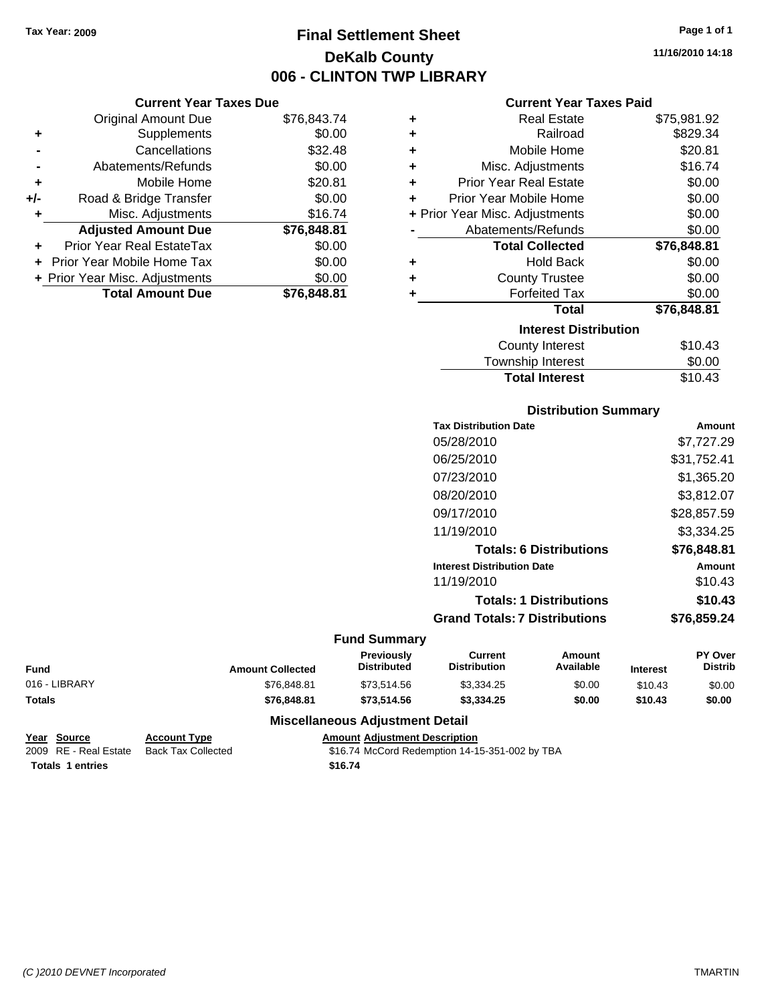# **Final Settlement Sheet Tax Year: 2009 Page 1 of 1 DeKalb County 006 - CLINTON TWP LIBRARY**

**11/16/2010 14:18**

#### **Current Year Taxes Paid**

| ٠ | <b>Real Estate</b>             | \$75,981.92 |
|---|--------------------------------|-------------|
| ÷ | Railroad                       | \$829.34    |
| ÷ | Mobile Home                    | \$20.81     |
| ÷ | Misc. Adjustments              | \$16.74     |
| ٠ | <b>Prior Year Real Estate</b>  | \$0.00      |
| ٠ | Prior Year Mobile Home         | \$0.00      |
|   | + Prior Year Misc. Adjustments | \$0.00      |
|   | Abatements/Refunds             | \$0.00      |
|   | <b>Total Collected</b>         | \$76,848.81 |
| ٠ | <b>Hold Back</b>               | \$0.00      |
| ٠ | <b>County Trustee</b>          | \$0.00      |
| ÷ | <b>Forfeited Tax</b>           | \$0.00      |
|   | <b>Total</b>                   | \$76,848.81 |
|   | <b>Interest Distribution</b>   |             |
|   | <b>County Interest</b>         | \$10.43     |
|   | <b>Township Interest</b>       | \$0.00      |

# Total Interest \$10.43

| <b>Distribution Summary</b>          |             |
|--------------------------------------|-------------|
| <b>Tax Distribution Date</b>         | Amount      |
| 05/28/2010                           | \$7,727.29  |
| 06/25/2010                           | \$31,752.41 |
| 07/23/2010                           | \$1,365.20  |
| 08/20/2010                           | \$3,812.07  |
| 09/17/2010                           | \$28,857.59 |
| 11/19/2010                           | \$3,334.25  |
| <b>Totals: 6 Distributions</b>       | \$76,848.81 |
| <b>Interest Distribution Date</b>    | Amount      |
| 11/19/2010                           | \$10.43     |
| <b>Totals: 1 Distributions</b>       | \$10.43     |
| <b>Grand Totals: 7 Distributions</b> | \$76,859.24 |

#### **Fund Summary**

| <b>Fund</b>   | <b>Amount Collected</b> | <b>Previously</b><br><b>Distributed</b> | Current<br><b>Distribution</b> | Amount<br>Available | <b>Interest</b> | <b>PY Over</b><br><b>Distrib</b> |
|---------------|-------------------------|-----------------------------------------|--------------------------------|---------------------|-----------------|----------------------------------|
| 016 - LIBRARY | \$76.848.81             | \$73.514.56                             | \$3,334.25                     | \$0.00              | \$10.43         | \$0.00                           |
| <b>Totals</b> | \$76,848.81             | \$73,514.56                             | \$3,334.25                     | \$0.00              | \$10.43         | \$0.00                           |

#### **Miscellaneous Adjustment Detail**

```
Year Source Account Type Amount Adjustment Description
Totals 1 entries 16.74 16.74
```
**Current Year Taxes Due** Original Amount Due \$76,843.74

**Adjusted Amount Due \$76,848.81**

**Total Amount Due \$76,848.81**

**+** Supplements \$0.00 **-** Cancellations \$32.48 **-** Abatements/Refunds \$0.00 **+** Mobile Home \$20.81 **+/-** Road & Bridge Transfer \$0.00 **+** Misc. Adjustments \$16.74

**+** Prior Year Real EstateTax \$0.00 **+** Prior Year Mobile Home Tax \$0.00 **+ Prior Year Misc. Adjustments**  $$0.00$ 

2009 RE - Real Estate Back Tax Collected \$16.74 McCord Redemption 14-15-351-002 by TBA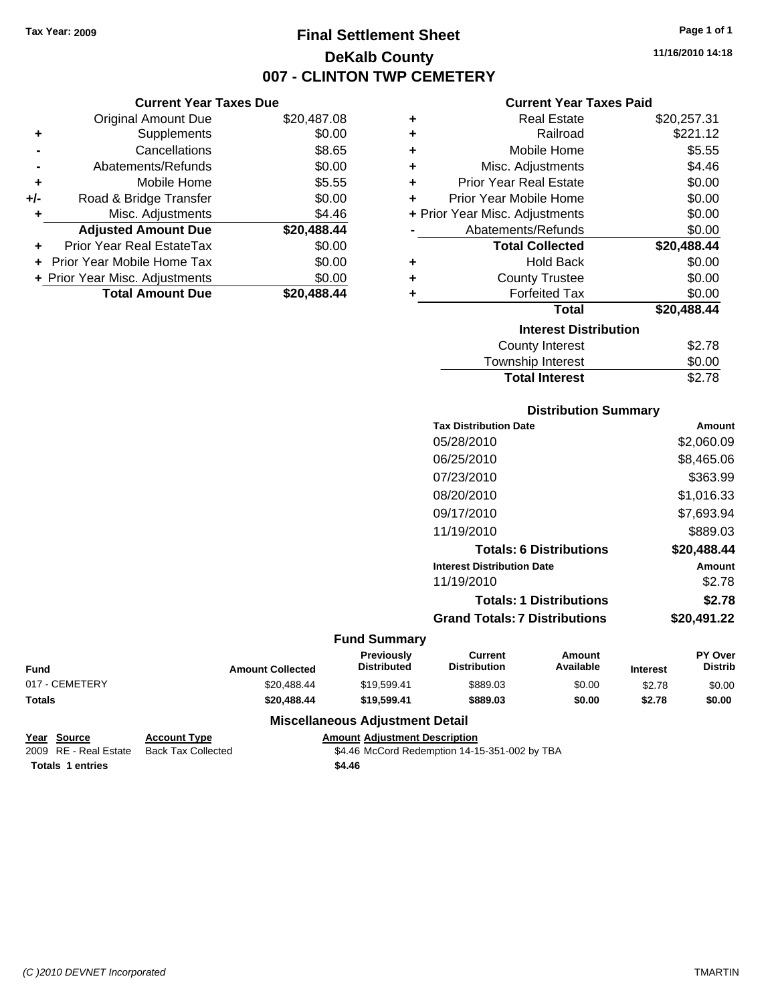# **Final Settlement Sheet Tax Year: 2009 Page 1 of 1 DeKalb County 007 - CLINTON TWP CEMETERY**

**11/16/2010 14:18**

#### **Current Year Taxes Paid**

| ٠ | <b>Real Estate</b>             | \$20,257.31 |
|---|--------------------------------|-------------|
| ٠ | Railroad                       | \$221.12    |
| ÷ | Mobile Home                    | \$5.55      |
| ÷ | Misc. Adjustments              | \$4.46      |
| ÷ | <b>Prior Year Real Estate</b>  | \$0.00      |
| ÷ | Prior Year Mobile Home         | \$0.00      |
|   | + Prior Year Misc. Adjustments | \$0.00      |
|   | Abatements/Refunds             | \$0.00      |
|   | <b>Total Collected</b>         | \$20,488.44 |
| ٠ | <b>Hold Back</b>               | \$0.00      |
| ٠ | <b>County Trustee</b>          | \$0.00      |
| ٠ | <b>Forfeited Tax</b>           | \$0.00      |
|   | <b>Total</b>                   | \$20,488.44 |
|   | <b>Interest Distribution</b>   |             |
|   | County Interest                | \$2.78      |
|   | <b>Township Interest</b>       | \$0.00      |

# Township Interest  $$0.00$ **Total Interest** \$2.78

#### **Distribution Summary**

| <b>Tax Distribution Date</b>         | Amount      |
|--------------------------------------|-------------|
| 05/28/2010                           | \$2,060.09  |
| 06/25/2010                           | \$8.465.06  |
| 07/23/2010                           | \$363.99    |
| 08/20/2010                           | \$1,016.33  |
| 09/17/2010                           | \$7,693.94  |
| 11/19/2010                           | \$889.03    |
| <b>Totals: 6 Distributions</b>       | \$20,488.44 |
| <b>Interest Distribution Date</b>    | Amount      |
| 11/19/2010                           | \$2.78      |
| <b>Totals: 1 Distributions</b>       | \$2.78      |
| <b>Grand Totals: 7 Distributions</b> | \$20,491.22 |
|                                      |             |

#### **Fund Summary**

| <b>Fund</b>    | <b>Amount Collected</b> | <b>Previously</b><br><b>Distributed</b> | Current<br><b>Distribution</b> | Amount<br>Available | <b>Interest</b> | <b>PY Over</b><br><b>Distrib</b> |
|----------------|-------------------------|-----------------------------------------|--------------------------------|---------------------|-----------------|----------------------------------|
| 017 - CEMETERY | \$20.488.44             | \$19.599.41                             | \$889.03                       | \$0.00              | \$2.78          | \$0.00                           |
| <b>Totals</b>  | \$20.488.44             | \$19,599.41                             | \$889.03                       | \$0.00              | \$2.78          | \$0.00                           |

#### **Miscellaneous Adjustment Detail**

```
Year Source Account Type Amount Adjustment Description
```
**Current Year Taxes Due** Original Amount Due \$20,487.08

**Adjusted Amount Due \$20,488.44**

**Total Amount Due \$20,488.44**

**+** Supplements \$0.00 **-** Cancellations **\$8.65 -** Abatements/Refunds \$0.00 **+** Mobile Home \$5.55 **+/-** Road & Bridge Transfer \$0.00 **+** Misc. Adjustments \$4.46

**+** Prior Year Real EstateTax \$0.00 **+** Prior Year Mobile Home Tax \$0.00 **+ Prior Year Misc. Adjustments**  $$0.00$ 

2009 RE - Real Estate Back Tax Collected \$4.46 McCord Redemption 14-15-351-002 by TBA **Totals \$4.46 1 entries**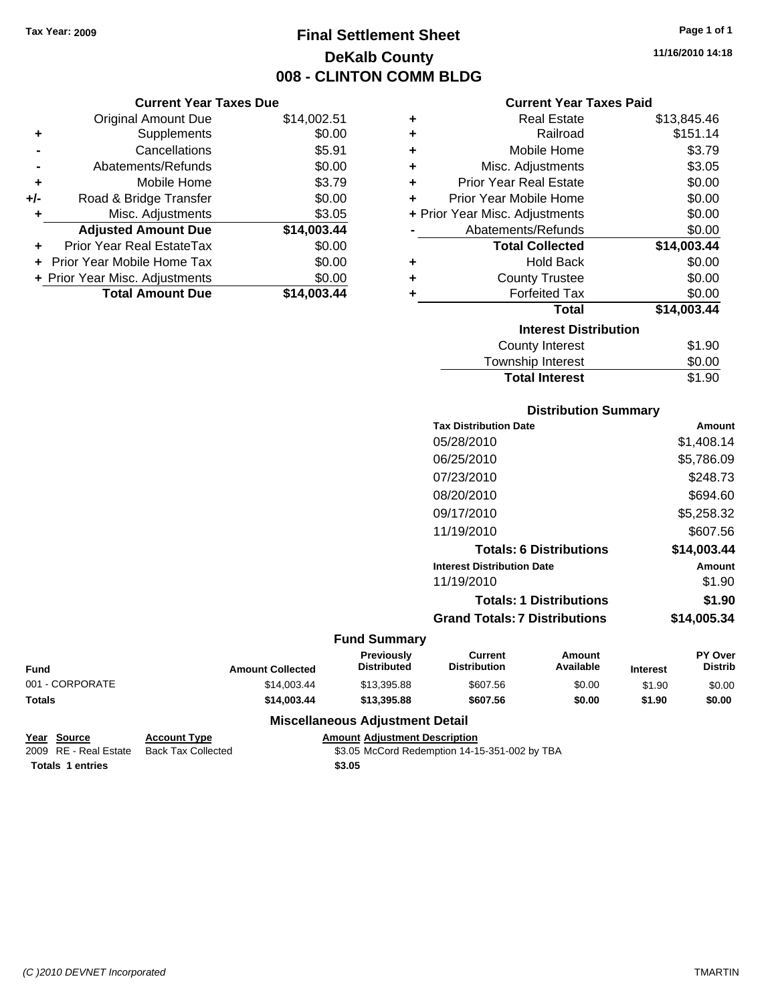# **Final Settlement Sheet Tax Year: 2009 Page 1 of 1 DeKalb County 008 - CLINTON COMM BLDG**

**11/16/2010 14:18**

#### **Current Year Taxes Paid**

| ٠ | <b>Real Estate</b>             | \$13,845.46 |
|---|--------------------------------|-------------|
| ÷ | Railroad                       | \$151.14    |
| ٠ | Mobile Home                    | \$3.79      |
| ٠ | Misc. Adjustments              | \$3.05      |
| ÷ | <b>Prior Year Real Estate</b>  | \$0.00      |
| ÷ | Prior Year Mobile Home         | \$0.00      |
|   | + Prior Year Misc. Adjustments | \$0.00      |
|   | Abatements/Refunds             | \$0.00      |
|   | <b>Total Collected</b>         | \$14,003.44 |
| ٠ | <b>Hold Back</b>               | \$0.00      |
| ٠ | <b>County Trustee</b>          | \$0.00      |
| ٠ | <b>Forfeited Tax</b>           | \$0.00      |
|   | <b>Total</b>                   | \$14,003.44 |
|   | <b>Interest Distribution</b>   |             |
|   | <b>County Interest</b>         | \$1.90      |
|   | Township Interact              | ድስ ሰሰ       |

# Township Interest \$0.00 **Total Interest** \$1.90

| <b>Distribution Summary</b> |  |
|-----------------------------|--|
|-----------------------------|--|

| <b>Tax Distribution Date</b>         | Amount      |
|--------------------------------------|-------------|
| 05/28/2010                           | \$1.408.14  |
| 06/25/2010                           | \$5,786.09  |
| 07/23/2010                           | \$248.73    |
| 08/20/2010                           | \$694.60    |
| 09/17/2010                           | \$5,258.32  |
| 11/19/2010                           | \$607.56    |
| <b>Totals: 6 Distributions</b>       | \$14,003.44 |
| <b>Interest Distribution Date</b>    | Amount      |
| 11/19/2010                           | \$1.90      |
| <b>Totals: 1 Distributions</b>       | \$1.90      |
| <b>Grand Totals: 7 Distributions</b> | \$14,005.34 |
|                                      |             |

#### **Fund Summary**

| <b>Fund</b>     | <b>Amount Collected</b> | <b>Previously</b><br><b>Distributed</b> | Current<br><b>Distribution</b> | Amount<br>Available | <b>Interest</b> | <b>PY Over</b><br><b>Distrib</b> |
|-----------------|-------------------------|-----------------------------------------|--------------------------------|---------------------|-----------------|----------------------------------|
| 001 - CORPORATE | \$14.003.44             | \$13,395.88                             | \$607.56                       | \$0.00              | \$1.90          | \$0.00                           |
| <b>Totals</b>   | \$14,003,44             | \$13,395.88                             | \$607.56                       | \$0.00              | \$1.90          | \$0.00                           |

#### **Miscellaneous Adjustment Detail**

| Year Source             | <b>Account Type</b> | <b>Amount Adiustment Description</b> |
|-------------------------|---------------------|--------------------------------------|
| 2009 RE - Real Estate   | Back Tax Collected  | \$3.05 McCord Redemption 14-1        |
| <b>Totals 1 entries</b> |                     | \$3.05                               |

**Current Year Taxes Due** Original Amount Due \$14,002.51

**Adjusted Amount Due \$14,003.44**

**Total Amount Due \$14,003.44**

**+** Supplements \$0.00 **-** Cancellations \$5.91 **-** Abatements/Refunds \$0.00 **+** Mobile Home \$3.79 **+/-** Road & Bridge Transfer \$0.00 **+** Misc. Adjustments \$3.05

**+** Prior Year Real EstateTax \$0.00 **+** Prior Year Mobile Home Tax \$0.00 **+ Prior Year Misc. Adjustments**  $$0.00$ 

Tax Collected **2009** \$3.05 McCord Redemption 14-15-351-002 by TBA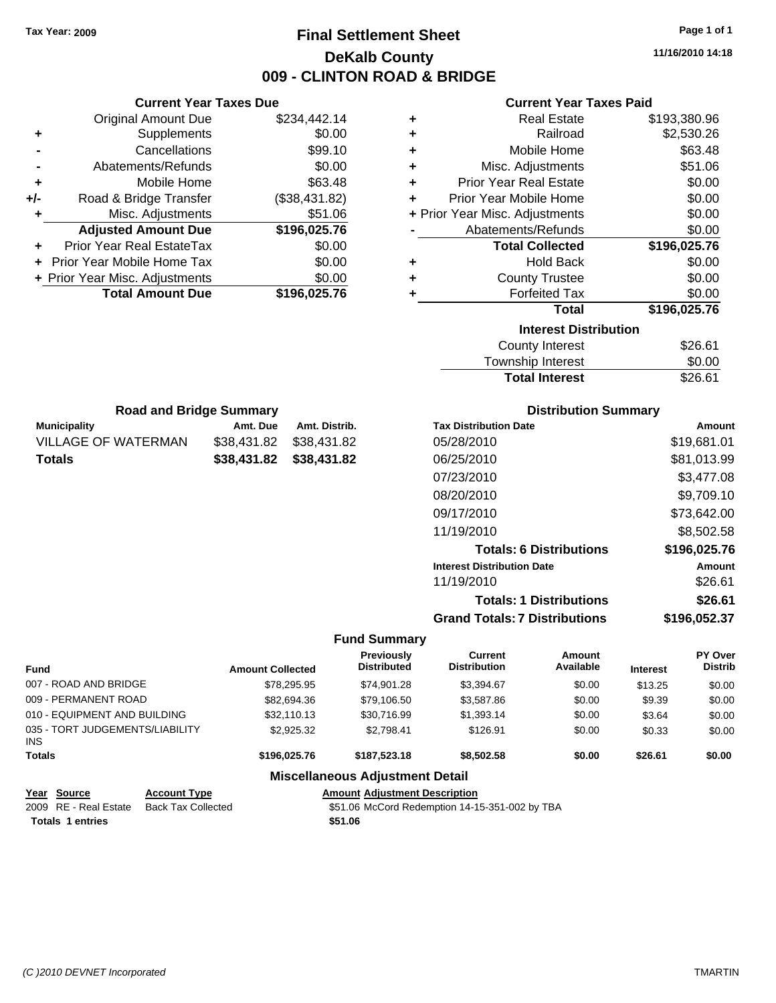# **Final Settlement Sheet Tax Year: 2009 Page 1 of 1 DeKalb County 009 - CLINTON ROAD & BRIDGE**

**11/16/2010 14:18**

## **Current Year Taxes Paid**

|     |                                | <b>Current Year Taxes Due</b> |               |   | <b>Current Year Taxes Paid</b> |              |
|-----|--------------------------------|-------------------------------|---------------|---|--------------------------------|--------------|
|     | <b>Original Amount Due</b>     |                               | \$234,442.14  |   | <b>Real Estate</b>             | \$193,380.96 |
| ٠   | <b>Supplements</b>             |                               | \$0.00        |   | Railroad                       | \$2,530.26   |
|     | Cancellations                  |                               | \$99.10       |   | Mobile Home                    | \$63.48      |
|     | Abatements/Refunds             |                               | \$0.00        | ٠ | Misc. Adjustments              | \$51.06      |
| ٠   | Mobile Home                    |                               | \$63.48       |   | <b>Prior Year Real Estate</b>  | \$0.00       |
| +/- | Road & Bridge Transfer         |                               | (\$38,431.82) |   | Prior Year Mobile Home         | \$0.00       |
|     | Misc. Adjustments              |                               | \$51.06       |   | + Prior Year Misc. Adjustments | \$0.00       |
|     | <b>Adjusted Amount Due</b>     |                               | \$196,025.76  |   | Abatements/Refunds             | \$0.00       |
|     | Prior Year Real EstateTax      |                               | \$0.00        |   | <b>Total Collected</b>         | \$196,025.76 |
|     | Prior Year Mobile Home Tax     |                               | \$0.00        |   | <b>Hold Back</b>               | \$0.00       |
|     | + Prior Year Misc. Adjustments |                               | \$0.00        |   | <b>County Trustee</b>          | \$0.00       |
|     | <b>Total Amount Due</b>        |                               | \$196,025.76  |   | <b>Forfeited Tax</b>           | \$0.00       |
|     |                                |                               |               |   | <b>Total</b>                   | \$196,025.76 |
|     |                                |                               |               |   | <b>Interest Distribution</b>   |              |
|     |                                |                               |               |   | <b>County Interest</b>         | \$26.61      |
|     |                                |                               |               |   | Township Interest              | \$0.00       |
|     |                                |                               |               |   | <b>Total Interest</b>          | \$26.61      |
|     | <b>Road and Bridge Summary</b> |                               |               |   | <b>Distribution Summary</b>    |              |
|     | <b>Municipality</b>            | Amt. Due                      | Amt. Distrib. |   | <b>Tax Distribution Date</b>   | Amo          |
|     | <b>VILLAGE OF WATERMAN</b>     | \$38,431.82                   | \$38,431.82   |   | 05/28/2010                     | \$19,681.    |
|     | <b>Totals</b>                  | \$38,431.82                   | \$38,431.82   |   | 06/25/2010                     | \$81,013.    |

#### **mary**

| <b>Tax Distribution Date</b>         | Amount       |
|--------------------------------------|--------------|
| 05/28/2010                           | \$19,681.01  |
| 06/25/2010                           | \$81,013.99  |
| 07/23/2010                           | \$3,477.08   |
| 08/20/2010                           | \$9,709.10   |
| 09/17/2010                           | \$73,642.00  |
| 11/19/2010                           | \$8,502.58   |
| <b>Totals: 6 Distributions</b>       | \$196,025.76 |
| <b>Interest Distribution Date</b>    | Amount       |
| 11/19/2010                           | \$26.61      |
| <b>Totals: 1 Distributions</b>       | \$26.61      |
| <b>Grand Totals: 7 Distributions</b> | \$196,052.37 |

#### **Fund Summary**

| <b>Fund</b>                             |                           | <b>Amount Collected</b> | <b>Previously</b><br><b>Distributed</b>        | Current<br><b>Distribution</b> | Amount<br>Available | <b>Interest</b> | PY Over<br>Distrib |
|-----------------------------------------|---------------------------|-------------------------|------------------------------------------------|--------------------------------|---------------------|-----------------|--------------------|
| 007 - ROAD AND BRIDGE                   |                           | \$78.295.95             | \$74.901.28                                    | \$3,394.67                     | \$0.00              | \$13.25         | \$0.00             |
| 009 - PERMANENT ROAD                    |                           | \$82,694.36             | \$79,106.50                                    | \$3,587.86                     | \$0.00              | \$9.39          | \$0.00             |
| 010 - EQUIPMENT AND BUILDING            |                           | \$32,110.13             | \$30,716.99                                    | \$1,393.14                     | \$0.00              | \$3.64          | \$0.00             |
| 035 - TORT JUDGEMENTS/LIABILITY<br>INS. |                           | \$2,925.32              | \$2.798.41                                     | \$126.91                       | \$0.00              | \$0.33          | \$0.00             |
| <b>Totals</b>                           |                           | \$196,025.76            | \$187,523.18                                   | \$8,502.58                     | \$0.00              | \$26.61         | \$0.00             |
|                                         |                           |                         | <b>Miscellaneous Adjustment Detail</b>         |                                |                     |                 |                    |
| Year Source                             | <b>Account Type</b>       |                         | <b>Amount Adjustment Description</b>           |                                |                     |                 |                    |
| 2009 RE - Real Estate                   | <b>Back Tax Collected</b> |                         | \$51.06 McCord Redemption 14-15-351-002 by TBA |                                |                     |                 |                    |

**Totals \$51.06 1 entries**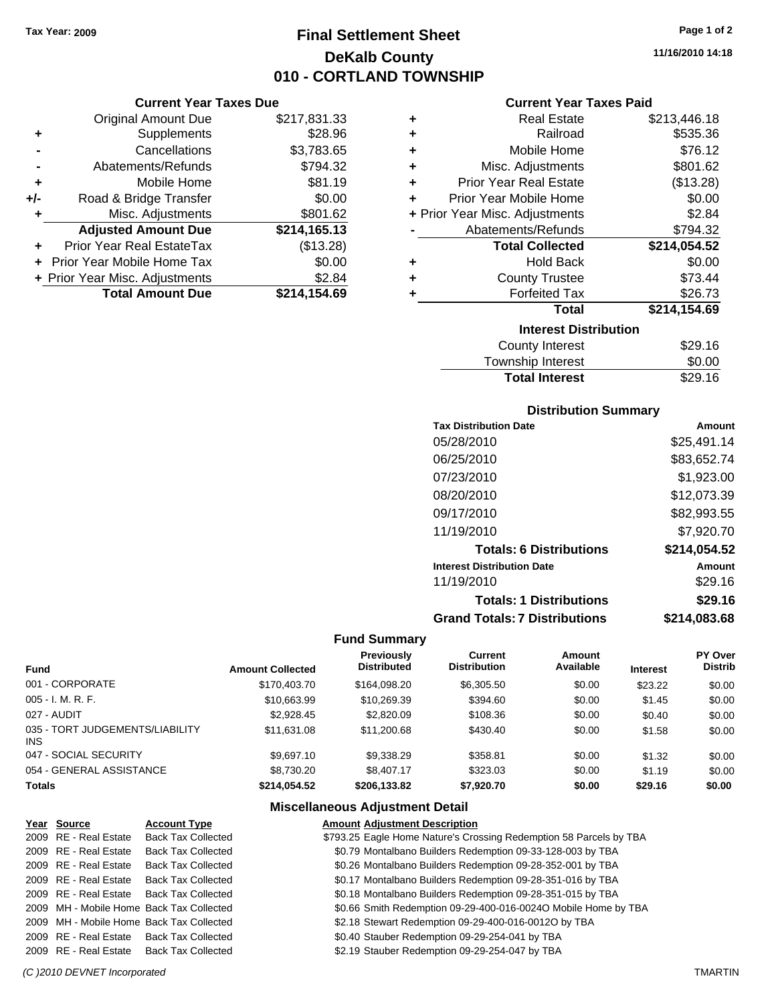# **Final Settlement Sheet Tax Year: 2009 Page 1 of 2 DeKalb County 010 - CORTLAND TOWNSHIP**

#### **Current Year Taxes Due**

|       | <b>Original Amount Due</b>        | \$217,831.33 |
|-------|-----------------------------------|--------------|
| ٠     | Supplements                       | \$28.96      |
|       | Cancellations                     | \$3,783.65   |
|       | Abatements/Refunds                | \$794.32     |
| ٠     | Mobile Home                       | \$81.19      |
| $+/-$ | Road & Bridge Transfer            | \$0.00       |
|       | Misc. Adjustments                 | \$801.62     |
|       | <b>Adjusted Amount Due</b>        | \$214,165.13 |
|       | Prior Year Real EstateTax         | (\$13.28)    |
|       | <b>Prior Year Mobile Home Tax</b> | \$0.00       |
|       | + Prior Year Misc. Adjustments    | \$2.84       |
|       | <b>Total Amount Due</b>           | \$214,154.69 |
|       |                                   |              |

#### **Current Year Taxes Paid**

| ٠ | <b>Real Estate</b>             | \$213,446.18 |
|---|--------------------------------|--------------|
| ٠ | Railroad                       | \$535.36     |
| ÷ | Mobile Home                    | \$76.12      |
| ٠ | Misc. Adjustments              | \$801.62     |
| ÷ | <b>Prior Year Real Estate</b>  | (\$13.28)    |
| ٠ | Prior Year Mobile Home         | \$0.00       |
|   | + Prior Year Misc. Adjustments | \$2.84       |
|   | Abatements/Refunds             | \$794.32     |
|   |                                |              |
|   | <b>Total Collected</b>         | \$214,054.52 |
| ٠ | <b>Hold Back</b>               | \$0.00       |
| ÷ | <b>County Trustee</b>          | \$73.44      |
| ٠ | <b>Forfeited Tax</b>           | \$26.73      |
|   | <b>Total</b>                   | \$214,154.69 |
|   | <b>Interest Distribution</b>   |              |
|   | County Interest                | \$29.16      |

## **Distribution Summary**

Total Interest \$29.16

| <b>Tax Distribution Date</b>         | Amount       |
|--------------------------------------|--------------|
| 05/28/2010                           | \$25.491.14  |
| 06/25/2010                           | \$83,652.74  |
| 07/23/2010                           | \$1,923.00   |
| 08/20/2010                           | \$12,073.39  |
| 09/17/2010                           | \$82,993.55  |
| 11/19/2010                           | \$7,920.70   |
| <b>Totals: 6 Distributions</b>       | \$214,054.52 |
| <b>Interest Distribution Date</b>    | Amount       |
| 11/19/2010                           | \$29.16      |
| <b>Totals: 1 Distributions</b>       | \$29.16      |
| <b>Grand Totals: 7 Distributions</b> | \$214,083.68 |

#### **Fund Summary**

| <b>Fund</b>                             | <b>Amount Collected</b> | Previously<br><b>Distributed</b> | Current<br><b>Distribution</b> | Amount<br>Available | <b>Interest</b> | PY Over<br><b>Distrib</b> |
|-----------------------------------------|-------------------------|----------------------------------|--------------------------------|---------------------|-----------------|---------------------------|
| 001 - CORPORATE                         | \$170,403.70            | \$164,098.20                     | \$6,305.50                     | \$0.00              | \$23.22         | \$0.00                    |
| 005 - I. M. R. F.                       | \$10,663.99             | \$10,269.39                      | \$394.60                       | \$0.00              | \$1.45          | \$0.00                    |
| 027 - AUDIT                             | \$2.928.45              | \$2,820.09                       | \$108.36                       | \$0.00              | \$0.40          | \$0.00                    |
| 035 - TORT JUDGEMENTS/LIABILITY<br>INS. | \$11.631.08             | \$11,200.68                      | \$430.40                       | \$0.00              | \$1.58          | \$0.00                    |
| 047 - SOCIAL SECURITY                   | \$9.697.10              | \$9,338.29                       | \$358.81                       | \$0.00              | \$1.32          | \$0.00                    |
| 054 - GENERAL ASSISTANCE                | \$8,730.20              | \$8,407.17                       | \$323.03                       | \$0.00              | \$1.19          | \$0.00                    |
| <b>Totals</b>                           | \$214.054.52            | \$206.133.82                     | \$7,920.70                     | \$0.00              | \$29.16         | \$0.00                    |

|                                                                                                                                          | <b>Amount Adjustment Description</b>                                                                                                                                                                                                                                                                                                   |
|------------------------------------------------------------------------------------------------------------------------------------------|----------------------------------------------------------------------------------------------------------------------------------------------------------------------------------------------------------------------------------------------------------------------------------------------------------------------------------------|
|                                                                                                                                          | \$793.25 Eagle Home Nature's Crossing Redemption 58 Parcels by TBA                                                                                                                                                                                                                                                                     |
|                                                                                                                                          | \$0.79 Montalbano Builders Redemption 09-33-128-003 by TBA                                                                                                                                                                                                                                                                             |
|                                                                                                                                          | \$0.26 Montalbano Builders Redemption 09-28-352-001 by TBA                                                                                                                                                                                                                                                                             |
|                                                                                                                                          | \$0.17 Montalbano Builders Redemption 09-28-351-016 by TBA                                                                                                                                                                                                                                                                             |
|                                                                                                                                          | \$0.18 Montalbano Builders Redemption 09-28-351-015 by TBA                                                                                                                                                                                                                                                                             |
|                                                                                                                                          | \$0.66 Smith Redemption 09-29-400-016-0024O Mobile Home by TBA                                                                                                                                                                                                                                                                         |
|                                                                                                                                          | \$2.18 Stewart Redemption 09-29-400-016-0012O by TBA                                                                                                                                                                                                                                                                                   |
|                                                                                                                                          | \$0.40 Stauber Redemption 09-29-254-041 by TBA                                                                                                                                                                                                                                                                                         |
|                                                                                                                                          | \$2.19 Stauber Redemption 09-29-254-047 by TBA                                                                                                                                                                                                                                                                                         |
| Year Source<br>2009 RE - Real Estate<br>2009 RE - Real Estate<br>2009 RE - Real Estate<br>2009 RE - Real Estate<br>2009 RE - Real Estate | <b>Account Type</b><br><b>Back Tax Collected</b><br><b>Back Tax Collected</b><br><b>Back Tax Collected</b><br>Back Tax Collected<br>Back Tax Collected<br>2009 MH - Mobile Home Back Tax Collected<br>2009 MH - Mobile Home Back Tax Collected<br>2009 RE - Real Estate Back Tax Collected<br>2009 RE - Real Estate Back Tax Collected |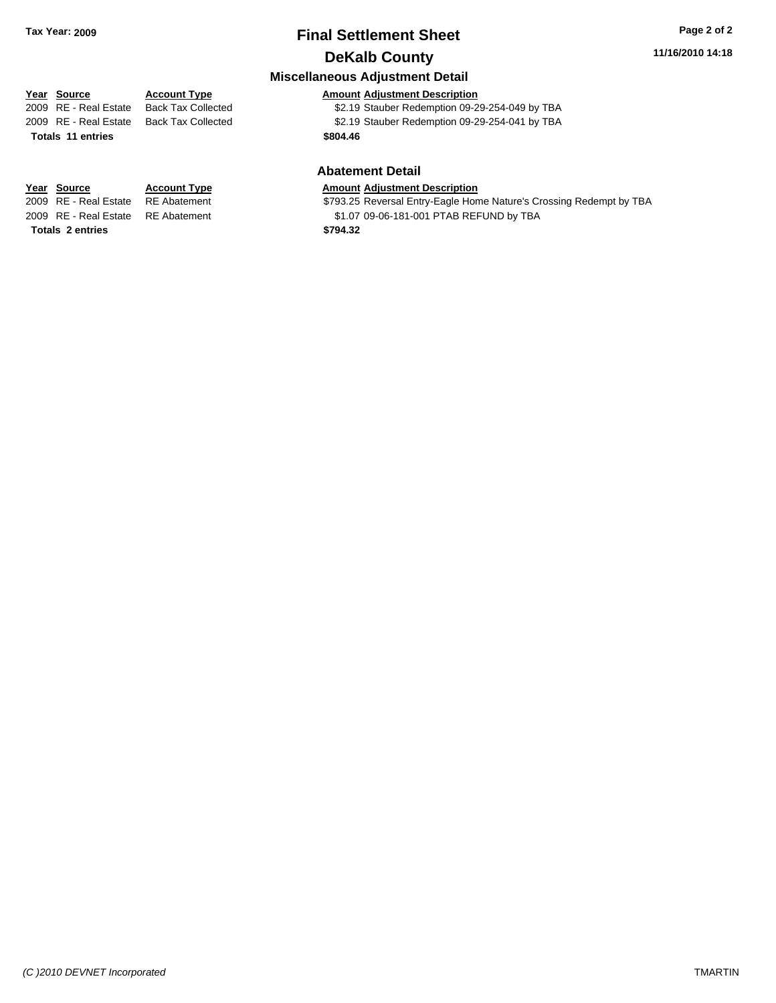## **Final Settlement Sheet Tax Year: 2009 Page 2 of 2 DeKalb County**

**Miscellaneous Adjustment Detail**

**Abatement Detail**

#### **11/16/2010 14:18**

#### **Year Source Account Type Amount Adjustment Description**

2009 RE - Real Estate Back Tax Collected \$2.19 Stauber Redemption 09-29-254-049 by TBA 2009 RE - Real Estate Back Tax Collected \$2.19 Stauber Redemption 09-29-254-041 by TBA

**Totals \$804.46 11 entries**

**Totals \$794.32 2 entries**

**Year Source Account Type Amount Adjustment Description**

2009 RE - Real Estate RE Abatement **\$793.25 Reversal Entry-Eagle Home Nature's Crossing Redempt by TBA** 2009 RE - Real Estate RE Abatement \$1.07 09-06-181-001 PTAB REFUND by TBA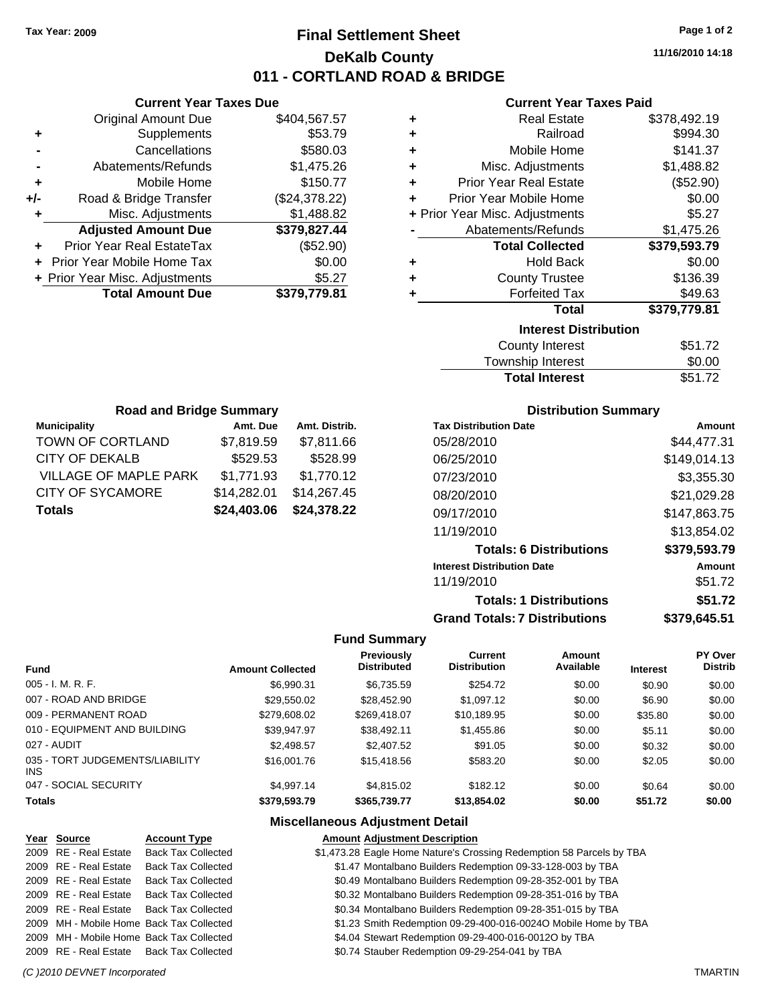# **Final Settlement Sheet Tax Year: 2009 Page 1 of 2 DeKalb County 011 - CORTLAND ROAD & BRIDGE**

**11/16/2010 14:18**

#### **Current Year Taxes Paid**

|     | <b>Current Year Taxes Due</b>  |               |
|-----|--------------------------------|---------------|
|     | <b>Original Amount Due</b>     | \$404,567.57  |
| ٠   | Supplements                    | \$53.79       |
|     | Cancellations                  | \$580.03      |
|     | Abatements/Refunds             | \$1,475.26    |
| ٠   | Mobile Home                    | \$150.77      |
| +/- | Road & Bridge Transfer         | (\$24,378.22) |
| ٠   | Misc. Adjustments              | \$1,488.82    |
|     | <b>Adjusted Amount Due</b>     | \$379,827.44  |
|     | Prior Year Real EstateTax      | (\$52.90)     |
|     | Prior Year Mobile Home Tax     | \$0.00        |
|     | + Prior Year Misc. Adjustments | \$5.27        |
|     | <b>Total Amount Due</b>        | \$379.779.81  |
|     |                                |               |

| ٠ | <b>Real Estate</b>             | \$378,492.19 |
|---|--------------------------------|--------------|
| ٠ | Railroad                       | \$994.30     |
| ٠ | Mobile Home                    | \$141.37     |
| ÷ | Misc. Adjustments              | \$1,488.82   |
| ÷ | <b>Prior Year Real Estate</b>  | (\$52.90)    |
| ÷ | Prior Year Mobile Home         | \$0.00       |
|   | + Prior Year Misc. Adjustments | \$5.27       |
|   | Abatements/Refunds             | \$1,475.26   |
|   |                                |              |
|   | <b>Total Collected</b>         | \$379,593.79 |
| ٠ | <b>Hold Back</b>               | \$0.00       |
| ٠ | <b>County Trustee</b>          | \$136.39     |
| ٠ | <b>Forfeited Tax</b>           | \$49.63      |
|   | Total                          | \$379,779.81 |
|   | <b>Interest Distribution</b>   |              |
|   | <b>County Interest</b>         | \$51.72      |

| <b>Total Interest</b> | \$51.72    |
|-----------------------|------------|
| Township Interest     | \$0.00     |
| <b>OVAIRY INCRUST</b> | 90 I . I A |

| <b>Road and Bridge Summary</b> |             |               |  |  |
|--------------------------------|-------------|---------------|--|--|
| <b>Municipality</b>            | Amt. Due    | Amt. Distrib. |  |  |
| TOWN OF CORTLAND               | \$7,819.59  | \$7,811.66    |  |  |
| <b>CITY OF DEKALB</b>          | \$529.53    | \$528.99      |  |  |
| <b>VILLAGE OF MAPLE PARK</b>   | \$1,771.93  | \$1,770.12    |  |  |
| <b>CITY OF SYCAMORE</b>        | \$14,282.01 | \$14,267.45   |  |  |
| <b>Totals</b>                  | \$24,403.06 | \$24,378.22   |  |  |

#### **Distribution Summary**

| <b>Tax Distribution Date</b>         | Amount       |
|--------------------------------------|--------------|
| 05/28/2010                           | \$44,477.31  |
| 06/25/2010                           | \$149,014.13 |
| 07/23/2010                           | \$3,355.30   |
| 08/20/2010                           | \$21,029.28  |
| 09/17/2010                           | \$147,863.75 |
| 11/19/2010                           | \$13,854.02  |
| <b>Totals: 6 Distributions</b>       | \$379,593.79 |
| <b>Interest Distribution Date</b>    | Amount       |
| 11/19/2010                           | \$51.72      |
| <b>Totals: 1 Distributions</b>       | \$51.72      |
| <b>Grand Totals: 7 Distributions</b> | \$379,645.51 |

#### **Fund Summary**

| <b>Fund</b>                             | <b>Amount Collected</b> | Previously<br><b>Distributed</b> | Current<br><b>Distribution</b> | Amount<br>Available | <b>Interest</b> | PY Over<br><b>Distrib</b> |
|-----------------------------------------|-------------------------|----------------------------------|--------------------------------|---------------------|-----------------|---------------------------|
| $005 - I. M. R. F.$                     | \$6,990.31              | \$6,735.59                       | \$254.72                       | \$0.00              | \$0.90          | \$0.00                    |
| 007 - ROAD AND BRIDGE                   | \$29,550.02             | \$28,452.90                      | \$1,097.12                     | \$0.00              | \$6.90          | \$0.00                    |
| 009 - PERMANENT ROAD                    | \$279,608.02            | \$269.418.07                     | \$10,189.95                    | \$0.00              | \$35.80         | \$0.00                    |
| 010 - EQUIPMENT AND BUILDING            | \$39.947.97             | \$38,492.11                      | \$1,455.86                     | \$0.00              | \$5.11          | \$0.00                    |
| 027 - AUDIT                             | \$2,498.57              | \$2,407.52                       | \$91.05                        | \$0.00              | \$0.32          | \$0.00                    |
| 035 - TORT JUDGEMENTS/LIABILITY<br>INS. | \$16,001.76             | \$15,418.56                      | \$583.20                       | \$0.00              | \$2.05          | \$0.00                    |
| 047 - SOCIAL SECURITY                   | \$4.997.14              | \$4,815,02                       | \$182.12                       | \$0.00              | \$0.64          | \$0.00                    |
| <b>Totals</b>                           | \$379.593.79            | \$365,739.77                     | \$13,854.02                    | \$0.00              | \$51.72         | \$0.00                    |

#### **Miscellaneous Adjustment Detail**

#### **Year Source Account Type Amount Adjustment Description**

| 2009 RE - Real Estate | <b>Back Tax Collected</b>                | \$1,473.28 Eagle Home Nature's Crossing Redemption 58 Parcels by TBA |
|-----------------------|------------------------------------------|----------------------------------------------------------------------|
| 2009 RE - Real Estate | <b>Back Tax Collected</b>                | \$1.47 Montalbano Builders Redemption 09-33-128-003 by TBA           |
| 2009 RE - Real Estate | <b>Back Tax Collected</b>                | \$0.49 Montalbano Builders Redemption 09-28-352-001 by TBA           |
|                       | 2009 RE - Real Estate Back Tax Collected | \$0.32 Montalbano Builders Redemption 09-28-351-016 by TBA           |
|                       | 2009 RE - Real Estate Back Tax Collected | \$0.34 Montalbano Builders Redemption 09-28-351-015 by TBA           |
|                       | 2009 MH - Mobile Home Back Tax Collected | \$1.23 Smith Redemption 09-29-400-016-0024O Mobile Home by TBA       |
|                       | 2009 MH - Mobile Home Back Tax Collected | \$4.04 Stewart Redemption 09-29-400-016-0012O by TBA                 |
|                       | 2009 RE - Real Estate Back Tax Collected | \$0.74 Stauber Redemption 09-29-254-041 by TBA                       |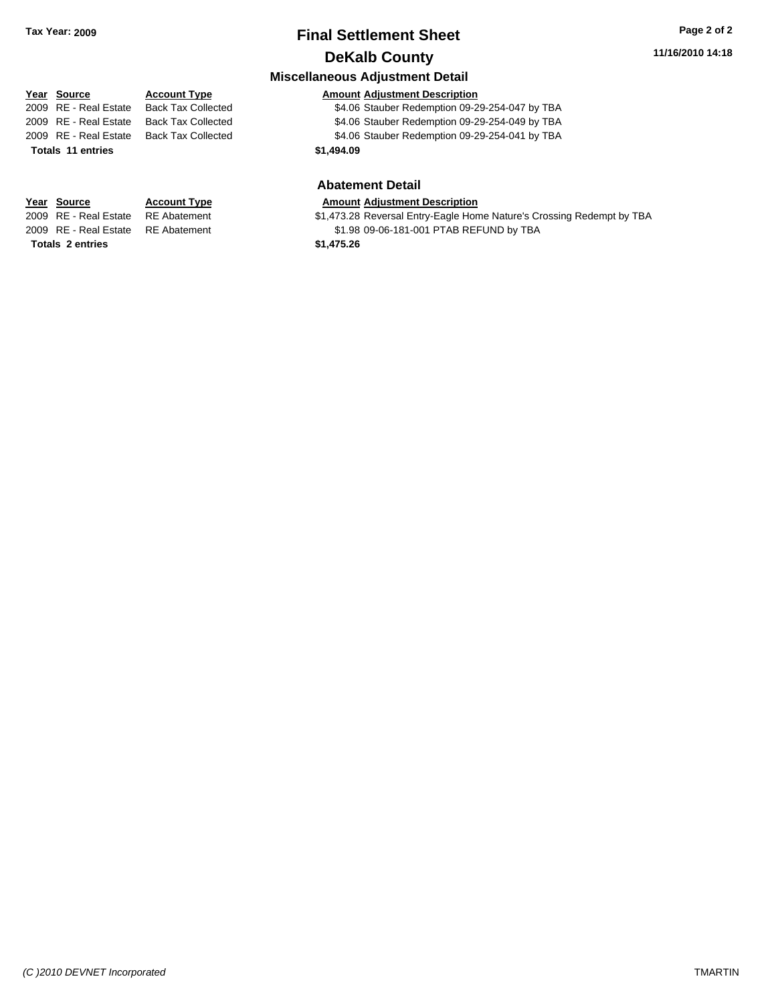# **Final Settlement Sheet Tax Year: 2009 Page 2 of 2 DeKalb County**

**Miscellaneous Adjustment Detail**

## **11/16/2010 14:18**

#### **Year Source Account Type Amount Adjustment Description** 2009 RE - Real Estate Back Tax Collected \$4.06 Stauber Redemption 09-29-254-047 by TBA 2009 RE - Real Estate Back Tax Collected \$4.06 Stauber Redemption 09-29-254-049 by TBA 2009 RE - Real Estate Back Tax Collected \$4.06 Stauber Redemption 09-29-254-041 by TBA

# **Totals 11 entries** \$1,494.09

**Totals \$1,475.26 2 entries**

#### **Abatement Detail Year Source Account Type Amount Adjustment Description**

2009 RE - Real Estate RE Abatement **\$1,473.28 Reversal Entry-Eagle Home Nature's Crossing Redempt by TBA** 2009 RE - Real Estate RE Abatement \$1.98 09-06-181-001 PTAB REFUND by TBA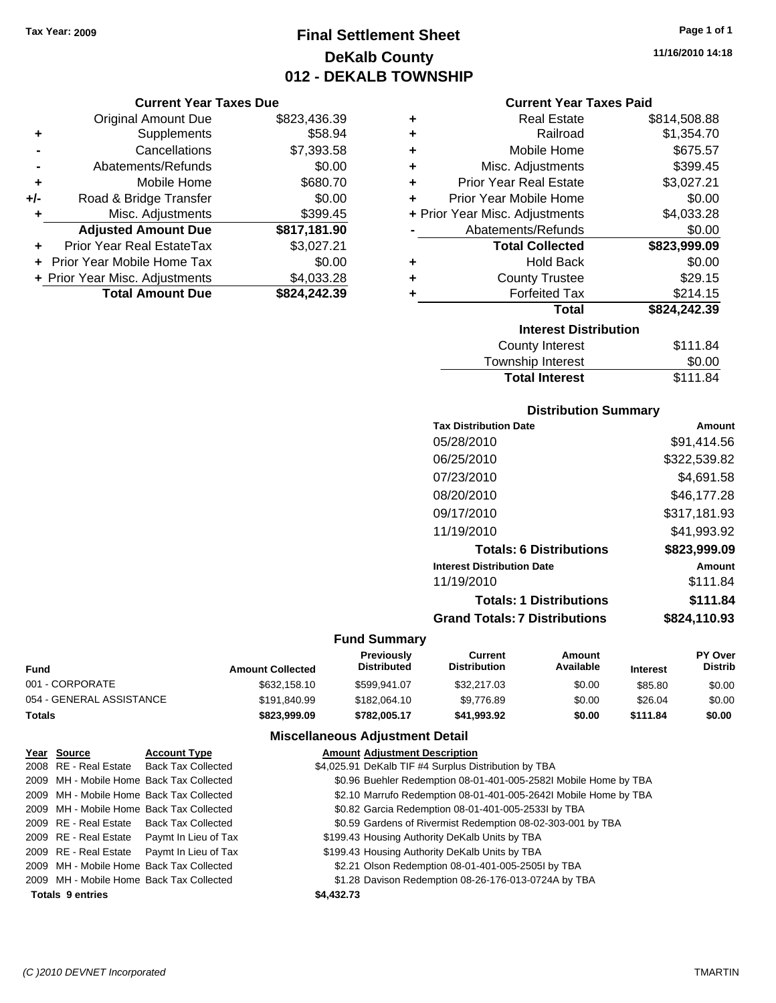# **Final Settlement Sheet Tax Year: 2009 Page 1 of 1 DeKalb County 012 - DEKALB TOWNSHIP**

#### **Current Year Taxes Due**

|     | <b>Original Amount Due</b>        | \$823,436.39 |
|-----|-----------------------------------|--------------|
| ٠   | Supplements                       | \$58.94      |
|     | Cancellations                     | \$7,393.58   |
|     | Abatements/Refunds                | \$0.00       |
| ٠   | Mobile Home                       | \$680.70     |
| +/- | Road & Bridge Transfer            | \$0.00       |
| ٠   | Misc. Adjustments                 | \$399.45     |
|     | <b>Adjusted Amount Due</b>        | \$817,181.90 |
|     | Prior Year Real EstateTax         | \$3,027.21   |
|     | <b>Prior Year Mobile Home Tax</b> | \$0.00       |
|     | + Prior Year Misc. Adjustments    | \$4,033.28   |
|     | <b>Total Amount Due</b>           | \$824,242.39 |
|     |                                   |              |

| ٠ | <b>Real Estate</b>             | \$814,508.88 |  |  |  |  |
|---|--------------------------------|--------------|--|--|--|--|
| ٠ | Railroad                       | \$1,354.70   |  |  |  |  |
| ٠ | Mobile Home                    | \$675.57     |  |  |  |  |
| ٠ | Misc. Adjustments              | \$399.45     |  |  |  |  |
| ÷ | <b>Prior Year Real Estate</b>  | \$3,027.21   |  |  |  |  |
| ÷ | Prior Year Mobile Home         | \$0.00       |  |  |  |  |
|   | + Prior Year Misc. Adjustments | \$4,033.28   |  |  |  |  |
|   | Abatements/Refunds             | \$0.00       |  |  |  |  |
|   | <b>Total Collected</b>         | \$823,999.09 |  |  |  |  |
| ٠ | <b>Hold Back</b>               | \$0.00       |  |  |  |  |
| ٠ | <b>County Trustee</b>          | \$29.15      |  |  |  |  |
| ٠ | <b>Forfeited Tax</b>           | \$214.15     |  |  |  |  |
|   | <b>Total</b>                   | \$824,242.39 |  |  |  |  |
|   | <b>Interest Distribution</b>   |              |  |  |  |  |
|   | <b>County Interest</b>         | \$111.84     |  |  |  |  |
|   |                                | mm nn        |  |  |  |  |

#### Township Interest \$0.00<br>
Total Interest \$111.84 **Total Interest**

| <b>Distribution Summary</b>          |              |
|--------------------------------------|--------------|
| <b>Tax Distribution Date</b>         | Amount       |
| 05/28/2010                           | \$91.414.56  |
| 06/25/2010                           | \$322,539.82 |
| 07/23/2010                           | \$4,691.58   |
| 08/20/2010                           | \$46,177.28  |
| 09/17/2010                           | \$317,181.93 |
| 11/19/2010                           | \$41,993.92  |
| <b>Totals: 6 Distributions</b>       | \$823,999.09 |
| <b>Interest Distribution Date</b>    | Amount       |
| 11/19/2010                           | \$111.84     |
| <b>Totals: 1 Distributions</b>       | \$111.84     |
| <b>Grand Totals: 7 Distributions</b> | \$824,110.93 |

#### **Fund Summary**

| Fund                     | <b>Amount Collected</b> | <b>Previously</b><br><b>Distributed</b> | Current<br>Distribution | Amount<br>Available | <b>Interest</b> | <b>PY Over</b><br><b>Distrib</b> |
|--------------------------|-------------------------|-----------------------------------------|-------------------------|---------------------|-----------------|----------------------------------|
| 001 - CORPORATE          | \$632,158,10            | \$599.941.07                            | \$32,217.03             | \$0.00              | \$85.80         | \$0.00                           |
| 054 - GENERAL ASSISTANCE | \$191.840.99            | \$182,064.10                            | \$9.776.89              | \$0.00              | \$26.04         | \$0.00                           |
| Totals                   | \$823,999.09            | \$782.005.17                            | \$41.993.92             | \$0.00              | \$111.84        | \$0.00                           |

| Year Source             | <b>Account Type</b>                        | <b>Amount Adjustment Description</b>                             |
|-------------------------|--------------------------------------------|------------------------------------------------------------------|
|                         | 2008 RE - Real Estate Back Tax Collected   | \$4,025.91 DeKalb TIF #4 Surplus Distribution by TBA             |
|                         | 2009 MH - Mobile Home Back Tax Collected   | \$0.96 Buehler Redemption 08-01-401-005-2582l Mobile Home by TBA |
|                         | 2009 MH - Mobile Home Back Tax Collected   | \$2.10 Marrufo Redemption 08-01-401-005-2642l Mobile Home by TBA |
|                         | 2009 MH - Mobile Home Back Tax Collected   | \$0.82 Garcia Redemption 08-01-401-005-2533l by TBA              |
|                         | 2009 RE - Real Estate Back Tax Collected   | \$0.59 Gardens of Rivermist Redemption 08-02-303-001 by TBA      |
|                         | 2009 RE - Real Estate Paymt In Lieu of Tax | \$199.43 Housing Authority DeKalb Units by TBA                   |
|                         | 2009 RE - Real Estate Paymt In Lieu of Tax | \$199.43 Housing Authority DeKalb Units by TBA                   |
|                         | 2009 MH - Mobile Home Back Tax Collected   | \$2.21 Olson Redemption 08-01-401-005-2505l by TBA               |
|                         | 2009 MH - Mobile Home Back Tax Collected   | \$1.28 Davison Redemption 08-26-176-013-0724A by TBA             |
| <b>Totals 9 entries</b> |                                            | \$4,432.73                                                       |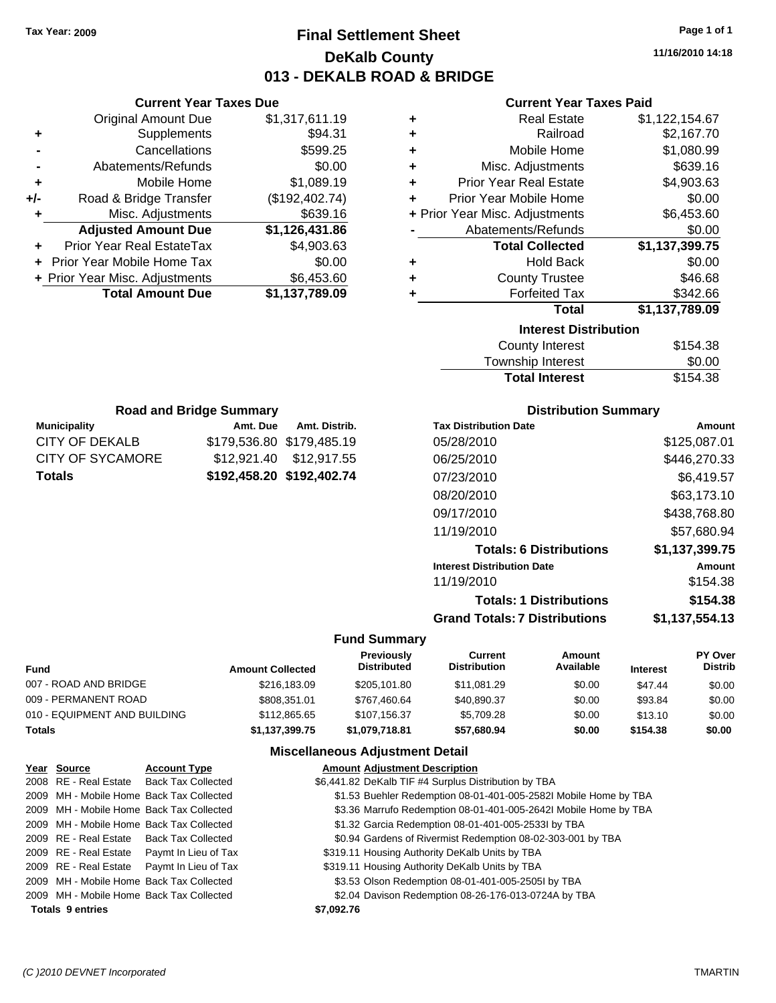# **Final Settlement Sheet Tax Year: 2009 Page 1 of 1 DeKalb County 013 - DEKALB ROAD & BRIDGE**

**11/16/2010 14:18**

#### **Current Year Taxes Paid**

| ٠ | Real Estate                    | \$1,122,154.67 |  |  |  |
|---|--------------------------------|----------------|--|--|--|
| ٠ | Railroad                       | \$2,167.70     |  |  |  |
| ÷ | Mobile Home                    | \$1,080.99     |  |  |  |
| ÷ | Misc. Adjustments              | \$639.16       |  |  |  |
| ÷ | <b>Prior Year Real Estate</b>  | \$4,903.63     |  |  |  |
| ٠ | Prior Year Mobile Home         | \$0.00         |  |  |  |
|   | + Prior Year Misc. Adjustments | \$6,453.60     |  |  |  |
|   | Abatements/Refunds             | \$0.00         |  |  |  |
|   | <b>Total Collected</b>         | \$1,137,399.75 |  |  |  |
| ٠ | <b>Hold Back</b>               | \$0.00         |  |  |  |
| ٠ | <b>County Trustee</b>          | \$46.68        |  |  |  |
| ٠ | <b>Forfeited Tax</b>           | \$342.66       |  |  |  |
|   | <b>Total</b>                   | \$1,137,789.09 |  |  |  |
|   | <b>Interest Distribution</b>   |                |  |  |  |
|   | County Interest                | \$154.38       |  |  |  |

| <b>Total Interest</b> | \$154.38 |
|-----------------------|----------|
| Township Interest     | \$0.00   |
| County Interest       | \$154.38 |

| <b>Road and Bridge Summary</b>      |                           |                         |  |  |  |
|-------------------------------------|---------------------------|-------------------------|--|--|--|
| <b>Municipality</b>                 | Amt. Due Amt. Distrib.    |                         |  |  |  |
| CITY OF DEKALB                      | \$179,536.80 \$179,485.19 |                         |  |  |  |
| CITY OF SYCAMORE                    |                           | \$12,921.40 \$12,917.55 |  |  |  |
| \$192,458.20 \$192,402.74<br>Totals |                           |                         |  |  |  |

**Current Year Taxes Due** Original Amount Due \$1,317,611.19

**Adjusted Amount Due \$1,126,431.86**

**Total Amount Due \$1,137,789.09**

**+** Supplements \$94.31 **-** Cancellations \$599.25 **-** Abatements/Refunds \$0.00 **+** Mobile Home \$1,089.19 **+/-** Road & Bridge Transfer (\$192,402.74) **+** Misc. Adjustments \$639.16

**+** Prior Year Real EstateTax \$4,903.63 **+** Prior Year Mobile Home Tax \$0.00 + Prior Year Misc. Adjustments \$6,453.60

#### **Distribution Summary**

| <b>Tax Distribution Date</b>         | Amount         |
|--------------------------------------|----------------|
| 05/28/2010                           | \$125.087.01   |
| 06/25/2010                           | \$446,270.33   |
| 07/23/2010                           | \$6,419.57     |
| 08/20/2010                           | \$63,173.10    |
| 09/17/2010                           | \$438,768.80   |
| 11/19/2010                           | \$57.680.94    |
| <b>Totals: 6 Distributions</b>       | \$1,137,399.75 |
| <b>Interest Distribution Date</b>    | Amount         |
| 11/19/2010                           | \$154.38       |
| <b>Totals: 1 Distributions</b>       | \$154.38       |
| <b>Grand Totals: 7 Distributions</b> | \$1,137,554.13 |
|                                      |                |

#### **Fund Summary**

| <b>Fund</b>                  | <b>Amount Collected</b> | <b>Previously</b><br><b>Distributed</b> | Current<br><b>Distribution</b> | Amount<br>Available | <b>Interest</b> | PY Over<br><b>Distrib</b> |
|------------------------------|-------------------------|-----------------------------------------|--------------------------------|---------------------|-----------------|---------------------------|
| 007 - ROAD AND BRIDGE        | \$216,183.09            | \$205,101.80                            | \$11.081.29                    | \$0.00              | \$47.44         | \$0.00                    |
| 009 - PERMANENT ROAD         | \$808.351.01            | \$767.460.64                            | \$40,890.37                    | \$0.00              | \$93.84         | \$0.00                    |
| 010 - EQUIPMENT AND BUILDING | \$112,865,65            | \$107.156.37                            | \$5,709.28                     | \$0.00              | \$13.10         | \$0.00                    |
| <b>Totals</b>                | \$1,137,399.75          | \$1,079,718.81                          | \$57,680.94                    | \$0.00              | \$154.38        | \$0.00                    |

| Year Source                              | <b>Account Type</b>                        | <b>Amount Adjustment Description</b>                             |
|------------------------------------------|--------------------------------------------|------------------------------------------------------------------|
|                                          | 2008 RE - Real Estate Back Tax Collected   | \$6,441.82 DeKalb TIF #4 Surplus Distribution by TBA             |
| 2009 MH - Mobile Home Back Tax Collected |                                            | \$1.53 Buehler Redemption 08-01-401-005-2582l Mobile Home by TBA |
| 2009 MH - Mobile Home Back Tax Collected |                                            | \$3.36 Marrufo Redemption 08-01-401-005-2642I Mobile Home by TBA |
| 2009 MH - Mobile Home Back Tax Collected |                                            | \$1.32 Garcia Redemption 08-01-401-005-2533l by TBA              |
| 2009 RE - Real Estate Back Tax Collected |                                            | \$0.94 Gardens of Rivermist Redemption 08-02-303-001 by TBA      |
|                                          | 2009 RE - Real Estate Paymt In Lieu of Tax | \$319.11 Housing Authority DeKalb Units by TBA                   |
|                                          | 2009 RE - Real Estate Paymt In Lieu of Tax | \$319.11 Housing Authority DeKalb Units by TBA                   |
| 2009 MH - Mobile Home Back Tax Collected |                                            | \$3.53 Olson Redemption 08-01-401-005-2505l by TBA               |
| 2009 MH - Mobile Home Back Tax Collected |                                            | \$2.04 Davison Redemption 08-26-176-013-0724A by TBA             |
| <b>Totals 9 entries</b>                  |                                            | \$7,092.76                                                       |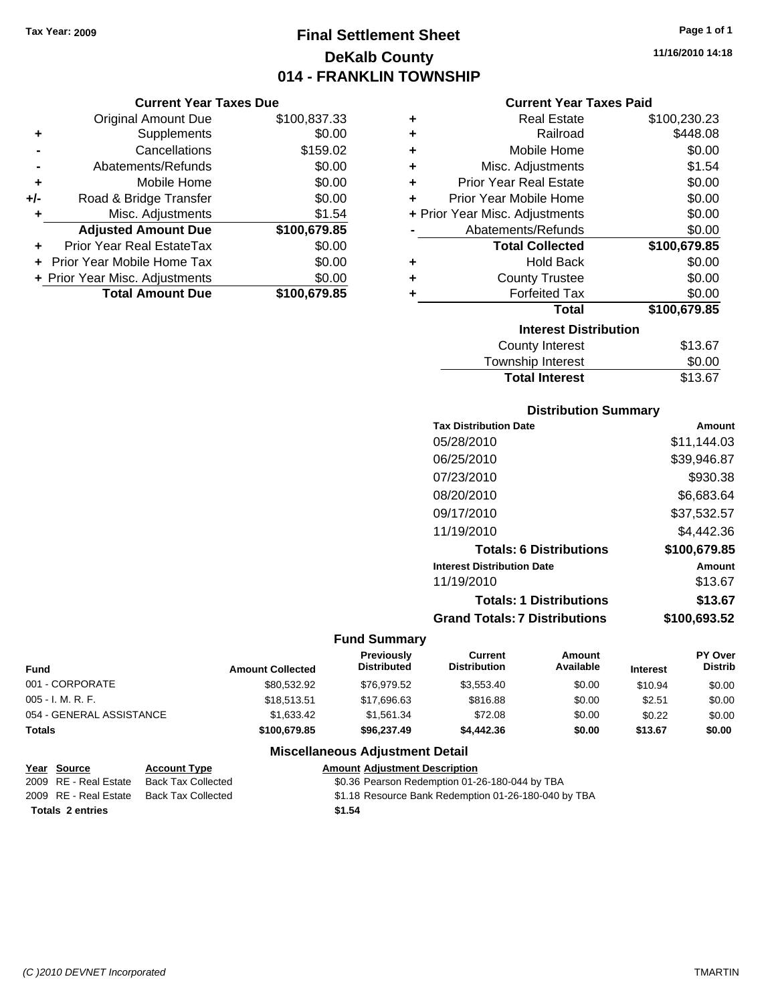# **Final Settlement Sheet Tax Year: 2009 Page 1 of 1 DeKalb County 014 - FRANKLIN TOWNSHIP**

#### **Current Year Taxes Due**

|     | <b>Original Amount Due</b>        | \$100,837.33 |
|-----|-----------------------------------|--------------|
| ٠   | Supplements                       | \$0.00       |
|     | Cancellations                     | \$159.02     |
|     | Abatements/Refunds                | \$0.00       |
| ÷   | Mobile Home                       | \$0.00       |
| +/- | Road & Bridge Transfer            | \$0.00       |
| ٠   | Misc. Adjustments                 | \$1.54       |
|     | <b>Adjusted Amount Due</b>        | \$100,679.85 |
|     | <b>Prior Year Real EstateTax</b>  | \$0.00       |
|     | <b>Prior Year Mobile Home Tax</b> | \$0.00       |
|     | + Prior Year Misc. Adjustments    | \$0.00       |
|     | <b>Total Amount Due</b>           | \$100,679.85 |

#### **Current Year Taxes Paid**

| ٠ | <b>Real Estate</b>             | \$100,230.23 |
|---|--------------------------------|--------------|
| ÷ | Railroad                       | \$448.08     |
| ٠ | Mobile Home                    | \$0.00       |
| ÷ | Misc. Adjustments              | \$1.54       |
| ÷ | <b>Prior Year Real Estate</b>  | \$0.00       |
| ٠ | Prior Year Mobile Home         | \$0.00       |
|   | + Prior Year Misc. Adjustments | \$0.00       |
|   | Abatements/Refunds             | \$0.00       |
|   | <b>Total Collected</b>         | \$100,679.85 |
| ٠ | <b>Hold Back</b>               | \$0.00       |
| ٠ | <b>County Trustee</b>          | \$0.00       |
| ٠ | <b>Forfeited Tax</b>           | \$0.00       |
|   | <b>Total</b>                   | \$100,679.85 |
|   | <b>Interest Distribution</b>   |              |
|   | County Interest                | \$13.67      |
|   | Townobin Intorpot              | ድስ ሰሰ        |

# Township Interest  $$0.00$ Total Interest \$13.67

#### **Distribution Summary**

| <b>Tax Distribution Date</b>         | Amount       |
|--------------------------------------|--------------|
| 05/28/2010                           | \$11,144.03  |
| 06/25/2010                           | \$39,946.87  |
| 07/23/2010                           | \$930.38     |
| 08/20/2010                           | \$6,683.64   |
| 09/17/2010                           | \$37,532.57  |
| 11/19/2010                           | \$4,442.36   |
| <b>Totals: 6 Distributions</b>       | \$100,679.85 |
| <b>Interest Distribution Date</b>    | Amount       |
| 11/19/2010                           | \$13.67      |
| <b>Totals: 1 Distributions</b>       | \$13.67      |
| <b>Grand Totals: 7 Distributions</b> | \$100,693.52 |
|                                      |              |

#### **Fund Summary**

| <b>Fund</b>              | <b>Amount Collected</b> | <b>Previously</b><br><b>Distributed</b> | Current<br><b>Distribution</b> | Amount<br>Available | <b>Interest</b> | <b>PY Over</b><br><b>Distrib</b> |
|--------------------------|-------------------------|-----------------------------------------|--------------------------------|---------------------|-----------------|----------------------------------|
| 001 - CORPORATE          | \$80.532.92             | \$76.979.52                             | \$3.553.40                     | \$0.00              | \$10.94         | \$0.00                           |
| $005 - I. M. R. F.$      | \$18.513.51             | \$17,696.63                             | \$816.88                       | \$0.00              | \$2.51          | \$0.00                           |
| 054 - GENERAL ASSISTANCE | \$1.633.42              | \$1.561.34                              | \$72.08                        | \$0.00              | \$0.22          | \$0.00                           |
| <b>Totals</b>            | \$100.679.85            | \$96,237.49                             | \$4,442.36                     | \$0.00              | \$13.67         | \$0.00                           |

### **Miscellaneous Adjustment Detail**

# **Year Source Account Type Amount Adjustment Description**

\$0.36 Pearson Redemption 01-26-180-044 by TBA 2009 RE - Real Estate Back Tax Collected \$1.18 Resource Bank Redemption 01-26-180-040 by TBA **Totals \$1.54 2 entries**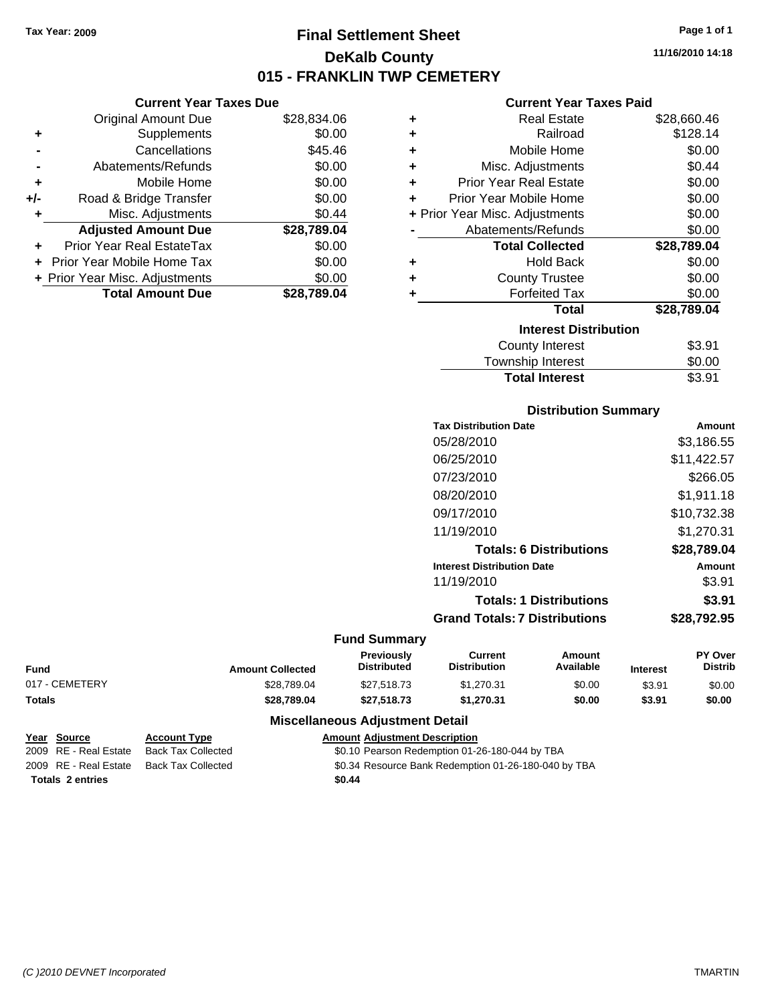# **Final Settlement Sheet Tax Year: 2009 Page 1 of 1 DeKalb County 015 - FRANKLIN TWP CEMETERY**

**11/16/2010 14:18**

#### **Current Year Taxes Paid**

| <b>Real Estate</b>             | \$28,660.46 |
|--------------------------------|-------------|
| Railroad                       | \$128.14    |
| Mobile Home                    | \$0.00      |
| Misc. Adjustments              | \$0.44      |
| Prior Year Real Estate         | \$0.00      |
| Prior Year Mobile Home         | \$0.00      |
| + Prior Year Misc. Adjustments | \$0.00      |
| Abatements/Refunds             | \$0.00      |
| <b>Total Collected</b>         | \$28,789.04 |
| <b>Hold Back</b>               | \$0.00      |
| <b>County Trustee</b>          | \$0.00      |
| <b>Forfeited Tax</b>           | \$0.00      |
| Total                          | \$28,789.04 |
| <b>Interest Distribution</b>   |             |
| <b>County Interest</b>         | \$3.91      |
| <b>Township Interest</b>       | \$0.00      |
|                                |             |

| <b>Total Interest</b>    | \$3.91 |
|--------------------------|--------|
| <b>Township Interest</b> | \$0.00 |
| County Interest          | \$3.91 |

| <b>Distribution Summary</b> |  |
|-----------------------------|--|
|-----------------------------|--|

| <b>Tax Distribution Date</b>         | Amount      |
|--------------------------------------|-------------|
| 05/28/2010                           | \$3.186.55  |
| 06/25/2010                           | \$11,422.57 |
| 07/23/2010                           | \$266.05    |
| 08/20/2010                           | \$1,911.18  |
| 09/17/2010                           | \$10,732.38 |
| 11/19/2010                           | \$1,270.31  |
| <b>Totals: 6 Distributions</b>       | \$28,789.04 |
| <b>Interest Distribution Date</b>    | Amount      |
| 11/19/2010                           | \$3.91      |
| <b>Totals: 1 Distributions</b>       | \$3.91      |
| <b>Grand Totals: 7 Distributions</b> | \$28,792.95 |
| v                                    |             |

|                |                         | <b>Fund Summary</b>              |                                       |                     |                 |                                  |
|----------------|-------------------------|----------------------------------|---------------------------------------|---------------------|-----------------|----------------------------------|
| Fund           | <b>Amount Collected</b> | Previously<br><b>Distributed</b> | <b>Current</b><br><b>Distribution</b> | Amount<br>Available | <b>Interest</b> | <b>PY Over</b><br><b>Distrib</b> |
| 017 - CEMETERY | \$28,789.04             | \$27,518.73                      | \$1.270.31                            | \$0.00              | \$3.91          | \$0.00                           |
| Totals         | \$28.789.04             | \$27,518,73                      | \$1.270.31                            | \$0.00              | \$3.91          | \$0.00                           |
|                | ---<br>.                |                                  |                                       |                     |                 |                                  |

### **Miscellaneous Adjustment Detail**

| Year Source             | <b>Account Type</b>       | <b>Amount Adiustment Description</b>                 |
|-------------------------|---------------------------|------------------------------------------------------|
| 2009 RE - Real Estate   | <b>Back Tax Collected</b> | \$0.10 Pearson Redemption 01-26-180-044 by TBA       |
| 2009 RE - Real Estate   | Back Tax Collected        | \$0.34 Resource Bank Redemption 01-26-180-040 by TBA |
| <b>Totals 2 entries</b> |                           | \$0.44                                               |

**-** Abatements/Refunds \$0.00

| ÷   | Mobile Home                    | \$0.00      |
|-----|--------------------------------|-------------|
| +/- | Road & Bridge Transfer         | \$0.00      |
| ٠   | Misc. Adjustments              | \$0.44      |
|     | <b>Adjusted Amount Due</b>     | \$28,789.04 |
|     | Prior Year Real EstateTax      | \$0.00      |
|     | + Prior Year Mobile Home Tax   | \$0.00      |
|     | + Prior Year Misc. Adjustments | \$0.00      |

**+** Supplements \$0.00 **-** Cancellations \$45.46

**Current Year Taxes Due** Original Amount Due \$28,834.06

| <b>Total Amount Due</b> | \$28,789.04 |
|-------------------------|-------------|
|                         |             |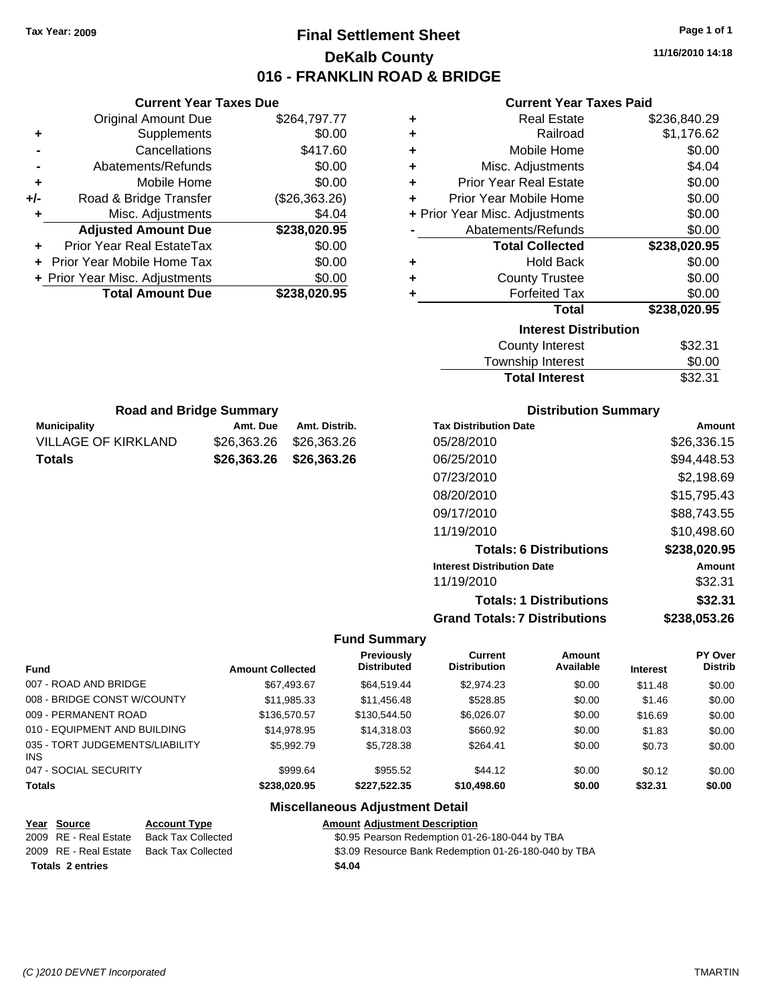# **Final Settlement Sheet Tax Year: 2009 Page 1 of 1 DeKalb County 016 - FRANKLIN ROAD & BRIDGE**

**11/16/2010 14:18**

#### **Current Year Taxes Paid**

| ٠ | <b>Real Estate</b>             | \$236,840.29 |
|---|--------------------------------|--------------|
| ٠ | Railroad                       | \$1,176.62   |
| ٠ | Mobile Home                    | \$0.00       |
| ٠ | Misc. Adjustments              | \$4.04       |
| ÷ | <b>Prior Year Real Estate</b>  | \$0.00       |
| ÷ | Prior Year Mobile Home         | \$0.00       |
|   | + Prior Year Misc. Adjustments | \$0.00       |
|   | Abatements/Refunds             | \$0.00       |
|   | <b>Total Collected</b>         | \$238,020.95 |
| ÷ | <b>Hold Back</b>               | \$0.00       |
| ÷ | <b>County Trustee</b>          | \$0.00       |
| ÷ | <b>Forfeited Tax</b>           | \$0.00       |
|   | <b>Total</b>                   | \$238,020.95 |
|   | <b>Interest Distribution</b>   |              |
|   | <b>County Interest</b>         | \$32.31      |
|   |                                |              |

| <b>Total Interest</b> | \$32.31 |
|-----------------------|---------|
| Township Interest     | \$0.00  |
| County Interest       | \$32.31 |

| <b>Road and Bridge Summary</b> |                         |               |  |  |
|--------------------------------|-------------------------|---------------|--|--|
| Municipality                   | Amt. Due                | Amt. Distrib. |  |  |
| VILLAGE OF KIRKLAND            | \$26,363,26 \$26,363,26 |               |  |  |
| Totals                         | \$26,363.26 \$26,363.26 |               |  |  |

**Current Year Taxes Due** Original Amount Due \$264,797.77

**Adjusted Amount Due \$238,020.95**

**Total Amount Due \$238,020.95**

**+** Supplements \$0.00 **-** Cancellations \$417.60 **-** Abatements/Refunds \$0.00 **+** Mobile Home \$0.00 **+/-** Road & Bridge Transfer (\$26,363.26) **+** Misc. Adjustments \$4.04

**+** Prior Year Real EstateTax \$0.00 **+** Prior Year Mobile Home Tax \$0.00 **+ Prior Year Misc. Adjustments**  $$0.00$ 

#### **Distribution Summary**

| <b>Tax Distribution Date</b>         | Amount       |
|--------------------------------------|--------------|
| 05/28/2010                           | \$26,336.15  |
| 06/25/2010                           | \$94,448.53  |
| 07/23/2010                           | \$2.198.69   |
| 08/20/2010                           | \$15,795.43  |
| 09/17/2010                           | \$88,743.55  |
| 11/19/2010                           | \$10,498.60  |
| <b>Totals: 6 Distributions</b>       | \$238,020.95 |
| <b>Interest Distribution Date</b>    | Amount       |
| 11/19/2010                           | \$32.31      |
| <b>Totals: 1 Distributions</b>       | \$32.31      |
| <b>Grand Totals: 7 Distributions</b> | \$238.053.26 |

#### **Fund Summary**

|                                               |                         | <b>Previously</b>  | Current             | Amount    |                 | PY Over        |
|-----------------------------------------------|-------------------------|--------------------|---------------------|-----------|-----------------|----------------|
| Fund                                          | <b>Amount Collected</b> | <b>Distributed</b> | <b>Distribution</b> | Available | <b>Interest</b> | <b>Distrib</b> |
| 007 - ROAD AND BRIDGE                         | \$67,493.67             | \$64.519.44        | \$2,974.23          | \$0.00    | \$11.48         | \$0.00         |
| 008 - BRIDGE CONST W/COUNTY                   | \$11,985.33             | \$11,456.48        | \$528.85            | \$0.00    | \$1.46          | \$0.00         |
| 009 - PERMANENT ROAD                          | \$136,570.57            | \$130,544.50       | \$6.026.07          | \$0.00    | \$16.69         | \$0.00         |
| 010 - EQUIPMENT AND BUILDING                  | \$14.978.95             | \$14,318,03        | \$660.92            | \$0.00    | \$1.83          | \$0.00         |
| 035 - TORT JUDGEMENTS/LIABILITY<br><b>INS</b> | \$5,992.79              | \$5.728.38         | \$264.41            | \$0.00    | \$0.73          | \$0.00         |
| 047 - SOCIAL SECURITY                         | \$999.64                | \$955.52           | \$44.12             | \$0.00    | \$0.12          | \$0.00         |
| <b>Totals</b>                                 | \$238.020.95            | \$227.522.35       | \$10,498.60         | \$0.00    | \$32.31         | \$0.00         |

| Year Source             | <b>Account Type</b>       | <b>Amount Adjustment Description</b>                 |
|-------------------------|---------------------------|------------------------------------------------------|
| 2009 RE - Real Estate   | <b>Back Tax Collected</b> | \$0.95 Pearson Redemption 01-26-180-044 by TBA       |
| 2009 RE - Real Estate   | Back Tax Collected        | \$3.09 Resource Bank Redemption 01-26-180-040 by TBA |
| <b>Totals 2 entries</b> |                           | \$4.04                                               |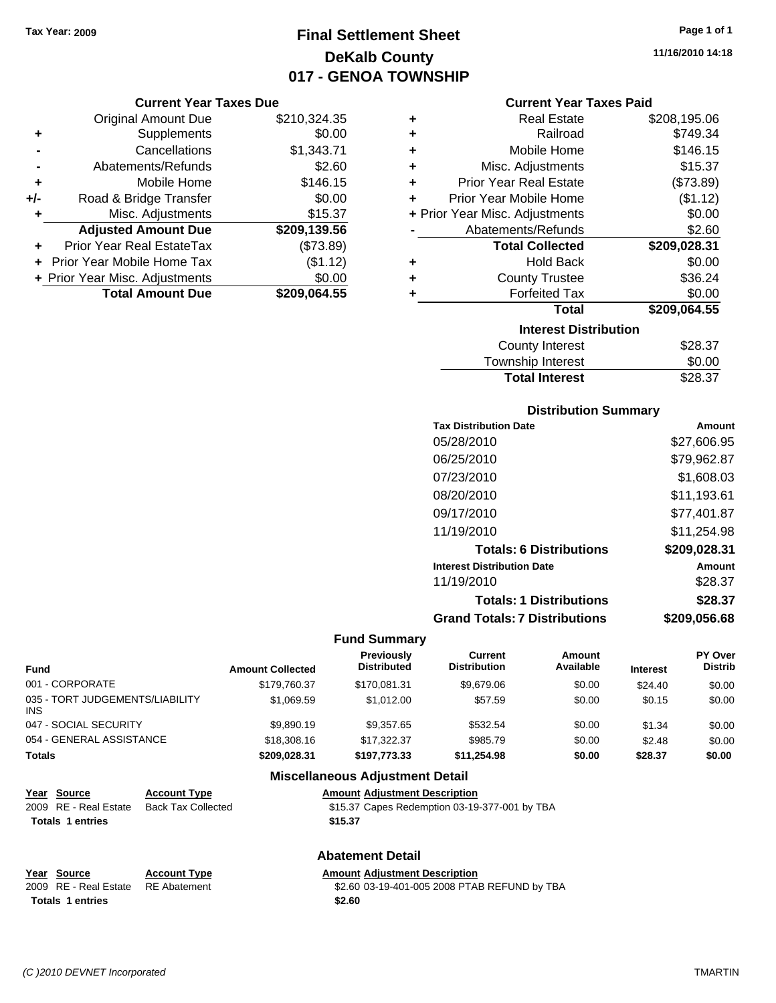# **Final Settlement Sheet Tax Year: 2009 Page 1 of 1 DeKalb County 017 - GENOA TOWNSHIP**

#### **Current Year Taxes Due**

|       | <b>Original Amount Due</b>     | \$210,324.35 |
|-------|--------------------------------|--------------|
| ٠     | Supplements                    | \$0.00       |
|       | Cancellations                  | \$1,343.71   |
|       | Abatements/Refunds             | \$2.60       |
| ٠     | Mobile Home                    | \$146.15     |
| $+/-$ | Road & Bridge Transfer         | \$0.00       |
| ÷     | Misc. Adjustments              | \$15.37      |
|       | <b>Adjusted Amount Due</b>     | \$209,139.56 |
|       | Prior Year Real EstateTax      | (\$73.89)    |
|       | Prior Year Mobile Home Tax     | (\$1.12)     |
|       | + Prior Year Misc. Adjustments | \$0.00       |
|       | <b>Total Amount Due</b>        | \$209,064.55 |

|   | <b>Real Estate</b>             | \$208,195.06 |
|---|--------------------------------|--------------|
|   | Railroad                       | \$749.34     |
| ٠ | Mobile Home                    | \$146.15     |
| ٠ | Misc. Adjustments              | \$15.37      |
| ٠ | <b>Prior Year Real Estate</b>  | (\$73.89)    |
| ٠ | Prior Year Mobile Home         | (\$1.12)     |
|   | + Prior Year Misc. Adjustments | \$0.00       |
|   | Abatements/Refunds             | \$2.60       |
|   | <b>Total Collected</b>         | \$209,028.31 |
|   | <b>Hold Back</b>               | \$0.00       |
|   | <b>County Trustee</b>          | \$36.24      |
| ٠ | <b>Forfeited Tax</b>           | \$0.00       |
|   | Total                          | \$209,064.55 |
|   | <b>Interest Distribution</b>   |              |
|   | <b>County Interest</b>         | \$28.37      |

| <b>Total Interest</b> | \$28.37 |
|-----------------------|---------|
| Township Interest     | \$0.00  |
| County Interest       | \$28.37 |

#### **Distribution Summary**

| <b>Tax Distribution Date</b>         | Amount       |
|--------------------------------------|--------------|
| 05/28/2010                           | \$27,606.95  |
| 06/25/2010                           | \$79,962.87  |
| 07/23/2010                           | \$1.608.03   |
| 08/20/2010                           | \$11,193.61  |
| 09/17/2010                           | \$77,401.87  |
| 11/19/2010                           | \$11,254.98  |
| <b>Totals: 6 Distributions</b>       | \$209,028.31 |
| <b>Interest Distribution Date</b>    | Amount       |
| 11/19/2010                           | \$28.37      |
| <b>Totals: 1 Distributions</b>       | \$28.37      |
| <b>Grand Totals: 7 Distributions</b> | \$209.056.68 |

#### **Fund Summary**

| Fund                                          | <b>Amount Collected</b> | Previously<br><b>Distributed</b> | Current<br><b>Distribution</b> | <b>Amount</b><br>Available | <b>Interest</b> | PY Over<br><b>Distrib</b> |
|-----------------------------------------------|-------------------------|----------------------------------|--------------------------------|----------------------------|-----------------|---------------------------|
| 001 - CORPORATE                               | \$179.760.37            | \$170.081.31                     | \$9,679.06                     | \$0.00                     | \$24.40         | \$0.00                    |
| 035 - TORT JUDGEMENTS/LIABILITY<br><b>INS</b> | \$1.069.59              | \$1.012.00                       | \$57.59                        | \$0.00                     | \$0.15          | \$0.00                    |
| 047 - SOCIAL SECURITY                         | \$9,890.19              | \$9.357.65                       | \$532.54                       | \$0.00                     | \$1.34          | \$0.00                    |
| 054 - GENERAL ASSISTANCE                      | \$18,308.16             | \$17.322.37                      | \$985.79                       | \$0.00                     | \$2.48          | \$0.00                    |
| <b>Totals</b>                                 | \$209,028.31            | \$197.773.33                     | \$11.254.98                    | \$0.00                     | \$28.37         | \$0.00                    |

#### **Miscellaneous Adjustment Detail**

| Year Source             | <b>Account Type</b>       | <b>Amount Adjustment Description</b>          |
|-------------------------|---------------------------|-----------------------------------------------|
| 2009 RE - Real Estate   | <b>Back Tax Collected</b> | \$15.37 Capes Redemption 03-19-377-001 by TBA |
| <b>Totals 1 entries</b> |                           | \$15.37                                       |

#### **Abatement Detail**

| Year Source                        | <b>Account Type</b> | <b>Amount Adiustment Description</b>         |
|------------------------------------|---------------------|----------------------------------------------|
| 2009 RE - Real Estate RE Abatement |                     | \$2.60 03-19-401-005 2008 PTAB REFUND by TBA |
| <b>Totals 1 entries</b>            |                     | \$2.60                                       |

**11/16/2010 14:18**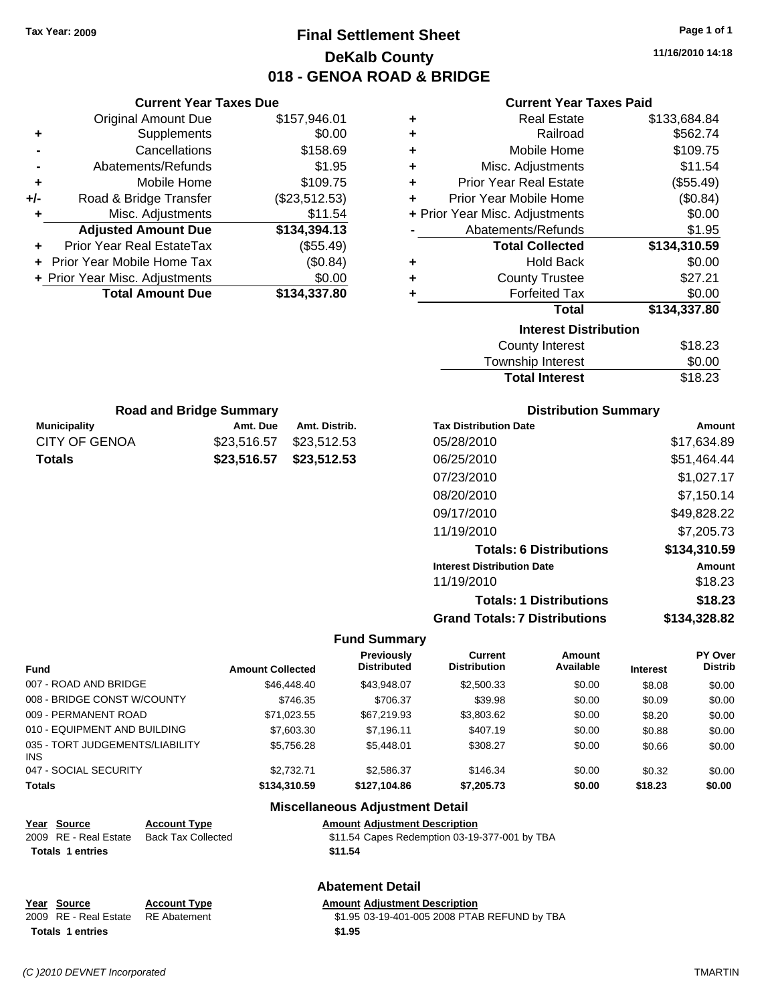**Current Year Taxes Due** Original Amount Due \$157,946.01

**Adjusted Amount Due \$134,394.13**

**Total Amount Due \$134,337.80**

**+** Supplements \$0.00 **-** Cancellations \$158.69 **-** Abatements/Refunds \$1.95 **+** Mobile Home \$109.75 **+/-** Road & Bridge Transfer (\$23,512.53) **+** Misc. Adjustments \$11.54

**+** Prior Year Real EstateTax (\$55.49) **+** Prior Year Mobile Home Tax (\$0.84) **+ Prior Year Misc. Adjustments**  $$0.00$ 

**Municipality Municipality** Amt. Due Amt. Distrib. **Road and Bridge Summary**

CITY OF GENOA \$23,516.57 \$23,512.53 **Totals \$23,516.57 \$23,512.53**

# **Final Settlement Sheet Tax Year: 2009 Page 1 of 1 DeKalb County 018 - GENOA ROAD & BRIDGE**

**11/16/2010 14:18**

#### **Current Year Taxes Paid**

| ٠ | <b>Real Estate</b>             | \$133,684.84 |
|---|--------------------------------|--------------|
| ÷ | Railroad                       | \$562.74     |
| ÷ | Mobile Home                    | \$109.75     |
| ÷ | Misc. Adjustments              | \$11.54      |
| ÷ | <b>Prior Year Real Estate</b>  | (\$55.49)    |
| ٠ | Prior Year Mobile Home         | (\$0.84)     |
|   | + Prior Year Misc. Adjustments | \$0.00       |
|   | Abatements/Refunds             | \$1.95       |
|   | <b>Total Collected</b>         | \$134,310.59 |
| ÷ | <b>Hold Back</b>               | \$0.00       |
| ÷ | <b>County Trustee</b>          | \$27.21      |
| ÷ | <b>Forfeited Tax</b>           | \$0.00       |
|   | <b>Total</b>                   | \$134,337.80 |
|   | <b>Interest Distribution</b>   |              |
|   | <b>County Interest</b>         | \$18.23      |
|   | Township Interest              | \$0.00       |

| <b>County Interest</b> | \$18.23 |
|------------------------|---------|
| Township Interest      | \$0.00  |
| <b>Total Interest</b>  | \$18.23 |

| <b>Distribution Summary</b> |  |
|-----------------------------|--|
|-----------------------------|--|

| <b>Tax Distribution Date</b>         | Amount       |
|--------------------------------------|--------------|
| 05/28/2010                           | \$17.634.89  |
| 06/25/2010                           | \$51,464.44  |
| 07/23/2010                           | \$1,027.17   |
| 08/20/2010                           | \$7,150.14   |
| 09/17/2010                           | \$49,828.22  |
| 11/19/2010                           | \$7,205.73   |
| <b>Totals: 6 Distributions</b>       | \$134,310.59 |
| <b>Interest Distribution Date</b>    | Amount       |
| 11/19/2010                           | \$18.23      |
| <b>Totals: 1 Distributions</b>       | \$18.23      |
| <b>Grand Totals: 7 Distributions</b> | \$134.328.82 |

#### **Fund Summary**

|                                         |                         | <b>Previously</b>  | Current             | <b>Amount</b> |                 | PY Over        |
|-----------------------------------------|-------------------------|--------------------|---------------------|---------------|-----------------|----------------|
| <b>Fund</b>                             | <b>Amount Collected</b> | <b>Distributed</b> | <b>Distribution</b> | Available     | <b>Interest</b> | <b>Distrib</b> |
| 007 - ROAD AND BRIDGE                   | \$46,448.40             | \$43.948.07        | \$2,500.33          | \$0.00        | \$8.08          | \$0.00         |
| 008 - BRIDGE CONST W/COUNTY             | \$746.35                | \$706.37           | \$39.98             | \$0.00        | \$0.09          | \$0.00         |
| 009 - PERMANENT ROAD                    | \$71.023.55             | \$67,219.93        | \$3,803.62          | \$0.00        | \$8.20          | \$0.00         |
| 010 - EQUIPMENT AND BUILDING            | \$7,603.30              | \$7.196.11         | \$407.19            | \$0.00        | \$0.88          | \$0.00         |
| 035 - TORT JUDGEMENTS/LIABILITY<br>INS. | \$5.756.28              | \$5.448.01         | \$308.27            | \$0.00        | \$0.66          | \$0.00         |
| 047 - SOCIAL SECURITY                   | \$2.732.71              | \$2.586.37         | \$146.34            | \$0.00        | \$0.32          | \$0.00         |
| <b>Totals</b>                           | \$134.310.59            | \$127.104.86       | \$7,205,73          | \$0.00        | \$18.23         | \$0.00         |

| Year Source             | <b>Account Type</b>       | <b>Amount Adjustment Description</b>          |
|-------------------------|---------------------------|-----------------------------------------------|
| 2009 RE - Real Estate   | <b>Back Tax Collected</b> | \$11.54 Capes Redemption 03-19-377-001 by TBA |
| <b>Totals 1 entries</b> |                           | \$11.54                                       |
|                         |                           |                                               |

#### **Abatement Detail**

**Miscellaneous Adjustment Detail**

#### **Year Source Account Type Amount Adjustment Description** 2009 RE - Real Estate RE Abatement S1.95 03-19-401-005 2008 PTAB REFUND by TBA **Totals \$1.95 1 entries**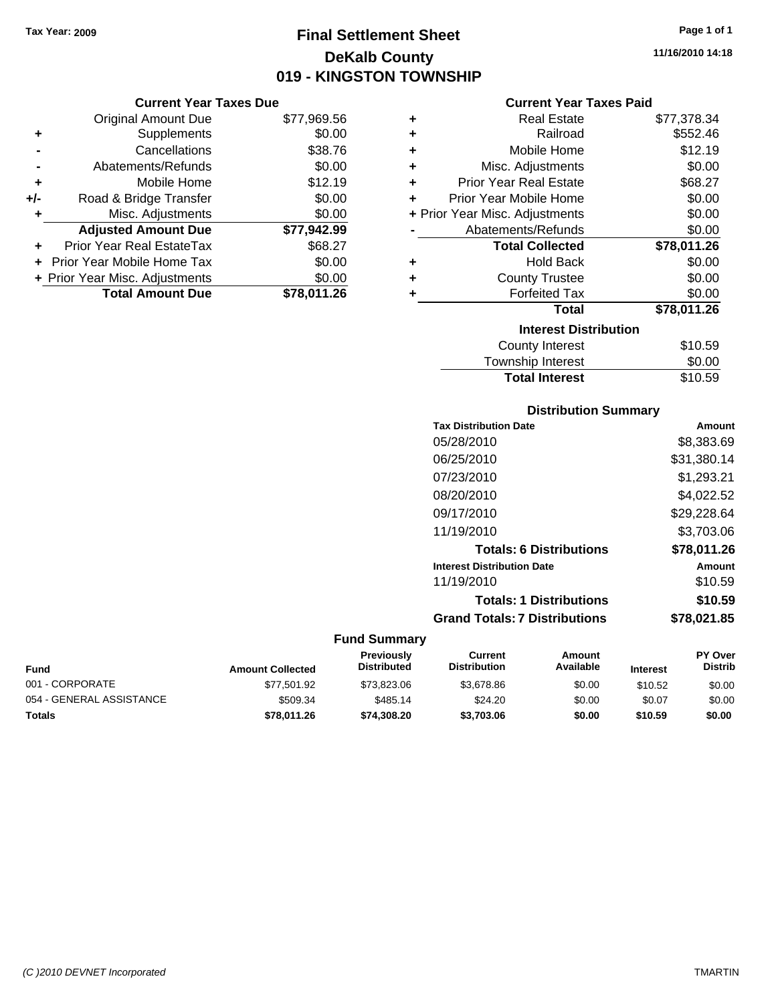**Current Year Taxes Due**

# **Final Settlement Sheet Tax Year: 2009 Page 1 of 1 DeKalb County 019 - KINGSTON TOWNSHIP**

**11/16/2010 14:18**

#### **Current Year Taxes Paid**

|                | <b>Original Amount Due</b>     | \$77,969.56 | ٠ | <b>Real Estate</b>             | \$77,378.34 |
|----------------|--------------------------------|-------------|---|--------------------------------|-------------|
| ٠              | <b>Supplements</b>             | \$0.00      | ٠ | Railroad                       | \$552.46    |
| $\blacksquare$ | Cancellations                  | \$38.76     |   | Mobile Home                    | \$12.19     |
| $\blacksquare$ | Abatements/Refunds             | \$0.00      |   | Misc. Adjustments              | \$0.00      |
| ٠              | Mobile Home                    | \$12.19     |   | <b>Prior Year Real Estate</b>  | \$68.27     |
| I-             | Road & Bridge Transfer         | \$0.00      | ٠ | Prior Year Mobile Home         | \$0.00      |
| ÷              | Misc. Adjustments              | \$0.00      |   | + Prior Year Misc. Adjustments | \$0.00      |
|                | <b>Adjusted Amount Due</b>     | \$77,942.99 |   | Abatements/Refunds             | \$0.00      |
| ÷.             | Prior Year Real EstateTax      | \$68.27     |   | <b>Total Collected</b>         | \$78,011.26 |
|                | + Prior Year Mobile Home Tax   | \$0.00      | ٠ | <b>Hold Back</b>               | \$0.00      |
|                | + Prior Year Misc. Adjustments | \$0.00      | ٠ | <b>County Trustee</b>          | \$0.00      |
|                | <b>Total Amount Due</b>        | \$78,011.26 |   | <b>Forfeited Tax</b>           | \$0.00      |
|                |                                |             |   | <b>Total</b>                   | \$78,011.26 |
|                |                                |             |   | <b>Interest Distribution</b>   |             |
|                |                                |             |   | County Interest                | \$10.59     |

| Interest Distribution |         |
|-----------------------|---------|
| County Interest       | \$10.59 |
| Township Interest     | \$0.00  |
| <b>Total Interest</b> | \$10.59 |
|                       |         |

#### **Distribution Summary**

| <b>Tax Distribution Date</b>         | Amount      |
|--------------------------------------|-------------|
| 05/28/2010                           | \$8,383.69  |
| 06/25/2010                           | \$31,380.14 |
| 07/23/2010                           | \$1,293.21  |
| 08/20/2010                           | \$4,022.52  |
| 09/17/2010                           | \$29,228.64 |
| 11/19/2010                           | \$3,703.06  |
| <b>Totals: 6 Distributions</b>       | \$78.011.26 |
| <b>Interest Distribution Date</b>    | Amount      |
| 11/19/2010                           | \$10.59     |
| <b>Totals: 1 Distributions</b>       | \$10.59     |
| <b>Grand Totals: 7 Distributions</b> | \$78,021.85 |

| <b>Fund</b>              | <b>Amount Collected</b> | <b>Previously</b><br><b>Distributed</b> | Current<br><b>Distribution</b> | Amount<br>Available | <b>Interest</b> | <b>PY Over</b><br><b>Distrib</b> |
|--------------------------|-------------------------|-----------------------------------------|--------------------------------|---------------------|-----------------|----------------------------------|
| 001 - CORPORATE          | \$77.501.92             | \$73,823,06                             | \$3.678.86                     | \$0.00              | \$10.52         | \$0.00                           |
| 054 - GENERAL ASSISTANCE | \$509.34                | \$485.14                                | \$24.20                        | \$0.00              | \$0.07          | \$0.00                           |
| <b>Totals</b>            | \$78.011.26             | \$74,308,20                             | \$3,703,06                     | \$0.00              | \$10.59         | \$0.00                           |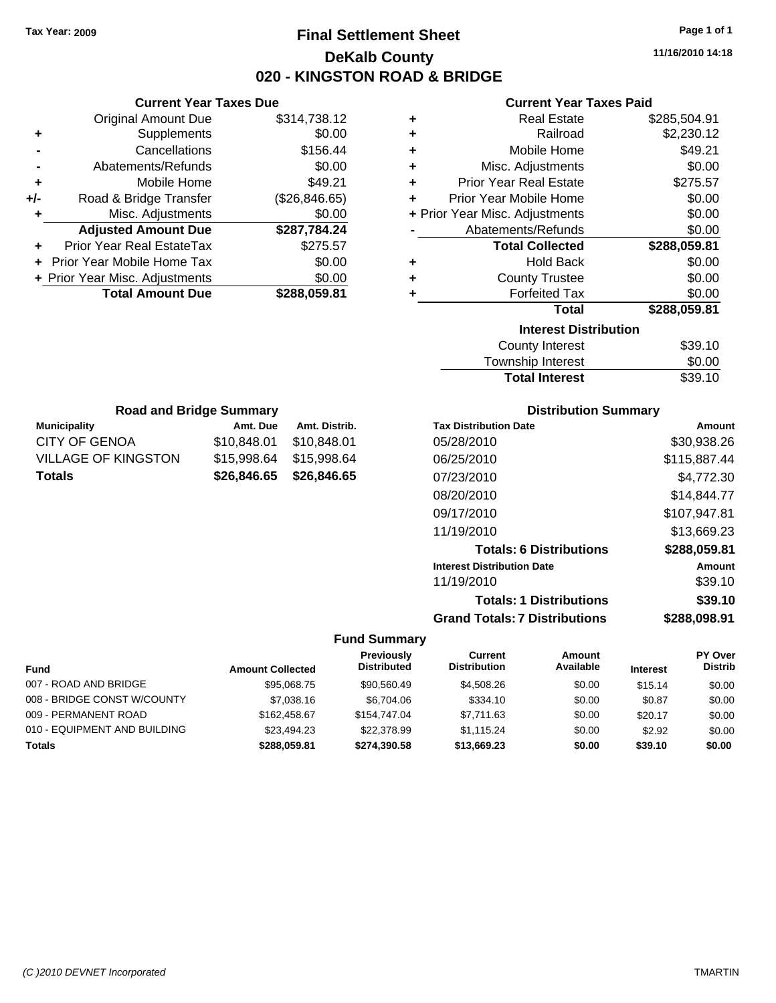**Current Year Taxes Due** Original Amount Due \$314,738.12

**Adjusted Amount Due \$287,784.24**

**Total Amount Due \$288,059.81**

**+** Supplements \$0.00 **-** Cancellations \$156.44 **-** Abatements/Refunds \$0.00 **+** Mobile Home \$49.21 **+/-** Road & Bridge Transfer (\$26,846.65) **+** Misc. Adjustments \$0.00

**+** Prior Year Real EstateTax \$275.57 **+** Prior Year Mobile Home Tax \$0.00 **+ Prior Year Misc. Adjustments**  $$0.00$ 

**Municipality Municipality** Amt. Due Amt. Distrib. **Road and Bridge Summary**

CITY OF GENOA \$10,848.01 \$10,848.01 VILLAGE OF KINGSTON \$15,998.64 \$15,998.64 **Totals \$26,846.65 \$26,846.65**

# **Final Settlement Sheet Tax Year: 2009 Page 1 of 1 DeKalb County 020 - KINGSTON ROAD & BRIDGE**

**11/16/2010 14:18**

#### **Current Year Taxes Paid**

| ٠ | <b>Real Estate</b>             | \$285,504.91 |
|---|--------------------------------|--------------|
| ٠ | Railroad                       | \$2,230.12   |
| ٠ | Mobile Home                    | \$49.21      |
| ÷ | Misc. Adjustments              | \$0.00       |
| ÷ | <b>Prior Year Real Estate</b>  | \$275.57     |
| ÷ | Prior Year Mobile Home         | \$0.00       |
|   | + Prior Year Misc. Adjustments | \$0.00       |
|   | Abatements/Refunds             | \$0.00       |
|   | <b>Total Collected</b>         | \$288,059.81 |
| ٠ | <b>Hold Back</b>               | \$0.00       |
| ٠ | <b>County Trustee</b>          | \$0.00       |
|   | <b>Forfeited Tax</b>           | \$0.00       |
|   | <b>Total</b>                   | \$288,059.81 |
|   | <b>Interest Distribution</b>   |              |
|   | <b>County Interest</b>         | \$39.10      |
|   | Tauraahin Intornat             | ሮስ ሰሰ        |

| <b>Total Interest</b> | \$39.10 |
|-----------------------|---------|
| Township Interest     | \$0.00  |
| County Interest       | \$39.10 |

| <b>Tax Distribution Date</b>         | Amount       |
|--------------------------------------|--------------|
| 05/28/2010                           | \$30,938.26  |
| 06/25/2010                           | \$115,887.44 |
| 07/23/2010                           | \$4,772.30   |
| 08/20/2010                           | \$14,844.77  |
| 09/17/2010                           | \$107,947.81 |
| 11/19/2010                           | \$13,669.23  |
| <b>Totals: 6 Distributions</b>       | \$288,059.81 |
| <b>Interest Distribution Date</b>    | Amount       |
| 11/19/2010                           | \$39.10      |
| <b>Totals: 1 Distributions</b>       | \$39.10      |
| <b>Grand Totals: 7 Distributions</b> | \$288,098.91 |

|                              |                         | Previously<br><b>Distributed</b> | Current<br><b>Distribution</b> | Amount<br>Available |                 | PY Over<br><b>Distrib</b> |
|------------------------------|-------------------------|----------------------------------|--------------------------------|---------------------|-----------------|---------------------------|
| <b>Fund</b>                  | <b>Amount Collected</b> |                                  |                                |                     | <b>Interest</b> |                           |
| 007 - ROAD AND BRIDGE        | \$95,068.75             | \$90.560.49                      | \$4,508,26                     | \$0.00              | \$15.14         | \$0.00                    |
| 008 - BRIDGE CONST W/COUNTY  | \$7,038.16              | \$6.704.06                       | \$334.10                       | \$0.00              | \$0.87          | \$0.00                    |
| 009 - PERMANENT ROAD         | \$162,458.67            | \$154,747.04                     | \$7.711.63                     | \$0.00              | \$20.17         | \$0.00                    |
| 010 - EQUIPMENT AND BUILDING | \$23,494.23             | \$22,378.99                      | \$1.115.24                     | \$0.00              | \$2.92          | \$0.00                    |
| <b>Totals</b>                | \$288,059.81            | \$274,390.58                     | \$13,669.23                    | \$0.00              | \$39.10         | \$0.00                    |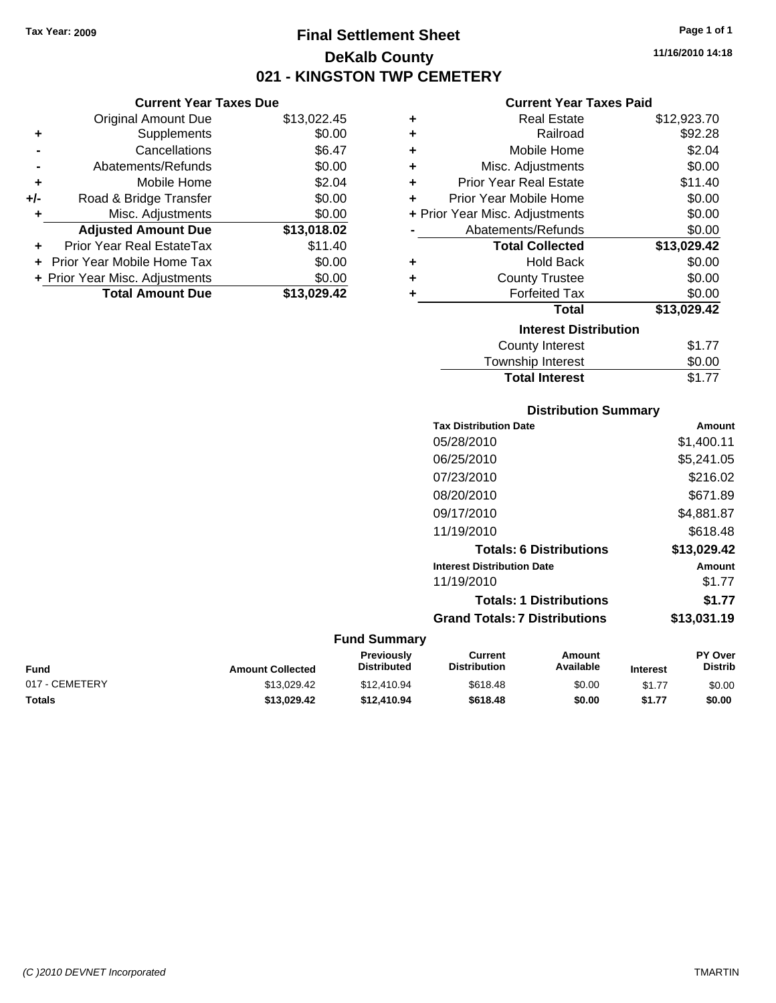# **Final Settlement Sheet Tax Year: 2009 Page 1 of 1 DeKalb County 021 - KINGSTON TWP CEMETERY**

#### **Current Year Taxes Due**

|     | <b>Original Amount Due</b>        | \$13,022.45 |
|-----|-----------------------------------|-------------|
| ٠   | Supplements                       | \$0.00      |
|     | Cancellations                     | \$6.47      |
|     | Abatements/Refunds                | \$0.00      |
| ٠   | Mobile Home                       | \$2.04      |
| +/- | Road & Bridge Transfer            | \$0.00      |
|     | Misc. Adjustments                 | \$0.00      |
|     | <b>Adjusted Amount Due</b>        | \$13,018.02 |
| ÷   | <b>Prior Year Real EstateTax</b>  | \$11.40     |
|     | <b>Prior Year Mobile Home Tax</b> | \$0.00      |
|     | + Prior Year Misc. Adjustments    | \$0.00      |
|     | <b>Total Amount Due</b>           | \$13,029,42 |

#### **Current Year Taxes Paid**

| ٠ | <b>Real Estate</b>             | \$12,923.70 |
|---|--------------------------------|-------------|
| ÷ | Railroad                       | \$92.28     |
| ٠ | Mobile Home                    | \$2.04      |
| ٠ | Misc. Adjustments              | \$0.00      |
| ٠ | <b>Prior Year Real Estate</b>  | \$11.40     |
| ٠ | Prior Year Mobile Home         | \$0.00      |
|   | + Prior Year Misc. Adjustments | \$0.00      |
|   | Abatements/Refunds             | \$0.00      |
|   | <b>Total Collected</b>         | \$13,029.42 |
| ٠ | <b>Hold Back</b>               | \$0.00      |
| ٠ | <b>County Trustee</b>          | \$0.00      |
| ٠ | <b>Forfeited Tax</b>           | \$0.00      |
|   | Total                          | \$13,029.42 |
|   | <b>Interest Distribution</b>   |             |
|   | <b>County Interest</b>         | \$1.77      |
|   | <b>Township Interest</b>       | \$0.00      |
|   | <b>Total Interest</b>          | \$1.77      |

## **Distribution Summary Tax Distribution Date Amount** 05/28/2010 \$1,400.11 06/25/2010 \$5,241.05 07/23/2010 \$216.02 08/20/2010 \$671.89 09/17/2010 \$4,881.87 11/19/2010 \$618.48 **Totals: 6 Distributions \$13,029.42 Interest Distribution Date Amount** 11/19/2010 \$1.77 **Totals: 1 Distributions \$1.77 Grand Totals: 7 Distributions \$13,031.19**

| Fund           | <b>Amount Collected</b> | Previously<br><b>Distributed</b> | Current<br><b>Distribution</b> | Amount<br>Available | <b>Interest</b> | <b>PY Over</b><br><b>Distrib</b> |
|----------------|-------------------------|----------------------------------|--------------------------------|---------------------|-----------------|----------------------------------|
| 017 - CEMETERY | \$13.029.42             | \$12,410.94                      | \$618.48                       | \$0.00              | \$1.77          | \$0.00                           |
| Totals         | \$13.029.42             | \$12,410.94                      | \$618.48                       | \$0.00              | \$1.77          | \$0.00                           |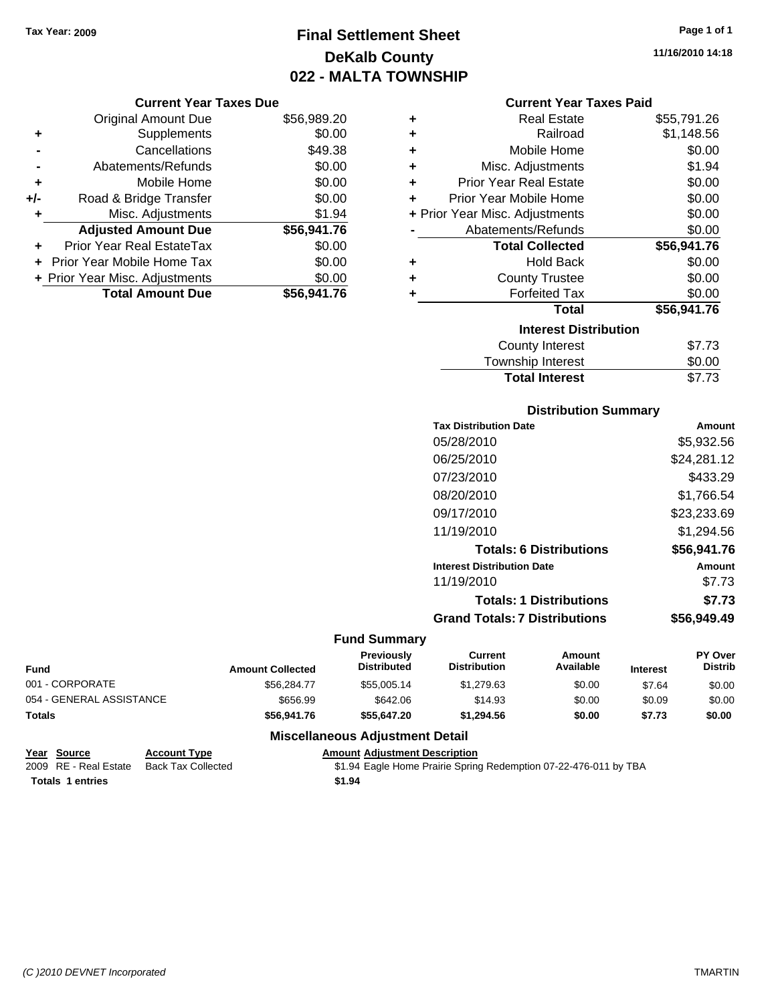# **Final Settlement Sheet Tax Year: 2009 Page 1 of 1 DeKalb County 022 - MALTA TOWNSHIP**

**11/16/2010 14:18**

| <b>Current Year Taxes Due</b> |  |  |  |  |
|-------------------------------|--|--|--|--|
|-------------------------------|--|--|--|--|

|       | <b>Original Amount Due</b>       | \$56,989.20 |
|-------|----------------------------------|-------------|
| ٠     | Supplements                      | \$0.00      |
|       | Cancellations                    | \$49.38     |
|       | Abatements/Refunds               | \$0.00      |
| ÷     | Mobile Home                      | \$0.00      |
| $+/-$ | Road & Bridge Transfer           | \$0.00      |
| ٠     | Misc. Adjustments                | \$1.94      |
|       | <b>Adjusted Amount Due</b>       | \$56,941.76 |
|       | <b>Prior Year Real EstateTax</b> | \$0.00      |
|       | Prior Year Mobile Home Tax       | \$0.00      |
|       | + Prior Year Misc. Adjustments   | \$0.00      |
|       | <b>Total Amount Due</b>          | \$56,941.76 |

| <b>Current Year Taxes Paid</b> |  |  |  |
|--------------------------------|--|--|--|
|--------------------------------|--|--|--|

| ٠ | Real Estate                    | \$55,791.26 |
|---|--------------------------------|-------------|
| ÷ | Railroad                       | \$1,148.56  |
| ÷ | Mobile Home                    | \$0.00      |
| ÷ | Misc. Adjustments              | \$1.94      |
| ÷ | <b>Prior Year Real Estate</b>  | \$0.00      |
| ٠ | Prior Year Mobile Home         | \$0.00      |
|   | + Prior Year Misc. Adjustments | \$0.00      |
|   | Abatements/Refunds             | \$0.00      |
|   | <b>Total Collected</b>         | \$56,941.76 |
| ٠ | Hold Back                      | \$0.00      |
| ÷ | <b>County Trustee</b>          | \$0.00      |
| ٠ | <b>Forfeited Tax</b>           | \$0.00      |
|   | <b>Total</b>                   | \$56,941.76 |
|   | <b>Interest Distribution</b>   |             |
|   | County Interest                | \$7.73      |
|   | <b>Township Interest</b>       | \$0.00      |
|   | <b>Total Interest</b>          | \$7.73      |

#### **Distribution Summary**

| <b>Tax Distribution Date</b>         | Amount      |
|--------------------------------------|-------------|
| 05/28/2010                           | \$5,932.56  |
| 06/25/2010                           | \$24,281.12 |
| 07/23/2010                           | \$433.29    |
| 08/20/2010                           | \$1,766.54  |
| 09/17/2010                           | \$23,233.69 |
| 11/19/2010                           | \$1,294.56  |
| <b>Totals: 6 Distributions</b>       | \$56,941.76 |
| <b>Interest Distribution Date</b>    | Amount      |
| 11/19/2010                           | \$7.73      |
| <b>Totals: 1 Distributions</b>       | \$7.73      |
| <b>Grand Totals: 7 Distributions</b> | \$56.949.49 |

#### **Fund Summary**

| <b>Fund</b>              | <b>Amount Collected</b> | <b>Previously</b><br><b>Distributed</b> | Current<br><b>Distribution</b> | Amount<br>Available | <b>Interest</b> | <b>PY Over</b><br><b>Distrib</b> |
|--------------------------|-------------------------|-----------------------------------------|--------------------------------|---------------------|-----------------|----------------------------------|
| 001 - CORPORATE          | \$56.284.77             | \$55,005.14                             | \$1,279.63                     | \$0.00              | \$7.64          | \$0.00                           |
| 054 - GENERAL ASSISTANCE | \$656.99                | \$642.06                                | \$14.93                        | \$0.00              | \$0.09          | \$0.00                           |
| Totals                   | \$56.941.76             | \$55,647.20                             | \$1,294.56                     | \$0.00              | \$7.73          | \$0.00                           |

| Year Source             | <b>Account Type</b> | <b>Amount Adjustment Description</b>                             |
|-------------------------|---------------------|------------------------------------------------------------------|
| 2009 RE - Real Estate   | Back Tax Collected  | \$1.94 Eagle Home Prairie Spring Redemption 07-22-476-011 by TBA |
| <b>Totals 1 entries</b> |                     | \$1.94                                                           |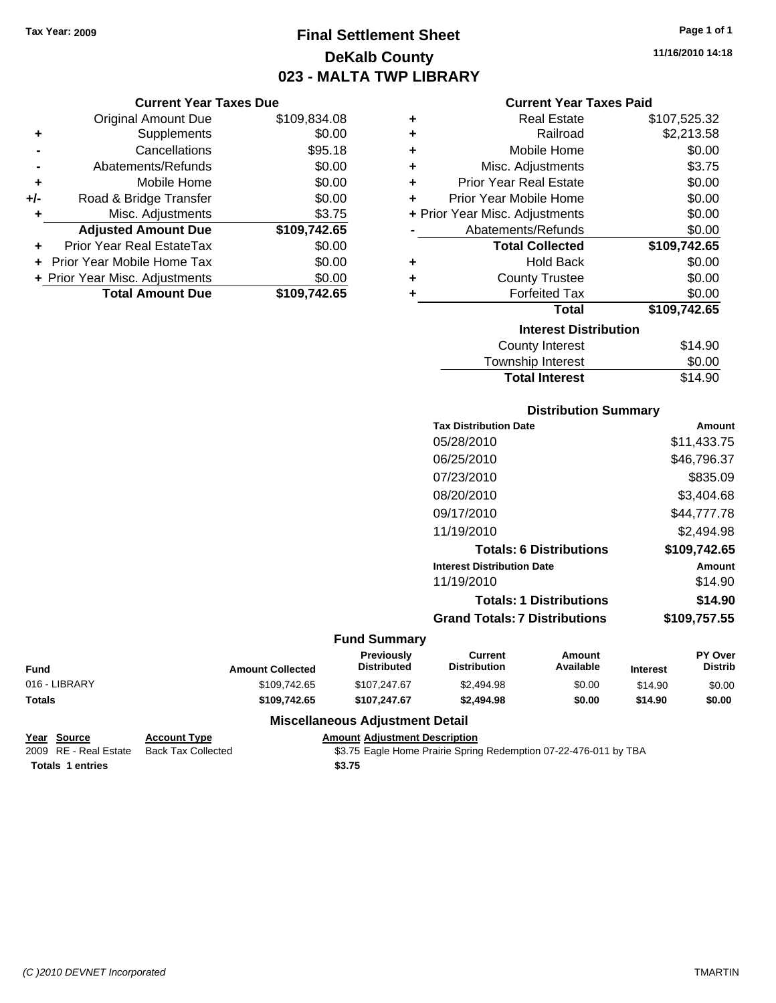# **Final Settlement Sheet Tax Year: 2009 Page 1 of 1 DeKalb County 023 - MALTA TWP LIBRARY**

**11/16/2010 14:18**

| เxes Due |  |  |
|----------|--|--|
|          |  |  |

|     | <b>Current Year Taxes Due</b>  |              |
|-----|--------------------------------|--------------|
|     | <b>Original Amount Due</b>     | \$109,834.08 |
| ٠   | Supplements                    | \$0.00       |
|     | Cancellations                  | \$95.18      |
|     | Abatements/Refunds             | \$0.00       |
| ٠   | Mobile Home                    | \$0.00       |
| +/- | Road & Bridge Transfer         | \$0.00       |
|     | Misc. Adjustments              | \$3.75       |
|     | <b>Adjusted Amount Due</b>     | \$109,742.65 |
|     | Prior Year Real EstateTax      | \$0.00       |
|     | Prior Year Mobile Home Tax     | \$0.00       |
|     | + Prior Year Misc. Adjustments | \$0.00       |
|     | <b>Total Amount Due</b>        | \$109.742.65 |

#### **Current Year Taxes Paid**

| ٠ | Real Estate                    | \$107,525.32 |
|---|--------------------------------|--------------|
| ٠ | Railroad                       | \$2,213.58   |
| ٠ | Mobile Home                    | \$0.00       |
| ٠ | Misc. Adjustments              | \$3.75       |
| ٠ | <b>Prior Year Real Estate</b>  | \$0.00       |
| ÷ | Prior Year Mobile Home         | \$0.00       |
|   | + Prior Year Misc. Adjustments | \$0.00       |
|   | Abatements/Refunds             | \$0.00       |
|   | <b>Total Collected</b>         | \$109,742.65 |
| ٠ | <b>Hold Back</b>               | \$0.00       |
| ٠ | <b>County Trustee</b>          | \$0.00       |
| ٠ | <b>Forfeited Tax</b>           | \$0.00       |
|   | <b>Total</b>                   | \$109,742.65 |
|   | <b>Interest Distribution</b>   |              |
|   | <b>County Interest</b>         | \$14.90      |

| <b>Total Interest</b> | \$14.90 |
|-----------------------|---------|
| Township Interest     | \$0.00  |
| County Interest       | \$14.90 |

#### **Distribution Summary**

| <b>Tax Distribution Date</b>         | Amount       |
|--------------------------------------|--------------|
| 05/28/2010                           | \$11,433.75  |
| 06/25/2010                           | \$46,796.37  |
| 07/23/2010                           | \$835.09     |
| 08/20/2010                           | \$3,404.68   |
| 09/17/2010                           | \$44,777.78  |
| 11/19/2010                           | \$2.494.98   |
| <b>Totals: 6 Distributions</b>       | \$109,742.65 |
| <b>Interest Distribution Date</b>    | Amount       |
| 11/19/2010                           | \$14.90      |
| <b>Totals: 1 Distributions</b>       | \$14.90      |
| <b>Grand Totals: 7 Distributions</b> | \$109.757.55 |
|                                      |              |

#### **Fund Summary**

| <b>Fund</b>   | <b>Amount Collected</b> | <b>Previously</b><br><b>Distributed</b> | Current<br><b>Distribution</b> | Amount<br>Available | <b>Interest</b> | <b>PY Over</b><br><b>Distrib</b> |
|---------------|-------------------------|-----------------------------------------|--------------------------------|---------------------|-----------------|----------------------------------|
| 016 - LIBRARY | \$109,742.65            | \$107,247.67                            | \$2,494.98                     | \$0.00              | \$14.90         | \$0.00                           |
| Totals        | \$109.742.65            | \$107.247.67                            | \$2,494.98                     | \$0.00              | \$14.90         | \$0.00                           |

#### **Miscellaneous Adjustment Detail**

| Year Source             | <b>Account Type</b> | <b>Amount Adiustment Description</b> |
|-------------------------|---------------------|--------------------------------------|
| 2009 RE - Real Estate   | Back Tax Collected  | \$3.75 Eagle Home Prairie Spring     |
| <b>Totals 1 entries</b> |                     | \$3.75                               |

ck Tax Collected **2009 82.75 Eagle Home Prairie Spring Redemption 07-22-476-011 by TBA**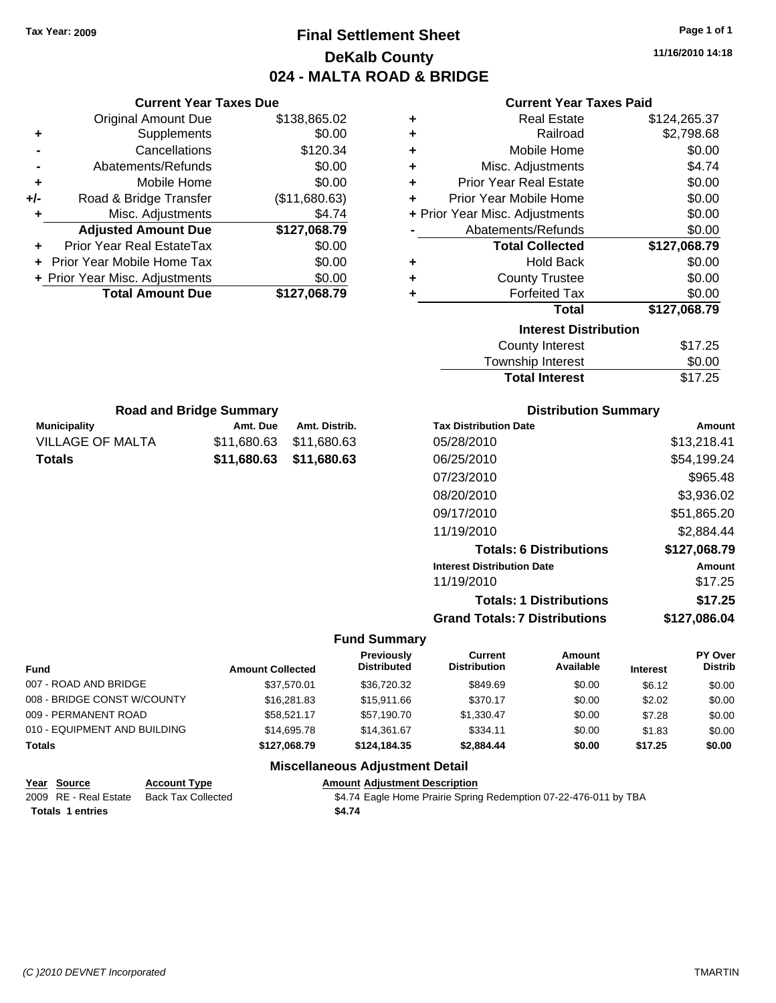# **Final Settlement Sheet Tax Year: 2009 Page 1 of 1 DeKalb County 024 - MALTA ROAD & BRIDGE**

**11/16/2010 14:18**

| <b>Current Year Taxes Paid</b> |  |
|--------------------------------|--|

| \$138,865.02<br>\$0.00<br>\$120.34 |
|------------------------------------|
|                                    |
|                                    |
|                                    |
| \$0.00                             |
| \$0.00                             |
| (\$11,680.63)                      |
| \$4.74                             |
| \$127,068.79                       |
| \$0.00                             |
| \$0.00                             |
| \$0.00                             |
| \$127,068.79                       |
|                                    |

| ٠ | <b>Real Estate</b>             | \$124,265.37 |
|---|--------------------------------|--------------|
| ٠ | Railroad                       | \$2,798.68   |
| ÷ | Mobile Home                    | \$0.00       |
| ÷ | Misc. Adjustments              | \$4.74       |
| ٠ | <b>Prior Year Real Estate</b>  | \$0.00       |
| ٠ | Prior Year Mobile Home         | \$0.00       |
|   | + Prior Year Misc. Adjustments | \$0.00       |
|   | Abatements/Refunds             | \$0.00       |
|   | <b>Total Collected</b>         | \$127,068.79 |
| ٠ | Hold Back                      | \$0.00       |
| ٠ | <b>County Trustee</b>          | \$0.00       |
| ٠ | <b>Forfeited Tax</b>           | \$0.00       |
|   | <b>Total</b>                   | \$127,068.79 |
|   | <b>Interest Distribution</b>   |              |
|   | <b>County Interest</b>         | \$17.25      |
|   | <b>Township Interest</b>       | \$0.00       |
|   | <b>Total Interest</b>          | \$17.25      |

| <b>Road and Bridge Summary</b> |             |                         |  |  |
|--------------------------------|-------------|-------------------------|--|--|
| <b>Municipality</b>            | Amt. Due    | Amt. Distrib.           |  |  |
| VILLAGE OF MALTA               | \$11.680.63 | \$11,680.63             |  |  |
| <b>Totals</b>                  |             | \$11,680.63 \$11,680.63 |  |  |

#### **Distribution Summary**

| <b>Tax Distribution Date</b>         | Amount       |
|--------------------------------------|--------------|
| 05/28/2010                           | \$13,218.41  |
| 06/25/2010                           | \$54,199.24  |
| 07/23/2010                           | \$965.48     |
| 08/20/2010                           | \$3,936.02   |
| 09/17/2010                           | \$51,865.20  |
| 11/19/2010                           | \$2,884.44   |
| <b>Totals: 6 Distributions</b>       | \$127,068.79 |
| <b>Interest Distribution Date</b>    | Amount       |
| 11/19/2010                           | \$17.25      |
| <b>Totals: 1 Distributions</b>       | \$17.25      |
| <b>Grand Totals: 7 Distributions</b> | \$127.086.04 |

#### **Fund Summary**

| <b>Fund</b>                  | <b>Amount Collected</b> | <b>Previously</b><br><b>Distributed</b> | Current<br><b>Distribution</b> | <b>Amount</b><br>Available | <b>Interest</b> | PY Over<br><b>Distrib</b> |
|------------------------------|-------------------------|-----------------------------------------|--------------------------------|----------------------------|-----------------|---------------------------|
| 007 - ROAD AND BRIDGE        | \$37.570.01             | \$36,720,32                             | \$849.69                       | \$0.00                     | \$6.12          | \$0.00                    |
| 008 - BRIDGE CONST W/COUNTY  | \$16,281.83             | \$15,911,66                             | \$370.17                       | \$0.00                     | \$2.02          | \$0.00                    |
| 009 - PERMANENT ROAD         | \$58.521.17             | \$57.190.70                             | \$1,330.47                     | \$0.00                     | \$7.28          | \$0.00                    |
| 010 - EQUIPMENT AND BUILDING | \$14,695.78             | \$14.361.67                             | \$334.11                       | \$0.00                     | \$1.83          | \$0.00                    |
| <b>Totals</b>                | \$127.068.79            | \$124,184,35                            | \$2,884.44                     | \$0.00                     | \$17.25         | \$0.00                    |

| Year Source             | <b>Account Type</b> | <b>Amount Adiustment Description</b>                             |
|-------------------------|---------------------|------------------------------------------------------------------|
| 2009 RE - Real Estate   | Back Tax Collected  | \$4.74 Eagle Home Prairie Spring Redemption 07-22-476-011 by TBA |
| <b>Totals 1 entries</b> |                     | \$4.74                                                           |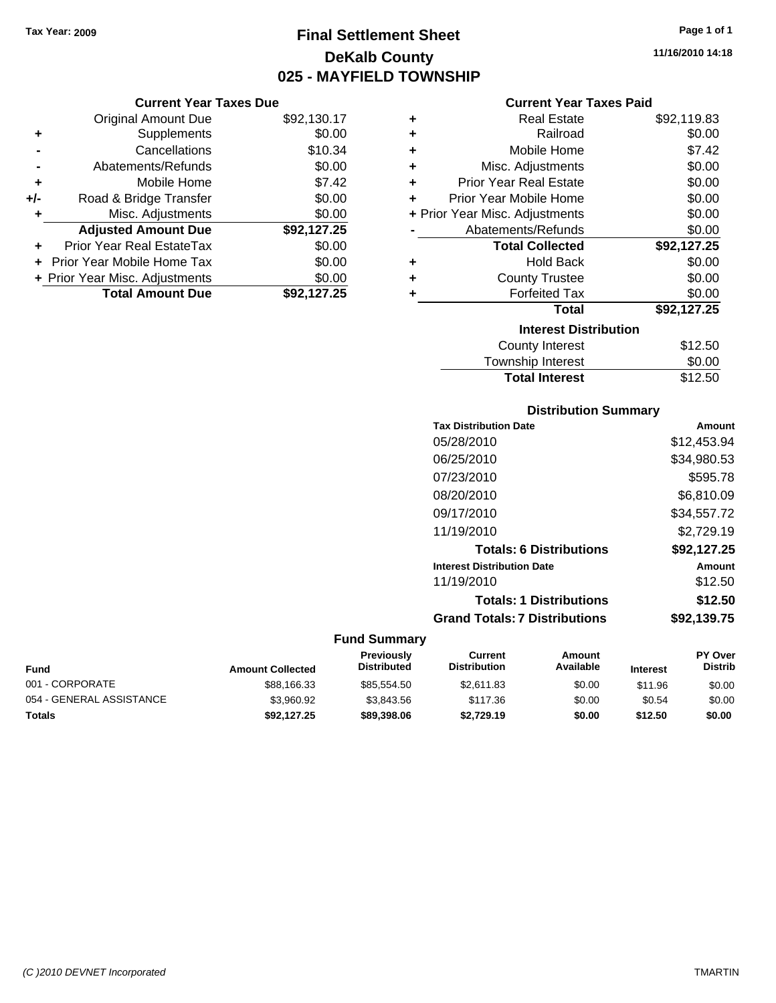**Current Year Taxes Due** Original Amount Due \$92,130.17

**Adjusted Amount Due \$92,127.25**

**Total Amount Due \$92,127.25**

**+** Supplements \$0.00 **-** Cancellations \$10.34 **-** Abatements/Refunds \$0.00 **+** Mobile Home \$7.42 **+/-** Road & Bridge Transfer \$0.00 **+** Misc. Adjustments \$0.00

**+** Prior Year Real EstateTax \$0.00 **+** Prior Year Mobile Home Tax \$0.00 **+ Prior Year Misc. Adjustments**  $$0.00$ 

# **Final Settlement Sheet Tax Year: 2009 Page 1 of 1 DeKalb County 025 - MAYFIELD TOWNSHIP**

**11/16/2010 14:18**

#### **Current Year Taxes Paid**

| ٠ | <b>Real Estate</b>             | \$92,119.83 |
|---|--------------------------------|-------------|
| ٠ | Railroad                       | \$0.00      |
| ٠ | Mobile Home                    | \$7.42      |
| ÷ | Misc. Adjustments              | \$0.00      |
| ٠ | Prior Year Real Estate         | \$0.00      |
| ٠ | Prior Year Mobile Home         | \$0.00      |
|   | + Prior Year Misc. Adjustments | \$0.00      |
|   | Abatements/Refunds             | \$0.00      |
|   | <b>Total Collected</b>         | \$92,127.25 |
| ٠ | <b>Hold Back</b>               | \$0.00      |
| ٠ | <b>County Trustee</b>          | \$0.00      |
| ٠ | <b>Forfeited Tax</b>           | \$0.00      |
|   | Total                          | \$92,127.25 |
|   | <b>Interest Distribution</b>   |             |
|   | <b>County Interest</b>         | \$12.50     |
|   | <b>Township Interest</b>       | \$0.00      |
|   | <b>Total Interest</b>          | \$12.50     |

#### **Distribution Summary**

| <b>Tax Distribution Date</b>         | Amount      |
|--------------------------------------|-------------|
| 05/28/2010                           | \$12,453.94 |
| 06/25/2010                           | \$34,980.53 |
| 07/23/2010                           | \$595.78    |
| 08/20/2010                           | \$6,810.09  |
| 09/17/2010                           | \$34,557.72 |
| 11/19/2010                           | \$2,729.19  |
| <b>Totals: 6 Distributions</b>       | \$92,127.25 |
| <b>Interest Distribution Date</b>    | Amount      |
| 11/19/2010                           | \$12.50     |
| <b>Totals: 1 Distributions</b>       | \$12.50     |
| <b>Grand Totals: 7 Distributions</b> | \$92,139.75 |
|                                      |             |

| Fund                     | <b>Amount Collected</b> | <b>Previously</b><br><b>Distributed</b> | Current<br><b>Distribution</b> | Amount<br>Available | <b>Interest</b> | <b>PY Over</b><br><b>Distrib</b> |
|--------------------------|-------------------------|-----------------------------------------|--------------------------------|---------------------|-----------------|----------------------------------|
| 001 - CORPORATE          | \$88,166.33             | \$85.554.50                             | \$2.611.83                     | \$0.00              | \$11.96         | \$0.00                           |
| 054 - GENERAL ASSISTANCE | \$3,960.92              | \$3.843.56                              | \$117.36                       | \$0.00              | \$0.54          | \$0.00                           |
| Totals                   | \$92,127.25             | \$89,398,06                             | \$2.729.19                     | \$0.00              | \$12.50         | \$0.00                           |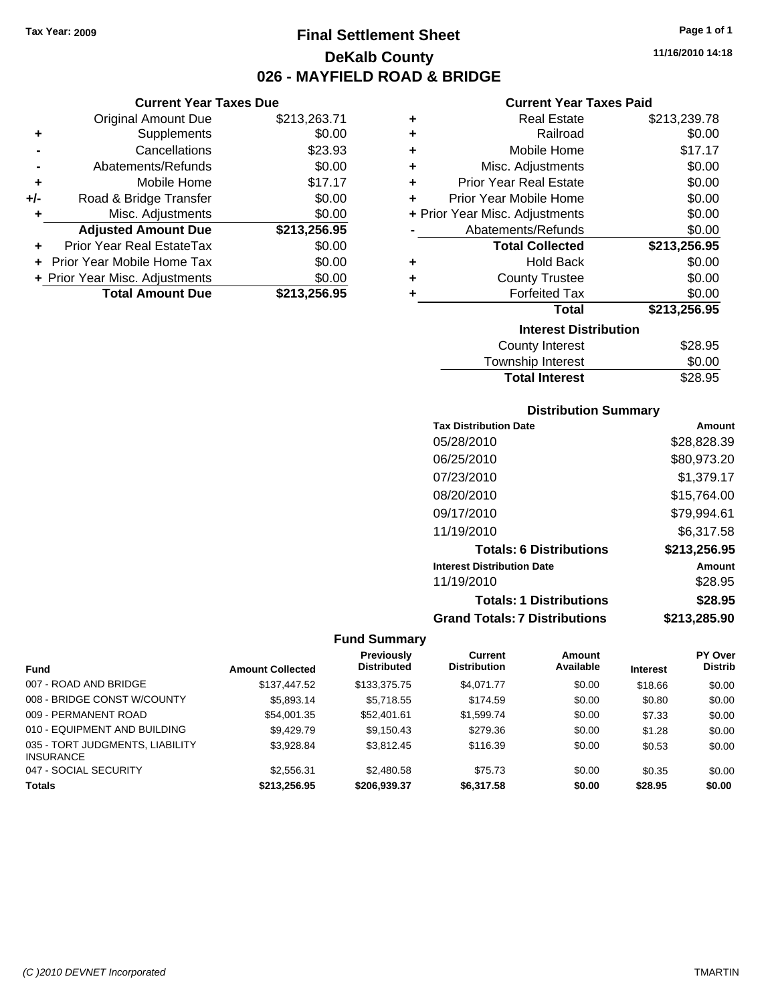**Current Year Taxes Due** Original Amount Due \$213,263.71

**Adjusted Amount Due \$213,256.95**

**Total Amount Due \$213,256.95**

**+** Supplements \$0.00 **-** Cancellations \$23.93 **-** Abatements/Refunds \$0.00 **+** Mobile Home \$17.17 **+/-** Road & Bridge Transfer \$0.00 **+** Misc. Adjustments \$0.00

**+** Prior Year Real EstateTax \$0.00 **+** Prior Year Mobile Home Tax \$0.00 **+ Prior Year Misc. Adjustments**  $$0.00$ 

# **Final Settlement Sheet Tax Year: 2009 Page 1 of 1 DeKalb County 026 - MAYFIELD ROAD & BRIDGE**

**11/16/2010 14:18**

#### **Current Year Taxes Paid**

| ٠                            | <b>Real Estate</b>             | \$213,239.78 |  |  |
|------------------------------|--------------------------------|--------------|--|--|
| ٠                            | Railroad                       | \$0.00       |  |  |
| ٠                            | Mobile Home                    | \$17.17      |  |  |
| ÷                            | Misc. Adjustments              | \$0.00       |  |  |
| ٠                            | <b>Prior Year Real Estate</b>  | \$0.00       |  |  |
| ÷                            | Prior Year Mobile Home         | \$0.00       |  |  |
|                              | + Prior Year Misc. Adjustments | \$0.00       |  |  |
|                              | Abatements/Refunds             | \$0.00       |  |  |
|                              | <b>Total Collected</b>         | \$213,256.95 |  |  |
| ٠                            | <b>Hold Back</b>               | \$0.00       |  |  |
| ٠                            | <b>County Trustee</b>          | \$0.00       |  |  |
| ٠                            | <b>Forfeited Tax</b>           | \$0.00       |  |  |
|                              | <b>Total</b>                   | \$213,256.95 |  |  |
| <b>Interest Distribution</b> |                                |              |  |  |
|                              | <b>County Interest</b>         | \$28.95      |  |  |
|                              |                                | ີ ລ          |  |  |

| <b>Total Interest</b>  | \$28.95 |
|------------------------|---------|
| Township Interest      | \$0.00  |
| <b>COUTTY THISTEST</b> | ັ⊎∠ບ.ອບ |

#### **Distribution Summary**

| <b>Tax Distribution Date</b>         | Amount       |
|--------------------------------------|--------------|
| 05/28/2010                           | \$28,828.39  |
| 06/25/2010                           | \$80,973.20  |
| 07/23/2010                           | \$1,379.17   |
| 08/20/2010                           | \$15,764.00  |
| 09/17/2010                           | \$79,994.61  |
| 11/19/2010                           | \$6,317.58   |
| <b>Totals: 6 Distributions</b>       | \$213,256.95 |
| <b>Interest Distribution Date</b>    | Amount       |
| 11/19/2010                           | \$28.95      |
| <b>Totals: 1 Distributions</b>       | \$28.95      |
| <b>Grand Totals: 7 Distributions</b> | \$213,285.90 |

|                                                     |                         | Previously         | Current             | <b>Amount</b> |                 | PY Over        |
|-----------------------------------------------------|-------------------------|--------------------|---------------------|---------------|-----------------|----------------|
| <b>Fund</b>                                         | <b>Amount Collected</b> | <b>Distributed</b> | <b>Distribution</b> | Available     | <b>Interest</b> | <b>Distrib</b> |
| 007 - ROAD AND BRIDGE                               | \$137,447.52            | \$133,375.75       | \$4,071.77          | \$0.00        | \$18.66         | \$0.00         |
| 008 - BRIDGE CONST W/COUNTY                         | \$5,893.14              | \$5,718.55         | \$174.59            | \$0.00        | \$0.80          | \$0.00         |
| 009 - PERMANENT ROAD                                | \$54,001.35             | \$52,401.61        | \$1,599.74          | \$0.00        | \$7.33          | \$0.00         |
| 010 - EQUIPMENT AND BUILDING                        | \$9.429.79              | \$9,150.43         | \$279.36            | \$0.00        | \$1.28          | \$0.00         |
| 035 - TORT JUDGMENTS, LIABILITY<br><b>INSURANCE</b> | \$3.928.84              | \$3.812.45         | \$116.39            | \$0.00        | \$0.53          | \$0.00         |
| 047 - SOCIAL SECURITY                               | \$2,556.31              | \$2,480.58         | \$75.73             | \$0.00        | \$0.35          | \$0.00         |
| <b>Totals</b>                                       | \$213.256.95            | \$206.939.37       | \$6,317.58          | \$0.00        | \$28.95         | \$0.00         |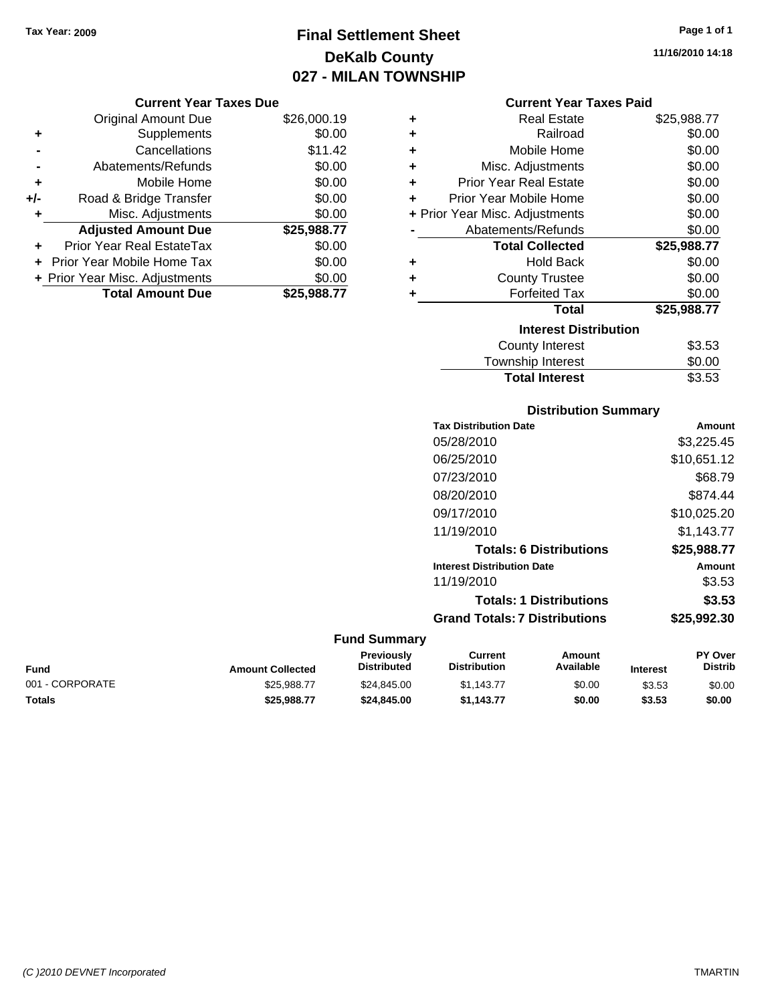# **Final Settlement Sheet Tax Year: 2009 Page 1 of 1 DeKalb County 027 - MILAN TOWNSHIP**

#### **Current Year Taxes Due**

|     | <b>Original Amount Due</b>       | \$26,000.19 |
|-----|----------------------------------|-------------|
| ٠   | Supplements                      | \$0.00      |
|     | Cancellations                    | \$11.42     |
|     | Abatements/Refunds               | \$0.00      |
| ÷   | Mobile Home                      | \$0.00      |
| +/- | Road & Bridge Transfer           | \$0.00      |
|     | Misc. Adjustments                | \$0.00      |
|     | <b>Adjusted Amount Due</b>       | \$25,988.77 |
|     | <b>Prior Year Real EstateTax</b> | \$0.00      |
|     | Prior Year Mobile Home Tax       | \$0.00      |
|     | + Prior Year Misc. Adjustments   | \$0.00      |
|     | <b>Total Amount Due</b>          | \$25,988.77 |

#### **Current Year Taxes Paid**

| ٠ | Real Estate                    | \$25,988.77 |
|---|--------------------------------|-------------|
| ÷ | Railroad                       | \$0.00      |
| ÷ | Mobile Home                    | \$0.00      |
| ÷ | Misc. Adjustments              | \$0.00      |
| ÷ | <b>Prior Year Real Estate</b>  | \$0.00      |
| ٠ | Prior Year Mobile Home         | \$0.00      |
|   | + Prior Year Misc. Adjustments | \$0.00      |
|   | Abatements/Refunds             | \$0.00      |
|   | <b>Total Collected</b>         | \$25,988.77 |
| ٠ | <b>Hold Back</b>               | \$0.00      |
| ٠ | <b>County Trustee</b>          | \$0.00      |
| ٠ | <b>Forfeited Tax</b>           | \$0.00      |
|   | Total                          | \$25,988.77 |
|   | <b>Interest Distribution</b>   |             |
|   | County Interest                | \$3.53      |
|   | <b>Township Interest</b>       | \$0.00      |
|   | <b>Total Interest</b>          | \$3.53      |

#### **Distribution Summary Tax Distribution Date Amount** 05/28/2010 \$3,225.45 06/25/2010 \$10,651.12 07/23/2010 \$68.79 08/20/2010 \$874.44

| 09/17/2010                           | \$10,025.20 |
|--------------------------------------|-------------|
| 11/19/2010                           | \$1,143.77  |
| <b>Totals: 6 Distributions</b>       | \$25,988.77 |
| <b>Interest Distribution Date</b>    | Amount      |
| 11/19/2010                           | \$3.53      |
| <b>Totals: 1 Distributions</b>       | \$3.53      |
| <b>Grand Totals: 7 Distributions</b> | \$25,992.30 |

#### **Fund Summary**

| Fund            | <b>Amount Collected</b> | Previously<br><b>Distributed</b> | Current<br><b>Distribution</b> | Amount<br>Available | <b>Interest</b> | <b>PY Over</b><br>Distrib |
|-----------------|-------------------------|----------------------------------|--------------------------------|---------------------|-----------------|---------------------------|
| 001 - CORPORATE | \$25.988.77             | \$24.845.00                      | \$1.143.77                     | \$0.00              | \$3.53          | \$0.00                    |
| Totals          | \$25.988.77             | \$24,845,00                      | \$1.143.77                     | \$0.00              | \$3.53          | \$0.00                    |

**11/16/2010 14:18**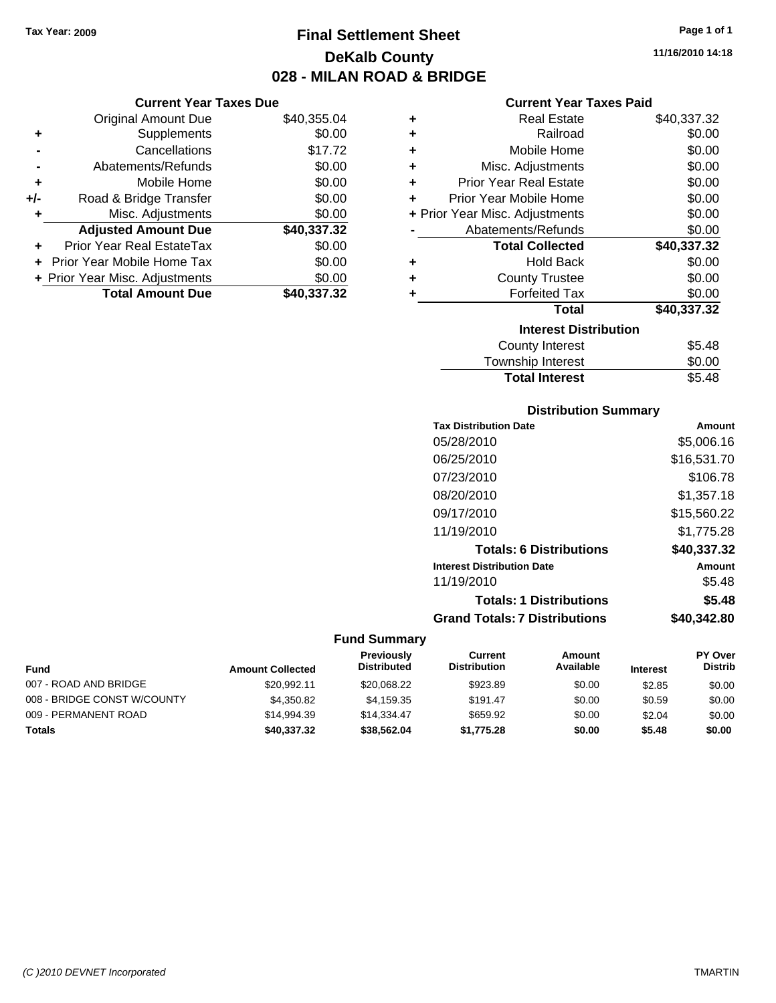# **Final Settlement Sheet Tax Year: 2009 Page 1 of 1 DeKalb County 028 - MILAN ROAD & BRIDGE**

#### **Current Year Taxes Due**

|       | <b>Original Amount Due</b>     | \$40,355.04 |
|-------|--------------------------------|-------------|
| ٠     | Supplements                    | \$0.00      |
|       | Cancellations                  | \$17.72     |
|       | Abatements/Refunds             | \$0.00      |
| ÷     | Mobile Home                    | \$0.00      |
| $+/-$ | Road & Bridge Transfer         | \$0.00      |
| ٠     | Misc. Adjustments              | \$0.00      |
|       | <b>Adjusted Amount Due</b>     | \$40,337.32 |
|       | Prior Year Real EstateTax      | \$0.00      |
|       | Prior Year Mobile Home Tax     | \$0.00      |
|       | + Prior Year Misc. Adjustments | \$0.00      |
|       | <b>Total Amount Due</b>        | \$40,337.32 |

#### **Current Year Taxes Paid**

|   | Real Estate                    |             |
|---|--------------------------------|-------------|
| ٠ |                                | \$40,337.32 |
| ٠ | Railroad                       | \$0.00      |
| ٠ | Mobile Home                    | \$0.00      |
| ٠ | Misc. Adjustments              | \$0.00      |
| ٠ | Prior Year Real Estate         | \$0.00      |
| ٠ | Prior Year Mobile Home         | \$0.00      |
|   | + Prior Year Misc. Adjustments | \$0.00      |
|   | Abatements/Refunds             | \$0.00      |
|   | <b>Total Collected</b>         | \$40,337.32 |
| ٠ | <b>Hold Back</b>               | \$0.00      |
| ٠ | <b>County Trustee</b>          | \$0.00      |
| ٠ | <b>Forfeited Tax</b>           | \$0.00      |
|   | Total                          | \$40,337.32 |
|   | <b>Interest Distribution</b>   |             |
|   | County Interest                | \$5.48      |
|   | <b>Township Interest</b>       | \$0.00      |
|   | <b>Total Interest</b>          | \$5.48      |

#### **Distribution Summary**

| Amount      |
|-------------|
| \$5,006.16  |
| \$16,531.70 |
| \$106.78    |
| \$1,357.18  |
| \$15,560.22 |
| \$1,775.28  |
| \$40,337.32 |
| Amount      |
| \$5.48      |
| \$5.48      |
| \$40.342.80 |
|             |

| <b>Fund</b>                 | <b>Amount Collected</b> | <b>Previously</b><br><b>Distributed</b> | Current<br><b>Distribution</b> | Amount<br>Available | <b>Interest</b> | <b>PY Over</b><br><b>Distrib</b> |
|-----------------------------|-------------------------|-----------------------------------------|--------------------------------|---------------------|-----------------|----------------------------------|
| 007 - ROAD AND BRIDGE       | \$20.992.11             | \$20.068.22                             | \$923.89                       | \$0.00              | \$2.85          | \$0.00                           |
| 008 - BRIDGE CONST W/COUNTY | \$4,350.82              | \$4.159.35                              | \$191.47                       | \$0.00              | \$0.59          | \$0.00                           |
| 009 - PERMANENT ROAD        | \$14.994.39             | \$14,334,47                             | \$659.92                       | \$0.00              | \$2.04          | \$0.00                           |
| <b>Totals</b>               | \$40,337.32             | \$38,562,04                             | \$1.775.28                     | \$0.00              | \$5.48          | \$0.00                           |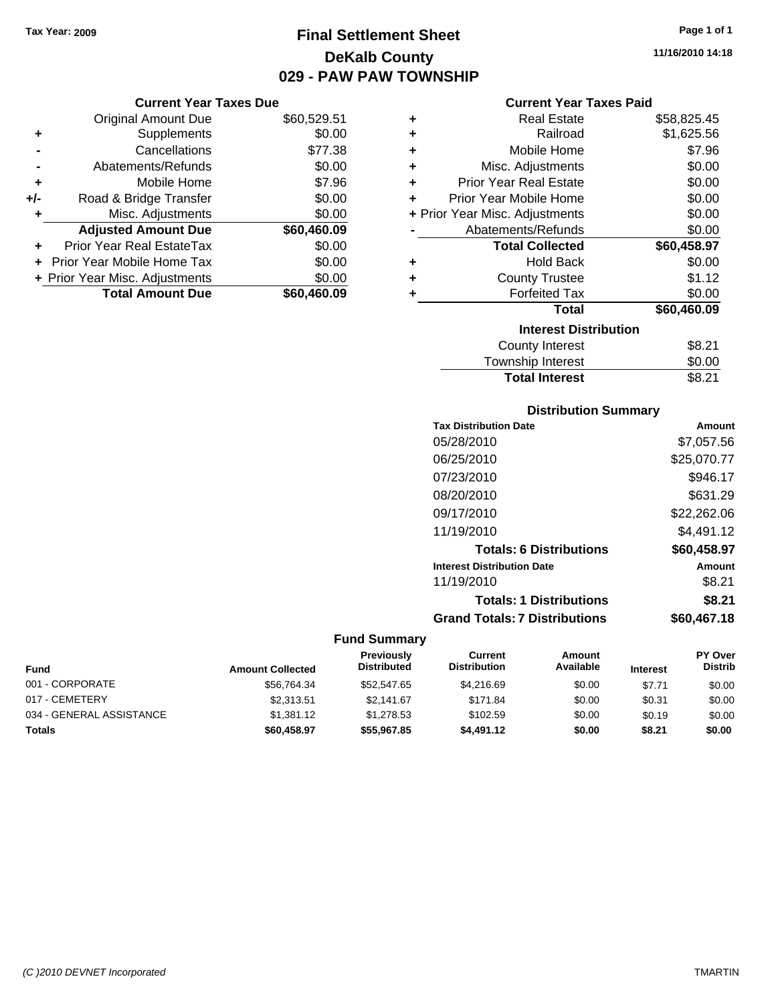# **Final Settlement Sheet Tax Year: 2009 Page 1 of 1 DeKalb County 029 - PAW PAW TOWNSHIP**

#### **Current Year Taxes Due**

|       | <b>Original Amount Due</b>       | \$60,529.51 |
|-------|----------------------------------|-------------|
| ٠     | Supplements                      | \$0.00      |
|       | Cancellations                    | \$77.38     |
|       | Abatements/Refunds               | \$0.00      |
| ÷     | Mobile Home                      | \$7.96      |
| $+/-$ | Road & Bridge Transfer           | \$0.00      |
| ٠     | Misc. Adjustments                | \$0.00      |
|       | <b>Adjusted Amount Due</b>       | \$60,460.09 |
|       | <b>Prior Year Real EstateTax</b> | \$0.00      |
|       | Prior Year Mobile Home Tax       | \$0.00      |
|       | + Prior Year Misc. Adjustments   | \$0.00      |
|       | <b>Total Amount Due</b>          | \$60,460.09 |

#### **Current Year Taxes Paid**

| ٠ | Real Estate                    | \$58,825.45 |
|---|--------------------------------|-------------|
| ٠ | Railroad                       | \$1,625.56  |
| ÷ | Mobile Home                    | \$7.96      |
| ٠ | Misc. Adjustments              | \$0.00      |
| ٠ | Prior Year Real Estate         | \$0.00      |
| ٠ | Prior Year Mobile Home         | \$0.00      |
|   | + Prior Year Misc. Adjustments | \$0.00      |
|   | Abatements/Refunds             | \$0.00      |
|   | <b>Total Collected</b>         | \$60,458.97 |
| ٠ | <b>Hold Back</b>               | \$0.00      |
| ٠ | <b>County Trustee</b>          | \$1.12      |
| ٠ | <b>Forfeited Tax</b>           | \$0.00      |
|   | Total                          | \$60,460.09 |
|   | <b>Interest Distribution</b>   |             |
|   | County Interest                | \$8.21      |
|   | <b>Township Interest</b>       | \$0.00      |
|   | <b>Total Interest</b>          | \$8.21      |

#### **Distribution Summary**

| <b>Tax Distribution Date</b>         | Amount      |
|--------------------------------------|-------------|
| 05/28/2010                           | \$7,057.56  |
| 06/25/2010                           | \$25,070.77 |
| 07/23/2010                           | \$946.17    |
| 08/20/2010                           | \$631.29    |
| 09/17/2010                           | \$22,262.06 |
| 11/19/2010                           | \$4,491.12  |
| <b>Totals: 6 Distributions</b>       | \$60,458.97 |
| <b>Interest Distribution Date</b>    | Amount      |
| 11/19/2010                           | \$8.21      |
| <b>Totals: 1 Distributions</b>       | \$8.21      |
| <b>Grand Totals: 7 Distributions</b> | \$60.467.18 |

| <b>Fund</b>              | <b>Amount Collected</b> | <b>Previously</b><br><b>Distributed</b> | Current<br><b>Distribution</b> | Amount<br>Available | <b>Interest</b> | <b>PY Over</b><br><b>Distrib</b> |
|--------------------------|-------------------------|-----------------------------------------|--------------------------------|---------------------|-----------------|----------------------------------|
| 001 - CORPORATE          | \$56,764.34             | \$52,547.65                             | \$4,216.69                     | \$0.00              | \$7.71          | \$0.00                           |
| 017 - CEMETERY           | \$2.313.51              | \$2.141.67                              | \$171.84                       | \$0.00              | \$0.31          | \$0.00                           |
| 034 - GENERAL ASSISTANCE | \$1,381.12              | \$1.278.53                              | \$102.59                       | \$0.00              | \$0.19          | \$0.00                           |
| Totals                   | \$60,458.97             | \$55,967.85                             | \$4,491.12                     | \$0.00              | \$8.21          | \$0.00                           |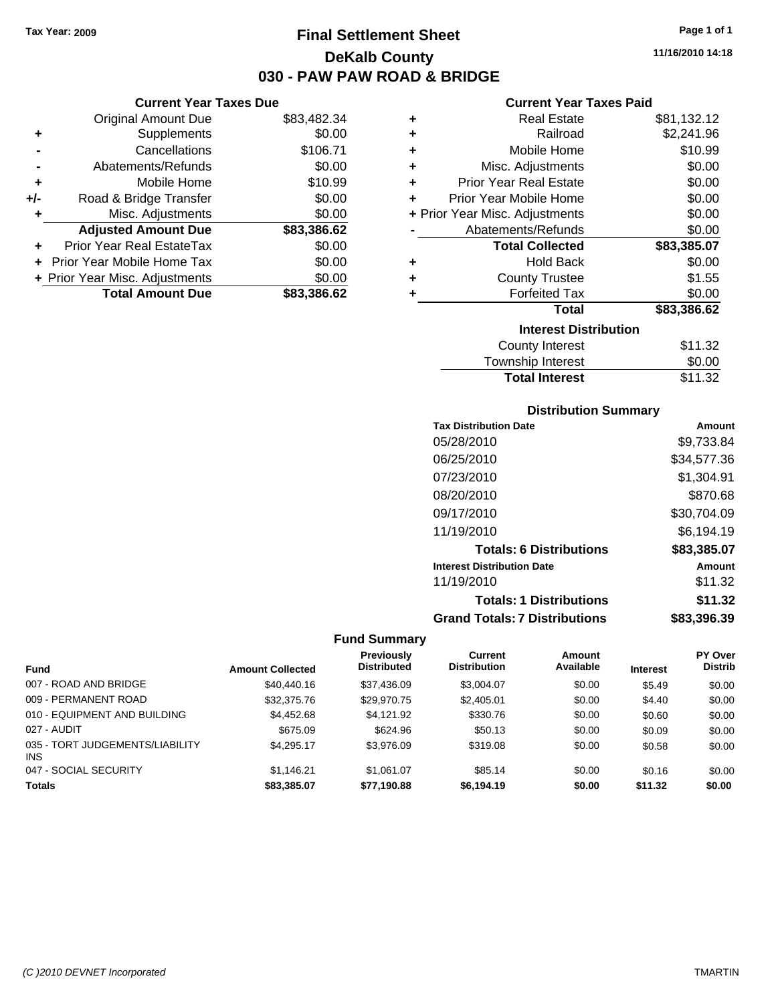**Current Year Taxes Due** Original Amount Due \$83,482.34

**Adjusted Amount Due \$83,386.62**

**Total Amount Due \$83,386.62**

**+** Supplements \$0.00 **-** Cancellations \$106.71 **-** Abatements/Refunds \$0.00 **+** Mobile Home \$10.99 **+/-** Road & Bridge Transfer \$0.00 **+** Misc. Adjustments \$0.00

**+** Prior Year Real EstateTax \$0.00 **+** Prior Year Mobile Home Tax \$0.00 **+ Prior Year Misc. Adjustments**  $$0.00$ 

# **Final Settlement Sheet Tax Year: 2009 Page 1 of 1 DeKalb County 030 - PAW PAW ROAD & BRIDGE**

**11/16/2010 14:18**

#### **Current Year Taxes Paid**

| ٠ | <b>Real Estate</b>             | \$81,132.12 |
|---|--------------------------------|-------------|
| ÷ | Railroad                       | \$2,241.96  |
| ٠ | Mobile Home                    | \$10.99     |
| ÷ | Misc. Adjustments              | \$0.00      |
| ÷ | <b>Prior Year Real Estate</b>  | \$0.00      |
| ÷ | Prior Year Mobile Home         | \$0.00      |
|   | + Prior Year Misc. Adjustments | \$0.00      |
|   | Abatements/Refunds             | \$0.00      |
|   | <b>Total Collected</b>         | \$83,385.07 |
| ٠ | <b>Hold Back</b>               | \$0.00      |
| ٠ | <b>County Trustee</b>          | \$1.55      |
| ÷ | <b>Forfeited Tax</b>           | \$0.00      |
|   | Total                          | \$83,386.62 |
|   | <b>Interest Distribution</b>   |             |
|   | <b>County Interest</b>         | \$11.32     |
|   | <b>Township Interest</b>       | \$0.00      |
|   | <b>Total Interest</b>          | \$11.32     |

#### **Distribution Summary**

| <b>Tax Distribution Date</b>         | Amount      |
|--------------------------------------|-------------|
| 05/28/2010                           | \$9,733.84  |
| 06/25/2010                           | \$34,577.36 |
| 07/23/2010                           | \$1,304.91  |
| 08/20/2010                           | \$870.68    |
| 09/17/2010                           | \$30,704.09 |
| 11/19/2010                           | \$6,194.19  |
| <b>Totals: 6 Distributions</b>       | \$83,385.07 |
| <b>Interest Distribution Date</b>    | Amount      |
| 11/19/2010                           | \$11.32     |
| <b>Totals: 1 Distributions</b>       | \$11.32     |
| <b>Grand Totals: 7 Distributions</b> | \$83,396.39 |

|                                               |                         | <b>Previously</b>  | <b>Current</b>      | <b>Amount</b> |                 | PY Over        |
|-----------------------------------------------|-------------------------|--------------------|---------------------|---------------|-----------------|----------------|
| <b>Fund</b>                                   | <b>Amount Collected</b> | <b>Distributed</b> | <b>Distribution</b> | Available     | <b>Interest</b> | <b>Distrib</b> |
| 007 - ROAD AND BRIDGE                         | \$40,440.16             | \$37,436.09        | \$3.004.07          | \$0.00        | \$5.49          | \$0.00         |
| 009 - PERMANENT ROAD                          | \$32,375.76             | \$29,970.75        | \$2,405.01          | \$0.00        | \$4.40          | \$0.00         |
| 010 - EQUIPMENT AND BUILDING                  | \$4,452.68              | \$4.121.92         | \$330.76            | \$0.00        | \$0.60          | \$0.00         |
| 027 - AUDIT                                   | \$675.09                | \$624.96           | \$50.13             | \$0.00        | \$0.09          | \$0.00         |
| 035 - TORT JUDGEMENTS/LIABILITY<br><b>INS</b> | \$4.295.17              | \$3.976.09         | \$319.08            | \$0.00        | \$0.58          | \$0.00         |
| 047 - SOCIAL SECURITY                         | \$1.146.21              | \$1.061.07         | \$85.14             | \$0.00        | \$0.16          | \$0.00         |
| <b>Totals</b>                                 | \$83,385,07             | \$77.190.88        | \$6.194.19          | \$0.00        | \$11.32         | \$0.00         |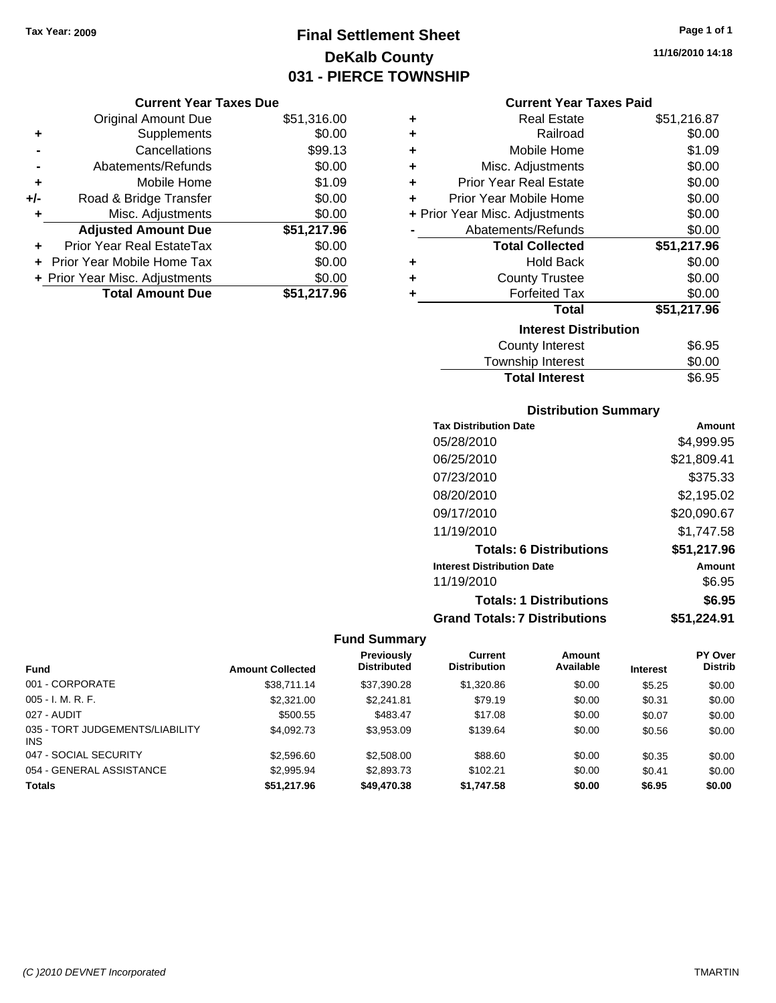# **Final Settlement Sheet Tax Year: 2009 Page 1 of 1 DeKalb County 031 - PIERCE TOWNSHIP**

#### **Current Year Taxes Due**

|     | <b>Original Amount Due</b>     | \$51,316.00 |
|-----|--------------------------------|-------------|
| ٠   | Supplements                    | \$0.00      |
|     | Cancellations                  | \$99.13     |
|     | Abatements/Refunds             | \$0.00      |
| ٠   | Mobile Home                    | \$1.09      |
| +/- | Road & Bridge Transfer         | \$0.00      |
| ٠   | Misc. Adjustments              | \$0.00      |
|     | <b>Adjusted Amount Due</b>     | \$51,217.96 |
|     | Prior Year Real EstateTax      | \$0.00      |
|     | Prior Year Mobile Home Tax     | \$0.00      |
|     | + Prior Year Misc. Adjustments | \$0.00      |
|     | <b>Total Amount Due</b>        | \$51.217.96 |

#### **Current Year Taxes Paid**

| ٠                            | Real Estate                    | \$51,216.87 |  |  |  |
|------------------------------|--------------------------------|-------------|--|--|--|
| ÷                            | Railroad                       | \$0.00      |  |  |  |
| ÷                            | Mobile Home                    | \$1.09      |  |  |  |
| ÷                            | Misc. Adjustments              | \$0.00      |  |  |  |
| ٠                            | <b>Prior Year Real Estate</b>  | \$0.00      |  |  |  |
| ٠                            | Prior Year Mobile Home         | \$0.00      |  |  |  |
|                              | + Prior Year Misc. Adjustments | \$0.00      |  |  |  |
|                              | Abatements/Refunds             | \$0.00      |  |  |  |
|                              | <b>Total Collected</b>         | \$51,217.96 |  |  |  |
| ٠                            | <b>Hold Back</b>               | \$0.00      |  |  |  |
| ٠                            | <b>County Trustee</b>          | \$0.00      |  |  |  |
| ٠                            | <b>Forfeited Tax</b>           | \$0.00      |  |  |  |
|                              | Total                          | \$51,217.96 |  |  |  |
| <b>Interest Distribution</b> |                                |             |  |  |  |
|                              | <b>County Interest</b>         | \$6.95      |  |  |  |
|                              | <b>Township Interest</b>       | \$0.00      |  |  |  |
|                              | <b>Total Interest</b>          | \$6.95      |  |  |  |

#### **Distribution Summary**

| <b>Tax Distribution Date</b>         | Amount      |
|--------------------------------------|-------------|
| 05/28/2010                           | \$4,999.95  |
| 06/25/2010                           | \$21,809.41 |
| 07/23/2010                           | \$375.33    |
| 08/20/2010                           | \$2,195.02  |
| 09/17/2010                           | \$20,090.67 |
| 11/19/2010                           | \$1.747.58  |
| <b>Totals: 6 Distributions</b>       | \$51,217.96 |
| <b>Interest Distribution Date</b>    | Amount      |
| 11/19/2010                           | \$6.95      |
| <b>Totals: 1 Distributions</b>       | \$6.95      |
| <b>Grand Totals: 7 Distributions</b> | \$51,224.91 |

|                                               |                         | <b>Previously</b>  | <b>Current</b>      | Amount    |                 | PY Over        |
|-----------------------------------------------|-------------------------|--------------------|---------------------|-----------|-----------------|----------------|
| <b>Fund</b>                                   | <b>Amount Collected</b> | <b>Distributed</b> | <b>Distribution</b> | Available | <b>Interest</b> | <b>Distrib</b> |
| 001 - CORPORATE                               | \$38.711.14             | \$37,390.28        | \$1,320.86          | \$0.00    | \$5.25          | \$0.00         |
| $005 - I. M. R. F.$                           | \$2,321.00              | \$2,241.81         | \$79.19             | \$0.00    | \$0.31          | \$0.00         |
| 027 - AUDIT                                   | \$500.55                | \$483.47           | \$17.08             | \$0.00    | \$0.07          | \$0.00         |
| 035 - TORT JUDGEMENTS/LIABILITY<br><b>INS</b> | \$4,092.73              | \$3,953.09         | \$139.64            | \$0.00    | \$0.56          | \$0.00         |
| 047 - SOCIAL SECURITY                         | \$2,596.60              | \$2,508.00         | \$88.60             | \$0.00    | \$0.35          | \$0.00         |
| 054 - GENERAL ASSISTANCE                      | \$2.995.94              | \$2,893.73         | \$102.21            | \$0.00    | \$0.41          | \$0.00         |
| <b>Totals</b>                                 | \$51,217.96             | \$49,470.38        | \$1.747.58          | \$0.00    | \$6.95          | \$0.00         |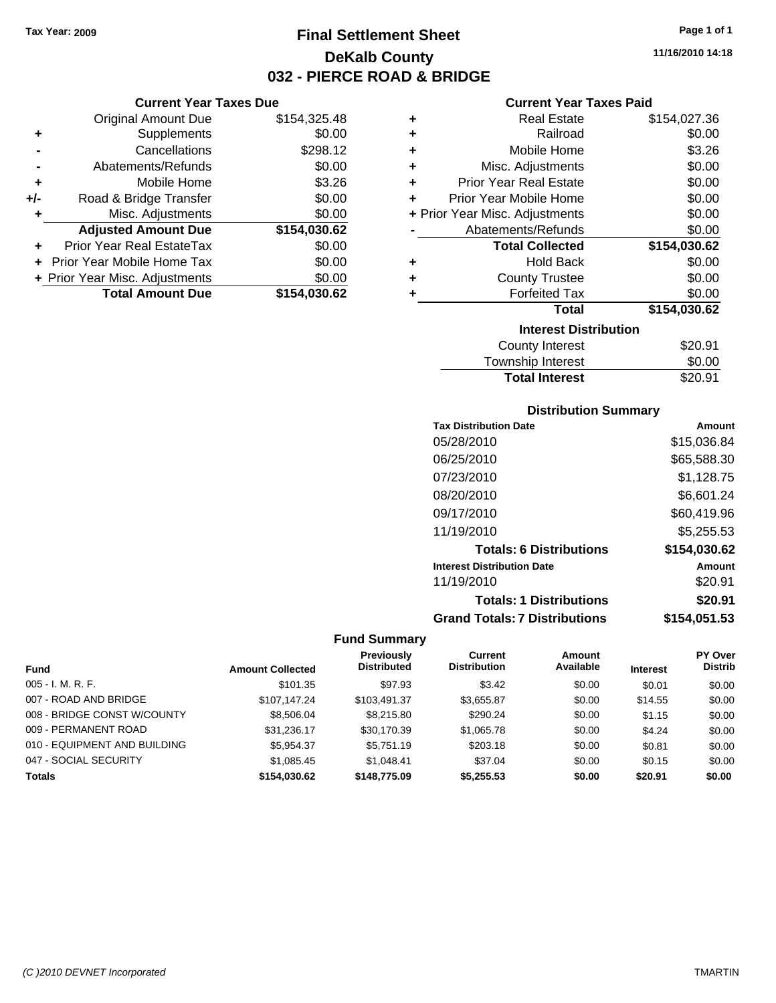**Current Year Taxes Due** Original Amount Due \$154,325.48

**Adjusted Amount Due \$154,030.62**

**Total Amount Due \$154,030.62**

**+** Supplements \$0.00 **-** Cancellations \$298.12 **-** Abatements/Refunds \$0.00 **+** Mobile Home \$3.26 **+/-** Road & Bridge Transfer \$0.00 **+** Misc. Adjustments \$0.00

**+** Prior Year Real EstateTax \$0.00 **+** Prior Year Mobile Home Tax \$0.00 **+ Prior Year Misc. Adjustments**  $$0.00$ 

# **Final Settlement Sheet Tax Year: 2009 Page 1 of 1 DeKalb County 032 - PIERCE ROAD & BRIDGE**

**11/16/2010 14:18**

#### **Current Year Taxes Paid**

| ٠ | <b>Real Estate</b>             | \$154,027.36 |
|---|--------------------------------|--------------|
| ٠ | Railroad                       | \$0.00       |
| ٠ | Mobile Home                    | \$3.26       |
| ٠ | Misc. Adjustments              | \$0.00       |
| ٠ | <b>Prior Year Real Estate</b>  | \$0.00       |
| ÷ | Prior Year Mobile Home         | \$0.00       |
|   | + Prior Year Misc. Adjustments | \$0.00       |
|   | Abatements/Refunds             | \$0.00       |
|   | <b>Total Collected</b>         | \$154,030.62 |
| ٠ | <b>Hold Back</b>               | \$0.00       |
| ٠ | <b>County Trustee</b>          | \$0.00       |
| ٠ | <b>Forfeited Tax</b>           | \$0.00       |
|   | Total                          | \$154,030.62 |
|   | <b>Interest Distribution</b>   |              |
|   | County Interest                | \$20.91      |
|   |                                |              |

| <b>Total Interest</b> | \$20.91 |
|-----------------------|---------|
| Township Interest     | \$0.00  |
| County interest       | ו ש∠ט.  |

#### **Distribution Summary**

| <b>Tax Distribution Date</b>         | Amount       |
|--------------------------------------|--------------|
| 05/28/2010                           | \$15,036.84  |
| 06/25/2010                           | \$65,588.30  |
| 07/23/2010                           | \$1,128.75   |
| 08/20/2010                           | \$6,601.24   |
| 09/17/2010                           | \$60,419.96  |
| 11/19/2010                           | \$5,255.53   |
| <b>Totals: 6 Distributions</b>       | \$154,030.62 |
| <b>Interest Distribution Date</b>    | Amount       |
| 11/19/2010                           | \$20.91      |
| <b>Totals: 1 Distributions</b>       | \$20.91      |
| <b>Grand Totals: 7 Distributions</b> | \$154,051.53 |

|                              |                         | <b>Previously</b>  | <b>Current</b>      | Amount    |                 | PY Over        |
|------------------------------|-------------------------|--------------------|---------------------|-----------|-----------------|----------------|
| <b>Fund</b>                  | <b>Amount Collected</b> | <b>Distributed</b> | <b>Distribution</b> | Available | <b>Interest</b> | <b>Distrib</b> |
| $005 - I. M. R. F.$          | \$101.35                | \$97.93            | \$3.42              | \$0.00    | \$0.01          | \$0.00         |
| 007 - ROAD AND BRIDGE        | \$107.147.24            | \$103.491.37       | \$3,655.87          | \$0.00    | \$14.55         | \$0.00         |
| 008 - BRIDGE CONST W/COUNTY  | \$8,506.04              | \$8,215.80         | \$290.24            | \$0.00    | \$1.15          | \$0.00         |
| 009 - PERMANENT ROAD         | \$31.236.17             | \$30.170.39        | \$1,065.78          | \$0.00    | \$4.24          | \$0.00         |
| 010 - EQUIPMENT AND BUILDING | \$5,954.37              | \$5,751.19         | \$203.18            | \$0.00    | \$0.81          | \$0.00         |
| 047 - SOCIAL SECURITY        | \$1,085.45              | \$1.048.41         | \$37.04             | \$0.00    | \$0.15          | \$0.00         |
| <b>Totals</b>                | \$154,030.62            | \$148,775.09       | \$5.255.53          | \$0.00    | \$20.91         | \$0.00         |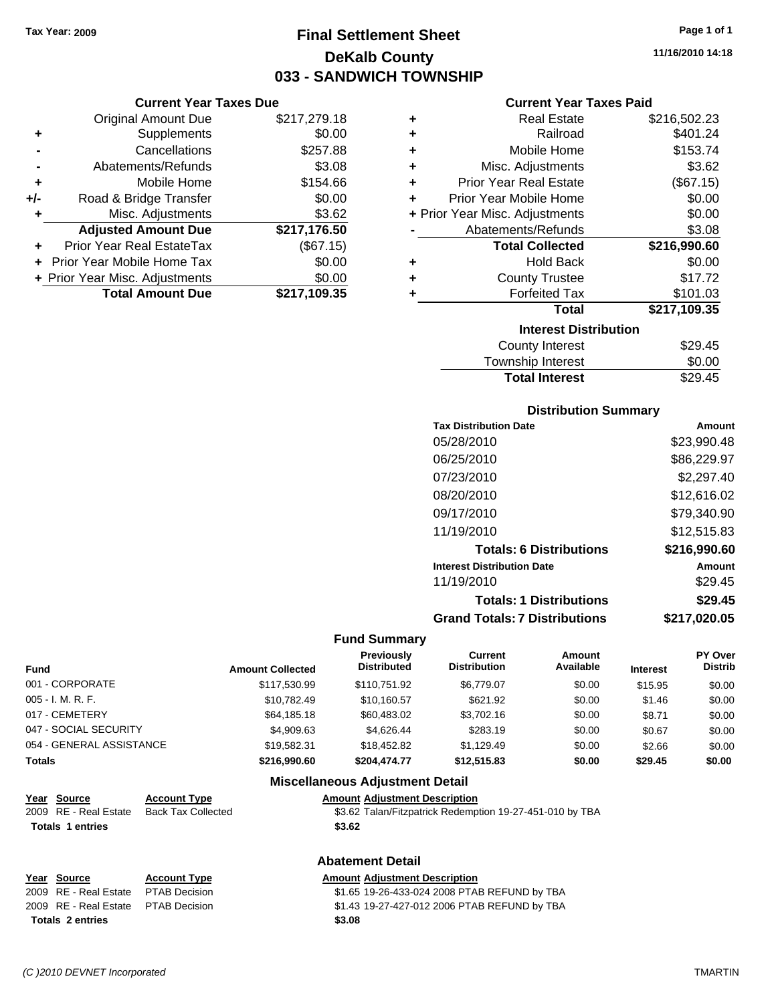### **Final Settlement Sheet Tax Year: 2009 Page 1 of 1 DeKalb County 033 - SANDWICH TOWNSHIP**

**11/16/2010 14:18**

| <b>Current Year Taxes Due</b>    |              |
|----------------------------------|--------------|
| <b>Original Amount Due</b>       | \$217,279.18 |
| Supplements                      | \$0.00       |
| Cancellations                    | \$257.88     |
| Abatements/Refunds               | \$3.08       |
| Mobile Home                      | \$154.66     |
| Road & Bridge Transfer           | \$0.00       |
| Misc. Adjustments                | \$3.62       |
| <b>Adjusted Amount Due</b>       | \$217,176.50 |
| <b>Prior Year Real EstateTax</b> | (\$67.15)    |
| Prior Year Mobile Home Tax       | \$0.00       |
| + Prior Year Misc. Adjustments   | \$0.00       |
| <b>Total Amount Due</b>          | \$217,109.35 |
|                                  |              |

|   | <b>Current Year Taxes Paid</b> |               |
|---|--------------------------------|---------------|
| ÷ | <b>Real Estate</b>             | \$216,502.23  |
| ÷ | Railroad                       | \$401.24      |
| ÷ | Mobile Home                    | \$153.74      |
| ٠ | Misc. Adjustments              | \$3.62        |
| ÷ | <b>Prior Year Real Estate</b>  | (\$67.15)     |
| ÷ | Prior Year Mobile Home         | \$0.00        |
|   | + Prior Year Misc. Adjustments | \$0.00        |
|   | Abatements/Refunds             | \$3.08        |
|   | <b>Total Collected</b>         | \$216,990.60  |
|   | <b>Hold Back</b>               | \$0.00        |
|   | <b>County Trustee</b>          | \$17.72       |
| ٠ | <b>Forfeited Tax</b>           | \$101.03      |
|   | <b>Total</b>                   | \$217,109.35  |
|   | <b>Interest Distribution</b>   |               |
|   | County Interest                | <b>¢20 15</b> |

| County Interest       | \$29.45 |
|-----------------------|---------|
| Township Interest     | \$0.00  |
| <b>Total Interest</b> | \$29.45 |

#### **Distribution Summary**

| <b>Tax Distribution Date</b>         | Amount       |
|--------------------------------------|--------------|
| 05/28/2010                           | \$23,990.48  |
| 06/25/2010                           | \$86,229.97  |
| 07/23/2010                           | \$2,297.40   |
| 08/20/2010                           | \$12,616.02  |
| 09/17/2010                           | \$79,340.90  |
| 11/19/2010                           | \$12,515.83  |
| <b>Totals: 6 Distributions</b>       | \$216,990.60 |
| <b>Interest Distribution Date</b>    | Amount       |
| 11/19/2010                           | \$29.45      |
| <b>Totals: 1 Distributions</b>       | \$29.45      |
| <b>Grand Totals: 7 Distributions</b> | \$217,020.05 |
|                                      |              |

#### **Fund Summary**

| <b>Fund</b>              | <b>Amount Collected</b> | Previously<br><b>Distributed</b> | Current<br><b>Distribution</b> | Amount<br>Available | <b>Interest</b> | PY Over<br><b>Distrib</b> |
|--------------------------|-------------------------|----------------------------------|--------------------------------|---------------------|-----------------|---------------------------|
| 001 - CORPORATE          | \$117,530.99            | \$110.751.92                     | \$6,779.07                     | \$0.00              | \$15.95         | \$0.00                    |
| $005 - I. M. R. F.$      | \$10.782.49             | \$10.160.57                      | \$621.92                       | \$0.00              | \$1.46          | \$0.00                    |
| 017 - CEMETERY           | \$64,185.18             | \$60,483,02                      | \$3.702.16                     | \$0.00              | \$8.71          | \$0.00                    |
| 047 - SOCIAL SECURITY    | \$4,909.63              | \$4.626.44                       | \$283.19                       | \$0.00              | \$0.67          | \$0.00                    |
| 054 - GENERAL ASSISTANCE | \$19.582.31             | \$18,452.82                      | \$1.129.49                     | \$0.00              | \$2.66          | \$0.00                    |
| <b>Totals</b>            | \$216,990.60            | \$204,474.77                     | \$12,515.83                    | \$0.00              | \$29.45         | \$0.00                    |

#### **Miscellaneous Adjustment Detail**

#### **Year Source Account Type Amount Adjustment Description** 2009 RE - Real Estate Back Tax Collected \$3.62 Talan/Fitzpatrick Redemption 19-27-451-010 by TBA Totals 1 entries **\$3.62**

### **Abatement Detail**

# **Totals \$3.08 2 entries**

#### **Year Source Account Type Amount Adjustment Description**

2009 RE - Real Estate \$1.65 19-26-433-024 2008 PTAB REFUND by TBA PTAB Decision 2009 RE - Real Estate \$1.43 19-27-427-012 2006 PTAB REFUND by TBA PTAB Decision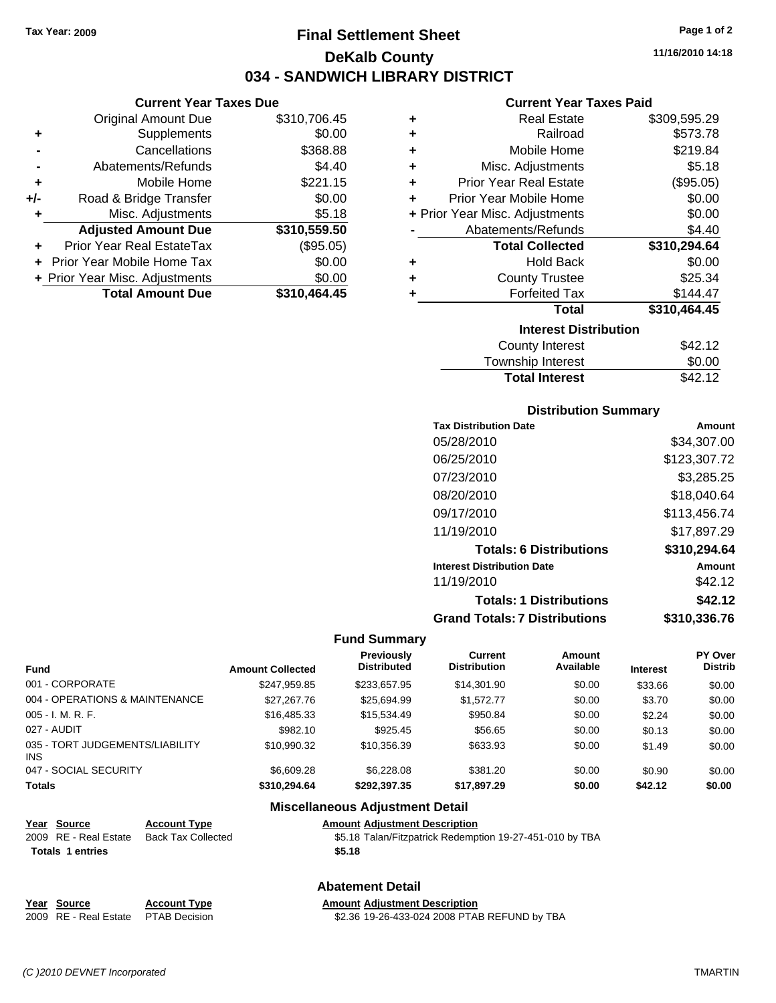**Current Year Taxes Due** Original Amount Due \$310,706.45

**Adjusted Amount Due \$310,559.50**

**Total Amount Due \$310,464.45**

**+** Supplements \$0.00 **-** Cancellations \$368.88 **-** Abatements/Refunds **\$4.40 +** Mobile Home \$221.15 **+/-** Road & Bridge Transfer \$0.00 **+** Misc. Adjustments \$5.18

**+** Prior Year Real EstateTax (\$95.05) **+** Prior Year Mobile Home Tax \$0.00 **+ Prior Year Misc. Adjustments**  $$0.00$ 

### **Final Settlement Sheet Tax Year: 2009 Page 1 of 2 DeKalb County 034 - SANDWICH LIBRARY DISTRICT**

**11/16/2010 14:18**

#### **Current Year Taxes Paid**

| ٠                            | <b>Real Estate</b>             | \$309,595.29 |  |  |
|------------------------------|--------------------------------|--------------|--|--|
| ٠                            | Railroad                       | \$573.78     |  |  |
| ÷                            | Mobile Home                    | \$219.84     |  |  |
| ÷                            | Misc. Adjustments              | \$5.18       |  |  |
| ÷                            | <b>Prior Year Real Estate</b>  | (\$95.05)    |  |  |
| ÷                            | Prior Year Mobile Home         | \$0.00       |  |  |
|                              | + Prior Year Misc. Adjustments | \$0.00       |  |  |
|                              | Abatements/Refunds             | \$4.40       |  |  |
|                              | <b>Total Collected</b>         | \$310,294.64 |  |  |
| ٠                            | <b>Hold Back</b>               | \$0.00       |  |  |
| ÷                            | <b>County Trustee</b>          | \$25.34      |  |  |
| ÷                            | <b>Forfeited Tax</b>           | \$144.47     |  |  |
|                              | <b>Total</b>                   | \$310,464.45 |  |  |
| <b>Interest Distribution</b> |                                |              |  |  |
|                              | County Interest                | \$42.12      |  |  |
|                              | Taurachin Internat             | ሮስ ሰሰ        |  |  |

| <b>Total Interest</b> | \$42.12 |
|-----------------------|---------|
| Township Interest     | \$0.00  |
| County interest       | D42.IZ  |

#### **Distribution Summary**

| <b>Tax Distribution Date</b>         | Amount       |
|--------------------------------------|--------------|
| 05/28/2010                           | \$34,307.00  |
| 06/25/2010                           | \$123,307.72 |
| 07/23/2010                           | \$3,285.25   |
| 08/20/2010                           | \$18,040.64  |
| 09/17/2010                           | \$113,456.74 |
| 11/19/2010                           | \$17,897.29  |
| <b>Totals: 6 Distributions</b>       | \$310,294.64 |
| <b>Interest Distribution Date</b>    | Amount       |
| 11/19/2010                           | \$42.12      |
| <b>Totals: 1 Distributions</b>       | \$42.12      |
| <b>Grand Totals: 7 Distributions</b> | \$310.336.76 |
|                                      |              |

#### **Fund Summary**

| <b>Fund</b>                             | <b>Amount Collected</b> | <b>Previously</b><br><b>Distributed</b> | Current<br><b>Distribution</b> | Amount<br>Available | <b>Interest</b> | PY Over<br><b>Distrib</b> |
|-----------------------------------------|-------------------------|-----------------------------------------|--------------------------------|---------------------|-----------------|---------------------------|
| 001 - CORPORATE                         | \$247.959.85            | \$233.657.95                            | \$14,301.90                    | \$0.00              | \$33.66         | \$0.00                    |
| 004 - OPERATIONS & MAINTENANCE          | \$27,267.76             | \$25,694.99                             | \$1,572.77                     | \$0.00              | \$3.70          | \$0.00                    |
| 005 - I. M. R. F.                       | \$16,485.33             | \$15,534.49                             | \$950.84                       | \$0.00              | \$2.24          | \$0.00                    |
| 027 - AUDIT                             | \$982.10                | \$925.45                                | \$56.65                        | \$0.00              | \$0.13          | \$0.00                    |
| 035 - TORT JUDGEMENTS/LIABILITY<br>INS. | \$10.990.32             | \$10.356.39                             | \$633.93                       | \$0.00              | \$1.49          | \$0.00                    |
| 047 - SOCIAL SECURITY                   | \$6,609.28              | \$6,228,08                              | \$381.20                       | \$0.00              | \$0.90          | \$0.00                    |
| <b>Totals</b>                           | \$310,294,64            | \$292.397.35                            | \$17.897.29                    | \$0.00              | \$42.12         | \$0.00                    |

#### **Miscellaneous Adjustment Detail**

| Year Source             | <b>Account Type</b> | <b>Amount Adjustment Description</b>                     |
|-------------------------|---------------------|----------------------------------------------------------|
| 2009 RE - Real Estate   | Back Tax Collected  | \$5.18 Talan/Fitzpatrick Redemption 19-27-451-010 by TBA |
| <b>Totals 1 entries</b> |                     | \$5.18                                                   |
|                         |                     |                                                          |

#### **Abatement Detail**

# **Year Source Account Type Amount Adjustment Description**

2009 RE - Real Estate \$2.36 19-26-433-024 2008 PTAB REFUND by TBA PTAB Decision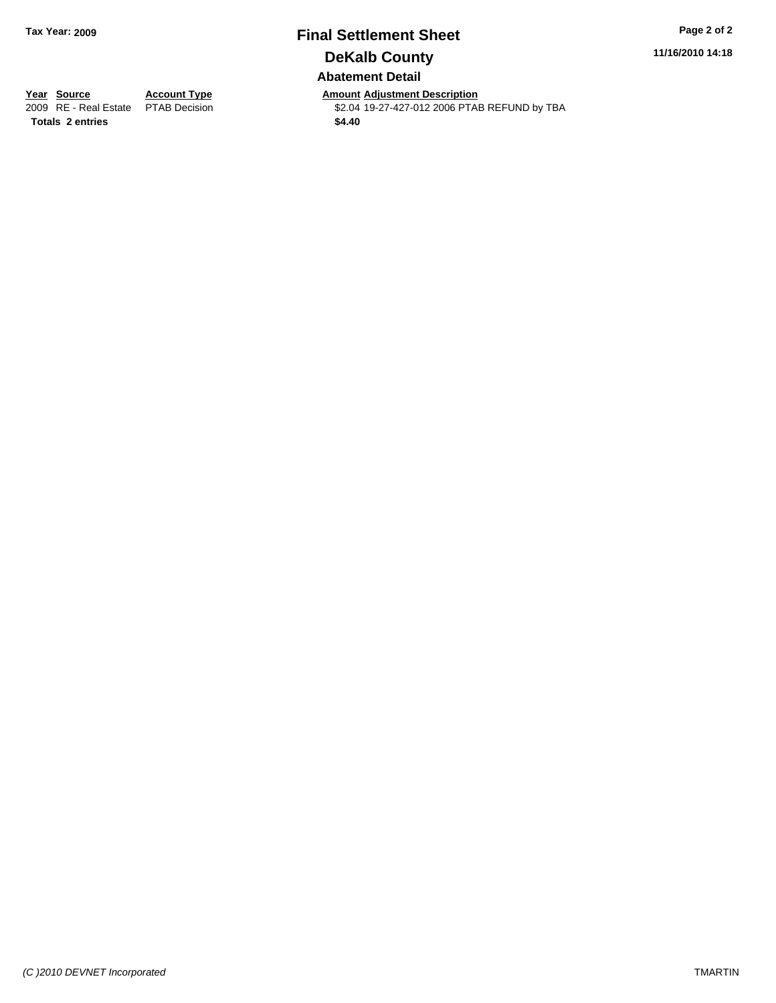### **Final Settlement Sheet Tax Year: 2009 Page 2 of 2 DeKalb County Abatement Detail**

**11/16/2010 14:18**

**Year Source Account Type Amount Adjustment Description**<br> **2009** RE - Real Estate PTAB Decision **Amount \$2.04** 19-27-427-012 2006 PTAI \$2.04 19-27-427-012 2006 PTAB REFUND by TBA **Totals \$4.40 2 entries**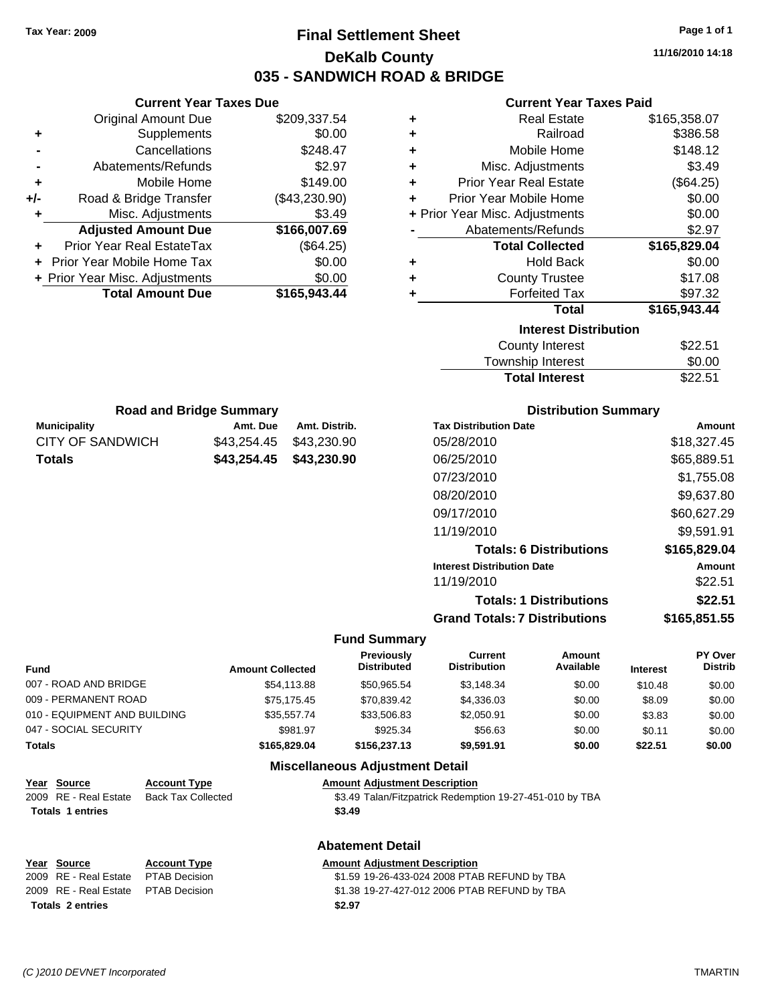### **Final Settlement Sheet Tax Year: 2009 Page 1 of 1 DeKalb County 035 - SANDWICH ROAD & BRIDGE**

**11/16/2010 14:18**

#### **Current Year Taxes Paid**

| ٠                            | <b>Real Estate</b>             | \$165,358.07 |  |  |
|------------------------------|--------------------------------|--------------|--|--|
| ٠                            | Railroad                       | \$386.58     |  |  |
| ٠                            | Mobile Home                    | \$148.12     |  |  |
| ٠                            | Misc. Adjustments              | \$3.49       |  |  |
| ÷                            | <b>Prior Year Real Estate</b>  | (\$64.25)    |  |  |
| ٠                            | Prior Year Mobile Home         | \$0.00       |  |  |
|                              | + Prior Year Misc. Adjustments | \$0.00       |  |  |
|                              | Abatements/Refunds             | \$2.97       |  |  |
|                              | <b>Total Collected</b>         | \$165,829.04 |  |  |
| ÷                            | <b>Hold Back</b>               | \$0.00       |  |  |
| ٠                            | <b>County Trustee</b>          | \$17.08      |  |  |
| ÷                            | <b>Forfeited Tax</b>           | \$97.32      |  |  |
|                              | <b>Total</b>                   | \$165,943.44 |  |  |
| <b>Interest Distribution</b> |                                |              |  |  |
|                              | <b>County Interest</b>         | \$22.51      |  |  |
|                              | <b>Township Interest</b>       | \$0.00       |  |  |

| <b>Road and Bridge Summary</b> |          |                         |  |  |  |  |
|--------------------------------|----------|-------------------------|--|--|--|--|
| <b>Municipality</b>            | Amt. Due | Amt. Distrib.           |  |  |  |  |
| CITY OF SANDWICH               |          | \$43.254.45 \$43.230.90 |  |  |  |  |
| Totals                         |          | \$43,254.45 \$43,230.90 |  |  |  |  |

**Current Year Taxes Due** Original Amount Due \$209,337.54

**Adjusted Amount Due \$166,007.69**

**Total Amount Due \$165,943.44**

**+** Supplements \$0.00 **-** Cancellations \$248.47 **-** Abatements/Refunds \$2.97 **+** Mobile Home \$149.00 **+/-** Road & Bridge Transfer (\$43,230.90) **+** Misc. Adjustments \$3.49

**+** Prior Year Real EstateTax (\$64.25) **+** Prior Year Mobile Home Tax \$0.00 **+ Prior Year Misc. Adjustments**  $$0.00$ 

#### **Distribution Summary**

Total Interest \$22.51

| Amount       |
|--------------|
| \$18,327.45  |
| \$65,889.51  |
| \$1.755.08   |
| \$9,637.80   |
| \$60,627.29  |
| \$9,591.91   |
| \$165,829.04 |
| Amount       |
| \$22.51      |
| \$22.51      |
| \$165,851.55 |
|              |

#### **Fund Summary**

| <b>Fund</b>                  | <b>Amount Collected</b> | <b>Previously</b><br><b>Distributed</b> | Current<br><b>Distribution</b> | Amount<br>Available | <b>Interest</b> | <b>PY Over</b><br><b>Distrib</b> |
|------------------------------|-------------------------|-----------------------------------------|--------------------------------|---------------------|-----------------|----------------------------------|
| 007 - ROAD AND BRIDGE        | \$54,113.88             | \$50.965.54                             | \$3,148.34                     | \$0.00              | \$10.48         | \$0.00                           |
| 009 - PERMANENT ROAD         | \$75.175.45             | \$70.839.42                             | \$4,336.03                     | \$0.00              | \$8.09          | \$0.00                           |
| 010 - EQUIPMENT AND BUILDING | \$35.557.74             | \$33,506.83                             | \$2.050.91                     | \$0.00              | \$3.83          | \$0.00                           |
| 047 - SOCIAL SECURITY        | \$981.97                | \$925.34                                | \$56.63                        | \$0.00              | \$0.11          | \$0.00                           |
| Totals                       | \$165,829,04            | \$156,237.13                            | \$9,591.91                     | \$0.00              | \$22.51         | \$0.00                           |

#### **Miscellaneous Adjustment Detail**

**Abatement Detail**

#### **Year Source Account Type Amount Adjustment Description**

| 2009 RE - Real Estate Back Tax Collected | \$3.49 Talan/Fitzpatrick Redemption 19-27-451-010 by TBA |
|------------------------------------------|----------------------------------------------------------|
| <b>Totals 1 entries</b>                  | \$3.49                                                   |

| Year Source                         | <b>Account Type</b> | <b>Amount Adjustment Description</b>         |
|-------------------------------------|---------------------|----------------------------------------------|
| 2009 RE - Real Estate PTAB Decision |                     | \$1.59 19-26-433-024 2008 PTAB REFUND by TBA |
| 2009 RE - Real Estate PTAB Decision |                     | \$1.38 19-27-427-012 2006 PTAB REFUND by TBA |
| <b>Totals 2 entries</b>             |                     | \$2.97                                       |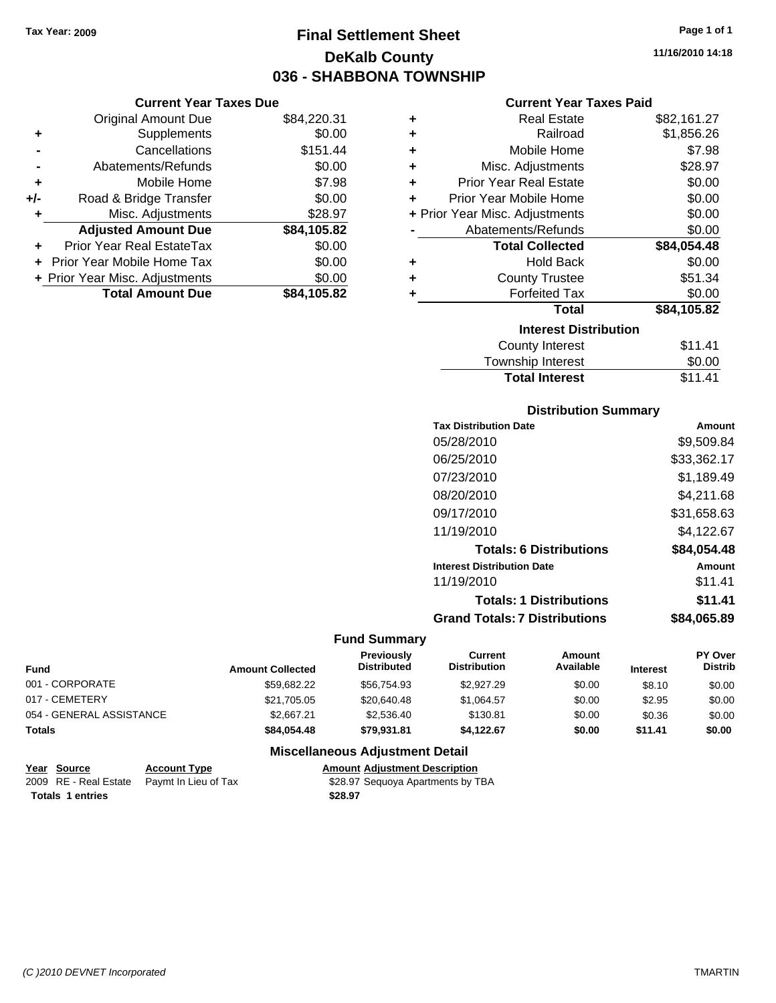### **Final Settlement Sheet Tax Year: 2009 Page 1 of 1 DeKalb County 036 - SHABBONA TOWNSHIP**

**11/16/2010 14:18**

#### **Current Year Taxes Paid**

| ٠ | <b>Real Estate</b>             | \$82,161.27 |
|---|--------------------------------|-------------|
| ٠ | Railroad                       | \$1,856.26  |
| ٠ | Mobile Home                    | \$7.98      |
| ÷ | Misc. Adjustments              | \$28.97     |
| ÷ | <b>Prior Year Real Estate</b>  | \$0.00      |
| ٠ | Prior Year Mobile Home         | \$0.00      |
|   | + Prior Year Misc. Adjustments | \$0.00      |
|   | Abatements/Refunds             | \$0.00      |
|   |                                |             |
|   | <b>Total Collected</b>         | \$84,054.48 |
| ٠ | <b>Hold Back</b>               | \$0.00      |
| ٠ | <b>County Trustee</b>          | \$51.34     |
| ÷ | <b>Forfeited Tax</b>           | \$0.00      |
|   | <b>Total</b>                   | \$84,105.82 |
|   | <b>Interest Distribution</b>   |             |
|   | <b>County Interest</b>         | \$11.41     |

### **Distribution Summary**

Total Interest \$11.41

| <b>Tax Distribution Date</b>         | Amount      |
|--------------------------------------|-------------|
| 05/28/2010                           | \$9,509.84  |
| 06/25/2010                           | \$33,362.17 |
| 07/23/2010                           | \$1,189.49  |
| 08/20/2010                           | \$4,211.68  |
| 09/17/2010                           | \$31,658.63 |
| 11/19/2010                           | \$4,122.67  |
| <b>Totals: 6 Distributions</b>       | \$84,054.48 |
| <b>Interest Distribution Date</b>    | Amount      |
| 11/19/2010                           | \$11.41     |
| <b>Totals: 1 Distributions</b>       | \$11.41     |
| <b>Grand Totals: 7 Distributions</b> | \$84.065.89 |

#### **Fund Summary**

| <b>Fund</b>              | <b>Amount Collected</b> | <b>Previously</b><br><b>Distributed</b> | Current<br><b>Distribution</b> | Amount<br>Available | <b>Interest</b> | <b>PY Over</b><br><b>Distrib</b> |
|--------------------------|-------------------------|-----------------------------------------|--------------------------------|---------------------|-----------------|----------------------------------|
| 001 - CORPORATE          | \$59.682.22             | \$56,754,93                             | \$2,927.29                     | \$0.00              | \$8.10          | \$0.00                           |
| 017 - CEMETERY           | \$21,705.05             | \$20,640.48                             | \$1.064.57                     | \$0.00              | \$2.95          | \$0.00                           |
| 054 - GENERAL ASSISTANCE | \$2,667.21              | \$2,536.40                              | \$130.81                       | \$0.00              | \$0.36          | \$0.00                           |
| <b>Totals</b>            | \$84.054.48             | \$79.931.81                             | \$4.122.67                     | \$0.00              | \$11.41         | \$0.00                           |

#### **Miscellaneous Adjustment Detail**

| Year Source | <b>Account Type</b>                        | <b>Amount Adiustment Description</b> |
|-------------|--------------------------------------------|--------------------------------------|
|             | 2009 RE - Real Estate Paymt In Lieu of Tax | \$28.97 Seguoya Apartments by TBA    |

Totals 1 entries **128.97** 

**Current Year Taxes Due** Original Amount Due \$84,220.31

**Adjusted Amount Due \$84,105.82**

**Total Amount Due \$84,105.82**

**+** Supplements \$0.00 **-** Cancellations \$151.44 **-** Abatements/Refunds \$0.00 **+** Mobile Home \$7.98 **+/-** Road & Bridge Transfer \$0.00 **+** Misc. Adjustments \$28.97

**+** Prior Year Real EstateTax \$0.00 **+** Prior Year Mobile Home Tax \$0.00 **+ Prior Year Misc. Adjustments**  $$0.00$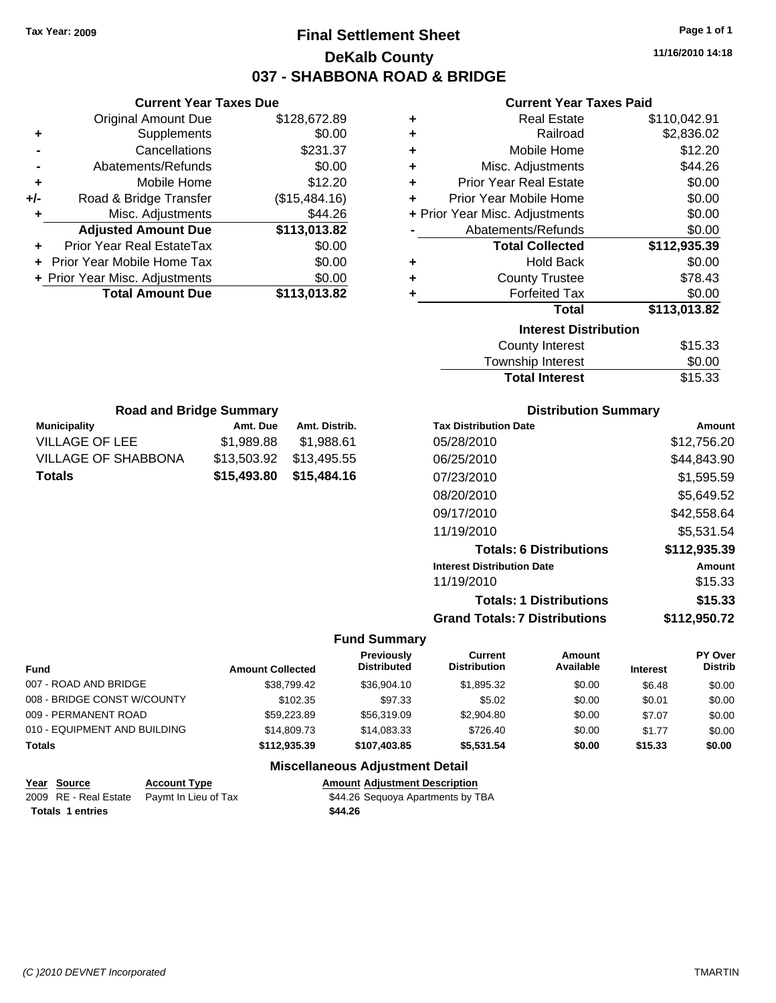### **Final Settlement Sheet Tax Year: 2009 Page 1 of 1 DeKalb County 037 - SHABBONA ROAD & BRIDGE**

**11/16/2010 14:18**

#### **Current Year Taxes Paid**

| ٠ | <b>Real Estate</b>             | \$110,042.91 |
|---|--------------------------------|--------------|
| ٠ | Railroad                       | \$2,836.02   |
| ٠ | Mobile Home                    | \$12.20      |
| ÷ | Misc. Adjustments              | \$44.26      |
| ÷ | <b>Prior Year Real Estate</b>  | \$0.00       |
| ÷ | Prior Year Mobile Home         | \$0.00       |
|   | + Prior Year Misc. Adjustments | \$0.00       |
|   | Abatements/Refunds             | \$0.00       |
|   | <b>Total Collected</b>         | \$112,935.39 |
| ٠ | <b>Hold Back</b>               | \$0.00       |
| ٠ | <b>County Trustee</b>          | \$78.43      |
| ٠ | <b>Forfeited Tax</b>           | \$0.00       |
|   | Total                          | \$113,013.82 |
|   | <b>Interest Distribution</b>   |              |
|   | <b>County Interest</b>         | \$15.33      |
|   | Taunaakin lataraat             | ጦ ለለ         |

| <b>Total Interest</b> | \$15.33 |
|-----------------------|---------|
| Township Interest     | \$0.00  |
| County Interest       | \$15.33 |

| <b>Road and Bridge Summary</b> |                         |               |  |
|--------------------------------|-------------------------|---------------|--|
| <b>Municipality</b>            | Amt. Due                | Amt. Distrib. |  |
| VILLAGE OF LEE                 | \$1,989.88              | \$1,988.61    |  |
| VILLAGE OF SHABBONA            | \$13,503.92             | \$13,495.55   |  |
| <b>Totals</b>                  | \$15,493.80 \$15,484.16 |               |  |

**Current Year Taxes Due** Original Amount Due \$128,672.89

**Adjusted Amount Due \$113,013.82**

**Total Amount Due \$113,013.82**

**+** Supplements \$0.00 **-** Cancellations \$231.37 **-** Abatements/Refunds \$0.00 **+** Mobile Home \$12.20 **+/-** Road & Bridge Transfer (\$15,484.16) **+** Misc. Adjustments \$44.26

**+** Prior Year Real EstateTax \$0.00 **+** Prior Year Mobile Home Tax \$0.00 **+ Prior Year Misc. Adjustments**  $$0.00$ 

#### **Distribution Summary**

| <b>Tax Distribution Date</b>         | Amount       |
|--------------------------------------|--------------|
| 05/28/2010                           | \$12,756.20  |
| 06/25/2010                           | \$44,843.90  |
| 07/23/2010                           | \$1,595.59   |
| 08/20/2010                           | \$5,649.52   |
| 09/17/2010                           | \$42,558.64  |
| 11/19/2010                           | \$5,531.54   |
| <b>Totals: 6 Distributions</b>       | \$112,935.39 |
| <b>Interest Distribution Date</b>    | Amount       |
| 11/19/2010                           | \$15.33      |
| <b>Totals: 1 Distributions</b>       | \$15.33      |
| <b>Grand Totals: 7 Distributions</b> | \$112,950.72 |

#### **Fund Summary**

| <b>Fund</b>                  | <b>Amount Collected</b> | <b>Previously</b><br><b>Distributed</b> | Current<br><b>Distribution</b> | Amount<br>Available | <b>Interest</b> | PY Over<br><b>Distrib</b> |
|------------------------------|-------------------------|-----------------------------------------|--------------------------------|---------------------|-----------------|---------------------------|
| 007 - ROAD AND BRIDGE        | \$38,799.42             | \$36,904.10                             | \$1,895.32                     | \$0.00              | \$6.48          | \$0.00                    |
| 008 - BRIDGE CONST W/COUNTY  | \$102.35                | \$97.33                                 | \$5.02                         | \$0.00              | \$0.01          | \$0.00                    |
| 009 - PERMANENT ROAD         | \$59,223.89             | \$56,319.09                             | \$2,904.80                     | \$0.00              | \$7.07          | \$0.00                    |
| 010 - EQUIPMENT AND BUILDING | \$14,809.73             | \$14,083.33                             | \$726.40                       | \$0.00              | \$1.77          | \$0.00                    |
| <b>Totals</b>                | \$112.935.39            | \$107,403,85                            | \$5,531.54                     | \$0.00              | \$15.33         | \$0.00                    |

#### **Miscellaneous Adjustment Detail**

| Year Source             | <b>Account Type</b>                        | <b>Amount Adiustment Description</b> |
|-------------------------|--------------------------------------------|--------------------------------------|
|                         | 2009 RE - Real Estate Pavmt In Lieu of Tax | \$44.26 Sequoya Apartments by TBA    |
| <b>Totals 1 entries</b> |                                            | \$44.26                              |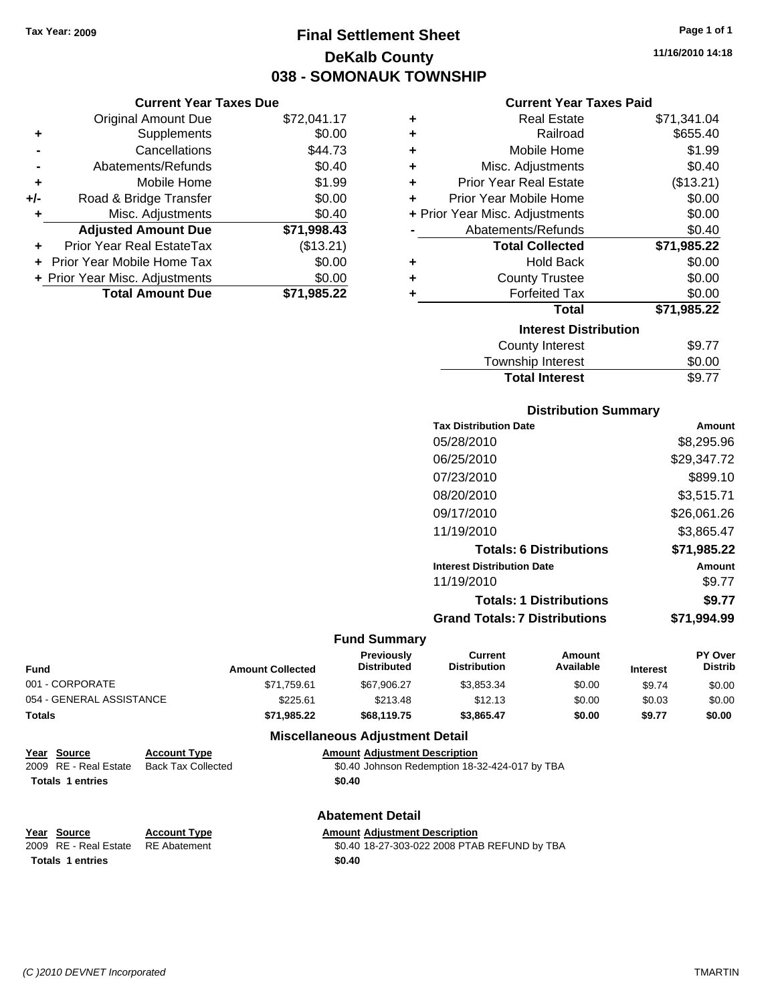**Current Year Taxes Due** Original Amount Due \$72,041.

### **Final Settlement Sheet Tax Year: 2009 Page 1 of 1 DeKalb County 038 - SOMONAUK TOWNSHIP**

**11/16/2010 14:18**

#### **Current Year Taxes Paid**

|     | <b>Original Amount Due</b>     | \$72,041.17 | ٠ | <b>Real Estate</b>             | \$71,341.04 |
|-----|--------------------------------|-------------|---|--------------------------------|-------------|
| ٠   | <b>Supplements</b>             | \$0.00      | ٠ | Railroad                       | \$655.40    |
|     | Cancellations                  | \$44.73     | ٠ | Mobile Home                    | \$1.99      |
|     | Abatements/Refunds             | \$0.40      | ٠ | Misc. Adjustments              | \$0.40      |
| ٠   | Mobile Home                    | \$1.99      | ٠ | <b>Prior Year Real Estate</b>  | (\$13.21)   |
| +/- | Road & Bridge Transfer         | \$0.00      |   | Prior Year Mobile Home         | \$0.00      |
|     | Misc. Adjustments              | \$0.40      |   | + Prior Year Misc. Adjustments | \$0.00      |
|     | <b>Adjusted Amount Due</b>     | \$71,998.43 |   | Abatements/Refunds             | \$0.40      |
| ٠   | Prior Year Real EstateTax      | (\$13.21)   |   | <b>Total Collected</b>         | \$71,985.22 |
|     | + Prior Year Mobile Home Tax   | \$0.00      | ٠ | <b>Hold Back</b>               | \$0.00      |
|     | + Prior Year Misc. Adjustments | \$0.00      | ٠ | <b>County Trustee</b>          | \$0.00      |
|     | <b>Total Amount Due</b>        | \$71,985.22 |   | <b>Forfeited Tax</b>           | \$0.00      |
|     |                                |             |   | <b>Total</b>                   | \$71,985.22 |
|     |                                |             |   | <b>Interest Distribution</b>   |             |
|     |                                |             |   | County Interest                | \$9.77      |
|     |                                |             |   | Taunaakin latasaat             | ሶስ ሰሰ       |

| <b>Total Interest</b> | \$9.77     |
|-----------------------|------------|
| Township Interest     | \$0.00     |
|                       | . <i>.</i> |

#### **Distribution Summary**

| <b>Tax Distribution Date</b>         | Amount      |
|--------------------------------------|-------------|
| 05/28/2010                           | \$8,295.96  |
| 06/25/2010                           | \$29,347.72 |
| 07/23/2010                           | \$899.10    |
| 08/20/2010                           | \$3,515.71  |
| 09/17/2010                           | \$26,061.26 |
| 11/19/2010                           | \$3,865.47  |
| <b>Totals: 6 Distributions</b>       | \$71,985.22 |
| <b>Interest Distribution Date</b>    | Amount      |
| 11/19/2010                           | \$9.77      |
| <b>Totals: 1 Distributions</b>       | \$9.77      |
| <b>Grand Totals: 7 Distributions</b> | \$71.994.99 |
|                                      |             |

#### **Fund Summary**

| Fund                     | <b>Amount Collected</b> | <b>Previously</b><br><b>Distributed</b> | Current<br><b>Distribution</b> | Amount<br>Available | <b>Interest</b> | <b>PY Over</b><br><b>Distrib</b> |
|--------------------------|-------------------------|-----------------------------------------|--------------------------------|---------------------|-----------------|----------------------------------|
| 001 - CORPORATE          | \$71,759.61             | \$67.906.27                             | \$3.853.34                     | \$0.00              | \$9.74          | \$0.00                           |
| 054 - GENERAL ASSISTANCE | \$225.61                | \$213.48                                | \$12.13                        | \$0.00              | \$0.03          | \$0.00                           |
| Totals                   | \$71.985.22             | \$68,119,75                             | \$3.865.47                     | \$0.00              | \$9.77          | \$0.00                           |

#### **Miscellaneous Adjustment Detail**

### **Year Source Account Type Amount Adjustment Description**

2009 RE - Real Estate Back Tax Collected \$0.40 Johnson Redemption 18-32-424-017 by TBA Totals 1 entries \$0.40

**Abatement Detail**

**Totals \$0.40 1 entries**

**Year Source Account Type Amount Adjustment Description**

2009 RE - Real Estate RE Abatement \$0.40 18-27-303-022 2008 PTAB REFUND by TBA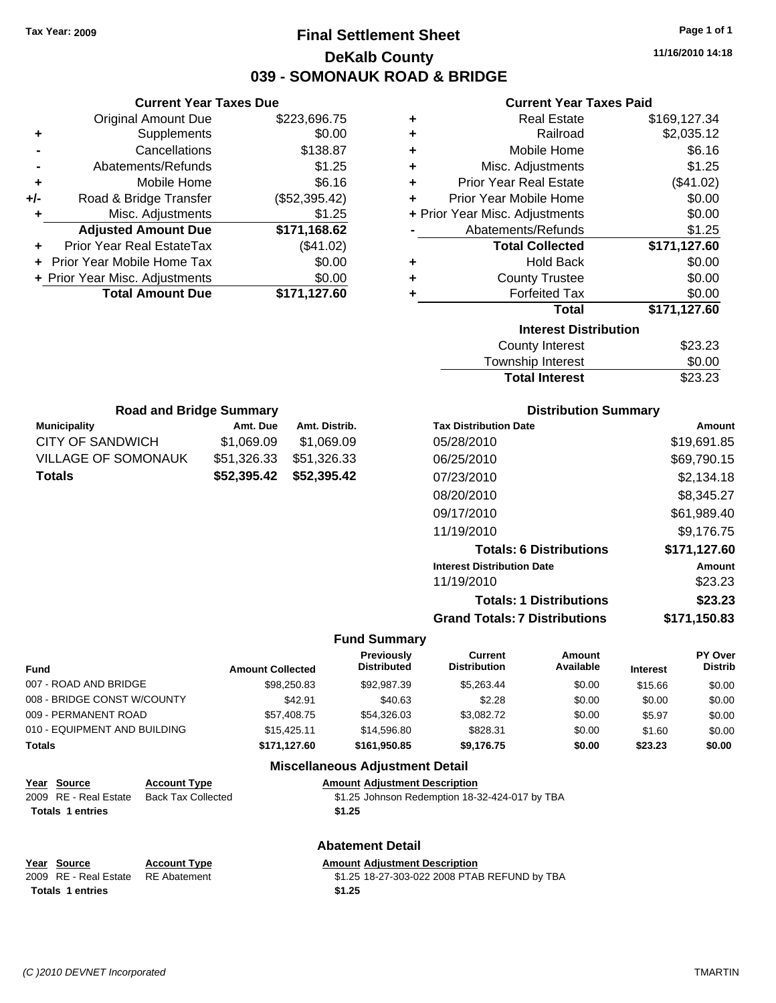### **Final Settlement Sheet Tax Year: 2009 Page 1 of 1 DeKalb County 039 - SOMONAUK ROAD & BRIDGE**

**11/16/2010 14:18**

#### **Current Year Taxes Paid**

| ٠                            | <b>Real Estate</b>             | \$169,127.34 |  |  |
|------------------------------|--------------------------------|--------------|--|--|
| ٠                            | Railroad                       | \$2,035.12   |  |  |
| ٠                            | Mobile Home                    | \$6.16       |  |  |
| ٠                            | Misc. Adjustments              | \$1.25       |  |  |
| ٠                            | <b>Prior Year Real Estate</b>  | (\$41.02)    |  |  |
| ÷                            | Prior Year Mobile Home         | \$0.00       |  |  |
|                              | + Prior Year Misc. Adjustments | \$0.00       |  |  |
|                              | Abatements/Refunds             | \$1.25       |  |  |
|                              | <b>Total Collected</b>         | \$171,127.60 |  |  |
| ٠                            | <b>Hold Back</b>               | \$0.00       |  |  |
| ÷                            | <b>County Trustee</b>          | \$0.00       |  |  |
| ٠                            | <b>Forfeited Tax</b>           | \$0.00       |  |  |
|                              | Total                          | \$171,127.60 |  |  |
| <b>Interest Distribution</b> |                                |              |  |  |
|                              | <b>County Interest</b>         | \$23.23      |  |  |
|                              | Townshin Interest              | ደ0 00        |  |  |

| <b>Total Interest</b> | \$23.23 |
|-----------------------|---------|
| Township Interest     | \$0.00  |
| County Interest       | \$23.23 |

| <b>Road and Bridge Summary</b> |                         |               |  |  |
|--------------------------------|-------------------------|---------------|--|--|
| <b>Municipality</b>            | Amt. Due                | Amt. Distrib. |  |  |
| CITY OF SANDWICH               | \$1,069.09              | \$1,069.09    |  |  |
| VILLAGE OF SOMONAUK            | \$51,326.33             | \$51,326.33   |  |  |
| <b>Totals</b>                  | \$52,395.42 \$52,395.42 |               |  |  |

**Current Year Taxes Due** Original Amount Due \$223,696.75

**Adjusted Amount Due \$171,168.62**

**Total Amount Due \$171,127.60**

**+** Supplements \$0.00 **-** Cancellations \$138.87 **-** Abatements/Refunds \$1.25 **+** Mobile Home \$6.16 **+/-** Road & Bridge Transfer (\$52,395.42) **+** Misc. Adjustments \$1.25

**+** Prior Year Real EstateTax (\$41.02) **+** Prior Year Mobile Home Tax \$0.00 **+ Prior Year Misc. Adjustments**  $$0.00$ 

#### **Distribution Summary**

| <b>Tax Distribution Date</b>         | Amount       |
|--------------------------------------|--------------|
| 05/28/2010                           | \$19,691.85  |
| 06/25/2010                           | \$69,790.15  |
| 07/23/2010                           | \$2,134.18   |
| 08/20/2010                           | \$8,345.27   |
| 09/17/2010                           | \$61,989.40  |
| 11/19/2010                           | \$9,176.75   |
| <b>Totals: 6 Distributions</b>       | \$171,127.60 |
| <b>Interest Distribution Date</b>    | Amount       |
| 11/19/2010                           | \$23.23      |
| <b>Totals: 1 Distributions</b>       | \$23.23      |
| <b>Grand Totals: 7 Distributions</b> | \$171.150.83 |

#### **Fund Summary**

| Fund                         | <b>Amount Collected</b> | <b>Previously</b><br><b>Distributed</b> | Current<br><b>Distribution</b> | Amount<br>Available | <b>Interest</b> | PY Over<br><b>Distrib</b> |
|------------------------------|-------------------------|-----------------------------------------|--------------------------------|---------------------|-----------------|---------------------------|
| 007 - ROAD AND BRIDGE        | \$98,250.83             | \$92,987.39                             | \$5,263,44                     | \$0.00              | \$15.66         | \$0.00                    |
| 008 - BRIDGE CONST W/COUNTY  | \$42.91                 | \$40.63                                 | \$2.28                         | \$0.00              | \$0.00          | \$0.00                    |
| 009 - PERMANENT ROAD         | \$57,408.75             | \$54,326.03                             | \$3,082.72                     | \$0.00              | \$5.97          | \$0.00                    |
| 010 - EQUIPMENT AND BUILDING | \$15,425.11             | \$14,596.80                             | \$828.31                       | \$0.00              | \$1.60          | \$0.00                    |
| Totals                       | \$171,127.60            | \$161.950.85                            | \$9,176.75                     | \$0.00              | \$23.23         | \$0.00                    |

#### **Miscellaneous Adjustment Detail**

#### **Year Source Account Type Amount Adjustment Description**

| 2009 RE - Real Estate Back Tax Collected | \$1.25 Johnson Redemption 18-32-424-017 by TBA |
|------------------------------------------|------------------------------------------------|
| <b>Totals 1 entries</b>                  | \$1.25                                         |

**Abatement Detail**

|  |                                    | .                   |                                              |  |  |
|--|------------------------------------|---------------------|----------------------------------------------|--|--|
|  | Year Source                        | <b>Account Type</b> | <b>Amount Adiustment Description</b>         |  |  |
|  | 2009 RE - Real Estate RE Abatement |                     | \$1.25 18-27-303-022 2008 PTAB REFUND by TBA |  |  |
|  | <b>Totals 1 entries</b>            |                     | \$1.25                                       |  |  |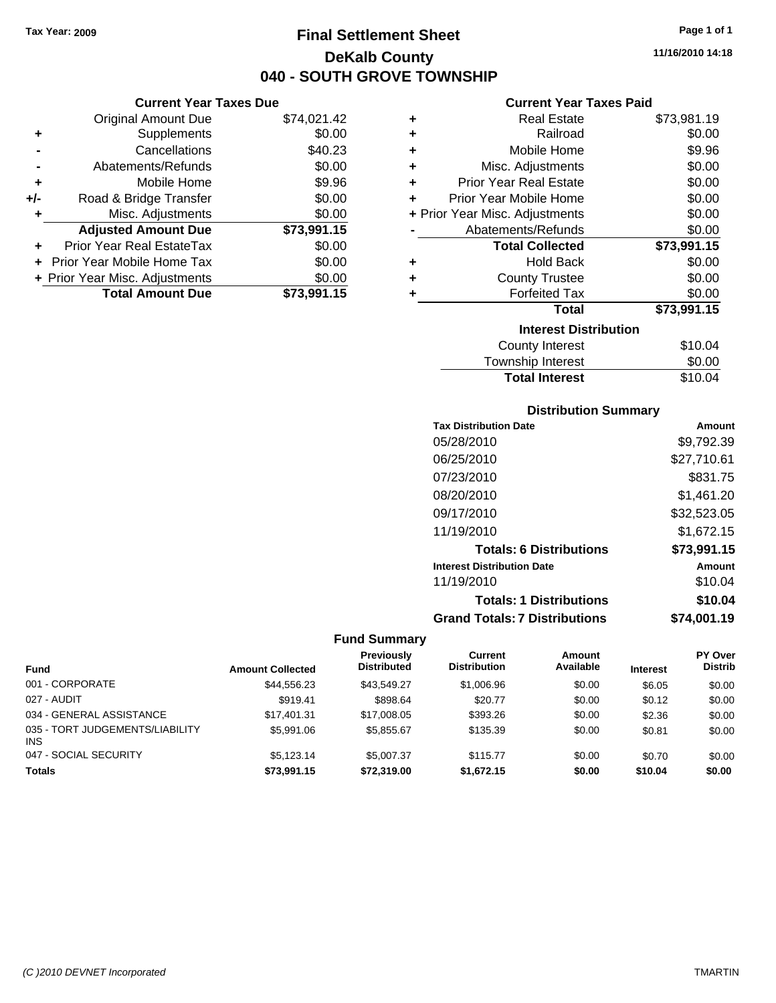**Current Year Taxes Due** Original Amount Due \$74,021.42

**Adjusted Amount Due \$73,991.15**

**Total Amount Due \$73,991.15**

**+** Supplements \$0.00 **-** Cancellations \$40.23 **-** Abatements/Refunds \$0.00 **+** Mobile Home \$9.96 **+/-** Road & Bridge Transfer \$0.00 **+** Misc. Adjustments \$0.00

**+** Prior Year Real EstateTax \$0.00 **+** Prior Year Mobile Home Tax \$0.00 **+ Prior Year Misc. Adjustments**  $$0.00$ 

### **Final Settlement Sheet Tax Year: 2009 Page 1 of 1 DeKalb County 040 - SOUTH GROVE TOWNSHIP**

**11/16/2010 14:18**

#### **Current Year Taxes Paid**

| ٠ | <b>Real Estate</b>             | \$73,981.19 |
|---|--------------------------------|-------------|
| ٠ | Railroad                       | \$0.00      |
| ٠ | Mobile Home                    | \$9.96      |
| ٠ | Misc. Adjustments              | \$0.00      |
| ÷ | <b>Prior Year Real Estate</b>  | \$0.00      |
| ٠ | Prior Year Mobile Home         | \$0.00      |
|   | + Prior Year Misc. Adjustments | \$0.00      |
|   | Abatements/Refunds             | \$0.00      |
|   |                                |             |
|   | <b>Total Collected</b>         | \$73,991.15 |
| ٠ | <b>Hold Back</b>               | \$0.00      |
| ٠ | <b>County Trustee</b>          | \$0.00      |
| ٠ | <b>Forfeited Tax</b>           | \$0.00      |
|   | <b>Total</b>                   | \$73,991.15 |
|   | <b>Interest Distribution</b>   |             |
|   | <b>County Interest</b>         | \$10.04     |

# Total Interest \$10.04

| <b>Distribution Summary</b>          |             |
|--------------------------------------|-------------|
| <b>Tax Distribution Date</b>         | Amount      |
| 05/28/2010                           | \$9,792.39  |
| 06/25/2010                           | \$27,710.61 |
| 07/23/2010                           | \$831.75    |
| 08/20/2010                           | \$1,461.20  |
| 09/17/2010                           | \$32,523.05 |
| 11/19/2010                           | \$1,672.15  |
| <b>Totals: 6 Distributions</b>       | \$73,991.15 |
| <b>Interest Distribution Date</b>    | Amount      |
| 11/19/2010                           | \$10.04     |
| <b>Totals: 1 Distributions</b>       | \$10.04     |
| <b>Grand Totals: 7 Distributions</b> | \$74.001.19 |

#### **Fund Summary**

| Fund                                          | <b>Amount Collected</b> | <b>Previously</b><br><b>Distributed</b> | Current<br><b>Distribution</b> | <b>Amount</b><br>Available | <b>Interest</b> | PY Over<br><b>Distrib</b> |
|-----------------------------------------------|-------------------------|-----------------------------------------|--------------------------------|----------------------------|-----------------|---------------------------|
| 001 - CORPORATE                               | \$44.556.23             | \$43.549.27                             | \$1,006.96                     | \$0.00                     | \$6.05          | \$0.00                    |
| 027 - AUDIT                                   | \$919.41                | \$898.64                                | \$20.77                        | \$0.00                     | \$0.12          | \$0.00                    |
| 034 - GENERAL ASSISTANCE                      | \$17.401.31             | \$17,008.05                             | \$393.26                       | \$0.00                     | \$2.36          | \$0.00                    |
| 035 - TORT JUDGEMENTS/LIABILITY<br><b>INS</b> | \$5,991.06              | \$5.855.67                              | \$135.39                       | \$0.00                     | \$0.81          | \$0.00                    |
| 047 - SOCIAL SECURITY                         | \$5.123.14              | \$5,007.37                              | \$115.77                       | \$0.00                     | \$0.70          | \$0.00                    |
| <b>Totals</b>                                 | \$73.991.15             | \$72,319.00                             | \$1.672.15                     | \$0.00                     | \$10.04         | \$0.00                    |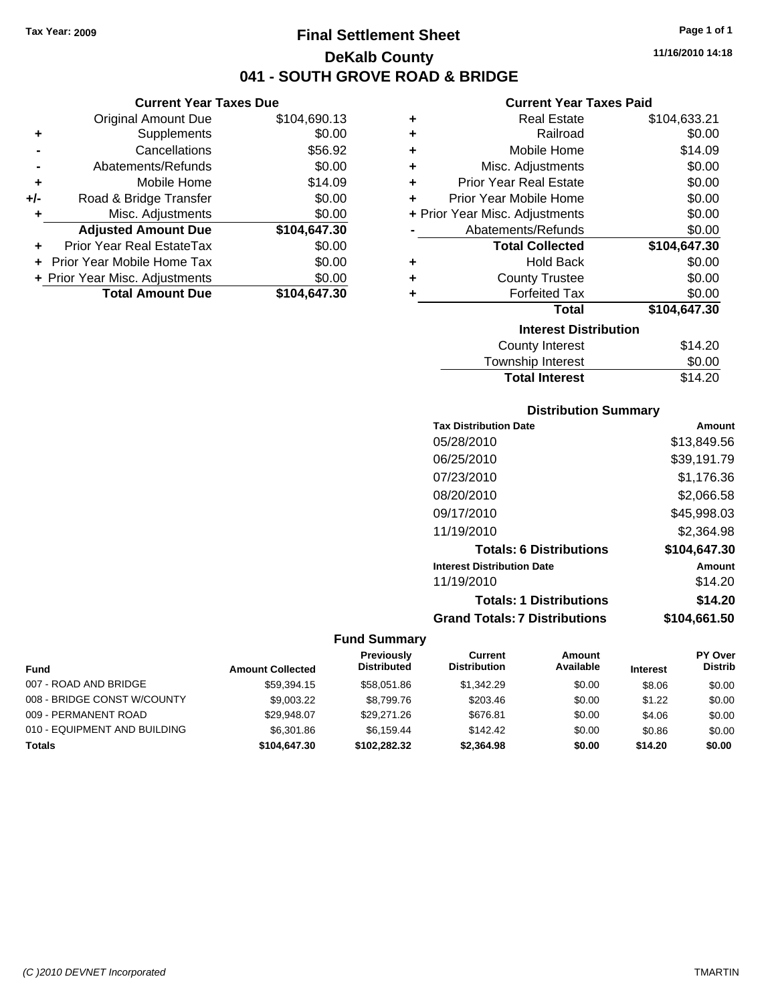### **Final Settlement Sheet Tax Year: 2009 Page 1 of 1 DeKalb County 041 - SOUTH GROVE ROAD & BRIDGE**

#### **Current Year Taxes Due**

|     | <b>Original Amount Due</b>        | \$104,690.13 |
|-----|-----------------------------------|--------------|
| ٠   | Supplements                       | \$0.00       |
|     | Cancellations                     | \$56.92      |
|     | Abatements/Refunds                | \$0.00       |
| ٠   | Mobile Home                       | \$14.09      |
| +/- | Road & Bridge Transfer            | \$0.00       |
| ٠   | Misc. Adjustments                 | \$0.00       |
|     | <b>Adjusted Amount Due</b>        | \$104,647.30 |
|     | Prior Year Real EstateTax         | \$0.00       |
|     | <b>Prior Year Mobile Home Tax</b> | \$0.00       |
|     | + Prior Year Misc. Adjustments    | \$0.00       |
|     | <b>Total Amount Due</b>           | \$104.647.30 |

#### **Current Year Taxes Paid**

| ٠ | <b>Real Estate</b>               | \$104,633.21 |
|---|----------------------------------|--------------|
| ÷ | Railroad                         | \$0.00       |
| ÷ | Mobile Home                      | \$14.09      |
| ٠ | Misc. Adjustments                | \$0.00       |
| ÷ | <b>Prior Year Real Estate</b>    | \$0.00       |
| ÷ | Prior Year Mobile Home           | \$0.00       |
|   | + Prior Year Misc. Adjustments   | \$0.00       |
|   | Abatements/Refunds               | \$0.00       |
|   | <b>Total Collected</b>           | \$104,647.30 |
| ٠ | <b>Hold Back</b>                 | \$0.00       |
| ٠ | <b>County Trustee</b>            | \$0.00       |
|   | <b>Forfeited Tax</b>             | \$0.00       |
|   | Total                            | \$104,647.30 |
|   | <b>Interest Distribution</b>     |              |
|   | <b>County Interest</b>           | \$14.20      |
|   | للتوصيص عناصرا المراجل المسترورة | ጦጣ ጣጣ        |

#### Township Interest \$0.00<br>
Total Interest \$14.20 **Total Interest**

| <b>Distribution Summary</b>          |              |  |  |  |  |
|--------------------------------------|--------------|--|--|--|--|
| <b>Tax Distribution Date</b>         | Amount       |  |  |  |  |
| 05/28/2010                           | \$13,849.56  |  |  |  |  |
| 06/25/2010                           | \$39,191.79  |  |  |  |  |
| 07/23/2010                           | \$1,176.36   |  |  |  |  |
| 08/20/2010                           | \$2,066.58   |  |  |  |  |
| 09/17/2010                           | \$45,998.03  |  |  |  |  |
| 11/19/2010                           | \$2,364.98   |  |  |  |  |
| <b>Totals: 6 Distributions</b>       | \$104.647.30 |  |  |  |  |
| <b>Interest Distribution Date</b>    | Amount       |  |  |  |  |
| 11/19/2010                           | \$14.20      |  |  |  |  |
| <b>Totals: 1 Distributions</b>       | \$14.20      |  |  |  |  |
| <b>Grand Totals: 7 Distributions</b> | \$104.661.50 |  |  |  |  |

#### **Fund Summary**

|                              |                         | <b>Previously</b>  | Current             | Amount    |                 | <b>PY Over</b> |
|------------------------------|-------------------------|--------------------|---------------------|-----------|-----------------|----------------|
| <b>Fund</b>                  | <b>Amount Collected</b> | <b>Distributed</b> | <b>Distribution</b> | Available | <b>Interest</b> | <b>Distrib</b> |
| 007 - ROAD AND BRIDGE        | \$59,394.15             | \$58,051.86        | \$1,342.29          | \$0.00    | \$8.06          | \$0.00         |
| 008 - BRIDGE CONST W/COUNTY  | \$9,003.22              | \$8.799.76         | \$203.46            | \$0.00    | \$1.22          | \$0.00         |
| 009 - PERMANENT ROAD         | \$29.948.07             | \$29.271.26        | \$676.81            | \$0.00    | \$4.06          | \$0.00         |
| 010 - EQUIPMENT AND BUILDING | \$6,301.86              | \$6.159.44         | \$142.42            | \$0.00    | \$0.86          | \$0.00         |
| <b>Totals</b>                | \$104,647.30            | \$102,282.32       | \$2,364.98          | \$0.00    | \$14.20         | \$0.00         |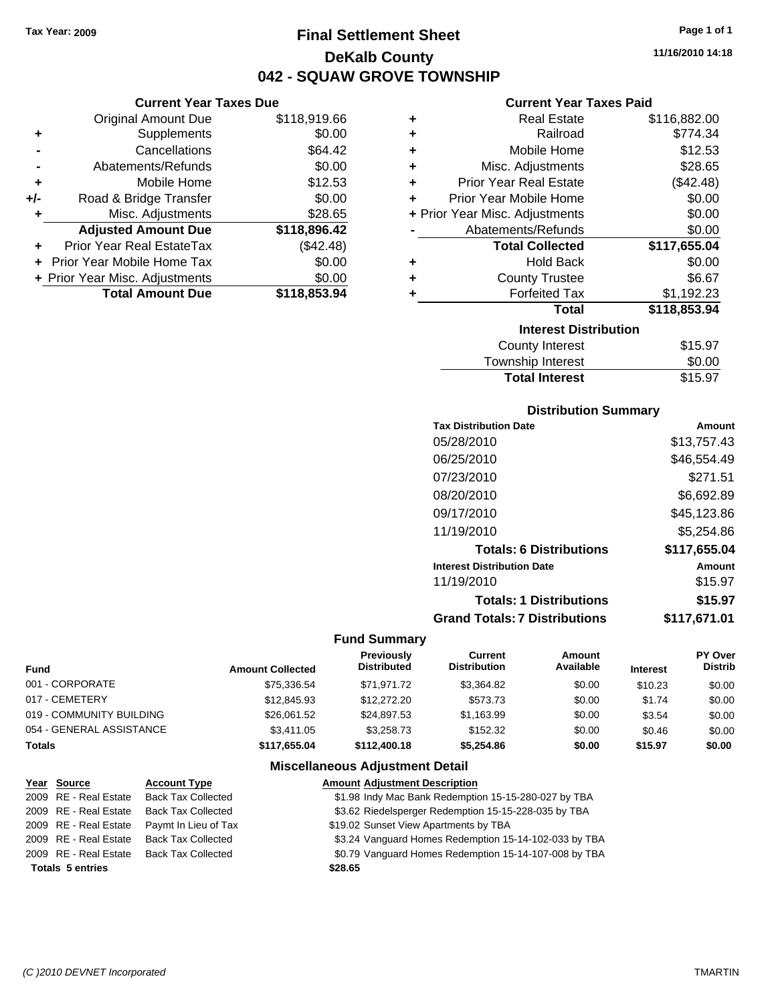**Current Year Taxes Due** Original Amount Due \$118,919.66

**Adjusted Amount Due \$118,896.42**

**Total Amount Due \$118,853.94**

**+** Supplements \$0.00 **-** Cancellations \$64.42 **-** Abatements/Refunds \$0.00 **+** Mobile Home \$12.53 **+/-** Road & Bridge Transfer \$0.00 **+** Misc. Adjustments \$28.65

**+** Prior Year Real EstateTax (\$42.48) **+** Prior Year Mobile Home Tax \$0.00 **+ Prior Year Misc. Adjustments**  $$0.00$ 

### **Final Settlement Sheet Tax Year: 2009 Page 1 of 1 DeKalb County 042 - SQUAW GROVE TOWNSHIP**

**11/16/2010 14:18**

### **Current Year Taxes Paid**

| ٠ | <b>Real Estate</b>             | \$116,882.00 |
|---|--------------------------------|--------------|
| ÷ | Railroad                       | \$774.34     |
| ÷ | Mobile Home                    | \$12.53      |
| ÷ | Misc. Adjustments              | \$28.65      |
| ÷ | <b>Prior Year Real Estate</b>  | (\$42.48)    |
| ÷ | Prior Year Mobile Home         | \$0.00       |
|   | + Prior Year Misc. Adjustments | \$0.00       |
|   | Abatements/Refunds             | \$0.00       |
|   | <b>Total Collected</b>         | \$117,655.04 |
| ٠ | <b>Hold Back</b>               | \$0.00       |
| ٠ | <b>County Trustee</b>          | \$6.67       |
| ٠ | <b>Forfeited Tax</b>           | \$1,192.23   |
|   | <b>Total</b>                   | \$118,853.94 |
|   | <b>Interest Distribution</b>   |              |
|   | <b>County Interest</b>         | \$15.97      |
|   | <b>Townebin Interact</b>       | ደስ ሰስ        |

### Township Interest

| Township Interest     | <b>SU.UU</b> |
|-----------------------|--------------|
| <b>Total Interest</b> | \$15.97      |
| Dietribution Summary  |              |

| PISU INUUVII VUIIIIIIUI V            |              |
|--------------------------------------|--------------|
| <b>Tax Distribution Date</b>         | Amount       |
| 05/28/2010                           | \$13.757.43  |
| 06/25/2010                           | \$46.554.49  |
| 07/23/2010                           | \$271.51     |
| 08/20/2010                           | \$6,692.89   |
| 09/17/2010                           | \$45,123.86  |
| 11/19/2010                           | \$5,254.86   |
| <b>Totals: 6 Distributions</b>       | \$117,655.04 |
| <b>Interest Distribution Date</b>    | Amount       |
| 11/19/2010                           | \$15.97      |
| <b>Totals: 1 Distributions</b>       | \$15.97      |
| <b>Grand Totals: 7 Distributions</b> | \$117.671.01 |

#### **Fund Summary**

| Fund                     | <b>Amount Collected</b> | <b>Previously</b><br><b>Distributed</b> | Current<br><b>Distribution</b> | Amount<br>Available | <b>Interest</b> | <b>PY Over</b><br><b>Distrib</b> |
|--------------------------|-------------------------|-----------------------------------------|--------------------------------|---------------------|-----------------|----------------------------------|
| 001 - CORPORATE          | \$75,336.54             | \$71,971.72                             | \$3.364.82                     | \$0.00              | \$10.23         | \$0.00                           |
| 017 - CEMETERY           | \$12,845.93             | \$12,272,20                             | \$573.73                       | \$0.00              | \$1.74          | \$0.00                           |
| 019 - COMMUNITY BUILDING | \$26.061.52             | \$24.897.53                             | \$1.163.99                     | \$0.00              | \$3.54          | \$0.00                           |
| 054 - GENERAL ASSISTANCE | \$3,411.05              | \$3.258.73                              | \$152.32                       | \$0.00              | \$0.46          | \$0.00                           |
| Totals                   | \$117,655.04            | \$112,400.18                            | \$5,254.86                     | \$0.00              | \$15.97         | \$0.00                           |

#### **Miscellaneous Adjustment Detail**

|                         | Year Source           | <b>Account Type</b>       | <b>Amount Adjustment Description</b>                  |
|-------------------------|-----------------------|---------------------------|-------------------------------------------------------|
|                         | 2009 RE - Real Estate | <b>Back Tax Collected</b> | \$1.98 Indy Mac Bank Redemption 15-15-280-027 by TBA  |
|                         | 2009 RE - Real Estate | <b>Back Tax Collected</b> | \$3.62 Riedelsperger Redemption 15-15-228-035 by TBA  |
|                         | 2009 RE - Real Estate | Paymt In Lieu of Tax      | \$19.02 Sunset View Apartments by TBA                 |
|                         | 2009 RE - Real Estate | <b>Back Tax Collected</b> | \$3.24 Vanguard Homes Redemption 15-14-102-033 by TBA |
|                         | 2009 RE - Real Estate | <b>Back Tax Collected</b> | \$0.79 Vanguard Homes Redemption 15-14-107-008 by TBA |
| <b>Totals 5 entries</b> |                       |                           | \$28.65                                               |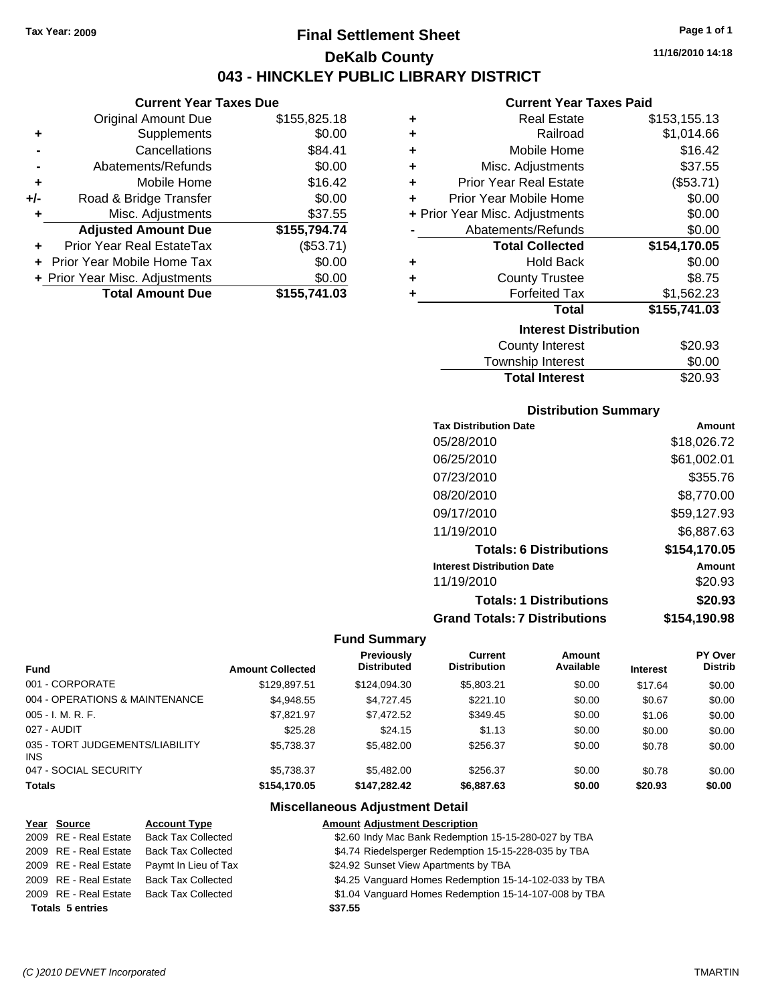### **Final Settlement Sheet Tax Year: 2009 Page 1 of 1 DeKalb County 043 - HINCKLEY PUBLIC LIBRARY DISTRICT**

**11/16/2010 14:18**

### **Current Year Taxes Paid**

|     | <b>Current Year Taxes Due</b>  |              |  |  |  |  |
|-----|--------------------------------|--------------|--|--|--|--|
|     | Original Amount Due            | \$155,825.18 |  |  |  |  |
| ٠   | Supplements                    | \$0.00       |  |  |  |  |
|     | Cancellations                  | \$84.41      |  |  |  |  |
|     | Abatements/Refunds             | \$0.00       |  |  |  |  |
| ٠   | Mobile Home                    | \$16.42      |  |  |  |  |
| +/- | Road & Bridge Transfer         | \$0.00       |  |  |  |  |
| ٠   | Misc. Adjustments              | \$37.55      |  |  |  |  |
|     | <b>Adjusted Amount Due</b>     | \$155,794.74 |  |  |  |  |
|     | Prior Year Real EstateTax      | (\$53.71)    |  |  |  |  |
|     | Prior Year Mobile Home Tax     | \$0.00       |  |  |  |  |
|     | + Prior Year Misc. Adjustments | \$0.00       |  |  |  |  |
|     | <b>Total Amount Due</b>        | \$155,741.03 |  |  |  |  |

| ٠ | Real Estate                    | \$153,155.13 |
|---|--------------------------------|--------------|
| ÷ | Railroad                       | \$1,014.66   |
| ÷ | Mobile Home                    | \$16.42      |
| ÷ | Misc. Adjustments              | \$37.55      |
| ٠ | <b>Prior Year Real Estate</b>  | (\$53.71)    |
| ٠ | Prior Year Mobile Home         | \$0.00       |
|   | + Prior Year Misc. Adjustments | \$0.00       |
|   | Abatements/Refunds             | \$0.00       |
|   | <b>Total Collected</b>         | \$154,170.05 |
| ٠ | Hold Back                      | \$0.00       |
| ٠ | <b>County Trustee</b>          | \$8.75       |
| ٠ | <b>Forfeited Tax</b>           | \$1,562.23   |
|   | Total                          | \$155,741.03 |
|   | <b>Interest Distribution</b>   |              |
|   | <b>County Interest</b>         | \$20.93      |
|   | <b>Township Interest</b>       | \$0.00       |
|   | <b>Total Interest</b>          | \$20.93      |

#### **Distribution Summary**

| <b>Tax Distribution Date</b>         | Amount       |
|--------------------------------------|--------------|
| 05/28/2010                           | \$18,026.72  |
| 06/25/2010                           | \$61,002.01  |
| 07/23/2010                           | \$355.76     |
| 08/20/2010                           | \$8,770.00   |
| 09/17/2010                           | \$59,127.93  |
| 11/19/2010                           | \$6,887.63   |
| <b>Totals: 6 Distributions</b>       | \$154,170.05 |
| <b>Interest Distribution Date</b>    | Amount       |
| 11/19/2010                           | \$20.93      |
| <b>Totals: 1 Distributions</b>       | \$20.93      |
| <b>Grand Totals: 7 Distributions</b> | \$154,190.98 |

#### **Fund Summary**

| <b>Fund</b>                             | <b>Amount Collected</b> | Previously<br><b>Distributed</b> | Current<br><b>Distribution</b> | Amount<br>Available | <b>Interest</b> | PY Over<br><b>Distrib</b> |
|-----------------------------------------|-------------------------|----------------------------------|--------------------------------|---------------------|-----------------|---------------------------|
| 001 - CORPORATE                         | \$129.897.51            | \$124,094.30                     | \$5,803.21                     | \$0.00              | \$17.64         | \$0.00                    |
| 004 - OPERATIONS & MAINTENANCE          | \$4.948.55              | \$4.727.45                       | \$221.10                       | \$0.00              | \$0.67          | \$0.00                    |
| 005 - I. M. R. F.                       | \$7.821.97              | \$7,472.52                       | \$349.45                       | \$0.00              | \$1.06          | \$0.00                    |
| 027 - AUDIT                             | \$25.28                 | \$24.15                          | \$1.13                         | \$0.00              | \$0.00          | \$0.00                    |
| 035 - TORT JUDGEMENTS/LIABILITY<br>INS. | \$5,738.37              | \$5,482,00                       | \$256.37                       | \$0.00              | \$0.78          | \$0.00                    |
| 047 - SOCIAL SECURITY                   | \$5.738.37              | \$5,482,00                       | \$256.37                       | \$0.00              | \$0.78          | \$0.00                    |
| <b>Totals</b>                           | \$154,170.05            | \$147.282.42                     | \$6,887.63                     | \$0.00              | \$20.93         | \$0.00                    |

#### **Miscellaneous Adjustment Detail**

| Year Source             | <b>Account Type</b>       | <b>Amount Adjustment Description</b>                  |
|-------------------------|---------------------------|-------------------------------------------------------|
| 2009 RE - Real Estate   | <b>Back Tax Collected</b> | \$2.60 Indy Mac Bank Redemption 15-15-280-027 by TBA  |
| 2009 RE - Real Estate   | <b>Back Tax Collected</b> | \$4.74 Riedelsperger Redemption 15-15-228-035 by TBA  |
| 2009 RE - Real Estate   | Paymt In Lieu of Tax      | \$24.92 Sunset View Apartments by TBA                 |
| 2009 RE - Real Estate   | <b>Back Tax Collected</b> | \$4.25 Vanguard Homes Redemption 15-14-102-033 by TBA |
| 2009 RE - Real Estate   | <b>Back Tax Collected</b> | \$1.04 Vanguard Homes Redemption 15-14-107-008 by TBA |
| <b>Totals 5 entries</b> |                           | \$37.55                                               |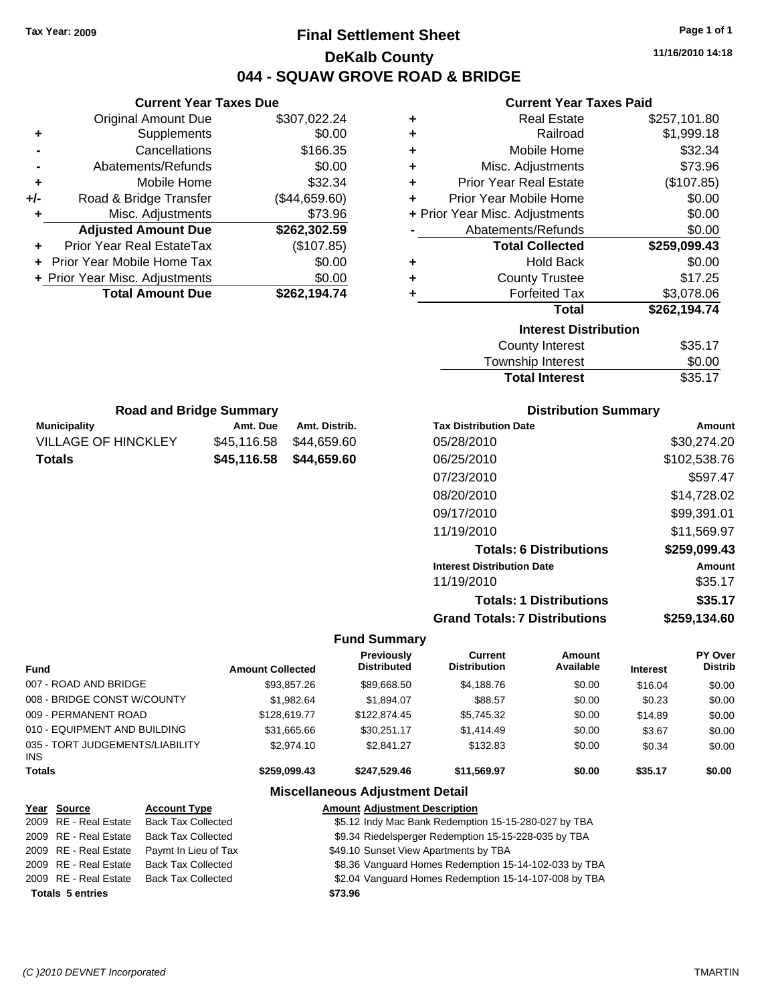### **Final Settlement Sheet Tax Year: 2009 Page 1 of 1 DeKalb County 044 - SQUAW GROVE ROAD & BRIDGE**

**11/16/2010 14:18**

#### **Current Year Taxes Paid**

| ٠                            | <b>Real Estate</b>             | \$257,101.80 |  |  |
|------------------------------|--------------------------------|--------------|--|--|
| ٠                            | Railroad                       | \$1,999.18   |  |  |
| ÷                            | Mobile Home                    | \$32.34      |  |  |
| ÷                            | Misc. Adjustments              | \$73.96      |  |  |
| ٠                            | <b>Prior Year Real Estate</b>  | (\$107.85)   |  |  |
| ÷                            | Prior Year Mobile Home         | \$0.00       |  |  |
|                              | + Prior Year Misc. Adjustments | \$0.00       |  |  |
| Abatements/Refunds           |                                | \$0.00       |  |  |
|                              | <b>Total Collected</b>         | \$259,099.43 |  |  |
| ٠                            | <b>Hold Back</b>               | \$0.00       |  |  |
| ٠                            | <b>County Trustee</b>          | \$17.25      |  |  |
| ٠                            | <b>Forfeited Tax</b>           | \$3,078.06   |  |  |
|                              | <b>Total</b>                   | \$262,194.74 |  |  |
| <b>Interest Distribution</b> |                                |              |  |  |
|                              | <b>County Interest</b>         | \$35.17      |  |  |
|                              | Townehin Intaract              | ቁስ ስስ        |  |  |

|                       | .       |
|-----------------------|---------|
| Township Interest     | \$0.00  |
| <b>Total Interest</b> | \$35.17 |
|                       |         |

| <b>Road and Bridge Summary</b> |             |               |  |  |
|--------------------------------|-------------|---------------|--|--|
| Municipality                   | Amt. Due    | Amt. Distrib. |  |  |
| VILLAGE OF HINCKLEY            | \$45.116.58 | \$44.659.60   |  |  |
| Totals                         | \$45,116.58 | \$44,659.60   |  |  |

**Current Year Taxes Due** Original Amount Due \$307,022.24

**Adjusted Amount Due \$262,302.59**

**Total Amount Due \$262,194.74**

**+** Supplements \$0.00 **-** Cancellations \$166.35 **-** Abatements/Refunds \$0.00 **+** Mobile Home \$32.34 **+/-** Road & Bridge Transfer (\$44,659.60) **+** Misc. Adjustments \$73.96

**+** Prior Year Real EstateTax (\$107.85) **+** Prior Year Mobile Home Tax \$0.00 **+ Prior Year Misc. Adjustments**  $$0.00$ 

#### **Distribution Summary**

| <b>Tax Distribution Date</b>         | Amount       |
|--------------------------------------|--------------|
| 05/28/2010                           | \$30,274.20  |
| 06/25/2010                           | \$102,538.76 |
| 07/23/2010                           | \$597.47     |
| 08/20/2010                           | \$14,728.02  |
| 09/17/2010                           | \$99,391.01  |
| 11/19/2010                           | \$11,569.97  |
| <b>Totals: 6 Distributions</b>       | \$259,099.43 |
| <b>Interest Distribution Date</b>    | Amount       |
| 11/19/2010                           | \$35.17      |
| <b>Totals: 1 Distributions</b>       | \$35.17      |
| <b>Grand Totals: 7 Distributions</b> | \$259,134.60 |

#### **Fund Summary**

| <b>Fund</b>                                   | <b>Amount Collected</b> | <b>Previously</b><br><b>Distributed</b> | Current<br><b>Distribution</b> | Amount<br>Available | <b>Interest</b> | PY Over<br><b>Distrib</b> |
|-----------------------------------------------|-------------------------|-----------------------------------------|--------------------------------|---------------------|-----------------|---------------------------|
| 007 - ROAD AND BRIDGE                         | \$93.857.26             | \$89,668.50                             | \$4,188.76                     | \$0.00              | \$16.04         | \$0.00                    |
| 008 - BRIDGE CONST W/COUNTY                   | \$1.982.64              | \$1.894.07                              | \$88.57                        | \$0.00              | \$0.23          | \$0.00                    |
| 009 - PERMANENT ROAD                          | \$128,619.77            | \$122,874.45                            | \$5,745.32                     | \$0.00              | \$14.89         | \$0.00                    |
| 010 - EQUIPMENT AND BUILDING                  | \$31,665.66             | \$30.251.17                             | \$1,414.49                     | \$0.00              | \$3.67          | \$0.00                    |
| 035 - TORT JUDGEMENTS/LIABILITY<br><b>INS</b> | \$2,974.10              | \$2.841.27                              | \$132.83                       | \$0.00              | \$0.34          | \$0.00                    |
| <b>Totals</b>                                 | \$259.099.43            | \$247.529.46                            | \$11.569.97                    | \$0.00              | \$35.17         | \$0.00                    |

#### **Miscellaneous Adjustment Detail**

#### **Year Source Account Type Amount Adjustment Description** 2009 RE - Real Estate Back Tax Collected **\$5.12 Indy Mac Bank Redemption 15-15-280-027 by TBA** 2009 RE - Real Estate Back Tax Collected \$9.34 Riedelsperger Redemption 15-15-228-035 by TBA 2009 RE - Real Estate Paymt In Lieu of Tax **\$49.10 Sunset View Apartments by TBA** 2009 RE - Real Estate Back Tax Collected \$8.36 Vanguard Homes Redemption 15-14-102-033 by TBA

2009 RE - Real Estate Back Tax Collected \$2.04 Vanguard Homes Redemption 15-14-107-008 by TBA

**Totals \$73.96 5 entries**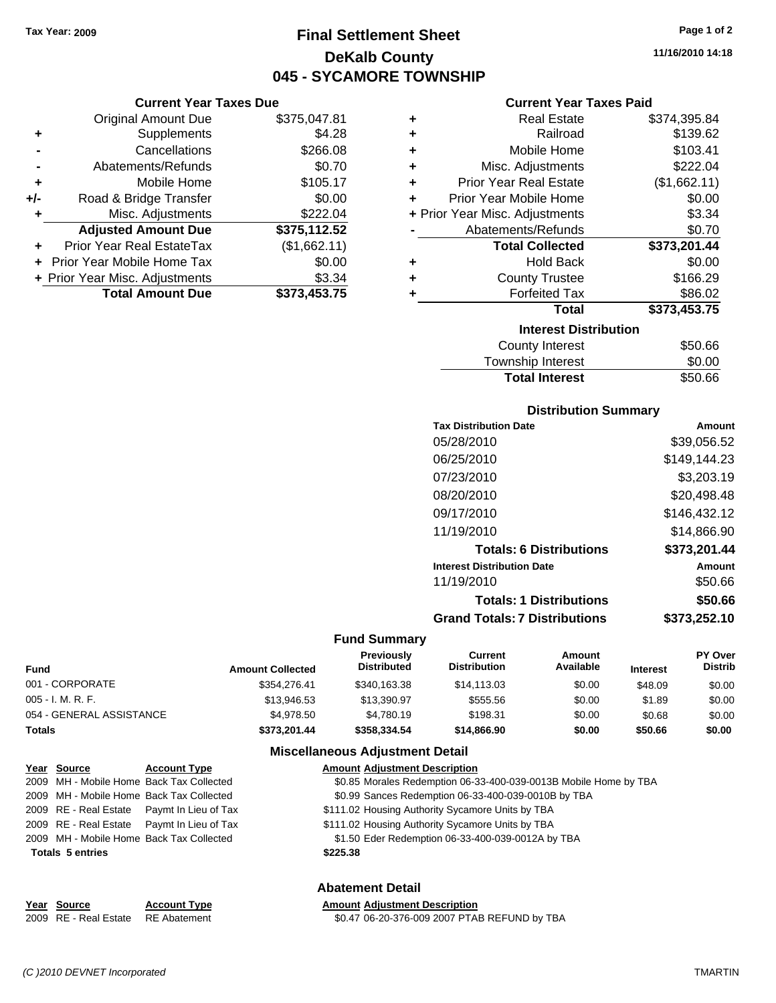**Current Year Taxes Due** Original Amount Due \$375,047.81

**Adjusted Amount Due \$375,112.52**

**Total Amount Due \$373,453.75**

**+** Supplements \$4.28 **-** Cancellations \$266.08 **-** Abatements/Refunds \$0.70 **+** Mobile Home \$105.17 **+/-** Road & Bridge Transfer \$0.00 **+** Misc. Adjustments \$222.04

**+** Prior Year Real EstateTax (\$1,662.11) **+** Prior Year Mobile Home Tax \$0.00 **+** Prior Year Misc. Adjustments \$3.34

### **Final Settlement Sheet Tax Year: 2009 Page 1 of 2 DeKalb County 045 - SYCAMORE TOWNSHIP**

**11/16/2010 14:18**

#### **Current Year Taxes Paid**

| ٠                            | <b>Real Estate</b>             | \$374,395.84 |  |  |
|------------------------------|--------------------------------|--------------|--|--|
| ٠                            | Railroad                       | \$139.62     |  |  |
| ٠                            | Mobile Home                    | \$103.41     |  |  |
| ٠                            | Misc. Adjustments              | \$222.04     |  |  |
| ٠                            | <b>Prior Year Real Estate</b>  | (\$1,662.11) |  |  |
| ٠                            | Prior Year Mobile Home         | \$0.00       |  |  |
|                              | + Prior Year Misc. Adjustments | \$3.34       |  |  |
|                              | Abatements/Refunds             | \$0.70       |  |  |
|                              | <b>Total Collected</b>         | \$373,201.44 |  |  |
| ٠                            | <b>Hold Back</b>               | \$0.00       |  |  |
| ٠                            | <b>County Trustee</b>          | \$166.29     |  |  |
| ÷                            | <b>Forfeited Tax</b>           | \$86.02      |  |  |
|                              | <b>Total</b>                   | \$373,453.75 |  |  |
| <b>Interest Distribution</b> |                                |              |  |  |
|                              | <b>County Interest</b>         | \$50.66      |  |  |
|                              | <b>Township Interest</b>       | \$0.00       |  |  |

### **Total Interest** \$50.66

| <b>Distribution Summary</b>          |              |
|--------------------------------------|--------------|
| <b>Tax Distribution Date</b>         | Amount       |
| 05/28/2010                           | \$39,056.52  |
| 06/25/2010                           | \$149,144.23 |
| 07/23/2010                           | \$3.203.19   |
| 08/20/2010                           | \$20,498.48  |
| 09/17/2010                           | \$146,432.12 |
| 11/19/2010                           | \$14.866.90  |
| <b>Totals: 6 Distributions</b>       | \$373,201.44 |
| <b>Interest Distribution Date</b>    | Amount       |
| 11/19/2010                           | \$50.66      |
| <b>Totals: 1 Distributions</b>       | \$50.66      |
| <b>Grand Totals: 7 Distributions</b> | \$373,252.10 |

#### **Fund Summary**

| <b>Fund</b>              | <b>Amount Collected</b> | <b>Previously</b><br><b>Distributed</b> | Current<br><b>Distribution</b> | Amount<br>Available | <b>Interest</b> | PY Over<br><b>Distrib</b> |
|--------------------------|-------------------------|-----------------------------------------|--------------------------------|---------------------|-----------------|---------------------------|
| 001 - CORPORATE          | \$354.276.41            | \$340,163.38                            | \$14,113.03                    | \$0.00              | \$48.09         | \$0.00                    |
| $005 - I. M. R. F.$      | \$13,946.53             | \$13,390.97                             | \$555.56                       | \$0.00              | \$1.89          | \$0.00                    |
| 054 - GENERAL ASSISTANCE | \$4.978.50              | \$4.780.19                              | \$198.31                       | \$0.00              | \$0.68          | \$0.00                    |
| <b>Totals</b>            | \$373,201.44            | \$358.334.54                            | \$14,866.90                    | \$0.00              | \$50.66         | \$0.00                    |

#### **Miscellaneous Adjustment Detail**

| Year Source             | <b>Account Type</b>                        | <b>Amount Adjustment Description</b>                             |
|-------------------------|--------------------------------------------|------------------------------------------------------------------|
|                         | 2009 MH - Mobile Home Back Tax Collected   | \$0.85 Morales Redemption 06-33-400-039-0013B Mobile Home by TBA |
|                         | 2009 MH - Mobile Home Back Tax Collected   | \$0.99 Sances Redemption 06-33-400-039-0010B by TBA              |
|                         | 2009 RE - Real Estate Paymt In Lieu of Tax | \$111.02 Housing Authority Sycamore Units by TBA                 |
|                         | 2009 RE - Real Estate Paymt In Lieu of Tax | \$111.02 Housing Authority Sycamore Units by TBA                 |
|                         | 2009 MH - Mobile Home Back Tax Collected   | \$1.50 Eder Redemption 06-33-400-039-0012A by TBA                |
| <b>Totals 5 entries</b> |                                            | \$225.38                                                         |
|                         |                                            | Abatement Detail                                                 |

|             |                     | .                                    |
|-------------|---------------------|--------------------------------------|
| Year Source | <b>Account Type</b> | <b>Amount Adiustment Description</b> |

2009 RE - Real Estate RE Abatement \$0.47 06-20-376-009 2007 PTAB REFUND by TBA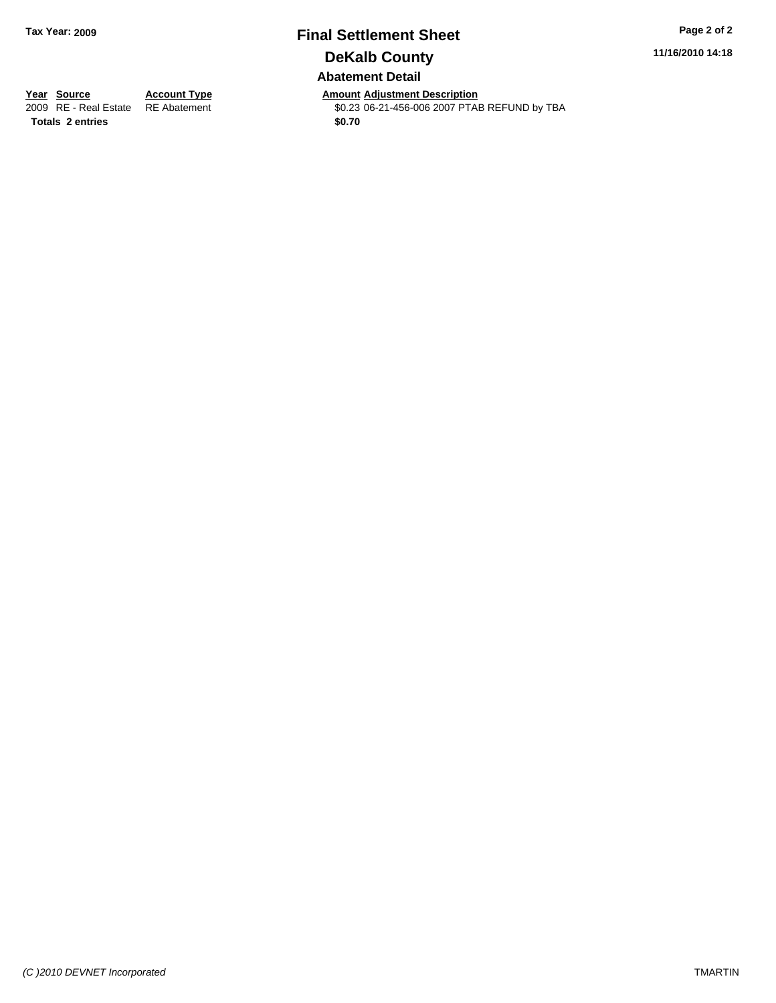# **Final Settlement Sheet Tax Year: 2009 Page 2 of 2 DeKalb County**

**11/16/2010 14:18**

#### **Abatement Detail**

Totals 2 entries \$0.70

**Year Source Account Type Amount Adjustment Description**<br> **Amount Adjustment Adjustment Adjustment Adjustment Adjustment Adjustment Adjustment Adjustment Adjustment Adjustment** \$0.23 06-21-456-006 2007 PTAB REFUND by TBA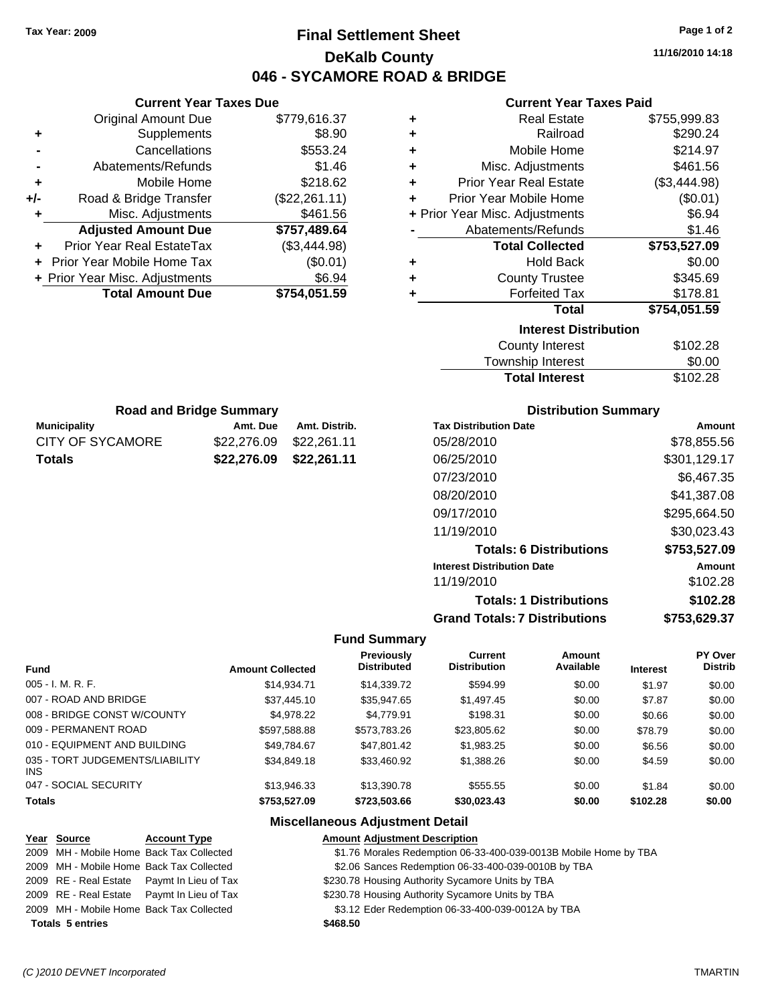### **Final Settlement Sheet Tax Year: 2009 Page 1 of 2 DeKalb County 046 - SYCAMORE ROAD & BRIDGE**

**11/16/2010 14:18**

#### **Current Year Taxes Paid**

| ٠                            | <b>Real Estate</b>             | \$755,999.83 |  |  |
|------------------------------|--------------------------------|--------------|--|--|
| ÷                            | Railroad                       | \$290.24     |  |  |
| ÷                            | Mobile Home                    | \$214.97     |  |  |
| ÷                            | Misc. Adjustments              | \$461.56     |  |  |
| ٠                            | <b>Prior Year Real Estate</b>  | (\$3,444.98) |  |  |
| ÷                            | Prior Year Mobile Home         | (\$0.01)     |  |  |
|                              | + Prior Year Misc. Adjustments | \$6.94       |  |  |
|                              | Abatements/Refunds             | \$1.46       |  |  |
|                              | <b>Total Collected</b>         | \$753,527.09 |  |  |
| ٠                            | <b>Hold Back</b>               | \$0.00       |  |  |
| ٠                            | <b>County Trustee</b>          | \$345.69     |  |  |
|                              | <b>Forfeited Tax</b>           | \$178.81     |  |  |
|                              | Total                          | \$754,051.59 |  |  |
| <b>Interest Distribution</b> |                                |              |  |  |
|                              | <b>County Interest</b>         | \$102.28     |  |  |
|                              | Township Interact              | ድስ ሰሰ        |  |  |

| <b>Total Interest</b>   | \$102.28      |
|-------------------------|---------------|
| Township Interest       | \$0.00        |
| <b>OVATILY THIGHOOL</b> | <b>UIVLLU</b> |

| <b>Road and Bridge Summary</b>    |                         |               |  |  |
|-----------------------------------|-------------------------|---------------|--|--|
| <b>Municipality</b>               | Amt. Due                | Amt. Distrib. |  |  |
| <b>CITY OF SYCAMORE</b>           | \$22,276.09 \$22,261.11 |               |  |  |
| \$22,276.09 \$22,261.11<br>Totals |                         |               |  |  |

**Current Year Taxes Due** Original Amount Due \$779,616.37

**Adjusted Amount Due \$757,489.64**

**Total Amount Due \$754,051.59**

**+** Supplements \$8.90 **-** Cancellations **\$553.24 -** Abatements/Refunds \$1.46 **+** Mobile Home \$218.62 **+/-** Road & Bridge Transfer (\$22,261.11) **+** Misc. Adjustments \$461.56

**+** Prior Year Real EstateTax (\$3,444.98) **+** Prior Year Mobile Home Tax (\$0.01) **+ Prior Year Misc. Adjustments**  $$6.94$ 

#### **Distribution Summary**

| <b>Tax Distribution Date</b>         | Amount       |
|--------------------------------------|--------------|
| 05/28/2010                           | \$78,855.56  |
| 06/25/2010                           | \$301,129.17 |
| 07/23/2010                           | \$6,467.35   |
| 08/20/2010                           | \$41,387.08  |
| 09/17/2010                           | \$295,664.50 |
| 11/19/2010                           | \$30,023.43  |
| <b>Totals: 6 Distributions</b>       | \$753,527.09 |
| <b>Interest Distribution Date</b>    | Amount       |
| 11/19/2010                           | \$102.28     |
| <b>Totals: 1 Distributions</b>       | \$102.28     |
| <b>Grand Totals: 7 Distributions</b> | \$753,629.37 |

#### **Fund Summary**

|                                               |                         | <b>Previously</b>  | <b>Current</b>      | Amount    |                 | PY Over        |
|-----------------------------------------------|-------------------------|--------------------|---------------------|-----------|-----------------|----------------|
| <b>Fund</b>                                   | <b>Amount Collected</b> | <b>Distributed</b> | <b>Distribution</b> | Available | <b>Interest</b> | <b>Distrib</b> |
| $005 - I. M. R. F.$                           | \$14.934.71             | \$14,339.72        | \$594.99            | \$0.00    | \$1.97          | \$0.00         |
| 007 - ROAD AND BRIDGE                         | \$37,445.10             | \$35,947.65        | \$1,497.45          | \$0.00    | \$7.87          | \$0.00         |
| 008 - BRIDGE CONST W/COUNTY                   | \$4.978.22              | \$4.779.91         | \$198.31            | \$0.00    | \$0.66          | \$0.00         |
| 009 - PERMANENT ROAD                          | \$597.588.88            | \$573.783.26       | \$23,805.62         | \$0.00    | \$78.79         | \$0.00         |
| 010 - EQUIPMENT AND BUILDING                  | \$49.784.67             | \$47.801.42        | \$1,983.25          | \$0.00    | \$6.56          | \$0.00         |
| 035 - TORT JUDGEMENTS/LIABILITY<br><b>INS</b> | \$34,849.18             | \$33,460.92        | \$1,388.26          | \$0.00    | \$4.59          | \$0.00         |
| 047 - SOCIAL SECURITY                         | \$13,946.33             | \$13,390.78        | \$555.55            | \$0.00    | \$1.84          | \$0.00         |
| <b>Totals</b>                                 | \$753,527.09            | \$723,503,66       | \$30.023.43         | \$0.00    | \$102.28        | \$0.00         |

#### **Miscellaneous Adjustment Detail**

#### **Year Source Account Type Amount Adjustment Description** 2009 MH - Mobile Home Back Tax Collected **19.18 Steps 1.76** Morales Redemption 06-33-400-039-0013B Mobile Home by TBA 2009 MH - Mobile Home Back Tax Collected \$2.06 Sances Redemption 06-33-400-039-0010B by TBA 2009 RE - Real Estate Paymt In Lieu of Tax \$230.78 Housing Authority Sycamore Units by TBA 2009 RE - Real Estate Paymt In Lieu of Tax **1230.78 Housing Authority Sycamore Units by TBA** 2009 MH - Mobile Home Back Tax Collected \$3.12 Eder Redemption 06-33-400-039-0012A by TBA **Totals \$468.50 5 entries**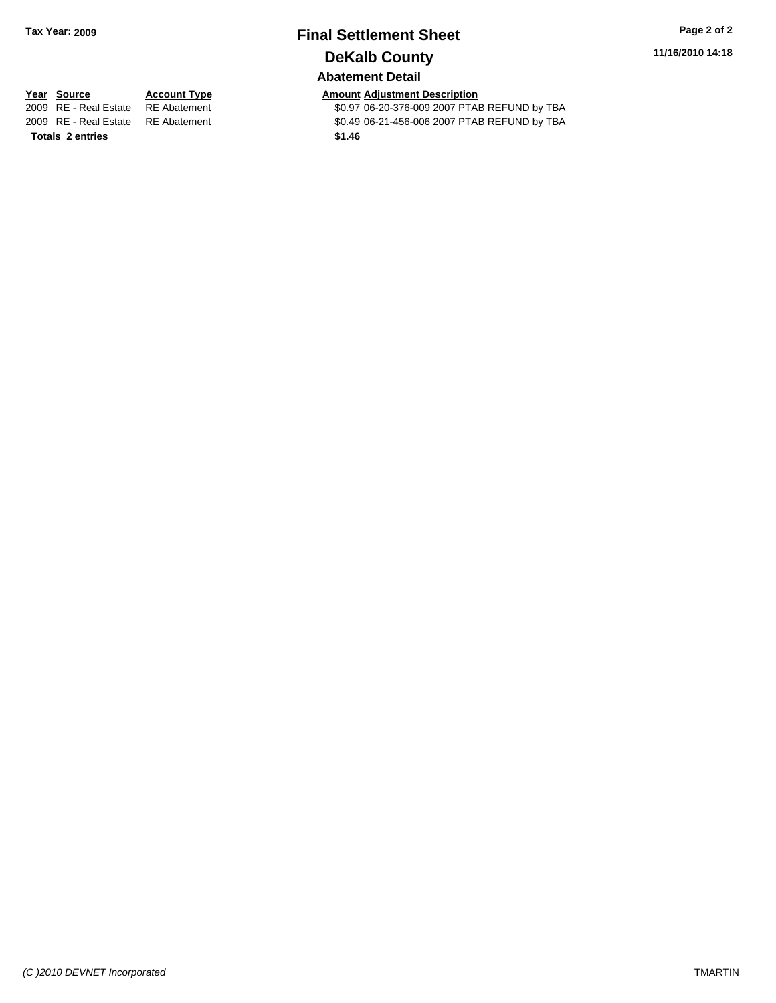## **Final Settlement Sheet Tax Year: 2009 Page 2 of 2 DeKalb County**

**11/16/2010 14:18**

#### **Abatement Detail**

**Totals \$1.46 2 entries**

**Year Source Account Type Amount Adjustment Description**<br>2009 RE - Real Estate RE Abatement **Amount** \$0.97 06-20-376-009 2007 PTAI \$0.97 06-20-376-009 2007 PTAB REFUND by TBA 2009 RE - Real Estate \$0.49 06-21-456-006 2007 PTAB REFUND by TBA RE Abatement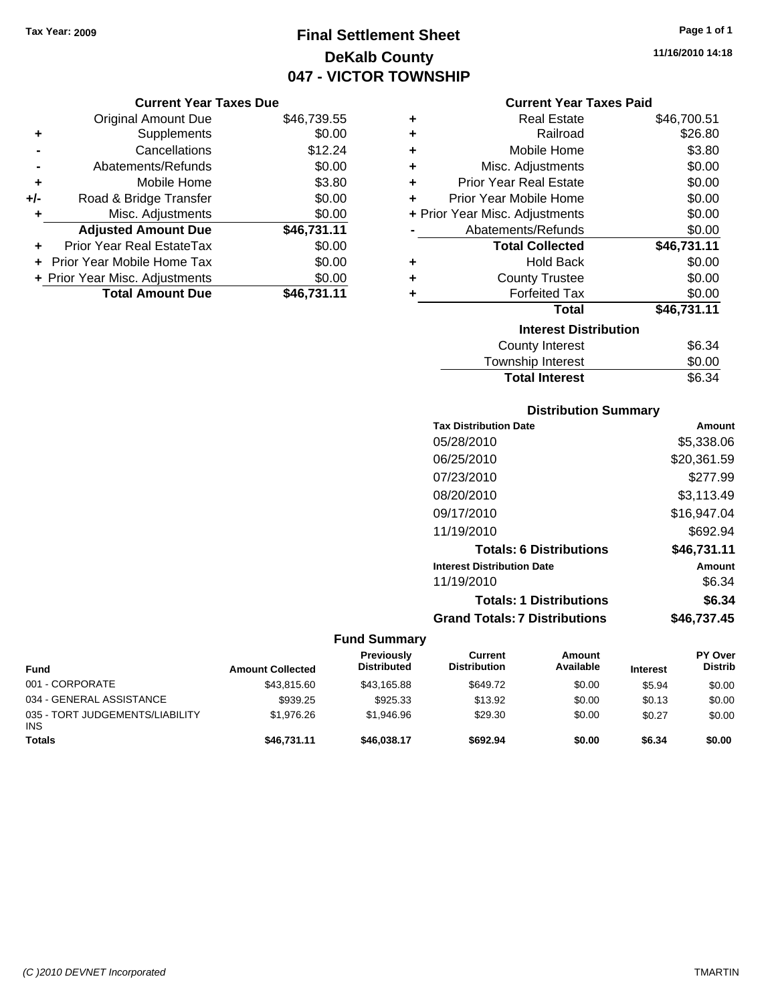### **Final Settlement Sheet Tax Year: 2009 Page 1 of 1 DeKalb County 047 - VICTOR TOWNSHIP**

#### **Current Year Taxes Due**

|       | <b>Original Amount Due</b>     | \$46,739.55 |
|-------|--------------------------------|-------------|
| ٠     | Supplements                    | \$0.00      |
|       | Cancellations                  | \$12.24     |
|       | Abatements/Refunds             | \$0.00      |
| ٠     | Mobile Home                    | \$3.80      |
| $+/-$ | Road & Bridge Transfer         | \$0.00      |
| ٠     | Misc. Adjustments              | \$0.00      |
|       | <b>Adjusted Amount Due</b>     | \$46,731.11 |
| ÷     | Prior Year Real EstateTax      | \$0.00      |
|       | Prior Year Mobile Home Tax     | \$0.00      |
|       | + Prior Year Misc. Adjustments | \$0.00      |
|       | <b>Total Amount Due</b>        | \$46,731.11 |

#### **Current Year Taxes Paid**

| ٠ | Real Estate                    | \$46,700.51 |
|---|--------------------------------|-------------|
| ÷ | Railroad                       | \$26.80     |
| ٠ | Mobile Home                    | \$3.80      |
| ٠ | Misc. Adjustments              | \$0.00      |
| ٠ | Prior Year Real Estate         | \$0.00      |
| ٠ | Prior Year Mobile Home         | \$0.00      |
|   | + Prior Year Misc. Adjustments | \$0.00      |
|   | Abatements/Refunds             | \$0.00      |
|   | <b>Total Collected</b>         | \$46,731.11 |
| ٠ | <b>Hold Back</b>               | \$0.00      |
| ٠ | <b>County Trustee</b>          | \$0.00      |
| ٠ | <b>Forfeited Tax</b>           | \$0.00      |
|   | Total                          | \$46,731.11 |
|   | <b>Interest Distribution</b>   |             |
|   | <b>County Interest</b>         | \$6.34      |
|   | <b>Township Interest</b>       | \$0.00      |
|   | <b>Total Interest</b>          | \$6.34      |

#### **Distribution Summary**

| <b>Tax Distribution Date</b>         | Amount      |
|--------------------------------------|-------------|
| 05/28/2010                           | \$5,338.06  |
| 06/25/2010                           | \$20,361.59 |
| 07/23/2010                           | \$277.99    |
| 08/20/2010                           | \$3.113.49  |
| 09/17/2010                           | \$16,947.04 |
| 11/19/2010                           | \$692.94    |
| <b>Totals: 6 Distributions</b>       | \$46,731.11 |
| <b>Interest Distribution Date</b>    | Amount      |
| 11/19/2010                           | \$6.34      |
| <b>Totals: 1 Distributions</b>       | \$6.34      |
| <b>Grand Totals: 7 Distributions</b> | \$46.737.45 |

#### **Fund Summary**

| <b>Fund</b>                                   | <b>Amount Collected</b> | <b>Previously</b><br><b>Distributed</b> | Current<br><b>Distribution</b> | Amount<br>Available | <b>Interest</b> | <b>PY Over</b><br><b>Distrib</b> |
|-----------------------------------------------|-------------------------|-----------------------------------------|--------------------------------|---------------------|-----------------|----------------------------------|
| 001 - CORPORATE                               | \$43,815.60             | \$43,165.88                             | \$649.72                       | \$0.00              | \$5.94          | \$0.00                           |
| 034 - GENERAL ASSISTANCE                      | \$939.25                | \$925.33                                | \$13.92                        | \$0.00              | \$0.13          | \$0.00                           |
| 035 - TORT JUDGEMENTS/LIABILITY<br><b>INS</b> | \$1,976.26              | \$1.946.96                              | \$29.30                        | \$0.00              | \$0.27          | \$0.00                           |
| <b>Totals</b>                                 | \$46,731.11             | \$46,038.17                             | \$692.94                       | \$0.00              | \$6.34          | \$0.00                           |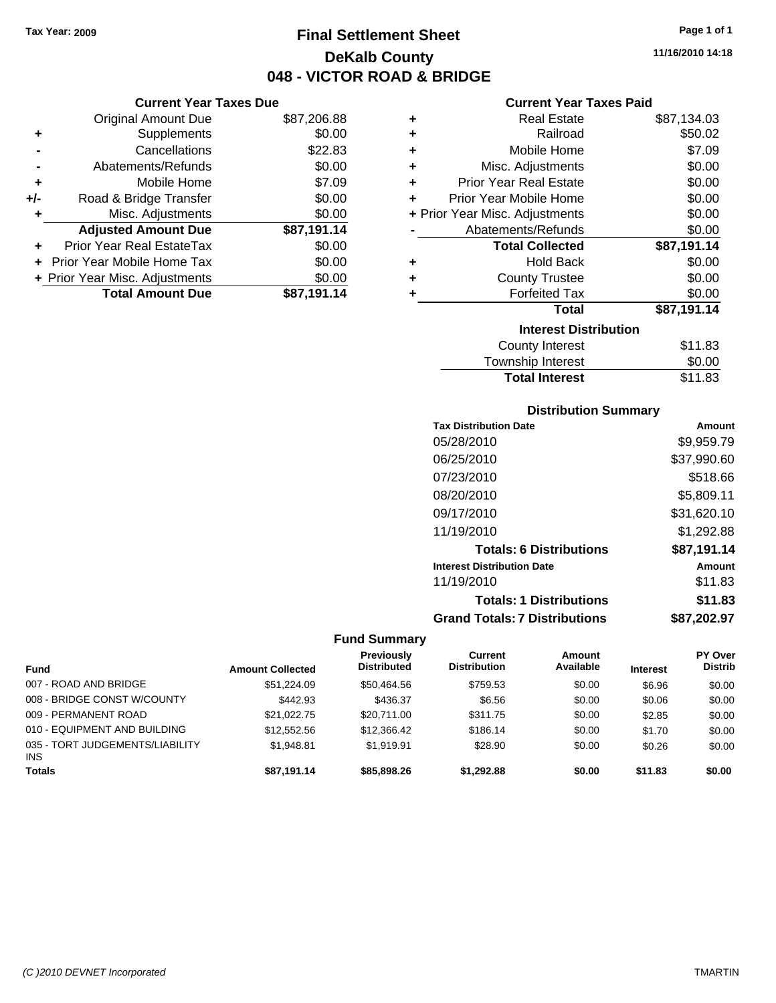**Current Year Taxes Due** Original Amount Due \$87,206.88

**Adjusted Amount Due \$87,191.14**

**Total Amount Due \$87,191.14**

**+** Supplements \$0.00 **-** Cancellations \$22.83 **-** Abatements/Refunds \$0.00 **+** Mobile Home \$7.09 **+/-** Road & Bridge Transfer \$0.00 **+** Misc. Adjustments \$0.00

**+** Prior Year Real EstateTax \$0.00 **+** Prior Year Mobile Home Tax \$0.00 **+ Prior Year Misc. Adjustments**  $$0.00$ 

### **Final Settlement Sheet Tax Year: 2009 Page 1 of 1 DeKalb County 048 - VICTOR ROAD & BRIDGE**

### **11/16/2010 14:18**

| <b>Current Year Taxes Paid</b> |  |  |  |
|--------------------------------|--|--|--|
|--------------------------------|--|--|--|

| ٠                            | <b>Real Estate</b>             | \$87,134.03 |  |  |  |  |
|------------------------------|--------------------------------|-------------|--|--|--|--|
| ٠                            | Railroad                       | \$50.02     |  |  |  |  |
| ÷                            | Mobile Home                    | \$7.09      |  |  |  |  |
| ÷                            | Misc. Adjustments              | \$0.00      |  |  |  |  |
| ÷                            | Prior Year Real Estate         | \$0.00      |  |  |  |  |
| ÷                            | Prior Year Mobile Home         | \$0.00      |  |  |  |  |
|                              | + Prior Year Misc. Adjustments | \$0.00      |  |  |  |  |
|                              | Abatements/Refunds             | \$0.00      |  |  |  |  |
|                              | <b>Total Collected</b>         | \$87,191.14 |  |  |  |  |
| ٠                            | <b>Hold Back</b>               | \$0.00      |  |  |  |  |
| ÷                            | <b>County Trustee</b>          | \$0.00      |  |  |  |  |
| ÷                            | <b>Forfeited Tax</b>           | \$0.00      |  |  |  |  |
|                              | Total                          | \$87,191.14 |  |  |  |  |
| <b>Interest Distribution</b> |                                |             |  |  |  |  |
|                              | County Interest                | \$11.83     |  |  |  |  |
|                              | <b>Township Interest</b>       | \$0.00      |  |  |  |  |
|                              | <b>Total Interest</b>          | \$11.83     |  |  |  |  |

#### **Distribution Summary**

| <b>Tax Distribution Date</b>         | Amount      |
|--------------------------------------|-------------|
| 05/28/2010                           | \$9,959.79  |
| 06/25/2010                           | \$37,990.60 |
| 07/23/2010                           | \$518.66    |
| 08/20/2010                           | \$5,809.11  |
| 09/17/2010                           | \$31,620.10 |
| 11/19/2010                           | \$1,292.88  |
| <b>Totals: 6 Distributions</b>       | \$87,191.14 |
| <b>Interest Distribution Date</b>    | Amount      |
| 11/19/2010                           | \$11.83     |
| <b>Totals: 1 Distributions</b>       | \$11.83     |
| <b>Grand Totals: 7 Distributions</b> | \$87,202.97 |

#### **Fund Summary**

| <b>Fund</b>                                   | <b>Amount Collected</b> | <b>Previously</b><br><b>Distributed</b> | Current<br><b>Distribution</b> | Amount<br>Available | <b>Interest</b> | PY Over<br><b>Distrib</b> |
|-----------------------------------------------|-------------------------|-----------------------------------------|--------------------------------|---------------------|-----------------|---------------------------|
| 007 - ROAD AND BRIDGE                         | \$51,224.09             | \$50.464.56                             | \$759.53                       | \$0.00              | \$6.96          | \$0.00                    |
| 008 - BRIDGE CONST W/COUNTY                   | \$442.93                | \$436.37                                | \$6.56                         | \$0.00              | \$0.06          | \$0.00                    |
| 009 - PERMANENT ROAD                          | \$21.022.75             | \$20.711.00                             | \$311.75                       | \$0.00              | \$2.85          | \$0.00                    |
| 010 - EQUIPMENT AND BUILDING                  | \$12,552.56             | \$12,366.42                             | \$186.14                       | \$0.00              | \$1.70          | \$0.00                    |
| 035 - TORT JUDGEMENTS/LIABILITY<br><b>INS</b> | \$1.948.81              | \$1.919.91                              | \$28.90                        | \$0.00              | \$0.26          | \$0.00                    |
| <b>Totals</b>                                 | \$87.191.14             | \$85,898,26                             | \$1.292.88                     | \$0.00              | \$11.83         | \$0.00                    |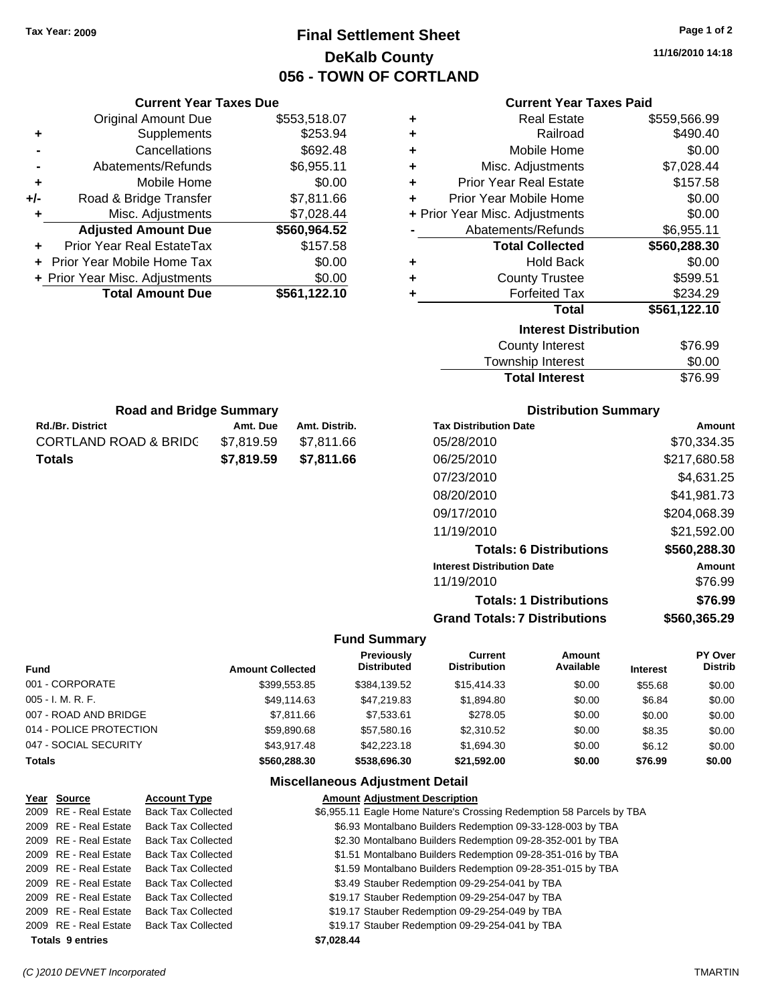### **Final Settlement Sheet Tax Year: 2009 Page 1 of 2 DeKalb County 056 - TOWN OF CORTLAND**

**11/16/2010 14:18**

| <b>Current Year Taxes Paid</b> |  |  |  |
|--------------------------------|--|--|--|
|--------------------------------|--|--|--|

| ٠ | <b>Real Estate</b>             | \$559,566.99 |
|---|--------------------------------|--------------|
| ÷ | Railroad                       | \$490.40     |
| ÷ | Mobile Home                    | \$0.00       |
| ÷ | Misc. Adjustments              | \$7,028.44   |
| ÷ | <b>Prior Year Real Estate</b>  | \$157.58     |
| ÷ | Prior Year Mobile Home         | \$0.00       |
|   | + Prior Year Misc. Adjustments | \$0.00       |
|   | Abatements/Refunds             | \$6,955.11   |
|   | <b>Total Collected</b>         | \$560,288.30 |
| ٠ | <b>Hold Back</b>               | \$0.00       |
| ٠ | <b>County Trustee</b>          | \$599.51     |
| ÷ | <b>Forfeited Tax</b>           | \$234.29     |
|   | Total                          | \$561,122.10 |
|   | <b>Interest Distribution</b>   |              |
|   | <b>County Interest</b>         | \$76.99      |
|   | <b>Township Interest</b>       | \$0.00       |
|   | <b>Total Interest</b>          | \$76.99      |

| <b>Road and Bridge Summary</b> |            |               |
|--------------------------------|------------|---------------|
| <b>Rd./Br. District</b>        | Amt. Due   | Amt. Distrib. |
| CORTLAND ROAD & BRIDC          | \$7.819.59 | \$7,811.66    |
| Totals                         | \$7,819.59 | \$7,811.66    |

**Current Year Taxes Due** Original Amount Due \$553,518.07

**Adjusted Amount Due \$560,964.52**

**Total Amount Due \$561,122.10**

**+** Supplements \$253.94 **-** Cancellations \$692.48 **-** Abatements/Refunds \$6,955.11 **+** Mobile Home \$0.00 **+/-** Road & Bridge Transfer \$7,811.66 **+** Misc. Adjustments \$7,028.44

**+** Prior Year Real EstateTax \$157.58 **+** Prior Year Mobile Home Tax \$0.00 **+ Prior Year Misc. Adjustments**  $$0.00$ 

#### **Distribution Summary**

| <b>Tax Distribution Date</b>         | Amount       |
|--------------------------------------|--------------|
| 05/28/2010                           | \$70,334.35  |
| 06/25/2010                           | \$217.680.58 |
| 07/23/2010                           | \$4,631.25   |
| 08/20/2010                           | \$41,981.73  |
| 09/17/2010                           | \$204,068.39 |
| 11/19/2010                           | \$21,592.00  |
| <b>Totals: 6 Distributions</b>       | \$560,288.30 |
| <b>Interest Distribution Date</b>    | Amount       |
| 11/19/2010                           | \$76.99      |
| <b>Totals: 1 Distributions</b>       | \$76.99      |
| <b>Grand Totals: 7 Distributions</b> | \$560,365.29 |
|                                      |              |

#### **Fund Summary**

| <b>Fund</b>             | <b>Amount Collected</b> | Previously<br><b>Distributed</b> | Current<br><b>Distribution</b> | Amount<br>Available | <b>Interest</b> | PY Over<br><b>Distrib</b> |
|-------------------------|-------------------------|----------------------------------|--------------------------------|---------------------|-----------------|---------------------------|
| 001 - CORPORATE         | \$399,553.85            | \$384,139.52                     | \$15,414.33                    | \$0.00              | \$55.68         | \$0.00                    |
| 005 - I. M. R. F.       | \$49,114.63             | \$47.219.83                      | \$1,894.80                     | \$0.00              | \$6.84          | \$0.00                    |
| 007 - ROAD AND BRIDGE   | \$7,811,66              | \$7.533.61                       | \$278.05                       | \$0.00              | \$0.00          | \$0.00                    |
| 014 - POLICE PROTECTION | \$59,890.68             | \$57.580.16                      | \$2,310.52                     | \$0.00              | \$8.35          | \$0.00                    |
| 047 - SOCIAL SECURITY   | \$43.917.48             | \$42,223.18                      | \$1,694.30                     | \$0.00              | \$6.12          | \$0.00                    |
| <b>Totals</b>           | \$560,288,30            | \$538,696.30                     | \$21.592.00                    | \$0.00              | \$76.99         | \$0.00                    |

#### **Miscellaneous Adjustment Detail**

| Year Source             | <b>Account Type</b>       | <b>Amount Adjustment Description</b>                                 |
|-------------------------|---------------------------|----------------------------------------------------------------------|
| 2009 RE - Real Estate   | <b>Back Tax Collected</b> | \$6,955.11 Eagle Home Nature's Crossing Redemption 58 Parcels by TBA |
| 2009 RE - Real Estate   | <b>Back Tax Collected</b> | \$6.93 Montalbano Builders Redemption 09-33-128-003 by TBA           |
| 2009 RE - Real Estate   | <b>Back Tax Collected</b> | \$2.30 Montalbano Builders Redemption 09-28-352-001 by TBA           |
| 2009 RE - Real Estate   | <b>Back Tax Collected</b> | \$1.51 Montalbano Builders Redemption 09-28-351-016 by TBA           |
| 2009 RE - Real Estate   | <b>Back Tax Collected</b> | \$1.59 Montalbano Builders Redemption 09-28-351-015 by TBA           |
| 2009 RE - Real Estate   | <b>Back Tax Collected</b> | \$3.49 Stauber Redemption 09-29-254-041 by TBA                       |
| 2009 RE - Real Estate   | <b>Back Tax Collected</b> | \$19.17 Stauber Redemption 09-29-254-047 by TBA                      |
| 2009 RE - Real Estate   | <b>Back Tax Collected</b> | \$19.17 Stauber Redemption 09-29-254-049 by TBA                      |
| 2009 RE - Real Estate   | <b>Back Tax Collected</b> | \$19.17 Stauber Redemption 09-29-254-041 by TBA                      |
| <b>Totals 9 entries</b> |                           | \$7.028.44                                                           |

#### *(C )2010 DEVNET Incorporated* TMARTIN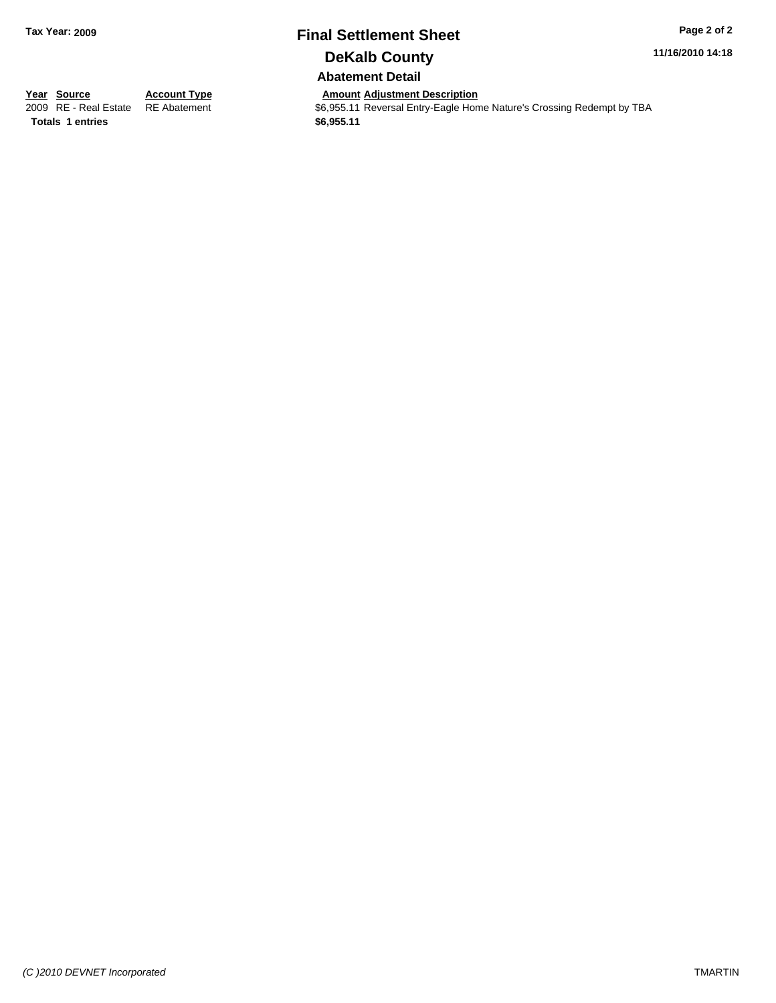### **Final Settlement Sheet Tax Year: 2009 Page 2 of 2 DeKalb County**

**11/16/2010 14:18**

**Abatement Detail**

 $\overline{\$6,955.11\}$  Reversal Entry-Eagle Home Nature's Crossing Redempt by TBA

**Totals \$6,955.11 1 entries**

**Year Source Account Type Amount Adjustment Description**<br>
2009 RE - Real Estate RE Abatement **Account 1991 Account Account Account As 6,955.11** Reversal Entry-Eagle Hon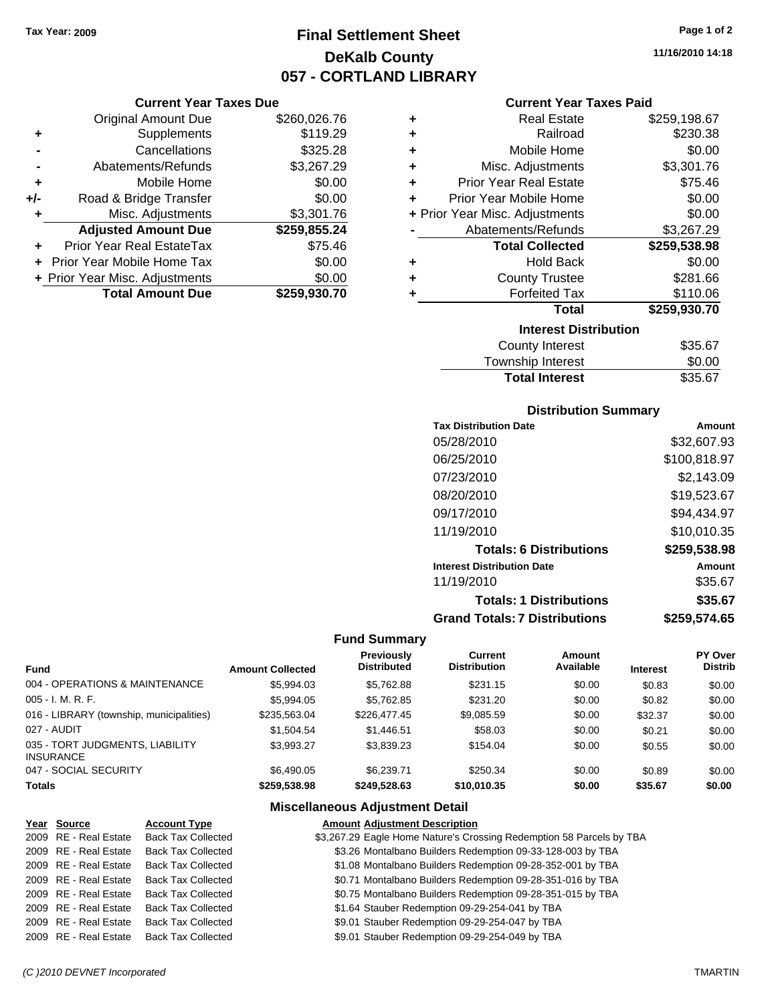**Current Year Taxes Due** Original Amount Due \$260,026.76

**Adjusted Amount Due \$259,855.24**

**Total Amount Due \$259,930.70**

**+** Supplements \$119.29 **-** Cancellations \$325.28 **-** Abatements/Refunds \$3,267.29 **+** Mobile Home \$0.00 **+/-** Road & Bridge Transfer \$0.00 **+** Misc. Adjustments \$3,301.76

**+** Prior Year Real EstateTax \$75.46 **+** Prior Year Mobile Home Tax \$0.00 **+ Prior Year Misc. Adjustments**  $$0.00$ 

### **Final Settlement Sheet Tax Year: 2009 Page 1 of 2 DeKalb County 057 - CORTLAND LIBRARY**

**11/16/2010 14:18**

#### **Current Year Taxes Paid**

|   | 900 - 1000 - 1000 - 1000 - 1000 - 1000 - 1000 - 1000 - 1000 - 1000 - 1100 - 1100 - 1100 - 1100 - 1100 - 1100 - |              |  |  |  |  |  |
|---|----------------------------------------------------------------------------------------------------------------|--------------|--|--|--|--|--|
| ٠ | <b>Real Estate</b>                                                                                             | \$259,198.67 |  |  |  |  |  |
| ٠ | Railroad                                                                                                       | \$230.38     |  |  |  |  |  |
| ٠ | Mobile Home                                                                                                    | \$0.00       |  |  |  |  |  |
| ÷ | Misc. Adjustments                                                                                              | \$3,301.76   |  |  |  |  |  |
| ÷ | <b>Prior Year Real Estate</b>                                                                                  | \$75.46      |  |  |  |  |  |
| ÷ | Prior Year Mobile Home                                                                                         | \$0.00       |  |  |  |  |  |
|   | + Prior Year Misc. Adjustments                                                                                 | \$0.00       |  |  |  |  |  |
|   | Abatements/Refunds                                                                                             | \$3,267.29   |  |  |  |  |  |
|   | <b>Total Collected</b>                                                                                         | \$259,538.98 |  |  |  |  |  |
| ٠ | <b>Hold Back</b>                                                                                               | \$0.00       |  |  |  |  |  |
| ٠ | <b>County Trustee</b>                                                                                          | \$281.66     |  |  |  |  |  |
| ÷ | <b>Forfeited Tax</b>                                                                                           | \$110.06     |  |  |  |  |  |
|   | <b>Total</b>                                                                                                   | \$259,930.70 |  |  |  |  |  |
|   | <b>Interest Distribution</b>                                                                                   |              |  |  |  |  |  |
|   | <b>County Interest</b>                                                                                         | \$35.67      |  |  |  |  |  |
|   | Townehin Interest                                                                                              | ቁስ ሰስ        |  |  |  |  |  |

#### Township Interest \$0.00

Total Interest \$35.67

| <b>Distribution Summary</b>          |              |
|--------------------------------------|--------------|
| <b>Tax Distribution Date</b>         | Amount       |
| 05/28/2010                           | \$32,607.93  |
| 06/25/2010                           | \$100,818.97 |
| 07/23/2010                           | \$2.143.09   |
| 08/20/2010                           | \$19,523.67  |
| 09/17/2010                           | \$94,434.97  |
| 11/19/2010                           | \$10,010.35  |
| <b>Totals: 6 Distributions</b>       | \$259,538.98 |
| <b>Interest Distribution Date</b>    | Amount       |
| 11/19/2010                           | \$35.67      |
| <b>Totals: 1 Distributions</b>       | \$35.67      |
| <b>Grand Totals: 7 Distributions</b> | \$259.574.65 |

#### **Fund Summary**

| <b>Fund</b>                                         | <b>Amount Collected</b> | <b>Previously</b><br><b>Distributed</b> | Current<br><b>Distribution</b> | Amount<br>Available | <b>Interest</b> | PY Over<br><b>Distrib</b> |
|-----------------------------------------------------|-------------------------|-----------------------------------------|--------------------------------|---------------------|-----------------|---------------------------|
| 004 - OPERATIONS & MAINTENANCE                      | \$5,994.03              | \$5,762.88                              | \$231.15                       | \$0.00              | \$0.83          | \$0.00                    |
| $005 - I. M. R. F.$                                 | \$5,994.05              | \$5,762.85                              | \$231.20                       | \$0.00              | \$0.82          | \$0.00                    |
| 016 - LIBRARY (township, municipalities)            | \$235,563,04            | \$226,477.45                            | \$9,085.59                     | \$0.00              | \$32.37         | \$0.00                    |
| 027 - AUDIT                                         | \$1,504.54              | \$1.446.51                              | \$58.03                        | \$0.00              | \$0.21          | \$0.00                    |
| 035 - TORT JUDGMENTS, LIABILITY<br><b>INSURANCE</b> | \$3.993.27              | \$3,839.23                              | \$154.04                       | \$0.00              | \$0.55          | \$0.00                    |
| 047 - SOCIAL SECURITY                               | \$6,490.05              | \$6.239.71                              | \$250.34                       | \$0.00              | \$0.89          | \$0.00                    |
| <b>Totals</b>                                       | \$259,538.98            | \$249.528.63                            | \$10,010.35                    | \$0.00              | \$35.67         | \$0.00                    |

#### **Miscellaneous Adjustment Detail**

| Year Source           | <b>Account Type</b>       | <b>Amount Adjustment Description</b>                                 |
|-----------------------|---------------------------|----------------------------------------------------------------------|
| 2009 RE - Real Estate | <b>Back Tax Collected</b> | \$3,267.29 Eagle Home Nature's Crossing Redemption 58 Parcels by TBA |
| 2009 RE - Real Estate | <b>Back Tax Collected</b> | \$3.26 Montalbano Builders Redemption 09-33-128-003 by TBA           |
| 2009 RE - Real Estate | <b>Back Tax Collected</b> | \$1.08 Montalbano Builders Redemption 09-28-352-001 by TBA           |
| 2009 RE - Real Estate | <b>Back Tax Collected</b> | \$0.71 Montalbano Builders Redemption 09-28-351-016 by TBA           |
| 2009 RE - Real Estate | <b>Back Tax Collected</b> | \$0.75 Montalbano Builders Redemption 09-28-351-015 by TBA           |
| 2009 RE - Real Estate | <b>Back Tax Collected</b> | \$1.64 Stauber Redemption 09-29-254-041 by TBA                       |
| 2009 RE - Real Estate | <b>Back Tax Collected</b> | \$9.01 Stauber Redemption 09-29-254-047 by TBA                       |
| 2009 RE - Real Estate | <b>Back Tax Collected</b> | \$9.01 Stauber Redemption 09-29-254-049 by TBA                       |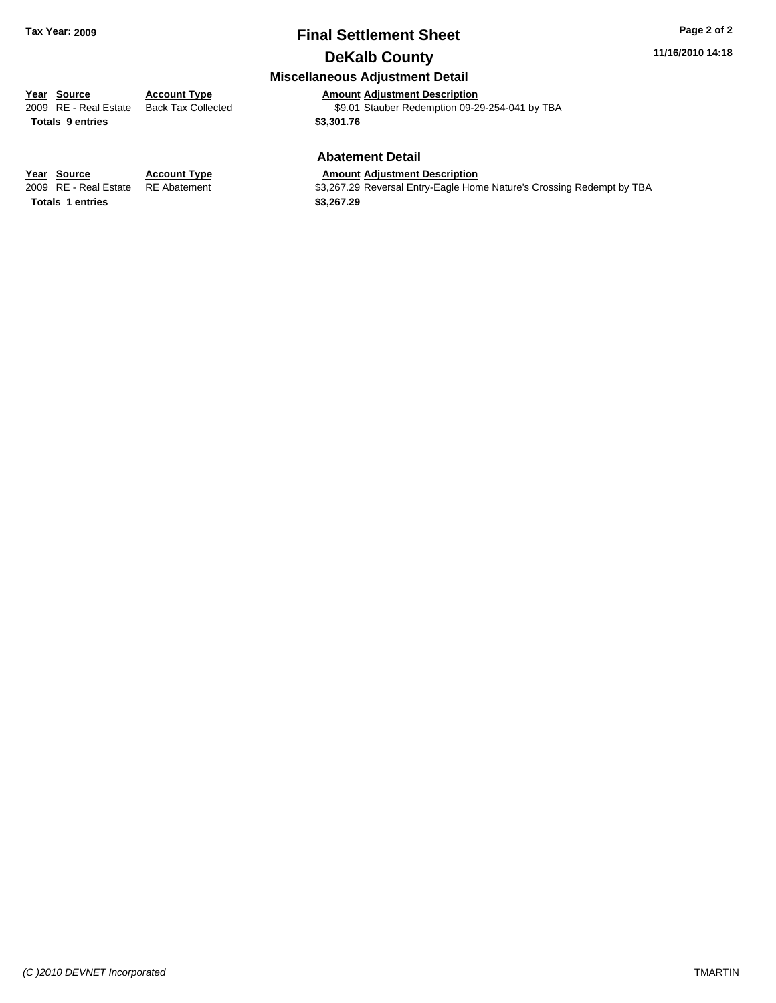### **Final Settlement Sheet Tax Year: 2009 Page 2 of 2 DeKalb County**

#### **11/16/2010 14:18**

### **Miscellaneous Adjustment Detail**

**Year Source Account Type Amount Adjustment Description**<br>
2009 RE - Real Estate Back Tax Collected \$9.01 Stauber Redemption 09-2 \$9.01 Stauber Redemption 09-29-254-041 by TBA **Totals \$3,301.76 9 entries**

#### **Abatement Detail**

#### **Year Source Account Type Amount Adjustment Description**

2009 RE - Real Estate RE Abatement \$3,267.29 Reversal Entry-Eagle Home Nature's Crossing Redempt by TBA

**Totals 1 entries** \$3,267.29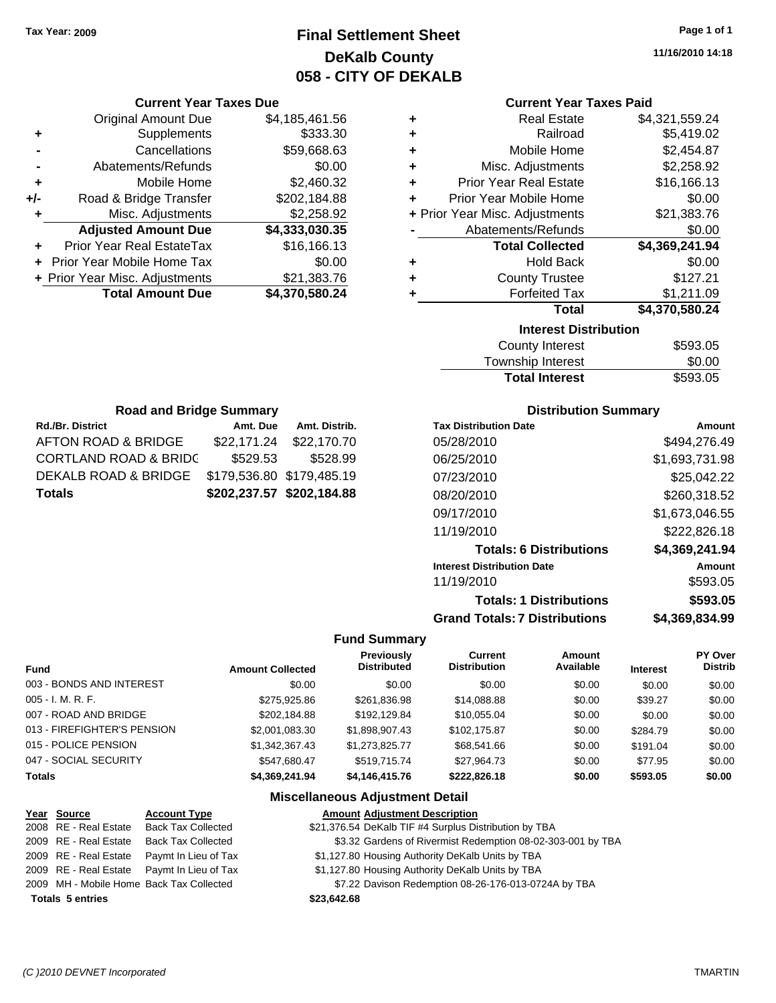### **Final Settlement Sheet Tax Year: 2009 Page 1 of 1 DeKalb County 058 - CITY OF DEKALB**

**11/16/2010 14:18**

#### **Current Year Taxes Paid**

| ٠ | <b>Real Estate</b>             | \$4,321,559.24 |  |  |
|---|--------------------------------|----------------|--|--|
| ÷ | Railroad                       | \$5,419.02     |  |  |
| ÷ | Mobile Home                    | \$2,454.87     |  |  |
| ÷ | Misc. Adjustments              | \$2,258.92     |  |  |
| ÷ | <b>Prior Year Real Estate</b>  | \$16,166.13    |  |  |
| ٠ | Prior Year Mobile Home         | \$0.00         |  |  |
|   | + Prior Year Misc. Adjustments | \$21,383.76    |  |  |
|   | Abatements/Refunds             | \$0.00         |  |  |
|   | <b>Total Collected</b>         | \$4,369,241.94 |  |  |
| ٠ | <b>Hold Back</b>               | \$0.00         |  |  |
| ٠ | <b>County Trustee</b>          | \$127.21       |  |  |
| ÷ | <b>Forfeited Tax</b>           | \$1,211.09     |  |  |
|   | <b>Total</b>                   | \$4,370,580.24 |  |  |
|   | <b>Interest Distribution</b>   |                |  |  |
|   | County Interest                | \$593.05       |  |  |

| <b>County Interest</b> | \$593.05 |
|------------------------|----------|
| Township Interest      | \$0.00   |
| <b>Total Interest</b>  | \$593.05 |

| <b>Road and Bridge Summary</b>                 |                           |               |  |
|------------------------------------------------|---------------------------|---------------|--|
| <b>Rd./Br. District</b>                        | Amt. Due                  | Amt. Distrib. |  |
| AFTON ROAD & BRIDGE                            | \$22,171.24               | \$22,170.70   |  |
| <b>CORTLAND ROAD &amp; BRIDC</b>               | \$529.53                  | \$528.99      |  |
| DEKALB ROAD & BRIDGE \$179,536.80 \$179,485.19 |                           |               |  |
| <b>Totals</b>                                  | \$202,237.57 \$202,184.88 |               |  |

**Current Year Taxes Due** Original Amount Due \$4,185,461.56

**Adjusted Amount Due \$4,333,030.35**

**Total Amount Due \$4,370,580.24**

**+** Supplements \$333.30 **-** Cancellations \$59,668.63 **-** Abatements/Refunds \$0.00 **+** Mobile Home \$2,460.32 **+/-** Road & Bridge Transfer \$202,184.88 **+** Misc. Adjustments \$2,258.92

**+** Prior Year Real EstateTax \$16,166.13 **+** Prior Year Mobile Home Tax \$0.00 **+** Prior Year Misc. Adjustments \$21,383.76

#### **Distribution Summary**

| <b>Tax Distribution Date</b>         | Amount         |
|--------------------------------------|----------------|
| 05/28/2010                           | \$494.276.49   |
| 06/25/2010                           | \$1,693,731.98 |
| 07/23/2010                           | \$25,042.22    |
| 08/20/2010                           | \$260,318.52   |
| 09/17/2010                           | \$1,673,046.55 |
| 11/19/2010                           | \$222,826.18   |
| <b>Totals: 6 Distributions</b>       | \$4,369,241.94 |
| <b>Interest Distribution Date</b>    | Amount         |
| 11/19/2010                           | \$593.05       |
| <b>Totals: 1 Distributions</b>       | \$593.05       |
| <b>Grand Totals: 7 Distributions</b> | \$4,369,834.99 |

#### **Fund Summary**

|                             |                         | Previously     | <b>Current</b>      | Amount    |                 | PY Over        |
|-----------------------------|-------------------------|----------------|---------------------|-----------|-----------------|----------------|
| <b>Fund</b>                 | <b>Amount Collected</b> | Distributed    | <b>Distribution</b> | Available | <b>Interest</b> | <b>Distrib</b> |
| 003 - BONDS AND INTEREST    | \$0.00                  | \$0.00         | \$0.00              | \$0.00    | \$0.00          | \$0.00         |
| $005 - I. M. R. F.$         | \$275,925,86            | \$261,836.98   | \$14,088.88         | \$0.00    | \$39.27         | \$0.00         |
| 007 - ROAD AND BRIDGE       | \$202.184.88            | \$192.129.84   | \$10.055.04         | \$0.00    | \$0.00          | \$0.00         |
| 013 - FIREFIGHTER'S PENSION | \$2,001,083.30          | \$1,898,907.43 | \$102,175.87        | \$0.00    | \$284.79        | \$0.00         |
| 015 - POLICE PENSION        | \$1.342.367.43          | \$1,273,825.77 | \$68,541.66         | \$0.00    | \$191.04        | \$0.00         |
| 047 - SOCIAL SECURITY       | \$547.680.47            | \$519.715.74   | \$27.964.73         | \$0.00    | \$77.95         | \$0.00         |
| <b>Totals</b>               | \$4.369.241.94          | \$4,146,415.76 | \$222,826.18        | \$0.00    | \$593.05        | \$0.00         |

#### **Miscellaneous Adjustment Detail**

### **Year Source Account Type Amount Adjustment Description**

2008 RE - Real Estate Back Tax Collected \$21,376.54 DeKalb TIF #4 Surplus Distribution by TBA

- 2009 RE Real Estate Back Tax Collected \$3.32 Gardens of Rivermist Redemption 08-02-303-001 by TBA
- 2009 RE Real Estate Paymt In Lieu of Tax \$1,127.80 Housing Authority DeKalb Units by TBA
- 2009 RE Real Estate Paymt In Lieu of Tax \$1,127.80 Housing Authority DeKalb Units by TBA
- 2009 MH Mobile Home Back Tax Collected \$7.22 Davison Redemption 08-26-176-013-0724A by TBA

**Totals \$23,642.68 5 entries**

```
(C )2010 DEVNET Incorporated TMARTIN
```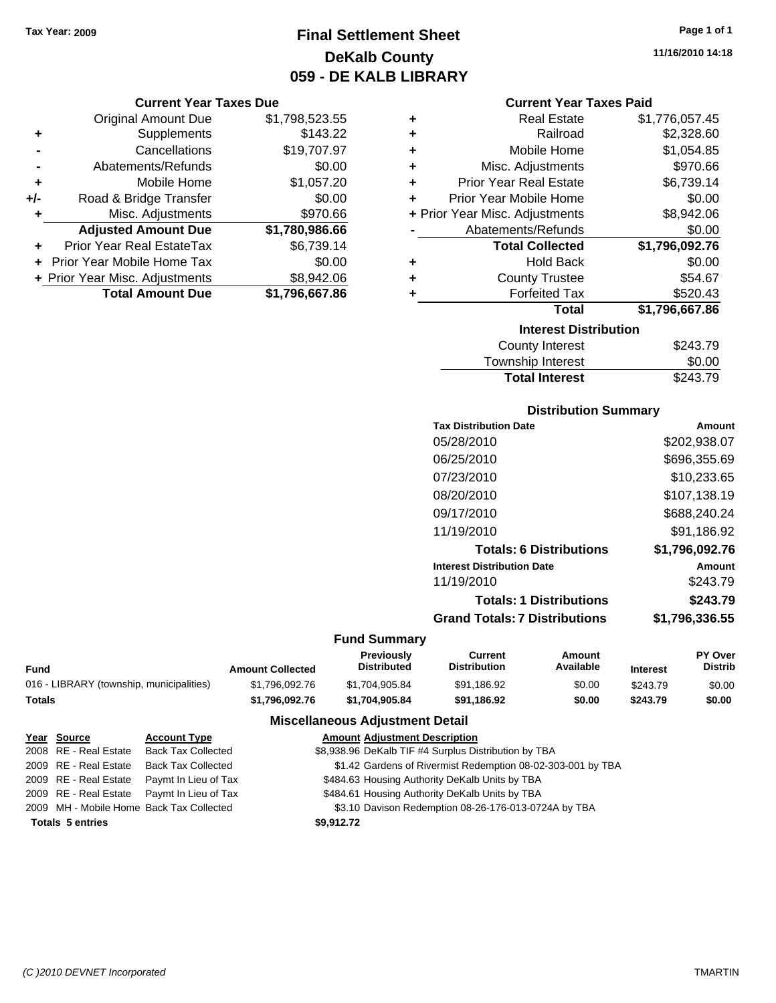### **Final Settlement Sheet Tax Year: 2009 Page 1 of 1 DeKalb County 059 - DE KALB LIBRARY**

#### **Current Year Taxes Due**

|     | <b>Original Amount Due</b>       | \$1,798,523.55 |
|-----|----------------------------------|----------------|
| ٠   | Supplements                      | \$143.22       |
|     | Cancellations                    | \$19,707.97    |
|     | Abatements/Refunds               | \$0.00         |
| ÷   | Mobile Home                      | \$1,057.20     |
| +/- | Road & Bridge Transfer           | \$0.00         |
| ٠   | Misc. Adjustments                | \$970.66       |
|     | <b>Adjusted Amount Due</b>       | \$1,780,986.66 |
|     | <b>Prior Year Real EstateTax</b> | \$6,739.14     |
|     | Prior Year Mobile Home Tax       | \$0.00         |
|     | + Prior Year Misc. Adjustments   | \$8,942.06     |
|     | <b>Total Amount Due</b>          | \$1,796,667.86 |

| ٠ | <b>Real Estate</b>             | \$1,776,057.45 |
|---|--------------------------------|----------------|
| ٠ | Railroad                       | \$2,328.60     |
| ٠ | Mobile Home                    | \$1,054.85     |
| ÷ | Misc. Adjustments              | \$970.66       |
| ÷ | <b>Prior Year Real Estate</b>  | \$6,739.14     |
| ٠ | Prior Year Mobile Home         | \$0.00         |
|   | + Prior Year Misc. Adjustments | \$8,942.06     |
|   | Abatements/Refunds             | \$0.00         |
|   | <b>Total Collected</b>         | \$1,796,092.76 |
| ٠ | <b>Hold Back</b>               | \$0.00         |
| ٠ | <b>County Trustee</b>          | \$54.67        |
| ٠ | <b>Forfeited Tax</b>           | \$520.43       |
|   | Total                          | \$1,796,667.86 |
|   | <b>Interest Distribution</b>   |                |
|   | County Interest                | \$243.79       |

| <b>Total Interest</b> | \$243.79 |
|-----------------------|----------|
| Township Interest     | \$0.00   |
| County Interest       | \$243.79 |

#### **Distribution Summary**

| <b>Tax Distribution Date</b>         | Amount         |
|--------------------------------------|----------------|
| 05/28/2010                           | \$202,938.07   |
| 06/25/2010                           | \$696,355.69   |
| 07/23/2010                           | \$10,233.65    |
| 08/20/2010                           | \$107,138.19   |
| 09/17/2010                           | \$688,240.24   |
| 11/19/2010                           | \$91.186.92    |
| <b>Totals: 6 Distributions</b>       | \$1,796,092.76 |
| <b>Interest Distribution Date</b>    | Amount         |
| 11/19/2010                           | \$243.79       |
| <b>Totals: 1 Distributions</b>       | \$243.79       |
| <b>Grand Totals: 7 Distributions</b> | \$1.796.336.55 |
|                                      |                |

#### **Fund Summary**

|                                          |                         | Previously     | Current             | Amount    |                 | <b>PY Over</b> |
|------------------------------------------|-------------------------|----------------|---------------------|-----------|-----------------|----------------|
| Fund                                     | <b>Amount Collected</b> | Distributed    | <b>Distribution</b> | Available | <b>Interest</b> | <b>Distrib</b> |
| 016 - LIBRARY (township, municipalities) | \$1.796.092.76          | \$1.704.905.84 | \$91,186.92         | \$0.00    | \$243.79        | \$0.00         |
| Totals                                   | \$1.796.092.76          | \$1.704.905.84 | \$91.186.92         | \$0.00    | \$243.79        | \$0.00         |

### **Miscellaneous Adjustment Detail**

| Year Source             | <b>Account Type</b>                        | <b>Amount Adjustment Description</b>                        |
|-------------------------|--------------------------------------------|-------------------------------------------------------------|
| 2008 RE - Real Estate   | <b>Back Tax Collected</b>                  | \$8,938.96 DeKalb TIF #4 Surplus Distribution by TBA        |
| 2009 RE - Real Estate   | Back Tax Collected                         | \$1.42 Gardens of Rivermist Redemption 08-02-303-001 by TBA |
|                         | 2009 RE - Real Estate Paymt In Lieu of Tax | \$484.63 Housing Authority DeKalb Units by TBA              |
|                         | 2009 RE - Real Estate Paymt In Lieu of Tax | \$484.61 Housing Authority DeKalb Units by TBA              |
|                         | 2009 MH - Mobile Home Back Tax Collected   | \$3.10 Davison Redemption 08-26-176-013-0724A by TBA        |
| <b>Totals 5 entries</b> |                                            | \$9,912.72                                                  |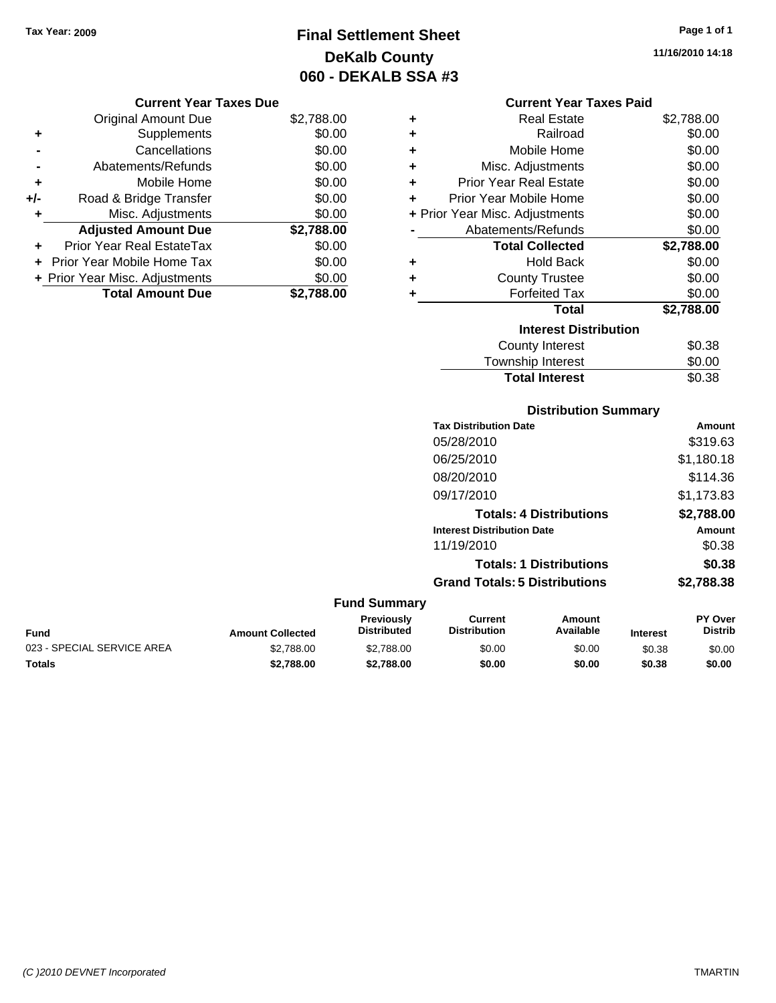**Current Year Taxes Due** Original Amount Due \$2,788.00

**Adjusted Amount Due \$2,788.00**

**Total Amount Due \$2,788.00**

**+** Supplements \$0.00 **-** Cancellations \$0.00 **-** Abatements/Refunds \$0.00 **+** Mobile Home \$0.00 **+/-** Road & Bridge Transfer \$0.00 **+** Misc. Adjustments \$0.00

**+** Prior Year Real EstateTax \$0.00 **+** Prior Year Mobile Home Tax \$0.00 **+ Prior Year Misc. Adjustments**  $$0.00$ 

### **Final Settlement Sheet Tax Year: 2009 Page 1 of 1 DeKalb County 060 - DEKALB SSA #3**

#### **Current Year Taxes Paid**

| ٠ | <b>Real Estate</b>             | \$2,788.00 |
|---|--------------------------------|------------|
| ٠ | Railroad                       | \$0.00     |
| ÷ | Mobile Home                    | \$0.00     |
| ÷ | Misc. Adjustments              | \$0.00     |
| ٠ | <b>Prior Year Real Estate</b>  | \$0.00     |
| ٠ | Prior Year Mobile Home         | \$0.00     |
|   | + Prior Year Misc. Adjustments | \$0.00     |
|   | Abatements/Refunds             | \$0.00     |
|   | <b>Total Collected</b>         | \$2,788.00 |
| ٠ | <b>Hold Back</b>               | \$0.00     |
| ٠ | <b>County Trustee</b>          | \$0.00     |
| ٠ | <b>Forfeited Tax</b>           | \$0.00     |
|   | Total                          | \$2,788.00 |
|   | <b>Interest Distribution</b>   |            |
|   | County Interest                | \$0.38     |
|   | Townshin Interest              | ደ0 00      |

# Township Interest  $$0.00$ Total Interest \$0.38

#### **Distribution Summary**

| <b>Tax Distribution Date</b>         | Amount     |
|--------------------------------------|------------|
| 05/28/2010                           | \$319.63   |
| 06/25/2010                           | \$1,180.18 |
| 08/20/2010                           | \$114.36   |
| 09/17/2010                           | \$1,173.83 |
| <b>Totals: 4 Distributions</b>       | \$2,788.00 |
| <b>Interest Distribution Date</b>    | Amount     |
| 11/19/2010                           | \$0.38     |
| <b>Totals: 1 Distributions</b>       | \$0.38     |
| <b>Grand Totals: 5 Distributions</b> | \$2,788.38 |

| <b>Fund Summary</b>        |                         |                                         |                                |                     |                 |                                  |
|----------------------------|-------------------------|-----------------------------------------|--------------------------------|---------------------|-----------------|----------------------------------|
| Fund                       | <b>Amount Collected</b> | <b>Previously</b><br><b>Distributed</b> | Current<br><b>Distribution</b> | Amount<br>Available | <b>Interest</b> | <b>PY Over</b><br><b>Distrib</b> |
| 023 - SPECIAL SERVICE AREA | \$2,788.00              | \$2,788,00                              | \$0.00                         | \$0.00              | \$0.38          | \$0.00                           |
| <b>Totals</b>              | \$2,788,00              | \$2,788,00                              | \$0.00                         | \$0.00              | \$0.38          | \$0.00                           |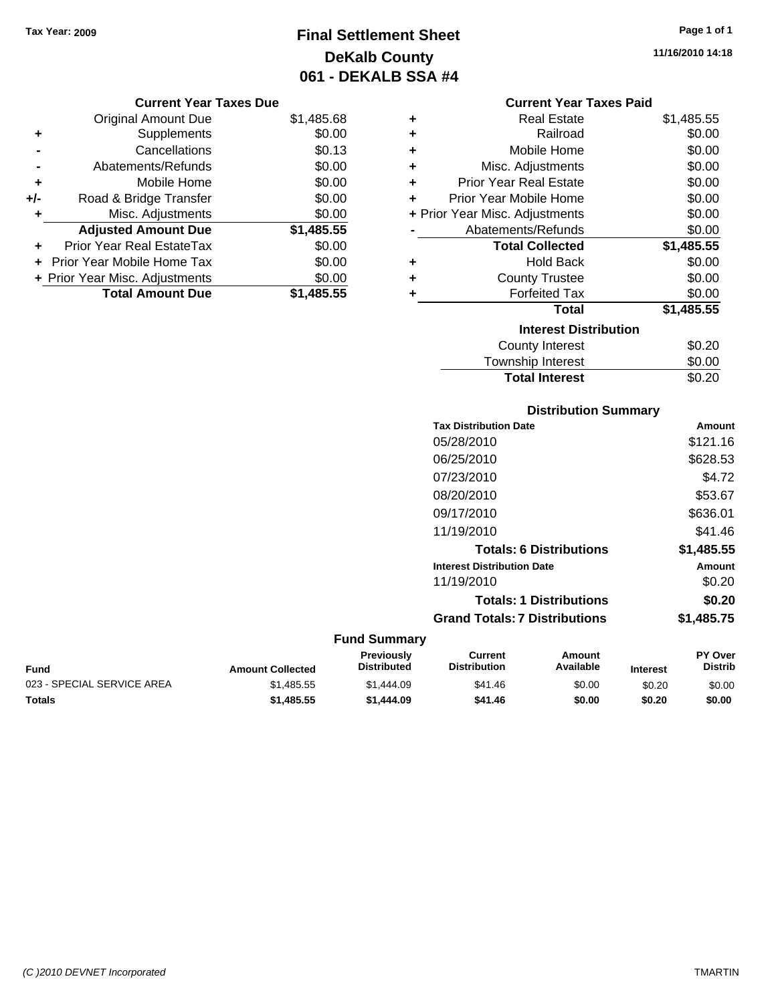**Current Year Taxes Due** Original Amount Due \$1,485.68

**Adjusted Amount Due \$1,485.55**

**Total Amount Due \$1,485.55**

**+** Supplements \$0.00 **-** Cancellations \$0.13 **-** Abatements/Refunds \$0.00 **+** Mobile Home \$0.00 **+/-** Road & Bridge Transfer \$0.00 **+** Misc. Adjustments \$0.00

**+** Prior Year Real EstateTax \$0.00 **+** Prior Year Mobile Home Tax \$0.00 **+ Prior Year Misc. Adjustments**  $$0.00$ 

### **Final Settlement Sheet Tax Year: 2009 Page 1 of 1 DeKalb County 061 - DEKALB SSA #4**

#### **Current Year Taxes Paid**

| ٠ | <b>Real Estate</b>             | \$1,485.55 |
|---|--------------------------------|------------|
| ٠ | Railroad                       | \$0.00     |
| ٠ | Mobile Home                    | \$0.00     |
| ÷ | Misc. Adjustments              | \$0.00     |
| ÷ | <b>Prior Year Real Estate</b>  | \$0.00     |
| ÷ | Prior Year Mobile Home         | \$0.00     |
|   | + Prior Year Misc. Adjustments | \$0.00     |
|   | Abatements/Refunds             | \$0.00     |
|   |                                |            |
|   | <b>Total Collected</b>         | \$1,485.55 |
| ٠ | <b>Hold Back</b>               | \$0.00     |
| ٠ | <b>County Trustee</b>          | \$0.00     |
| ٠ | <b>Forfeited Tax</b>           | \$0.00     |
|   | <b>Total</b>                   | \$1,485.55 |
|   | <b>Interest Distribution</b>   |            |
|   | County Interest                | \$0.20     |

### **Distribution Summary**

Total Interest \$0.20

| <b>Tax Distribution Date</b>         | Amount     |
|--------------------------------------|------------|
| 05/28/2010                           | \$121.16   |
| 06/25/2010                           | \$628.53   |
| 07/23/2010                           | \$4.72     |
| 08/20/2010                           | \$53.67    |
| 09/17/2010                           | \$636.01   |
| 11/19/2010                           | \$41.46    |
| <b>Totals: 6 Distributions</b>       | \$1,485.55 |
| <b>Interest Distribution Date</b>    | Amount     |
| 11/19/2010                           | \$0.20     |
| <b>Totals: 1 Distributions</b>       | \$0.20     |
| <b>Grand Totals: 7 Distributions</b> | \$1,485.75 |
|                                      |            |

#### **Fund Summary Fund Interest Amount Collected Distributed PY Over Distrib Amount Available Current Distribution Previously** 023 - SPECIAL SERVICE AREA  $$1,485.55$   $$1,444.09$   $$41.46$   $$0.00$   $$0.20$   $$0.00$ **Totals \$1,485.55 \$1,444.09 \$41.46 \$0.00 \$0.20 \$0.00**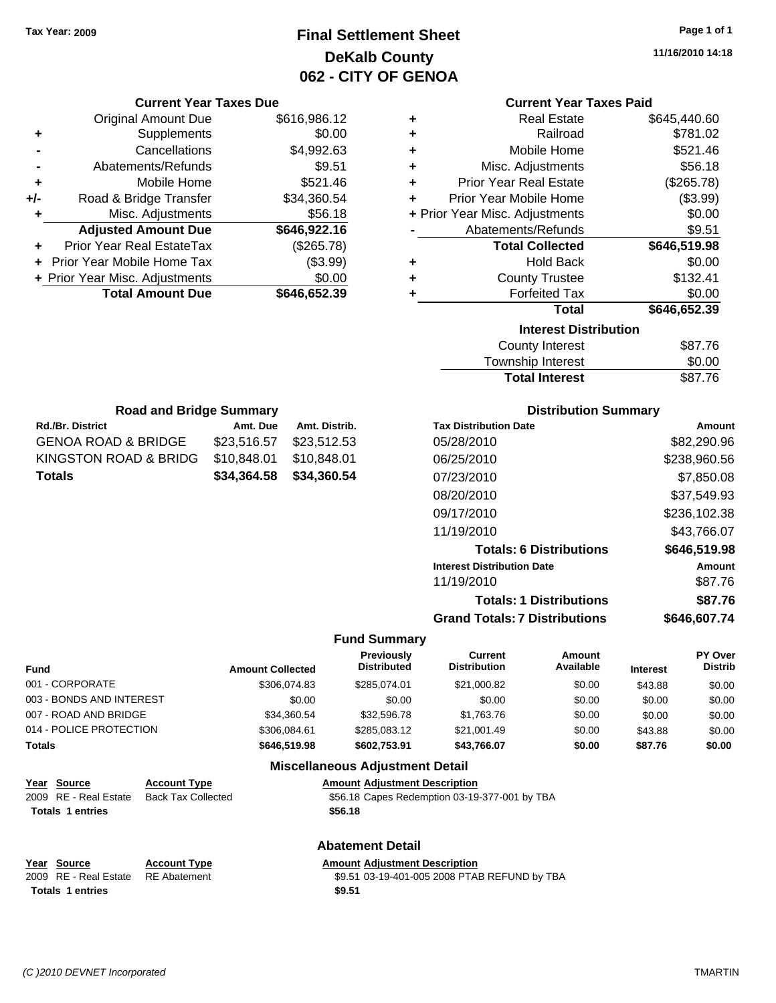### **Final Settlement Sheet Tax Year: 2009 Page 1 of 1 DeKalb County 062 - CITY OF GENOA**

**11/16/2010 14:18**

#### **Current Year Taxes Paid**

| ÷ | <b>Real Estate</b>             | \$645,440.60 |
|---|--------------------------------|--------------|
| ٠ | Railroad                       | \$781.02     |
| ÷ | Mobile Home                    | \$521.46     |
| ٠ | Misc. Adjustments              | \$56.18      |
| ٠ | <b>Prior Year Real Estate</b>  | (\$265.78)   |
| ٠ | Prior Year Mobile Home         | (\$3.99)     |
|   | + Prior Year Misc. Adjustments | \$0.00       |
|   | Abatements/Refunds             | \$9.51       |
|   |                                |              |
|   | <b>Total Collected</b>         | \$646,519.98 |
| ٠ | <b>Hold Back</b>               | \$0.00       |
| ٠ | <b>County Trustee</b>          | \$132.41     |
| ٠ | <b>Forfeited Tax</b>           | \$0.00       |
|   | <b>Total</b>                   | \$646,652.39 |
|   | <b>Interest Distribution</b>   |              |
|   | County Interest                | \$87.76      |

| <b>Road and Bridge Summary</b> |             |               |  |
|--------------------------------|-------------|---------------|--|
| <b>Rd./Br. District</b>        | Amt. Due    | Amt. Distrib. |  |
| GENOA ROAD & BRIDGE            | \$23,516.57 | \$23,512.53   |  |
| KINGSTON ROAD & BRIDG          | \$10,848.01 | \$10,848.01   |  |
| Totals                         | \$34,364.58 | \$34,360.54   |  |

**Current Year Taxes Due** Original Amount Due \$616,986.12

**Adjusted Amount Due \$646,922.16**

**Total Amount Due \$646,652.39**

**+** Supplements \$0.00 **-** Cancellations \$4,992.63 **-** Abatements/Refunds **\$9.51 +** Mobile Home \$521.46 **+/-** Road & Bridge Transfer \$34,360.54 **+** Misc. Adjustments \$56.18

**+** Prior Year Real EstateTax (\$265.78) **+** Prior Year Mobile Home Tax (\$3.99) **+ Prior Year Misc. Adjustments**  $$0.00$ 

#### **Distribution Summary**

Total Interest \$87.76

| <b>Tax Distribution Date</b>         | Amount       |
|--------------------------------------|--------------|
| 05/28/2010                           | \$82,290.96  |
| 06/25/2010                           | \$238,960.56 |
| 07/23/2010                           | \$7,850.08   |
| 08/20/2010                           | \$37,549.93  |
| 09/17/2010                           | \$236,102.38 |
| 11/19/2010                           | \$43.766.07  |
| <b>Totals: 6 Distributions</b>       | \$646,519.98 |
| <b>Interest Distribution Date</b>    | Amount       |
| 11/19/2010                           | \$87.76      |
| <b>Totals: 1 Distributions</b>       | \$87.76      |
| <b>Grand Totals: 7 Distributions</b> | \$646,607.74 |

#### **Fund Summary**

| <b>Fund</b>              | <b>Amount Collected</b> | <b>Previously</b><br><b>Distributed</b> | Current<br><b>Distribution</b> | Amount<br>Available | <b>Interest</b> | PY Over<br><b>Distrib</b> |
|--------------------------|-------------------------|-----------------------------------------|--------------------------------|---------------------|-----------------|---------------------------|
| 001 - CORPORATE          | \$306.074.83            | \$285.074.01                            | \$21,000.82                    | \$0.00              | \$43.88         | \$0.00                    |
| 003 - BONDS AND INTEREST | \$0.00                  | \$0.00                                  | \$0.00                         | \$0.00              | \$0.00          | \$0.00                    |
| 007 - ROAD AND BRIDGE    | \$34,360.54             | \$32,596.78                             | \$1.763.76                     | \$0.00              | \$0.00          | \$0.00                    |
| 014 - POLICE PROTECTION  | \$306.084.61            | \$285,083.12                            | \$21,001.49                    | \$0.00              | \$43.88         | \$0.00                    |
| Totals                   | \$646,519.98            | \$602,753,91                            | \$43,766.07                    | \$0.00              | \$87.76         | \$0.00                    |

#### **Miscellaneous Adjustment Detail**

**Abatement Detail**

#### **Year Source Account Type Amount Adjustment Description**

| \$56.18 Capes Redemption 03-19-377-001 by TBA |  |
|-----------------------------------------------|--|
| \$56.18                                       |  |

| Year Source                        | <b>Account Type</b> | <b>Amount Adiustment Description</b>         |  |
|------------------------------------|---------------------|----------------------------------------------|--|
| 2009 RE - Real Estate RE Abatement |                     | \$9.51 03-19-401-005 2008 PTAB REFUND by TBA |  |
| Totals 1 entries                   |                     | \$9.51                                       |  |

**Totals 1 entries** 

2009 RE - Real Estate Back Tax Collected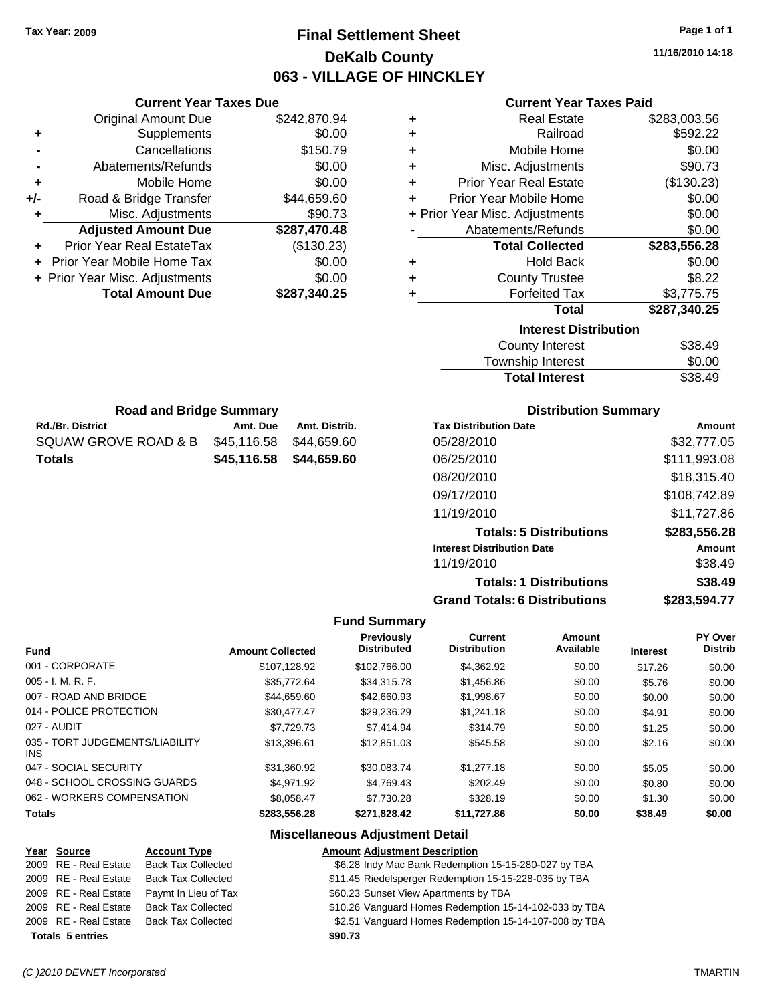### **Final Settlement Sheet Tax Year: 2009 Page 1 of 1 DeKalb County 063 - VILLAGE OF HINCKLEY**

**11/16/2010 14:18**

| <b>Current Year Taxes Paid</b> |  |  |  |
|--------------------------------|--|--|--|
|--------------------------------|--|--|--|

|                              | OUITGIIL I GAI TAAGS FAIU      |              |  |  |
|------------------------------|--------------------------------|--------------|--|--|
| ٠                            | Real Estate                    | \$283,003.56 |  |  |
| ٠                            | Railroad                       | \$592.22     |  |  |
| ÷                            | Mobile Home                    | \$0.00       |  |  |
| ٠                            | Misc. Adjustments              | \$90.73      |  |  |
| ٠                            | <b>Prior Year Real Estate</b>  | (\$130.23)   |  |  |
| ÷                            | Prior Year Mobile Home         | \$0.00       |  |  |
|                              | + Prior Year Misc. Adjustments | \$0.00       |  |  |
|                              | Abatements/Refunds             | \$0.00       |  |  |
|                              | <b>Total Collected</b>         | \$283,556.28 |  |  |
| ٠                            | <b>Hold Back</b>               | \$0.00       |  |  |
| ٠                            | <b>County Trustee</b>          | \$8.22       |  |  |
| ٠                            | <b>Forfeited Tax</b>           | \$3,775.75   |  |  |
|                              | <b>Total</b>                   | \$287,340.25 |  |  |
| <b>Interest Distribution</b> |                                |              |  |  |
|                              | <b>County Interest</b>         | \$38.49      |  |  |
|                              |                                |              |  |  |

| <b>Total Interest</b> | \$38.49 |
|-----------------------|---------|
| Township Interest     | \$0.00  |
| County Interest       | \$38.49 |

| <b>Road and Bridge Summary</b> |                         |               |  |  |
|--------------------------------|-------------------------|---------------|--|--|
| <b>Rd./Br. District</b>        | Amt. Due                | Amt. Distrib. |  |  |
| SQUAW GROVE ROAD & B           | \$45.116.58             | \$44.659.60   |  |  |
| Totals                         | \$45,116.58 \$44,659.60 |               |  |  |

**Current Year Taxes Due** Original Amount Due \$242,870.94

**Adjusted Amount Due \$287,470.48**

**Total Amount Due \$287,340.25**

**+** Supplements \$0.00 **-** Cancellations \$150.79 **-** Abatements/Refunds \$0.00 **+** Mobile Home \$0.00 **+/-** Road & Bridge Transfer \$44,659.60 **+** Misc. Adjustments \$90.73

**+** Prior Year Real EstateTax (\$130.23) **+** Prior Year Mobile Home Tax \$0.00 **+ Prior Year Misc. Adjustments**  $$0.00$ 

#### **Distribution Summary**

| <b>Tax Distribution Date</b>         | Amount       |
|--------------------------------------|--------------|
| 05/28/2010                           | \$32,777.05  |
| 06/25/2010                           | \$111,993.08 |
| 08/20/2010                           | \$18,315.40  |
| 09/17/2010                           | \$108,742.89 |
| 11/19/2010                           | \$11,727.86  |
| <b>Totals: 5 Distributions</b>       | \$283,556.28 |
| <b>Interest Distribution Date</b>    | Amount       |
| 11/19/2010                           | \$38.49      |
| <b>Totals: 1 Distributions</b>       | \$38.49      |
| <b>Grand Totals: 6 Distributions</b> | \$283,594.77 |

#### **Fund Summary**

| <b>Fund</b>                             | <b>Amount Collected</b> | <b>Previously</b><br><b>Distributed</b> | Current<br><b>Distribution</b> | Amount<br>Available | <b>Interest</b> | PY Over<br><b>Distrib</b> |
|-----------------------------------------|-------------------------|-----------------------------------------|--------------------------------|---------------------|-----------------|---------------------------|
| 001 - CORPORATE                         | \$107.128.92            | \$102,766.00                            | \$4,362.92                     | \$0.00              | \$17.26         | \$0.00                    |
| $005 - I. M. R. F.$                     | \$35.772.64             | \$34.315.78                             | \$1,456.86                     | \$0.00              | \$5.76          | \$0.00                    |
| 007 - ROAD AND BRIDGE                   | \$44,659.60             | \$42,660.93                             | \$1,998.67                     | \$0.00              | \$0.00          | \$0.00                    |
| 014 - POLICE PROTECTION                 | \$30.477.47             | \$29,236.29                             | \$1,241.18                     | \$0.00              | \$4.91          | \$0.00                    |
| 027 - AUDIT                             | \$7.729.73              | \$7,414.94                              | \$314.79                       | \$0.00              | \$1.25          | \$0.00                    |
| 035 - TORT JUDGEMENTS/LIABILITY<br>INS. | \$13,396.61             | \$12,851.03                             | \$545.58                       | \$0.00              | \$2.16          | \$0.00                    |
| 047 - SOCIAL SECURITY                   | \$31.360.92             | \$30.083.74                             | \$1,277.18                     | \$0.00              | \$5.05          | \$0.00                    |
| 048 - SCHOOL CROSSING GUARDS            | \$4.971.92              | \$4.769.43                              | \$202.49                       | \$0.00              | \$0.80          | \$0.00                    |
| 062 - WORKERS COMPENSATION              | \$8.058.47              | \$7.730.28                              | \$328.19                       | \$0.00              | \$1.30          | \$0.00                    |
| <b>Totals</b>                           | \$283.556.28            | \$271,828.42                            | \$11.727.86                    | \$0.00              | \$38.49         | \$0.00                    |

#### **Miscellaneous Adjustment Detail**

| Year Source             | <b>Account Type</b>       | <b>Amount Adjustment Description</b>                   |
|-------------------------|---------------------------|--------------------------------------------------------|
| 2009 RE - Real Estate   | <b>Back Tax Collected</b> | \$6.28 Indy Mac Bank Redemption 15-15-280-027 by TBA   |
| 2009 RE - Real Estate   | <b>Back Tax Collected</b> | \$11.45 Riedelsperger Redemption 15-15-228-035 by TBA  |
| 2009 RE - Real Estate   | Paymt In Lieu of Tax      | \$60.23 Sunset View Apartments by TBA                  |
| 2009 RE - Real Estate   | <b>Back Tax Collected</b> | \$10.26 Vanguard Homes Redemption 15-14-102-033 by TBA |
| 2009 RE - Real Estate   | Back Tax Collected        | \$2.51 Vanguard Homes Redemption 15-14-107-008 by TBA  |
| <b>Totals 5 entries</b> |                           | \$90.73                                                |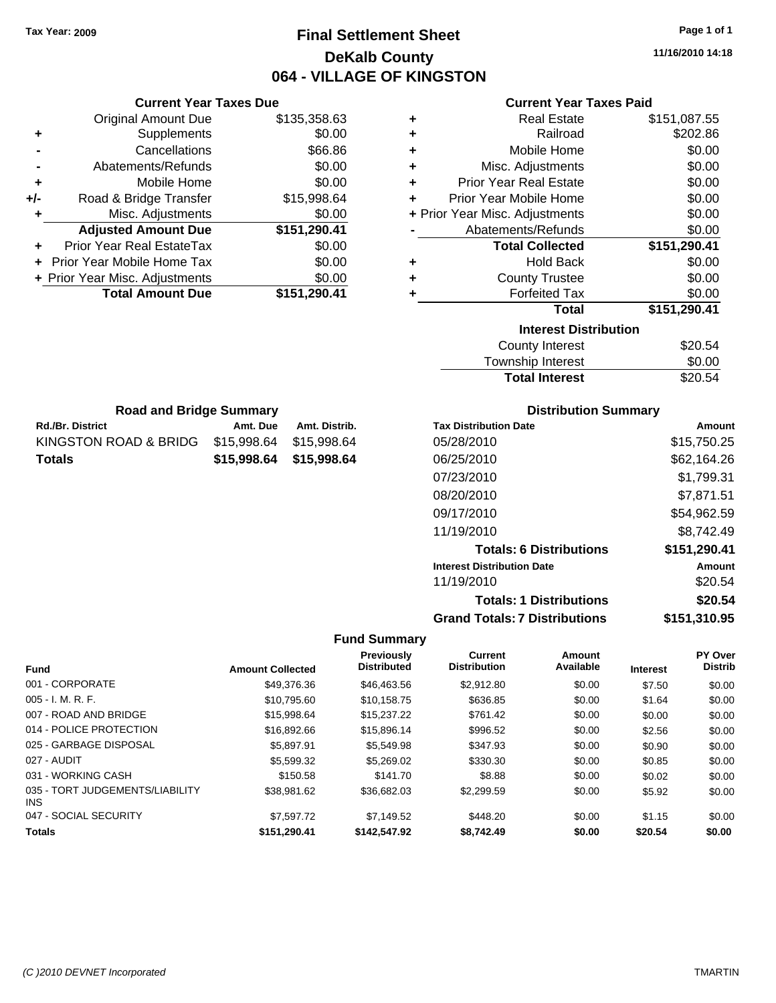### **Final Settlement Sheet Tax Year: 2009 Page 1 of 1 DeKalb County 064 - VILLAGE OF KINGSTON**

**11/16/2010 14:18**

#### **Current Year Taxes Paid**

| ٠ | <b>Real Estate</b>             | \$151,087.55 |
|---|--------------------------------|--------------|
| ٠ | Railroad                       | \$202.86     |
| ٠ | Mobile Home                    | \$0.00       |
| ٠ | Misc. Adjustments              | \$0.00       |
| ÷ | <b>Prior Year Real Estate</b>  | \$0.00       |
| ٠ | Prior Year Mobile Home         | \$0.00       |
|   | + Prior Year Misc. Adjustments | \$0.00       |
|   | Abatements/Refunds             | \$0.00       |
|   | <b>Total Collected</b>         | \$151,290.41 |
| ٠ | <b>Hold Back</b>               | \$0.00       |
| ٠ | <b>County Trustee</b>          | \$0.00       |
| ٠ | <b>Forfeited Tax</b>           | \$0.00       |
|   | Total                          | \$151,290.41 |
|   | <b>Interest Distribution</b>   |              |
|   | <b>County Interest</b>         | \$20.54      |
|   | Townshin Interest              | ደበ በበ        |

| <b>Total Interest</b> | \$20.54 |
|-----------------------|---------|
| Township Interest     | \$0.00  |
| County Interest       | \$20.54 |

| <b>Distribution Summary</b> |  |
|-----------------------------|--|
|-----------------------------|--|

| <b>Tax Distribution Date</b>         | Amount       |
|--------------------------------------|--------------|
| 05/28/2010                           | \$15,750.25  |
| 06/25/2010                           | \$62,164.26  |
| 07/23/2010                           | \$1,799.31   |
| 08/20/2010                           | \$7,871.51   |
| 09/17/2010                           | \$54,962.59  |
| 11/19/2010                           | \$8.742.49   |
| <b>Totals: 6 Distributions</b>       | \$151,290.41 |
| <b>Interest Distribution Date</b>    | Amount       |
| 11/19/2010                           | \$20.54      |
| <b>Totals: 1 Distributions</b>       | \$20.54      |
| <b>Grand Totals: 7 Distributions</b> | \$151,310.95 |

#### **Fund Summary**

|                                         |                         | <b>Previously</b>  | <b>Current</b>      | Amount    |                 | <b>PY Over</b> |
|-----------------------------------------|-------------------------|--------------------|---------------------|-----------|-----------------|----------------|
| <b>Fund</b>                             | <b>Amount Collected</b> | <b>Distributed</b> | <b>Distribution</b> | Available | <b>Interest</b> | <b>Distrib</b> |
| 001 - CORPORATE                         | \$49.376.36             | \$46,463.56        | \$2,912.80          | \$0.00    | \$7.50          | \$0.00         |
| $005 - I. M. R. F.$                     | \$10,795.60             | \$10,158.75        | \$636.85            | \$0.00    | \$1.64          | \$0.00         |
| 007 - ROAD AND BRIDGE                   | \$15.998.64             | \$15,237.22        | \$761.42            | \$0.00    | \$0.00          | \$0.00         |
| 014 - POLICE PROTECTION                 | \$16,892.66             | \$15,896.14        | \$996.52            | \$0.00    | \$2.56          | \$0.00         |
| 025 - GARBAGE DISPOSAL                  | \$5.897.91              | \$5,549.98         | \$347.93            | \$0.00    | \$0.90          | \$0.00         |
| 027 - AUDIT                             | \$5,599.32              | \$5,269.02         | \$330.30            | \$0.00    | \$0.85          | \$0.00         |
| 031 - WORKING CASH                      | \$150.58                | \$141.70           | \$8.88              | \$0.00    | \$0.02          | \$0.00         |
| 035 - TORT JUDGEMENTS/LIABILITY<br>INS. | \$38.981.62             | \$36,682.03        | \$2,299.59          | \$0.00    | \$5.92          | \$0.00         |
| 047 - SOCIAL SECURITY                   | \$7,597.72              | \$7.149.52         | \$448.20            | \$0.00    | \$1.15          | \$0.00         |
| <b>Totals</b>                           | \$151.290.41            | \$142.547.92       | \$8,742.49          | \$0.00    | \$20.54         | \$0.00         |

|     | <b>Current Year Taxes Due</b>     |              |  |  |  |
|-----|-----------------------------------|--------------|--|--|--|
|     | <b>Original Amount Due</b>        | \$135,358.63 |  |  |  |
| ٠   | Supplements                       | \$0.00       |  |  |  |
|     | Cancellations                     | \$66.86      |  |  |  |
|     | Abatements/Refunds                | \$0.00       |  |  |  |
| ٠   | Mobile Home                       | \$0.00       |  |  |  |
| +/- | Road & Bridge Transfer            | \$15,998.64  |  |  |  |
| ٠   | Misc. Adjustments                 | \$0.00       |  |  |  |
|     | <b>Adjusted Amount Due</b>        | \$151,290.41 |  |  |  |
|     | Prior Year Real EstateTax         | \$0.00       |  |  |  |
|     | <b>Prior Year Mobile Home Tax</b> | \$0.00       |  |  |  |
|     | + Prior Year Misc. Adjustments    | \$0.00       |  |  |  |
|     | <b>Total Amount Due</b>           | \$151,290.41 |  |  |  |

**Rd./Br. District Co. 2. Amt. Due Amt. Distrib. Road and Bridge Summary**

KINGSTON ROAD & BRIDG \$15,998.64 \$15,998.64 **Totals \$15,998.64 \$15,998.64**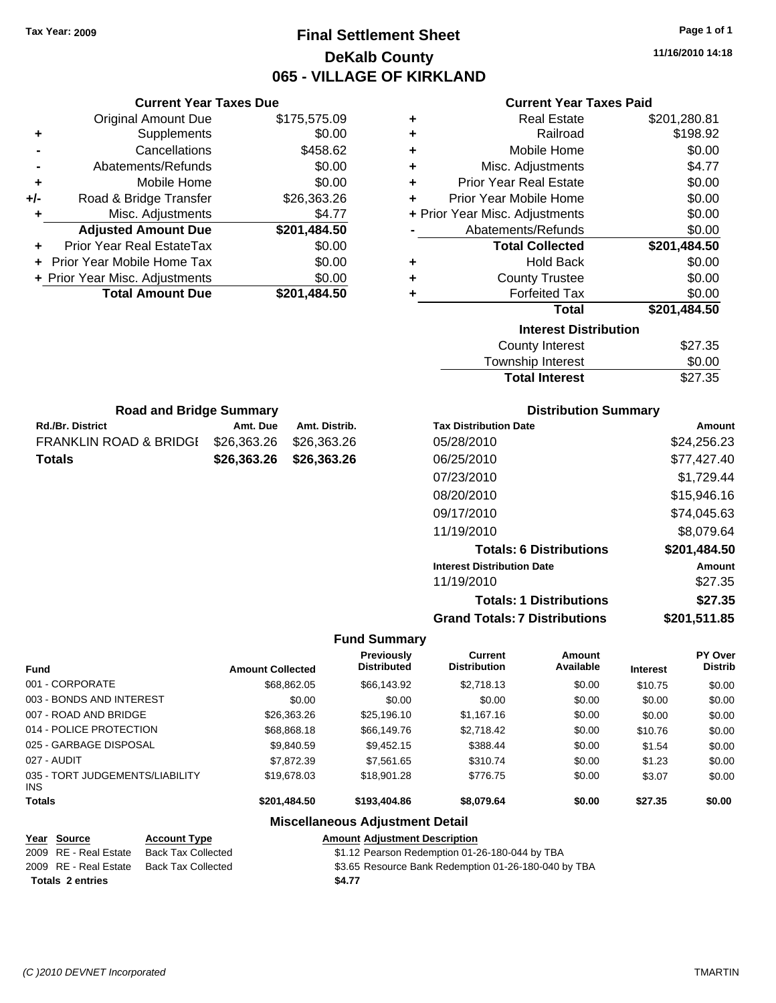### **Final Settlement Sheet Tax Year: 2009 Page 1 of 1 DeKalb County 065 - VILLAGE OF KIRKLAND**

**11/16/2010 14:18**

| <b>Current Year Taxes Paid</b> |  |  |  |
|--------------------------------|--|--|--|
|--------------------------------|--|--|--|

| ٠ | <b>Real Estate</b>             | \$201,280.81 |
|---|--------------------------------|--------------|
| ٠ | Railroad                       | \$198.92     |
| ٠ | Mobile Home                    | \$0.00       |
| ÷ | Misc. Adjustments              | \$4.77       |
| ٠ | <b>Prior Year Real Estate</b>  | \$0.00       |
| ÷ | Prior Year Mobile Home         | \$0.00       |
|   | + Prior Year Misc. Adjustments | \$0.00       |
|   | Abatements/Refunds             | \$0.00       |
|   | <b>Total Collected</b>         | \$201,484.50 |
| ٠ | <b>Hold Back</b>               | \$0.00       |
| ٠ | <b>County Trustee</b>          | \$0.00       |
| ٠ | <b>Forfeited Tax</b>           | \$0.00       |
|   | <b>Total</b>                   | \$201,484.50 |
|   | <b>Interest Distribution</b>   |              |
|   | <b>County Interest</b>         | \$27.35      |
|   | Township Interest              | \$0.00       |
|   |                                |              |

|     | Abatements/Refunds             | \$0.00       |
|-----|--------------------------------|--------------|
| ٠   | Mobile Home                    | \$0.00       |
| +/- | Road & Bridge Transfer         | \$26,363.26  |
| ٠   | Misc. Adjustments              | \$4.77       |
|     | <b>Adjusted Amount Due</b>     | \$201,484.50 |
|     | Prior Year Real EstateTax      | \$0.00       |
|     | + Prior Year Mobile Home Tax   | \$0.00       |
|     | + Prior Year Misc. Adjustments | \$0.00       |
|     | <b>Total Amount Due</b>        | \$201,484.50 |
|     |                                |              |

Rd./Br. District **Amt. Due** Amt. Distrib. **Road and Bridge Summary**

FRANKLIN ROAD & BRIDGE \$26,363.26 \$26,363.26 **Totals \$26,363.26 \$26,363.26**

**+** Supplements \$0.00 **-** Cancellations \$458.62

**Current Year Taxes Due** Original Amount Due \$175,575.09

#### **Distribution Summary**

**Total Interest** \$27.35

| <b>Tax Distribution Date</b>         | Amount       |
|--------------------------------------|--------------|
| 05/28/2010                           | \$24.256.23  |
| 06/25/2010                           | \$77.427.40  |
| 07/23/2010                           | \$1,729.44   |
| 08/20/2010                           | \$15,946.16  |
| 09/17/2010                           | \$74,045.63  |
| 11/19/2010                           | \$8,079.64   |
| <b>Totals: 6 Distributions</b>       | \$201,484.50 |
| <b>Interest Distribution Date</b>    | Amount       |
| 11/19/2010                           | \$27.35      |
| <b>Totals: 1 Distributions</b>       | \$27.35      |
| <b>Grand Totals: 7 Distributions</b> | \$201,511.85 |

#### **Fund Summary**

| <b>Fund</b>                             | <b>Amount Collected</b> | <b>Previously</b><br><b>Distributed</b> | <b>Current</b><br><b>Distribution</b> | Amount<br>Available | <b>Interest</b> | <b>PY Over</b><br><b>Distrib</b> |
|-----------------------------------------|-------------------------|-----------------------------------------|---------------------------------------|---------------------|-----------------|----------------------------------|
| 001 - CORPORATE                         | \$68,862,05             | \$66,143.92                             | \$2,718.13                            | \$0.00              | \$10.75         | \$0.00                           |
| 003 - BONDS AND INTEREST                | \$0.00                  | \$0.00                                  | \$0.00                                | \$0.00              | \$0.00          | \$0.00                           |
| 007 - ROAD AND BRIDGE                   | \$26,363,26             | \$25,196.10                             | \$1,167.16                            | \$0.00              | \$0.00          | \$0.00                           |
| 014 - POLICE PROTECTION                 | \$68,868.18             | \$66,149.76                             | \$2,718.42                            | \$0.00              | \$10.76         | \$0.00                           |
| 025 - GARBAGE DISPOSAL                  | \$9,840.59              | \$9,452.15                              | \$388.44                              | \$0.00              | \$1.54          | \$0.00                           |
| 027 - AUDIT                             | \$7.872.39              | \$7.561.65                              | \$310.74                              | \$0.00              | \$1.23          | \$0.00                           |
| 035 - TORT JUDGEMENTS/LIABILITY<br>INS. | \$19,678,03             | \$18,901.28                             | \$776.75                              | \$0.00              | \$3.07          | \$0.00                           |
| <b>Totals</b>                           | \$201,484.50            | \$193,404.86                            | \$8,079.64                            | \$0.00              | \$27.35         | \$0.00                           |

#### **Miscellaneous Adjustment Detail**

#### **Year Source Account Type Amount Adjustment Description**

| <b>Totals 2 entries</b> |                    | \$4.77                                               |
|-------------------------|--------------------|------------------------------------------------------|
| 2009 RE - Real Estate   | Back Tax Collected | \$3.65 Resource Bank Redemption 01-26-180-040 by TBA |
| 2009 RE - Real Estate   | Back Tax Collected | \$1.12 Pearson Redemption 01-26-180-044 by TBA       |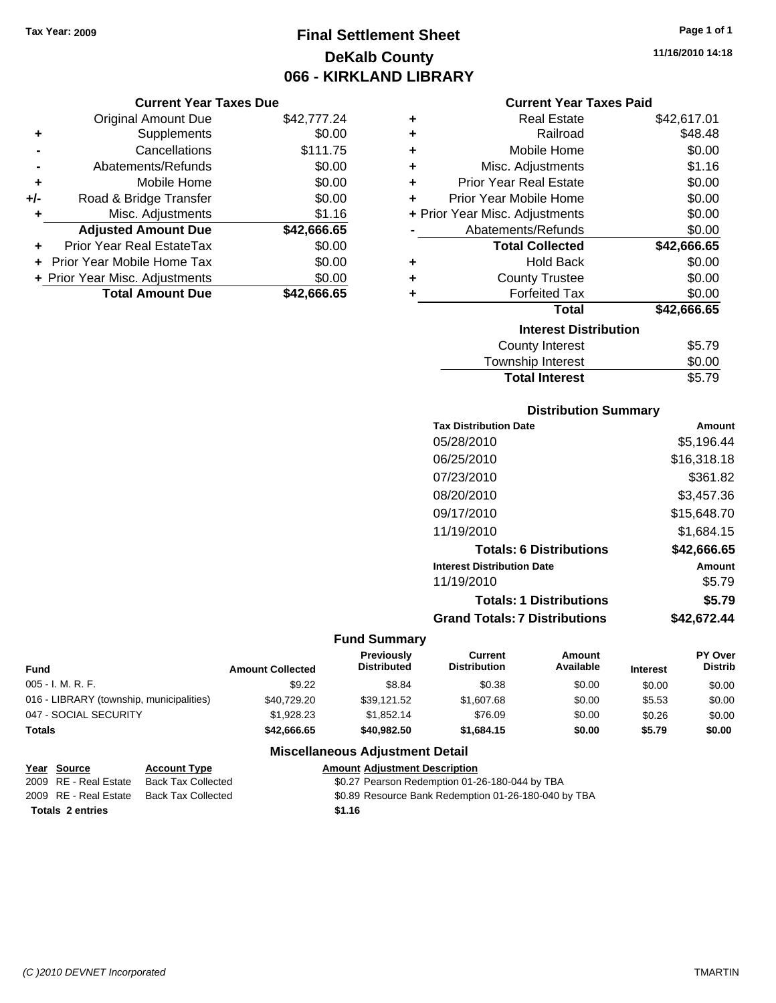### **Final Settlement Sheet Tax Year: 2009 Page 1 of 1 DeKalb County 066 - KIRKLAND LIBRARY**

#### **Current Year Taxes Due**

|       | <b>Original Amount Due</b>     | \$42,777.24 |
|-------|--------------------------------|-------------|
| ٠     | Supplements                    | \$0.00      |
|       | Cancellations                  | \$111.75    |
|       | Abatements/Refunds             | \$0.00      |
| ÷     | Mobile Home                    | \$0.00      |
| $+/-$ | Road & Bridge Transfer         | \$0.00      |
| ٠     | Misc. Adjustments              | \$1.16      |
|       | <b>Adjusted Amount Due</b>     | \$42,666.65 |
|       | Prior Year Real EstateTax      | \$0.00      |
|       | Prior Year Mobile Home Tax     | \$0.00      |
|       | + Prior Year Misc. Adjustments | \$0.00      |
|       | <b>Total Amount Due</b>        | \$42.666.65 |

#### **Current Year Taxes Paid**

| ٠ | <b>Real Estate</b>             | \$42,617.01 |
|---|--------------------------------|-------------|
| ٠ | Railroad                       | \$48.48     |
| ٠ | Mobile Home                    | \$0.00      |
| ٠ | Misc. Adjustments              | \$1.16      |
| ٠ | <b>Prior Year Real Estate</b>  | \$0.00      |
| ٠ | Prior Year Mobile Home         | \$0.00      |
|   | + Prior Year Misc. Adjustments | \$0.00      |
|   | Abatements/Refunds             | \$0.00      |
|   | <b>Total Collected</b>         | \$42,666.65 |
| ٠ | <b>Hold Back</b>               | \$0.00      |
| ٠ | <b>County Trustee</b>          | \$0.00      |
| ٠ | <b>Forfeited Tax</b>           | \$0.00      |
|   | Total                          | \$42,666.65 |
|   | <b>Interest Distribution</b>   |             |
|   | <b>County Interest</b>         | \$5.79      |
|   | <b>Township Interest</b>       | \$0.00      |
|   | <b>Total Interest</b>          | \$5.79      |

#### **Distribution Summary**

| \$5,196.44  |
|-------------|
| \$16,318.18 |
| \$361.82    |
| \$3,457.36  |
| \$15,648.70 |
| \$1,684.15  |
| \$42,666.65 |
| Amount      |
| \$5.79      |
| \$5.79      |
| \$42.672.44 |
|             |

#### **Fund Summary**

| <b>Fund</b>                              | <b>Amount Collected</b> | <b>Previously</b><br><b>Distributed</b> | Current<br><b>Distribution</b> | Amount<br>Available | <b>Interest</b> | <b>PY Over</b><br><b>Distrib</b> |
|------------------------------------------|-------------------------|-----------------------------------------|--------------------------------|---------------------|-----------------|----------------------------------|
| 005 - I. M. R. F.                        | \$9.22                  | \$8.84                                  | \$0.38                         | \$0.00              | \$0.00          | \$0.00                           |
| 016 - LIBRARY (township, municipalities) | \$40,729.20             | \$39.121.52                             | \$1,607.68                     | \$0.00              | \$5.53          | \$0.00                           |
| 047 - SOCIAL SECURITY                    | \$1,928.23              | \$1.852.14                              | \$76.09                        | \$0.00              | \$0.26          | \$0.00                           |
| <b>Totals</b>                            | \$42,666.65             | \$40.982.50                             | \$1,684.15                     | \$0.00              | \$5.79          | \$0.00                           |

### **Miscellaneous Adjustment Detail**

|                         | Year Source           | <b>Account Type</b> | <b>Amount Adiustment Description</b>                 |
|-------------------------|-----------------------|---------------------|------------------------------------------------------|
|                         | 2009 RE - Real Estate | Back Tax Collected  | \$0.27 Pearson Redemption 01-26-180-044 by TBA       |
|                         | 2009 RE - Real Estate | Back Tax Collected  | \$0.89 Resource Bank Redemption 01-26-180-040 by TBA |
| <b>Totals 2 entries</b> |                       |                     | \$1.16                                               |

**11/16/2010 14:18**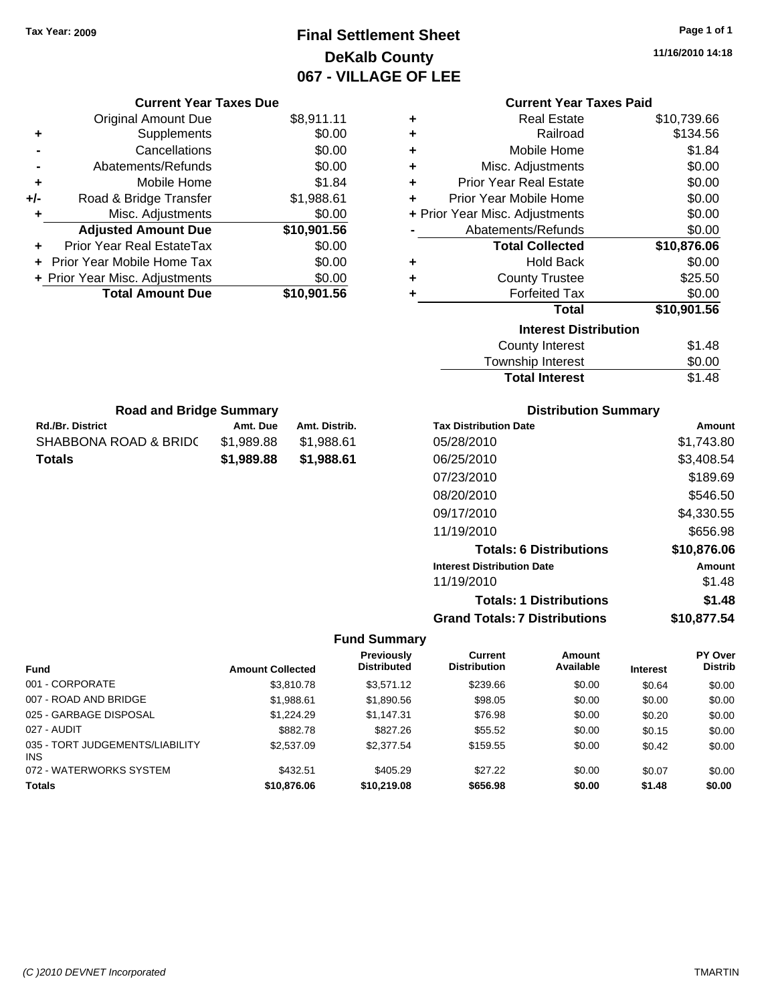### **Final Settlement Sheet Tax Year: 2009 Page 1 of 1 DeKalb County 067 - VILLAGE OF LEE**

**11/16/2010 14:18**

|   | <b>Current Year Taxes Paid</b> |             |  |  |  |  |
|---|--------------------------------|-------------|--|--|--|--|
| ٠ | Real Estate                    | \$10,739.66 |  |  |  |  |
| ٠ | Railroad                       | \$134.56    |  |  |  |  |
| ٠ | Mobile Home                    | \$1.84      |  |  |  |  |
| ٠ | Misc. Adjustments              | \$0.00      |  |  |  |  |
| ٠ | Prior Year Real Estate         | \$0.00      |  |  |  |  |
| ٠ | Prior Year Mobile Home         | \$0.00      |  |  |  |  |
|   | + Prior Year Misc. Adjustments | \$0.00      |  |  |  |  |
|   | Abatements/Refunds             | \$0.00      |  |  |  |  |
|   | <b>Total Collected</b>         | \$10,876.06 |  |  |  |  |
| ٠ | <b>Hold Back</b>               | \$0.00      |  |  |  |  |
| ٠ | <b>County Trustee</b>          | \$25.50     |  |  |  |  |
| ٠ | <b>Forfeited Tax</b>           | \$0.00      |  |  |  |  |
|   | Total                          | \$10,901.56 |  |  |  |  |
|   | <b>Interest Distribution</b>   |             |  |  |  |  |
|   | \$1.48<br>County Interest      |             |  |  |  |  |
|   | <b>Township Interest</b>       | \$0.00      |  |  |  |  |

### Rd./Br. District **Amt. Due** Amt. Distrib. **Road and Bridge Summary** SHABBONA ROAD & BRID( \$1,989.88 \$1,988.61

**Totals \$1,989.88 \$1,988.61**

**Current Year Taxes Due** Original Amount Due \$8,911.11

**Adjusted Amount Due \$10,901.56**

**Total Amount Due \$10,901.56**

**+** Supplements \$0.00 **-** Cancellations \$0.00 **-** Abatements/Refunds \$0.00 **+** Mobile Home \$1.84 **+/-** Road & Bridge Transfer \$1,988.61 **+** Misc. Adjustments \$0.00

**+** Prior Year Real EstateTax \$0.00 **+** Prior Year Mobile Home Tax \$0.00 **+ Prior Year Misc. Adjustments**  $$0.00$ 

#### **Distribution Summary**

Total Interest \$1.48

| <b>Tax Distribution Date</b>         | Amount      |
|--------------------------------------|-------------|
| 05/28/2010                           | \$1.743.80  |
| 06/25/2010                           | \$3,408.54  |
| 07/23/2010                           | \$189.69    |
| 08/20/2010                           | \$546.50    |
| 09/17/2010                           | \$4,330.55  |
| 11/19/2010                           | \$656.98    |
| <b>Totals: 6 Distributions</b>       | \$10,876.06 |
| <b>Interest Distribution Date</b>    | Amount      |
| 11/19/2010                           | \$1.48      |
| <b>Totals: 1 Distributions</b>       | \$1.48      |
| <b>Grand Totals: 7 Distributions</b> | \$10,877,54 |

#### **Fund Summary**

|                                               |                         | <b>Previously</b>  | Current             | Amount    |                 | PY Over        |
|-----------------------------------------------|-------------------------|--------------------|---------------------|-----------|-----------------|----------------|
| <b>Fund</b>                                   | <b>Amount Collected</b> | <b>Distributed</b> | <b>Distribution</b> | Available | <b>Interest</b> | <b>Distrib</b> |
| 001 - CORPORATE                               | \$3.810.78              | \$3.571.12         | \$239.66            | \$0.00    | \$0.64          | \$0.00         |
| 007 - ROAD AND BRIDGE                         | \$1,988.61              | \$1,890.56         | \$98.05             | \$0.00    | \$0.00          | \$0.00         |
| 025 - GARBAGE DISPOSAL                        | \$1,224.29              | \$1.147.31         | \$76.98             | \$0.00    | \$0.20          | \$0.00         |
| 027 - AUDIT                                   | \$882.78                | \$827.26           | \$55.52             | \$0.00    | \$0.15          | \$0.00         |
| 035 - TORT JUDGEMENTS/LIABILITY<br><b>INS</b> | \$2,537.09              | \$2,377.54         | \$159.55            | \$0.00    | \$0.42          | \$0.00         |
| 072 - WATERWORKS SYSTEM                       | \$432.51                | \$405.29           | \$27.22             | \$0.00    | \$0.07          | \$0.00         |
| <b>Totals</b>                                 | \$10,876.06             | \$10,219.08        | \$656.98            | \$0.00    | \$1.48          | \$0.00         |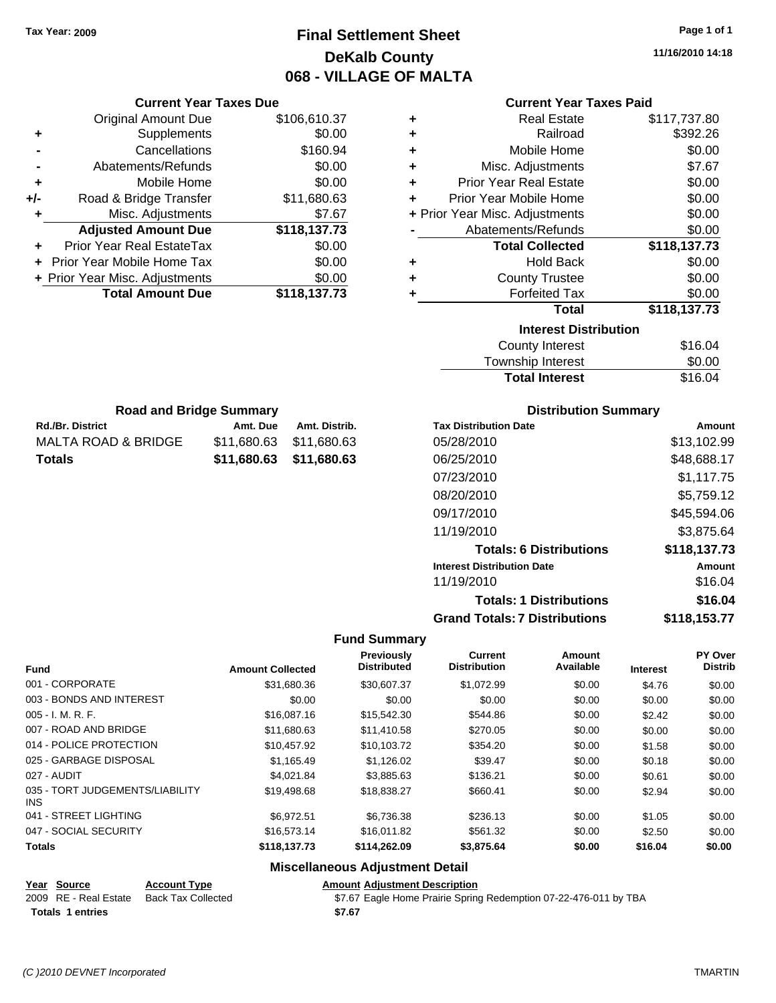**Current Year Taxes Due** Original Amount Due \$106,610.37

**Adjusted Amount Due \$118,137.73**

**Total Amount Due \$118,137.73**

**+** Supplements \$0.00 **-** Cancellations \$160.94 **-** Abatements/Refunds \$0.00 **+** Mobile Home \$0.00 **+/-** Road & Bridge Transfer \$11,680.63 **+** Misc. Adjustments \$7.67

**+** Prior Year Real EstateTax \$0.00 **+** Prior Year Mobile Home Tax \$0.00 **+ Prior Year Misc. Adjustments**  $$0.00$ 

Rd./Br. District **Amt. Due** Amt. Distrib. **Road and Bridge Summary**

MALTA ROAD & BRIDGE \$11,680.63 \$11,680.63 **Totals \$11,680.63 \$11,680.63**

### **Final Settlement Sheet Tax Year: 2009 Page 1 of 1 DeKalb County 068 - VILLAGE OF MALTA**

#### **Current Year Taxes Paid**

| ٠ | <b>Real Estate</b>             | \$117,737.80 |
|---|--------------------------------|--------------|
| ٠ | Railroad                       | \$392.26     |
| ÷ | Mobile Home                    | \$0.00       |
| ٠ | Misc. Adjustments              | \$7.67       |
| ٠ | <b>Prior Year Real Estate</b>  | \$0.00       |
| ÷ | Prior Year Mobile Home         | \$0.00       |
|   | + Prior Year Misc. Adjustments | \$0.00       |
|   | Abatements/Refunds             | \$0.00       |
|   | <b>Total Collected</b>         | \$118,137.73 |
| ٠ | <b>Hold Back</b>               | \$0.00       |
| ٠ | <b>County Trustee</b>          | \$0.00       |
| ٠ | <b>Forfeited Tax</b>           | \$0.00       |
|   | <b>Total</b>                   | \$118,137.73 |
|   | <b>Interest Distribution</b>   |              |
|   | <b>County Interest</b>         | \$16.04      |

| <b>Total Interest</b> | \$16.04 |
|-----------------------|---------|
| Township Interest     | \$0.00  |
| County Interest       | \$16.04 |

| <b>Distribution Summary</b> |  |
|-----------------------------|--|
|-----------------------------|--|

| <b>Tax Distribution Date</b>         | Amount       |
|--------------------------------------|--------------|
| 05/28/2010                           | \$13,102.99  |
| 06/25/2010                           | \$48,688.17  |
| 07/23/2010                           | \$1,117.75   |
| 08/20/2010                           | \$5,759.12   |
| 09/17/2010                           | \$45,594.06  |
| 11/19/2010                           | \$3,875.64   |
| <b>Totals: 6 Distributions</b>       | \$118,137.73 |
| <b>Interest Distribution Date</b>    | Amount       |
| 11/19/2010                           | \$16.04      |
| <b>Totals: 1 Distributions</b>       | \$16.04      |
| <b>Grand Totals: 7 Distributions</b> | \$118,153.77 |

#### **Fund Summary**

| <b>Fund</b>                             | <b>Amount Collected</b> | <b>Previously</b><br><b>Distributed</b> | <b>Current</b><br><b>Distribution</b> | <b>Amount</b><br>Available | <b>Interest</b> | PY Over<br><b>Distrib</b> |
|-----------------------------------------|-------------------------|-----------------------------------------|---------------------------------------|----------------------------|-----------------|---------------------------|
| 001 - CORPORATE                         | \$31,680.36             | \$30,607.37                             | \$1.072.99                            | \$0.00                     | \$4.76          | \$0.00                    |
| 003 - BONDS AND INTEREST                | \$0.00                  | \$0.00                                  | \$0.00                                | \$0.00                     | \$0.00          | \$0.00                    |
| $005 - I. M. R. F.$                     | \$16,087.16             | \$15,542.30                             | \$544.86                              | \$0.00                     | \$2.42          | \$0.00                    |
| 007 - ROAD AND BRIDGE                   | \$11,680.63             | \$11,410.58                             | \$270.05                              | \$0.00                     | \$0.00          | \$0.00                    |
| 014 - POLICE PROTECTION                 | \$10.457.92             | \$10.103.72                             | \$354.20                              | \$0.00                     | \$1.58          | \$0.00                    |
| 025 - GARBAGE DISPOSAL                  | \$1,165.49              | \$1,126.02                              | \$39.47                               | \$0.00                     | \$0.18          | \$0.00                    |
| 027 - AUDIT                             | \$4.021.84              | \$3,885.63                              | \$136.21                              | \$0.00                     | \$0.61          | \$0.00                    |
| 035 - TORT JUDGEMENTS/LIABILITY<br>INS. | \$19,498.68             | \$18,838.27                             | \$660.41                              | \$0.00                     | \$2.94          | \$0.00                    |
| 041 - STREET LIGHTING                   | \$6.972.51              | \$6,736.38                              | \$236.13                              | \$0.00                     | \$1.05          | \$0.00                    |
| 047 - SOCIAL SECURITY                   | \$16,573.14             | \$16,011.82                             | \$561.32                              | \$0.00                     | \$2.50          | \$0.00                    |
| <b>Totals</b>                           | \$118.137.73            | \$114,262.09                            | \$3,875.64                            | \$0.00                     | \$16.04         | \$0.00                    |

#### **Miscellaneous Adjustment Detail**

#### **Year Source Account Type Amount Adjustment Description**

| 2009 RE - Real Estate Back Tax Collected | \$7.67 Eagle Home Prairie Spring Redemption 07-22-476-011 by TBA |
|------------------------------------------|------------------------------------------------------------------|
| <b>Totals 1 entries</b>                  | \$7.67                                                           |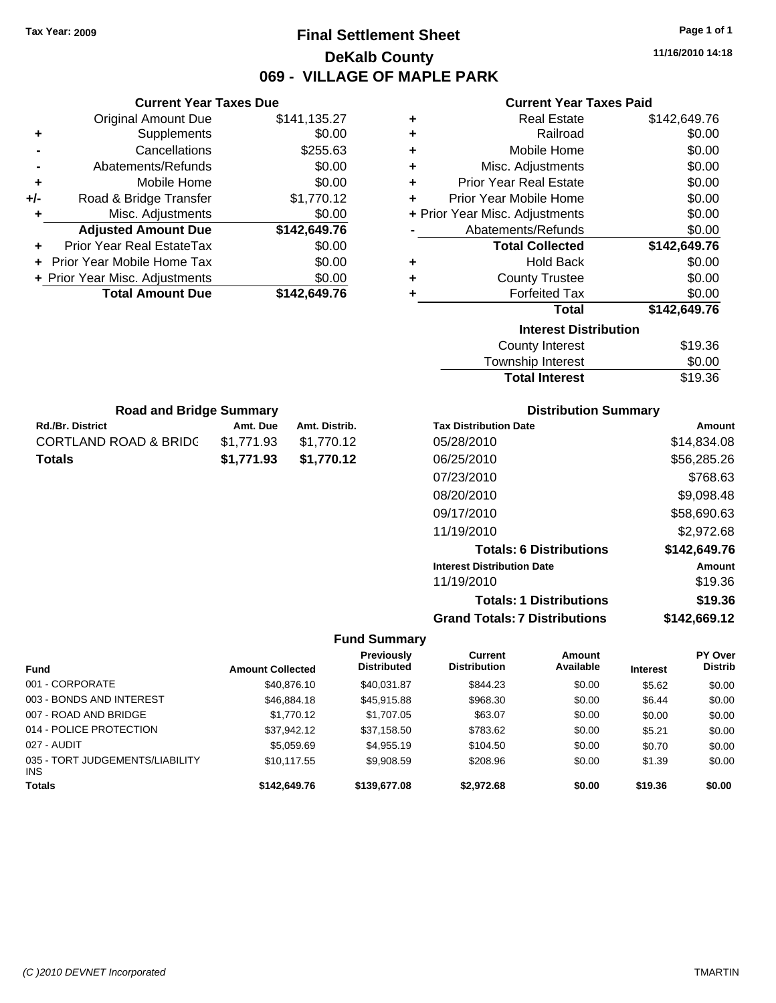### **Final Settlement Sheet Tax Year: 2009 Page 1 of 1 DeKalb County 069 - VILLAGE OF MAPLE PARK**

**11/16/2010 14:18**

#### **Current Year Taxes Paid**

| ٠                            | <b>Real Estate</b>                                                                                                                                                                                                            | \$142,649.76 |  |  |
|------------------------------|-------------------------------------------------------------------------------------------------------------------------------------------------------------------------------------------------------------------------------|--------------|--|--|
| ٠                            | Railroad                                                                                                                                                                                                                      | \$0.00       |  |  |
| ٠                            | Mobile Home                                                                                                                                                                                                                   | \$0.00       |  |  |
| ٠                            | Misc. Adjustments                                                                                                                                                                                                             | \$0.00       |  |  |
| ÷                            | <b>Prior Year Real Estate</b>                                                                                                                                                                                                 | \$0.00       |  |  |
| ÷                            | Prior Year Mobile Home                                                                                                                                                                                                        | \$0.00       |  |  |
|                              | + Prior Year Misc. Adjustments                                                                                                                                                                                                | \$0.00       |  |  |
|                              | Abatements/Refunds                                                                                                                                                                                                            | \$0.00       |  |  |
|                              | <b>Total Collected</b>                                                                                                                                                                                                        | \$142,649.76 |  |  |
| ٠                            | <b>Hold Back</b>                                                                                                                                                                                                              | \$0.00       |  |  |
| ٠                            | <b>County Trustee</b>                                                                                                                                                                                                         | \$0.00       |  |  |
| ٠                            | <b>Forfeited Tax</b>                                                                                                                                                                                                          | \$0.00       |  |  |
|                              | <b>Total</b>                                                                                                                                                                                                                  | \$142,649.76 |  |  |
| <b>Interest Distribution</b> |                                                                                                                                                                                                                               |              |  |  |
|                              | <b>County Interest</b>                                                                                                                                                                                                        | \$19.36      |  |  |
|                              | The control of the second to the second second to the second second to the second second to the second second second to the second second second second second second second second second second second second second second | ີົົົ         |  |  |

| <b>Total Interest</b>  | \$19.36 |
|------------------------|---------|
| Township Interest      | \$0.00  |
| <b>County Interest</b> | \$19.36 |

| <b>Road and Bridge Summary</b> |            |               |  |
|--------------------------------|------------|---------------|--|
| <b>Rd./Br. District</b>        | Amt. Due   | Amt. Distrib. |  |
| CORTLAND ROAD & BRIDC          | \$1.771.93 | \$1.770.12    |  |
| Totals                         | \$1.771.93 | \$1.770.12    |  |

**Current Year Taxes Due** Original Amount Due \$141,135.27

**Adjusted Amount Due \$142,649.76**

**+** Supplements \$0.00 **-** Cancellations \$255.63 **-** Abatements/Refunds \$0.00 **+** Mobile Home \$0.00 **+/-** Road & Bridge Transfer \$1,770.12 **+** Misc. Adjustments \$0.00

**+** Prior Year Real EstateTax \$0.00 **+** Prior Year Mobile Home Tax \$0.00 **+ Prior Year Misc. Adjustments \$0.00<br>Total Amount Due \$142,649.76** 

**Total Amount Due** 

#### **Distribution Summary**

| <b>Tax Distribution Date</b>         | Amount       |
|--------------------------------------|--------------|
| 05/28/2010                           | \$14,834.08  |
| 06/25/2010                           | \$56,285.26  |
| 07/23/2010                           | \$768.63     |
| 08/20/2010                           | \$9,098.48   |
| 09/17/2010                           | \$58,690.63  |
| 11/19/2010                           | \$2,972.68   |
| <b>Totals: 6 Distributions</b>       | \$142,649.76 |
| <b>Interest Distribution Date</b>    | Amount       |
| 11/19/2010                           | \$19.36      |
| <b>Totals: 1 Distributions</b>       | \$19.36      |
| <b>Grand Totals: 7 Distributions</b> | \$142,669.12 |

#### **Fund Summary**

|                                               |                         | <b>Previously</b>  | Current             | Amount    |                 | <b>PY Over</b> |
|-----------------------------------------------|-------------------------|--------------------|---------------------|-----------|-----------------|----------------|
| <b>Fund</b>                                   | <b>Amount Collected</b> | <b>Distributed</b> | <b>Distribution</b> | Available | <b>Interest</b> | <b>Distrib</b> |
| 001 - CORPORATE                               | \$40,876.10             | \$40,031.87        | \$844.23            | \$0.00    | \$5.62          | \$0.00         |
| 003 - BONDS AND INTEREST                      | \$46,884.18             | \$45,915.88        | \$968.30            | \$0.00    | \$6.44          | \$0.00         |
| 007 - ROAD AND BRIDGE                         | \$1,770.12              | \$1,707.05         | \$63.07             | \$0.00    | \$0.00          | \$0.00         |
| 014 - POLICE PROTECTION                       | \$37,942.12             | \$37,158.50        | \$783.62            | \$0.00    | \$5.21          | \$0.00         |
| 027 - AUDIT                                   | \$5,059.69              | \$4.955.19         | \$104.50            | \$0.00    | \$0.70          | \$0.00         |
| 035 - TORT JUDGEMENTS/LIABILITY<br><b>INS</b> | \$10.117.55             | \$9,908.59         | \$208.96            | \$0.00    | \$1.39          | \$0.00         |
| <b>Totals</b>                                 | \$142,649.76            | \$139,677,08       | \$2,972.68          | \$0.00    | \$19.36         | \$0.00         |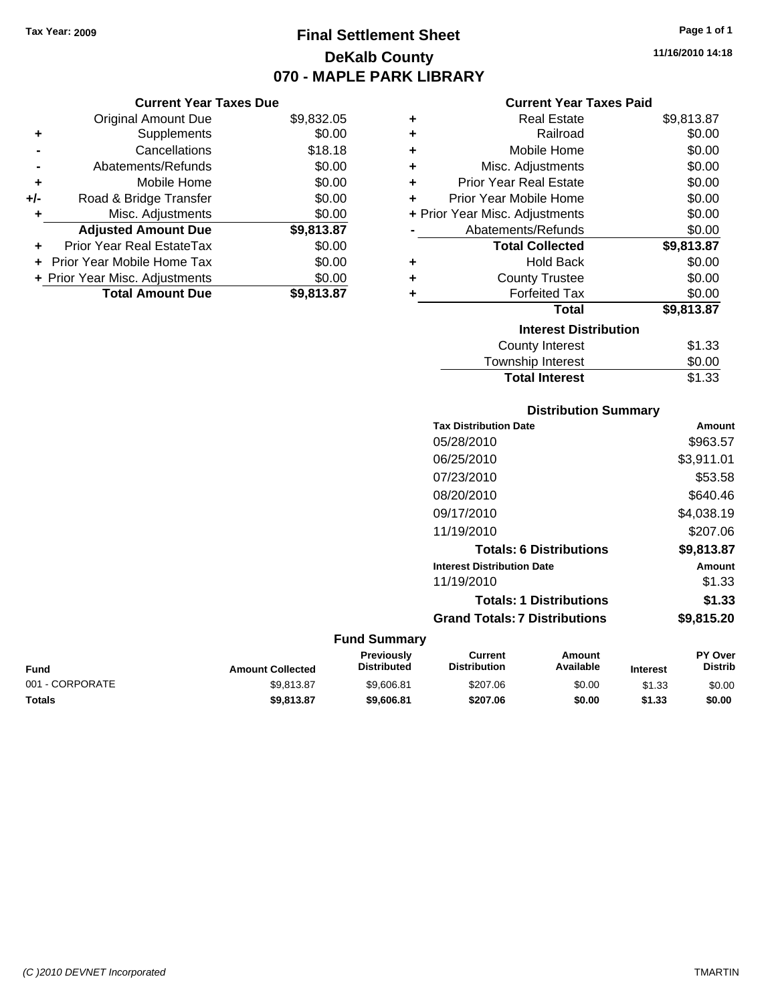### **Final Settlement Sheet Tax Year: 2009 Page 1 of 1 DeKalb County 070 - MAPLE PARK LIBRARY**

#### **Current Year Taxes Due**

|     | <b>Original Amount Due</b>       | \$9,832.05 |
|-----|----------------------------------|------------|
| ٠   | Supplements                      | \$0.00     |
|     | Cancellations                    | \$18.18    |
|     | Abatements/Refunds               | \$0.00     |
| ÷   | Mobile Home                      | \$0.00     |
| +/- | Road & Bridge Transfer           | \$0.00     |
| ٠   | Misc. Adjustments                | \$0.00     |
|     | <b>Adjusted Amount Due</b>       | \$9,813.87 |
|     | <b>Prior Year Real EstateTax</b> | \$0.00     |
|     | Prior Year Mobile Home Tax       | \$0.00     |
|     | + Prior Year Misc. Adjustments   | \$0.00     |
|     | <b>Total Amount Due</b>          | \$9,813.87 |

#### **Current Year Taxes Paid**

| ٠                            | <b>Real Estate</b>             | \$9,813.87 |  |  |
|------------------------------|--------------------------------|------------|--|--|
| ÷                            | Railroad                       | \$0.00     |  |  |
| ٠                            | Mobile Home                    | \$0.00     |  |  |
| ٠                            | Misc. Adjustments              | \$0.00     |  |  |
| ÷                            | <b>Prior Year Real Estate</b>  | \$0.00     |  |  |
| ٠                            | Prior Year Mobile Home         | \$0.00     |  |  |
|                              | + Prior Year Misc. Adjustments | \$0.00     |  |  |
|                              | Abatements/Refunds             | \$0.00     |  |  |
|                              | <b>Total Collected</b>         | \$9,813.87 |  |  |
| ٠                            | <b>Hold Back</b>               | \$0.00     |  |  |
| ٠                            | <b>County Trustee</b>          | \$0.00     |  |  |
| ٠                            | <b>Forfeited Tax</b>           | \$0.00     |  |  |
|                              | Total                          | \$9,813.87 |  |  |
| <b>Interest Distribution</b> |                                |            |  |  |
|                              | <b>County Interest</b>         | \$1.33     |  |  |
|                              | <b>Township Interest</b>       | \$0.00     |  |  |
|                              | <b>Total Interest</b>          | \$1.33     |  |  |

## **Distribution Summary**

|                     | <b>Tax Distribution Date</b>         | Amount        |
|---------------------|--------------------------------------|---------------|
|                     | 05/28/2010                           | \$963.57      |
|                     | 06/25/2010                           | \$3,911.01    |
|                     | 07/23/2010                           | \$53.58       |
|                     | 08/20/2010                           | \$640.46      |
|                     | 09/17/2010                           | \$4,038.19    |
|                     | 11/19/2010                           | \$207.06      |
|                     | <b>Totals: 6 Distributions</b>       | \$9,813.87    |
|                     | <b>Interest Distribution Date</b>    | <b>Amount</b> |
|                     | 11/19/2010                           | \$1.33        |
|                     | <b>Totals: 1 Distributions</b>       | \$1.33        |
|                     | <b>Grand Totals: 7 Distributions</b> | \$9,815.20    |
| <b>Fund Summary</b> |                                      |               |

#### **Fund Interest Amount Collected Distributed PY Over Distrib Amount Available Current Distribution Previously** 001 - CORPORATE 60.00 \$9,813.87 \$9,606.81 \$207.06 \$0.00 \$1.33 \$0.00 **Totals \$9,813.87 \$9,606.81 \$207.06 \$0.00 \$1.33 \$0.00**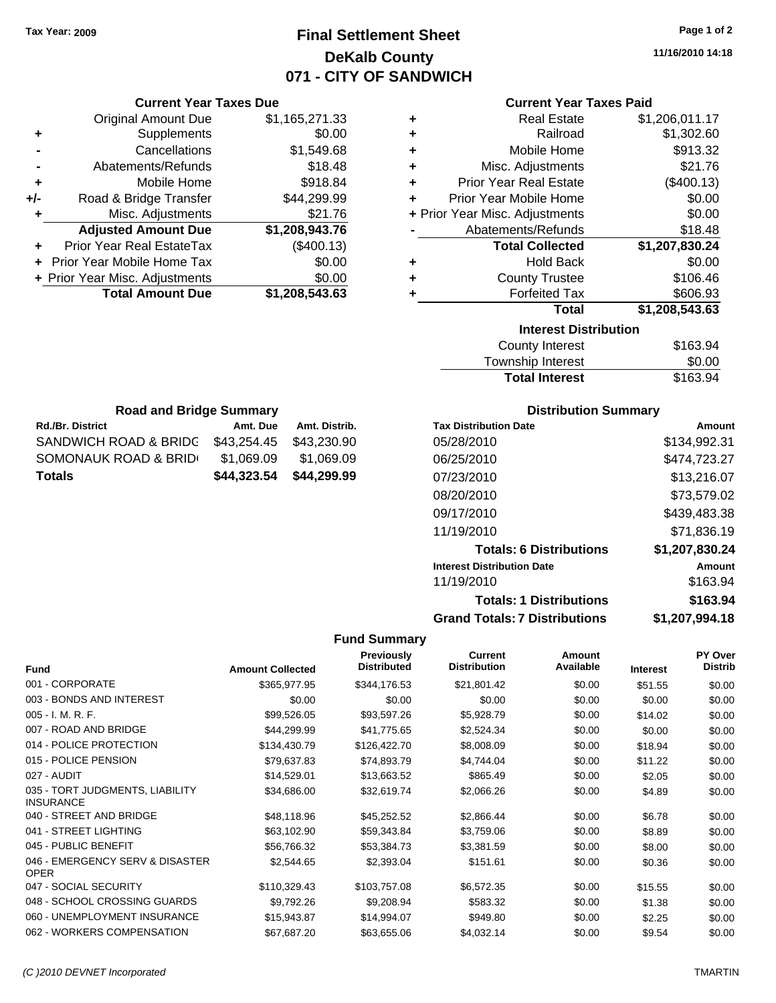## **Final Settlement Sheet Tax Year: 2009 Page 1 of 2 DeKalb County 071 - CITY OF SANDWICH**

**11/16/2010 14:18**

#### **Current Year Taxes Paid**

| ٠ | <b>Real Estate</b>             | \$1,206,011.17 |
|---|--------------------------------|----------------|
| ٠ | Railroad                       | \$1,302.60     |
| ÷ | Mobile Home                    | \$913.32       |
| ÷ | Misc. Adjustments              | \$21.76        |
| ٠ | <b>Prior Year Real Estate</b>  | (\$400.13)     |
| ÷ | Prior Year Mobile Home         | \$0.00         |
|   | + Prior Year Misc. Adjustments | \$0.00         |
|   | Abatements/Refunds             | \$18.48        |
|   | <b>Total Collected</b>         | \$1,207,830.24 |
| ٠ | <b>Hold Back</b>               | \$0.00         |
| ٠ | <b>County Trustee</b>          | \$106.46       |
| ٠ | <b>Forfeited Tax</b>           | \$606.93       |
|   | Total                          | \$1,208,543.63 |
|   | <b>Interest Distribution</b>   |                |
|   | County Interest                | \$163.94       |

| <b>Total Interest</b> | \$163.94 |
|-----------------------|----------|
| Township Interest     | \$0.00   |
| County Interest       | \$163.94 |

| <b>Road and Bridge Summary</b> |             |               |  |  |
|--------------------------------|-------------|---------------|--|--|
| <b>Rd./Br. District</b>        | Amt. Due    | Amt. Distrib. |  |  |
| SANDWICH ROAD & BRIDG          | \$43.254.45 | \$43,230.90   |  |  |
| SOMONAUK ROAD & BRID           | \$1,069.09  | \$1,069.09    |  |  |
| Totals                         | \$44,323,54 | \$44,299.99   |  |  |

**Current Year Taxes Due** Original Amount Due \$1,165,271.33

**Adjusted Amount Due \$1,208,943.76**

**Total Amount Due \$1,208,543.63**

**+** Supplements \$0.00 **-** Cancellations \$1,549.68 **-** Abatements/Refunds \$18.48 **+** Mobile Home \$918.84 **+/-** Road & Bridge Transfer \$44,299.99 **+** Misc. Adjustments \$21.76

**+** Prior Year Real EstateTax (\$400.13) **+** Prior Year Mobile Home Tax \$0.00 **+ Prior Year Misc. Adjustments**  $$0.00$ 

#### **Distribution Summary**

| <b>Tax Distribution Date</b>         | Amount         |
|--------------------------------------|----------------|
| 05/28/2010                           | \$134,992.31   |
| 06/25/2010                           | \$474,723.27   |
| 07/23/2010                           | \$13,216.07    |
| 08/20/2010                           | \$73,579.02    |
| 09/17/2010                           | \$439,483.38   |
| 11/19/2010                           | \$71.836.19    |
| <b>Totals: 6 Distributions</b>       | \$1,207,830.24 |
| <b>Interest Distribution Date</b>    | Amount         |
| 11/19/2010                           | \$163.94       |
| <b>Totals: 1 Distributions</b>       | \$163.94       |
| <b>Grand Totals: 7 Distributions</b> | \$1,207,994.18 |

#### **Fund Summary**

| <b>Fund</b>                                         | <b>Amount Collected</b> | <b>Previously</b><br><b>Distributed</b> | <b>Current</b><br><b>Distribution</b> | Amount<br>Available | <b>Interest</b> | <b>PY Over</b><br><b>Distrib</b> |
|-----------------------------------------------------|-------------------------|-----------------------------------------|---------------------------------------|---------------------|-----------------|----------------------------------|
| 001 - CORPORATE                                     | \$365,977.95            | \$344,176.53                            | \$21,801.42                           | \$0.00              | \$51.55         | \$0.00                           |
| 003 - BONDS AND INTEREST                            | \$0.00                  | \$0.00                                  | \$0.00                                | \$0.00              | \$0.00          | \$0.00                           |
| $005 - I. M. R. F.$                                 | \$99,526.05             | \$93,597.26                             | \$5,928.79                            | \$0.00              | \$14.02         | \$0.00                           |
| 007 - ROAD AND BRIDGE                               | \$44,299.99             | \$41,775.65                             | \$2,524.34                            | \$0.00              | \$0.00          | \$0.00                           |
| 014 - POLICE PROTECTION                             | \$134,430.79            | \$126,422.70                            | \$8,008.09                            | \$0.00              | \$18.94         | \$0.00                           |
| 015 - POLICE PENSION                                | \$79,637.83             | \$74,893.79                             | \$4,744.04                            | \$0.00              | \$11.22         | \$0.00                           |
| 027 - AUDIT                                         | \$14,529.01             | \$13,663.52                             | \$865.49                              | \$0.00              | \$2.05          | \$0.00                           |
| 035 - TORT JUDGMENTS, LIABILITY<br><b>INSURANCE</b> | \$34,686.00             | \$32,619.74                             | \$2,066.26                            | \$0.00              | \$4.89          | \$0.00                           |
| 040 - STREET AND BRIDGE                             | \$48,118.96             | \$45,252.52                             | \$2,866.44                            | \$0.00              | \$6.78          | \$0.00                           |
| 041 - STREET LIGHTING                               | \$63,102.90             | \$59,343.84                             | \$3,759.06                            | \$0.00              | \$8.89          | \$0.00                           |
| 045 - PUBLIC BENEFIT                                | \$56,766.32             | \$53,384.73                             | \$3,381.59                            | \$0.00              | \$8.00          | \$0.00                           |
| 046 - EMERGENCY SERV & DISASTER<br><b>OPER</b>      | \$2,544.65              | \$2,393.04                              | \$151.61                              | \$0.00              | \$0.36          | \$0.00                           |
| 047 - SOCIAL SECURITY                               | \$110,329.43            | \$103,757.08                            | \$6,572.35                            | \$0.00              | \$15.55         | \$0.00                           |
| 048 - SCHOOL CROSSING GUARDS                        | \$9,792.26              | \$9,208.94                              | \$583.32                              | \$0.00              | \$1.38          | \$0.00                           |
| 060 - UNEMPLOYMENT INSURANCE                        | \$15,943.87             | \$14,994.07                             | \$949.80                              | \$0.00              | \$2.25          | \$0.00                           |
| 062 - WORKERS COMPENSATION                          | \$67,687.20             | \$63,655.06                             | \$4,032.14                            | \$0.00              | \$9.54          | \$0.00                           |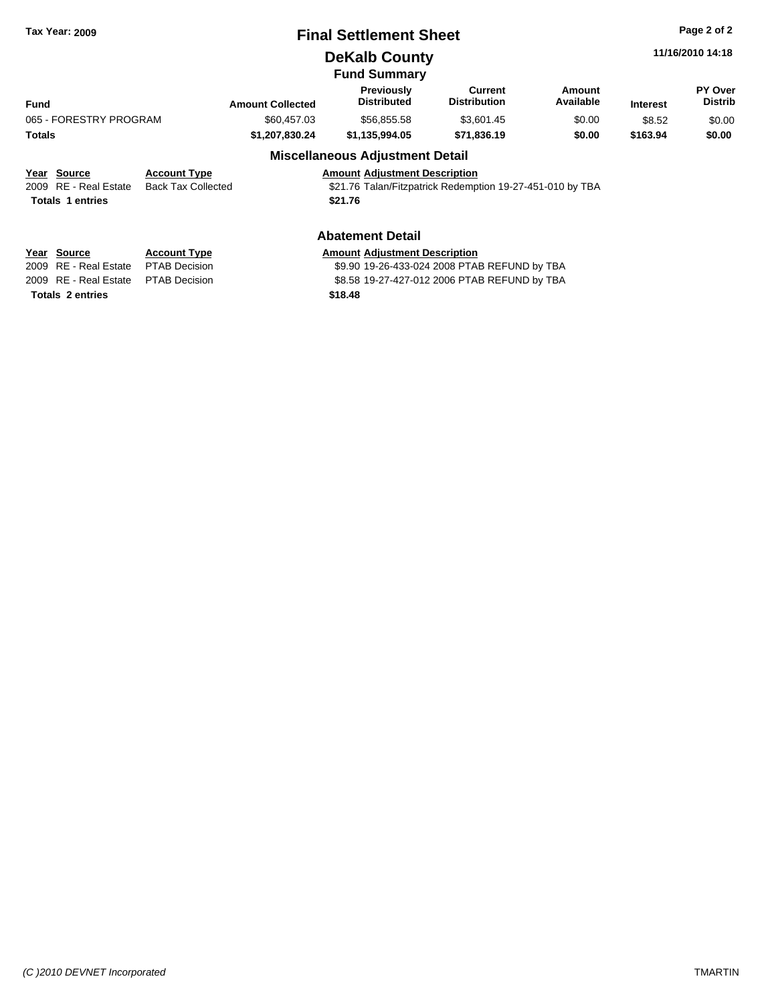## **Final Settlement Sheet Tax Year: 2009 Page 2 of 2**

**DeKalb County**

**Fund Summary**

|                         |                           |                         | .  vullillu v                                             |                                |                     |                 |                           |
|-------------------------|---------------------------|-------------------------|-----------------------------------------------------------|--------------------------------|---------------------|-----------------|---------------------------|
| <b>Fund</b>             |                           | <b>Amount Collected</b> | <b>Previously</b><br><b>Distributed</b>                   | Current<br><b>Distribution</b> | Amount<br>Available | <b>Interest</b> | PY Over<br><b>Distrib</b> |
| 065 - FORESTRY PROGRAM  |                           | \$60,457,03             | \$56.855.58                                               | \$3,601.45                     | \$0.00              | \$8.52          | \$0.00                    |
| Totals                  |                           | \$1.207.830.24          | \$1,135,994.05                                            | \$71.836.19                    | \$0.00              | \$163.94        | \$0.00                    |
|                         |                           |                         | <b>Miscellaneous Adjustment Detail</b>                    |                                |                     |                 |                           |
| Year Source             | <b>Account Type</b>       |                         | <b>Amount Adiustment Description</b>                      |                                |                     |                 |                           |
| 2009 RE - Real Estate   | <b>Back Tax Collected</b> |                         | \$21.76 Talan/Fitzpatrick Redemption 19-27-451-010 by TBA |                                |                     |                 |                           |
| <b>Totals 1 entries</b> |                           |                         | \$21.76                                                   |                                |                     |                 |                           |

#### **Abatement Detail**

| Year Source                         | <b>Account Type</b> |
|-------------------------------------|---------------------|
| 2009 RE - Real Estate PTAB Decision |                     |
| 2009 RE - Real Estate PTAB Decision |                     |

**Totals \$18.48 2 entries**

#### **Amount Adjustment Description**

\$9.90 19-26-433-024 2008 PTAB REFUND by TBA \$8.58 19-27-427-012 2006 PTAB REFUND by TBA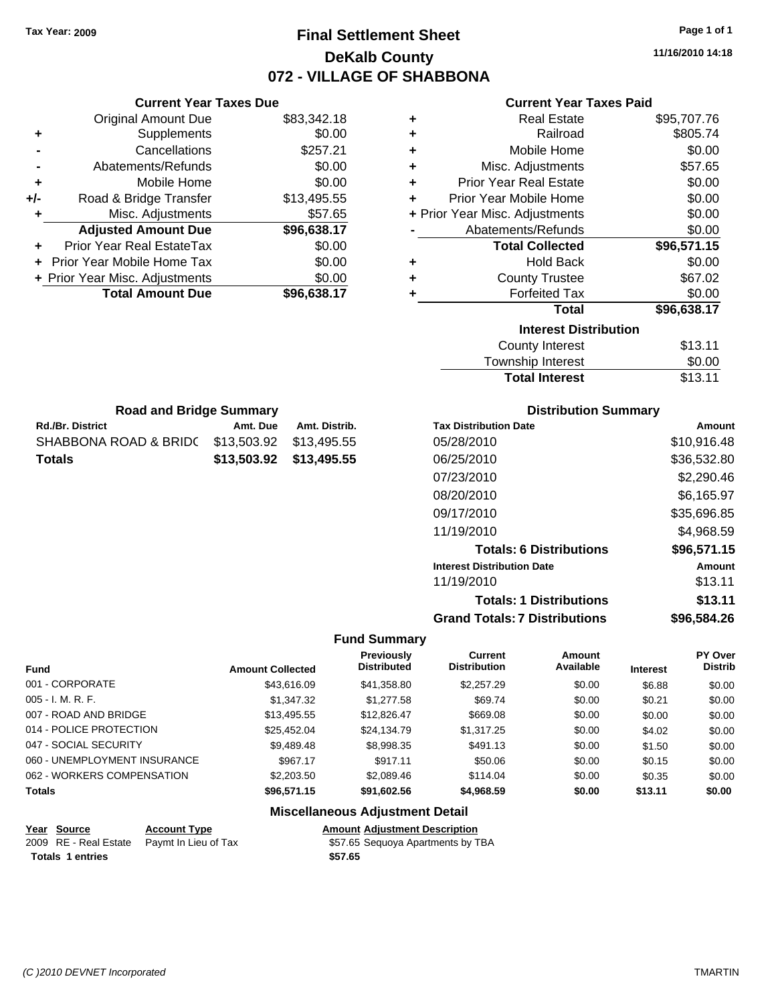## **Final Settlement Sheet Tax Year: 2009 Page 1 of 1 DeKalb County 072 - VILLAGE OF SHABBONA**

**11/16/2010 14:18**

#### **Current Year Taxes Paid**

| ٠ | <b>Real Estate</b>             | \$95,707.76 |
|---|--------------------------------|-------------|
| ٠ | Railroad                       | \$805.74    |
| ٠ | Mobile Home                    | \$0.00      |
| ٠ | Misc. Adjustments              | \$57.65     |
| ٠ | <b>Prior Year Real Estate</b>  | \$0.00      |
| ٠ | Prior Year Mobile Home         | \$0.00      |
|   | + Prior Year Misc. Adjustments | \$0.00      |
|   | Abatements/Refunds             | \$0.00      |
|   | <b>Total Collected</b>         | \$96,571.15 |
| ٠ | <b>Hold Back</b>               | \$0.00      |
| ٠ | <b>County Trustee</b>          | \$67.02     |
| ٠ | <b>Forfeited Tax</b>           | \$0.00      |
|   | <b>Total</b>                   | \$96,638.17 |
|   | <b>Interest Distribution</b>   |             |
|   | <b>County Interest</b>         | \$13.11     |
|   | <b>Township Interest</b>       | \$0.00      |

| <b>Road and Bridge Summary</b>                |          |                         |  |  |
|-----------------------------------------------|----------|-------------------------|--|--|
| <b>Rd./Br. District</b>                       | Amt. Due | Amt. Distrib.           |  |  |
| SHABBONA ROAD & BRID( \$13,503.92 \$13,495.55 |          |                         |  |  |
| <b>Totals</b>                                 |          | \$13,503.92 \$13,495.55 |  |  |

**Current Year Taxes Due** Original Amount Due \$83,342.18

**Adjusted Amount Due \$96,638.17**

**Total Amount Due \$96,638.17**

**+** Supplements \$0.00 **-** Cancellations \$257.21 **-** Abatements/Refunds \$0.00 **+** Mobile Home \$0.00 **+/-** Road & Bridge Transfer \$13,495.55 **+** Misc. Adjustments \$57.65

**+** Prior Year Real EstateTax \$0.00 **+** Prior Year Mobile Home Tax \$0.00 **+ Prior Year Misc. Adjustments**  $$0.00$ 

#### **Distribution Summary**

Total Interest \$13.11

| <b>Tax Distribution Date</b>         | Amount      |
|--------------------------------------|-------------|
| 05/28/2010                           | \$10,916.48 |
| 06/25/2010                           | \$36,532.80 |
| 07/23/2010                           | \$2,290.46  |
| 08/20/2010                           | \$6,165.97  |
| 09/17/2010                           | \$35,696.85 |
| 11/19/2010                           | \$4,968.59  |
| <b>Totals: 6 Distributions</b>       | \$96,571.15 |
| <b>Interest Distribution Date</b>    | Amount      |
| 11/19/2010                           | \$13.11     |
| <b>Totals: 1 Distributions</b>       | \$13.11     |
| <b>Grand Totals: 7 Distributions</b> | \$96,584.26 |

#### **Fund Summary**

| <b>Fund</b>                  | <b>Amount Collected</b> | Previously<br><b>Distributed</b> | <b>Current</b><br><b>Distribution</b> | <b>Amount</b><br>Available | <b>Interest</b> | <b>PY Over</b><br><b>Distrib</b> |
|------------------------------|-------------------------|----------------------------------|---------------------------------------|----------------------------|-----------------|----------------------------------|
| 001 - CORPORATE              | \$43,616.09             | \$41,358.80                      | \$2,257.29                            | \$0.00                     | \$6.88          | \$0.00                           |
| $005 - I. M. R. F.$          | \$1,347.32              | \$1,277.58                       | \$69.74                               | \$0.00                     | \$0.21          | \$0.00                           |
| 007 - ROAD AND BRIDGE        | \$13,495.55             | \$12,826.47                      | \$669.08                              | \$0.00                     | \$0.00          | \$0.00                           |
| 014 - POLICE PROTECTION      | \$25,452,04             | \$24.134.79                      | \$1,317.25                            | \$0.00                     | \$4.02          | \$0.00                           |
| 047 - SOCIAL SECURITY        | \$9,489.48              | \$8,998.35                       | \$491.13                              | \$0.00                     | \$1.50          | \$0.00                           |
| 060 - UNEMPLOYMENT INSURANCE | \$967.17                | \$917.11                         | \$50.06                               | \$0.00                     | \$0.15          | \$0.00                           |
| 062 - WORKERS COMPENSATION   | \$2,203.50              | \$2,089.46                       | \$114.04                              | \$0.00                     | \$0.35          | \$0.00                           |
| <b>Totals</b>                | \$96,571.15             | \$91,602.56                      | \$4,968.59                            | \$0.00                     | \$13.11         | \$0.00                           |

### **Miscellaneous Adjustment Detail**

**Year Source Account Type Amount Adjustment Description** 2009 RE - Real Estate Paymt In Lieu of Tax **\$57.65** Sequoya Apartments by TBA **Totals \$57.65 1 entries**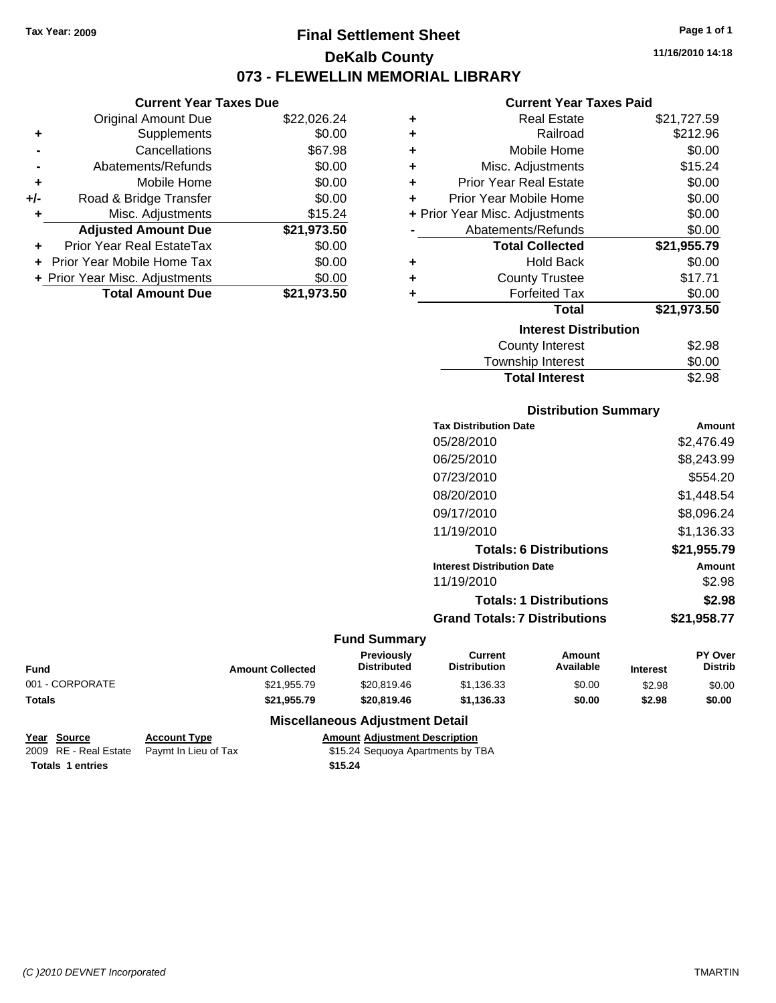## **Final Settlement Sheet Tax Year: 2009 Page 1 of 1 DeKalb County 073 - FLEWELLIN MEMORIAL LIBRARY**

**11/16/2010 14:18**

## **Current Year Taxes Paid**

|     | <b>Current Year Taxes Due</b>  |             |  |  |  |
|-----|--------------------------------|-------------|--|--|--|
|     | <b>Original Amount Due</b>     | \$22,026.24 |  |  |  |
| ٠   | Supplements                    | \$0.00      |  |  |  |
|     | Cancellations                  | \$67.98     |  |  |  |
|     | Abatements/Refunds             | \$0.00      |  |  |  |
| ٠   | Mobile Home                    | \$0.00      |  |  |  |
| +/- | Road & Bridge Transfer         | \$0.00      |  |  |  |
| ٠   | Misc. Adjustments              | \$15.24     |  |  |  |
|     | <b>Adjusted Amount Due</b>     | \$21,973.50 |  |  |  |
| ٠   | Prior Year Real EstateTax      | \$0.00      |  |  |  |
|     | Prior Year Mobile Home Tax     | \$0.00      |  |  |  |
|     | + Prior Year Misc. Adjustments | \$0.00      |  |  |  |
|     | <b>Total Amount Due</b>        | \$21.973.50 |  |  |  |

| ٠ | <b>Real Estate</b>             | \$21,727.59 |
|---|--------------------------------|-------------|
| ÷ | Railroad                       | \$212.96    |
| ٠ | Mobile Home                    | \$0.00      |
| ٠ | Misc. Adjustments              | \$15.24     |
| ٠ | <b>Prior Year Real Estate</b>  | \$0.00      |
| ٠ | Prior Year Mobile Home         | \$0.00      |
|   | + Prior Year Misc. Adjustments | \$0.00      |
|   | Abatements/Refunds             | \$0.00      |
|   | <b>Total Collected</b>         | \$21,955.79 |
| ٠ | <b>Hold Back</b>               | \$0.00      |
| ٠ | <b>County Trustee</b>          | \$17.71     |
| ٠ | <b>Forfeited Tax</b>           | \$0.00      |
|   | Total                          | \$21,973.50 |
|   | <b>Interest Distribution</b>   |             |
|   | <b>County Interest</b>         | \$2.98      |
|   | <b>Township Interest</b>       | \$0.00      |
|   | <b>Total Interest</b>          | \$2.98      |

#### **Distribution Summary**

| <b>Tax Distribution Date</b>         | Amount      |
|--------------------------------------|-------------|
| 05/28/2010                           | \$2,476.49  |
| 06/25/2010                           | \$8,243.99  |
| 07/23/2010                           | \$554.20    |
| 08/20/2010                           | \$1,448.54  |
| 09/17/2010                           | \$8,096.24  |
| 11/19/2010                           | \$1.136.33  |
| <b>Totals: 6 Distributions</b>       | \$21,955.79 |
| <b>Interest Distribution Date</b>    | Amount      |
| 11/19/2010                           | \$2.98      |
| <b>Totals: 1 Distributions</b>       | \$2.98      |
| <b>Grand Totals: 7 Distributions</b> | \$21,958.77 |

#### **Fund Summary**

| <b>Fund</b>     | <b>Amount Collected</b> | <b>Previously</b><br><b>Distributed</b> | Current<br><b>Distribution</b> | Amount<br>Available | <b>Interest</b> | <b>PY Over</b><br><b>Distrib</b> |
|-----------------|-------------------------|-----------------------------------------|--------------------------------|---------------------|-----------------|----------------------------------|
| 001 - CORPORATE | \$21,955.79             | \$20.819.46                             | \$1.136.33                     | \$0.00              | \$2.98          | \$0.00                           |
| <b>Totals</b>   | \$21.955.79             | \$20,819,46                             | \$1.136.33                     | \$0.00              | \$2.98          | \$0.00                           |

#### **Miscellaneous Adjustment Detail**

```
Year Source Account Type Amount Adjustment Description
2009 RE - Real Estate   Paymt In Lieu of Tax $15.24 Sequoya Apartments by TBA
Totals $15.24 1 entries
```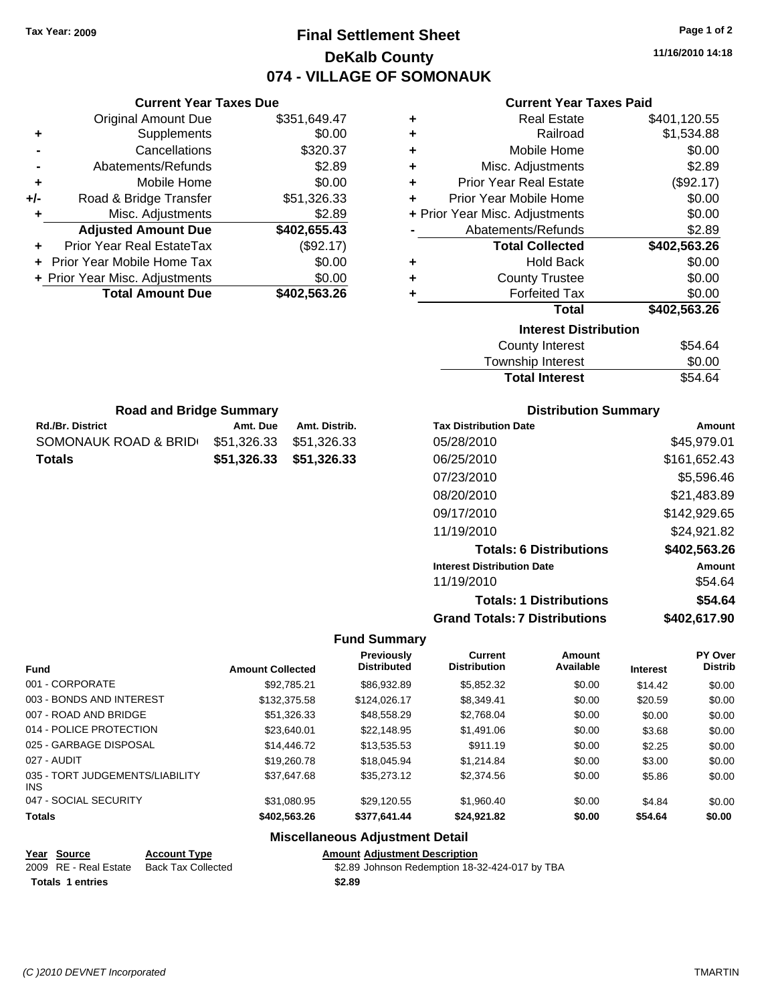## **Final Settlement Sheet Tax Year: 2009 Page 1 of 2 DeKalb County 074 - VILLAGE OF SOMONAUK**

**11/16/2010 14:18**

#### **Current Year Taxes Paid**

| ٠ | <b>Real Estate</b>             | \$401,120.55 |
|---|--------------------------------|--------------|
| ÷ | Railroad                       | \$1,534.88   |
| ÷ | Mobile Home                    | \$0.00       |
| ÷ | Misc. Adjustments              | \$2.89       |
| ÷ | <b>Prior Year Real Estate</b>  | (\$92.17)    |
| ÷ | Prior Year Mobile Home         | \$0.00       |
|   | + Prior Year Misc. Adjustments | \$0.00       |
|   | Abatements/Refunds             | \$2.89       |
|   | <b>Total Collected</b>         | \$402,563.26 |
| ٠ | <b>Hold Back</b>               | \$0.00       |
| ÷ | <b>County Trustee</b>          | \$0.00       |
| ÷ | <b>Forfeited Tax</b>           | \$0.00       |
|   | <b>Total</b>                   | \$402,563.26 |
|   | <b>Interest Distribution</b>   |              |
|   | <b>County Interest</b>         | \$54.64      |
|   |                                |              |

| <b>Total Interest</b> | \$54.64 |
|-----------------------|---------|
| Township Interest     | \$0.00  |
| County Interest       | \$54.64 |

| <b>Road and Bridge Summary</b> |                         |               |  |  |
|--------------------------------|-------------------------|---------------|--|--|
| <b>Rd./Br. District</b>        | Amt. Due                | Amt. Distrib. |  |  |
| SOMONAUK ROAD & BRID           | \$51.326.33 \$51.326.33 |               |  |  |

**Totals \$51,326.33 \$51,326.33**

**Current Year Taxes Due** Original Amount Due \$351,649.47

**Adjusted Amount Due \$402,655.43**

**Total Amount Due \$402,563.26**

**+** Supplements \$0.00 **-** Cancellations \$320.37 **-** Abatements/Refunds \$2.89 **+** Mobile Home \$0.00 **+/-** Road & Bridge Transfer \$51,326.33 **+** Misc. Adjustments \$2.89

**+** Prior Year Real EstateTax (\$92.17) **+** Prior Year Mobile Home Tax \$0.00 **+ Prior Year Misc. Adjustments**  $$0.00$ 

| <b>Distribution Summary</b> |  |
|-----------------------------|--|
|-----------------------------|--|

| <b>Tax Distribution Date</b>         | Amount       |
|--------------------------------------|--------------|
| 05/28/2010                           | \$45,979.01  |
| 06/25/2010                           | \$161,652.43 |
| 07/23/2010                           | \$5,596.46   |
| 08/20/2010                           | \$21,483.89  |
| 09/17/2010                           | \$142,929.65 |
| 11/19/2010                           | \$24,921.82  |
| <b>Totals: 6 Distributions</b>       | \$402,563.26 |
| <b>Interest Distribution Date</b>    | Amount       |
| 11/19/2010                           | \$54.64      |
| <b>Totals: 1 Distributions</b>       | \$54.64      |
| <b>Grand Totals: 7 Distributions</b> | \$402,617.90 |

#### **Fund Summary**

| <b>Fund</b>                             | <b>Amount Collected</b> | Previously<br><b>Distributed</b> | <b>Current</b><br><b>Distribution</b> | Amount<br>Available | <b>Interest</b> | PY Over<br><b>Distrib</b> |
|-----------------------------------------|-------------------------|----------------------------------|---------------------------------------|---------------------|-----------------|---------------------------|
| 001 - CORPORATE                         | \$92,785.21             | \$86,932.89                      | \$5,852,32                            | \$0.00              | \$14.42         | \$0.00                    |
| 003 - BONDS AND INTEREST                | \$132,375.58            | \$124,026.17                     | \$8.349.41                            | \$0.00              | \$20.59         | \$0.00                    |
| 007 - ROAD AND BRIDGE                   | \$51,326,33             | \$48.558.29                      | \$2.768.04                            | \$0.00              | \$0.00          | \$0.00                    |
| 014 - POLICE PROTECTION                 | \$23.640.01             | \$22,148.95                      | \$1,491.06                            | \$0.00              | \$3.68          | \$0.00                    |
| 025 - GARBAGE DISPOSAL                  | \$14,446.72             | \$13.535.53                      | \$911.19                              | \$0.00              | \$2.25          | \$0.00                    |
| 027 - AUDIT                             | \$19,260.78             | \$18,045.94                      | \$1.214.84                            | \$0.00              | \$3.00          | \$0.00                    |
| 035 - TORT JUDGEMENTS/LIABILITY<br>INS. | \$37.647.68             | \$35,273.12                      | \$2,374.56                            | \$0.00              | \$5.86          | \$0.00                    |
| 047 - SOCIAL SECURITY                   | \$31.080.95             | \$29.120.55                      | \$1.960.40                            | \$0.00              | \$4.84          | \$0.00                    |
| <b>Totals</b>                           | \$402.563.26            | \$377.641.44                     | \$24.921.82                           | \$0.00              | \$54.64         | \$0.00                    |

### **Miscellaneous Adjustment Detail**

#### **Year Source Account Type Amount Adjustment Description** \$2.89 Johnson Redemption 18-32-424-017 by TBA **Totals \$2.89 1 entries**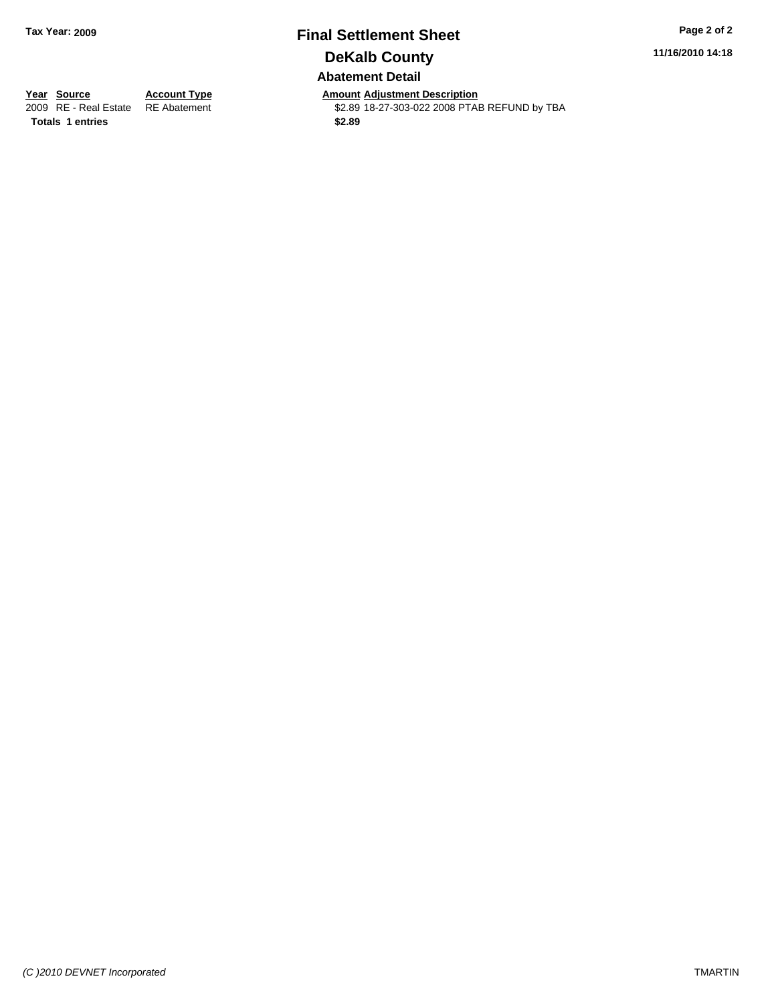## **Final Settlement Sheet Tax Year: 2009 Page 2 of 2 DeKalb County Abatement Detail**

**11/16/2010 14:18**

**Totals \$2.89 1 entries**

**Year Source Account Type Amount Adjustment Description**<br> **Amount Adjustment Additional Example 18 and 18-27-303-022 2008 PTAI** \$2.89 18-27-303-022 2008 PTAB REFUND by TBA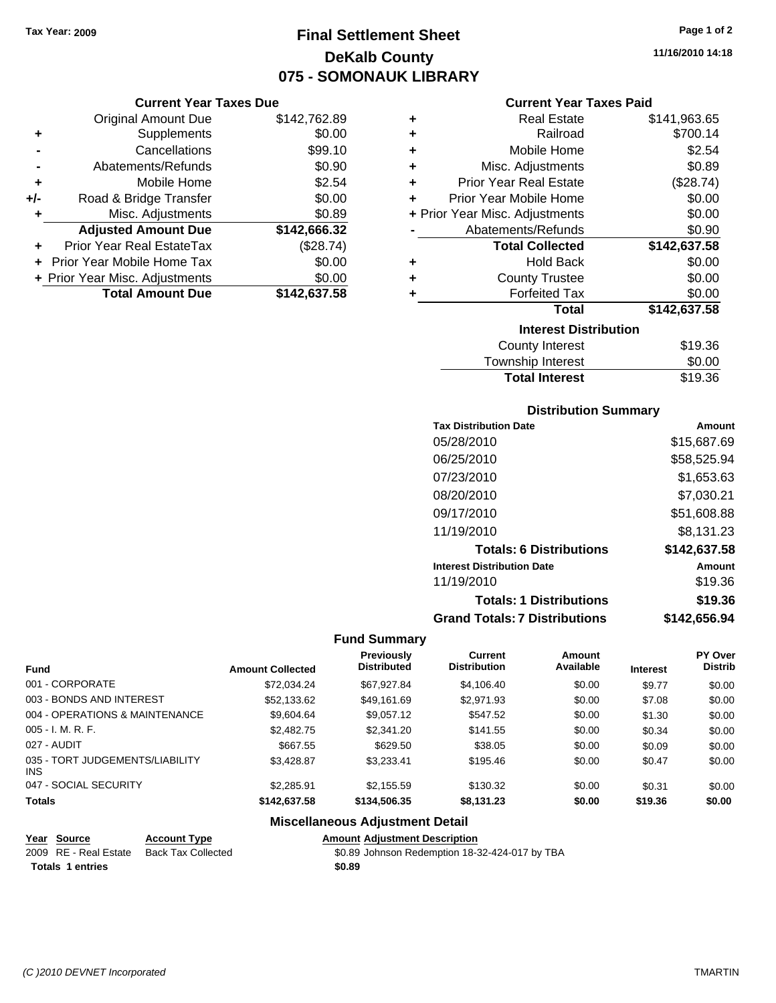## **Final Settlement Sheet Tax Year: 2009 Page 1 of 2 DeKalb County 075 - SOMONAUK LIBRARY**

**11/16/2010 14:18**

#### **Current Year Taxes Due**

|     | <b>Original Amount Due</b>       | \$142,762.89 |
|-----|----------------------------------|--------------|
| ٠   | Supplements                      | \$0.00       |
|     | Cancellations                    | \$99.10      |
|     | Abatements/Refunds               | \$0.90       |
| ÷   | Mobile Home                      | \$2.54       |
| +/- | Road & Bridge Transfer           | \$0.00       |
| ٠   | Misc. Adjustments                | \$0.89       |
|     | <b>Adjusted Amount Due</b>       | \$142,666.32 |
|     | <b>Prior Year Real EstateTax</b> | (\$28.74)    |
|     | Prior Year Mobile Home Tax       | \$0.00       |
|     | + Prior Year Misc. Adjustments   | \$0.00       |
|     | <b>Total Amount Due</b>          | \$142,637.58 |

#### **Current Year Taxes Paid**

| ٠ | <b>Real Estate</b>             | \$141,963.65 |
|---|--------------------------------|--------------|
| ٠ | Railroad                       | \$700.14     |
| ٠ | Mobile Home                    | \$2.54       |
| ٠ | Misc. Adjustments              | \$0.89       |
| ٠ | <b>Prior Year Real Estate</b>  | (\$28.74)    |
| ٠ | Prior Year Mobile Home         | \$0.00       |
|   | + Prior Year Misc. Adjustments | \$0.00       |
|   | Abatements/Refunds             | \$0.90       |
|   | <b>Total Collected</b>         | \$142,637.58 |
| ٠ | <b>Hold Back</b>               | \$0.00       |
| ٠ | <b>County Trustee</b>          | \$0.00       |
| ٠ | <b>Forfeited Tax</b>           | \$0.00       |
|   | Total                          | \$142,637.58 |
|   | <b>Interest Distribution</b>   |              |
|   | County Interest                | \$19.36      |

## Township Interest \$0.00<br>
Total Interest \$19.36 **Total Interest**

#### **Distribution Summary**

| Amount       |
|--------------|
| \$15,687.69  |
| \$58,525.94  |
| \$1,653.63   |
| \$7,030.21   |
| \$51,608.88  |
| \$8,131.23   |
| \$142,637.58 |
| Amount       |
| \$19.36      |
| \$19.36      |
| \$142,656.94 |
|              |

#### **Fund Summary**

|                                         |                         | <b>Previously</b>  | <b>Current</b>      | Amount    |                 | <b>PY Over</b> |
|-----------------------------------------|-------------------------|--------------------|---------------------|-----------|-----------------|----------------|
| <b>Fund</b>                             | <b>Amount Collected</b> | <b>Distributed</b> | <b>Distribution</b> | Available | <b>Interest</b> | <b>Distrib</b> |
| 001 - CORPORATE                         | \$72,034.24             | \$67,927.84        | \$4,106.40          | \$0.00    | \$9.77          | \$0.00         |
| 003 - BONDS AND INTEREST                | \$52,133.62             | \$49.161.69        | \$2,971.93          | \$0.00    | \$7.08          | \$0.00         |
| 004 - OPERATIONS & MAINTENANCE          | \$9,604.64              | \$9,057.12         | \$547.52            | \$0.00    | \$1.30          | \$0.00         |
| $005 - I. M. R. F.$                     | \$2,482.75              | \$2,341.20         | \$141.55            | \$0.00    | \$0.34          | \$0.00         |
| 027 - AUDIT                             | \$667.55                | \$629.50           | \$38.05             | \$0.00    | \$0.09          | \$0.00         |
| 035 - TORT JUDGEMENTS/LIABILITY<br>INS. | \$3.428.87              | \$3,233.41         | \$195.46            | \$0.00    | \$0.47          | \$0.00         |
| 047 - SOCIAL SECURITY                   | \$2,285.91              | \$2,155.59         | \$130.32            | \$0.00    | \$0.31          | \$0.00         |
| <b>Totals</b>                           | \$142,637.58            | \$134,506,35       | \$8,131.23          | \$0.00    | \$19.36         | \$0.00         |

#### **Miscellaneous Adjustment Detail**

| Year Source             | <b>Account Type</b> | Amount |
|-------------------------|---------------------|--------|
| 2009 RE - Real Estate   | Back Tax Collected  | \$0.89 |
| <b>Totals 1 entries</b> |                     | \$0.89 |

**Amount Adjustment Description**  $\overline{$0.89}$  Johnson Redemption 18-32-424-017 by TBA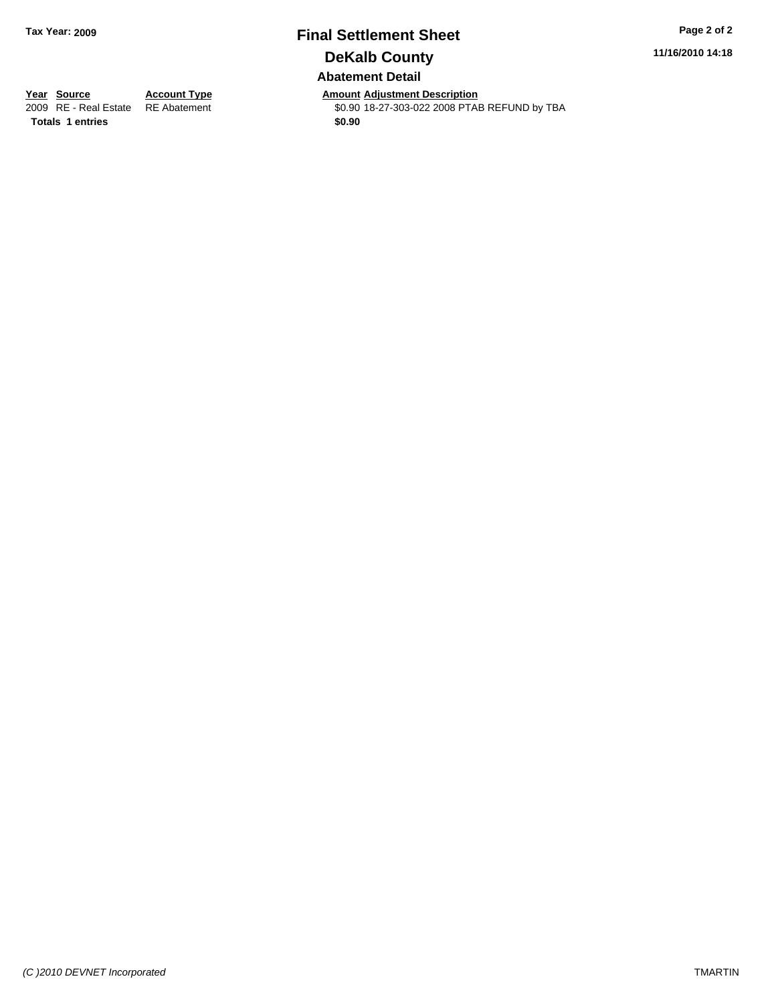# **Final Settlement Sheet Tax Year: 2009 Page 2 of 2 DeKalb County**

**11/16/2010 14:18**

#### **Abatement Detail**

**Totals 1 entries** \$0.90

**Year Source Account Type Amount Adjustment Description** \$0.90 18-27-303-022 2008 PTAB REFUND by TBA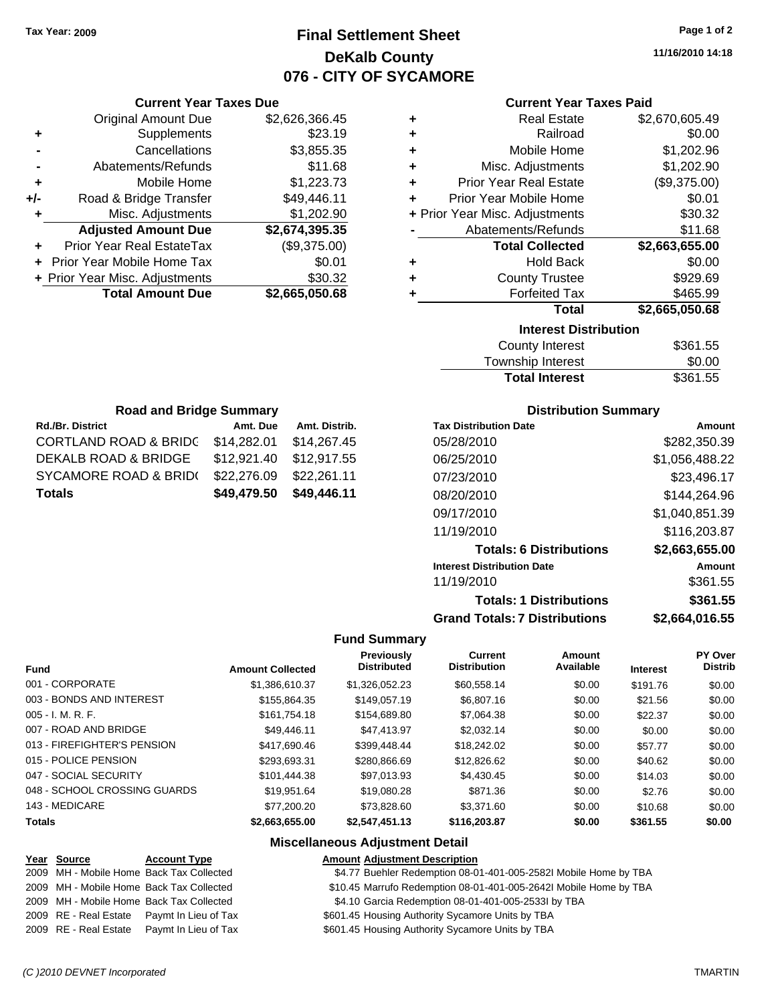## **Final Settlement Sheet Tax Year: 2009 Page 1 of 2 DeKalb County 076 - CITY OF SYCAMORE**

**11/16/2010 14:18**

| <b>Current Year Taxes Paid</b> |  |  |  |
|--------------------------------|--|--|--|
|--------------------------------|--|--|--|

| ٠ | <b>Real Estate</b>             | \$2,670,605.49 |
|---|--------------------------------|----------------|
| ٠ | Railroad                       | \$0.00         |
| ÷ | Mobile Home                    | \$1,202.96     |
| ÷ | Misc. Adjustments              | \$1,202.90     |
| ÷ | <b>Prior Year Real Estate</b>  | (\$9,375.00)   |
| ÷ | Prior Year Mobile Home         | \$0.01         |
|   | + Prior Year Misc. Adjustments | \$30.32        |
|   | Abatements/Refunds             | \$11.68        |
|   | <b>Total Collected</b>         | \$2,663,655.00 |
| ٠ | <b>Hold Back</b>               | \$0.00         |
| ÷ | <b>County Trustee</b>          | \$929.69       |
| ÷ | <b>Forfeited Tax</b>           | \$465.99       |
|   | <b>Total</b>                   | \$2,665,050.68 |
|   | <b>Interest Distribution</b>   |                |
|   | <b>County Interest</b>         | \$361.55       |

| County Interest       | \$361.55 |
|-----------------------|----------|
| Township Interest     | \$0.00   |
| <b>Total Interest</b> | \$361.55 |

| <b>Road and Bridge Summary</b>   |             |               |  |  |  |  |
|----------------------------------|-------------|---------------|--|--|--|--|
| <b>Rd./Br. District</b>          | Amt. Due    | Amt. Distrib. |  |  |  |  |
| <b>CORTLAND ROAD &amp; BRIDC</b> | \$14,282.01 | \$14,267.45   |  |  |  |  |
| DEKALB ROAD & BRIDGE             | \$12,921.40 | \$12,917.55   |  |  |  |  |
| <b>SYCAMORE ROAD &amp; BRID(</b> | \$22,276.09 | \$22,261.11   |  |  |  |  |
| <b>Totals</b>                    | \$49,479.50 | \$49,446.11   |  |  |  |  |

**Current Year Taxes Due** Original Amount Due \$2,626,366.45

**Adjusted Amount Due \$2,674,395.35**

**Total Amount Due \$2,665,050.68**

**+** Supplements \$23.19 **-** Cancellations \$3,855.35 **-** Abatements/Refunds \$11.68 **+** Mobile Home \$1,223.73 **+/-** Road & Bridge Transfer \$49,446.11 **+** Misc. Adjustments \$1,202.90

**+** Prior Year Real EstateTax (\$9,375.00) **+** Prior Year Mobile Home Tax \$0.01 **+** Prior Year Misc. Adjustments \$30.32

#### **Distribution Summary**

| <b>Tax Distribution Date</b>         | Amount         |
|--------------------------------------|----------------|
| 05/28/2010                           | \$282,350.39   |
| 06/25/2010                           | \$1,056,488.22 |
| 07/23/2010                           | \$23,496.17    |
| 08/20/2010                           | \$144.264.96   |
| 09/17/2010                           | \$1,040,851.39 |
| 11/19/2010                           | \$116,203.87   |
| <b>Totals: 6 Distributions</b>       | \$2,663,655.00 |
| <b>Interest Distribution Date</b>    | Amount         |
| 11/19/2010                           | \$361.55       |
| <b>Totals: 1 Distributions</b>       | \$361.55       |
| <b>Grand Totals: 7 Distributions</b> | \$2,664,016.55 |

#### **Fund Summary**

| <b>Fund</b>                  | <b>Amount Collected</b> | <b>Previously</b><br><b>Distributed</b> | <b>Current</b><br><b>Distribution</b> | Amount<br>Available | <b>Interest</b> | PY Over<br><b>Distrib</b> |
|------------------------------|-------------------------|-----------------------------------------|---------------------------------------|---------------------|-----------------|---------------------------|
| 001 - CORPORATE              | \$1,386,610.37          | \$1,326,052.23                          | \$60,558.14                           | \$0.00              | \$191.76        | \$0.00                    |
| 003 - BONDS AND INTEREST     | \$155,864.35            | \$149.057.19                            | \$6,807.16                            | \$0.00              | \$21.56         | \$0.00                    |
| $005 - I. M. R. F.$          | \$161.754.18            | \$154,689.80                            | \$7.064.38                            | \$0.00              | \$22.37         | \$0.00                    |
| 007 - ROAD AND BRIDGE        | \$49,446.11             | \$47,413.97                             | \$2.032.14                            | \$0.00              | \$0.00          | \$0.00                    |
| 013 - FIREFIGHTER'S PENSION  | \$417,690.46            | \$399.448.44                            | \$18,242.02                           | \$0.00              | \$57.77         | \$0.00                    |
| 015 - POLICE PENSION         | \$293.693.31            | \$280,866.69                            | \$12,826.62                           | \$0.00              | \$40.62         | \$0.00                    |
| 047 - SOCIAL SECURITY        | \$101.444.38            | \$97.013.93                             | \$4,430.45                            | \$0.00              | \$14.03         | \$0.00                    |
| 048 - SCHOOL CROSSING GUARDS | \$19.951.64             | \$19,080.28                             | \$871.36                              | \$0.00              | \$2.76          | \$0.00                    |
| 143 - MEDICARE               | \$77,200.20             | \$73,828,60                             | \$3,371,60                            | \$0.00              | \$10.68         | \$0.00                    |
| <b>Totals</b>                | \$2.663.655.00          | \$2,547,451,13                          | \$116,203.87                          | \$0.00              | \$361.55        | \$0.00                    |

#### **Miscellaneous Adjustment Detail**

#### **Year Source Account Type Amount Adjustment Description** 2009 MH - Mobile Home Back Tax Collected \$4.77 Buehler Redemption 08-01-401-005-2582I Mobile Home by TBA 2009 bbile Home Back Tax Collected **1009 CM** 510.45 Marrufo Redemption 08-01-401-005-2642I Mobile Home by TBA

|  | 2009 MH - Mobile Home Back Tax Collected   | \$10.45 Marrufo Redemption 08-01-401-005-2642I Mobile |
|--|--------------------------------------------|-------------------------------------------------------|
|  | 2009 MH - Mobile Home Back Tax Collected   | \$4.10 Garcia Redemption 08-01-401-005-2533l by TBA   |
|  | 2009 RE - Real Estate Paymt In Lieu of Tax | \$601.45 Housing Authority Sycamore Units by TBA      |
|  | 2009 RE - Real Estate Paymt In Lieu of Tax | \$601.45 Housing Authority Sycamore Units by TBA      |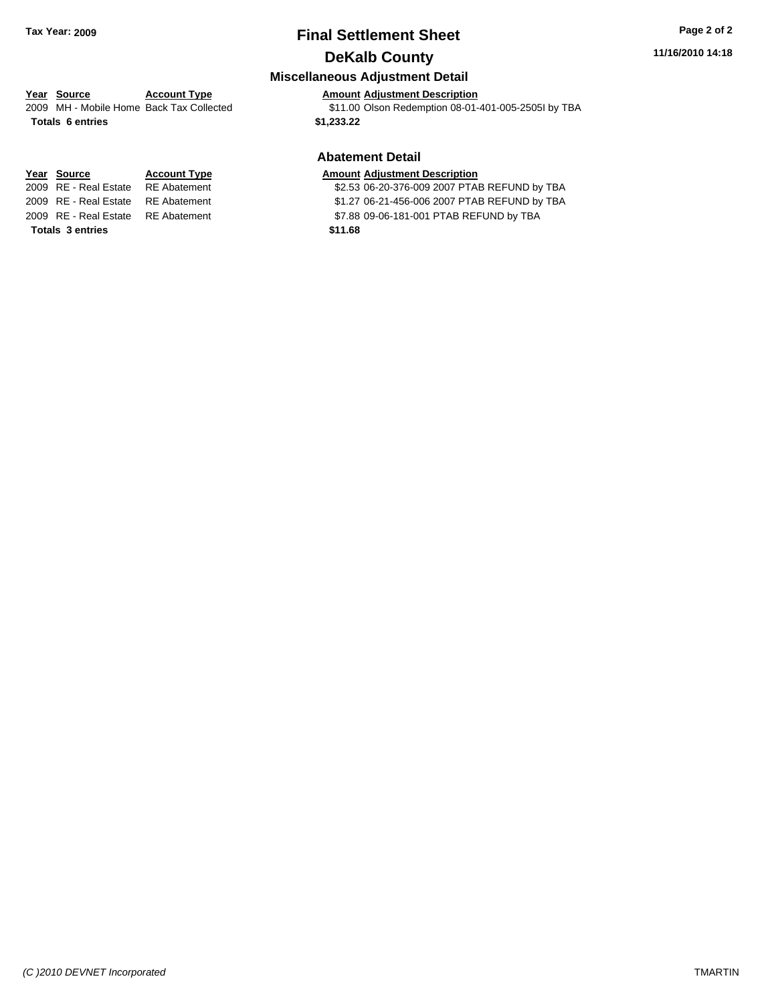## **Final Settlement Sheet Tax Year: 2009 Page 2 of 2 DeKalb County**

#### **11/16/2010 14:18**

#### **Miscellaneous Adjustment Detail**

2009 MH - Mobile Home Back Tax Collected \$11.00 Olson Redemption 08-01-401-005-2505I by TBA

#### **Abatement Detail**

2009 RE - Real Estate \$2.53 06-20-376-009 2007 PTAB REFUND by TBA RE Abatement

2009 RE - Real Estate RE Abatement \$1.27 06-21-456-006 2007 PTAB REFUND by TBA

2009 RE - Real Estate RE Abatement S7.88 09-06-181-001 PTAB REFUND by TBA

# **Year Source Account Type Amount Adjustment Description**

**Totals \$1,233.22 6 entries**

# **Year Source Account Type Amount Adjustment Description**

**Totals \$11.68 3 entries**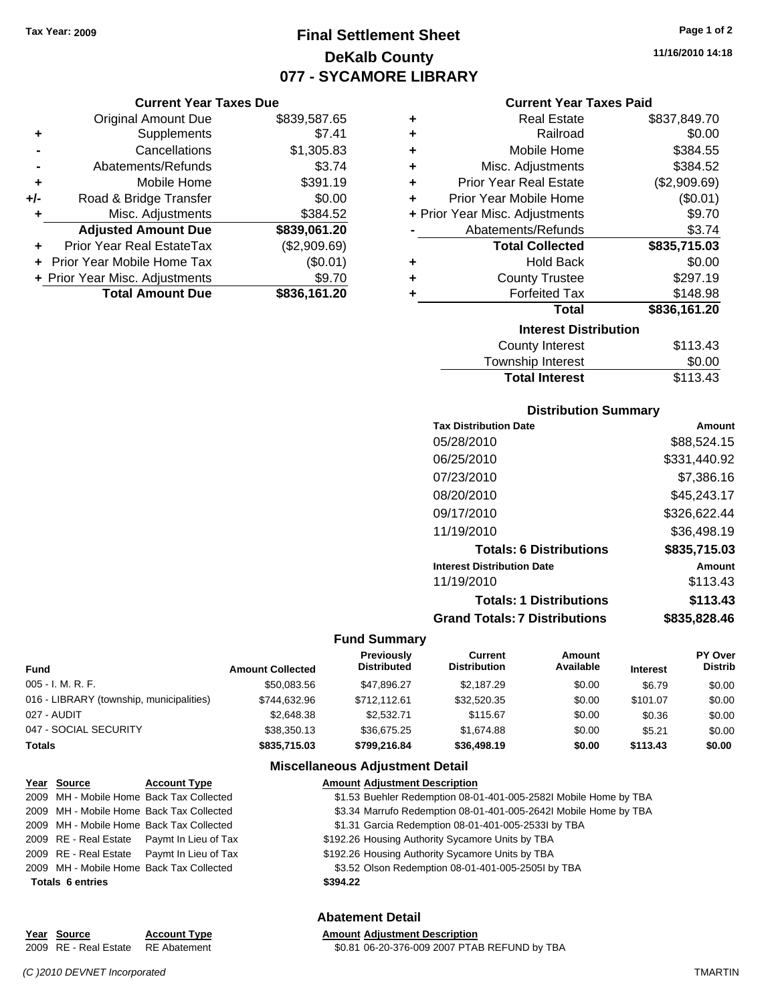**Current Year Taxes Due** Original Amount Due \$839,587.65

**Adjusted Amount Due \$839,061.20**

**Total Amount Due \$836,161.20**

**+** Supplements \$7.41 **-** Cancellations \$1,305.83 **-** Abatements/Refunds \$3.74 **+** Mobile Home \$391.19 **+/-** Road & Bridge Transfer \$0.00 **+** Misc. Adjustments \$384.52

**+** Prior Year Real EstateTax (\$2,909.69) **+** Prior Year Mobile Home Tax (\$0.01) **+ Prior Year Misc. Adjustments**  $$9.70$ 

## **Final Settlement Sheet Tax Year: 2009 Page 1 of 2 DeKalb County 077 - SYCAMORE LIBRARY**

**11/16/2010 14:18**

#### **Current Year Taxes Paid**

| ٠ | <b>Real Estate</b>             | \$837,849.70 |
|---|--------------------------------|--------------|
| ÷ | Railroad                       | \$0.00       |
| ÷ | Mobile Home                    | \$384.55     |
| ÷ | Misc. Adjustments              | \$384.52     |
| ÷ | <b>Prior Year Real Estate</b>  | (\$2,909.69) |
| ÷ | Prior Year Mobile Home         | (\$0.01)     |
|   | + Prior Year Misc. Adjustments | \$9.70       |
|   | Abatements/Refunds             | \$3.74       |
|   |                                |              |
|   | <b>Total Collected</b>         | \$835,715.03 |
| ٠ | <b>Hold Back</b>               | \$0.00       |
| ÷ | <b>County Trustee</b>          | \$297.19     |
| ÷ | <b>Forfeited Tax</b>           | \$148.98     |
|   | <b>Total</b>                   | \$836,161.20 |
|   | <b>Interest Distribution</b>   |              |
|   | <b>County Interest</b>         | \$113.43     |

## **Distribution Summary**

**Total Interest** \$113.43

| <b>Tax Distribution Date</b>         | Amount       |
|--------------------------------------|--------------|
| 05/28/2010                           | \$88,524.15  |
| 06/25/2010                           | \$331,440.92 |
| 07/23/2010                           | \$7.386.16   |
| 08/20/2010                           | \$45,243.17  |
| 09/17/2010                           | \$326.622.44 |
| 11/19/2010                           | \$36.498.19  |
| <b>Totals: 6 Distributions</b>       | \$835,715.03 |
| <b>Interest Distribution Date</b>    | Amount       |
| 11/19/2010                           | \$113.43     |
| <b>Totals: 1 Distributions</b>       | \$113.43     |
| <b>Grand Totals: 7 Distributions</b> | \$835.828.46 |
|                                      |              |

#### **Fund Summary**

| <b>Fund</b>                              | <b>Amount Collected</b> | Previously<br><b>Distributed</b> | Current<br><b>Distribution</b> | Amount<br>Available | <b>Interest</b> | PY Over<br><b>Distrib</b> |
|------------------------------------------|-------------------------|----------------------------------|--------------------------------|---------------------|-----------------|---------------------------|
| 005 - I. M. R. F.                        | \$50,083.56             | \$47.896.27                      | \$2,187.29                     | \$0.00              | \$6.79          | \$0.00                    |
| 016 - LIBRARY (township, municipalities) | \$744,632.96            | \$712.112.61                     | \$32,520.35                    | \$0.00              | \$101.07        | \$0.00                    |
| 027 - AUDIT                              | \$2,648,38              | \$2.532.71                       | \$115.67                       | \$0.00              | \$0.36          | \$0.00                    |
| 047 - SOCIAL SECURITY                    | \$38,350.13             | \$36.675.25                      | \$1,674.88                     | \$0.00              | \$5.21          | \$0.00                    |
| <b>Totals</b>                            | \$835,715.03            | \$799,216.84                     | \$36,498.19                    | \$0.00              | \$113.43        | \$0.00                    |

#### **Miscellaneous Adjustment Detail**

| Year Source             | <b>Account Type</b>                        | <b>Amount Adjustment Description</b>                             |
|-------------------------|--------------------------------------------|------------------------------------------------------------------|
|                         | 2009 MH - Mobile Home Back Tax Collected   | \$1.53 Buehler Redemption 08-01-401-005-2582I Mobile Home by TBA |
|                         | 2009 MH - Mobile Home Back Tax Collected   | \$3.34 Marrufo Redemption 08-01-401-005-2642l Mobile Home by TBA |
|                         | 2009 MH - Mobile Home Back Tax Collected   | \$1.31 Garcia Redemption 08-01-401-005-2533l by TBA              |
|                         | 2009 RE - Real Estate Paymt In Lieu of Tax | \$192.26 Housing Authority Sycamore Units by TBA                 |
|                         | 2009 RE - Real Estate Paymt In Lieu of Tax | \$192.26 Housing Authority Sycamore Units by TBA                 |
|                         | 2009 MH - Mobile Home Back Tax Collected   | \$3.52 Olson Redemption 08-01-401-005-2505l by TBA               |
| <b>Totals 6 entries</b> |                                            | \$394.22                                                         |
|                         |                                            |                                                                  |
|                         |                                            |                                                                  |

#### **Abatement Detail**

#### **Year Source Account Type Amount Adjustment Description**

2009 RE - Real Estate \$0.81 06-20-376-009 2007 PTAB REFUND by TBA RE Abatement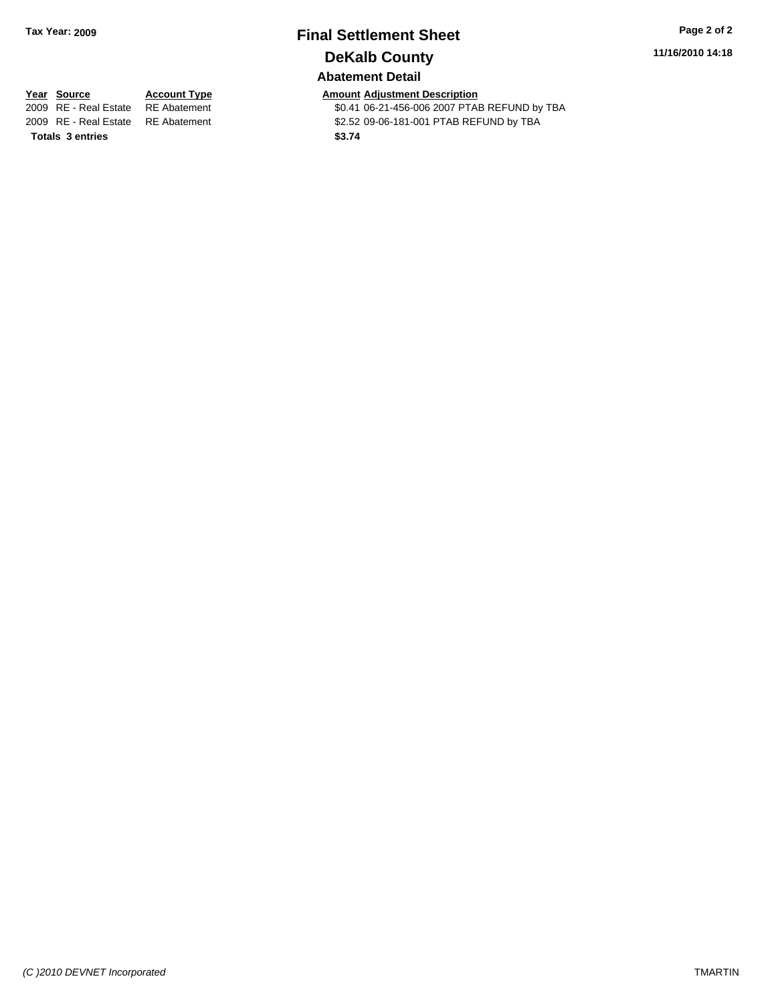## **Final Settlement Sheet Tax Year: 2009 Page 2 of 2 DeKalb County**

**11/16/2010 14:18**

#### **Abatement Detail**

**Totals \$3.74 3 entries**

**Year Source Account Type Amount Adjustment Description**<br>2009 RE - Real Estate RE Abatement **Amount** \$0.41 06-21-456-006 2007 PTAI \$0.41 06-21-456-006 2007 PTAB REFUND by TBA 2009 RE - Real Estate RE Abatement \$2.52 09-06-181-001 PTAB REFUND by TBA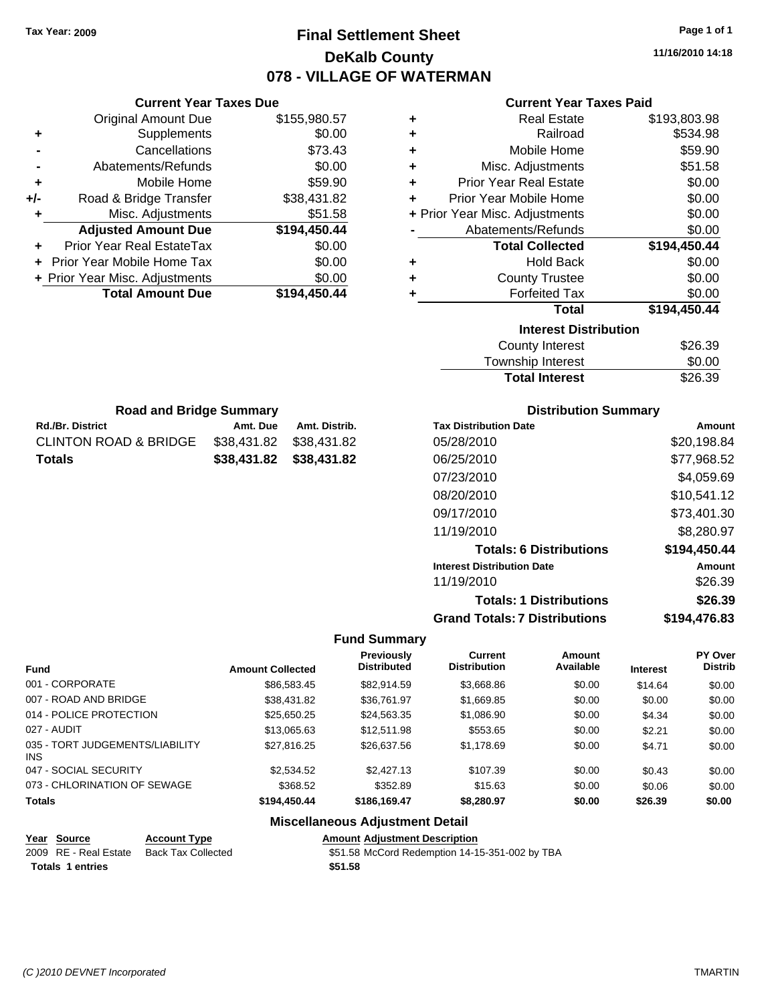**Current Year Taxes Due** Original Amount Due \$155,980.57

**Adjusted Amount Due \$194,450.44**

**Total Amount Due \$194,450.44**

**+** Supplements \$0.00 **-** Cancellations \$73.43 **-** Abatements/Refunds \$0.00 **+** Mobile Home \$59.90 **+/-** Road & Bridge Transfer \$38,431.82 **+** Misc. Adjustments \$51.58

**+** Prior Year Real EstateTax \$0.00 **+** Prior Year Mobile Home Tax \$0.00 **+ Prior Year Misc. Adjustments**  $$0.00$ 

Rd./Br. District **Amt. Due** Amt. Distrib. **Road and Bridge Summary**

CLINTON ROAD & BRIDGE \$38,431.82 \$38,431.82 **Totals \$38,431.82 \$38,431.82**

## **Final Settlement Sheet Tax Year: 2009 Page 1 of 1 DeKalb County 078 - VILLAGE OF WATERMAN**

**11/16/2010 14:18**

### **Current Year Taxes Paid**

| ٠ | <b>Real Estate</b>             | \$193,803.98 |
|---|--------------------------------|--------------|
| ٠ | Railroad                       | \$534.98     |
| ٠ | Mobile Home                    | \$59.90      |
| ٠ | Misc. Adjustments              | \$51.58      |
| ٠ | <b>Prior Year Real Estate</b>  | \$0.00       |
| ÷ | Prior Year Mobile Home         | \$0.00       |
|   | + Prior Year Misc. Adjustments | \$0.00       |
|   | Abatements/Refunds             | \$0.00       |
|   | <b>Total Collected</b>         | \$194,450.44 |
| ٠ | <b>Hold Back</b>               | \$0.00       |
| ٠ | <b>County Trustee</b>          | \$0.00       |
| ٠ | <b>Forfeited Tax</b>           | \$0.00       |
|   | <b>Total</b>                   | \$194,450.44 |
|   | <b>Interest Distribution</b>   |              |
|   | <b>County Interest</b>         | \$26.39      |
|   | Townehin Interest              | ደስ ሰስ        |

| Township Interest     | \$0.00  |
|-----------------------|---------|
| <b>Total Interest</b> | \$26.39 |

| <b>Tax Distribution Date</b>         | Amount       |
|--------------------------------------|--------------|
| 05/28/2010                           | \$20,198.84  |
| 06/25/2010                           | \$77,968.52  |
| 07/23/2010                           | \$4,059.69   |
| 08/20/2010                           | \$10,541.12  |
| 09/17/2010                           | \$73,401.30  |
| 11/19/2010                           | \$8,280.97   |
| <b>Totals: 6 Distributions</b>       | \$194,450.44 |
| <b>Interest Distribution Date</b>    | Amount       |
| 11/19/2010                           | \$26.39      |
| <b>Totals: 1 Distributions</b>       | \$26.39      |
| <b>Grand Totals: 7 Distributions</b> | \$194.476.83 |

#### **Fund Summary**

|                                               |                         | <b>Previously</b>  | Current             | Amount    |                 | PY Over |
|-----------------------------------------------|-------------------------|--------------------|---------------------|-----------|-----------------|---------|
| <b>Fund</b>                                   | <b>Amount Collected</b> | <b>Distributed</b> | <b>Distribution</b> | Available | <b>Interest</b> | Distrib |
| 001 - CORPORATE                               | \$86,583.45             | \$82,914.59        | \$3,668.86          | \$0.00    | \$14.64         | \$0.00  |
| 007 - ROAD AND BRIDGE                         | \$38,431.82             | \$36,761.97        | \$1,669.85          | \$0.00    | \$0.00          | \$0.00  |
| 014 - POLICE PROTECTION                       | \$25,650.25             | \$24,563.35        | \$1,086.90          | \$0.00    | \$4.34          | \$0.00  |
| 027 - AUDIT                                   | \$13,065,63             | \$12,511.98        | \$553.65            | \$0.00    | \$2.21          | \$0.00  |
| 035 - TORT JUDGEMENTS/LIABILITY<br><b>INS</b> | \$27,816.25             | \$26,637.56        | \$1,178.69          | \$0.00    | \$4.71          | \$0.00  |
| 047 - SOCIAL SECURITY                         | \$2,534.52              | \$2,427.13         | \$107.39            | \$0.00    | \$0.43          | \$0.00  |
| 073 - CHLORINATION OF SEWAGE                  | \$368.52                | \$352.89           | \$15.63             | \$0.00    | \$0.06          | \$0.00  |
| <b>Totals</b>                                 | \$194,450,44            | \$186.169.47       | \$8,280.97          | \$0.00    | \$26.39         | \$0.00  |

#### **Miscellaneous Adjustment Detail**

| Year Source      | <b>Account Type</b>                      | <b>Amount Adiustment Description</b>           |
|------------------|------------------------------------------|------------------------------------------------|
|                  | 2009 RE - Real Estate Back Tax Collected | \$51.58 McCord Redemption 14-15-351-002 by TBA |
| Totals 1 entries |                                          | \$51.58                                        |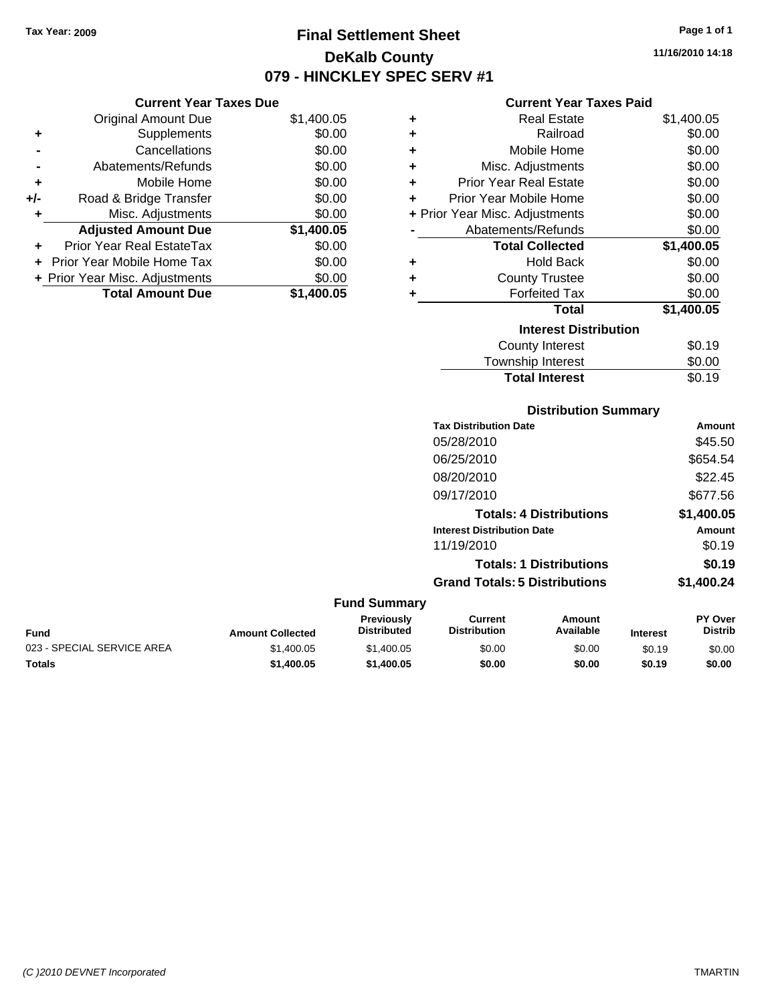**Current Year Taxes Due** Original Amount Due \$1,400.05

**Adjusted Amount Due \$1,400.05**

**Total Amount Due \$1,400.05**

**+** Supplements \$0.00 **-** Cancellations \$0.00 **-** Abatements/Refunds \$0.00 **+** Mobile Home \$0.00 **+/-** Road & Bridge Transfer \$0.00 **+** Misc. Adjustments \$0.00

**+** Prior Year Real EstateTax \$0.00 **+** Prior Year Mobile Home Tax \$0.00 **+ Prior Year Misc. Adjustments**  $$0.00$ 

## **Final Settlement Sheet Tax Year: 2009 Page 1 of 1 DeKalb County 079 - HINCKLEY SPEC SERV #1**

**11/16/2010 14:18**

#### **Current Year Taxes Paid**

| ٠ | <b>Real Estate</b>             | \$1,400.05 |
|---|--------------------------------|------------|
| ٠ | Railroad                       | \$0.00     |
| ÷ | Mobile Home                    | \$0.00     |
| ÷ | Misc. Adjustments              | \$0.00     |
| ÷ | <b>Prior Year Real Estate</b>  | \$0.00     |
| ÷ | Prior Year Mobile Home         | \$0.00     |
|   | + Prior Year Misc. Adjustments | \$0.00     |
|   | Abatements/Refunds             | \$0.00     |
|   | <b>Total Collected</b>         | \$1,400.05 |
| ÷ | <b>Hold Back</b>               | \$0.00     |
| ٠ | <b>County Trustee</b>          | \$0.00     |
| ٠ | <b>Forfeited Tax</b>           | \$0.00     |
|   | <b>Total</b>                   | \$1,400.05 |
|   | <b>Interest Distribution</b>   |            |
|   | County Interest                | \$0.19     |
|   | <b>Township Interest</b>       | \$0.00     |

Total Interest \$0.19

## **Distribution Summary Tax Distribution Date Amount** 05/28/2010 \$45.50 06/25/2010 \$654.54 08/20/2010 \$22.45 09/17/2010 \$677.56 **Totals: 4 Distributions \$1,400.05 Interest Distribution Date Amount** 11/19/2010 \$0.19 **Totals: 1 Distributions \$0.19 Grand Totals: 5 Distributions \$1,400.24**

| <b>Fund Summary</b>        |                         |                                         |                                |                     |                 |                                  |
|----------------------------|-------------------------|-----------------------------------------|--------------------------------|---------------------|-----------------|----------------------------------|
| <b>Fund</b>                | <b>Amount Collected</b> | <b>Previously</b><br><b>Distributed</b> | Current<br><b>Distribution</b> | Amount<br>Available | <b>Interest</b> | <b>PY Over</b><br><b>Distrib</b> |
| 023 - SPECIAL SERVICE AREA | \$1,400.05              | \$1,400.05                              | \$0.00                         | \$0.00              | \$0.19          | \$0.00                           |
| <b>Totals</b>              | \$1,400.05              | \$1,400.05                              | \$0.00                         | \$0.00              | \$0.19          | \$0.00                           |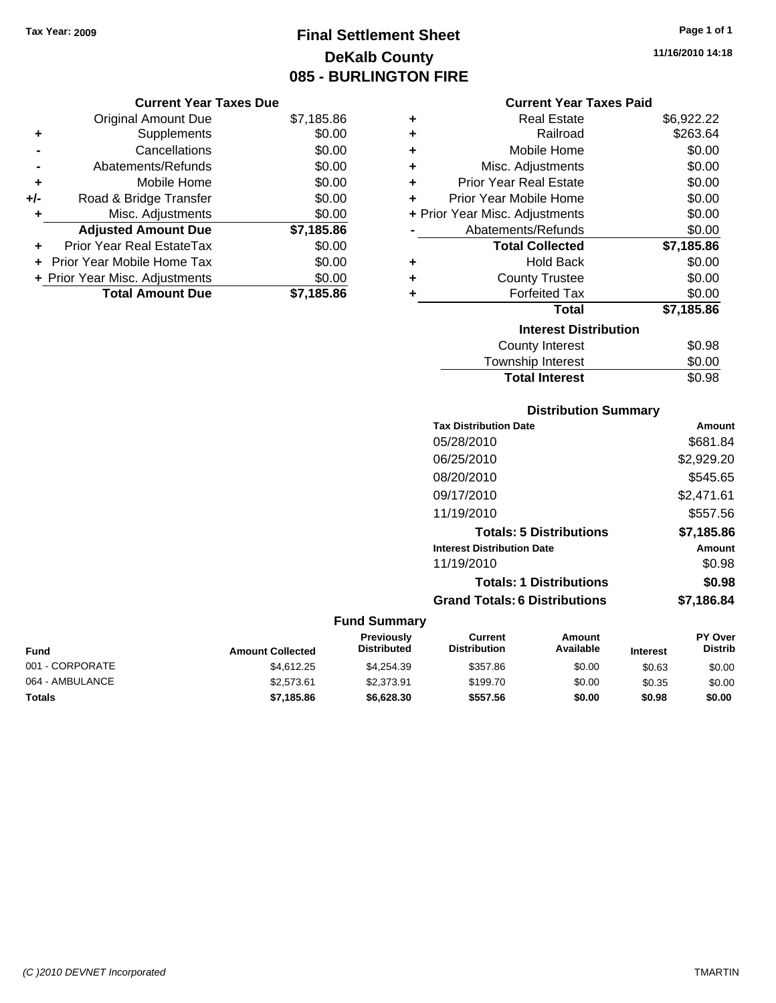**Current Year Taxes Due** Original Amount Due \$7,185.86

**Adjusted Amount Due \$7,185.86**

**Total Amount Due \$7,185.86**

**+** Supplements \$0.00 **-** Cancellations \$0.00 **-** Abatements/Refunds \$0.00 **+** Mobile Home \$0.00 **+/-** Road & Bridge Transfer \$0.00 **+** Misc. Adjustments \$0.00

**+** Prior Year Real EstateTax \$0.00 **+** Prior Year Mobile Home Tax \$0.00 **+ Prior Year Misc. Adjustments**  $$0.00$ 

## **Final Settlement Sheet Tax Year: 2009 Page 1 of 1 DeKalb County 085 - BURLINGTON FIRE**

**11/16/2010 14:18**

#### **Current Year Taxes Paid**

| ٠ | <b>Real Estate</b>             | \$6,922.22 |
|---|--------------------------------|------------|
| ÷ | Railroad                       | \$263.64   |
| ٠ | Mobile Home                    | \$0.00     |
| ÷ | Misc. Adjustments              | \$0.00     |
| ÷ | <b>Prior Year Real Estate</b>  | \$0.00     |
| ÷ | Prior Year Mobile Home         | \$0.00     |
|   | + Prior Year Misc. Adjustments | \$0.00     |
|   | Abatements/Refunds             | \$0.00     |
|   | <b>Total Collected</b>         | \$7,185.86 |
| ٠ | <b>Hold Back</b>               | \$0.00     |
| ÷ | <b>County Trustee</b>          | \$0.00     |
| ٠ | <b>Forfeited Tax</b>           | \$0.00     |
|   | <b>Total</b>                   | \$7,185.86 |
|   | <b>Interest Distribution</b>   |            |
|   | <b>County Interest</b>         | \$0.98     |
|   | Townshin Interest              | ደ0 00      |

## ownship interest  $\phi$ 0.00 **Total Interest** \$0.98

#### **Distribution Summary**

| <b>Tax Distribution Date</b>         | Amount     |
|--------------------------------------|------------|
| 05/28/2010                           | \$681.84   |
| 06/25/2010                           | \$2,929.20 |
| 08/20/2010                           | \$545.65   |
| 09/17/2010                           | \$2,471.61 |
| 11/19/2010                           | \$557.56   |
| <b>Totals: 5 Distributions</b>       | \$7,185.86 |
| <b>Interest Distribution Date</b>    | Amount     |
| 11/19/2010                           | \$0.98     |
| <b>Totals: 1 Distributions</b>       | \$0.98     |
| <b>Grand Totals: 6 Distributions</b> | \$7,186.84 |

#### **Fund Summary**

| <b>Fund</b>     | <b>Amount Collected</b> | <b>Previously</b><br><b>Distributed</b> | Current<br><b>Distribution</b> | Amount<br>Available | <b>Interest</b> | <b>PY Over</b><br><b>Distrib</b> |
|-----------------|-------------------------|-----------------------------------------|--------------------------------|---------------------|-----------------|----------------------------------|
| 001 - CORPORATE | \$4.612.25              | \$4.254.39                              | \$357.86                       | \$0.00              | \$0.63          | \$0.00                           |
| 064 - AMBULANCE | \$2,573,61              | \$2,373.91                              | \$199.70                       | \$0.00              | \$0.35          | \$0.00                           |
| Totals          | \$7,185.86              | \$6,628,30                              | \$557.56                       | \$0.00              | \$0.98          | \$0.00                           |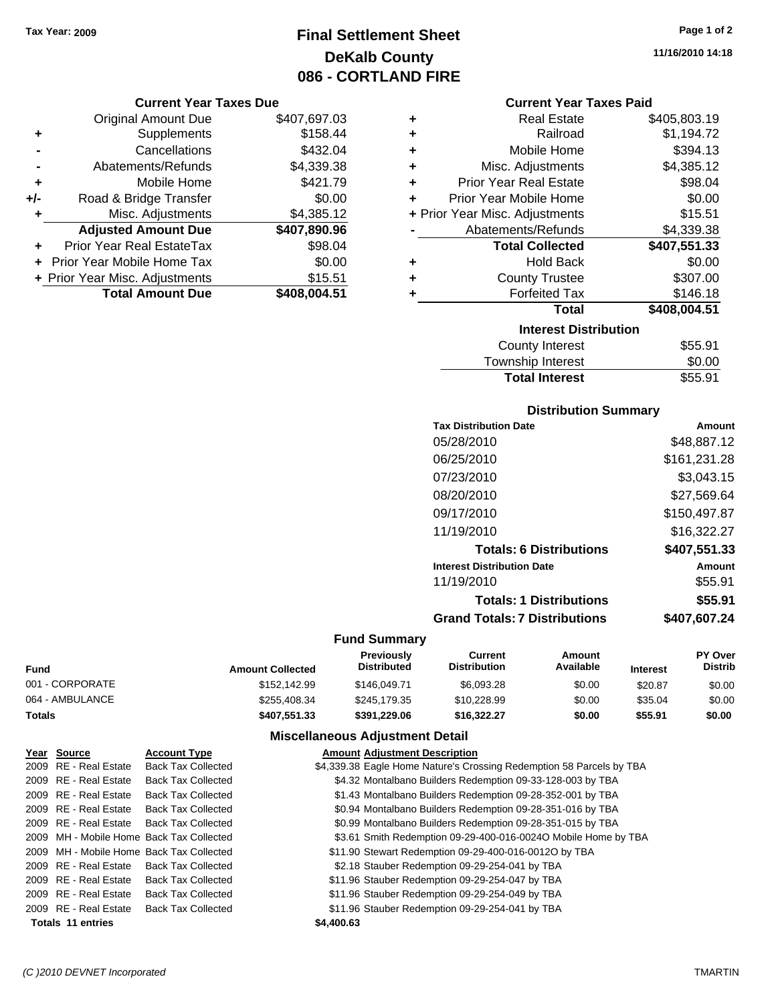## **Final Settlement Sheet Tax Year: 2009 Page 1 of 2 DeKalb County 086 - CORTLAND FIRE**

#### **Current Year Taxes Due**

|       | <b>Original Amount Due</b>        | \$407,697.03 |
|-------|-----------------------------------|--------------|
| ٠     | Supplements                       | \$158.44     |
|       | Cancellations                     | \$432.04     |
|       | Abatements/Refunds                | \$4,339.38   |
| ÷     | Mobile Home                       | \$421.79     |
| $+/-$ | Road & Bridge Transfer            | \$0.00       |
| ٠     | Misc. Adjustments                 | \$4,385.12   |
|       | <b>Adjusted Amount Due</b>        | \$407,890.96 |
| ÷     | Prior Year Real EstateTax         | \$98.04      |
|       | <b>Prior Year Mobile Home Tax</b> | \$0.00       |
|       | + Prior Year Misc. Adjustments    | \$15.51      |
|       | <b>Total Amount Due</b>           | \$408,004.51 |

| ٠ | <b>Real Estate</b>             | \$405,803.19 |
|---|--------------------------------|--------------|
| ÷ | Railroad                       | \$1,194.72   |
| ٠ | Mobile Home                    | \$394.13     |
| ٠ | Misc. Adjustments              | \$4,385.12   |
| ٠ | <b>Prior Year Real Estate</b>  | \$98.04      |
| ÷ | Prior Year Mobile Home         | \$0.00       |
|   | + Prior Year Misc. Adjustments | \$15.51      |
|   | Abatements/Refunds             | \$4,339.38   |
|   | <b>Total Collected</b>         | \$407,551.33 |
| ٠ | <b>Hold Back</b>               | \$0.00       |
| ÷ | <b>County Trustee</b>          | \$307.00     |
| ٠ | <b>Forfeited Tax</b>           | \$146.18     |
|   | <b>Total</b>                   | \$408,004.51 |
|   | <b>Interest Distribution</b>   |              |
|   | County Interest                | \$55.91      |
|   |                                |              |

## Township Interest \$0.00<br>
Total Interest \$55.91 **Total Interest**

#### **Distribution Summary**

| <b>Tax Distribution Date</b>         | Amount       |
|--------------------------------------|--------------|
| 05/28/2010                           | \$48,887.12  |
| 06/25/2010                           | \$161,231.28 |
| 07/23/2010                           | \$3.043.15   |
| 08/20/2010                           | \$27,569.64  |
| 09/17/2010                           | \$150,497.87 |
| 11/19/2010                           | \$16,322.27  |
| <b>Totals: 6 Distributions</b>       | \$407,551.33 |
| <b>Interest Distribution Date</b>    | Amount       |
| 11/19/2010                           | \$55.91      |
| <b>Totals: 1 Distributions</b>       | \$55.91      |
| <b>Grand Totals: 7 Distributions</b> | \$407,607.24 |
|                                      |              |

#### **Fund Summary**

| <b>Fund</b>     | <b>Amount Collected</b> | <b>Previously</b><br><b>Distributed</b> | Current<br><b>Distribution</b> | Amount<br>Available | <b>Interest</b> | <b>PY Over</b><br><b>Distrib</b> |
|-----------------|-------------------------|-----------------------------------------|--------------------------------|---------------------|-----------------|----------------------------------|
| 001 - CORPORATE | \$152,142.99            | \$146,049.71                            | \$6,093,28                     | \$0.00              | \$20.87         | \$0.00                           |
| 064 - AMBULANCE | \$255,408.34            | \$245.179.35                            | \$10,228.99                    | \$0.00              | \$35.04         | \$0.00                           |
| Totals          | \$407.551.33            | \$391.229.06                            | \$16,322,27                    | \$0.00              | \$55.91         | \$0.00                           |

#### **Miscellaneous Adjustment Detail**

| Year Source                              | <b>Account Type</b>       | <b>Amount Adiustment Description</b>                                 |
|------------------------------------------|---------------------------|----------------------------------------------------------------------|
| 2009 RE - Real Estate                    | <b>Back Tax Collected</b> | \$4,339.38 Eagle Home Nature's Crossing Redemption 58 Parcels by TBA |
| 2009 RE - Real Estate                    | <b>Back Tax Collected</b> | \$4.32 Montalbano Builders Redemption 09-33-128-003 by TBA           |
| 2009 RE - Real Estate                    | <b>Back Tax Collected</b> | \$1.43 Montalbano Builders Redemption 09-28-352-001 by TBA           |
| 2009 RE - Real Estate                    | <b>Back Tax Collected</b> | \$0.94 Montalbano Builders Redemption 09-28-351-016 by TBA           |
| 2009 RE - Real Estate                    | <b>Back Tax Collected</b> | \$0.99 Montalbano Builders Redemption 09-28-351-015 by TBA           |
| 2009 MH - Mobile Home Back Tax Collected |                           | \$3.61 Smith Redemption 09-29-400-016-0024O Mobile Home by TBA       |
| 2009 MH - Mobile Home Back Tax Collected |                           | \$11.90 Stewart Redemption 09-29-400-016-0012O by TBA                |
| 2009 RE - Real Estate                    | <b>Back Tax Collected</b> | \$2.18 Stauber Redemption 09-29-254-041 by TBA                       |
| 2009 RE - Real Estate                    | <b>Back Tax Collected</b> | \$11.96 Stauber Redemption 09-29-254-047 by TBA                      |
| 2009 RE - Real Estate                    | <b>Back Tax Collected</b> | \$11.96 Stauber Redemption 09-29-254-049 by TBA                      |
| 2009 RE - Real Estate                    | <b>Back Tax Collected</b> | \$11.96 Stauber Redemption 09-29-254-041 by TBA                      |
| <b>Totals 11 entries</b>                 |                           | \$4,400.63                                                           |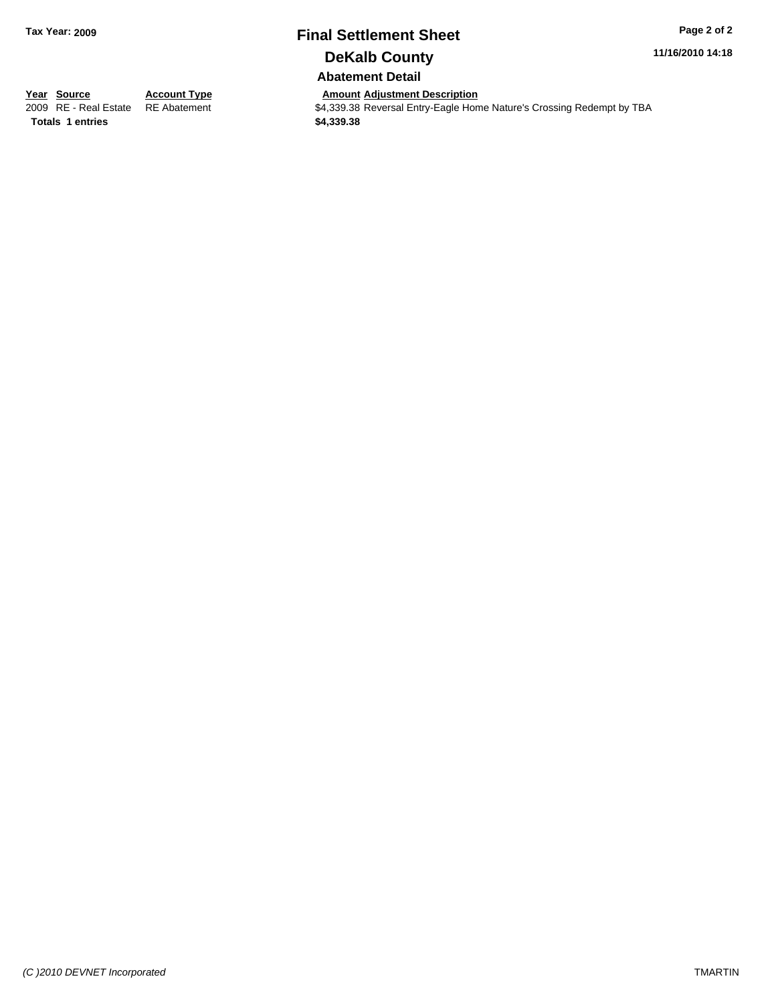## **Final Settlement Sheet Tax Year: 2009 Page 2 of 2 DeKalb County**

**11/16/2010 14:18**

**Abatement Detail**

**Totals \$4,339.38 1 entries**

**Year Source Account Type Amount Adjustment Description**<br>
2009 RE - Real Estate RE Abatement **AMOUNT ACCOUNT ACCOUNT S4,339.38** Reversal Entry-Eagle Hon  $\overline{\$4,339.38\}$  Reversal Entry-Eagle Home Nature's Crossing Redempt by TBA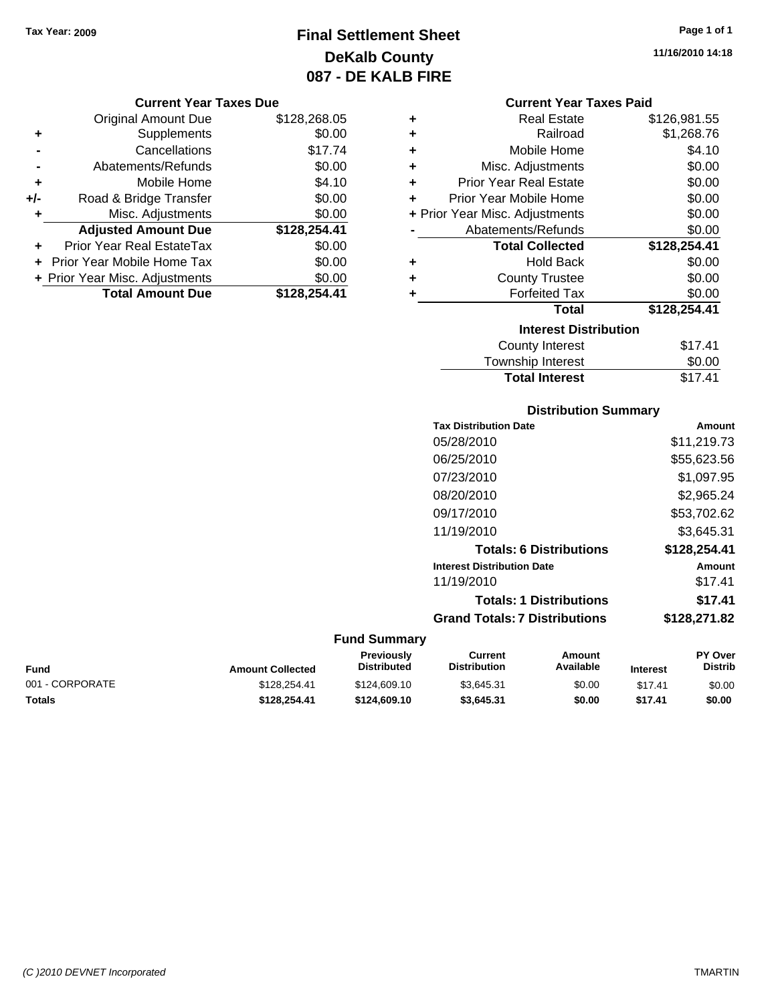## **Final Settlement Sheet Tax Year: 2009 Page 1 of 1 DeKalb County 087 - DE KALB FIRE**

#### **Current Year Taxes Due**

|     | <b>Original Amount Due</b>       | \$128,268.05 |
|-----|----------------------------------|--------------|
| ٠   | Supplements                      | \$0.00       |
|     | Cancellations                    | \$17.74      |
|     | Abatements/Refunds               | \$0.00       |
| ÷   | Mobile Home                      | \$4.10       |
| +/- | Road & Bridge Transfer           | \$0.00       |
| ٠   | Misc. Adjustments                | \$0.00       |
|     | <b>Adjusted Amount Due</b>       | \$128,254.41 |
|     | <b>Prior Year Real EstateTax</b> | \$0.00       |
|     | Prior Year Mobile Home Tax       | \$0.00       |
|     | + Prior Year Misc. Adjustments   | \$0.00       |
|     | <b>Total Amount Due</b>          | \$128.254.41 |

#### **Current Year Taxes Paid**

| ٠ | Real Estate                    | \$126,981.55 |
|---|--------------------------------|--------------|
| ٠ | Railroad                       | \$1,268.76   |
| ٠ | Mobile Home                    | \$4.10       |
| ٠ | Misc. Adjustments              | \$0.00       |
| ٠ | <b>Prior Year Real Estate</b>  | \$0.00       |
| ٠ | Prior Year Mobile Home         | \$0.00       |
|   | + Prior Year Misc. Adjustments | \$0.00       |
|   | Abatements/Refunds             | \$0.00       |
|   | <b>Total Collected</b>         | \$128,254.41 |
| ٠ | <b>Hold Back</b>               | \$0.00       |
| ÷ | <b>County Trustee</b>          | \$0.00       |
| ٠ | <b>Forfeited Tax</b>           | \$0.00       |
|   | Total                          | \$128,254.41 |
|   | <b>Interest Distribution</b>   |              |
|   | <b>County Interest</b>         | \$17.41      |
|   | <b>Township Interest</b>       | \$0.00       |
|   | <b>Total Interest</b>          | \$17.41      |

### **Distribution Summary Tax Distribution Date Amount** 05/28/2010 \$11,219.73 06/25/2010 \$55,623.56 07/23/2010 \$1,097.95 08/20/2010 \$2,965.24 09/17/2010 \$53,702.62

| <b>Amount Collected</b> | <b>Fund Summary</b><br>Previously<br><b>Distributed</b> | Current<br><b>Distribution</b>       | <b>Amount</b><br>Available     | <b>Interest</b> | <b>PY Over</b><br><b>Distrib</b> |
|-------------------------|---------------------------------------------------------|--------------------------------------|--------------------------------|-----------------|----------------------------------|
|                         |                                                         | <b>Grand Totals: 7 Distributions</b> |                                |                 | \$128,271.82                     |
|                         |                                                         |                                      | <b>Totals: 1 Distributions</b> |                 | \$17.41                          |
|                         |                                                         | 11/19/2010                           |                                |                 | \$17.41                          |
|                         |                                                         | <b>Interest Distribution Date</b>    |                                |                 | <b>Amount</b>                    |
|                         |                                                         |                                      | <b>Totals: 6 Distributions</b> |                 | \$128,254.41                     |
|                         |                                                         | 11/19/2010                           |                                |                 | \$3,645.31                       |

| <b>Fund</b>     | <b>Amount Collected</b> | <b>FIGVIOUSIV</b><br><b>Distributed</b> | <b>GUILEIR</b><br>Distribution | Allivulit<br>Available | <b>Interest</b> | гіччы<br>Distrib |
|-----------------|-------------------------|-----------------------------------------|--------------------------------|------------------------|-----------------|------------------|
| 001 - CORPORATE | \$128,254.41            | \$124,609.10                            | \$3.645.31                     | \$0.00                 | \$17.41         | \$0.00           |
| <b>Totals</b>   | \$128.254.41            | \$124,609.10                            | \$3.645.31                     | \$0.00                 | \$17.41         | \$0.00           |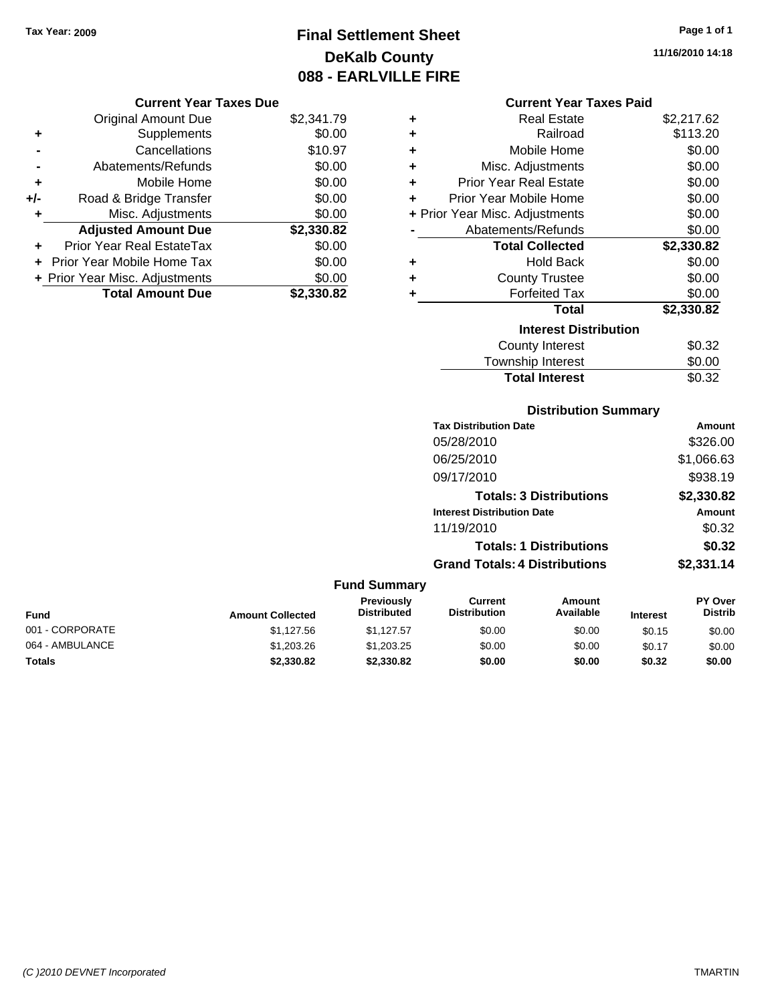## **Final Settlement Sheet Tax Year: 2009 Page 1 of 1 DeKalb County 088 - EARLVILLE FIRE**

**11/16/2010 14:18**

#### **Current Year Taxes Due**

|       | <b>Original Amount Due</b>     | \$2,341.79 |
|-------|--------------------------------|------------|
| ٠     | Supplements                    | \$0.00     |
|       | Cancellations                  | \$10.97    |
|       | Abatements/Refunds             | \$0.00     |
| ÷     | Mobile Home                    | \$0.00     |
| $+/-$ | Road & Bridge Transfer         | \$0.00     |
|       | Misc. Adjustments              | \$0.00     |
|       | <b>Adjusted Amount Due</b>     | \$2,330.82 |
| ÷     | Prior Year Real EstateTax      | \$0.00     |
|       | Prior Year Mobile Home Tax     | \$0.00     |
|       | + Prior Year Misc. Adjustments | \$0.00     |
|       | <b>Total Amount Due</b>        | \$2,330.82 |

#### **Current Year Taxes Paid**

|   | <b>Real Estate</b>             | \$2,217.62 |
|---|--------------------------------|------------|
| ÷ | Railroad                       | \$113.20   |
| ÷ | Mobile Home                    | \$0.00     |
| ÷ | Misc. Adjustments              | \$0.00     |
| ÷ | <b>Prior Year Real Estate</b>  | \$0.00     |
| ÷ | Prior Year Mobile Home         | \$0.00     |
|   | + Prior Year Misc. Adjustments | \$0.00     |
|   | Abatements/Refunds             | \$0.00     |
|   |                                |            |
|   | <b>Total Collected</b>         | \$2,330.82 |
| ٠ | <b>Hold Back</b>               | \$0.00     |
| ÷ | <b>County Trustee</b>          | \$0.00     |
| ٠ | <b>Forfeited Tax</b>           | \$0.00     |
|   | <b>Total</b>                   | \$2,330.82 |
|   | <b>Interest Distribution</b>   |            |
|   | <b>County Interest</b>         | \$0.32     |

## **Distribution Summary**

**Total Interest** \$0.32

| Amount     |
|------------|
|            |
| \$326.00   |
| \$1,066.63 |
| \$938.19   |
| \$2,330.82 |
| Amount     |
| \$0.32     |
| \$0.32     |
| \$2,331.14 |
|            |

|                                                                                                                                                        |            | <b>Fund Summary</b> |        |        |                                  |        |
|--------------------------------------------------------------------------------------------------------------------------------------------------------|------------|---------------------|--------|--------|----------------------------------|--------|
| Previously<br>Current<br>Amount<br>Available<br><b>Distribution</b><br><b>Distributed</b><br><b>Fund</b><br><b>Amount Collected</b><br><b>Interest</b> |            |                     |        |        | <b>PY Over</b><br><b>Distrib</b> |        |
| 001 - CORPORATE                                                                                                                                        | \$1.127.56 | \$1.127.57          | \$0.00 | \$0.00 | \$0.15                           | \$0.00 |
| 064 - AMBULANCE                                                                                                                                        | \$1,203.26 | \$1,203,25          | \$0.00 | \$0.00 | \$0.17                           | \$0.00 |
| <b>Totals</b>                                                                                                                                          | \$2,330.82 | \$2,330.82          | \$0.00 | \$0.00 | \$0.32                           | \$0.00 |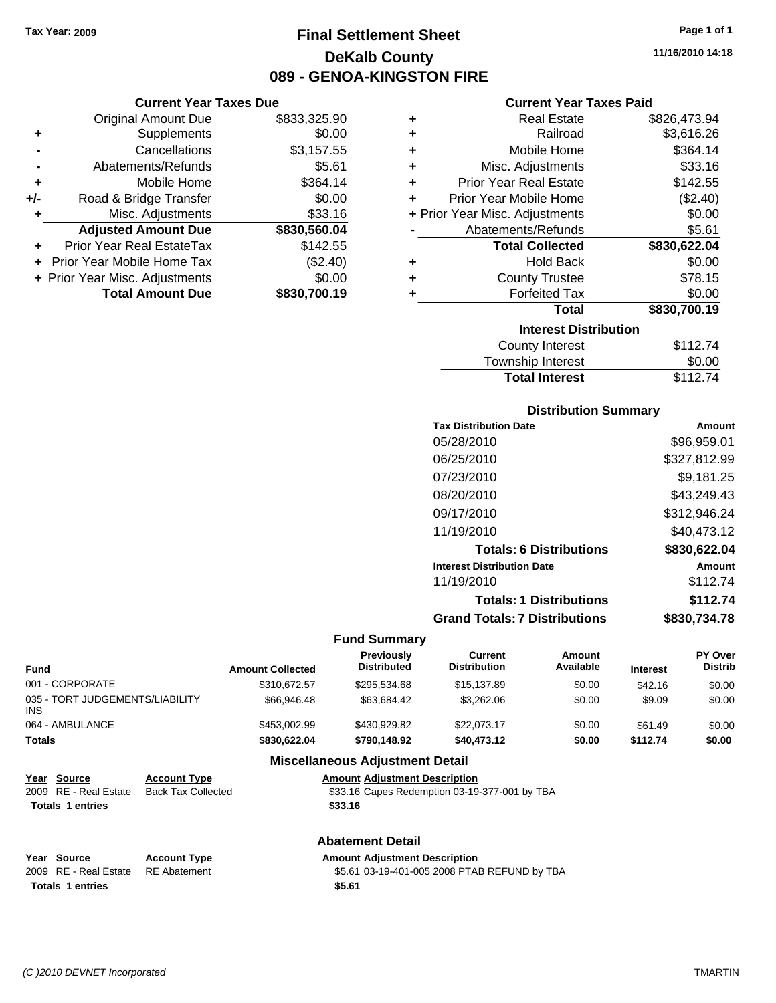**Current Year Taxes Due** Original Amount Due \$833,325.90

**Adjusted Amount Due \$830,560.04**

**Total Amount Due \$830,700.19**

**+** Supplements \$0.00 **-** Cancellations \$3,157.55 **-** Abatements/Refunds **\$5.61 +** Mobile Home \$364.14 **+/-** Road & Bridge Transfer \$0.00 **+** Misc. Adjustments \$33.16

**+** Prior Year Real EstateTax \$142.55 **+** Prior Year Mobile Home Tax (\$2.40) **+ Prior Year Misc. Adjustments**  $$0.00$ 

## **Final Settlement Sheet Tax Year: 2009 Page 1 of 1 DeKalb County 089 - GENOA-KINGSTON FIRE**

**11/16/2010 14:18**

#### **Current Year Taxes Paid**

| ٠                            | <b>Real Estate</b>             | \$826,473.94 |  |  |  |
|------------------------------|--------------------------------|--------------|--|--|--|
| ٠                            | Railroad                       | \$3,616.26   |  |  |  |
| ٠                            | Mobile Home                    | \$364.14     |  |  |  |
| ٠                            | Misc. Adjustments              | \$33.16      |  |  |  |
| ٠                            | <b>Prior Year Real Estate</b>  | \$142.55     |  |  |  |
| ÷                            | Prior Year Mobile Home         | (\$2.40)     |  |  |  |
|                              | + Prior Year Misc. Adjustments | \$0.00       |  |  |  |
|                              | Abatements/Refunds             | \$5.61       |  |  |  |
|                              | <b>Total Collected</b>         | \$830,622.04 |  |  |  |
| ٠                            | <b>Hold Back</b>               | \$0.00       |  |  |  |
| ٠                            | <b>County Trustee</b>          | \$78.15      |  |  |  |
| ٠                            | <b>Forfeited Tax</b>           | \$0.00       |  |  |  |
|                              | Total                          | \$830,700.19 |  |  |  |
| <b>Interest Distribution</b> |                                |              |  |  |  |
|                              | <b>County Interest</b>         | \$112.74     |  |  |  |
|                              | <b>Townebin Interact</b>       | ደስ ሰስ        |  |  |  |

| .<br>Township Interest | \$0.00   |
|------------------------|----------|
| <b>Total Interest</b>  | \$112.74 |

#### **Distribution Summary**

| <b>Tax Distribution Date</b>         | Amount       |
|--------------------------------------|--------------|
| 05/28/2010                           | \$96,959.01  |
| 06/25/2010                           | \$327,812.99 |
| 07/23/2010                           | \$9,181.25   |
| 08/20/2010                           | \$43,249.43  |
| 09/17/2010                           | \$312,946.24 |
| 11/19/2010                           | \$40.473.12  |
| <b>Totals: 6 Distributions</b>       | \$830,622.04 |
| <b>Interest Distribution Date</b>    | Amount       |
| 11/19/2010                           | \$112.74     |
| <b>Totals: 1 Distributions</b>       | \$112.74     |
| <b>Grand Totals: 7 Distributions</b> | \$830,734.78 |
|                                      |              |

#### **Fund Summary**

| <b>Amount Collected</b> | Previously<br><b>Distributed</b> | <b>Current</b><br><b>Distribution</b> | Amount<br>Available | <b>Interest</b> | PY Over<br><b>Distrib</b> |
|-------------------------|----------------------------------|---------------------------------------|---------------------|-----------------|---------------------------|
| \$310.672.57            | \$295.534.68                     | \$15,137.89                           | \$0.00              | \$42.16         | \$0.00                    |
| \$66,946.48             | \$63.684.42                      | \$3,262,06                            | \$0.00              | \$9.09          | \$0.00                    |
| \$453,002.99            | \$430.929.82                     | \$22,073.17                           | \$0.00              | \$61.49         | \$0.00                    |
| \$830,622,04            | \$790,148.92                     | \$40,473.12                           | \$0.00              | \$112.74        | \$0.00                    |
|                         |                                  |                                       |                     |                 |                           |

#### **Miscellaneous Adjustment Detail**

| Year Source             | <b>Account Type</b> | <b>Amount Adjustment Description</b>          |
|-------------------------|---------------------|-----------------------------------------------|
| 2009 RE - Real Estate   | Back Tax Collected  | \$33.16 Capes Redemption 03-19-377-001 by TBA |
| <b>Totals 1 entries</b> |                     | \$33.16                                       |
|                         |                     |                                               |

#### **Abatement Detail**

| Year Source                        | <b>Account Type</b> | Am |
|------------------------------------|---------------------|----|
| 2009 RE - Real Estate RE Abatement |                     |    |

**<u>Rount Adjustment Description</u>** 55.61 03-19-401-005 2008 PTAB REFUND by TBA **Totals \$5.61 1 entries**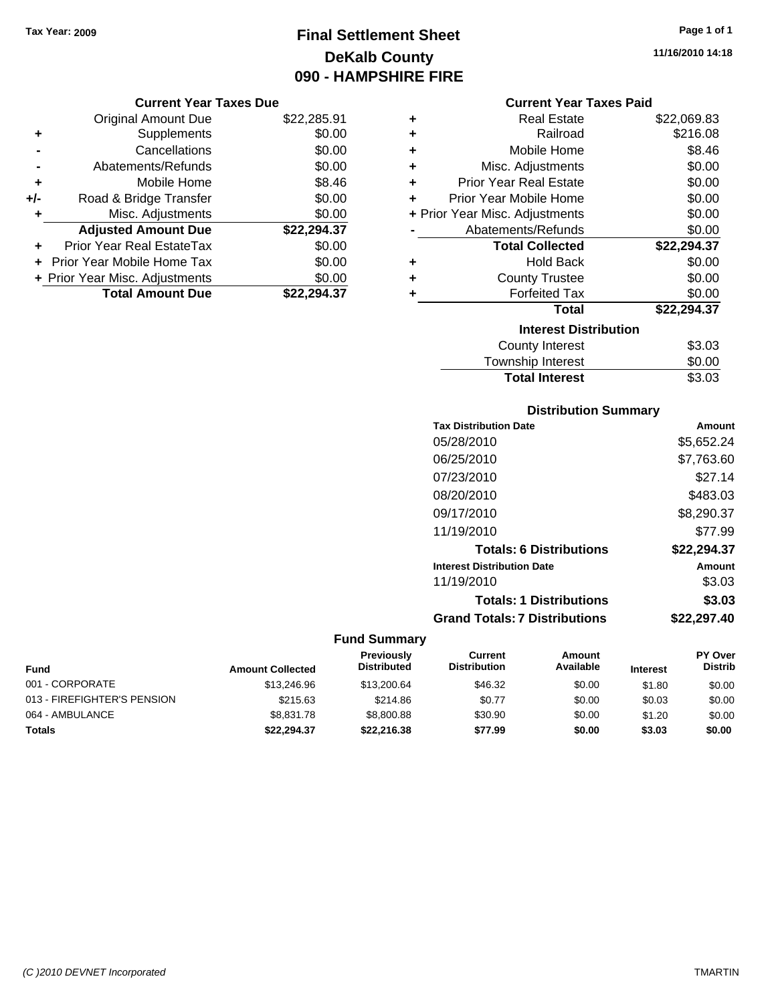## **Final Settlement Sheet Tax Year: 2009 Page 1 of 1 DeKalb County 090 - HAMPSHIRE FIRE**

#### **Current Year Taxes Due**

|     | <b>Original Amount Due</b>     | \$22,285.91 |
|-----|--------------------------------|-------------|
| ٠   | Supplements                    | \$0.00      |
|     | Cancellations                  | \$0.00      |
|     | Abatements/Refunds             | \$0.00      |
| ٠   | Mobile Home                    | \$8.46      |
| +/- | Road & Bridge Transfer         | \$0.00      |
| ٠   | Misc. Adjustments              | \$0.00      |
|     | <b>Adjusted Amount Due</b>     | \$22,294.37 |
|     | Prior Year Real EstateTax      | \$0.00      |
|     | Prior Year Mobile Home Tax     | \$0.00      |
|     | + Prior Year Misc. Adjustments | \$0.00      |
|     | <b>Total Amount Due</b>        | \$22.294.37 |

#### **Current Year Taxes Paid**

| ٠ | Real Estate                    | \$22,069.83 |
|---|--------------------------------|-------------|
| ٠ | Railroad                       | \$216.08    |
| ÷ | Mobile Home                    | \$8.46      |
| ٠ | Misc. Adjustments              | \$0.00      |
| ٠ | <b>Prior Year Real Estate</b>  | \$0.00      |
| ٠ | Prior Year Mobile Home         | \$0.00      |
|   | + Prior Year Misc. Adjustments | \$0.00      |
|   | Abatements/Refunds             | \$0.00      |
|   | <b>Total Collected</b>         | \$22,294.37 |
| ٠ | <b>Hold Back</b>               | \$0.00      |
| ٠ | <b>County Trustee</b>          | \$0.00      |
| ٠ | <b>Forfeited Tax</b>           | \$0.00      |
|   | Total                          | \$22,294.37 |
|   | <b>Interest Distribution</b>   |             |
|   | <b>County Interest</b>         | \$3.03      |
|   | <b>Township Interest</b>       | \$0.00      |
|   | <b>Total Interest</b>          | \$3.03      |

### **Distribution Summary**

| <b>Tax Distribution Date</b>         | Amount      |
|--------------------------------------|-------------|
| 05/28/2010                           | \$5,652.24  |
| 06/25/2010                           | \$7,763.60  |
| 07/23/2010                           | \$27.14     |
| 08/20/2010                           | \$483.03    |
| 09/17/2010                           | \$8,290.37  |
| 11/19/2010                           | \$77.99     |
| <b>Totals: 6 Distributions</b>       | \$22,294.37 |
| <b>Interest Distribution Date</b>    | Amount      |
| 11/19/2010                           | \$3.03      |
| <b>Totals: 1 Distributions</b>       | \$3.03      |
| <b>Grand Totals: 7 Distributions</b> | \$22.297.40 |
|                                      |             |

#### **Fund Summary**

| <b>Fund</b>                 | <b>Amount Collected</b> | <b>Previously</b><br><b>Distributed</b> | Current<br><b>Distribution</b> | Amount<br>Available | <b>Interest</b> | <b>PY Over</b><br><b>Distrib</b> |
|-----------------------------|-------------------------|-----------------------------------------|--------------------------------|---------------------|-----------------|----------------------------------|
| 001 - CORPORATE             | \$13,246.96             | \$13,200.64                             | \$46.32                        | \$0.00              | \$1.80          | \$0.00                           |
| 013 - FIREFIGHTER'S PENSION | \$215.63                | \$214.86                                | \$0.77                         | \$0.00              | \$0.03          | \$0.00                           |
| 064 - AMBULANCE             | \$8,831.78              | \$8,800.88                              | \$30.90                        | \$0.00              | \$1.20          | \$0.00                           |
| <b>Totals</b>               | \$22.294.37             | \$22,216,38                             | \$77.99                        | \$0.00              | \$3.03          | \$0.00                           |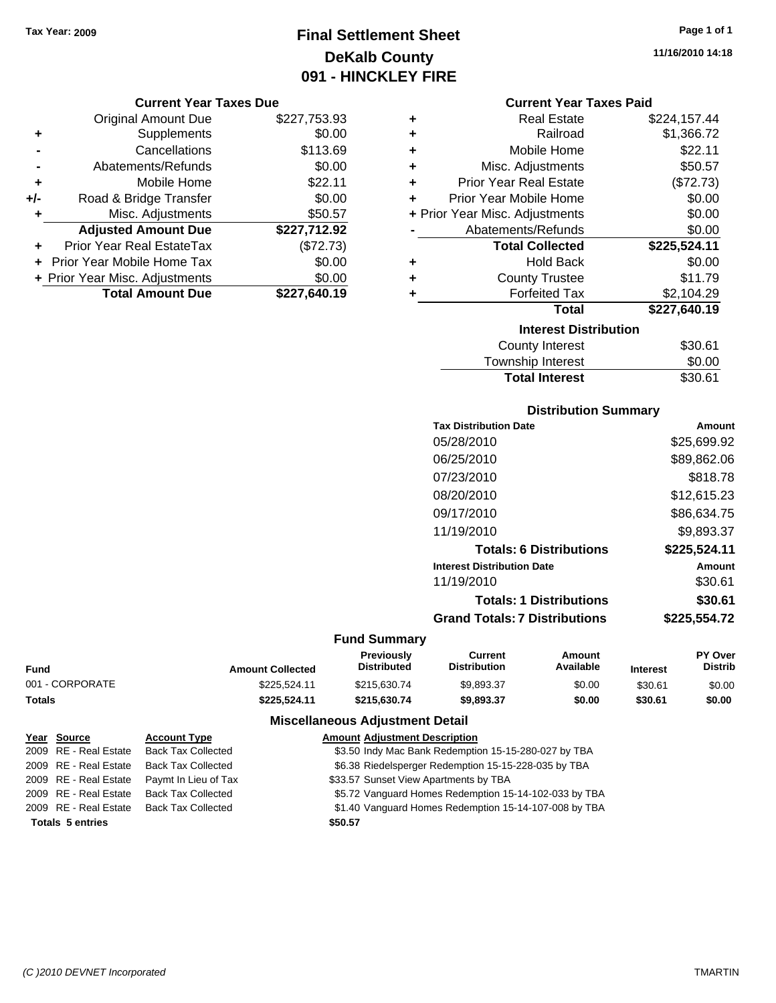## **Final Settlement Sheet Tax Year: 2009 Page 1 of 1 DeKalb County 091 - HINCKLEY FIRE**

#### **Current Year Taxes Due**

|       | <b>Original Amount Due</b>     | \$227,753.93 |
|-------|--------------------------------|--------------|
| ٠     | Supplements                    | \$0.00       |
|       | Cancellations                  | \$113.69     |
|       | Abatements/Refunds             | \$0.00       |
| ٠     | Mobile Home                    | \$22.11      |
| $+/-$ | Road & Bridge Transfer         | \$0.00       |
| ٠     | Misc. Adjustments              | \$50.57      |
|       | <b>Adjusted Amount Due</b>     | \$227,712.92 |
|       | Prior Year Real EstateTax      | (\$72.73)    |
|       | Prior Year Mobile Home Tax     | \$0.00       |
|       | + Prior Year Misc. Adjustments | \$0.00       |
|       | <b>Total Amount Due</b>        | \$227,640.19 |

| ٠ | <b>Real Estate</b>             | \$224,157.44 |
|---|--------------------------------|--------------|
| ٠ | Railroad                       | \$1,366.72   |
| ٠ | Mobile Home                    | \$22.11      |
| ٠ | Misc. Adjustments              | \$50.57      |
| ÷ | <b>Prior Year Real Estate</b>  | (\$72.73)    |
| ٠ | Prior Year Mobile Home         | \$0.00       |
|   | + Prior Year Misc. Adjustments | \$0.00       |
|   | Abatements/Refunds             | \$0.00       |
|   | <b>Total Collected</b>         | \$225,524.11 |
|   | <b>Hold Back</b>               |              |
| ٠ |                                | \$0.00       |
| ٠ | <b>County Trustee</b>          | \$11.79      |
| ٠ | <b>Forfeited Tax</b>           | \$2,104.29   |
|   | <b>Total</b>                   | \$227,640.19 |
|   | <b>Interest Distribution</b>   |              |
|   | <b>County Interest</b>         | \$30.61      |

# Township Interest  $$0.00$

**Total Interest** \$30.61

| <b>Distribution Summary</b>       |              |
|-----------------------------------|--------------|
| <b>Tax Distribution Date</b>      | Amount       |
| 05/28/2010                        | \$25,699.92  |
| 06/25/2010                        | \$89,862.06  |
| 07/23/2010                        | \$818.78     |
| 08/20/2010                        | \$12,615.23  |
| 09/17/2010                        | \$86,634.75  |
| 11/19/2010                        | \$9,893.37   |
| <b>Totals: 6 Distributions</b>    | \$225,524.11 |
| <b>Interest Distribution Date</b> | Amount       |
| 11/19/2010                        | \$30.61      |
| <b>Totals: 1 Distributions</b>    | \$30.61      |
| Grand Totals: 7 Distributions     | \$225,554.72 |

#### **Fund Summary**

|                 |                         | Previously         | Current             | Amount    |                 | <b>PY Over</b> |
|-----------------|-------------------------|--------------------|---------------------|-----------|-----------------|----------------|
| Fund            | <b>Amount Collected</b> | <b>Distributed</b> | <b>Distribution</b> | Available | <b>Interest</b> | <b>Distrib</b> |
| 001 - CORPORATE | \$225.524.11            | \$215,630.74       | \$9.893.37          | \$0.00    | \$30.61         | \$0.00         |
| Totals          | \$225.524.11            | \$215.630.74       | \$9.893.37          | \$0.00    | \$30.61         | \$0.00         |

### **Miscellaneous Adjustment Detail**

| Year Source             | <b>Account Type</b>       | <b>Amount Adjustment Description</b>                  |
|-------------------------|---------------------------|-------------------------------------------------------|
| 2009 RE - Real Estate   | <b>Back Tax Collected</b> | \$3.50 Indy Mac Bank Redemption 15-15-280-027 by TBA  |
| 2009 RE - Real Estate   | <b>Back Tax Collected</b> | \$6.38 Riedelsperger Redemption 15-15-228-035 by TBA  |
| 2009 RE - Real Estate   | Paymt In Lieu of Tax      | \$33.57 Sunset View Apartments by TBA                 |
| 2009 RE - Real Estate   | <b>Back Tax Collected</b> | \$5.72 Vanguard Homes Redemption 15-14-102-033 by TBA |
| 2009 RE - Real Estate   | <b>Back Tax Collected</b> | \$1.40 Vanguard Homes Redemption 15-14-107-008 by TBA |
| <b>Totals 5 entries</b> |                           | \$50.57                                               |
|                         |                           |                                                       |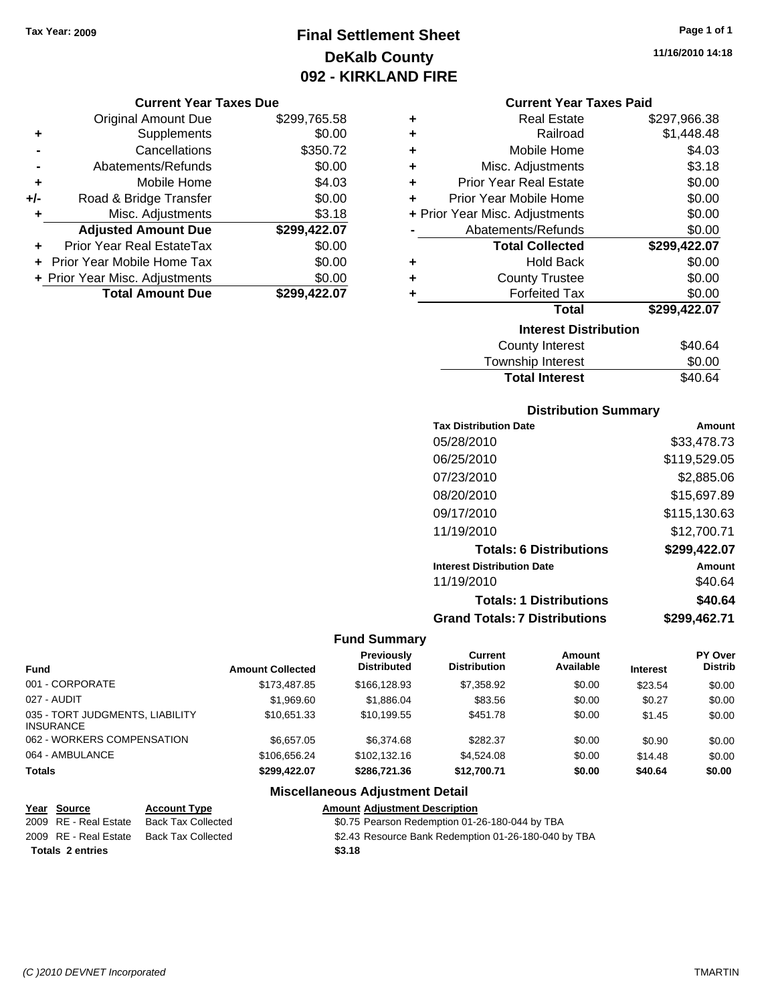## **Final Settlement Sheet Tax Year: 2009 Page 1 of 1 DeKalb County 092 - KIRKLAND FIRE**

#### **Current Year Taxes Due**

|       | <b>Original Amount Due</b>     | \$299,765.58 |
|-------|--------------------------------|--------------|
| ٠     | Supplements                    | \$0.00       |
|       | Cancellations                  | \$350.72     |
|       | Abatements/Refunds             | \$0.00       |
| ÷     | Mobile Home                    | \$4.03       |
| $+/-$ | Road & Bridge Transfer         | \$0.00       |
| ٠     | Misc. Adjustments              | \$3.18       |
|       | <b>Adjusted Amount Due</b>     | \$299,422.07 |
|       | Prior Year Real EstateTax      | \$0.00       |
|       | Prior Year Mobile Home Tax     | \$0.00       |
|       | + Prior Year Misc. Adjustments | \$0.00       |
|       | <b>Total Amount Due</b>        | \$299.422.07 |

| ٠ | <b>Real Estate</b>             | \$297,966.38 |
|---|--------------------------------|--------------|
| ٠ | Railroad                       | \$1,448.48   |
| ٠ | Mobile Home                    | \$4.03       |
| ÷ | Misc. Adjustments              | \$3.18       |
| ÷ | <b>Prior Year Real Estate</b>  | \$0.00       |
| ٠ | Prior Year Mobile Home         | \$0.00       |
|   | + Prior Year Misc. Adjustments | \$0.00       |
|   | Abatements/Refunds             | \$0.00       |
|   | <b>Total Collected</b>         | \$299,422.07 |
| ٠ | <b>Hold Back</b>               | \$0.00       |
| ٠ | <b>County Trustee</b>          | \$0.00       |
| ٠ | <b>Forfeited Tax</b>           | \$0.00       |
|   | <b>Total</b>                   | \$299,422.07 |
|   | <b>Interest Distribution</b>   |              |
|   | <b>County Interest</b>         | \$40.64      |
|   | Townobin Intorpot              | ድስ ሰስ        |

## Township Interest  $$0.00$ Total Interest \$40.64

#### **Distribution Summary Tax Distribution Date Amount** 05/28/2010 \$33,478.73 06/25/2010 \$119,529.05 07/23/2010 \$2,885.06 08/20/2010 \$15,697.89

| <u> 991 - 91 - 91 9</u>              | <b></b>      |
|--------------------------------------|--------------|
| 09/17/2010                           | \$115,130.63 |
| 11/19/2010                           | \$12,700.71  |
| <b>Totals: 6 Distributions</b>       | \$299,422.07 |
| <b>Interest Distribution Date</b>    | Amount       |
| 11/19/2010                           | \$40.64      |
| <b>Totals: 1 Distributions</b>       | \$40.64      |
| <b>Grand Totals: 7 Distributions</b> | \$299,462.71 |
|                                      |              |

#### **Fund Summary**

|                                                     |                         | <b>Previously</b>  | Current             | Amount    |                 | <b>PY Over</b> |
|-----------------------------------------------------|-------------------------|--------------------|---------------------|-----------|-----------------|----------------|
| <b>Fund</b>                                         | <b>Amount Collected</b> | <b>Distributed</b> | <b>Distribution</b> | Available | <b>Interest</b> | <b>Distrib</b> |
| 001 - CORPORATE                                     | \$173,487.85            | \$166,128,93       | \$7,358.92          | \$0.00    | \$23.54         | \$0.00         |
| 027 - AUDIT                                         | \$1,969.60              | \$1,886.04         | \$83.56             | \$0.00    | \$0.27          | \$0.00         |
| 035 - TORT JUDGMENTS, LIABILITY<br><b>INSURANCE</b> | \$10.651.33             | \$10.199.55        | \$451.78            | \$0.00    | \$1.45          | \$0.00         |
| 062 - WORKERS COMPENSATION                          | \$6,657,05              | \$6,374.68         | \$282.37            | \$0.00    | \$0.90          | \$0.00         |
| 064 - AMBULANCE                                     | \$106.656.24            | \$102.132.16       | \$4,524.08          | \$0.00    | \$14.48         | \$0.00         |
| <b>Totals</b>                                       | \$299.422.07            | \$286,721,36       | \$12,700.71         | \$0.00    | \$40.64         | \$0.00         |

#### **Miscellaneous Adjustment Detail**

| Year Source             | <b>Account Type</b>       | <b>Amount Adjustment Description</b> |
|-------------------------|---------------------------|--------------------------------------|
| 2009 RE - Real Estate   | <b>Back Tax Collected</b> | \$0.75 Pearson Redemption 01-2       |
| 2009 RE - Real Estate   | <b>Back Tax Collected</b> | \$2.43 Resource Bank Redempti        |
| <b>Totals 2 entries</b> |                           | \$3.18                               |

2009 Exted Solid Estate Tearson Redemption 01-26-180-044 by TBA

lected **2009** S2.43 Resource Bank Redemption 01-26-180-040 by TBA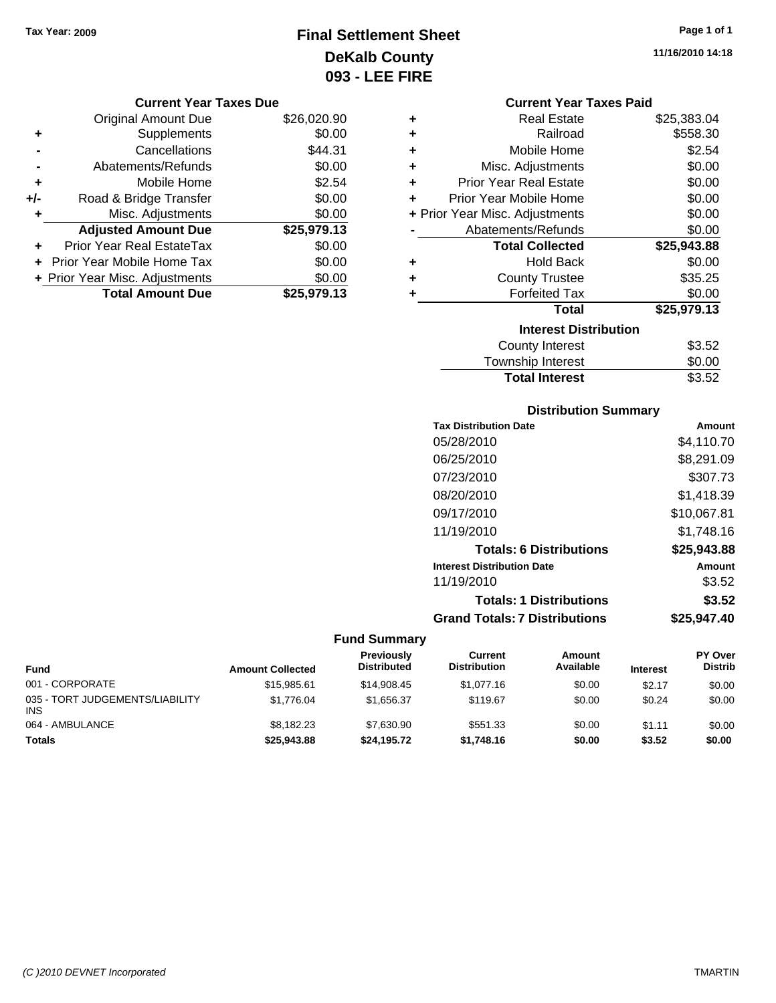## **Final Settlement Sheet Tax Year: 2009 Page 1 of 1 DeKalb County 093 - LEE FIRE**

**11/16/2010 14:18**

#### **Current Year Taxes Due**

|     | <b>Original Amount Due</b>     | \$26,020.90 |
|-----|--------------------------------|-------------|
| ٠   | Supplements                    | \$0.00      |
|     | Cancellations                  | \$44.31     |
|     | Abatements/Refunds             | \$0.00      |
| ٠   | Mobile Home                    | \$2.54      |
| +/- | Road & Bridge Transfer         | \$0.00      |
| ٠   | Misc. Adjustments              | \$0.00      |
|     | <b>Adjusted Amount Due</b>     | \$25,979.13 |
| ÷   | Prior Year Real EstateTax      | \$0.00      |
|     | Prior Year Mobile Home Tax     | \$0.00      |
|     | + Prior Year Misc. Adjustments | \$0.00      |
|     | <b>Total Amount Due</b>        | \$25,979.13 |

| <b>Current Year Taxes Paid</b> |                                |             |  |  |  |
|--------------------------------|--------------------------------|-------------|--|--|--|
| ٠                              | <b>Real Estate</b>             | \$25,383.04 |  |  |  |
| ÷                              | Railroad                       | \$558.30    |  |  |  |
| ÷                              | Mobile Home                    | \$2.54      |  |  |  |
| ÷                              | Misc. Adjustments              | \$0.00      |  |  |  |
| ÷                              | <b>Prior Year Real Estate</b>  | \$0.00      |  |  |  |
| ÷                              | Prior Year Mobile Home         | \$0.00      |  |  |  |
|                                | + Prior Year Misc. Adjustments | \$0.00      |  |  |  |
|                                | Abatements/Refunds             | \$0.00      |  |  |  |
|                                | <b>Total Collected</b>         | \$25,943.88 |  |  |  |
| ٠                              | Hold Back                      | \$0.00      |  |  |  |
| ٠                              | <b>County Trustee</b>          | \$35.25     |  |  |  |
| ٠                              | <b>Forfeited Tax</b>           | \$0.00      |  |  |  |
|                                | <b>Total</b>                   | \$25,979.13 |  |  |  |
|                                | <b>Interest Distribution</b>   |             |  |  |  |
|                                | <b>County Interest</b>         | \$3.52      |  |  |  |
|                                | <b>Township Interest</b>       | \$0.00      |  |  |  |
|                                | <b>Total Interest</b>          | \$3.52      |  |  |  |

#### **Distribution Summary**

| <b>Tax Distribution Date</b>         | Amount      |
|--------------------------------------|-------------|
| 05/28/2010                           | \$4,110.70  |
| 06/25/2010                           | \$8,291.09  |
| 07/23/2010                           | \$307.73    |
| 08/20/2010                           | \$1,418.39  |
| 09/17/2010                           | \$10,067.81 |
| 11/19/2010                           | \$1,748.16  |
| <b>Totals: 6 Distributions</b>       | \$25,943.88 |
| <b>Interest Distribution Date</b>    | Amount      |
| 11/19/2010                           | \$3.52      |
| <b>Totals: 1 Distributions</b>       | \$3.52      |
| <b>Grand Totals: 7 Distributions</b> | \$25,947,40 |

#### **Fund Summary**

| Fund                                          | <b>Amount Collected</b> | <b>Previously</b><br><b>Distributed</b> | Current<br><b>Distribution</b> | <b>Amount</b><br>Available | <b>Interest</b> | <b>PY Over</b><br><b>Distrib</b> |
|-----------------------------------------------|-------------------------|-----------------------------------------|--------------------------------|----------------------------|-----------------|----------------------------------|
| 001 - CORPORATE                               | \$15,985.61             | \$14,908.45                             | \$1,077.16                     | \$0.00                     | \$2.17          | \$0.00                           |
| 035 - TORT JUDGEMENTS/LIABILITY<br><b>INS</b> | \$1.776.04              | \$1.656.37                              | \$119.67                       | \$0.00                     | \$0.24          | \$0.00                           |
| 064 - AMBULANCE                               | \$8,182.23              | \$7,630.90                              | \$551.33                       | \$0.00                     | \$1.11          | \$0.00                           |
| <b>Totals</b>                                 | \$25,943.88             | \$24,195.72                             | \$1,748.16                     | \$0.00                     | \$3.52          | \$0.00                           |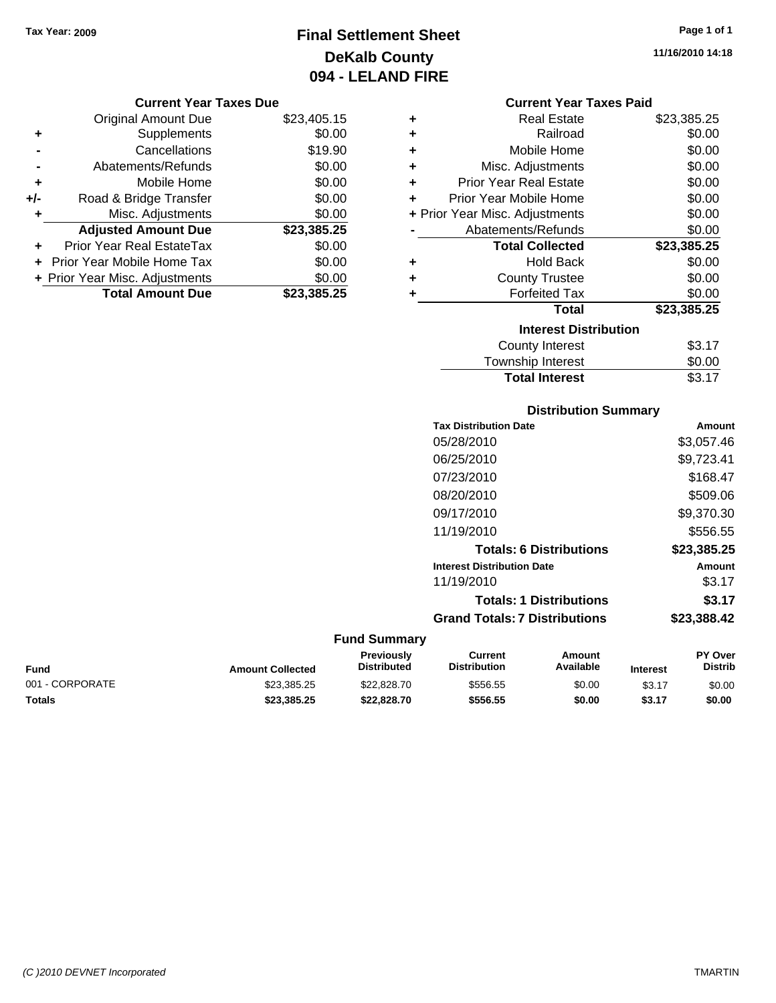## **Final Settlement Sheet Tax Year: 2009 Page 1 of 1 DeKalb County 094 - LELAND FIRE**

**11/16/2010 14:18**

#### **Current Year Taxes Due**

|       | <b>Original Amount Due</b>       | \$23,405.15 |
|-------|----------------------------------|-------------|
| ٠     | Supplements                      | \$0.00      |
|       | Cancellations                    | \$19.90     |
|       | Abatements/Refunds               | \$0.00      |
| ÷     | Mobile Home                      | \$0.00      |
| $+/-$ | Road & Bridge Transfer           | \$0.00      |
| ٠     | Misc. Adjustments                | \$0.00      |
|       | <b>Adjusted Amount Due</b>       | \$23,385.25 |
|       | <b>Prior Year Real EstateTax</b> | \$0.00      |
|       | Prior Year Mobile Home Tax       | \$0.00      |
|       | + Prior Year Misc. Adjustments   | \$0.00      |
|       | <b>Total Amount Due</b>          | \$23,385,25 |

#### **Current Year Taxes Paid**

| ٠ | <b>Real Estate</b>             | \$23,385.25 |
|---|--------------------------------|-------------|
| ٠ | Railroad                       | \$0.00      |
| ÷ | Mobile Home                    | \$0.00      |
| ٠ | Misc. Adjustments              | \$0.00      |
| ÷ | <b>Prior Year Real Estate</b>  | \$0.00      |
| ٠ | Prior Year Mobile Home         | \$0.00      |
|   | + Prior Year Misc. Adjustments | \$0.00      |
|   | Abatements/Refunds             | \$0.00      |
|   |                                |             |
|   | <b>Total Collected</b>         | \$23,385.25 |
| ٠ | <b>Hold Back</b>               | \$0.00      |
| ÷ | <b>County Trustee</b>          | \$0.00      |
| ٠ | <b>Forfeited Tax</b>           | \$0.00      |
|   | Total                          | \$23,385.25 |
|   | <b>Interest Distribution</b>   |             |
|   | <b>County Interest</b>         | \$3.17      |

## **Distribution Summary**

Total Interest \$3.17

|                     | <b>Tax Distribution Date</b>         | <b>Amount</b> |
|---------------------|--------------------------------------|---------------|
|                     | 05/28/2010                           | \$3,057.46    |
|                     | 06/25/2010                           | \$9,723.41    |
|                     | 07/23/2010                           | \$168.47      |
|                     | 08/20/2010                           | \$509.06      |
|                     | 09/17/2010                           | \$9,370,30    |
|                     | 11/19/2010                           | \$556.55      |
|                     | <b>Totals: 6 Distributions</b>       | \$23,385.25   |
|                     | <b>Interest Distribution Date</b>    | <b>Amount</b> |
|                     | 11/19/2010                           | \$3.17        |
|                     | <b>Totals: 1 Distributions</b>       | \$3.17        |
|                     | <b>Grand Totals: 7 Distributions</b> | \$23,388.42   |
| <b>Fund Summary</b> |                                      |               |

#### **Fund Interest Amount Collected Distributed PY Over Distrib Amount Available Current Distribution Previously** 001 - CORPORATE 60.00 \$23,385.25 \$22,828.70 \$556.55 \$0.00 \$3.17 \$0.00 **Totals \$23,385.25 \$22,828.70 \$556.55 \$0.00 \$3.17 \$0.00**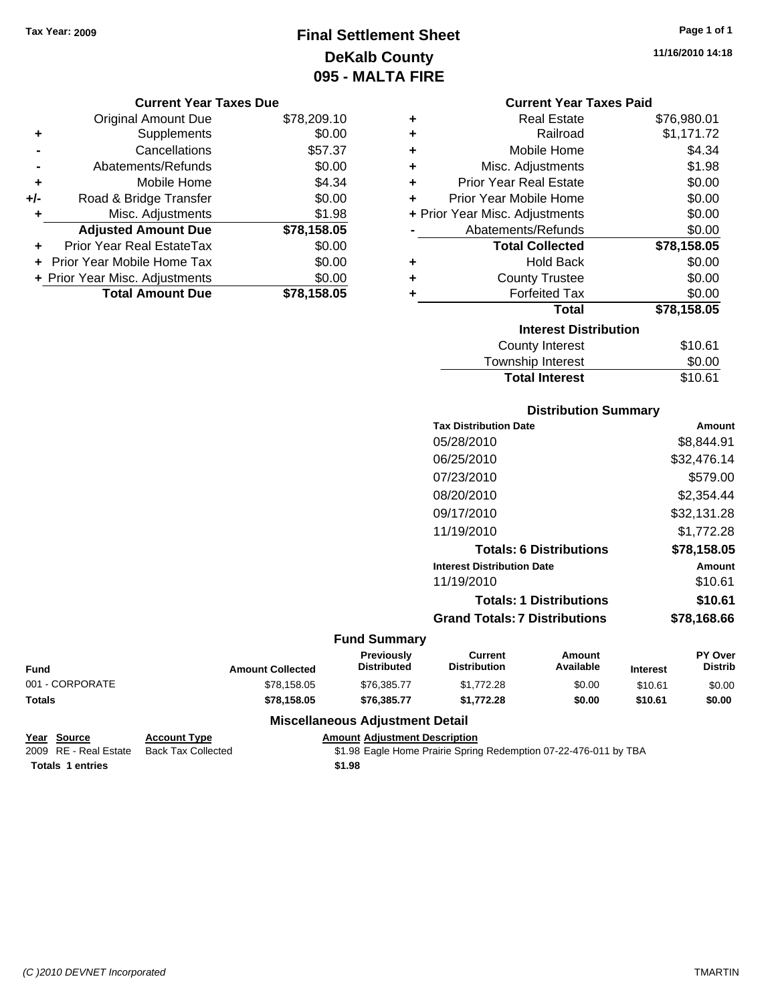## **Final Settlement Sheet Tax Year: 2009 Page 1 of 1 DeKalb County 095 - MALTA FIRE**

**11/16/2010 14:18**

#### **Current Year Taxes Due**

|       | <b>Original Amount Due</b>     | \$78,209.10 |
|-------|--------------------------------|-------------|
| ٠     | Supplements                    | \$0.00      |
|       | Cancellations                  | \$57.37     |
|       | Abatements/Refunds             | \$0.00      |
| ÷     | Mobile Home                    | \$4.34      |
| $+/-$ | Road & Bridge Transfer         | \$0.00      |
| ٠     | Misc. Adjustments              | \$1.98      |
|       | <b>Adjusted Amount Due</b>     | \$78,158.05 |
|       | Prior Year Real EstateTax      | \$0.00      |
|       | Prior Year Mobile Home Tax     | \$0.00      |
|       | + Prior Year Misc. Adjustments | \$0.00      |
|       | <b>Total Amount Due</b>        | \$78,158.05 |

| <b>Current Year Taxes Paid</b> |  |  |  |
|--------------------------------|--|--|--|
|--------------------------------|--|--|--|

| ٠ | Real Estate                    | \$76,980.01 |
|---|--------------------------------|-------------|
| ٠ | Railroad                       | \$1,171.72  |
| ٠ | Mobile Home                    | \$4.34      |
| ÷ | Misc. Adjustments              | \$1.98      |
| ÷ | <b>Prior Year Real Estate</b>  | \$0.00      |
| ÷ | Prior Year Mobile Home         | \$0.00      |
|   | + Prior Year Misc. Adjustments | \$0.00      |
|   | Abatements/Refunds             | \$0.00      |
|   | <b>Total Collected</b>         | \$78,158.05 |
| ٠ | Hold Back                      | \$0.00      |
| ÷ | <b>County Trustee</b>          | \$0.00      |
| ٠ | <b>Forfeited Tax</b>           | \$0.00      |
|   | <b>Total</b>                   | \$78,158.05 |
|   | <b>Interest Distribution</b>   |             |
|   | <b>County Interest</b>         | \$10.61     |
|   | <b>Township Interest</b>       | \$0.00      |
|   | <b>Total Interest</b>          | \$10.61     |

#### **Distribution Summary**

| <b>Tax Distribution Date</b>         | Amount      |
|--------------------------------------|-------------|
| 05/28/2010                           | \$8,844.91  |
| 06/25/2010                           | \$32,476.14 |
| 07/23/2010                           | \$579.00    |
| 08/20/2010                           | \$2,354.44  |
| 09/17/2010                           | \$32,131.28 |
| 11/19/2010                           | \$1,772.28  |
| <b>Totals: 6 Distributions</b>       | \$78,158.05 |
| <b>Interest Distribution Date</b>    | Amount      |
| 11/19/2010                           | \$10.61     |
| <b>Totals: 1 Distributions</b>       | \$10.61     |
| <b>Grand Totals: 7 Distributions</b> | \$78.168.66 |
|                                      |             |

#### **Fund Summary**

| Fund            | <b>Amount Collected</b> | <b>Previously</b><br><b>Distributed</b> | Current<br><b>Distribution</b> | Amount<br>Available | <b>Interest</b> | <b>PY Over</b><br>Distrib |
|-----------------|-------------------------|-----------------------------------------|--------------------------------|---------------------|-----------------|---------------------------|
| 001 - CORPORATE | \$78,158.05             | \$76,385,77                             | \$1.772.28                     | \$0.00              | \$10.61         | \$0.00                    |
| <b>Totals</b>   | \$78.158.05             | \$76,385,77                             | \$1.772.28                     | \$0.00              | \$10.61         | \$0.00                    |

#### **Miscellaneous Adjustment Detail**

#### **Year Source Account Type Amount Adjustment Description**

2009 RE - Real Estate Back Tax Collected \$1.98 Eagle Home Prairie Spring Redemption 07-22-476-011 by TBA **Totals \$1.98 1 entries**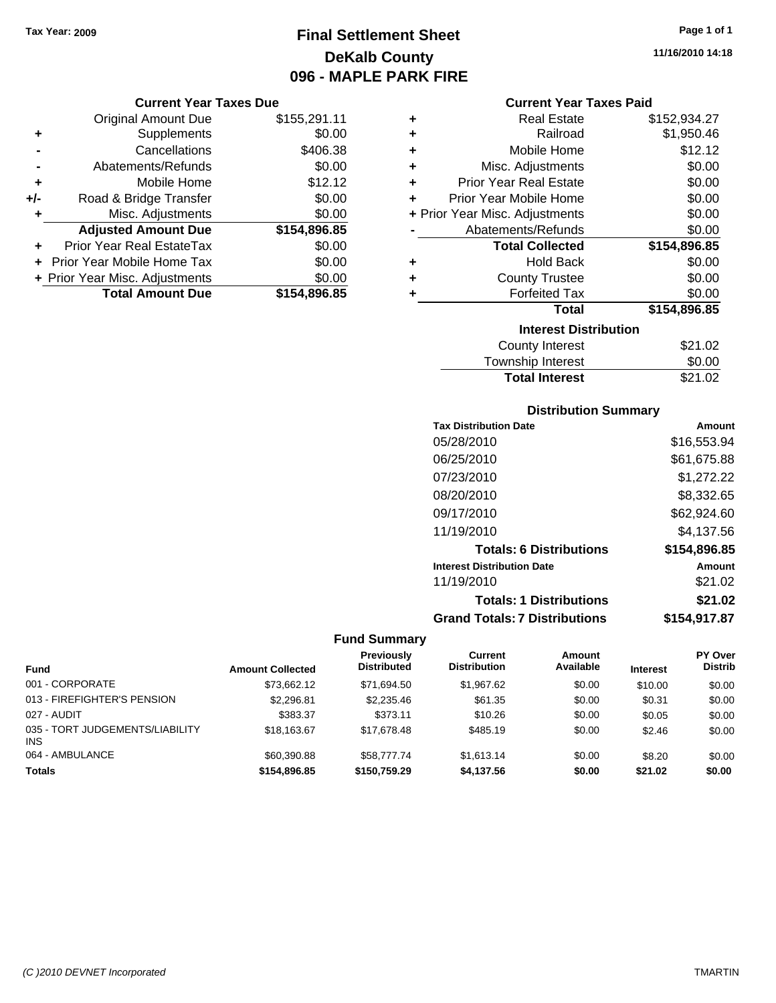## **Final Settlement Sheet Tax Year: 2009 Page 1 of 1 DeKalb County 096 - MAPLE PARK FIRE**

#### **Current Year Taxes Due**

|     | <b>Original Amount Due</b>       | \$155,291.11 |
|-----|----------------------------------|--------------|
|     | Supplements                      | \$0.00       |
|     | Cancellations                    | \$406.38     |
|     | Abatements/Refunds               | \$0.00       |
| ٠   | Mobile Home                      | \$12.12      |
| +/- | Road & Bridge Transfer           | \$0.00       |
| ٠   | Misc. Adjustments                | \$0.00       |
|     | <b>Adjusted Amount Due</b>       | \$154,896.85 |
|     | <b>Prior Year Real EstateTax</b> | \$0.00       |
|     | Prior Year Mobile Home Tax       | \$0.00       |
|     | + Prior Year Misc. Adjustments   | \$0.00       |
|     | <b>Total Amount Due</b>          | \$154,896.85 |

| ٠ | <b>Real Estate</b>             | \$152,934.27 |
|---|--------------------------------|--------------|
| ٠ | Railroad                       | \$1,950.46   |
| ٠ | Mobile Home                    | \$12.12      |
| ٠ | Misc. Adjustments              | \$0.00       |
| ٠ | <b>Prior Year Real Estate</b>  | \$0.00       |
| ÷ | Prior Year Mobile Home         | \$0.00       |
|   | + Prior Year Misc. Adjustments | \$0.00       |
|   | Abatements/Refunds             | \$0.00       |
|   | <b>Total Collected</b>         | \$154,896.85 |
| ٠ | <b>Hold Back</b>               | \$0.00       |
| ٠ | <b>County Trustee</b>          | \$0.00       |
| ٠ | <b>Forfeited Tax</b>           | \$0.00       |
|   | <b>Total</b>                   | \$154,896.85 |
|   | <b>Interest Distribution</b>   |              |
|   | <b>County Interest</b>         | \$21.02      |
|   |                                |              |

| <b>Total Interest</b>   | \$21.02        |
|-------------------------|----------------|
| Township Interest       | \$0.00         |
| <b>OVATILY THIUTUOL</b> | <b>JLI.</b> UL |

#### **Distribution Summary**

| <b>Tax Distribution Date</b>         | Amount       |
|--------------------------------------|--------------|
| 05/28/2010                           | \$16,553.94  |
| 06/25/2010                           | \$61,675.88  |
| 07/23/2010                           | \$1,272.22   |
| 08/20/2010                           | \$8,332.65   |
| 09/17/2010                           | \$62,924.60  |
| 11/19/2010                           | \$4,137.56   |
| <b>Totals: 6 Distributions</b>       | \$154,896.85 |
| <b>Interest Distribution Date</b>    | Amount       |
| 11/19/2010                           | \$21.02      |
| <b>Totals: 1 Distributions</b>       | \$21.02      |
| <b>Grand Totals: 7 Distributions</b> | \$154,917.87 |

#### **Fund Summary**

|                                               |                         | <b>Previously</b>  | Current             | <b>Amount</b> |                 | <b>PY Over</b> |
|-----------------------------------------------|-------------------------|--------------------|---------------------|---------------|-----------------|----------------|
| <b>Fund</b>                                   | <b>Amount Collected</b> | <b>Distributed</b> | <b>Distribution</b> | Available     | <b>Interest</b> | <b>Distrib</b> |
| 001 - CORPORATE                               | \$73.662.12             | \$71.694.50        | \$1,967.62          | \$0.00        | \$10.00         | \$0.00         |
| 013 - FIREFIGHTER'S PENSION                   | \$2,296.81              | \$2,235.46         | \$61.35             | \$0.00        | \$0.31          | \$0.00         |
| 027 - AUDIT                                   | \$383.37                | \$373.11           | \$10.26             | \$0.00        | \$0.05          | \$0.00         |
| 035 - TORT JUDGEMENTS/LIABILITY<br><b>INS</b> | \$18,163,67             | \$17.678.48        | \$485.19            | \$0.00        | \$2.46          | \$0.00         |
| 064 - AMBULANCE                               | \$60,390.88             | \$58,777.74        | \$1.613.14          | \$0.00        | \$8.20          | \$0.00         |
| <b>Totals</b>                                 | \$154,896,85            | \$150,759.29       | \$4.137.56          | \$0.00        | \$21.02         | \$0.00         |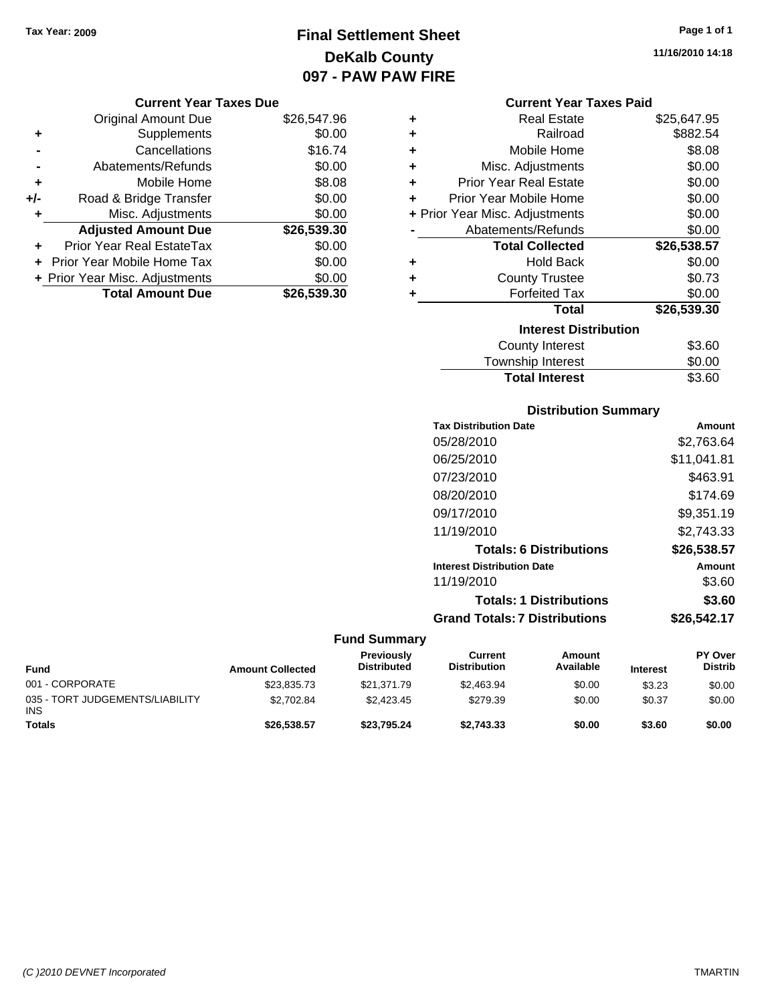## **Final Settlement Sheet Tax Year: 2009 Page 1 of 1 DeKalb County 097 - PAW PAW FIRE**

#### **Current Year Taxes Due**

|       | <b>Original Amount Due</b>       | \$26,547.96 |
|-------|----------------------------------|-------------|
| ٠     | Supplements                      | \$0.00      |
|       | Cancellations                    | \$16.74     |
|       | Abatements/Refunds               | \$0.00      |
| ÷     | Mobile Home                      | \$8.08      |
| $+/-$ | Road & Bridge Transfer           | \$0.00      |
| ٠     | Misc. Adjustments                | \$0.00      |
|       | <b>Adjusted Amount Due</b>       | \$26,539.30 |
|       | <b>Prior Year Real EstateTax</b> | \$0.00      |
|       | Prior Year Mobile Home Tax       | \$0.00      |
|       | + Prior Year Misc. Adjustments   | \$0.00      |
|       | <b>Total Amount Due</b>          | \$26,539.30 |

| ٠ | <b>Real Estate</b>             | \$25,647.95 |
|---|--------------------------------|-------------|
| ÷ | Railroad                       | \$882.54    |
| ÷ | Mobile Home                    | \$8.08      |
| ٠ | Misc. Adjustments              | \$0.00      |
| ٠ | <b>Prior Year Real Estate</b>  | \$0.00      |
| ٠ | Prior Year Mobile Home         | \$0.00      |
|   | + Prior Year Misc. Adjustments | \$0.00      |
|   | Abatements/Refunds             | \$0.00      |
|   | <b>Total Collected</b>         | \$26,538.57 |
| ٠ | <b>Hold Back</b>               | \$0.00      |
| ٠ | <b>County Trustee</b>          | \$0.73      |
| ٠ | <b>Forfeited Tax</b>           | \$0.00      |
|   | Total                          | \$26,539.30 |
|   | <b>Interest Distribution</b>   |             |
|   | <b>County Interest</b>         | \$3.60      |
|   | Township Interest              | \$0.00      |
|   | <b>Total Interest</b>          | \$3.60      |

#### **Distribution Summary**

| <b>Tax Distribution Date</b>         | Amount      |
|--------------------------------------|-------------|
| 05/28/2010                           | \$2,763.64  |
| 06/25/2010                           | \$11,041.81 |
| 07/23/2010                           | \$463.91    |
| 08/20/2010                           | \$174.69    |
| 09/17/2010                           | \$9,351.19  |
| 11/19/2010                           | \$2.743.33  |
| <b>Totals: 6 Distributions</b>       | \$26,538.57 |
| <b>Interest Distribution Date</b>    | Amount      |
| 11/19/2010                           | \$3.60      |
| <b>Totals: 1 Distributions</b>       | \$3.60      |
| <b>Grand Totals: 7 Distributions</b> | \$26.542.17 |
|                                      |             |

#### **Fund Summary**

| <b>Fund</b>                                   | <b>Amount Collected</b> | Previously<br><b>Distributed</b> | Current<br><b>Distribution</b> | Amount<br>Available | <b>Interest</b> | <b>PY Over</b><br><b>Distrib</b> |
|-----------------------------------------------|-------------------------|----------------------------------|--------------------------------|---------------------|-----------------|----------------------------------|
| 001 - CORPORATE                               | \$23.835.73             | \$21,371.79                      | \$2,463.94                     | \$0.00              | \$3.23          | \$0.00                           |
| 035 - TORT JUDGEMENTS/LIABILITY<br><b>INS</b> | \$2.702.84              | \$2.423.45                       | \$279.39                       | \$0.00              | \$0.37          | \$0.00                           |
| <b>Totals</b>                                 | \$26,538,57             | \$23,795.24                      | \$2.743.33                     | \$0.00              | \$3.60          | \$0.00                           |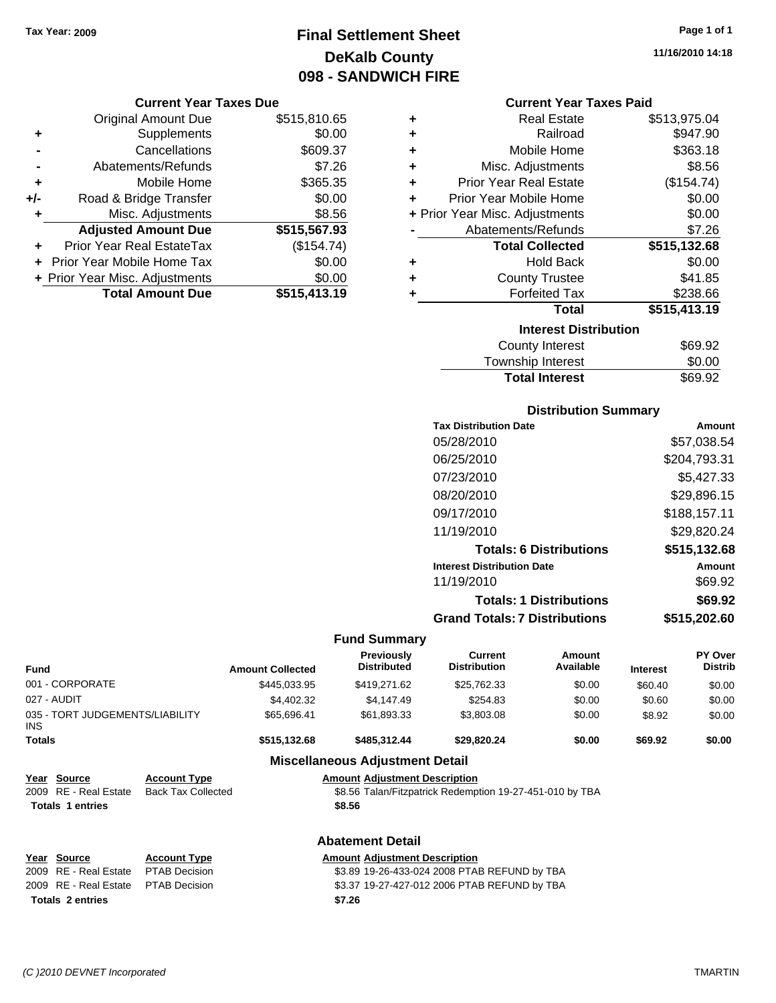## **Final Settlement Sheet Tax Year: 2009 Page 1 of 1 DeKalb County 098 - SANDWICH FIRE**

#### **Current Year Taxes Due**

|     | <b>Original Amount Due</b>       | \$515,810.65 |
|-----|----------------------------------|--------------|
| ٠   | Supplements                      | \$0.00       |
|     | Cancellations                    | \$609.37     |
|     | Abatements/Refunds               | \$7.26       |
| ٠   | Mobile Home                      | \$365.35     |
| +/- | Road & Bridge Transfer           | \$0.00       |
| ٠   | Misc. Adjustments                | \$8.56       |
|     | <b>Adjusted Amount Due</b>       | \$515,567.93 |
|     | <b>Prior Year Real EstateTax</b> | (\$154.74)   |
|     | Prior Year Mobile Home Tax       | \$0.00       |
|     | + Prior Year Misc. Adjustments   | \$0.00       |
|     | <b>Total Amount Due</b>          | \$515,413.19 |

| ٠ | <b>Real Estate</b>             | \$513,975.04 |  |  |  |  |
|---|--------------------------------|--------------|--|--|--|--|
| ÷ | Railroad                       | \$947.90     |  |  |  |  |
| ٠ | Mobile Home                    | \$363.18     |  |  |  |  |
| ÷ | Misc. Adjustments              | \$8.56       |  |  |  |  |
| ÷ | Prior Year Real Estate         | (\$154.74)   |  |  |  |  |
| ÷ | Prior Year Mobile Home         | \$0.00       |  |  |  |  |
|   | + Prior Year Misc. Adjustments | \$0.00       |  |  |  |  |
|   | Abatements/Refunds             | \$7.26       |  |  |  |  |
|   | <b>Total Collected</b>         | \$515,132.68 |  |  |  |  |
| ٠ | <b>Hold Back</b>               | \$0.00       |  |  |  |  |
| ٠ | <b>County Trustee</b>          | \$41.85      |  |  |  |  |
| ٠ | <b>Forfeited Tax</b>           | \$238.66     |  |  |  |  |
|   | <b>Total</b>                   | \$515,413.19 |  |  |  |  |
|   | <b>Interest Distribution</b>   |              |  |  |  |  |
|   | <b>County Interest</b>         | \$69.92      |  |  |  |  |
|   | Township Interact              | ደስ ሰስ        |  |  |  |  |

| <b>Total Interest</b> | \$69.92 |
|-----------------------|---------|
| Township Interest     | \$0.00  |
| County interest       | ຈo9.9∠  |

#### **Distribution Summary**

| <b>Tax Distribution Date</b>         | Amount       |
|--------------------------------------|--------------|
| 05/28/2010                           | \$57,038.54  |
| 06/25/2010                           | \$204,793.31 |
| 07/23/2010                           | \$5,427.33   |
| 08/20/2010                           | \$29,896.15  |
| 09/17/2010                           | \$188,157.11 |
| 11/19/2010                           | \$29,820.24  |
| <b>Totals: 6 Distributions</b>       | \$515,132.68 |
| <b>Interest Distribution Date</b>    | Amount       |
| 11/19/2010                           | \$69.92      |
| <b>Totals: 1 Distributions</b>       | \$69.92      |
| <b>Grand Totals: 7 Distributions</b> | \$515,202.60 |
|                                      |              |

#### **Fund Summary**

| <b>Fund</b>                             |                           | <b>Amount Collected</b> | <b>Previously</b><br><b>Distributed</b>                  | Current<br><b>Distribution</b>               | <b>Amount</b><br>Available | <b>Interest</b> | <b>PY Over</b><br><b>Distrib</b> |
|-----------------------------------------|---------------------------|-------------------------|----------------------------------------------------------|----------------------------------------------|----------------------------|-----------------|----------------------------------|
| 001 - CORPORATE                         |                           | \$445,033.95            | \$419,271.62                                             | \$25,762.33                                  | \$0.00                     | \$60.40         | \$0.00                           |
| 027 - AUDIT                             |                           | \$4,402.32              | \$4,147.49                                               | \$254.83                                     | \$0.00                     | \$0.60          | \$0.00                           |
| 035 - TORT JUDGEMENTS/LIABILITY<br>INS. |                           | \$65,696.41             | \$61,893.33                                              | \$3,803.08                                   | \$0.00                     | \$8.92          | \$0.00                           |
| <b>Totals</b>                           |                           | \$515,132.68            | \$485,312.44                                             | \$29,820.24                                  | \$0.00                     | \$69.92         | \$0.00                           |
|                                         |                           |                         | <b>Miscellaneous Adjustment Detail</b>                   |                                              |                            |                 |                                  |
| Year Source                             | <b>Account Type</b>       |                         | <b>Amount Adjustment Description</b>                     |                                              |                            |                 |                                  |
| 2009 RE - Real Estate                   | <b>Back Tax Collected</b> |                         | \$8.56 Talan/Fitzpatrick Redemption 19-27-451-010 by TBA |                                              |                            |                 |                                  |
| <b>Totals 1 entries</b>                 |                           |                         | \$8.56                                                   |                                              |                            |                 |                                  |
|                                         |                           |                         | <b>Abatement Detail</b>                                  |                                              |                            |                 |                                  |
| Year Source                             | <b>Account Type</b>       |                         | <b>Amount Adjustment Description</b>                     |                                              |                            |                 |                                  |
| 2009 RE - Real Estate                   | <b>PTAB Decision</b>      |                         |                                                          | \$3.89 19-26-433-024 2008 PTAB REFUND by TBA |                            |                 |                                  |
| 2009 RE - Real Estate                   | <b>PTAB Decision</b>      |                         |                                                          | \$3.37 19-27-427-012 2006 PTAB REFUND by TBA |                            |                 |                                  |
| <b>Totals 2 entries</b>                 |                           |                         | \$7.26                                                   |                                              |                            |                 |                                  |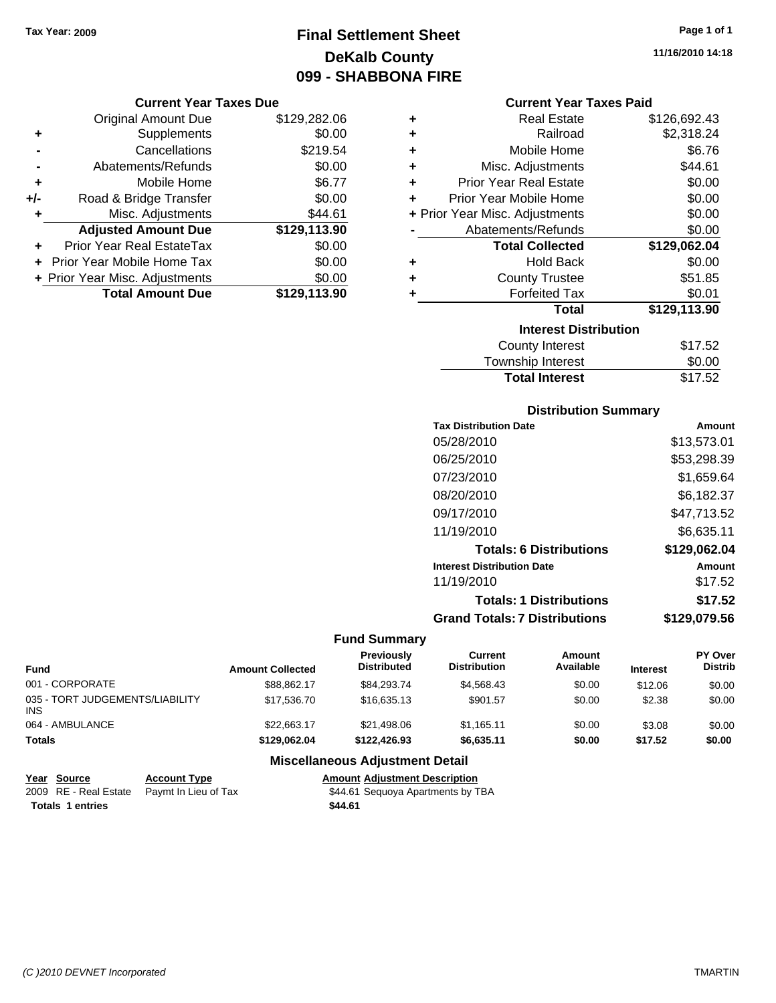## **Final Settlement Sheet Tax Year: 2009 Page 1 of 1 DeKalb County 099 - SHABBONA FIRE**

#### **Current Year Taxes Due**

|     | <b>Original Amount Due</b>     | \$129,282.06 |
|-----|--------------------------------|--------------|
| ٠   | Supplements                    | \$0.00       |
|     | Cancellations                  | \$219.54     |
|     | Abatements/Refunds             | \$0.00       |
| ÷   | Mobile Home                    | \$6.77       |
| +/- | Road & Bridge Transfer         | \$0.00       |
| ٠   | Misc. Adjustments              | \$44.61      |
|     | <b>Adjusted Amount Due</b>     | \$129,113.90 |
|     | Prior Year Real EstateTax      | \$0.00       |
|     | Prior Year Mobile Home Tax     | \$0.00       |
|     | + Prior Year Misc. Adjustments | \$0.00       |
|     | <b>Total Amount Due</b>        | \$129,113.90 |

| ٠ | <b>Real Estate</b>             | \$126,692.43 |
|---|--------------------------------|--------------|
| ٠ | Railroad                       | \$2,318.24   |
| ÷ | Mobile Home                    | \$6.76       |
| ٠ | Misc. Adjustments              | \$44.61      |
| ÷ | <b>Prior Year Real Estate</b>  | \$0.00       |
| ÷ | Prior Year Mobile Home         | \$0.00       |
|   | + Prior Year Misc. Adjustments | \$0.00       |
|   | Abatements/Refunds             | \$0.00       |
|   |                                |              |
|   | <b>Total Collected</b>         | \$129,062.04 |
| ٠ | <b>Hold Back</b>               | \$0.00       |
| ÷ | <b>County Trustee</b>          | \$51.85      |
| ٠ | <b>Forfeited Tax</b>           | \$0.01       |
|   | Total                          | \$129,113.90 |
|   | <b>Interest Distribution</b>   |              |
|   | <b>County Interest</b>         | \$17.52      |

### **Total Interest** \$17.52

| <b>Distribution Summary</b>          |              |
|--------------------------------------|--------------|
| <b>Tax Distribution Date</b>         | Amount       |
| 05/28/2010                           | \$13,573.01  |
| 06/25/2010                           | \$53,298.39  |
| 07/23/2010                           | \$1,659.64   |
| 08/20/2010                           | \$6,182.37   |
| 09/17/2010                           | \$47,713.52  |
| 11/19/2010                           | \$6,635.11   |
| <b>Totals: 6 Distributions</b>       | \$129,062.04 |
| <b>Interest Distribution Date</b>    | Amount       |
| 11/19/2010                           | \$17.52      |
| <b>Totals: 1 Distributions</b>       | \$17.52      |
| <b>Grand Totals: 7 Distributions</b> | \$129,079.56 |

#### **Fund Summary**

| <b>Fund</b>                             | <b>Amount Collected</b> | <b>Previously</b><br><b>Distributed</b> | Current<br><b>Distribution</b> | Amount<br>Available | <b>Interest</b> | <b>PY Over</b><br><b>Distrib</b> |
|-----------------------------------------|-------------------------|-----------------------------------------|--------------------------------|---------------------|-----------------|----------------------------------|
| 001 - CORPORATE                         | \$88.862.17             | \$84.293.74                             | \$4.568.43                     | \$0.00              | \$12.06         | \$0.00                           |
| 035 - TORT JUDGEMENTS/LIABILITY<br>INS. | \$17,536,70             | \$16,635.13                             | \$901.57                       | \$0.00              | \$2.38          | \$0.00                           |
| 064 - AMBULANCE                         | \$22.663.17             | \$21.498.06                             | \$1.165.11                     | \$0.00              | \$3.08          | \$0.00                           |
| Totals                                  | \$129.062.04            | \$122,426.93                            | \$6.635.11                     | \$0.00              | \$17.52         | \$0.00                           |

### **Miscellaneous Adjustment Detail**

| Year Source             | <b>Account Type</b>                        |         | <b>Amount Adiustment Description</b> |
|-------------------------|--------------------------------------------|---------|--------------------------------------|
|                         | 2009 RE - Real Estate Pavmt In Lieu of Tax |         | \$44.61 Sequoya Apartments by TBA    |
| <b>Totals 1 entries</b> |                                            | \$44.61 |                                      |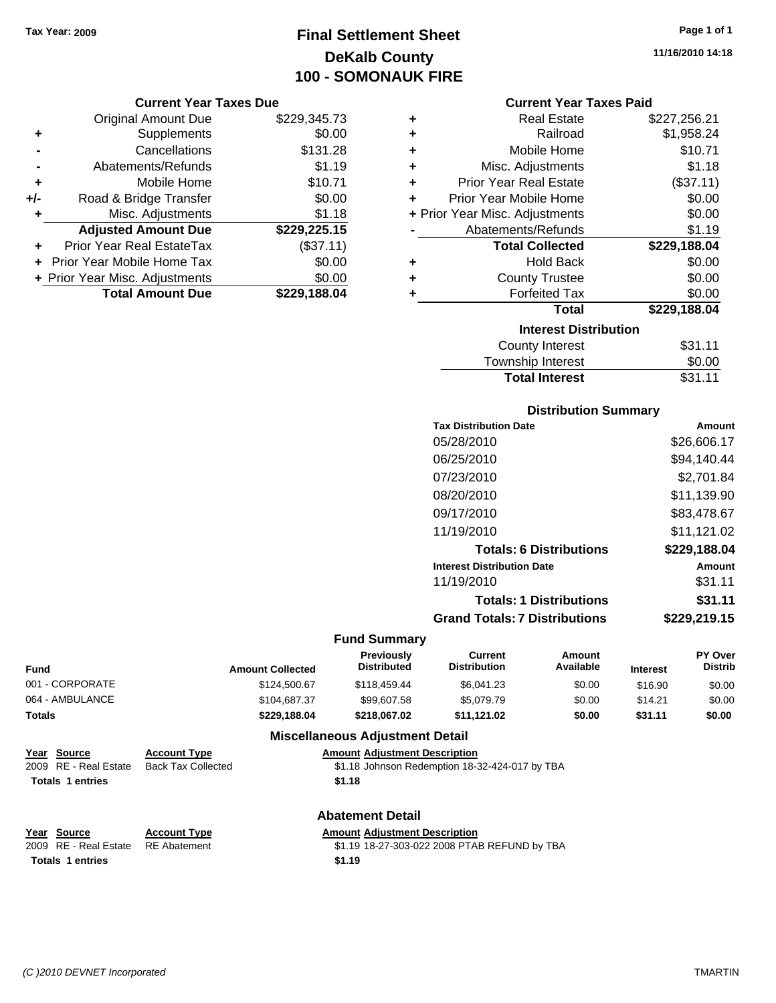## **Final Settlement Sheet Tax Year: 2009 Page 1 of 1 DeKalb County 100 - SOMONAUK FIRE**

#### **Current Year Taxes Due**

|       | <b>Original Amount Due</b>       | \$229,345.73 |
|-------|----------------------------------|--------------|
| ٠     | Supplements                      | \$0.00       |
|       | Cancellations                    | \$131.28     |
|       | Abatements/Refunds               | \$1.19       |
| ٠     | Mobile Home                      | \$10.71      |
| $+/-$ | Road & Bridge Transfer           | \$0.00       |
| ٠     | Misc. Adjustments                | \$1.18       |
|       | <b>Adjusted Amount Due</b>       | \$229,225.15 |
|       | <b>Prior Year Real EstateTax</b> | (\$37.11)    |
|       | Prior Year Mobile Home Tax       | \$0.00       |
|       | + Prior Year Misc. Adjustments   | \$0.00       |
|       | <b>Total Amount Due</b>          | \$229.188.04 |

#### **Current Year Taxes Paid**

| ٠ | <b>Real Estate</b>             | \$227,256.21 |
|---|--------------------------------|--------------|
| ٠ | Railroad                       | \$1,958.24   |
| ٠ | Mobile Home                    | \$10.71      |
| ٠ | Misc. Adjustments              | \$1.18       |
| ÷ | <b>Prior Year Real Estate</b>  | (\$37.11)    |
| ٠ | Prior Year Mobile Home         | \$0.00       |
|   | + Prior Year Misc. Adjustments | \$0.00       |
|   | Abatements/Refunds             | \$1.19       |
|   |                                |              |
|   | <b>Total Collected</b>         | \$229,188.04 |
| ٠ | <b>Hold Back</b>               | \$0.00       |
| ٠ | <b>County Trustee</b>          | \$0.00       |
| ٠ | <b>Forfeited Tax</b>           | \$0.00       |
|   | Total                          | \$229,188.04 |
|   | <b>Interest Distribution</b>   |              |
|   | County Interest                | \$31.11      |

#### Township Interest  $$0.00$ Total Interest \$31.11

## **Distribution Summary Tax Distribution Date Amount** 05/28/2010 \$26,606.17 06/25/2010 \$94,140.44 07/23/2010 \$2,701.84 08/20/2010 \$11,139.90 09/17/2010 \$83,478.67 11/19/2010 \$11,121.02

| <b>Totals: 6 Distributions</b>       | \$229,188,04  |
|--------------------------------------|---------------|
| <b>Interest Distribution Date</b>    | <b>Amount</b> |
| 11/19/2010                           | \$31.11       |
| <b>Totals: 1 Distributions</b>       | \$31.11       |
| <b>Grand Totals: 7 Distributions</b> | \$229,219.15  |

#### **Fund Summary**

| <b>Fund</b>     | <b>Amount Collected</b> | <b>Previously</b><br><b>Distributed</b> | Current<br>Distribution | Amount<br>Available | <b>Interest</b> | <b>PY Over</b><br><b>Distrib</b> |
|-----------------|-------------------------|-----------------------------------------|-------------------------|---------------------|-----------------|----------------------------------|
| 001 - CORPORATE | \$124,500.67            | \$118,459.44                            | \$6.041.23              | \$0.00              | \$16.90         | \$0.00                           |
| 064 - AMBULANCE | \$104.687.37            | \$99.607.58                             | \$5.079.79              | \$0.00              | \$14.21         | \$0.00                           |
| Totals          | \$229.188.04            | \$218.067.02                            | \$11.121.02             | \$0.00              | \$31.11         | \$0.00                           |

#### **Miscellaneous Adjustment Detail**

| Year Source             | <b>Account Type</b> | <b>Amount Adiustment Description</b>           |
|-------------------------|---------------------|------------------------------------------------|
| 2009 RE - Real Estate   | Back Tax Collected  | \$1.18 Johnson Redemption 18-32-424-017 by TBA |
| <b>Totals 1 entries</b> |                     | \$1.18                                         |

**Totals 1 entries 1.19** 

### **Abatement Detail**

**Year Source Account Type Amount Adjustment Description**

2009 RE - Real Estate RE Abatement \$1.19 18-27-303-022 2008 PTAB REFUND by TBA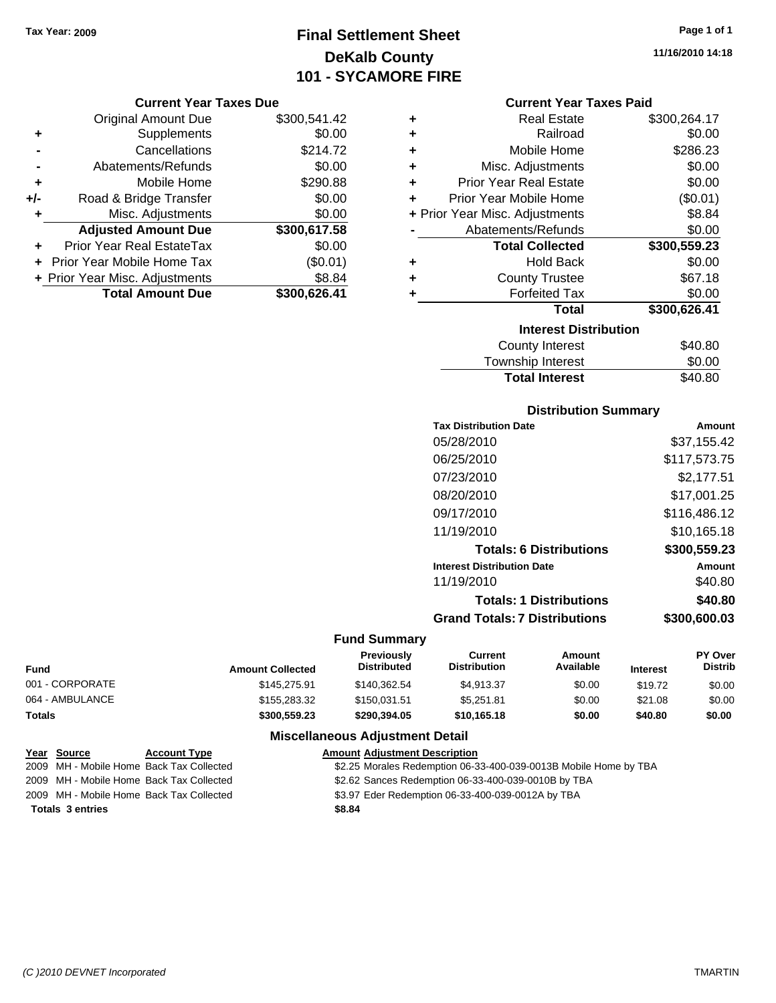## **Final Settlement Sheet Tax Year: 2009 Page 1 of 1 DeKalb County 101 - SYCAMORE FIRE**

#### **Current Year Taxes Due**

|       | <b>Original Amount Due</b>       | \$300,541.42 |
|-------|----------------------------------|--------------|
| ٠     | Supplements                      | \$0.00       |
|       | Cancellations                    | \$214.72     |
|       | Abatements/Refunds               | \$0.00       |
| ٠     | Mobile Home                      | \$290.88     |
| $+/-$ | Road & Bridge Transfer           | \$0.00       |
| ٠     | Misc. Adjustments                | \$0.00       |
|       | <b>Adjusted Amount Due</b>       | \$300,617.58 |
|       | <b>Prior Year Real EstateTax</b> | \$0.00       |
|       | Prior Year Mobile Home Tax       | (\$0.01)     |
|       | + Prior Year Misc. Adjustments   | \$8.84       |
|       | <b>Total Amount Due</b>          | \$300,626.41 |

| ٠ | <b>Real Estate</b>             | \$300,264.17 |
|---|--------------------------------|--------------|
| ÷ | Railroad                       | \$0.00       |
| ÷ | Mobile Home                    | \$286.23     |
| ÷ | Misc. Adjustments              | \$0.00       |
| ÷ | <b>Prior Year Real Estate</b>  | \$0.00       |
| ÷ | Prior Year Mobile Home         | (\$0.01)     |
|   | + Prior Year Misc. Adjustments | \$8.84       |
|   | Abatements/Refunds             | \$0.00       |
|   | <b>Total Collected</b>         | \$300,559.23 |
| ٠ | <b>Hold Back</b>               | \$0.00       |
| ٠ | <b>County Trustee</b>          | \$67.18      |
| ٠ | <b>Forfeited Tax</b>           | \$0.00       |
|   | <b>Total</b>                   | \$300,626.41 |
|   | <b>Interest Distribution</b>   |              |
|   | <b>County Interest</b>         | \$40.80      |
|   | المستحلف والمزايات ويبادح      | ጦጣ ወጣ        |

#### Township Interest \$0.00<br>
Total Interest \$40.80 **Total Interest**

| <b>Distribution Summary</b>          |              |
|--------------------------------------|--------------|
| <b>Tax Distribution Date</b>         | Amount       |
| 05/28/2010                           | \$37,155.42  |
| 06/25/2010                           | \$117,573.75 |
| 07/23/2010                           | \$2,177.51   |
| 08/20/2010                           | \$17.001.25  |
| 09/17/2010                           | \$116,486.12 |
| 11/19/2010                           | \$10.165.18  |
| <b>Totals: 6 Distributions</b>       | \$300,559.23 |
| <b>Interest Distribution Date</b>    | Amount       |
| 11/19/2010                           | \$40.80      |
| <b>Totals: 1 Distributions</b>       | \$40.80      |
| <b>Grand Totals: 7 Distributions</b> | \$300,600.03 |

#### **Fund Summary**

| Fund            | <b>Amount Collected</b> | <b>Previously</b><br><b>Distributed</b> | Current<br><b>Distribution</b> | Amount<br>Available | <b>Interest</b> | <b>PY Over</b><br><b>Distrib</b> |
|-----------------|-------------------------|-----------------------------------------|--------------------------------|---------------------|-----------------|----------------------------------|
| 001 - CORPORATE | \$145,275.91            | \$140.362.54                            | \$4.913.37                     | \$0.00              | \$19.72         | \$0.00                           |
| 064 - AMBULANCE | \$155,283.32            | \$150.031.51                            | \$5.251.81                     | \$0.00              | \$21.08         | \$0.00                           |
| <b>Totals</b>   | \$300.559.23            | \$290.394.05                            | \$10.165.18                    | \$0.00              | \$40.80         | \$0.00                           |

#### **Miscellaneous Adjustment Detail**

| Year Source             | <b>Account Type</b>                      | <b>Amount Adjustment Description</b>                             |
|-------------------------|------------------------------------------|------------------------------------------------------------------|
|                         | 2009 MH - Mobile Home Back Tax Collected | \$2.25 Morales Redemption 06-33-400-039-0013B Mobile Home by TBA |
|                         | 2009 MH - Mobile Home Back Tax Collected | \$2.62 Sances Redemption 06-33-400-039-0010B by TBA              |
|                         | 2009 MH - Mobile Home Back Tax Collected | \$3.97 Eder Redemption 06-33-400-039-0012A by TBA                |
| <b>Totals 3 entries</b> |                                          | \$8.84                                                           |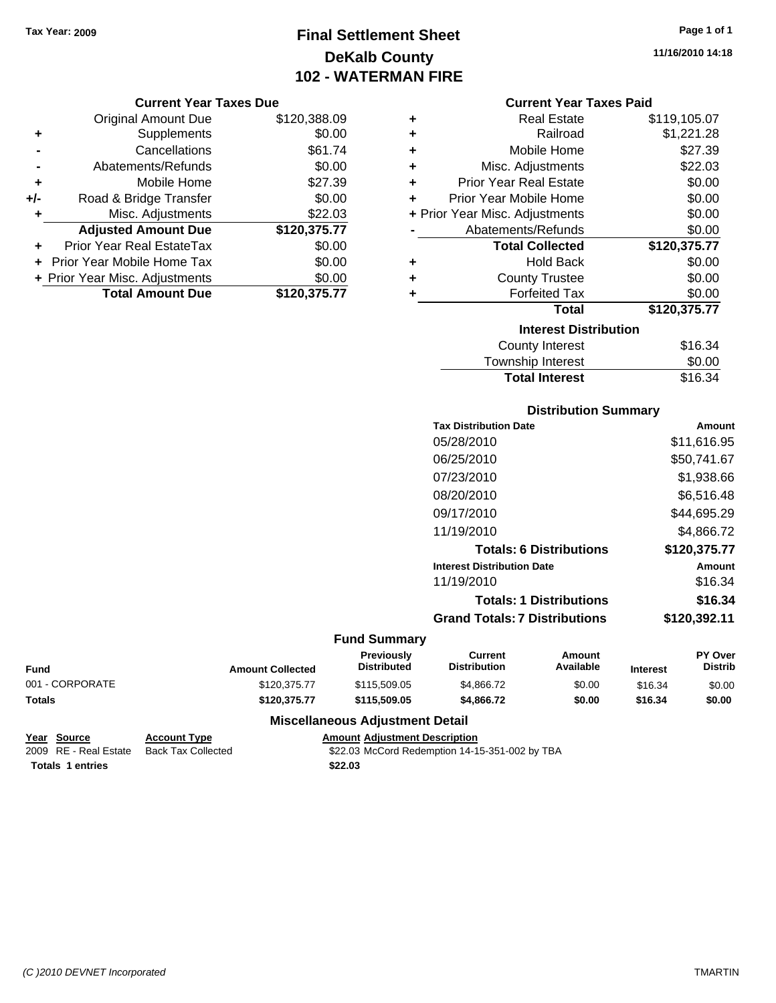## **Final Settlement Sheet Tax Year: 2009 Page 1 of 1 DeKalb County 102 - WATERMAN FIRE**

**11/16/2010 14:18**

#### **Current Year Taxes Due**

|     | <b>Original Amount Due</b>     | \$120,388.09 |
|-----|--------------------------------|--------------|
| ٠   | Supplements                    | \$0.00       |
|     | Cancellations                  | \$61.74      |
|     | Abatements/Refunds             | \$0.00       |
| ÷   | Mobile Home                    | \$27.39      |
| +/- | Road & Bridge Transfer         | \$0.00       |
| ٠   | Misc. Adjustments              | \$22.03      |
|     | <b>Adjusted Amount Due</b>     | \$120,375.77 |
|     | Prior Year Real EstateTax      | \$0.00       |
|     | Prior Year Mobile Home Tax     | \$0.00       |
|     | + Prior Year Misc. Adjustments | \$0.00       |
|     | <b>Total Amount Due</b>        | \$120,375.77 |

#### **Current Year Taxes Paid**

| ٠ | <b>Real Estate</b>             | \$119,105.07 |
|---|--------------------------------|--------------|
| ٠ | Railroad                       | \$1,221.28   |
| ٠ | Mobile Home                    | \$27.39      |
| ٠ | Misc. Adjustments              | \$22.03      |
| ٠ | <b>Prior Year Real Estate</b>  | \$0.00       |
| ÷ | Prior Year Mobile Home         | \$0.00       |
|   | + Prior Year Misc. Adjustments | \$0.00       |
|   | Abatements/Refunds             | \$0.00       |
|   |                                |              |
|   | <b>Total Collected</b>         | \$120,375.77 |
| ٠ | <b>Hold Back</b>               | \$0.00       |
| ٠ | <b>County Trustee</b>          | \$0.00       |
| ٠ | <b>Forfeited Tax</b>           | \$0.00       |
|   | Total                          | \$120,375.77 |
|   | <b>Interest Distribution</b>   |              |

| <b>Total Interest</b> | \$16.34 |
|-----------------------|---------|
| Township Interest     | \$0.00  |
| <b>OUTHALL</b>        | 0.∪+    |

#### **Distribution Summary**

| <b>Tax Distribution Date</b>         | Amount       |
|--------------------------------------|--------------|
| 05/28/2010                           | \$11,616.95  |
| 06/25/2010                           | \$50,741.67  |
| 07/23/2010                           | \$1,938.66   |
| 08/20/2010                           | \$6,516.48   |
| 09/17/2010                           | \$44,695.29  |
| 11/19/2010                           | \$4.866.72   |
| <b>Totals: 6 Distributions</b>       | \$120,375.77 |
| <b>Interest Distribution Date</b>    | Amount       |
| 11/19/2010                           | \$16.34      |
| <b>Totals: 1 Distributions</b>       | \$16.34      |
| <b>Grand Totals: 7 Distributions</b> | \$120,392.11 |
|                                      |              |

#### **Fund Summary**

| <b>Fund</b>     | <b>Amount Collected</b> | <b>Previously</b><br><b>Distributed</b> | Current<br><b>Distribution</b> | Amount<br>Available | <b>Interest</b> | <b>PY Over</b><br>Distrib |
|-----------------|-------------------------|-----------------------------------------|--------------------------------|---------------------|-----------------|---------------------------|
| 001 - CORPORATE | \$120,375,77            | \$115,509.05                            | \$4,866,72                     | \$0.00              | \$16.34         | \$0.00                    |
| <b>Totals</b>   | \$120.375.77            | \$115,509.05                            | \$4,866,72                     | \$0.00              | \$16.34         | \$0.00                    |

#### **Miscellaneous Adjustment Detail**

| Year Source             | <b>Account Type</b> | Amount  |
|-------------------------|---------------------|---------|
| 2009 RE - Real Estate   | Back Tax Collected  | \$22.03 |
| <b>Totals 1 entries</b> |                     | \$22.03 |

**Year Source Account Type Amount Adjustment Description**

22.03 McCord Redemption 14-15-351-002 by TBA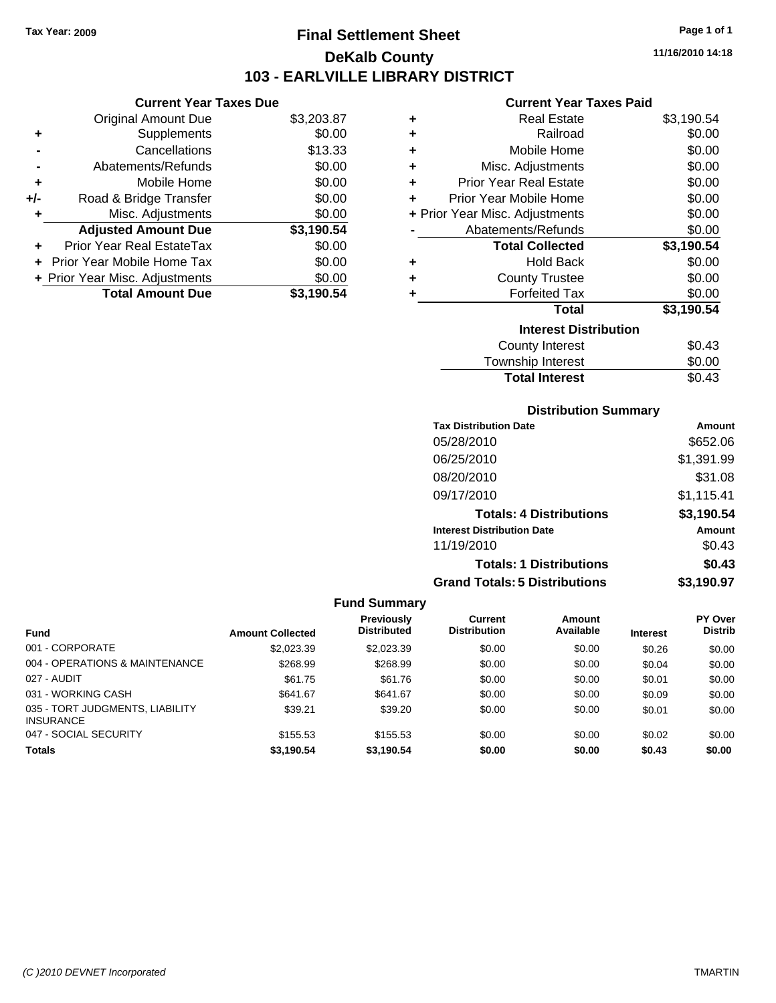**Current Year Taxes Due** Original Amount Due \$3,203.87

**Adjusted Amount Due \$3,190.54**

**Total Amount Due \$3,190.54**

**+** Supplements \$0.00 **-** Cancellations \$13.33 **-** Abatements/Refunds \$0.00 **+** Mobile Home \$0.00 **+/-** Road & Bridge Transfer \$0.00 **+** Misc. Adjustments \$0.00

**+** Prior Year Real EstateTax \$0.00 **+** Prior Year Mobile Home Tax \$0.00 **+ Prior Year Misc. Adjustments**  $$0.00$ 

## **Final Settlement Sheet Tax Year: 2009 Page 1 of 1 DeKalb County 103 - EARLVILLE LIBRARY DISTRICT**

**11/16/2010 14:18**

#### **Current Year Taxes Paid**

| ٠ | <b>Real Estate</b>             | \$3,190.54 |
|---|--------------------------------|------------|
| ٠ | Railroad                       | \$0.00     |
| ٠ | Mobile Home                    | \$0.00     |
| ٠ | Misc. Adjustments              | \$0.00     |
| ٠ | <b>Prior Year Real Estate</b>  | \$0.00     |
| ÷ | Prior Year Mobile Home         | \$0.00     |
|   | + Prior Year Misc. Adjustments | \$0.00     |
|   | Abatements/Refunds             | \$0.00     |
|   | <b>Total Collected</b>         | \$3,190.54 |
| ٠ | <b>Hold Back</b>               | \$0.00     |
| ٠ | <b>County Trustee</b>          | \$0.00     |
| ٠ | <b>Forfeited Tax</b>           | \$0.00     |
|   | <b>Total</b>                   | \$3,190.54 |
|   | <b>Interest Distribution</b>   |            |
|   | <b>County Interest</b>         | \$0.43     |
|   | Taunaakin lataraat             | ጦ ለለ       |

| <b>Total Interest</b> | \$0.43 |
|-----------------------|--------|
| Township Interest     | \$0.00 |
| <b>COUTTY THEFEST</b> | JU. 40 |

#### **Distribution Summary**

| <b>Tax Distribution Date</b>         | Amount     |
|--------------------------------------|------------|
| 05/28/2010                           | \$652.06   |
| 06/25/2010                           | \$1,391.99 |
| 08/20/2010                           | \$31.08    |
| 09/17/2010                           | \$1,115.41 |
| <b>Totals: 4 Distributions</b>       | \$3,190.54 |
| <b>Interest Distribution Date</b>    | Amount     |
| 11/19/2010                           | \$0.43     |
| <b>Totals: 1 Distributions</b>       | \$0.43     |
| <b>Grand Totals: 5 Distributions</b> | \$3,190.97 |

|                                                     |                         | <b>Fund Summary</b>                     |                                |                     |                 |                                  |
|-----------------------------------------------------|-------------------------|-----------------------------------------|--------------------------------|---------------------|-----------------|----------------------------------|
| <b>Fund</b>                                         | <b>Amount Collected</b> | <b>Previously</b><br><b>Distributed</b> | Current<br><b>Distribution</b> | Amount<br>Available | <b>Interest</b> | <b>PY Over</b><br><b>Distrib</b> |
| 001 - CORPORATE                                     | \$2,023.39              | \$2,023.39                              | \$0.00                         | \$0.00              | \$0.26          | \$0.00                           |
| 004 - OPERATIONS & MAINTENANCE                      | \$268.99                | \$268.99                                | \$0.00                         | \$0.00              | \$0.04          | \$0.00                           |
| 027 - AUDIT                                         | \$61.75                 | \$61.76                                 | \$0.00                         | \$0.00              | \$0.01          | \$0.00                           |
| 031 - WORKING CASH                                  | \$641.67                | \$641.67                                | \$0.00                         | \$0.00              | \$0.09          | \$0.00                           |
| 035 - TORT JUDGMENTS, LIABILITY<br><b>INSURANCE</b> | \$39.21                 | \$39.20                                 | \$0.00                         | \$0.00              | \$0.01          | \$0.00                           |
| 047 - SOCIAL SECURITY                               | \$155.53                | \$155.53                                | \$0.00                         | \$0.00              | \$0.02          | \$0.00                           |
| <b>Totals</b>                                       | \$3.190.54              | \$3.190.54                              | \$0.00                         | \$0.00              | \$0.43          | \$0.00                           |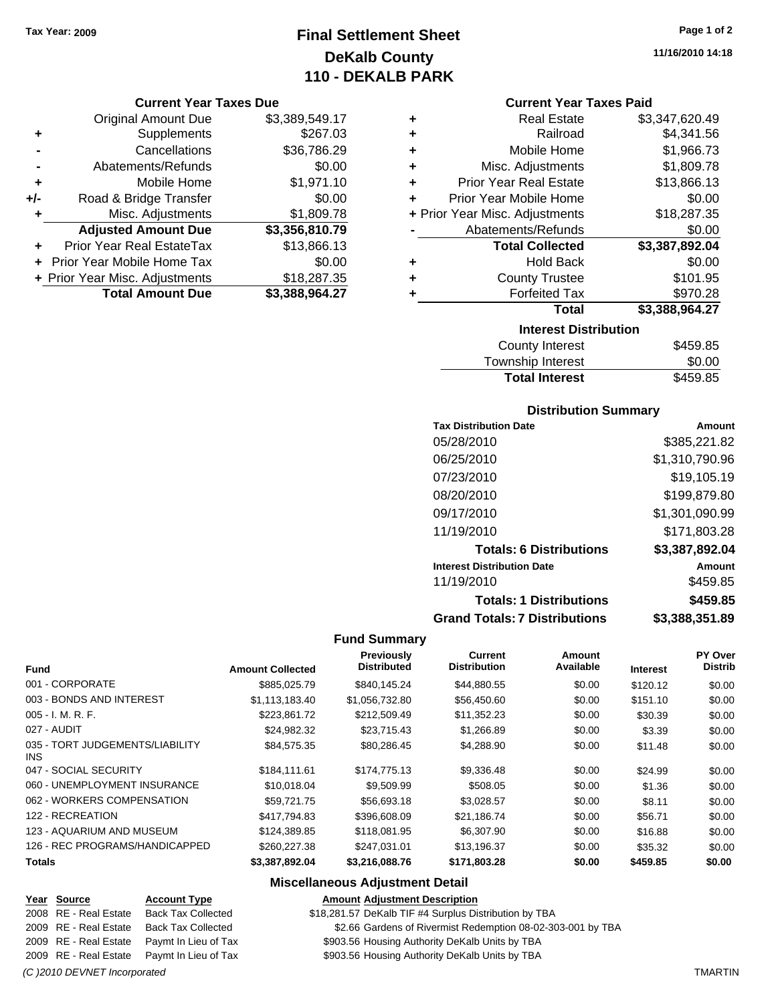## **Final Settlement Sheet Tax Year: 2009 Page 1 of 2 DeKalb County 110 - DEKALB PARK**

#### **Current Year Taxes Due**

|     | <b>Original Amount Due</b>     | \$3,389,549.17 |
|-----|--------------------------------|----------------|
| ٠   | Supplements                    | \$267.03       |
|     | Cancellations                  | \$36,786.29    |
|     | Abatements/Refunds             | \$0.00         |
| ÷   | Mobile Home                    | \$1,971.10     |
| +/- | Road & Bridge Transfer         | \$0.00         |
| ٠   | Misc. Adjustments              | \$1,809.78     |
|     | <b>Adjusted Amount Due</b>     | \$3,356,810.79 |
|     | Prior Year Real EstateTax      | \$13,866.13    |
|     | Prior Year Mobile Home Tax     | \$0.00         |
|     | + Prior Year Misc. Adjustments | \$18,287.35    |
|     | <b>Total Amount Due</b>        | \$3,388,964.27 |

**11/16/2010 14:18**

#### **Current Year Taxes Paid**

| ٠                              | <b>Forfeited Tax</b>                      | \$970.28           |  |  |  |
|--------------------------------|-------------------------------------------|--------------------|--|--|--|
| ٠<br>٠                         | <b>Hold Back</b><br><b>County Trustee</b> | \$0.00<br>\$101.95 |  |  |  |
|                                | <b>Total Collected</b>                    | \$3,387,892.04     |  |  |  |
|                                | Abatements/Refunds                        | \$0.00             |  |  |  |
| + Prior Year Misc. Adjustments |                                           | \$18,287.35        |  |  |  |
| ÷                              | Prior Year Mobile Home                    | \$0.00             |  |  |  |
| ÷                              | <b>Prior Year Real Estate</b>             | \$13,866.13        |  |  |  |
| ٠                              | Misc. Adjustments                         | \$1,809.78         |  |  |  |
| ٠                              | Mobile Home                               | \$1,966.73         |  |  |  |
| ٠                              | Railroad                                  | \$4,341.56         |  |  |  |
| ٠                              | <b>Real Estate</b>                        | \$3,347,620.49     |  |  |  |

| County Interest       | \$459.85 |
|-----------------------|----------|
| Township Interest     | \$0.00   |
| <b>Total Interest</b> | \$459.85 |

#### **Distribution Summary**

| <b>Tax Distribution Date</b>         | Amount         |
|--------------------------------------|----------------|
| 05/28/2010                           | \$385,221.82   |
| 06/25/2010                           | \$1,310,790.96 |
| 07/23/2010                           | \$19,105.19    |
| 08/20/2010                           | \$199,879.80   |
| 09/17/2010                           | \$1,301,090.99 |
| 11/19/2010                           | \$171,803.28   |
| <b>Totals: 6 Distributions</b>       | \$3,387,892.04 |
| <b>Interest Distribution Date</b>    | Amount         |
| 11/19/2010                           | \$459.85       |
| <b>Totals: 1 Distributions</b>       | \$459.85       |
| <b>Grand Totals: 7 Distributions</b> | \$3,388,351.89 |

#### **Fund Summary**

|                                         |                         | Previously<br><b>Distributed</b> | Current<br><b>Distribution</b> | <b>Amount</b><br>Available |                 | PY Over<br><b>Distrib</b> |
|-----------------------------------------|-------------------------|----------------------------------|--------------------------------|----------------------------|-----------------|---------------------------|
| <b>Fund</b>                             | <b>Amount Collected</b> |                                  |                                |                            | <b>Interest</b> |                           |
| 001 - CORPORATE                         | \$885,025.79            | \$840.145.24                     | \$44,880.55                    | \$0.00                     | \$120.12        | \$0.00                    |
| 003 - BONDS AND INTEREST                | \$1,113,183.40          | \$1,056,732.80                   | \$56,450.60                    | \$0.00                     | \$151.10        | \$0.00                    |
| $005 - I. M. R. F.$                     | \$223.861.72            | \$212,509.49                     | \$11,352.23                    | \$0.00                     | \$30.39         | \$0.00                    |
| 027 - AUDIT                             | \$24,982.32             | \$23,715.43                      | \$1,266.89                     | \$0.00                     | \$3.39          | \$0.00                    |
| 035 - TORT JUDGEMENTS/LIABILITY<br>INS. | \$84,575.35             | \$80,286.45                      | \$4,288.90                     | \$0.00                     | \$11.48         | \$0.00                    |
| 047 - SOCIAL SECURITY                   | \$184,111.61            | \$174,775.13                     | \$9,336.48                     | \$0.00                     | \$24.99         | \$0.00                    |
| 060 - UNEMPLOYMENT INSURANCE            | \$10,018,04             | \$9,509.99                       | \$508.05                       | \$0.00                     | \$1.36          | \$0.00                    |
| 062 - WORKERS COMPENSATION              | \$59,721.75             | \$56,693.18                      | \$3,028.57                     | \$0.00                     | \$8.11          | \$0.00                    |
| 122 - RECREATION                        | \$417.794.83            | \$396,608.09                     | \$21.186.74                    | \$0.00                     | \$56.71         | \$0.00                    |
| 123 - AQUARIUM AND MUSEUM               | \$124.389.85            | \$118,081.95                     | \$6,307.90                     | \$0.00                     | \$16.88         | \$0.00                    |
| 126 - REC PROGRAMS/HANDICAPPED          | \$260,227,38            | \$247.031.01                     | \$13,196.37                    | \$0.00                     | \$35.32         | \$0.00                    |
| <b>Totals</b>                           | \$3,387,892.04          | \$3,216,088.76                   | \$171,803.28                   | \$0.00                     | \$459.85        | \$0.00                    |

#### **Miscellaneous Adjustment Detail**

#### **Year Source Account Type Amount Adjustment Description**

2008 RE - Real Estate Back Tax Collected \$18,281.57 DeKalb TIF #4 Surplus Distribution by TBA

2009 RE - Real Estate Back Tax Collected \$2.66 Gardens of Rivermist Redemption 08-02-303-001 by TBA

2009 RE - Real Estate Paymt In Lieu of Tax \$903.56 Housing Authority DeKalb Units by TBA

2009 RE - Real Estate Paymt In Lieu of Tax \$903.56 Housing Authority DeKalb Units by TBA

*(C )2010 DEVNET Incorporated* TMARTIN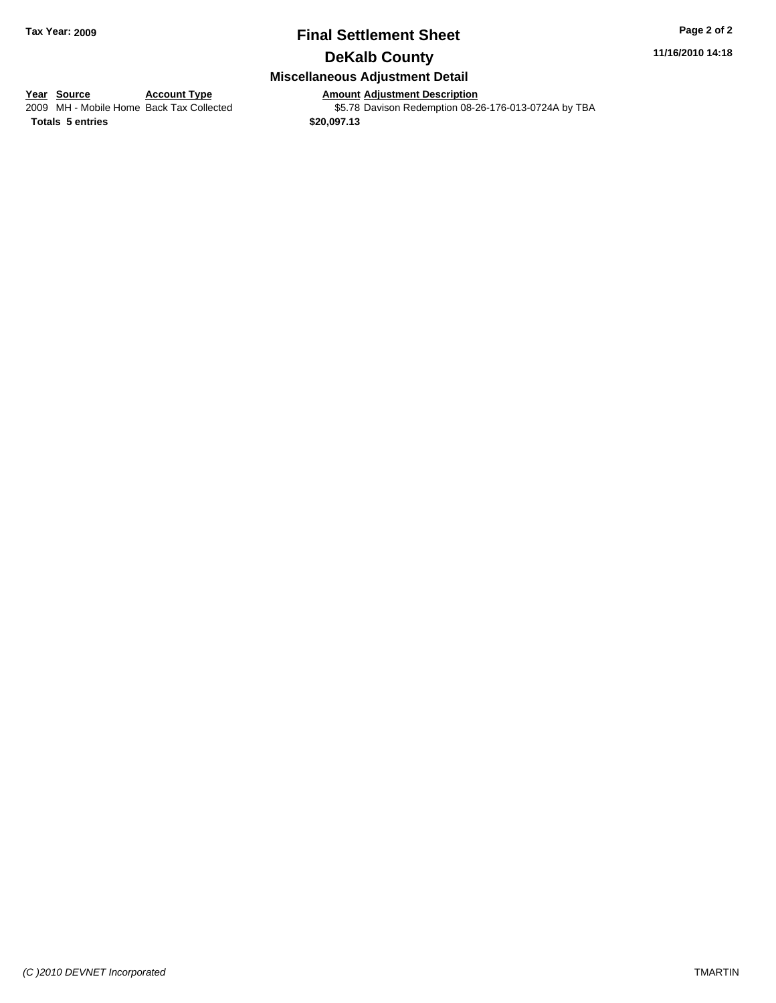# **Final Settlement Sheet Tax Year: 2009 Page 2 of 2**

## **DeKalb County**

#### **Miscellaneous Adjustment Detail**

# **Year Source Account Type Amount Adjustment Description**<br>
2009 MH - Mobile Home Back Tax Collected **6 S5.78** Davison Redemption 08-2

\$5.78 Davison Redemption 08-26-176-013-0724A by TBA

**Totals \$20,097.13 5 entries**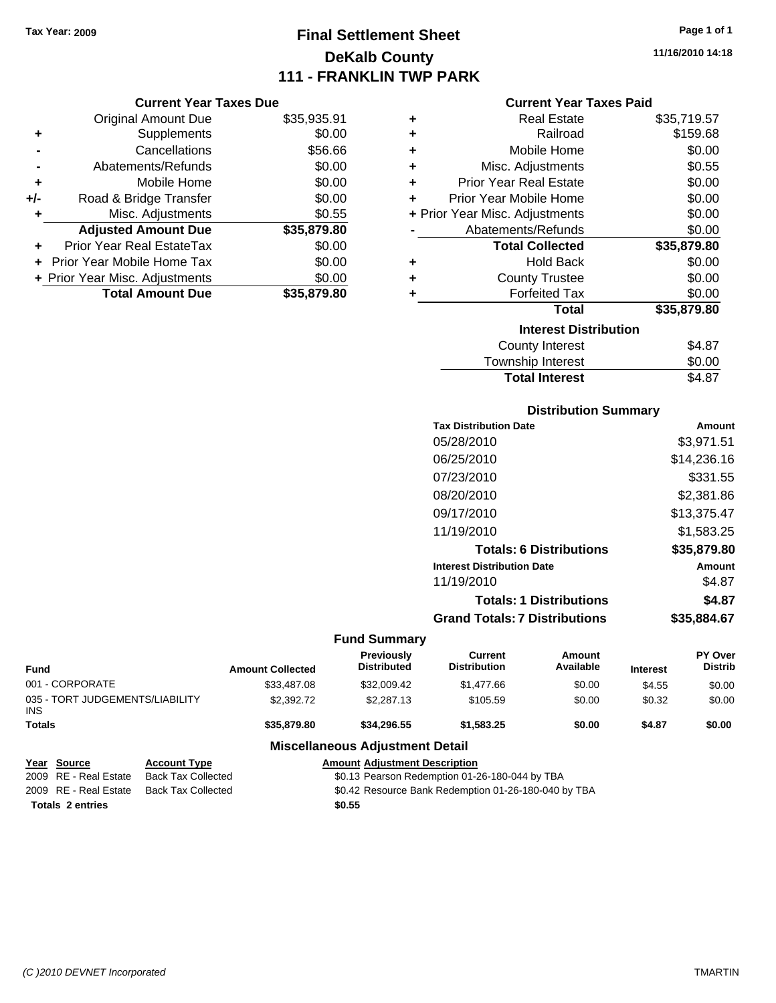# **Final Settlement Sheet Tax Year: 2009 Page 1 of 1 DeKalb County 111 - FRANKLIN TWP PARK**

**11/16/2010 14:18**

#### **Current Year Taxes Paid**

|     | <b>Current Year Taxes Due</b>     |             |  |  |  |
|-----|-----------------------------------|-------------|--|--|--|
|     | <b>Original Amount Due</b>        | \$35,935.91 |  |  |  |
| ٠   | Supplements                       | \$0.00      |  |  |  |
|     | Cancellations                     | \$56.66     |  |  |  |
|     | Abatements/Refunds                | \$0.00      |  |  |  |
| ٠   | Mobile Home                       | \$0.00      |  |  |  |
| +/- | Road & Bridge Transfer            | \$0.00      |  |  |  |
| ٠   | Misc. Adjustments                 | \$0.55      |  |  |  |
|     | <b>Adjusted Amount Due</b>        | \$35,879.80 |  |  |  |
| ٠   | Prior Year Real EstateTax         | \$0.00      |  |  |  |
|     | <b>Prior Year Mobile Home Tax</b> | \$0.00      |  |  |  |
|     | + Prior Year Misc. Adjustments    | \$0.00      |  |  |  |
|     | <b>Total Amount Due</b>           | \$35,879,80 |  |  |  |

| ٠ | <b>Real Estate</b>             | \$35,719.57 |
|---|--------------------------------|-------------|
| ÷ | Railroad                       | \$159.68    |
| ÷ | Mobile Home                    | \$0.00      |
| ÷ | Misc. Adjustments              | \$0.55      |
| ÷ | <b>Prior Year Real Estate</b>  | \$0.00      |
| ٠ | Prior Year Mobile Home         | \$0.00      |
|   | + Prior Year Misc. Adjustments | \$0.00      |
|   | Abatements/Refunds             | \$0.00      |
|   | <b>Total Collected</b>         | \$35,879.80 |
| ٠ | Hold Back                      | \$0.00      |
| ٠ | <b>County Trustee</b>          | \$0.00      |
| ٠ | <b>Forfeited Tax</b>           | \$0.00      |
|   | Total                          | \$35,879.80 |
|   | <b>Interest Distribution</b>   |             |
|   | <b>County Interest</b>         | \$4.87      |
|   | <b>Township Interest</b>       | \$0.00      |
|   | <b>Total Interest</b>          | \$4.87      |

#### **Distribution Summary**

| <b>Tax Distribution Date</b>         | Amount      |
|--------------------------------------|-------------|
| 05/28/2010                           | \$3,971.51  |
| 06/25/2010                           | \$14,236.16 |
| 07/23/2010                           | \$331.55    |
| 08/20/2010                           | \$2,381.86  |
| 09/17/2010                           | \$13,375.47 |
| 11/19/2010                           | \$1,583.25  |
| <b>Totals: 6 Distributions</b>       | \$35,879.80 |
| <b>Interest Distribution Date</b>    | Amount      |
| 11/19/2010                           | \$4.87      |
| <b>Totals: 1 Distributions</b>       | \$4.87      |
| <b>Grand Totals: 7 Distributions</b> | \$35,884.67 |
|                                      |             |

#### **Fund Summary**

| <b>Fund</b>                                   | <b>Amount Collected</b> | Previously<br><b>Distributed</b> | <b>Current</b><br><b>Distribution</b> | <b>Amount</b><br>Available | <b>Interest</b> | <b>PY Over</b><br><b>Distrib</b> |
|-----------------------------------------------|-------------------------|----------------------------------|---------------------------------------|----------------------------|-----------------|----------------------------------|
| 001 - CORPORATE                               | \$33,487.08             | \$32,009.42                      | \$1,477.66                            | \$0.00                     | \$4.55          | \$0.00                           |
| 035 - TORT JUDGEMENTS/LIABILITY<br><b>INS</b> | \$2,392.72              | \$2,287.13                       | \$105.59                              | \$0.00                     | \$0.32          | \$0.00                           |
| <b>Totals</b>                                 | \$35,879.80             | \$34.296.55                      | \$1.583.25                            | \$0.00                     | \$4.87          | \$0.00                           |
| <b>Miscellaneous Adjustment Detail</b>        |                         |                                  |                                       |                            |                 |                                  |

#### **Year Source Account Type Amount Adjustment Description** \$0.13 Pearson Redemption 01-26-180-044 by TBA 2009 RE - Real Estate Back Tax Collected \$0.42 Resource Bank Redemption 01-26-180-040 by TBA

**Totals \$0.55 2 entries**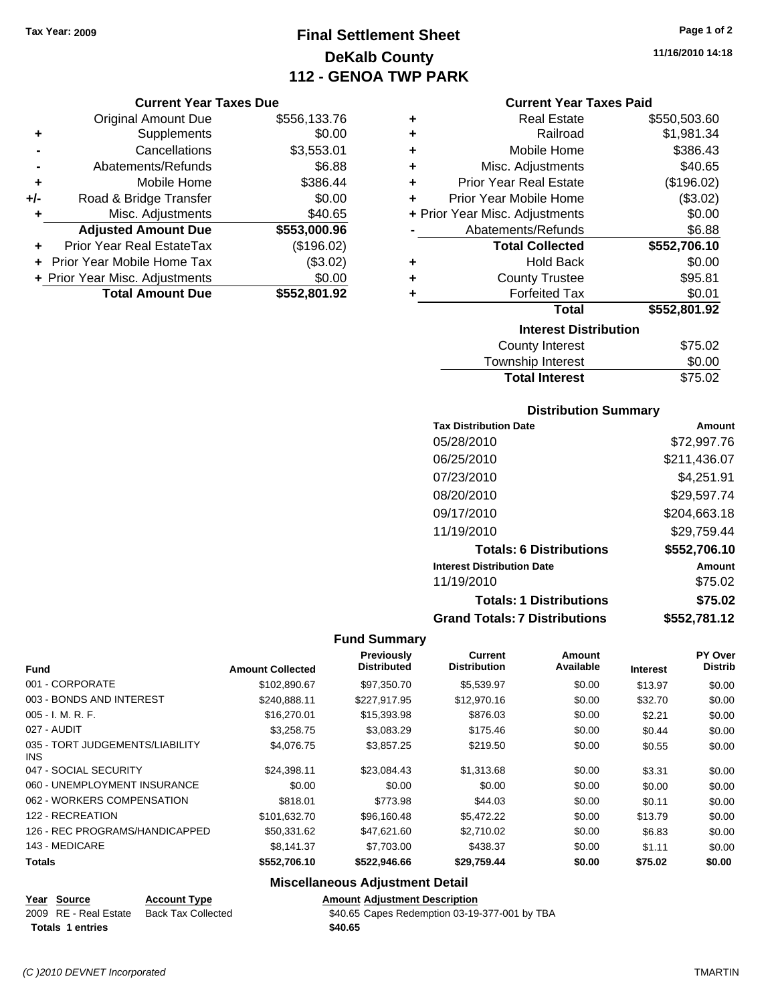# **Final Settlement Sheet Tax Year: 2009 Page 1 of 2 DeKalb County 112 - GENOA TWP PARK**

#### **Current Year Taxes Due**

|       | <b>Original Amount Due</b>     | \$556,133.76 |
|-------|--------------------------------|--------------|
| ٠     | Supplements                    | \$0.00       |
|       | Cancellations                  | \$3,553.01   |
|       | Abatements/Refunds             | \$6.88       |
| ÷     | Mobile Home                    | \$386.44     |
| $+/-$ | Road & Bridge Transfer         | \$0.00       |
| ٠     | Misc. Adjustments              | \$40.65      |
|       | <b>Adjusted Amount Due</b>     | \$553,000.96 |
|       | Prior Year Real EstateTax      | (\$196.02)   |
|       | + Prior Year Mobile Home Tax   | (\$3.02)     |
|       | + Prior Year Misc. Adjustments | \$0.00       |
|       | <b>Total Amount Due</b>        | \$552,801.92 |

| ٠ | <b>Real Estate</b>             | \$550,503.60 |
|---|--------------------------------|--------------|
| ÷ | Railroad                       | \$1,981.34   |
| ÷ | Mobile Home                    | \$386.43     |
| ÷ | Misc. Adjustments              | \$40.65      |
| ÷ | <b>Prior Year Real Estate</b>  | (\$196.02)   |
| ٠ | Prior Year Mobile Home         | (\$3.02)     |
|   | + Prior Year Misc. Adjustments | \$0.00       |
|   | Abatements/Refunds             | \$6.88       |
|   | <b>Total Collected</b>         | \$552,706.10 |
| ٠ | <b>Hold Back</b>               | \$0.00       |
| ٠ | <b>County Trustee</b>          | \$95.81      |
| ٠ | <b>Forfeited Tax</b>           | \$0.01       |
|   | <b>Total</b>                   | \$552,801.92 |
|   | <b>Interest Distribution</b>   |              |
|   | <b>County Interest</b>         | \$75.02      |
|   | Townshin Interest              | ፍስ ሰስ        |

| <b>Total Interest</b> | \$75.02   |
|-----------------------|-----------|
| Township Interest     | \$0.00    |
| County interest       | ึ ⊅7 ວ.∪∠ |

#### **Distribution Summary**

| <b>Tax Distribution Date</b>         | Amount       |
|--------------------------------------|--------------|
| 05/28/2010                           | \$72,997.76  |
| 06/25/2010                           | \$211,436.07 |
| 07/23/2010                           | \$4,251.91   |
| 08/20/2010                           | \$29,597.74  |
| 09/17/2010                           | \$204,663.18 |
| 11/19/2010                           | \$29,759.44  |
| <b>Totals: 6 Distributions</b>       | \$552,706.10 |
| <b>Interest Distribution Date</b>    | Amount       |
| 11/19/2010                           | \$75.02      |
| <b>Totals: 1 Distributions</b>       | \$75.02      |
| <b>Grand Totals: 7 Distributions</b> | \$552,781.12 |

#### **Fund Summary**

| <b>Fund</b>                             | <b>Amount Collected</b> | Previously<br><b>Distributed</b> | <b>Current</b><br><b>Distribution</b> | <b>Amount</b><br>Available |                 | PY Over<br><b>Distrib</b> |
|-----------------------------------------|-------------------------|----------------------------------|---------------------------------------|----------------------------|-----------------|---------------------------|
|                                         |                         |                                  |                                       |                            | <b>Interest</b> |                           |
| 001 - CORPORATE                         | \$102,890.67            | \$97,350.70                      | \$5,539.97                            | \$0.00                     | \$13.97         | \$0.00                    |
| 003 - BONDS AND INTEREST                | \$240.888.11            | \$227.917.95                     | \$12,970.16                           | \$0.00                     | \$32.70         | \$0.00                    |
| 005 - I. M. R. F.                       | \$16,270.01             | \$15,393.98                      | \$876.03                              | \$0.00                     | \$2.21          | \$0.00                    |
| 027 - AUDIT                             | \$3,258.75              | \$3,083.29                       | \$175.46                              | \$0.00                     | \$0.44          | \$0.00                    |
| 035 - TORT JUDGEMENTS/LIABILITY<br>INS. | \$4,076.75              | \$3.857.25                       | \$219.50                              | \$0.00                     | \$0.55          | \$0.00                    |
| 047 - SOCIAL SECURITY                   | \$24.398.11             | \$23,084.43                      | \$1,313.68                            | \$0.00                     | \$3.31          | \$0.00                    |
| 060 - UNEMPLOYMENT INSURANCE            | \$0.00                  | \$0.00                           | \$0.00                                | \$0.00                     | \$0.00          | \$0.00                    |
| 062 - WORKERS COMPENSATION              | \$818.01                | \$773.98                         | \$44.03                               | \$0.00                     | \$0.11          | \$0.00                    |
| 122 - RECREATION                        | \$101,632.70            | \$96,160.48                      | \$5,472.22                            | \$0.00                     | \$13.79         | \$0.00                    |
| 126 - REC PROGRAMS/HANDICAPPED          | \$50,331.62             | \$47,621.60                      | \$2,710.02                            | \$0.00                     | \$6.83          | \$0.00                    |
| 143 - MEDICARE                          | \$8,141.37              | \$7,703.00                       | \$438.37                              | \$0.00                     | \$1.11          | \$0.00                    |
| <b>Totals</b>                           | \$552,706.10            | \$522,946.66                     | \$29,759.44                           | \$0.00                     | \$75.02         | \$0.00                    |

## **Miscellaneous Adjustment Detail**

| Year Source             | <b>Account Type</b>       | <b>Amount Adiustment Description</b> |
|-------------------------|---------------------------|--------------------------------------|
| 2009 RE - Real Estate   | <b>Back Tax Collected</b> | \$40.65 Capes Redemption 03-19       |
| <b>Totals 1 entries</b> |                           | \$40.65                              |

 $2008$  Redemption 03-19-377-001 by TBA

 $\overline{\phantom{0}}$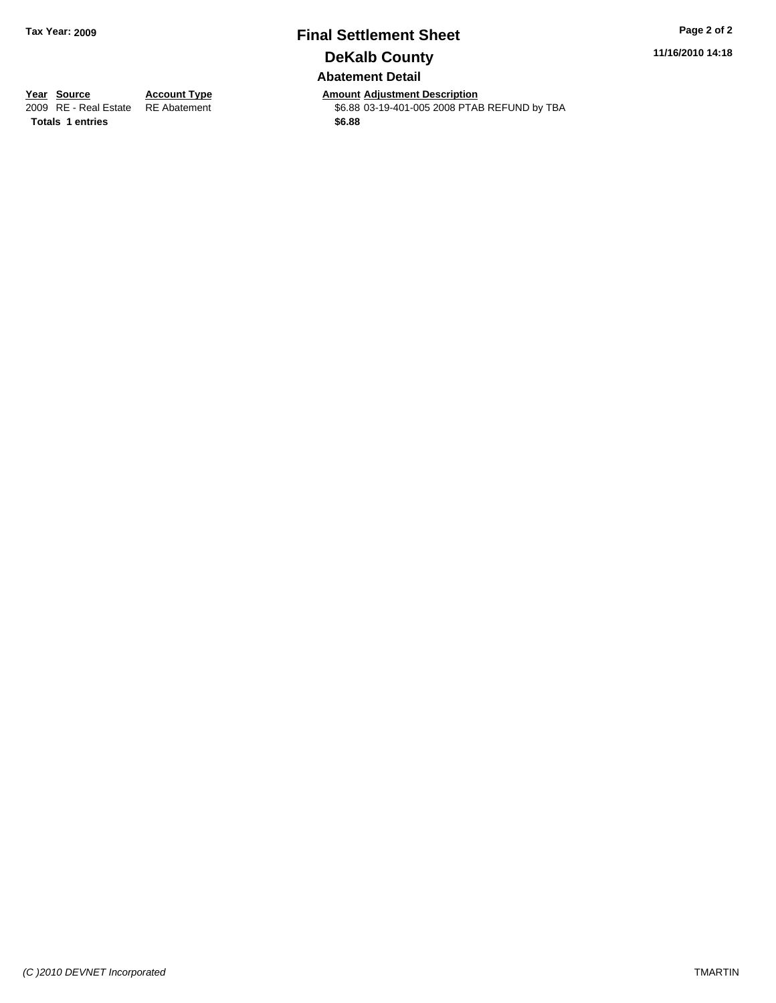# **Final Settlement Sheet Tax Year: 2009 Page 2 of 2 DeKalb County Abatement Detail**

**11/16/2010 14:18**

**Totals \$6.88 1 entries**

**Year Source Account Type Amount Adjustment Description** \$6.88 03-19-401-005 2008 PTAB REFUND by TBA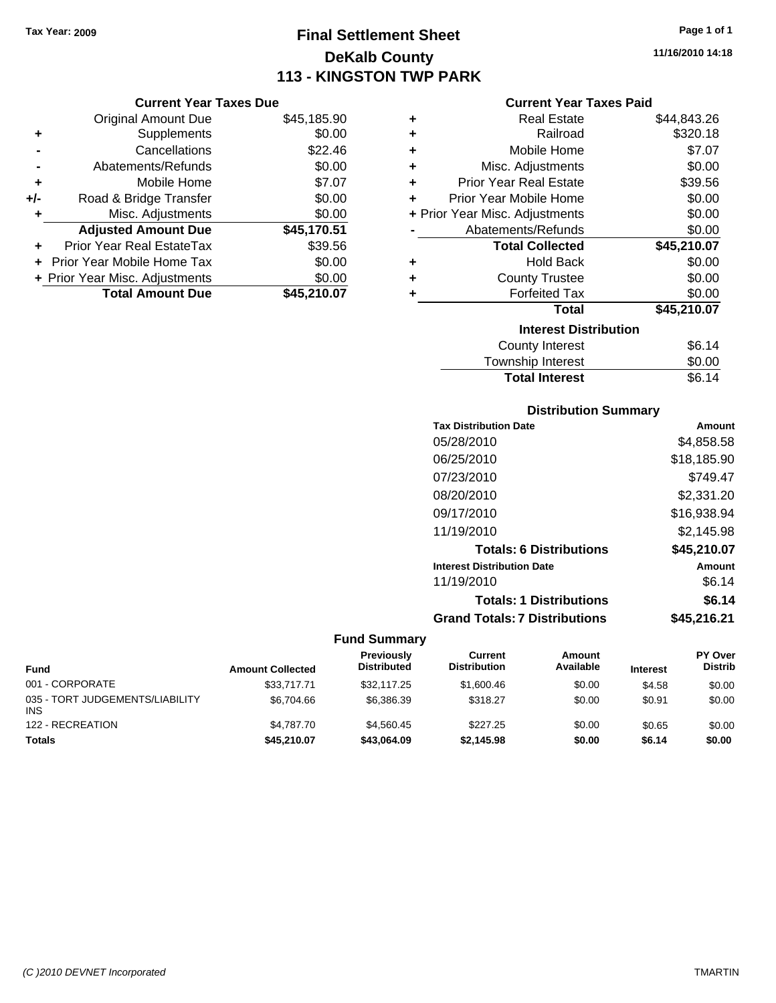**Current Year Taxes Due** Original Amount Due \$45,185

# **Final Settlement Sheet Tax Year: 2009 Page 1 of 1 DeKalb County 113 - KINGSTON TWP PARK**

**11/16/2010 14:18**

#### **Current Year Taxes Paid**

|     | <b>Original Amount Due</b>     | \$45,185.90 | ٠ | <b>Real Estate</b>             | \$44,843.26 |
|-----|--------------------------------|-------------|---|--------------------------------|-------------|
| ٠   | Supplements                    | \$0.00      | ٠ | Railroad                       | \$320.18    |
|     | Cancellations                  | \$22.46     | ٠ | Mobile Home                    | \$7.07      |
|     | Abatements/Refunds             | \$0.00      | ٠ | Misc. Adjustments              | \$0.00      |
| ٠   | Mobile Home                    | \$7.07      | ÷ | <b>Prior Year Real Estate</b>  | \$39.56     |
| +/- | Road & Bridge Transfer         | \$0.00      |   | Prior Year Mobile Home         | \$0.00      |
|     | Misc. Adjustments              | \$0.00      |   | + Prior Year Misc. Adjustments | \$0.00      |
|     | <b>Adjusted Amount Due</b>     | \$45,170.51 |   | Abatements/Refunds             | \$0.00      |
| ÷.  | Prior Year Real EstateTax      | \$39.56     |   | <b>Total Collected</b>         | \$45,210.07 |
|     | Prior Year Mobile Home Tax     | \$0.00      | ٠ | <b>Hold Back</b>               | \$0.00      |
|     | + Prior Year Misc. Adjustments | \$0.00      | ٠ | <b>County Trustee</b>          | \$0.00      |
|     | <b>Total Amount Due</b>        | \$45,210.07 |   | <b>Forfeited Tax</b>           | \$0.00      |
|     |                                |             |   | <b>Total</b>                   | \$45,210.07 |
|     |                                |             |   | <b>Interest Distribution</b>   |             |
|     |                                |             |   | County Interest                | \$6.14      |
|     |                                |             |   |                                |             |

#### Township Interest \$0.00 Total Interest **\$6.14**

| <b>Distribution Summary</b>          |             |
|--------------------------------------|-------------|
| <b>Tax Distribution Date</b>         | Amount      |
| 05/28/2010                           | \$4,858.58  |
| 06/25/2010                           | \$18,185.90 |
| 07/23/2010                           | \$749.47    |
| 08/20/2010                           | \$2,331.20  |
| 09/17/2010                           | \$16,938.94 |
| 11/19/2010                           | \$2,145.98  |
| <b>Totals: 6 Distributions</b>       | \$45,210.07 |
| <b>Interest Distribution Date</b>    | Amount      |
| 11/19/2010                           | \$6.14      |
| <b>Totals: 1 Distributions</b>       | \$6.14      |
| <b>Grand Totals: 7 Distributions</b> | \$45,216.21 |

| <b>Fund</b>                                   | <b>Amount Collected</b> | <b>Previously</b><br><b>Distributed</b> | Current<br><b>Distribution</b> | Amount<br>Available | <b>Interest</b> | <b>PY Over</b><br><b>Distrib</b> |
|-----------------------------------------------|-------------------------|-----------------------------------------|--------------------------------|---------------------|-----------------|----------------------------------|
| 001 - CORPORATE                               | \$33,717.71             | \$32,117.25                             | \$1,600.46                     | \$0.00              | \$4.58          | \$0.00                           |
| 035 - TORT JUDGEMENTS/LIABILITY<br><b>INS</b> | \$6.704.66              | \$6,386,39                              | \$318.27                       | \$0.00              | \$0.91          | \$0.00                           |
| 122 - RECREATION                              | \$4,787.70              | \$4.560.45                              | \$227.25                       | \$0.00              | \$0.65          | \$0.00                           |
| <b>Totals</b>                                 | \$45,210.07             | \$43,064.09                             | \$2,145.98                     | \$0.00              | \$6.14          | \$0.00                           |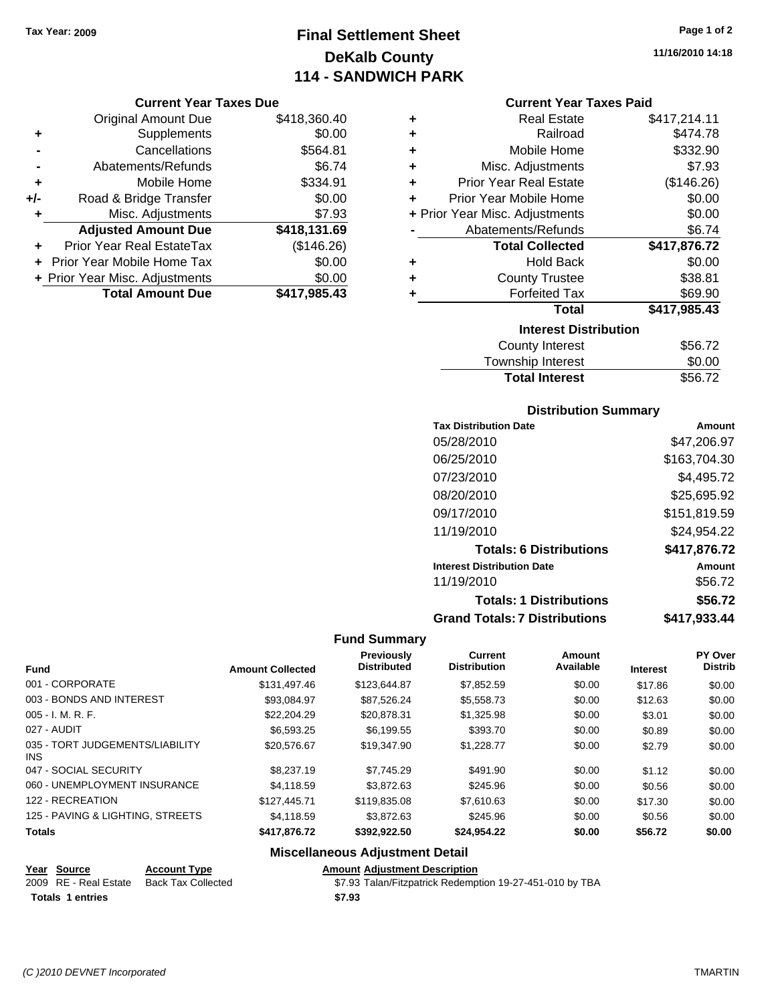# **Final Settlement Sheet Tax Year: 2009 Page 1 of 2 DeKalb County 114 - SANDWICH PARK**

**11/16/2010 14:18**

#### **Current Year Taxes Due**

|     | <b>Original Amount Due</b>       | \$418,360.40 |
|-----|----------------------------------|--------------|
| ٠   | Supplements                      | \$0.00       |
|     | Cancellations                    | \$564.81     |
|     | Abatements/Refunds               | \$6.74       |
| ÷   | Mobile Home                      | \$334.91     |
| +/- | Road & Bridge Transfer           | \$0.00       |
| ٠   | Misc. Adjustments                | \$7.93       |
|     | <b>Adjusted Amount Due</b>       | \$418,131.69 |
|     | <b>Prior Year Real EstateTax</b> | (\$146.26)   |
|     | Prior Year Mobile Home Tax       | \$0.00       |
|     | + Prior Year Misc. Adjustments   | \$0.00       |
|     | <b>Total Amount Due</b>          | \$417,985.43 |

#### **Current Year Taxes Paid**

| ٠ | <b>Real Estate</b>             | \$417,214.11 |
|---|--------------------------------|--------------|
| ÷ | Railroad                       | \$474.78     |
| ÷ | Mobile Home                    | \$332.90     |
| ٠ | Misc. Adjustments              | \$7.93       |
| ÷ | <b>Prior Year Real Estate</b>  | (\$146.26)   |
| ٠ | Prior Year Mobile Home         | \$0.00       |
|   | + Prior Year Misc. Adjustments | \$0.00       |
|   | Abatements/Refunds             | \$6.74       |
|   |                                |              |
|   | <b>Total Collected</b>         | \$417,876.72 |
| ٠ | <b>Hold Back</b>               | \$0.00       |
| ٠ | <b>County Trustee</b>          | \$38.81      |
| ٠ | <b>Forfeited Tax</b>           | \$69.90      |
|   | <b>Total</b>                   | \$417,985.43 |
|   | <b>Interest Distribution</b>   |              |
|   | <b>County Interest</b>         | \$56.72      |

#### Township Interest  $$0.00$

**Total Interest** \$56.72

| <b>Distribution Summary</b>          |              |  |  |  |
|--------------------------------------|--------------|--|--|--|
| <b>Tax Distribution Date</b>         | Amount       |  |  |  |
| 05/28/2010                           | \$47.206.97  |  |  |  |
| 06/25/2010                           | \$163,704.30 |  |  |  |
| 07/23/2010                           | \$4.495.72   |  |  |  |
| 08/20/2010                           | \$25,695.92  |  |  |  |
| 09/17/2010                           | \$151,819.59 |  |  |  |
| 11/19/2010                           | \$24.954.22  |  |  |  |
| <b>Totals: 6 Distributions</b>       | \$417,876.72 |  |  |  |
| <b>Interest Distribution Date</b>    | Amount       |  |  |  |
| 11/19/2010                           | \$56.72      |  |  |  |
| <b>Totals: 1 Distributions</b>       | \$56.72      |  |  |  |
| <b>Grand Totals: 7 Distributions</b> | \$417.933.44 |  |  |  |

#### **Fund Summary**

| <b>Fund</b>                                   | <b>Amount Collected</b> | Previously<br><b>Distributed</b> | Current<br><b>Distribution</b> | Amount<br>Available | <b>Interest</b> | PY Over<br><b>Distrib</b> |
|-----------------------------------------------|-------------------------|----------------------------------|--------------------------------|---------------------|-----------------|---------------------------|
| 001 - CORPORATE                               | \$131.497.46            | \$123.644.87                     | \$7,852.59                     | \$0.00              | \$17.86         | \$0.00                    |
| 003 - BONDS AND INTEREST                      | \$93.084.97             | \$87,526.24                      | \$5,558.73                     | \$0.00              | \$12.63         | \$0.00                    |
| $005 - I. M. R. F.$                           | \$22,204.29             | \$20,878.31                      | \$1,325.98                     | \$0.00              | \$3.01          | \$0.00                    |
| 027 - AUDIT                                   | \$6.593.25              | \$6.199.55                       | \$393.70                       | \$0.00              | \$0.89          | \$0.00                    |
| 035 - TORT JUDGEMENTS/LIABILITY<br><b>INS</b> | \$20,576.67             | \$19,347.90                      | \$1,228.77                     | \$0.00              | \$2.79          | \$0.00                    |
| 047 - SOCIAL SECURITY                         | \$8,237.19              | \$7.745.29                       | \$491.90                       | \$0.00              | \$1.12          | \$0.00                    |
| 060 - UNEMPLOYMENT INSURANCE                  | \$4.118.59              | \$3,872.63                       | \$245.96                       | \$0.00              | \$0.56          | \$0.00                    |
| 122 - RECREATION                              | \$127,445.71            | \$119,835,08                     | \$7,610.63                     | \$0.00              | \$17.30         | \$0.00                    |
| 125 - PAVING & LIGHTING, STREETS              | \$4.118.59              | \$3,872.63                       | \$245.96                       | \$0.00              | \$0.56          | \$0.00                    |
| <b>Totals</b>                                 | \$417,876,72            | \$392.922.50                     | \$24,954.22                    | \$0.00              | \$56.72         | \$0.00                    |

## **Miscellaneous Adjustment Detail**

#### **Year Source Account Type Amount Adjustment Description**

| 2009 RE - Real Estate Back Tax Collected | \$7.93 Talan/Fitzpatrick Redemption 19-27-451-010 by TBA |
|------------------------------------------|----------------------------------------------------------|
| <b>Totals 1 entries</b>                  | \$7.93                                                   |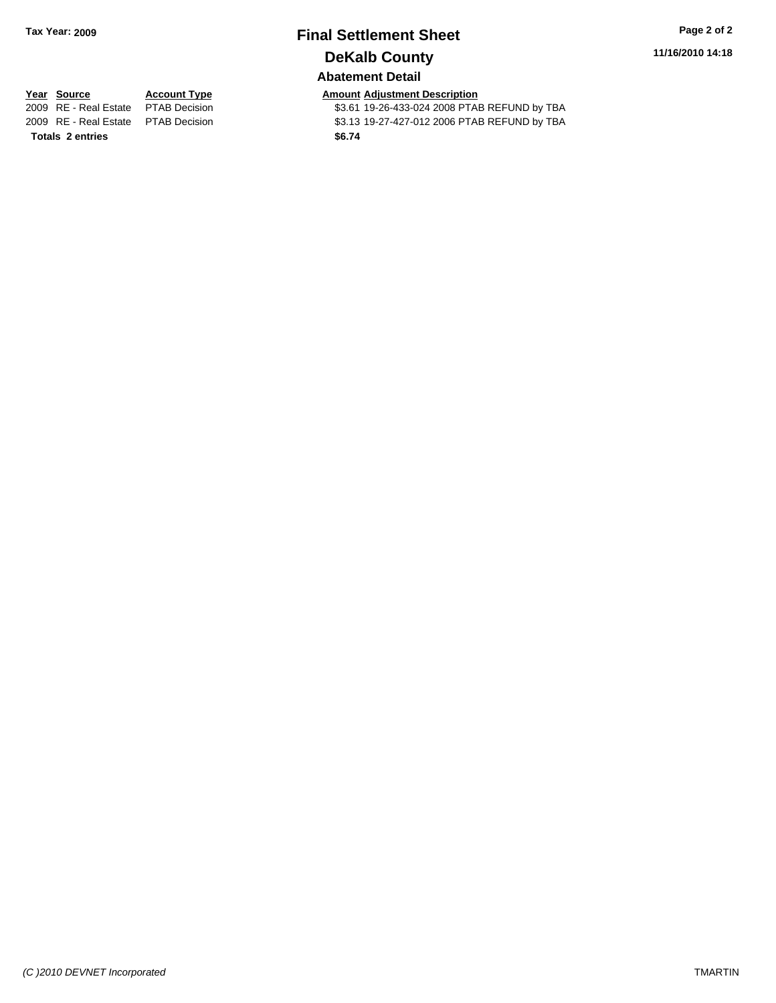# **Final Settlement Sheet Tax Year: 2009 Page 2 of 2 DeKalb County Abatement Detail**

**11/16/2010 14:18**

**Totals \$6.74 2 entries**

**Year Source Account Type Amount Adjustment Description** \$3.61 19-26-433-024 2008 PTAB REFUND by TBA 2009 RE - Real Estate \$3.13 19-27-427-012 2006 PTAB REFUND by TBA PTAB Decision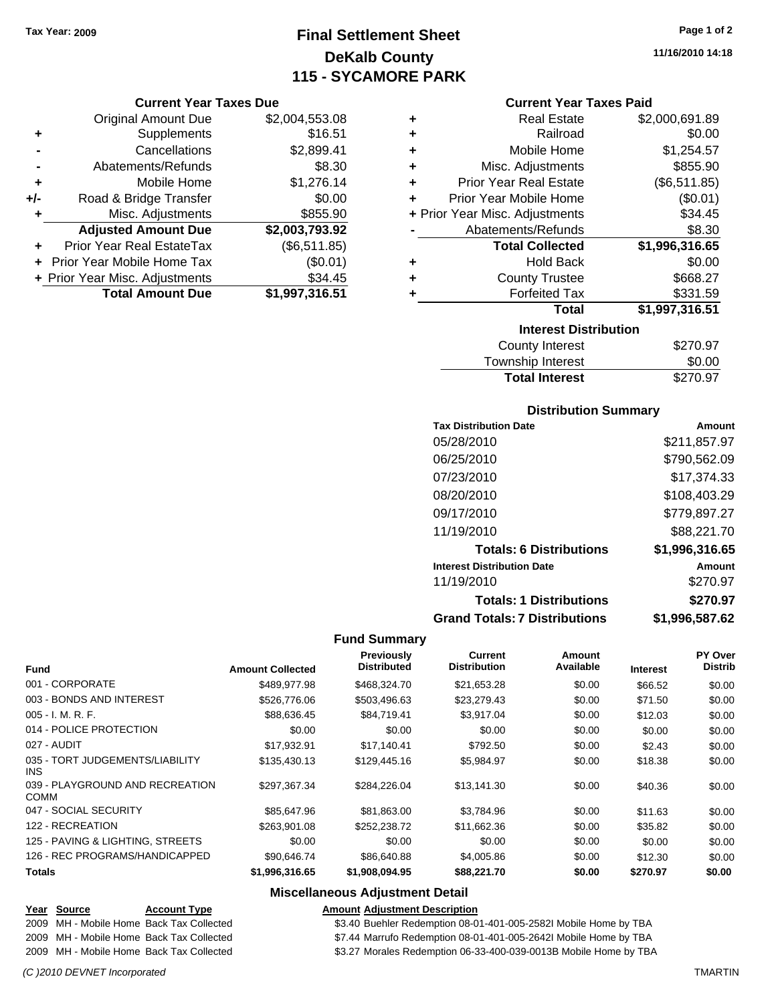# **Final Settlement Sheet Tax Year: 2009 Page 1 of 2 DeKalb County 115 - SYCAMORE PARK**

**11/16/2010 14:18**

#### **Current Year Taxes Due**

|     | <b>Original Amount Due</b>     | \$2,004,553.08 |
|-----|--------------------------------|----------------|
| ٠   | Supplements                    | \$16.51        |
|     | Cancellations                  | \$2,899.41     |
|     | Abatements/Refunds             | \$8.30         |
| ٠   | Mobile Home                    | \$1,276.14     |
| +/- | Road & Bridge Transfer         | \$0.00         |
| ٠   | Misc. Adjustments              | \$855.90       |
|     | <b>Adjusted Amount Due</b>     | \$2,003,793.92 |
|     | Prior Year Real EstateTax      | (\$6,511.85)   |
|     | Prior Year Mobile Home Tax     | (\$0.01)       |
|     | + Prior Year Misc. Adjustments | \$34.45        |
|     | <b>Total Amount Due</b>        | \$1,997,316.51 |

#### **Current Year Taxes Paid**

| ٠ | <b>Real Estate</b>             | \$2,000,691.89 |
|---|--------------------------------|----------------|
| ٠ | Railroad                       | \$0.00         |
| ٠ | Mobile Home                    | \$1,254.57     |
| ٠ | Misc. Adjustments              | \$855.90       |
| ٠ | <b>Prior Year Real Estate</b>  | (\$6,511.85)   |
| ٠ | Prior Year Mobile Home         | (\$0.01)       |
|   | + Prior Year Misc. Adjustments | \$34.45        |
|   | Abatements/Refunds             | \$8.30         |
|   | <b>Total Collected</b>         | \$1,996,316.65 |
| ٠ | <b>Hold Back</b>               | \$0.00         |
| ٠ | <b>County Trustee</b>          | \$668.27       |
| ٠ | <b>Forfeited Tax</b>           | \$331.59       |
|   | Total                          | \$1,997,316.51 |
|   |                                |                |
|   | <b>Interest Distribution</b>   |                |

| .<br>Township Interest | \$0.00   |
|------------------------|----------|
| <b>Total Interest</b>  | \$270.97 |

#### **Distribution Summary**

| <b>Tax Distribution Date</b>         | Amount         |
|--------------------------------------|----------------|
| 05/28/2010                           | \$211,857.97   |
| 06/25/2010                           | \$790,562.09   |
| 07/23/2010                           | \$17,374.33    |
| 08/20/2010                           | \$108,403.29   |
| 09/17/2010                           | \$779,897.27   |
| 11/19/2010                           | \$88,221.70    |
| <b>Totals: 6 Distributions</b>       | \$1,996,316.65 |
| <b>Interest Distribution Date</b>    | Amount         |
| 11/19/2010                           | \$270.97       |
| <b>Totals: 1 Distributions</b>       | \$270.97       |
| <b>Grand Totals: 7 Distributions</b> | \$1,996,587.62 |

#### **Fund Summary**

| <b>Fund</b>                                    | <b>Amount Collected</b> | Previously<br><b>Distributed</b> | Current<br><b>Distribution</b> | <b>Amount</b><br>Available | <b>Interest</b> | PY Over<br><b>Distrib</b> |
|------------------------------------------------|-------------------------|----------------------------------|--------------------------------|----------------------------|-----------------|---------------------------|
| 001 - CORPORATE                                | \$489,977.98            | \$468,324.70                     | \$21,653.28                    | \$0.00                     | \$66.52         | \$0.00                    |
| 003 - BONDS AND INTEREST                       | \$526,776.06            | \$503,496.63                     | \$23,279.43                    | \$0.00                     | \$71.50         | \$0.00                    |
| $005 - I. M. R. F.$                            | \$88,636.45             | \$84,719.41                      | \$3,917.04                     | \$0.00                     | \$12.03         | \$0.00                    |
| 014 - POLICE PROTECTION                        | \$0.00                  | \$0.00                           | \$0.00                         | \$0.00                     | \$0.00          | \$0.00                    |
| 027 - AUDIT                                    | \$17,932.91             | \$17,140.41                      | \$792.50                       | \$0.00                     | \$2.43          | \$0.00                    |
| 035 - TORT JUDGEMENTS/LIABILITY<br>INS.        | \$135,430.13            | \$129,445.16                     | \$5,984.97                     | \$0.00                     | \$18.38         | \$0.00                    |
| 039 - PLAYGROUND AND RECREATION<br><b>COMM</b> | \$297.367.34            | \$284.226.04                     | \$13,141.30                    | \$0.00                     | \$40.36         | \$0.00                    |
| 047 - SOCIAL SECURITY                          | \$85,647.96             | \$81,863.00                      | \$3,784.96                     | \$0.00                     | \$11.63         | \$0.00                    |
| 122 - RECREATION                               | \$263.901.08            | \$252,238.72                     | \$11,662.36                    | \$0.00                     | \$35.82         | \$0.00                    |
| 125 - PAVING & LIGHTING, STREETS               | \$0.00                  | \$0.00                           | \$0.00                         | \$0.00                     | \$0.00          | \$0.00                    |
| 126 - REC PROGRAMS/HANDICAPPED                 | \$90,646.74             | \$86,640.88                      | \$4,005.86                     | \$0.00                     | \$12.30         | \$0.00                    |
| <b>Totals</b>                                  | \$1,996,316.65          | \$1,908,094.95                   | \$88,221.70                    | \$0.00                     | \$270.97        | \$0.00                    |

#### **Miscellaneous Adjustment Detail**

## **Year Source Account Type Amount Adjustment Description**

2009 MH - Mobile Home Back Tax Collected \$3.40 Buehler Redemption 08-01-401-005-2582I Mobile Home by TBA

2009 MH - Mobile Home Back Tax Collected **600 ST.44 Marrufo Redemption 08-01-401-005-2642I Mobile Home by TBA** 

2009 MH - Mobile Home Back Tax Collected \$3.27 Morales Redemption 06-33-400-039-0013B Mobile Home by TBA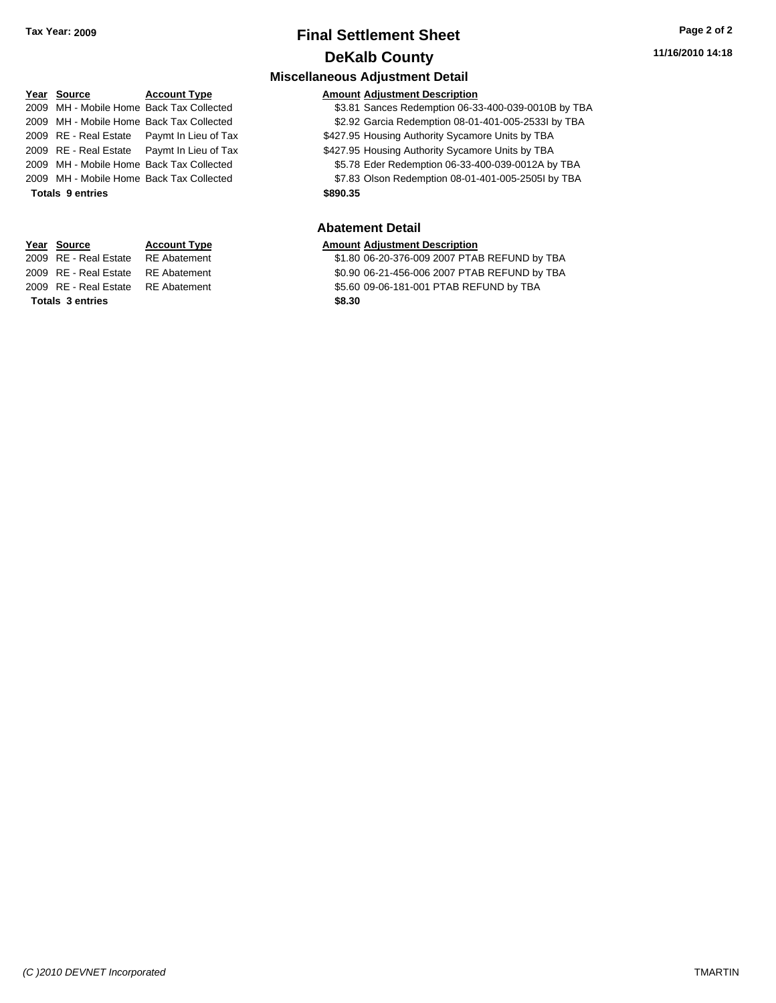# **Final Settlement Sheet Tax Year: 2009 Page 2 of 2 DeKalb County**

**Miscellaneous Adjustment Detail**

# **Year Source Account Type Amount Adjustment Description Totals \$890.35 9 entries**

# **Totals \$8.30 3 entries**

#### 2009 MH - Mobile Home Back Tax Collected \$3.81 Sances Redemption 06-33-400-039-0010B by TBA 2009 MH - Mobile Home Back Tax Collected \$2.92 Garcia Redemption 08-01-401-005-2533I by TBA 2009 RE - Real Estate Paymt In Lieu of Tax \$427.95 Housing Authority Sycamore Units by TBA 2009 RE - Real Estate Paymt In Lieu of Tax \$427.95 Housing Authority Sycamore Units by TBA 2009 MH - Mobile Home Back Tax Collected \$5.78 Eder Redemption 06-33-400-039-0012A by TBA 2009 MH - Mobile Home Back Tax Collected **67.83 Olson Redemption 08-01-401-005-2505I by TBA**

#### **Abatement Detail**

#### **Year Source Account Type Amount Adjustment Description**

2009 RE - Real Estate RE Abatement \$1.80 06-20-376-009 2007 PTAB REFUND by TBA 2009 RE - Real Estate \$0.90 06-21-456-006 2007 PTAB REFUND by TBA RE Abatement 2009 RE - Real Estate \$5.60 09-06-181-001 PTAB REFUND by TBA RE Abatement

*(C )2010 DEVNET Incorporated* TMARTIN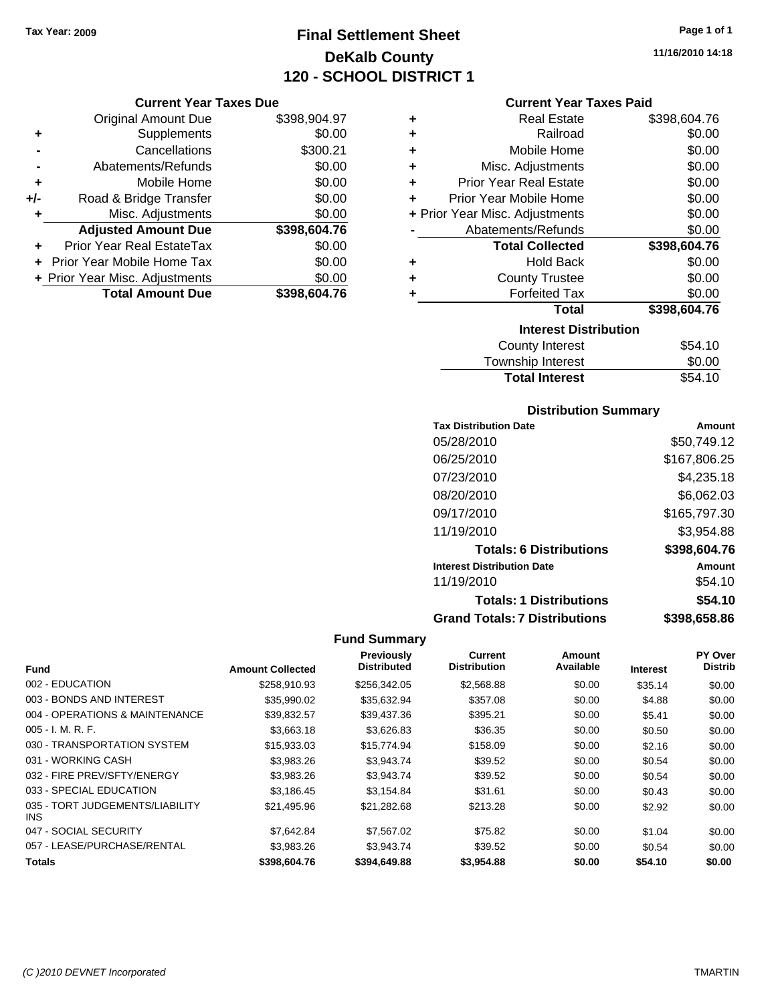# **Final Settlement Sheet Tax Year: 2009 Page 1 of 1 DeKalb County 120 - SCHOOL DISTRICT 1**

#### **Current Year Taxes Due**

|       | <b>Original Amount Due</b>        | \$398,904.97 |
|-------|-----------------------------------|--------------|
| ٠     | Supplements                       | \$0.00       |
|       | Cancellations                     | \$300.21     |
|       | Abatements/Refunds                | \$0.00       |
| ÷     | Mobile Home                       | \$0.00       |
| $+/-$ | Road & Bridge Transfer            | \$0.00       |
| ٠     | Misc. Adjustments                 | \$0.00       |
|       | <b>Adjusted Amount Due</b>        | \$398,604.76 |
|       | Prior Year Real EstateTax         | \$0.00       |
|       | <b>Prior Year Mobile Home Tax</b> | \$0.00       |
|       | + Prior Year Misc. Adjustments    | \$0.00       |
|       | <b>Total Amount Due</b>           | \$398,604.76 |

#### **Current Year Taxes Paid**

| ٠ | <b>Real Estate</b>             | \$398,604.76 |
|---|--------------------------------|--------------|
| ٠ | Railroad                       | \$0.00       |
| ٠ | Mobile Home                    | \$0.00       |
| ٠ | Misc. Adjustments              | \$0.00       |
| ٠ | <b>Prior Year Real Estate</b>  | \$0.00       |
| ÷ | Prior Year Mobile Home         | \$0.00       |
|   | + Prior Year Misc. Adjustments | \$0.00       |
|   | Abatements/Refunds             | \$0.00       |
|   |                                |              |
|   | <b>Total Collected</b>         | \$398,604.76 |
| ٠ | <b>Hold Back</b>               | \$0.00       |
| ٠ | <b>County Trustee</b>          | \$0.00       |
| ٠ | <b>Forfeited Tax</b>           | \$0.00       |
|   | <b>Total</b>                   | \$398,604.76 |
|   | <b>Interest Distribution</b>   |              |
|   | <b>County Interest</b>         | \$54.10      |

# Township Interest \$0.00<br>
Total Interest \$54.10 **Total Interest**

#### **Distribution Summary**

| <b>Tax Distribution Date</b>         | Amount       |
|--------------------------------------|--------------|
| 05/28/2010                           | \$50,749.12  |
| 06/25/2010                           | \$167,806.25 |
| 07/23/2010                           | \$4,235.18   |
| 08/20/2010                           | \$6,062.03   |
| 09/17/2010                           | \$165,797.30 |
| 11/19/2010                           | \$3.954.88   |
| <b>Totals: 6 Distributions</b>       | \$398,604.76 |
| <b>Interest Distribution Date</b>    | Amount       |
| 11/19/2010                           | \$54.10      |
| <b>Totals: 1 Distributions</b>       | \$54.10      |
| <b>Grand Totals: 7 Distributions</b> | \$398,658.86 |

|                                         |                         | <b>Previously</b>  | Current             | Amount    |                 | <b>PY Over</b> |
|-----------------------------------------|-------------------------|--------------------|---------------------|-----------|-----------------|----------------|
| <b>Fund</b>                             | <b>Amount Collected</b> | <b>Distributed</b> | <b>Distribution</b> | Available | <b>Interest</b> | <b>Distrib</b> |
| 002 - EDUCATION                         | \$258.910.93            | \$256,342.05       | \$2,568.88          | \$0.00    | \$35.14         | \$0.00         |
| 003 - BONDS AND INTEREST                | \$35,990.02             | \$35,632.94        | \$357.08            | \$0.00    | \$4.88          | \$0.00         |
| 004 - OPERATIONS & MAINTENANCE          | \$39,832.57             | \$39,437.36        | \$395.21            | \$0.00    | \$5.41          | \$0.00         |
| $005 - I. M. R. F.$                     | \$3,663.18              | \$3,626.83         | \$36.35             | \$0.00    | \$0.50          | \$0.00         |
| 030 - TRANSPORTATION SYSTEM             | \$15,933.03             | \$15,774.94        | \$158.09            | \$0.00    | \$2.16          | \$0.00         |
| 031 - WORKING CASH                      | \$3,983.26              | \$3,943.74         | \$39.52             | \$0.00    | \$0.54          | \$0.00         |
| 032 - FIRE PREV/SFTY/ENERGY             | \$3,983.26              | \$3,943.74         | \$39.52             | \$0.00    | \$0.54          | \$0.00         |
| 033 - SPECIAL EDUCATION                 | \$3,186.45              | \$3.154.84         | \$31.61             | \$0.00    | \$0.43          | \$0.00         |
| 035 - TORT JUDGEMENTS/LIABILITY<br>INS. | \$21,495.96             | \$21,282.68        | \$213.28            | \$0.00    | \$2.92          | \$0.00         |
| 047 - SOCIAL SECURITY                   | \$7.642.84              | \$7.567.02         | \$75.82             | \$0.00    | \$1.04          | \$0.00         |
| 057 - LEASE/PURCHASE/RENTAL             | \$3.983.26              | \$3.943.74         | \$39.52             | \$0.00    | \$0.54          | \$0.00         |
| <b>Totals</b>                           | \$398,604.76            | \$394,649.88       | \$3,954.88          | \$0.00    | \$54.10         | \$0.00         |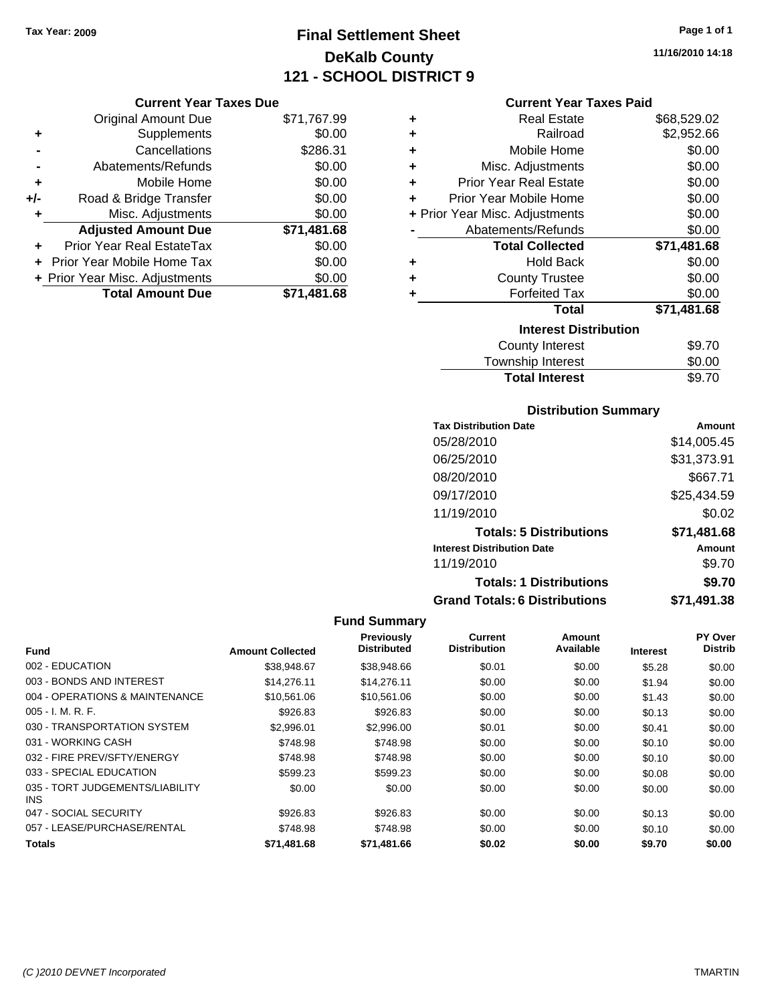# **Final Settlement Sheet Tax Year: 2009 Page 1 of 1 DeKalb County 121 - SCHOOL DISTRICT 9**

**11/16/2010 14:18**

#### **Current Year Taxes Due**

|       | <b>Original Amount Due</b>       | \$71,767.99 |
|-------|----------------------------------|-------------|
|       | Supplements                      | \$0.00      |
|       | Cancellations                    | \$286.31    |
|       | Abatements/Refunds               | \$0.00      |
| ٠     | Mobile Home                      | \$0.00      |
| $+/-$ | Road & Bridge Transfer           | \$0.00      |
| ٠     | Misc. Adjustments                | \$0.00      |
|       | <b>Adjusted Amount Due</b>       | \$71,481.68 |
|       | <b>Prior Year Real EstateTax</b> | \$0.00      |
|       | Prior Year Mobile Home Tax       | \$0.00      |
|       | + Prior Year Misc. Adjustments   | \$0.00      |
|       | <b>Total Amount Due</b>          | \$71,481.68 |

#### **Current Year Taxes Paid**

| ٠ | Real Estate                    | \$68,529.02 |
|---|--------------------------------|-------------|
| ٠ | Railroad                       | \$2,952.66  |
| ÷ | Mobile Home                    | \$0.00      |
| ٠ | Misc. Adjustments              | \$0.00      |
| ٠ | Prior Year Real Estate         | \$0.00      |
| ٠ | Prior Year Mobile Home         | \$0.00      |
|   | + Prior Year Misc. Adjustments | \$0.00      |
|   | Abatements/Refunds             | \$0.00      |
|   | <b>Total Collected</b>         | \$71,481.68 |
| ٠ | <b>Hold Back</b>               | \$0.00      |
| ٠ | <b>County Trustee</b>          | \$0.00      |
| ٠ | <b>Forfeited Tax</b>           | \$0.00      |
|   | Total                          | \$71,481.68 |
|   | <b>Interest Distribution</b>   |             |
|   | County Interest                | \$9.70      |
|   | <b>Township Interest</b>       | \$0.00      |
|   | <b>Total Interest</b>          | \$9.70      |

#### **Distribution Summary**

| <b>Tax Distribution Date</b>         | Amount      |
|--------------------------------------|-------------|
| 05/28/2010                           | \$14,005.45 |
| 06/25/2010                           | \$31,373.91 |
| 08/20/2010                           | \$667.71    |
| 09/17/2010                           | \$25,434.59 |
| 11/19/2010                           | \$0.02      |
| <b>Totals: 5 Distributions</b>       | \$71,481.68 |
| <b>Interest Distribution Date</b>    | Amount      |
| 11/19/2010                           | \$9.70      |
| <b>Totals: 1 Distributions</b>       | \$9.70      |
| <b>Grand Totals: 6 Distributions</b> | \$71,491.38 |

| Fund                                          | <b>Amount Collected</b> | Previously<br><b>Distributed</b> | <b>Current</b><br><b>Distribution</b> | Amount<br>Available | <b>Interest</b> | PY Over<br><b>Distrib</b> |
|-----------------------------------------------|-------------------------|----------------------------------|---------------------------------------|---------------------|-----------------|---------------------------|
| 002 - EDUCATION                               | \$38,948.67             | \$38,948.66                      | \$0.01                                | \$0.00              | \$5.28          | \$0.00                    |
| 003 - BONDS AND INTEREST                      | \$14,276.11             | \$14,276.11                      | \$0.00                                | \$0.00              | \$1.94          | \$0.00                    |
| 004 - OPERATIONS & MAINTENANCE                | \$10.561.06             | \$10.561.06                      | \$0.00                                | \$0.00              | \$1.43          | \$0.00                    |
| $005 - I. M. R. F.$                           | \$926.83                | \$926.83                         | \$0.00                                | \$0.00              | \$0.13          | \$0.00                    |
| 030 - TRANSPORTATION SYSTEM                   | \$2.996.01              | \$2,996.00                       | \$0.01                                | \$0.00              | \$0.41          | \$0.00                    |
| 031 - WORKING CASH                            | \$748.98                | \$748.98                         | \$0.00                                | \$0.00              | \$0.10          | \$0.00                    |
| 032 - FIRE PREV/SFTY/ENERGY                   | \$748.98                | \$748.98                         | \$0.00                                | \$0.00              | \$0.10          | \$0.00                    |
| 033 - SPECIAL EDUCATION                       | \$599.23                | \$599.23                         | \$0.00                                | \$0.00              | \$0.08          | \$0.00                    |
| 035 - TORT JUDGEMENTS/LIABILITY<br><b>INS</b> | \$0.00                  | \$0.00                           | \$0.00                                | \$0.00              | \$0.00          | \$0.00                    |
| 047 - SOCIAL SECURITY                         | \$926.83                | \$926.83                         | \$0.00                                | \$0.00              | \$0.13          | \$0.00                    |
| 057 - LEASE/PURCHASE/RENTAL                   | \$748.98                | \$748.98                         | \$0.00                                | \$0.00              | \$0.10          | \$0.00                    |
| <b>Totals</b>                                 | \$71,481.68             | \$71,481.66                      | \$0.02                                | \$0.00              | \$9.70          | \$0.00                    |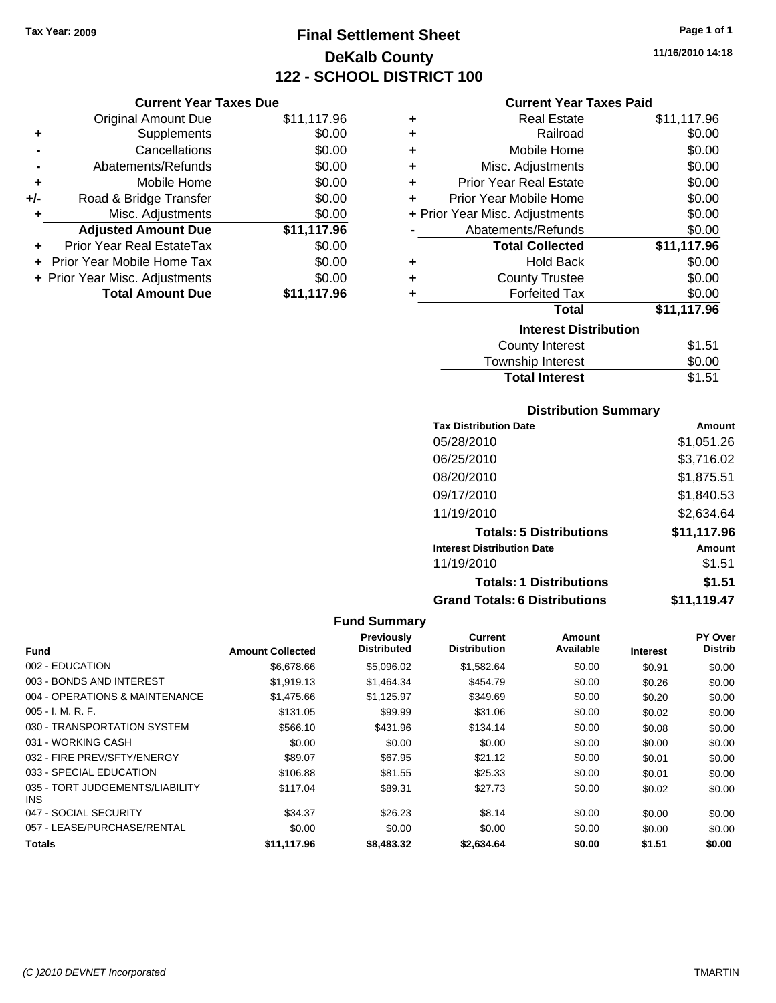**Current Year Taxes Due**

# **Final Settlement Sheet Tax Year: 2009 Page 1 of 1 DeKalb County 122 - SCHOOL DISTRICT 100**

#### **Current Year Taxes Paid**

|     | <b>Original Amount Due</b>     | \$11,117.96 | ٠ | <b>Real Estate</b>                  | \$11,117.96 |
|-----|--------------------------------|-------------|---|-------------------------------------|-------------|
| ٠   | Supplements                    | \$0.00      | ٠ | Railroad                            | \$0.00      |
|     | Cancellations                  | \$0.00      | ٠ | Mobile Home                         | \$0.00      |
|     | Abatements/Refunds             | \$0.00      | ٠ | Misc. Adjustments                   | \$0.00      |
| ٠   | Mobile Home                    | \$0.00      | ٠ | <b>Prior Year Real Estate</b>       | \$0.00      |
| +/- | Road & Bridge Transfer         | \$0.00      | ÷ | Prior Year Mobile Home              | \$0.00      |
|     | Misc. Adjustments              | \$0.00      |   | + Prior Year Misc. Adjustments      | \$0.00      |
|     | <b>Adjusted Amount Due</b>     | \$11,117.96 |   | Abatements/Refunds                  | \$0.00      |
| ÷.  | Prior Year Real EstateTax      | \$0.00      |   | <b>Total Collected</b>              | \$11,117.96 |
|     | + Prior Year Mobile Home Tax   | \$0.00      | ٠ | <b>Hold Back</b>                    | \$0.00      |
|     | + Prior Year Misc. Adjustments | \$0.00      | ٠ | <b>County Trustee</b>               | \$0.00      |
|     | <b>Total Amount Due</b>        | \$11,117.96 |   | <b>Forfeited Tax</b>                | \$0.00      |
|     |                                |             |   | <b>Total</b>                        | \$11,117.96 |
|     |                                |             |   | <b>Interest Distribution</b>        |             |
|     |                                |             |   | County Interest                     | \$1.51      |
|     |                                |             |   | اللحاظ متحلف والمراجع مترورون للتلا | ጦጣ ወጣ       |

#### Township Interest  $$0.00$ **Total Interest** \$1.51

| <b>Distribution Summary</b>  |            |  |  |  |
|------------------------------|------------|--|--|--|
| <b>Tax Distribution Date</b> | Amount     |  |  |  |
| 05/28/2010                   | \$1,051.26 |  |  |  |
| 06/25/2010                   | \$3.716.02 |  |  |  |
| 08/20/2010                   | \$1,875.51 |  |  |  |
| 00/17/0010                   | 0.4000     |  |  |  |

| 09/17/2010                           | \$1,840.53  |
|--------------------------------------|-------------|
| 11/19/2010                           | \$2,634.64  |
| <b>Totals: 5 Distributions</b>       | \$11,117.96 |
| <b>Interest Distribution Date</b>    | Amount      |
| 11/19/2010                           | \$1.51      |
| <b>Totals: 1 Distributions</b>       | \$1.51      |
| <b>Grand Totals: 6 Distributions</b> | \$11,119.47 |

| <b>Fund</b>                                   | <b>Amount Collected</b> | Previously<br><b>Distributed</b> | <b>Current</b><br><b>Distribution</b> | Amount<br>Available | <b>Interest</b> | PY Over<br><b>Distrib</b> |
|-----------------------------------------------|-------------------------|----------------------------------|---------------------------------------|---------------------|-----------------|---------------------------|
| 002 - EDUCATION                               | \$6,678,66              | \$5,096.02                       | \$1,582.64                            | \$0.00              | \$0.91          | \$0.00                    |
| 003 - BONDS AND INTEREST                      | \$1,919.13              | \$1,464.34                       | \$454.79                              | \$0.00              | \$0.26          | \$0.00                    |
| 004 - OPERATIONS & MAINTENANCE                | \$1,475.66              | \$1.125.97                       | \$349.69                              | \$0.00              | \$0.20          | \$0.00                    |
| $005 - I. M. R. F.$                           | \$131.05                | \$99.99                          | \$31.06                               | \$0.00              | \$0.02          | \$0.00                    |
| 030 - TRANSPORTATION SYSTEM                   | \$566.10                | \$431.96                         | \$134.14                              | \$0.00              | \$0.08          | \$0.00                    |
| 031 - WORKING CASH                            | \$0.00                  | \$0.00                           | \$0.00                                | \$0.00              | \$0.00          | \$0.00                    |
| 032 - FIRE PREV/SFTY/ENERGY                   | \$89.07                 | \$67.95                          | \$21.12                               | \$0.00              | \$0.01          | \$0.00                    |
| 033 - SPECIAL EDUCATION                       | \$106.88                | \$81.55                          | \$25.33                               | \$0.00              | \$0.01          | \$0.00                    |
| 035 - TORT JUDGEMENTS/LIABILITY<br><b>INS</b> | \$117.04                | \$89.31                          | \$27.73                               | \$0.00              | \$0.02          | \$0.00                    |
| 047 - SOCIAL SECURITY                         | \$34.37                 | \$26.23                          | \$8.14                                | \$0.00              | \$0.00          | \$0.00                    |
| 057 - LEASE/PURCHASE/RENTAL                   | \$0.00                  | \$0.00                           | \$0.00                                | \$0.00              | \$0.00          | \$0.00                    |
| <b>Totals</b>                                 | \$11.117.96             | \$8,483,32                       | \$2.634.64                            | \$0.00              | \$1.51          | \$0.00                    |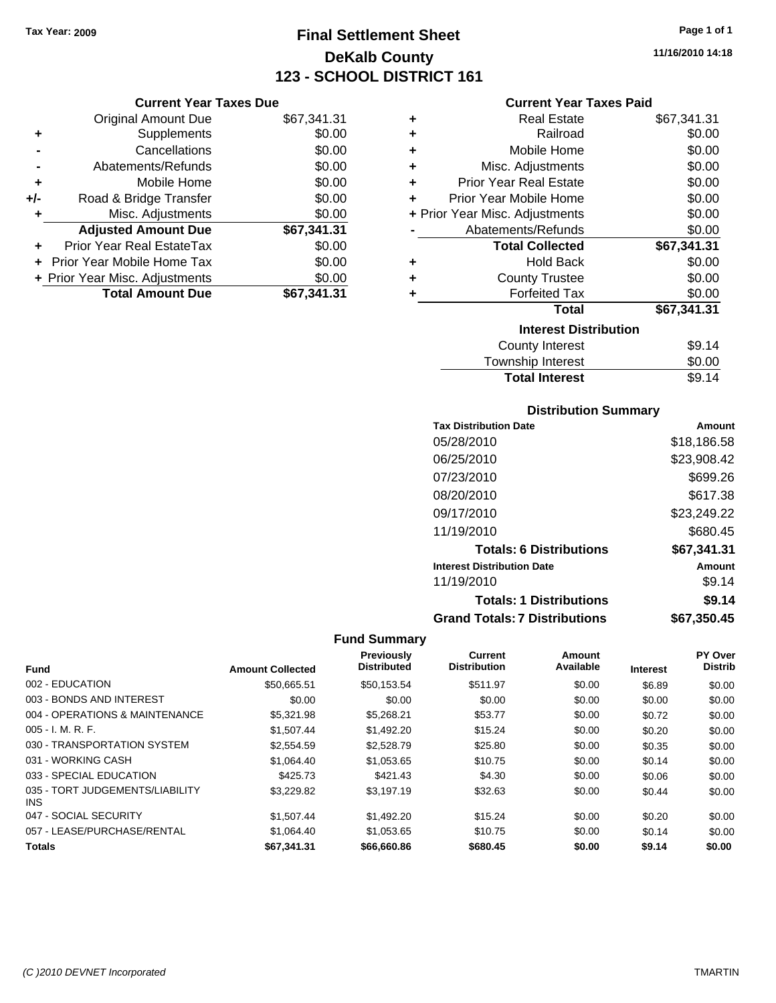**Current Year Taxes Due** Original Amount Due \$67,341.31

**Adjusted Amount Due \$67,341.31**

**Total Amount Due \$67,341.31**

**+** Supplements \$0.00 **-** Cancellations \$0.00 **-** Abatements/Refunds \$0.00 **+** Mobile Home \$0.00 **+/-** Road & Bridge Transfer \$0.00 **+** Misc. Adjustments \$0.00

**+** Prior Year Real EstateTax \$0.00 **+** Prior Year Mobile Home Tax \$0.00 **+ Prior Year Misc. Adjustments**  $$0.00$ 

# **Final Settlement Sheet Tax Year: 2009 Page 1 of 1 DeKalb County 123 - SCHOOL DISTRICT 161**

**11/16/2010 14:18**

#### **Current Year Taxes Paid**

| ٠ | <b>Real Estate</b>             | \$67,341.31 |
|---|--------------------------------|-------------|
| ٠ | Railroad                       | \$0.00      |
| ٠ | Mobile Home                    | \$0.00      |
| ÷ | Misc. Adjustments              | \$0.00      |
| ٠ | Prior Year Real Estate         | \$0.00      |
| ٠ | Prior Year Mobile Home         | \$0.00      |
|   | + Prior Year Misc. Adjustments | \$0.00      |
|   | Abatements/Refunds             | \$0.00      |
|   | <b>Total Collected</b>         | \$67,341.31 |
| ٠ | <b>Hold Back</b>               | \$0.00      |
| ٠ | <b>County Trustee</b>          | \$0.00      |
| ÷ | <b>Forfeited Tax</b>           | \$0.00      |
|   | Total                          | \$67,341.31 |
|   | <b>Interest Distribution</b>   |             |
|   | County Interest                | \$9.14      |
|   | <b>Township Interest</b>       | \$0.00      |

## **Distribution Summary**

Total Interest \$9.14

| <b>Tax Distribution Date</b>         | Amount      |
|--------------------------------------|-------------|
| 05/28/2010                           | \$18,186.58 |
| 06/25/2010                           | \$23,908.42 |
| 07/23/2010                           | \$699.26    |
| 08/20/2010                           | \$617.38    |
| 09/17/2010                           | \$23,249.22 |
| 11/19/2010                           | \$680.45    |
| <b>Totals: 6 Distributions</b>       | \$67,341.31 |
| <b>Interest Distribution Date</b>    | Amount      |
| 11/19/2010                           | \$9.14      |
| <b>Totals: 1 Distributions</b>       | \$9.14      |
| <b>Grand Totals: 7 Distributions</b> | \$67,350.45 |

|                                         |                         | Previously         | <b>Current</b>      | Amount    |                 | PY Over        |
|-----------------------------------------|-------------------------|--------------------|---------------------|-----------|-----------------|----------------|
| <b>Fund</b>                             | <b>Amount Collected</b> | <b>Distributed</b> | <b>Distribution</b> | Available | <b>Interest</b> | <b>Distrib</b> |
| 002 - EDUCATION                         | \$50,665.51             | \$50,153.54        | \$511.97            | \$0.00    | \$6.89          | \$0.00         |
| 003 - BONDS AND INTEREST                | \$0.00                  | \$0.00             | \$0.00              | \$0.00    | \$0.00          | \$0.00         |
| 004 - OPERATIONS & MAINTENANCE          | \$5,321.98              | \$5.268.21         | \$53.77             | \$0.00    | \$0.72          | \$0.00         |
| $005 - I. M. R. F.$                     | \$1,507.44              | \$1,492.20         | \$15.24             | \$0.00    | \$0.20          | \$0.00         |
| 030 - TRANSPORTATION SYSTEM             | \$2,554.59              | \$2,528.79         | \$25.80             | \$0.00    | \$0.35          | \$0.00         |
| 031 - WORKING CASH                      | \$1,064.40              | \$1,053.65         | \$10.75             | \$0.00    | \$0.14          | \$0.00         |
| 033 - SPECIAL EDUCATION                 | \$425.73                | \$421.43           | \$4.30              | \$0.00    | \$0.06          | \$0.00         |
| 035 - TORT JUDGEMENTS/LIABILITY<br>INS. | \$3.229.82              | \$3.197.19         | \$32.63             | \$0.00    | \$0.44          | \$0.00         |
| 047 - SOCIAL SECURITY                   | \$1.507.44              | \$1,492.20         | \$15.24             | \$0.00    | \$0.20          | \$0.00         |
| 057 - LEASE/PURCHASE/RENTAL             | \$1,064.40              | \$1,053.65         | \$10.75             | \$0.00    | \$0.14          | \$0.00         |
| <b>Totals</b>                           | \$67.341.31             | \$66,660.86        | \$680.45            | \$0.00    | \$9.14          | \$0.00         |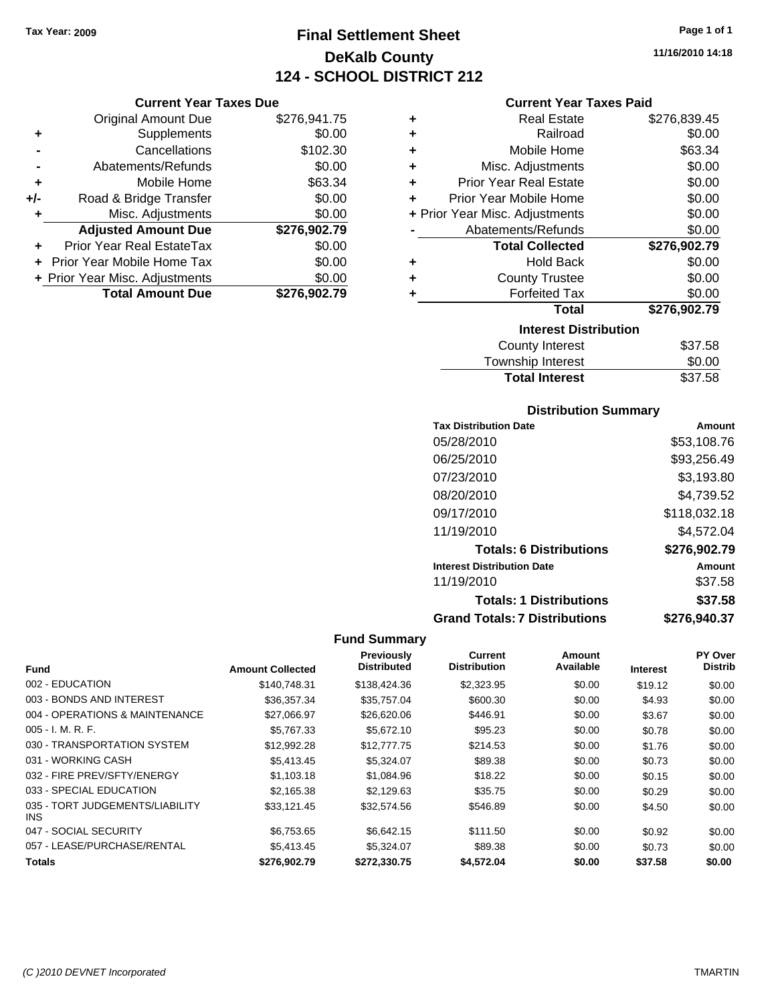**Current Year Taxes Due** Original Amount Due \$276,941.75

**Adjusted Amount Due \$276,902.79**

**Total Amount Due \$276,902.79**

**+** Supplements \$0.00 **-** Cancellations \$102.30 **-** Abatements/Refunds \$0.00 **+** Mobile Home \$63.34 **+/-** Road & Bridge Transfer \$0.00 **+** Misc. Adjustments \$0.00

**+** Prior Year Real EstateTax \$0.00 **+** Prior Year Mobile Home Tax \$0.00 **+ Prior Year Misc. Adjustments**  $$0.00$ 

# **Final Settlement Sheet Tax Year: 2009 Page 1 of 1 DeKalb County 124 - SCHOOL DISTRICT 212**

**11/16/2010 14:18**

#### **Current Year Taxes Paid**

| ٠ | <b>Real Estate</b>             | \$276,839.45 |
|---|--------------------------------|--------------|
| ٠ | Railroad                       | \$0.00       |
| ٠ | Mobile Home                    | \$63.34      |
| ٠ | Misc. Adjustments              | \$0.00       |
| ÷ | <b>Prior Year Real Estate</b>  | \$0.00       |
| ÷ | Prior Year Mobile Home         | \$0.00       |
|   | + Prior Year Misc. Adjustments | \$0.00       |
|   | Abatements/Refunds             | \$0.00       |
|   | <b>Total Collected</b>         | \$276,902.79 |
| ٠ | <b>Hold Back</b>               | \$0.00       |
| ٠ | <b>County Trustee</b>          | \$0.00       |
| ٠ | <b>Forfeited Tax</b>           | \$0.00       |
|   | Total                          | \$276,902.79 |
|   | <b>Interest Distribution</b>   |              |
|   | <b>County Interest</b>         | \$37.58      |
|   |                                |              |

| Township Interest     | \$0.00  |
|-----------------------|---------|
| <b>Total Interest</b> | \$37.58 |

#### **Distribution Summary**

| <b>Tax Distribution Date</b>         | Amount       |
|--------------------------------------|--------------|
| 05/28/2010                           | \$53,108.76  |
| 06/25/2010                           | \$93,256.49  |
| 07/23/2010                           | \$3,193.80   |
| 08/20/2010                           | \$4,739.52   |
| 09/17/2010                           | \$118,032.18 |
| 11/19/2010                           | \$4,572.04   |
| <b>Totals: 6 Distributions</b>       | \$276,902.79 |
| <b>Interest Distribution Date</b>    | Amount       |
| 11/19/2010                           | \$37.58      |
| <b>Totals: 1 Distributions</b>       | \$37.58      |
| <b>Grand Totals: 7 Distributions</b> | \$276,940.37 |

|                                         |                         | <b>Previously</b>  | Current             | Amount    |                 | PY Over        |
|-----------------------------------------|-------------------------|--------------------|---------------------|-----------|-----------------|----------------|
| <b>Fund</b>                             | <b>Amount Collected</b> | <b>Distributed</b> | <b>Distribution</b> | Available | <b>Interest</b> | <b>Distrib</b> |
| 002 - EDUCATION                         | \$140,748.31            | \$138,424.36       | \$2,323.95          | \$0.00    | \$19.12         | \$0.00         |
| 003 - BONDS AND INTEREST                | \$36,357.34             | \$35,757.04        | \$600.30            | \$0.00    | \$4.93          | \$0.00         |
| 004 - OPERATIONS & MAINTENANCE          | \$27,066.97             | \$26,620.06        | \$446.91            | \$0.00    | \$3.67          | \$0.00         |
| $005 - I. M. R. F.$                     | \$5,767.33              | \$5,672.10         | \$95.23             | \$0.00    | \$0.78          | \$0.00         |
| 030 - TRANSPORTATION SYSTEM             | \$12,992.28             | \$12,777,75        | \$214.53            | \$0.00    | \$1.76          | \$0.00         |
| 031 - WORKING CASH                      | \$5,413.45              | \$5,324.07         | \$89.38             | \$0.00    | \$0.73          | \$0.00         |
| 032 - FIRE PREV/SFTY/ENERGY             | \$1.103.18              | \$1,084.96         | \$18.22             | \$0.00    | \$0.15          | \$0.00         |
| 033 - SPECIAL EDUCATION                 | \$2.165.38              | \$2.129.63         | \$35.75             | \$0.00    | \$0.29          | \$0.00         |
| 035 - TORT JUDGEMENTS/LIABILITY<br>INS. | \$33.121.45             | \$32,574.56        | \$546.89            | \$0.00    | \$4.50          | \$0.00         |
| 047 - SOCIAL SECURITY                   | \$6,753.65              | \$6.642.15         | \$111.50            | \$0.00    | \$0.92          | \$0.00         |
| 057 - LEASE/PURCHASE/RENTAL             | \$5,413.45              | \$5,324.07         | \$89.38             | \$0.00    | \$0.73          | \$0.00         |
| <b>Totals</b>                           | \$276,902.79            | \$272.330.75       | \$4,572.04          | \$0.00    | \$37.58         | \$0.00         |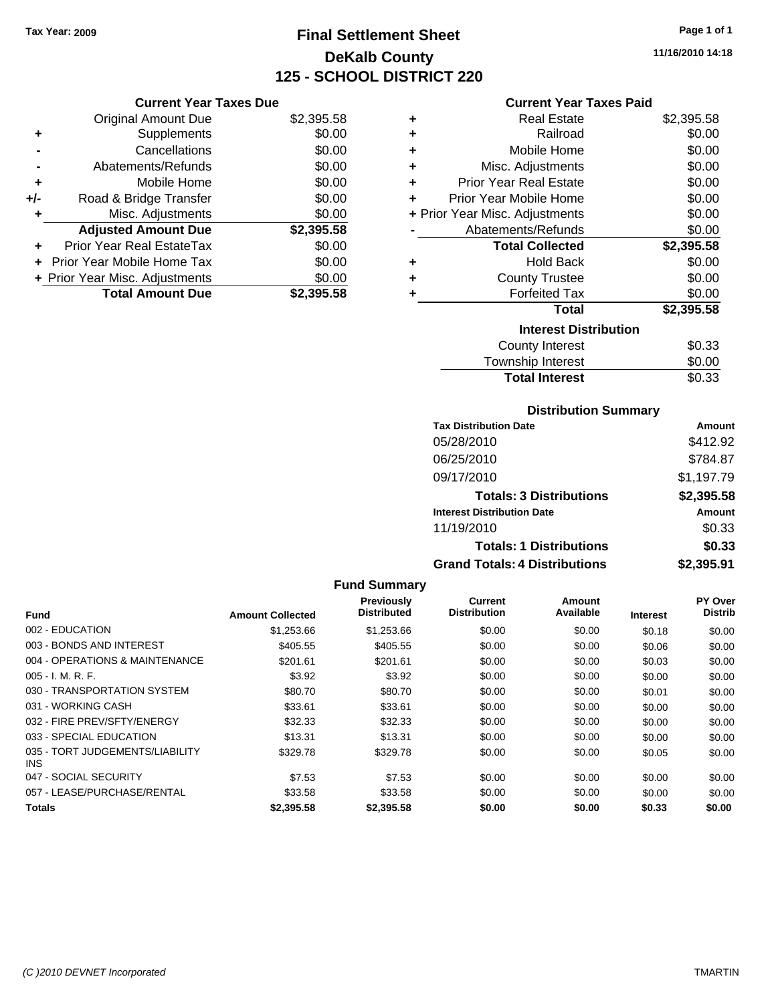**Current Year Taxes Due** Original Amount Due \$2,395.58

**Adjusted Amount Due \$2,395.58**

**Total Amount Due \$2,395.58**

**+** Supplements \$0.00 **-** Cancellations \$0.00 **-** Abatements/Refunds **\$0.00 +** Mobile Home \$0.00 **+/-** Road & Bridge Transfer \$0.00 **+** Misc. Adjustments \$0.00

**+** Prior Year Real EstateTax \$0.00 **+** Prior Year Mobile Home Tax \$0.00 **+ Prior Year Misc. Adjustments**  $$0.00$ 

# **Final Settlement Sheet Tax Year: 2009 Page 1 of 1 DeKalb County 125 - SCHOOL DISTRICT 220**

**11/16/2010 14:18**

#### **Current Year Taxes Paid**

| ٠ | <b>Real Estate</b>             | \$2,395.58 |
|---|--------------------------------|------------|
| ٠ | Railroad                       | \$0.00     |
| ٠ | Mobile Home                    | \$0.00     |
| ٠ | Misc. Adjustments              | \$0.00     |
| ÷ | <b>Prior Year Real Estate</b>  | \$0.00     |
| ÷ | Prior Year Mobile Home         | \$0.00     |
|   | + Prior Year Misc. Adjustments | \$0.00     |
|   | Abatements/Refunds             | \$0.00     |
|   | <b>Total Collected</b>         | \$2,395.58 |
| ٠ | <b>Hold Back</b>               | \$0.00     |
| ٠ | <b>County Trustee</b>          | \$0.00     |
| ٠ | <b>Forfeited Tax</b>           | \$0.00     |
|   | <b>Total</b>                   | \$2,395.58 |
|   | <b>Interest Distribution</b>   |            |
|   | <b>County Interest</b>         | \$0.33     |
|   | Townshin Interest              | ደበ በበ      |

| Township Interest     | \$0.00 |
|-----------------------|--------|
| <b>Total Interest</b> | \$0.33 |
|                       |        |

#### **Distribution Summary**

| <b>Tax Distribution Date</b>         | Amount     |
|--------------------------------------|------------|
| 05/28/2010                           | \$412.92   |
| 06/25/2010                           | \$784.87   |
| 09/17/2010                           | \$1,197.79 |
| <b>Totals: 3 Distributions</b>       | \$2,395.58 |
| <b>Interest Distribution Date</b>    | Amount     |
| 11/19/2010                           | \$0.33     |
| <b>Totals: 1 Distributions</b>       | \$0.33     |
| <b>Grand Totals: 4 Distributions</b> | \$2,395.91 |

#### **Fund Summary Fund Interest Amount Collected Distributed PY Over Distrib Amount Available Current Distribution Previously** 002 - EDUCATION \$1,253.66 \$1,253.66 \$0.00 \$0.00 \$0.18 \$0.00 003 - BONDS AND INTEREST 6405.55 \$405.55 \$105.55 \$0.00 \$0.00 \$0.00 \$0.06 \$0.00 004 - OPERATIONS & MAINTENANCE \$201.61 \$201.61 \$0.00 \$0.00 \$0.00 \$0.03 \$0.00 005 - I. M. R. F. Charles Communication of the State State State State State State State State State State Sta 030 - TRANSPORTATION SYSTEM \$80.70 \$80.70 \$0.00 \$0.00 \$0.00 \$0.01 \$0.00 031 - WORKING CASH \$33.61 \$33.61 \$0.00 \$0.00 \$0.00 \$0.00 032 - FIRE PREV/SFTY/ENERGY \$32.33 \$0.00 \$0.00 \$0.00 \$0.00 \$0.00 033 - SPECIAL EDUCATION 60.00 \$13.31 \$13.31 \$0.00 \$0.00 \$0.00 \$0.00 \$0.00 \$0.00 035 - TORT JUDGEMENTS/LIABILITY INS \$329.78 \$329.78 \$0.00 \$0.00 \$0.05 \$0.00 047 - SOCIAL SECURITY \$7.53 \$0.00 \$0.00 \$0.00 \$0.00 \$0.00 \$0.00 057 - LEASE/PURCHASE/RENTAL \$33.58 \$0.00 \$0.00 \$0.00 \$0.00 \$0.00 **Totals \$2,395.58 \$2,395.58 \$0.00 \$0.00 \$0.33 \$0.00**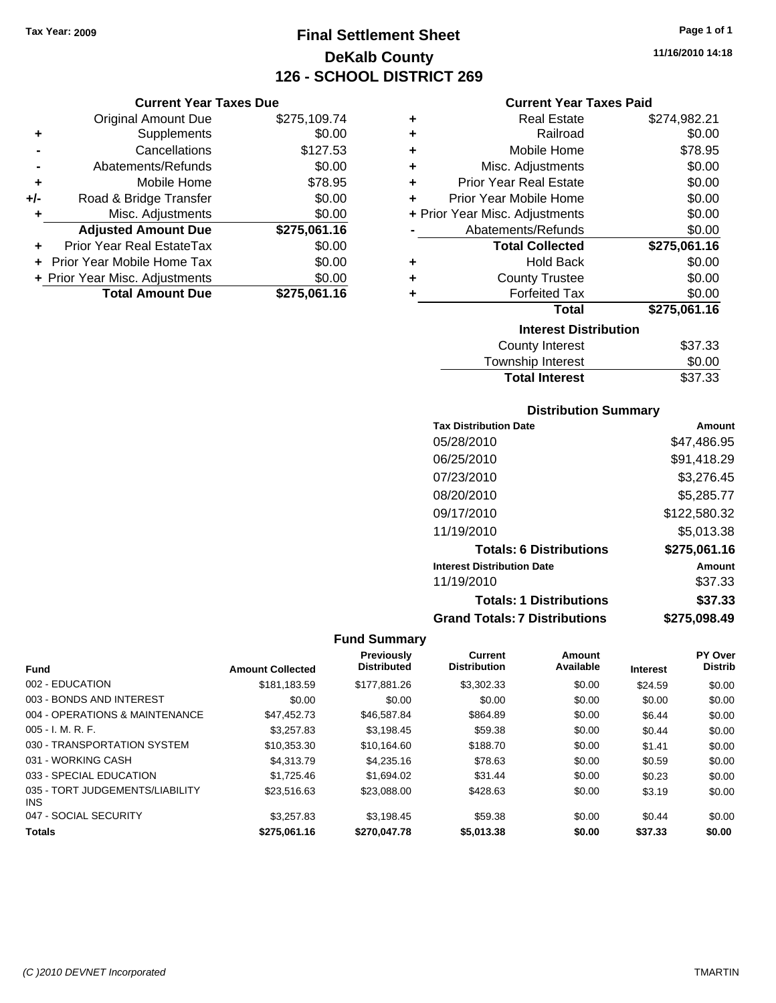**Current Year Taxes Due** Original Amount Due \$275,109.74

**Adjusted Amount Due \$275,061.16**

**Total Amount Due \$275,061.16**

**+** Supplements \$0.00 **-** Cancellations \$127.53 **-** Abatements/Refunds \$0.00 **+** Mobile Home \$78.95 **+/-** Road & Bridge Transfer \$0.00 **+** Misc. Adjustments \$0.00

**+** Prior Year Real EstateTax \$0.00 **+** Prior Year Mobile Home Tax \$0.00 **+ Prior Year Misc. Adjustments**  $$0.00$ 

# **Final Settlement Sheet Tax Year: 2009 Page 1 of 1 DeKalb County 126 - SCHOOL DISTRICT 269**

**11/16/2010 14:18**

#### **Current Year Taxes Paid**

| ٠ | <b>Real Estate</b>             | \$274,982.21 |
|---|--------------------------------|--------------|
| ٠ | Railroad                       | \$0.00       |
| ٠ | Mobile Home                    | \$78.95      |
| ٠ | Misc. Adjustments              | \$0.00       |
| ÷ | <b>Prior Year Real Estate</b>  | \$0.00       |
| ٠ | Prior Year Mobile Home         | \$0.00       |
|   | + Prior Year Misc. Adjustments | \$0.00       |
|   | Abatements/Refunds             | \$0.00       |
|   | <b>Total Collected</b>         | \$275,061.16 |
| ٠ | Hold Back                      | \$0.00       |
| ٠ | <b>County Trustee</b>          | \$0.00       |
| ٠ | <b>Forfeited Tax</b>           | \$0.00       |
|   | <b>Total</b>                   | \$275,061.16 |
|   | <b>Interest Distribution</b>   |              |
|   | <b>County Interest</b>         | \$37.33      |
|   | <b>Township Interest</b>       | \$0.00       |

| <b>County Interest</b> |  |
|------------------------|--|
| Township Interest      |  |

#### **Distribution Summary**

Total Interest \$37.33

| <b>Tax Distribution Date</b>         | Amount       |
|--------------------------------------|--------------|
| 05/28/2010                           | \$47,486.95  |
| 06/25/2010                           | \$91,418.29  |
| 07/23/2010                           | \$3,276.45   |
| 08/20/2010                           | \$5,285.77   |
| 09/17/2010                           | \$122,580.32 |
| 11/19/2010                           | \$5,013.38   |
| <b>Totals: 6 Distributions</b>       | \$275,061.16 |
| <b>Interest Distribution Date</b>    | Amount       |
| 11/19/2010                           | \$37.33      |
| <b>Totals: 1 Distributions</b>       | \$37.33      |
| <b>Grand Totals: 7 Distributions</b> | \$275,098.49 |

|                                               |                         | <b>Previously</b>  | <b>Current</b>      | Amount    |                 | PY Over        |
|-----------------------------------------------|-------------------------|--------------------|---------------------|-----------|-----------------|----------------|
| <b>Fund</b>                                   | <b>Amount Collected</b> | <b>Distributed</b> | <b>Distribution</b> | Available | <b>Interest</b> | <b>Distrib</b> |
| 002 - EDUCATION                               | \$181.183.59            | \$177.881.26       | \$3,302.33          | \$0.00    | \$24.59         | \$0.00         |
| 003 - BONDS AND INTEREST                      | \$0.00                  | \$0.00             | \$0.00              | \$0.00    | \$0.00          | \$0.00         |
| 004 - OPERATIONS & MAINTENANCE                | \$47.452.73             | \$46,587.84        | \$864.89            | \$0.00    | \$6.44          | \$0.00         |
| $005 - I. M. R. F.$                           | \$3.257.83              | \$3.198.45         | \$59.38             | \$0.00    | \$0.44          | \$0.00         |
| 030 - TRANSPORTATION SYSTEM                   | \$10,353.30             | \$10.164.60        | \$188.70            | \$0.00    | \$1.41          | \$0.00         |
| 031 - WORKING CASH                            | \$4,313.79              | \$4,235.16         | \$78.63             | \$0.00    | \$0.59          | \$0.00         |
| 033 - SPECIAL EDUCATION                       | \$1,725.46              | \$1.694.02         | \$31.44             | \$0.00    | \$0.23          | \$0.00         |
| 035 - TORT JUDGEMENTS/LIABILITY<br><b>INS</b> | \$23.516.63             | \$23.088.00        | \$428.63            | \$0.00    | \$3.19          | \$0.00         |
| 047 - SOCIAL SECURITY                         | \$3.257.83              | \$3.198.45         | \$59.38             | \$0.00    | \$0.44          | \$0.00         |
| <b>Totals</b>                                 | \$275.061.16            | \$270,047.78       | \$5,013,38          | \$0.00    | \$37.33         | \$0.00         |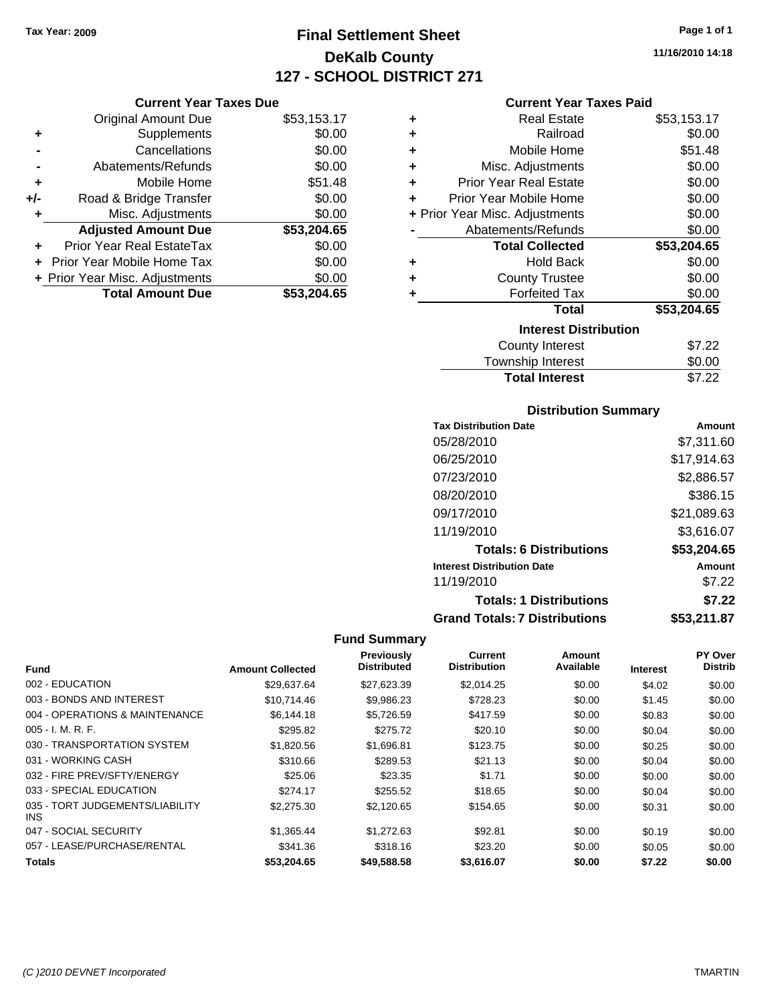**Current Year Taxes Due** Original Amount Due \$53,153.17

**Adjusted Amount Due \$53,204.65**

**Total Amount Due \$53,204.65**

**+** Supplements \$0.00 **-** Cancellations \$0.00 **-** Abatements/Refunds \$0.00 **+** Mobile Home \$51.48 **+/-** Road & Bridge Transfer \$0.00 **+** Misc. Adjustments \$0.00

**+** Prior Year Real EstateTax \$0.00 **+** Prior Year Mobile Home Tax \$0.00 **+ Prior Year Misc. Adjustments**  $$0.00$ 

# **Final Settlement Sheet Tax Year: 2009 Page 1 of 1 DeKalb County 127 - SCHOOL DISTRICT 271**

**11/16/2010 14:18**

#### **Current Year Taxes Paid**

| ٠ | <b>Real Estate</b>             | \$53,153.17 |
|---|--------------------------------|-------------|
| ٠ | Railroad                       | \$0.00      |
| ٠ | Mobile Home                    | \$51.48     |
| ٠ | Misc. Adjustments              | \$0.00      |
| ٠ | <b>Prior Year Real Estate</b>  | \$0.00      |
| ÷ | Prior Year Mobile Home         | \$0.00      |
|   | + Prior Year Misc. Adjustments | \$0.00      |
|   | Abatements/Refunds             | \$0.00      |
|   | <b>Total Collected</b>         | \$53,204.65 |
| ٠ | <b>Hold Back</b>               | \$0.00      |
| ٠ | <b>County Trustee</b>          | \$0.00      |
| ٠ | <b>Forfeited Tax</b>           | \$0.00      |
|   | <b>Total</b>                   | \$53,204.65 |
|   | <b>Interest Distribution</b>   |             |
|   | County Interest                | \$7.22      |
|   | <b>Township Interest</b>       | \$0.00      |

## **Distribution Summary**

**Total Interest** \$7.22

| <b>Tax Distribution Date</b>         | Amount      |
|--------------------------------------|-------------|
| 05/28/2010                           | \$7,311.60  |
| 06/25/2010                           | \$17,914.63 |
| 07/23/2010                           | \$2,886.57  |
| 08/20/2010                           | \$386.15    |
| 09/17/2010                           | \$21,089.63 |
| 11/19/2010                           | \$3,616.07  |
| <b>Totals: 6 Distributions</b>       | \$53,204.65 |
| <b>Interest Distribution Date</b>    | Amount      |
| 11/19/2010                           | \$7.22      |
| <b>Totals: 1 Distributions</b>       | \$7.22      |
| <b>Grand Totals: 7 Distributions</b> | \$53,211.87 |

|                                         |                         | <b>Previously</b>  | Current             | Amount    |                 | PY Over        |
|-----------------------------------------|-------------------------|--------------------|---------------------|-----------|-----------------|----------------|
| <b>Fund</b>                             | <b>Amount Collected</b> | <b>Distributed</b> | <b>Distribution</b> | Available | <b>Interest</b> | <b>Distrib</b> |
| 002 - EDUCATION                         | \$29.637.64             | \$27,623.39        | \$2.014.25          | \$0.00    | \$4.02          | \$0.00         |
| 003 - BONDS AND INTEREST                | \$10.714.46             | \$9,986.23         | \$728.23            | \$0.00    | \$1.45          | \$0.00         |
| 004 - OPERATIONS & MAINTENANCE          | \$6,144.18              | \$5,726.59         | \$417.59            | \$0.00    | \$0.83          | \$0.00         |
| $005 - I. M. R. F.$                     | \$295.82                | \$275.72           | \$20.10             | \$0.00    | \$0.04          | \$0.00         |
| 030 - TRANSPORTATION SYSTEM             | \$1,820.56              | \$1,696.81         | \$123.75            | \$0.00    | \$0.25          | \$0.00         |
| 031 - WORKING CASH                      | \$310.66                | \$289.53           | \$21.13             | \$0.00    | \$0.04          | \$0.00         |
| 032 - FIRE PREV/SFTY/ENERGY             | \$25.06                 | \$23.35            | \$1.71              | \$0.00    | \$0.00          | \$0.00         |
| 033 - SPECIAL EDUCATION                 | \$274.17                | \$255.52           | \$18.65             | \$0.00    | \$0.04          | \$0.00         |
| 035 - TORT JUDGEMENTS/LIABILITY<br>INS. | \$2,275.30              | \$2,120.65         | \$154.65            | \$0.00    | \$0.31          | \$0.00         |
| 047 - SOCIAL SECURITY                   | \$1,365.44              | \$1,272.63         | \$92.81             | \$0.00    | \$0.19          | \$0.00         |
| 057 - LEASE/PURCHASE/RENTAL             | \$341.36                | \$318.16           | \$23.20             | \$0.00    | \$0.05          | \$0.00         |
| <b>Totals</b>                           | \$53,204.65             | \$49,588,58        | \$3.616.07          | \$0.00    | \$7.22          | \$0.00         |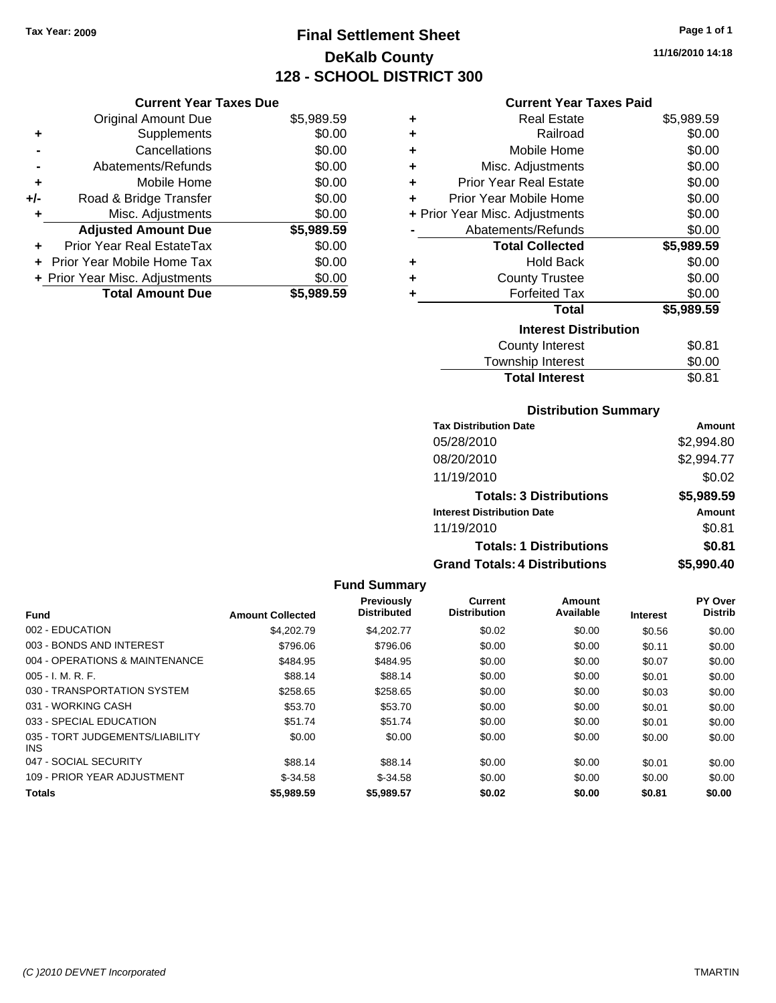# **Final Settlement Sheet Tax Year: 2009 Page 1 of 1 DeKalb County 128 - SCHOOL DISTRICT 300**

**11/16/2010 14:18**

#### **Current Year Taxes Paid**

|   | <b>Real Estate</b>             | \$5,989.59 |
|---|--------------------------------|------------|
| ٠ | Railroad                       | \$0.00     |
| ٠ | Mobile Home                    | \$0.00     |
| ٠ | Misc. Adjustments              | \$0.00     |
| ÷ | <b>Prior Year Real Estate</b>  | \$0.00     |
| ÷ | Prior Year Mobile Home         | \$0.00     |
|   | + Prior Year Misc. Adjustments | \$0.00     |
|   | Abatements/Refunds             | \$0.00     |
|   | <b>Total Collected</b>         | \$5,989.59 |
| ٠ | <b>Hold Back</b>               | \$0.00     |
| ٠ | <b>County Trustee</b>          | \$0.00     |
| ٠ | <b>Forfeited Tax</b>           | \$0.00     |
|   | <b>Total</b>                   | \$5,989.59 |
|   | <b>Interest Distribution</b>   |            |
|   | County Interest                | \$0.81     |
|   | Township Interest              | \$0.00     |
|   |                                |            |

| <b>Distribution Summary</b> |  |
|-----------------------------|--|

Total Interest \$0.81

| <b>Tax Distribution Date</b>         | Amount     |
|--------------------------------------|------------|
| 05/28/2010                           | \$2,994.80 |
| 08/20/2010                           | \$2,994.77 |
| 11/19/2010                           | \$0.02     |
| <b>Totals: 3 Distributions</b>       | \$5,989.59 |
| <b>Interest Distribution Date</b>    | Amount     |
| 11/19/2010                           | \$0.81     |
| <b>Totals: 1 Distributions</b>       | \$0.81     |
| <b>Grand Totals: 4 Distributions</b> | \$5,990.40 |

|                                               |                         | <b>Fund Summary</b>                     |                                       |                     |                 |                                  |
|-----------------------------------------------|-------------------------|-----------------------------------------|---------------------------------------|---------------------|-----------------|----------------------------------|
| <b>Fund</b>                                   | <b>Amount Collected</b> | <b>Previously</b><br><b>Distributed</b> | <b>Current</b><br><b>Distribution</b> | Amount<br>Available | <b>Interest</b> | <b>PY Over</b><br><b>Distrib</b> |
| 002 - EDUCATION                               | \$4,202.79              | \$4.202.77                              | \$0.02                                | \$0.00              | \$0.56          | \$0.00                           |
| 003 - BONDS AND INTEREST                      | \$796.06                | \$796.06                                | \$0.00                                | \$0.00              | \$0.11          | \$0.00                           |
| 004 - OPERATIONS & MAINTENANCE                | \$484.95                | \$484.95                                | \$0.00                                | \$0.00              | \$0.07          | \$0.00                           |
| $005 - I. M. R. F.$                           | \$88.14                 | \$88.14                                 | \$0.00                                | \$0.00              | \$0.01          | \$0.00                           |
| 030 - TRANSPORTATION SYSTEM                   | \$258.65                | \$258.65                                | \$0.00                                | \$0.00              | \$0.03          | \$0.00                           |
| 031 - WORKING CASH                            | \$53.70                 | \$53.70                                 | \$0.00                                | \$0.00              | \$0.01          | \$0.00                           |
| 033 - SPECIAL EDUCATION                       | \$51.74                 | \$51.74                                 | \$0.00                                | \$0.00              | \$0.01          | \$0.00                           |
| 035 - TORT JUDGEMENTS/LIABILITY<br><b>INS</b> | \$0.00                  | \$0.00                                  | \$0.00                                | \$0.00              | \$0.00          | \$0.00                           |
| 047 - SOCIAL SECURITY                         | \$88.14                 | \$88.14                                 | \$0.00                                | \$0.00              | \$0.01          | \$0.00                           |
| 109 - PRIOR YEAR ADJUSTMENT                   | $$-34.58$               | $$-34.58$                               | \$0.00                                | \$0.00              | \$0.00          | \$0.00                           |
| <b>Totals</b>                                 | \$5,989.59              | \$5,989.57                              | \$0.02                                | \$0.00              | \$0.81          | \$0.00                           |

#### **Adjusted Amount Due \$5,989.59**

| <b>Total Amount Due</b>        | \$5,989.59 |
|--------------------------------|------------|
| + Prior Year Misc. Adjustments | \$0.00     |
| + Prior Year Mobile Home Tax   | \$0.00     |
| Prior Year Real EstateTax      | \$0.00     |
|                                |            |

**Current Year Taxes Due** Original Amount Due \$5,989.59

**+** Supplements \$0.00 **-** Cancellations \$0.00 **-** Abatements/Refunds \$0.00 **+** Mobile Home \$0.00 **+/-** Road & Bridge Transfer \$0.00 **+** Misc. Adjustments \$0.00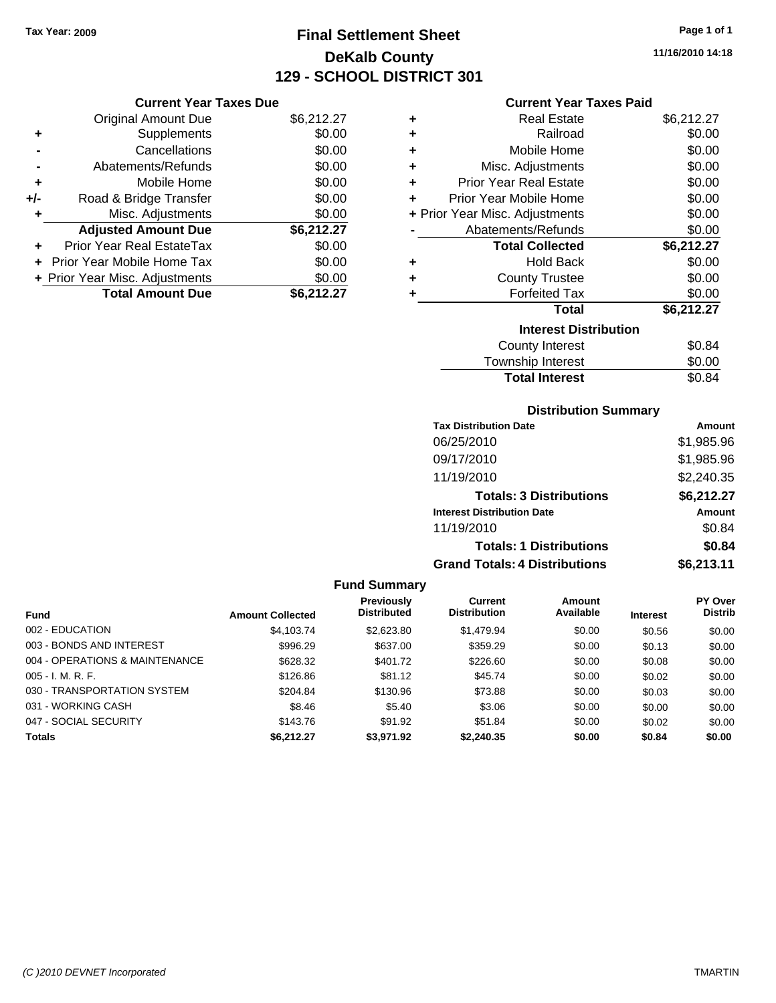# **Final Settlement Sheet Tax Year: 2009 Page 1 of 1 DeKalb County 129 - SCHOOL DISTRICT 301**

**11/16/2010 14:18**

# **Current Year Taxes Paid**

| <b>Current Year Taxes Due</b> |                                |            |  |  |
|-------------------------------|--------------------------------|------------|--|--|
|                               | Original Amount Due            | \$6,212.27 |  |  |
| ٠                             | Supplements                    | \$0.00     |  |  |
|                               | Cancellations                  | \$0.00     |  |  |
|                               | Abatements/Refunds             | \$0.00     |  |  |
| ٠                             | Mobile Home                    | \$0.00     |  |  |
| +/-                           | Road & Bridge Transfer         | \$0.00     |  |  |
|                               | Misc. Adjustments              | \$0.00     |  |  |
|                               | <b>Adjusted Amount Due</b>     | \$6,212.27 |  |  |
|                               | Prior Year Real EstateTax      | \$0.00     |  |  |
|                               | Prior Year Mobile Home Tax     | \$0.00     |  |  |
|                               | + Prior Year Misc. Adjustments | \$0.00     |  |  |
|                               | <b>Total Amount Due</b>        | \$6.212.27 |  |  |

| ٠ | <b>Real Estate</b>             | \$6,212.27 |
|---|--------------------------------|------------|
| ÷ | Railroad                       | \$0.00     |
| ÷ | Mobile Home                    | \$0.00     |
| ÷ | Misc. Adjustments              | \$0.00     |
| ٠ | <b>Prior Year Real Estate</b>  | \$0.00     |
| ٠ | Prior Year Mobile Home         | \$0.00     |
|   | + Prior Year Misc. Adjustments | \$0.00     |
|   | Abatements/Refunds             | \$0.00     |
|   | <b>Total Collected</b>         | \$6,212.27 |
| ٠ | <b>Hold Back</b>               | \$0.00     |
| ٠ | <b>County Trustee</b>          | \$0.00     |
| ٠ | <b>Forfeited Tax</b>           | \$0.00     |
|   | Total                          | \$6,212.27 |
|   | <b>Interest Distribution</b>   |            |
|   | County Interest                | \$0.84     |
|   | <b>Township Interest</b>       | \$0.00     |
|   | <b>Total Interest</b>          | \$0.84     |

#### **Distribution Summary**

| <b>Tax Distribution Date</b>         | Amount     |
|--------------------------------------|------------|
| 06/25/2010                           | \$1,985.96 |
| 09/17/2010                           | \$1,985.96 |
| 11/19/2010                           | \$2,240.35 |
| <b>Totals: 3 Distributions</b>       | \$6,212.27 |
| <b>Interest Distribution Date</b>    | Amount     |
| 11/19/2010                           | \$0.84     |
| <b>Totals: 1 Distributions</b>       | \$0.84     |
| <b>Grand Totals: 4 Distributions</b> | \$6,213.11 |

|                                |                         | <b>Fund Summary</b>              |                                |                     |                 |                                  |
|--------------------------------|-------------------------|----------------------------------|--------------------------------|---------------------|-----------------|----------------------------------|
| <b>Fund</b>                    | <b>Amount Collected</b> | Previously<br><b>Distributed</b> | Current<br><b>Distribution</b> | Amount<br>Available | <b>Interest</b> | <b>PY Over</b><br><b>Distrib</b> |
| 002 - EDUCATION                | \$4.103.74              | \$2,623.80                       | \$1,479.94                     | \$0.00              | \$0.56          | \$0.00                           |
| 003 - BONDS AND INTEREST       | \$996.29                | \$637.00                         | \$359.29                       | \$0.00              | \$0.13          | \$0.00                           |
| 004 - OPERATIONS & MAINTENANCE | \$628.32                | \$401.72                         | \$226.60                       | \$0.00              | \$0.08          | \$0.00                           |
| $005 - I. M. R. F.$            | \$126.86                | \$81.12                          | \$45.74                        | \$0.00              | \$0.02          | \$0.00                           |
| 030 - TRANSPORTATION SYSTEM    | \$204.84                | \$130.96                         | \$73.88                        | \$0.00              | \$0.03          | \$0.00                           |
| 031 - WORKING CASH             | \$8.46                  | \$5.40                           | \$3.06                         | \$0.00              | \$0.00          | \$0.00                           |
| 047 - SOCIAL SECURITY          | \$143.76                | \$91.92                          | \$51.84                        | \$0.00              | \$0.02          | \$0.00                           |
| <b>Totals</b>                  | \$6.212.27              | \$3,971.92                       | \$2,240,35                     | \$0.00              | \$0.84          | \$0.00                           |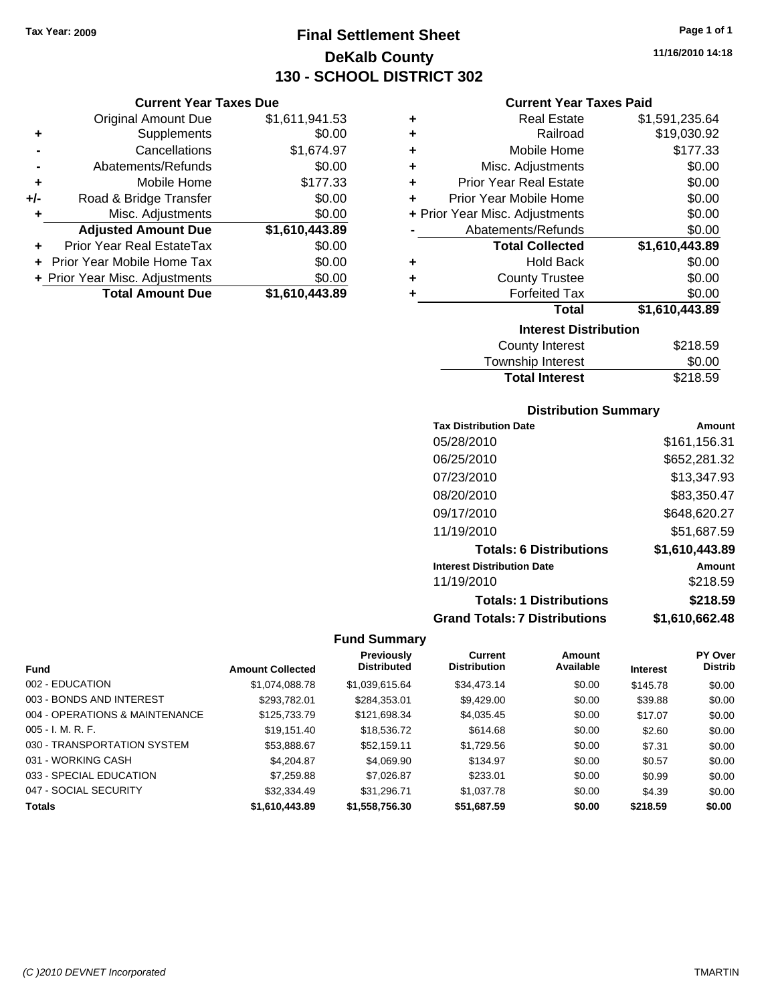**Current Year Taxes Due** Original Amount Due \$1,611,941.53

**Adjusted Amount Due \$1,610,443.89**

**Total Amount Due \$1,610,443.89**

**+** Supplements \$0.00 **-** Cancellations \$1,674.97 **-** Abatements/Refunds \$0.00 **+** Mobile Home \$177.33 **+/-** Road & Bridge Transfer \$0.00 **+** Misc. Adjustments \$0.00

**+** Prior Year Real EstateTax \$0.00 **+** Prior Year Mobile Home Tax \$0.00 **+ Prior Year Misc. Adjustments**  $$0.00$ 

# **Final Settlement Sheet Tax Year: 2009 Page 1 of 1 DeKalb County 130 - SCHOOL DISTRICT 302**

**11/16/2010 14:18**

#### **Current Year Taxes Paid**

| ٠ | <b>Real Estate</b>             | \$1,591,235.64 |
|---|--------------------------------|----------------|
| ٠ | Railroad                       | \$19,030.92    |
| ٠ | Mobile Home                    | \$177.33       |
| ÷ | Misc. Adjustments              | \$0.00         |
| ÷ | <b>Prior Year Real Estate</b>  | \$0.00         |
| ÷ | Prior Year Mobile Home         | \$0.00         |
|   | + Prior Year Misc. Adjustments | \$0.00         |
|   | Abatements/Refunds             | \$0.00         |
|   | <b>Total Collected</b>         | \$1,610,443.89 |
| ٠ | <b>Hold Back</b>               | \$0.00         |
| ÷ | <b>County Trustee</b>          | \$0.00         |
| ٠ | <b>Forfeited Tax</b>           | \$0.00         |
|   | <b>Total</b>                   | \$1,610,443.89 |
|   | <b>Interest Distribution</b>   |                |
|   | <b>County Interest</b>         | \$218.59       |

| <b>Total Interest</b> | \$218.59 |
|-----------------------|----------|
| Township Interest     | \$0.00   |
| County Interest       | \$218.59 |

#### **Distribution Summary**

| <b>Tax Distribution Date</b>         | Amount         |
|--------------------------------------|----------------|
| 05/28/2010                           | \$161,156.31   |
| 06/25/2010                           | \$652,281.32   |
| 07/23/2010                           | \$13,347.93    |
| 08/20/2010                           | \$83,350.47    |
| 09/17/2010                           | \$648,620.27   |
| 11/19/2010                           | \$51,687.59    |
| <b>Totals: 6 Distributions</b>       | \$1,610,443.89 |
| <b>Interest Distribution Date</b>    | Amount         |
| 11/19/2010                           | \$218.59       |
| <b>Totals: 1 Distributions</b>       | \$218.59       |
| <b>Grand Totals: 7 Distributions</b> | \$1,610,662.48 |

|                                |                         | Previously         | <b>Current</b>      | Amount    |                 | PY Over        |
|--------------------------------|-------------------------|--------------------|---------------------|-----------|-----------------|----------------|
| <b>Fund</b>                    | <b>Amount Collected</b> | <b>Distributed</b> | <b>Distribution</b> | Available | <b>Interest</b> | <b>Distrib</b> |
| 002 - EDUCATION                | \$1,074,088.78          | \$1,039,615.64     | \$34,473.14         | \$0.00    | \$145.78        | \$0.00         |
| 003 - BONDS AND INTEREST       | \$293.782.01            | \$284,353.01       | \$9,429.00          | \$0.00    | \$39.88         | \$0.00         |
| 004 - OPERATIONS & MAINTENANCE | \$125,733,79            | \$121,698.34       | \$4,035.45          | \$0.00    | \$17.07         | \$0.00         |
| $005 - I. M. R. F.$            | \$19.151.40             | \$18,536.72        | \$614.68            | \$0.00    | \$2.60          | \$0.00         |
| 030 - TRANSPORTATION SYSTEM    | \$53,888.67             | \$52,159.11        | \$1,729.56          | \$0.00    | \$7.31          | \$0.00         |
| 031 - WORKING CASH             | \$4,204.87              | \$4,069.90         | \$134.97            | \$0.00    | \$0.57          | \$0.00         |
| 033 - SPECIAL EDUCATION        | \$7,259.88              | \$7,026.87         | \$233.01            | \$0.00    | \$0.99          | \$0.00         |
| 047 - SOCIAL SECURITY          | \$32,334.49             | \$31.296.71        | \$1,037.78          | \$0.00    | \$4.39          | \$0.00         |
| <b>Totals</b>                  | \$1,610,443.89          | \$1,558,756.30     | \$51.687.59         | \$0.00    | \$218.59        | \$0.00         |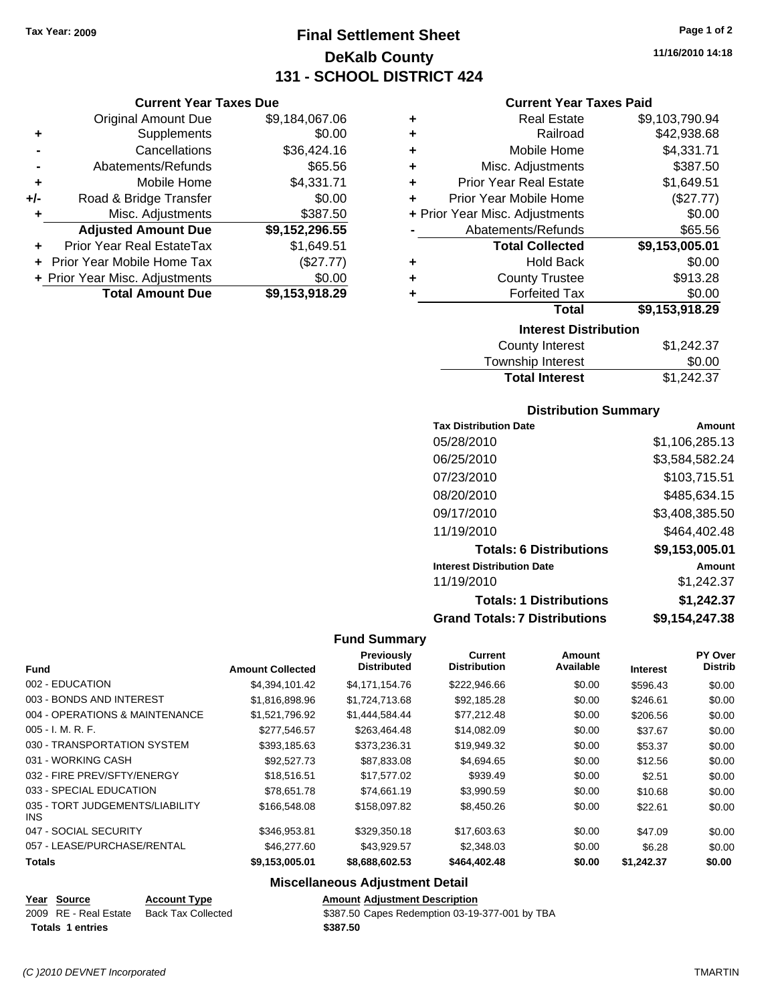**Current Year Taxes Due** Original Amount Due \$9,184,067.06

**Adjusted Amount Due \$9,152,296.55**

**Total Amount Due \$9,153,918.29**

**+** Supplements \$0.00 **-** Cancellations \$36,424.16 **-** Abatements/Refunds \$65.56 **+** Mobile Home \$4,331.71 **+/-** Road & Bridge Transfer \$0.00 **+** Misc. Adjustments \$387.50

**+** Prior Year Real EstateTax \$1,649.51 **+** Prior Year Mobile Home Tax (\$27.77) **+ Prior Year Misc. Adjustments**  $$0.00$ 

# **Final Settlement Sheet Tax Year: 2009 Page 1 of 2 DeKalb County 131 - SCHOOL DISTRICT 424**

**11/16/2010 14:18**

#### **Current Year Taxes Paid**

| ٠                            | <b>Real Estate</b>             | \$9,103,790.94 |  |  |
|------------------------------|--------------------------------|----------------|--|--|
| ٠                            | Railroad                       | \$42,938.68    |  |  |
| ٠                            | Mobile Home                    | \$4,331.71     |  |  |
| ٠                            | Misc. Adjustments              | \$387.50       |  |  |
| ٠                            | <b>Prior Year Real Estate</b>  | \$1,649.51     |  |  |
| ٠                            | Prior Year Mobile Home         | (\$27.77)      |  |  |
|                              | + Prior Year Misc. Adjustments | \$0.00         |  |  |
|                              | Abatements/Refunds             | \$65.56        |  |  |
|                              | <b>Total Collected</b>         | \$9,153,005.01 |  |  |
| ٠                            | Hold Back                      | \$0.00         |  |  |
| ٠                            | <b>County Trustee</b>          | \$913.28       |  |  |
|                              | <b>Forfeited Tax</b>           | \$0.00         |  |  |
|                              | <b>Total</b>                   | \$9,153,918.29 |  |  |
| <b>Interest Distribution</b> |                                |                |  |  |
|                              | County Interest                | \$1.242.37     |  |  |

| <b>Total Interest</b> | \$1,242.37 |
|-----------------------|------------|
| Township Interest     | \$0.00     |
| County Interest       | \$1,242.37 |

#### **Distribution Summary**

| <b>Tax Distribution Date</b>         | Amount         |
|--------------------------------------|----------------|
| 05/28/2010                           | \$1,106,285.13 |
| 06/25/2010                           | \$3,584,582.24 |
| 07/23/2010                           | \$103,715.51   |
| 08/20/2010                           | \$485,634.15   |
| 09/17/2010                           | \$3,408,385.50 |
| 11/19/2010                           | \$464,402.48   |
| <b>Totals: 6 Distributions</b>       | \$9,153,005.01 |
| <b>Interest Distribution Date</b>    | Amount         |
| 11/19/2010                           | \$1,242.37     |
| <b>Totals: 1 Distributions</b>       | \$1,242.37     |
| <b>Grand Totals: 7 Distributions</b> | \$9,154,247.38 |

#### **Fund Summary**

|                                         |                         | <b>Previously</b>  | Current             | Amount    |                 | PY Over        |
|-----------------------------------------|-------------------------|--------------------|---------------------|-----------|-----------------|----------------|
| <b>Fund</b>                             | <b>Amount Collected</b> | <b>Distributed</b> | <b>Distribution</b> | Available | <b>Interest</b> | <b>Distrib</b> |
| 002 - EDUCATION                         | \$4,394,101.42          | \$4,171,154.76     | \$222,946.66        | \$0.00    | \$596.43        | \$0.00         |
| 003 - BONDS AND INTEREST                | \$1,816,898.96          | \$1,724,713.68     | \$92,185.28         | \$0.00    | \$246.61        | \$0.00         |
| 004 - OPERATIONS & MAINTENANCE          | \$1,521,796.92          | \$1,444,584,44     | \$77,212.48         | \$0.00    | \$206.56        | \$0.00         |
| $005 - I. M. R. F.$                     | \$277,546.57            | \$263,464.48       | \$14,082.09         | \$0.00    | \$37.67         | \$0.00         |
| 030 - TRANSPORTATION SYSTEM             | \$393.185.63            | \$373,236.31       | \$19,949.32         | \$0.00    | \$53.37         | \$0.00         |
| 031 - WORKING CASH                      | \$92,527.73             | \$87,833.08        | \$4,694.65          | \$0.00    | \$12.56         | \$0.00         |
| 032 - FIRE PREV/SFTY/ENERGY             | \$18,516.51             | \$17,577.02        | \$939.49            | \$0.00    | \$2.51          | \$0.00         |
| 033 - SPECIAL EDUCATION                 | \$78.651.78             | \$74.661.19        | \$3,990.59          | \$0.00    | \$10.68         | \$0.00         |
| 035 - TORT JUDGEMENTS/LIABILITY<br>INS. | \$166,548.08            | \$158,097.82       | \$8,450.26          | \$0.00    | \$22.61         | \$0.00         |
| 047 - SOCIAL SECURITY                   | \$346,953.81            | \$329,350.18       | \$17,603.63         | \$0.00    | \$47.09         | \$0.00         |
| 057 - LEASE/PURCHASE/RENTAL             | \$46,277.60             | \$43.929.57        | \$2,348.03          | \$0.00    | \$6.28          | \$0.00         |
| <b>Totals</b>                           | \$9,153,005.01          | \$8,688,602.53     | \$464,402.48        | \$0.00    | \$1,242.37      | \$0.00         |

### **Miscellaneous Adjustment Detail**

| Year Source             | <b>Account Type</b> | <b>Amount Adiustment Description</b>           |
|-------------------------|---------------------|------------------------------------------------|
| 2009 RE - Real Estate   | Back Tax Collected  | \$387.50 Capes Redemption 03-19-377-001 by TBA |
| <b>Totals 1 entries</b> |                     | \$387.50                                       |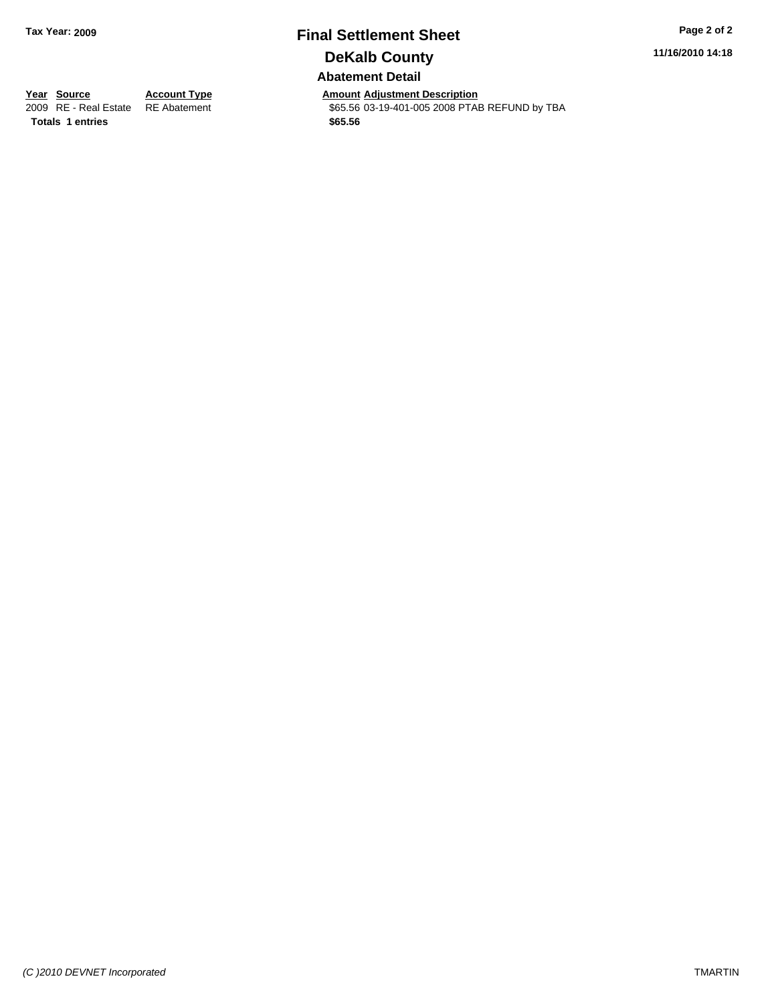# **Final Settlement Sheet Tax Year: 2009 Page 2 of 2 DeKalb County**

**11/16/2010 14:18**

### **Abatement Detail**

**Totals \$65.56 1 entries**

**Year Source Account Type Amount Adjustment Description**<br> **2009** RE - Real Estate RE Abatement **Amount** 565.56 03-19-401-005 2008 PTAI \$65.56 03-19-401-005 2008 PTAB REFUND by TBA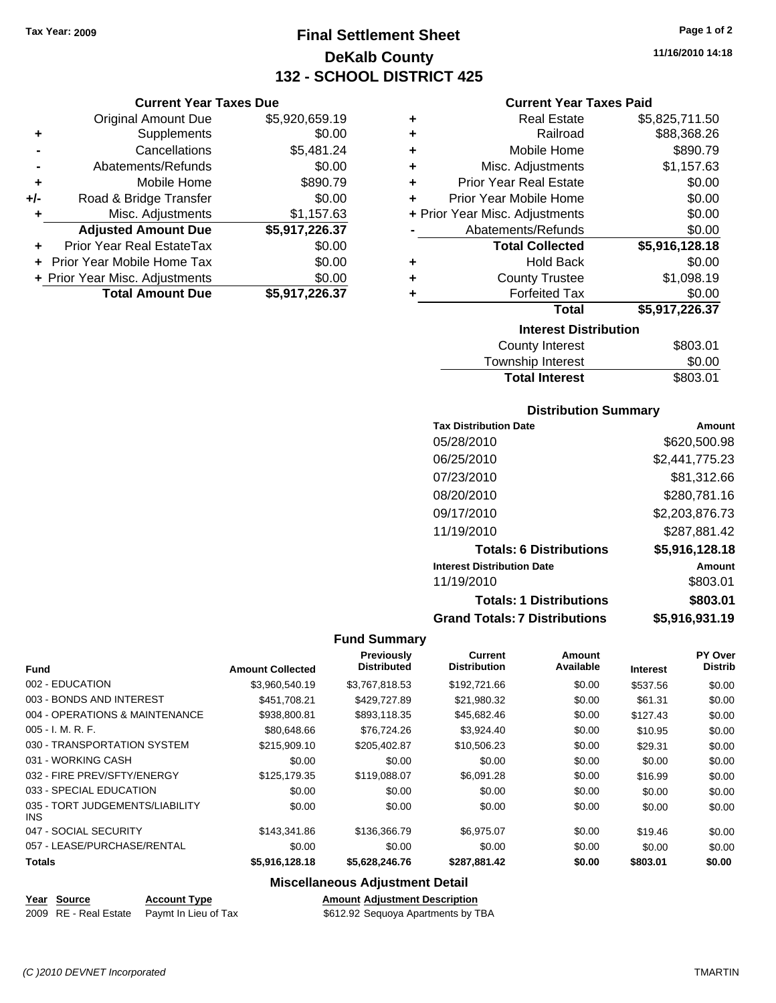**Current Year Taxes Due** Original Amount Due \$5,920,659.19

**Adjusted Amount Due \$5,917,226.37**

**Total Amount Due \$5,917,226.37**

**+** Supplements \$0.00 **-** Cancellations \$5,481.24 **-** Abatements/Refunds \$0.00 **+** Mobile Home \$890.79 **+/-** Road & Bridge Transfer \$0.00 **+** Misc. Adjustments \$1,157.63

**+** Prior Year Real EstateTax \$0.00 **+** Prior Year Mobile Home Tax \$0.00 **+ Prior Year Misc. Adjustments**  $$0.00$ 

# **Final Settlement Sheet Tax Year: 2009 Page 1 of 2 DeKalb County 132 - SCHOOL DISTRICT 425**

**11/16/2010 14:18**

#### **Current Year Taxes Paid**

| ٠                              | <b>Real Estate</b>            | \$5,825,711.50 |
|--------------------------------|-------------------------------|----------------|
| ٠                              | Railroad                      | \$88,368.26    |
|                                |                               |                |
| ÷                              | Mobile Home                   | \$890.79       |
| ٠                              | Misc. Adjustments             | \$1,157.63     |
| ÷                              | <b>Prior Year Real Estate</b> | \$0.00         |
| ÷                              | Prior Year Mobile Home        | \$0.00         |
| + Prior Year Misc. Adjustments |                               | \$0.00         |
|                                | Abatements/Refunds            | \$0.00         |
|                                | <b>Total Collected</b>        | \$5,916,128.18 |
| ٠                              | <b>Hold Back</b>              | \$0.00         |
| ÷                              | <b>County Trustee</b>         | \$1,098.19     |
| ٠                              | <b>Forfeited Tax</b>          | \$0.00         |
|                                | Total                         | \$5,917,226.37 |
|                                | <b>Interest Distribution</b>  |                |
|                                | County Intornet               | <b>¢</b> ደባባ አ |

| <b>Total Interest</b> | \$803.01 |
|-----------------------|----------|
| Township Interest     | \$0.00   |
| County Interest       | \$803.01 |

#### **Distribution Summary**

| <b>Tax Distribution Date</b>         | Amount         |
|--------------------------------------|----------------|
| 05/28/2010                           | \$620,500.98   |
| 06/25/2010                           | \$2,441,775.23 |
| 07/23/2010                           | \$81,312.66    |
| 08/20/2010                           | \$280,781.16   |
| 09/17/2010                           | \$2,203,876.73 |
| 11/19/2010                           | \$287,881.42   |
| <b>Totals: 6 Distributions</b>       | \$5,916,128.18 |
| <b>Interest Distribution Date</b>    | Amount         |
| 11/19/2010                           | \$803.01       |
| <b>Totals: 1 Distributions</b>       | \$803.01       |
| <b>Grand Totals: 7 Distributions</b> | \$5,916,931.19 |

#### **Fund Summary**

|                                         |                         | <b>Previously</b><br><b>Distributed</b> | <b>Current</b><br><b>Distribution</b> | Amount<br>Available |                 | PY Over<br><b>Distrib</b> |
|-----------------------------------------|-------------------------|-----------------------------------------|---------------------------------------|---------------------|-----------------|---------------------------|
| <b>Fund</b>                             | <b>Amount Collected</b> |                                         |                                       |                     | <b>Interest</b> |                           |
| 002 - EDUCATION                         | \$3,960,540.19          | \$3,767,818.53                          | \$192,721.66                          | \$0.00              | \$537.56        | \$0.00                    |
| 003 - BONDS AND INTEREST                | \$451.708.21            | \$429,727.89                            | \$21,980.32                           | \$0.00              | \$61.31         | \$0.00                    |
| 004 - OPERATIONS & MAINTENANCE          | \$938,800.81            | \$893,118.35                            | \$45,682.46                           | \$0.00              | \$127.43        | \$0.00                    |
| $005 - I. M. R. F.$                     | \$80,648.66             | \$76,724.26                             | \$3,924.40                            | \$0.00              | \$10.95         | \$0.00                    |
| 030 - TRANSPORTATION SYSTEM             | \$215.909.10            | \$205,402.87                            | \$10,506.23                           | \$0.00              | \$29.31         | \$0.00                    |
| 031 - WORKING CASH                      | \$0.00                  | \$0.00                                  | \$0.00                                | \$0.00              | \$0.00          | \$0.00                    |
| 032 - FIRE PREV/SFTY/ENERGY             | \$125.179.35            | \$119,088,07                            | \$6,091.28                            | \$0.00              | \$16.99         | \$0.00                    |
| 033 - SPECIAL EDUCATION                 | \$0.00                  | \$0.00                                  | \$0.00                                | \$0.00              | \$0.00          | \$0.00                    |
| 035 - TORT JUDGEMENTS/LIABILITY<br>INS. | \$0.00                  | \$0.00                                  | \$0.00                                | \$0.00              | \$0.00          | \$0.00                    |
| 047 - SOCIAL SECURITY                   | \$143.341.86            | \$136,366.79                            | \$6,975.07                            | \$0.00              | \$19.46         | \$0.00                    |
| 057 - LEASE/PURCHASE/RENTAL             | \$0.00                  | \$0.00                                  | \$0.00                                | \$0.00              | \$0.00          | \$0.00                    |
| <b>Totals</b>                           | \$5,916,128.18          | \$5,628,246.76                          | \$287,881.42                          | \$0.00              | \$803.01        | \$0.00                    |

#### **Miscellaneous Adjustment Detail**

#### **Year Source Account Type Amount Adjustment Description**

2009 RE - Real Estate Paymt In Lieu of Tax \$612.92 Sequoya Apartments by TBA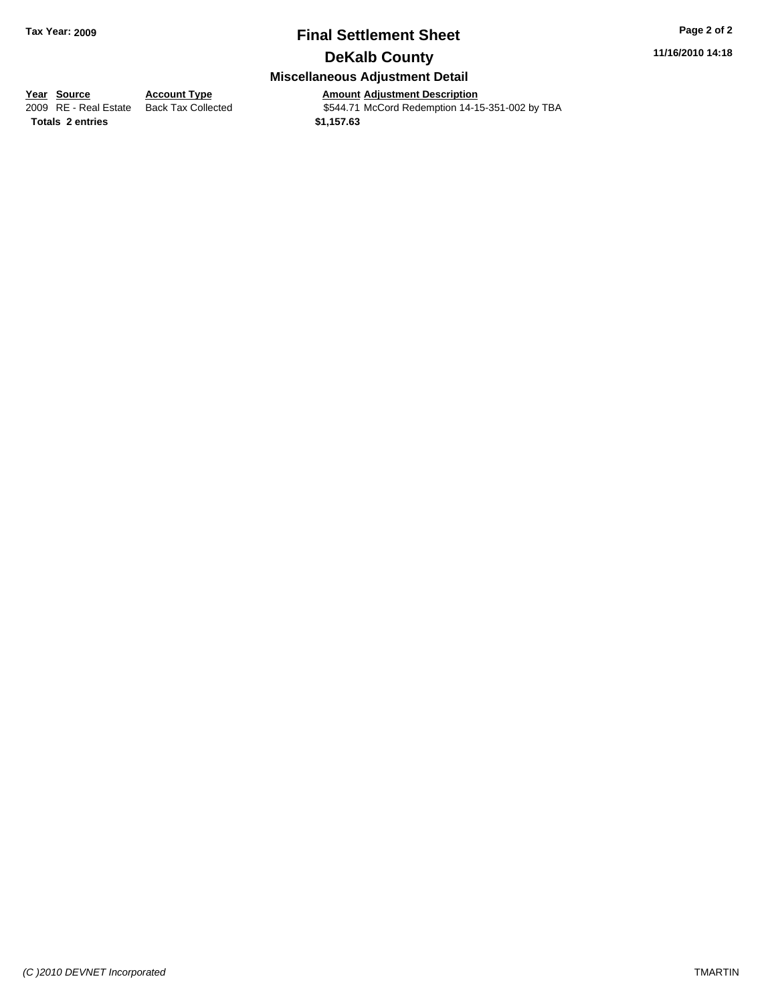# **Final Settlement Sheet Tax Year: 2009 Page 2 of 2 DeKalb County**

**11/16/2010 14:18**

## **Miscellaneous Adjustment Detail**

**<u>Year Source</u> Account Type**<br> **Adding RE - Real Estate** Back Tax Collected

Amount Adjustment Description<br>\$544.71 McCord Redemption 14-15-351-002 by TBA **Totals \$1,157.63 2 entries**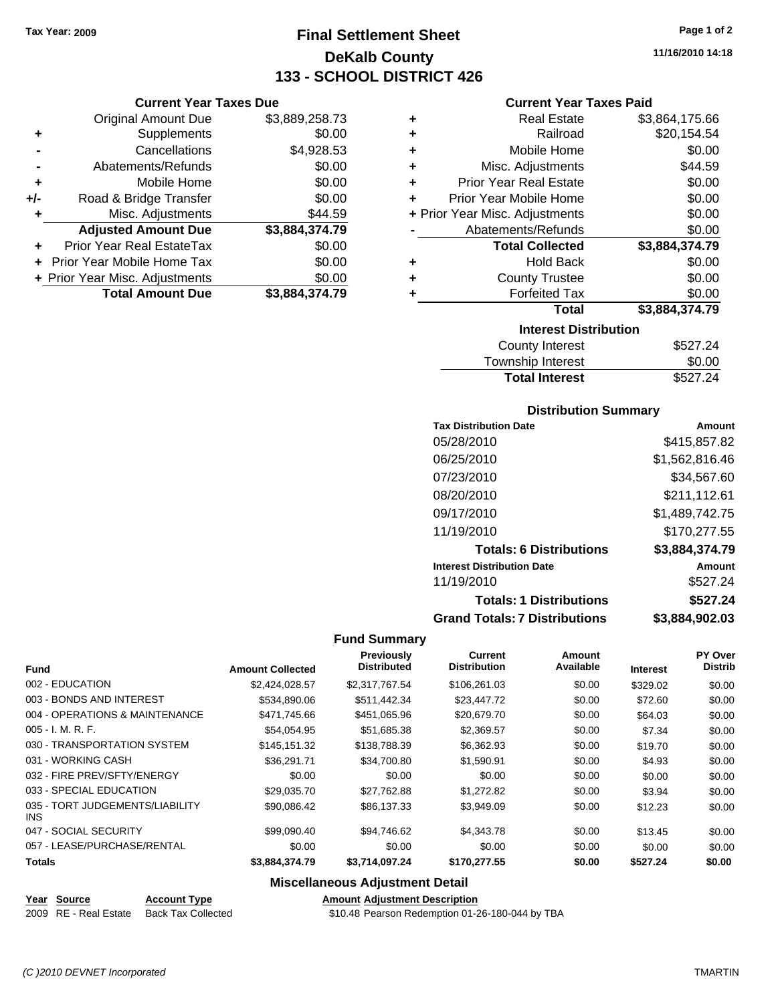**Current Year Taxes Due** Original Amount Due \$3,889,258.73

**Adjusted Amount Due \$3,884,374.79**

**Total Amount Due \$3,884,374.79**

**+** Supplements \$0.00 **-** Cancellations \$4,928.53 **-** Abatements/Refunds \$0.00 **+** Mobile Home \$0.00 **+/-** Road & Bridge Transfer \$0.00 **+** Misc. Adjustments \$44.59

**+** Prior Year Real EstateTax \$0.00 **+** Prior Year Mobile Home Tax \$0.00 **+ Prior Year Misc. Adjustments**  $$0.00$ 

# **Final Settlement Sheet Tax Year: 2009 Page 1 of 2 DeKalb County 133 - SCHOOL DISTRICT 426**

**11/16/2010 14:18**

#### **Current Year Taxes Paid**

| ٠ | <b>Real Estate</b>             | \$3,864,175.66 |
|---|--------------------------------|----------------|
| ٠ | Railroad                       | \$20,154.54    |
| ٠ | Mobile Home                    | \$0.00         |
| ÷ | Misc. Adjustments              | \$44.59        |
| ÷ | <b>Prior Year Real Estate</b>  | \$0.00         |
| ÷ | Prior Year Mobile Home         | \$0.00         |
|   | + Prior Year Misc. Adjustments | \$0.00         |
|   | Abatements/Refunds             | \$0.00         |
|   | <b>Total Collected</b>         | \$3,884,374.79 |
| ٠ | <b>Hold Back</b>               | \$0.00         |
| ٠ | <b>County Trustee</b>          | \$0.00         |
| ٠ | <b>Forfeited Tax</b>           | \$0.00         |
|   | <b>Total</b>                   | \$3,884,374.79 |
|   | <b>Interest Distribution</b>   |                |
|   | <b>County Interest</b>         | \$527.24       |

| <b>Total Interest</b> | \$527.24       |
|-----------------------|----------------|
| Township Interest     | \$0.00         |
| <b>COUTTY THEFEST</b> | <b>JUZ7.24</b> |

#### **Distribution Summary**

| <b>Tax Distribution Date</b>         | Amount         |
|--------------------------------------|----------------|
| 05/28/2010                           | \$415,857.82   |
| 06/25/2010                           | \$1,562,816.46 |
| 07/23/2010                           | \$34,567.60    |
| 08/20/2010                           | \$211,112.61   |
| 09/17/2010                           | \$1,489,742.75 |
| 11/19/2010                           | \$170.277.55   |
| <b>Totals: 6 Distributions</b>       | \$3,884,374.79 |
| <b>Interest Distribution Date</b>    | Amount         |
| 11/19/2010                           | \$527.24       |
| <b>Totals: 1 Distributions</b>       | \$527.24       |
| <b>Grand Totals: 7 Distributions</b> | \$3,884,902.03 |

#### **Fund Summary**

|                                         |                         | Previously         | <b>Current</b><br><b>Distribution</b> | Amount    |                 | PY Over        |
|-----------------------------------------|-------------------------|--------------------|---------------------------------------|-----------|-----------------|----------------|
| <b>Fund</b>                             | <b>Amount Collected</b> | <b>Distributed</b> |                                       | Available | <b>Interest</b> | <b>Distrib</b> |
| 002 - EDUCATION                         | \$2,424,028.57          | \$2.317.767.54     | \$106,261.03                          | \$0.00    | \$329.02        | \$0.00         |
| 003 - BONDS AND INTEREST                | \$534,890.06            | \$511,442.34       | \$23,447.72                           | \$0.00    | \$72.60         | \$0.00         |
| 004 - OPERATIONS & MAINTENANCE          | \$471.745.66            | \$451,065.96       | \$20,679.70                           | \$0.00    | \$64.03         | \$0.00         |
| $005 - I. M. R. F.$                     | \$54,054.95             | \$51,685.38        | \$2,369.57                            | \$0.00    | \$7.34          | \$0.00         |
| 030 - TRANSPORTATION SYSTEM             | \$145.151.32            | \$138,788,39       | \$6.362.93                            | \$0.00    | \$19.70         | \$0.00         |
| 031 - WORKING CASH                      | \$36.291.71             | \$34,700.80        | \$1,590.91                            | \$0.00    | \$4.93          | \$0.00         |
| 032 - FIRE PREV/SFTY/ENERGY             | \$0.00                  | \$0.00             | \$0.00                                | \$0.00    | \$0.00          | \$0.00         |
| 033 - SPECIAL EDUCATION                 | \$29,035.70             | \$27,762.88        | \$1,272.82                            | \$0.00    | \$3.94          | \$0.00         |
| 035 - TORT JUDGEMENTS/LIABILITY<br>INS. | \$90.086.42             | \$86,137,33        | \$3,949.09                            | \$0.00    | \$12.23         | \$0.00         |
| 047 - SOCIAL SECURITY                   | \$99.090.40             | \$94.746.62        | \$4.343.78                            | \$0.00    | \$13.45         | \$0.00         |
| 057 - LEASE/PURCHASE/RENTAL             | \$0.00                  | \$0.00             | \$0.00                                | \$0.00    | \$0.00          | \$0.00         |
| <b>Totals</b>                           | \$3,884,374.79          | \$3,714,097.24     | \$170,277.55                          | \$0.00    | \$527.24        | \$0.00         |

### **Miscellaneous Adjustment Detail**

#### **Year Source Account Type Amount Adjustment Description**

2009 RE - Real Estate Back Tax Collected \$10.48 Pearson Redemption 01-26-180-044 by TBA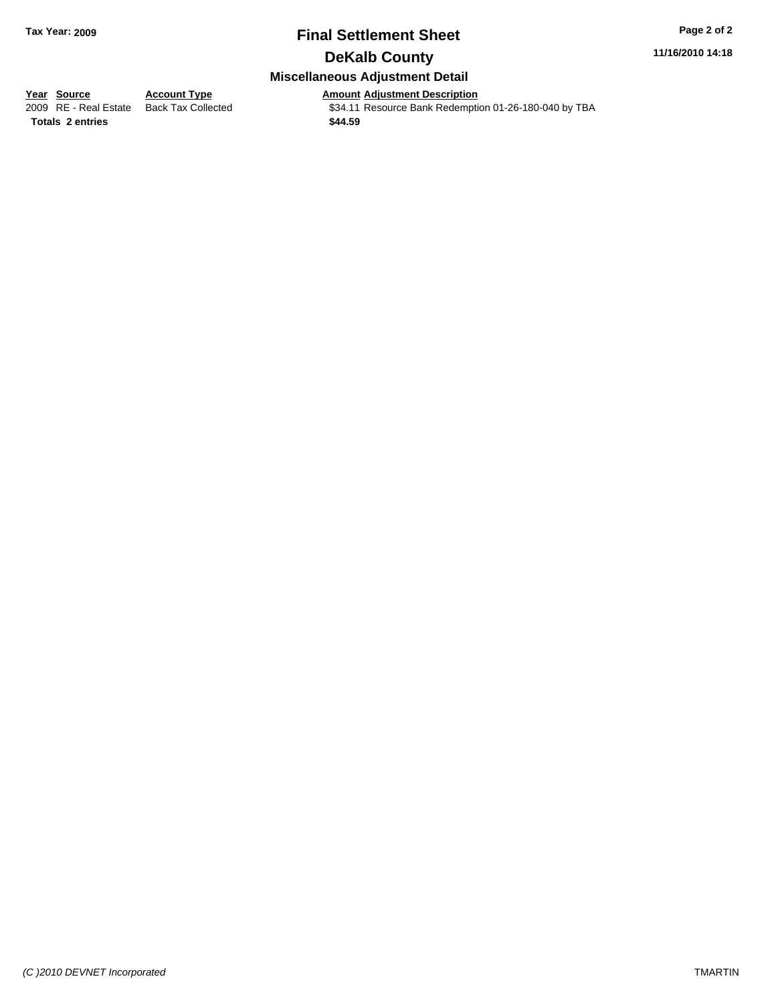# **Final Settlement Sheet Tax Year: 2009 Page 2 of 2**

**11/16/2010 14:18**

## **DeKalb County**

**Miscellaneous Adjustment Detail**

**<u>Year Source</u> <b>Account Type Amount Adjustment Description**<br> **Amount Adjustment Description**<br> **Amount Adjustment** Description \$34.11 Resource Bank Redemption 01-26-180-040 by TBA

**Totals \$44.59 2 entries**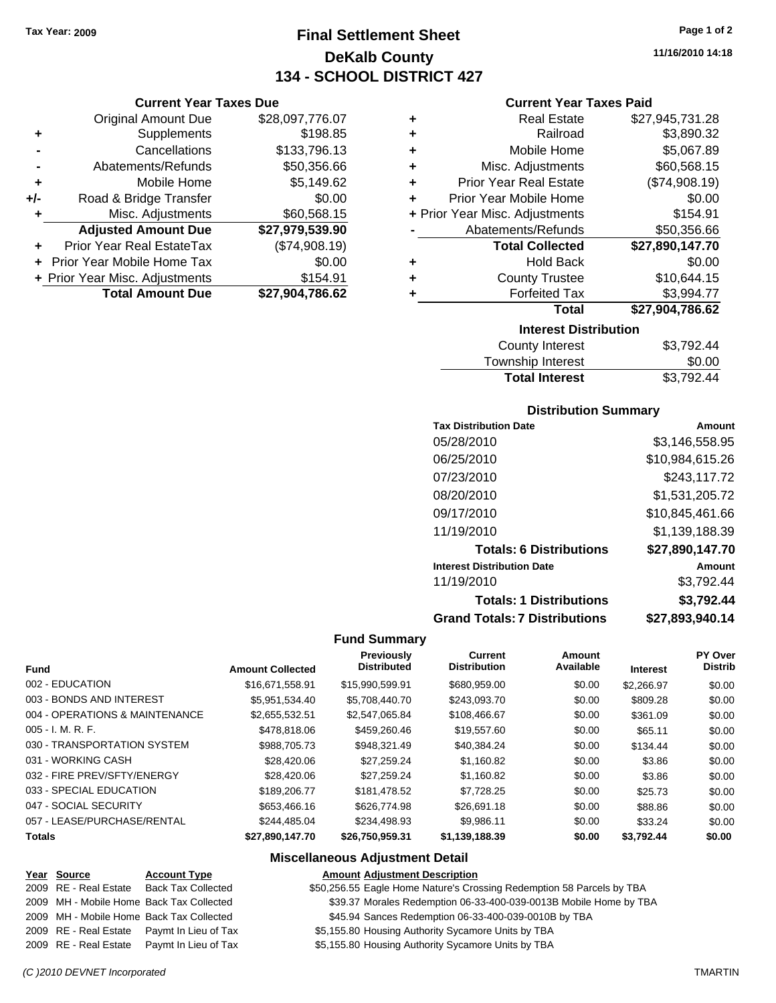**Current Year Taxes Due** Original Amount Due \$28,097,776.07

**Adjusted Amount Due \$27,979,539.90**

**Total Amount Due \$27,904,786.62**

**+** Supplements \$198.85 **-** Cancellations \$133,796.13 - Abatements/Refunds \$50,356.66 **+** Mobile Home \$5,149.62 **+/-** Road & Bridge Transfer \$0.00 **+** Misc. Adjustments \$60,568.15

**+** Prior Year Real EstateTax (\$74,908.19) **+** Prior Year Mobile Home Tax \$0.00 **+ Prior Year Misc. Adjustments \$154.91** 

# **Final Settlement Sheet Tax Year: 2009 Page 1 of 2 DeKalb County 134 - SCHOOL DISTRICT 427**

|                                | <b>Current Year Taxes Paid</b> |                  |  |  |  |
|--------------------------------|--------------------------------|------------------|--|--|--|
| ٠                              | <b>Real Estate</b>             | \$27,945,731.28  |  |  |  |
| ÷                              | Railroad                       | \$3,890.32       |  |  |  |
| ٠                              | Mobile Home                    | \$5,067.89       |  |  |  |
| ÷                              | Misc. Adjustments              | \$60,568.15      |  |  |  |
| ÷                              | <b>Prior Year Real Estate</b>  | (\$74,908.19)    |  |  |  |
| ÷                              | Prior Year Mobile Home         | \$0.00           |  |  |  |
| + Prior Year Misc. Adjustments |                                | \$154.91         |  |  |  |
|                                | Abatements/Refunds             | \$50,356.66      |  |  |  |
|                                | <b>Total Collected</b>         | \$27,890,147.70  |  |  |  |
| ٠                              | <b>Hold Back</b>               | \$0.00           |  |  |  |
| ٠                              | <b>County Trustee</b>          | \$10,644.15      |  |  |  |
| ٠                              | <b>Forfeited Tax</b>           | \$3,994.77       |  |  |  |
|                                | <b>Total</b>                   | \$27,904,786.62  |  |  |  |
|                                | <b>Interest Distribution</b>   |                  |  |  |  |
|                                |                                | <u>ດດັສດດ ເເ</u> |  |  |  |

| <b>Total Interest</b> | \$3,792.44 |
|-----------------------|------------|
| Township Interest     | \$0.00     |
| County Interest       | \$3,792.44 |

#### **Distribution Summary**

| <b>Tax Distribution Date</b>         | Amount          |
|--------------------------------------|-----------------|
| 05/28/2010                           | \$3.146.558.95  |
| 06/25/2010                           | \$10,984,615.26 |
| 07/23/2010                           | \$243,117.72    |
| 08/20/2010                           | \$1,531,205.72  |
| 09/17/2010                           | \$10,845,461.66 |
| 11/19/2010                           | \$1,139,188.39  |
| <b>Totals: 6 Distributions</b>       | \$27,890,147.70 |
| <b>Interest Distribution Date</b>    | Amount          |
| 11/19/2010                           | \$3,792.44      |
| <b>Totals: 1 Distributions</b>       | \$3,792.44      |
| <b>Grand Totals: 7 Distributions</b> | \$27,893,940.14 |

#### **Fund Summary**

| <b>Fund</b>                    | <b>Amount Collected</b> | Previously<br><b>Distributed</b> | <b>Current</b><br><b>Distribution</b> | Amount<br>Available | <b>Interest</b> | PY Over<br><b>Distrib</b> |
|--------------------------------|-------------------------|----------------------------------|---------------------------------------|---------------------|-----------------|---------------------------|
| 002 - EDUCATION                | \$16,671,558.91         | \$15,990,599.91                  | \$680,959,00                          | \$0.00              | \$2,266.97      | \$0.00                    |
| 003 - BONDS AND INTEREST       | \$5.951.534.40          | \$5.708.440.70                   | \$243,093.70                          | \$0.00              | \$809.28        | \$0.00                    |
| 004 - OPERATIONS & MAINTENANCE | \$2,655,532.51          | \$2,547,065.84                   | \$108,466.67                          | \$0.00              | \$361.09        | \$0.00                    |
| 005 - I. M. R. F.              | \$478,818,06            | \$459,260.46                     | \$19,557.60                           | \$0.00              | \$65.11         | \$0.00                    |
| 030 - TRANSPORTATION SYSTEM    | \$988.705.73            | \$948.321.49                     | \$40.384.24                           | \$0.00              | \$134.44        | \$0.00                    |
| 031 - WORKING CASH             | \$28,420.06             | \$27.259.24                      | \$1,160.82                            | \$0.00              | \$3.86          | \$0.00                    |
| 032 - FIRE PREV/SFTY/ENERGY    | \$28,420.06             | \$27,259.24                      | \$1.160.82                            | \$0.00              | \$3.86          | \$0.00                    |
| 033 - SPECIAL EDUCATION        | \$189,206.77            | \$181,478.52                     | \$7,728.25                            | \$0.00              | \$25.73         | \$0.00                    |
| 047 - SOCIAL SECURITY          | \$653,466.16            | \$626,774.98                     | \$26,691.18                           | \$0.00              | \$88.86         | \$0.00                    |
| 057 - LEASE/PURCHASE/RENTAL    | \$244.485.04            | \$234.498.93                     | \$9.986.11                            | \$0.00              | \$33.24         | \$0.00                    |
| <b>Totals</b>                  | \$27,890,147.70         | \$26,750,959.31                  | \$1,139,188.39                        | \$0.00              | \$3,792.44      | \$0.00                    |

#### **Miscellaneous Adjustment Detail**

#### **Year Source Account Type Amount Adjustment Description**

|  | . |                                            |  |
|--|---|--------------------------------------------|--|
|  |   | 2009 RE - Real Estate Back Tax Collected   |  |
|  |   | 2009 MH - Mobile Home Back Tax Collected   |  |
|  |   | 2009 MH - Mobile Home Back Tax Collected   |  |
|  |   | 2009 RE - Real Estate Paymt In Lieu of Tax |  |
|  |   | 2009 RE - Real Estate Paymt In Lieu of Tax |  |

\$50,256.55 Eagle Home Nature's Crossing Redemption 58 Parcels by TBA \$39.37 Morales Redemption 06-33-400-039-0013B Mobile Home by TBA

\$45.94 Sances Redemption 06-33-400-039-0010B by TBA

\$5,155.80 Housing Authority Sycamore Units by TBA

\$5,155.80 Housing Authority Sycamore Units by TBA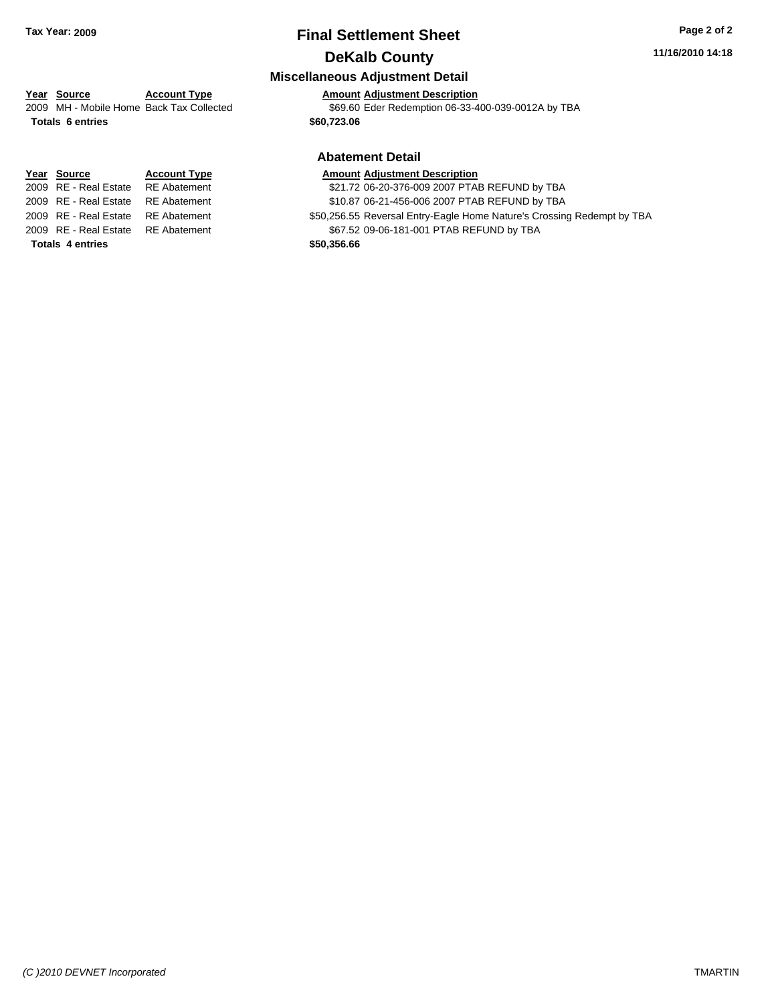# **Final Settlement Sheet Tax Year: 2009 Page 2 of 2 DeKalb County**

#### **11/16/2010 14:18**

#### **Miscellaneous Adjustment Detail**

2009 MH - Mobile Home Back Tax Collected \$69.60 Eder Redemption 06-33-400-039-0012A by TBA

#### **Abatement Detail**

#### **Amount Adjustment Description**

\$21.72 06-20-376-009 2007 PTAB REFUND by TBA

- \$10.87 06-21-456-006 2007 PTAB REFUND by TBA
- \$50,256.55 Reversal Entry-Eagle Home Nature's Crossing Redempt by TBA

\$67.52 09-06-181-001 PTAB REFUND by TBA

# **Year Source Account Type Amount Adjustment Description Totals \$60,723.06 6 entries**

| Year Source             | <b>Account Type</b> | <b>Amount</b> |
|-------------------------|---------------------|---------------|
| 2009 RE - Real Estate   | <b>RE</b> Abatement | \$21.72       |
| 2009 RE - Real Estate   | <b>RE</b> Abatement | \$10.87       |
| 2009 RE - Real Estate   | <b>RE</b> Abatement | \$50,256.55   |
| 2009 RE - Real Estate   | <b>RE</b> Abatement | \$67.52       |
| <b>Totals 4 entries</b> |                     | \$50,356.66   |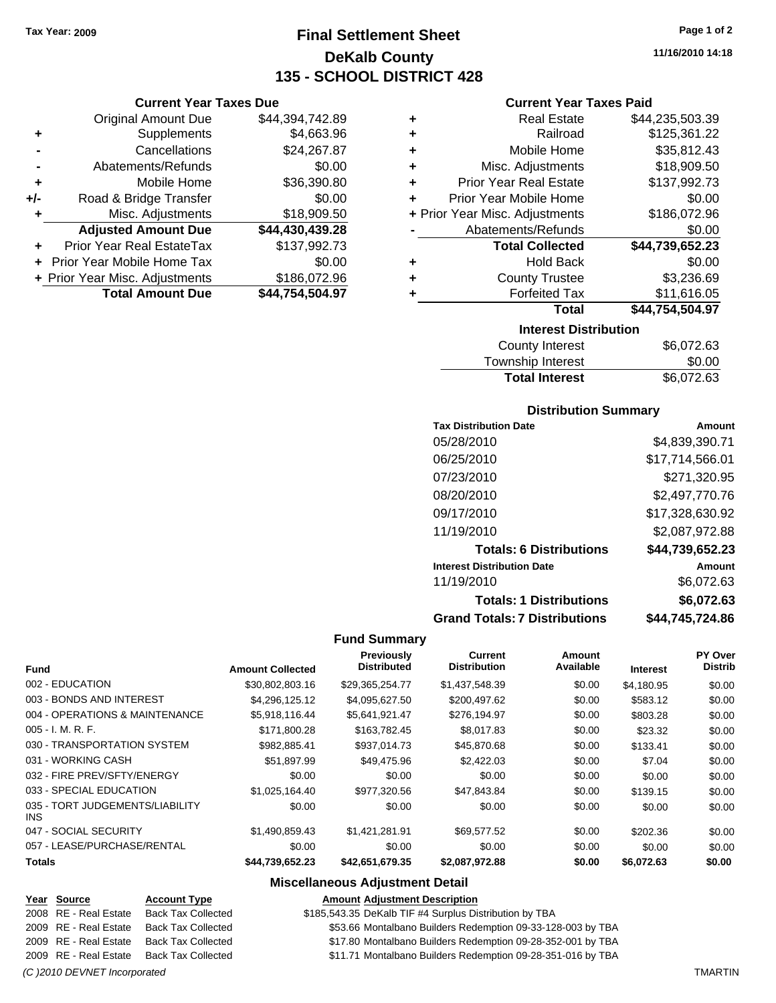**Current Year Taxes Due** Original Amount Due \$44,394,742.89

**Adjusted Amount Due \$44,430,439.28**

**Total Amount Due \$44,754,504.97**

**+** Supplements \$4,663.96 **-** Cancellations \$24,267.87 **-** Abatements/Refunds \$0.00 **+** Mobile Home \$36,390.80 **+/-** Road & Bridge Transfer \$0.00 **+** Misc. Adjustments \$18,909.50

**+** Prior Year Real EstateTax \$137,992.73 **+** Prior Year Mobile Home Tax \$0.00 **+** Prior Year Misc. Adjustments \$186,072.96

# **Final Settlement Sheet Tax Year: 2009 Page 1 of 2 DeKalb County 135 - SCHOOL DISTRICT 428**

**11/16/2010 14:18**

#### **Current Year Taxes Paid**

| <b>Interest Distribution</b>       |                 |
|------------------------------------|-----------------|
| Total                              | \$44,754,504.97 |
| <b>Forfeited Tax</b>               | \$11,616.05     |
| <b>County Trustee</b><br>٠         | \$3,236.69      |
| <b>Hold Back</b><br>٠              | \$0.00          |
| <b>Total Collected</b>             | \$44,739,652.23 |
| Abatements/Refunds                 | \$0.00          |
| + Prior Year Misc. Adjustments     | \$186,072.96    |
| Prior Year Mobile Home<br>٠        | \$0.00          |
| <b>Prior Year Real Estate</b><br>÷ | \$137,992.73    |
| Misc. Adjustments<br>٠             | \$18,909.50     |
| Mobile Home<br>÷                   | \$35,812.43     |
| Railroad<br>٠                      | \$125,361.22    |
| <b>Real Estate</b><br>٠            | \$44,235,503.39 |
|                                    |                 |

| County Interest       | \$6,072.63 |
|-----------------------|------------|
| Township Interest     | \$0.00     |
| <b>Total Interest</b> | \$6,072.63 |

#### **Distribution Summary**

| <b>Tax Distribution Date</b>         | Amount          |
|--------------------------------------|-----------------|
| 05/28/2010                           | \$4,839,390.71  |
| 06/25/2010                           | \$17,714,566.01 |
| 07/23/2010                           | \$271,320.95    |
| 08/20/2010                           | \$2,497,770.76  |
| 09/17/2010                           | \$17,328,630.92 |
| 11/19/2010                           | \$2,087,972.88  |
| <b>Totals: 6 Distributions</b>       | \$44,739,652.23 |
| <b>Interest Distribution Date</b>    | Amount          |
| 11/19/2010                           | \$6,072.63      |
| <b>Totals: 1 Distributions</b>       | \$6,072.63      |
| <b>Grand Totals: 7 Distributions</b> | \$44,745,724.86 |

#### **Fund Summary**

|                                         |                         | <b>Previously</b>  | Current             | <b>Amount</b> |                 | PY Over        |
|-----------------------------------------|-------------------------|--------------------|---------------------|---------------|-----------------|----------------|
| <b>Fund</b>                             | <b>Amount Collected</b> | <b>Distributed</b> | <b>Distribution</b> | Available     | <b>Interest</b> | <b>Distrib</b> |
| 002 - EDUCATION                         | \$30,802,803.16         | \$29,365,254.77    | \$1,437,548.39      | \$0.00        | \$4,180.95      | \$0.00         |
| 003 - BONDS AND INTEREST                | \$4,296,125.12          | \$4,095,627.50     | \$200,497.62        | \$0.00        | \$583.12        | \$0.00         |
| 004 - OPERATIONS & MAINTENANCE          | \$5,918,116.44          | \$5,641,921.47     | \$276,194.97        | \$0.00        | \$803.28        | \$0.00         |
| $005 - I. M. R. F.$                     | \$171,800.28            | \$163,782.45       | \$8,017.83          | \$0.00        | \$23.32         | \$0.00         |
| 030 - TRANSPORTATION SYSTEM             | \$982,885.41            | \$937,014.73       | \$45,870.68         | \$0.00        | \$133.41        | \$0.00         |
| 031 - WORKING CASH                      | \$51,897.99             | \$49,475.96        | \$2,422.03          | \$0.00        | \$7.04          | \$0.00         |
| 032 - FIRE PREV/SFTY/ENERGY             | \$0.00                  | \$0.00             | \$0.00              | \$0.00        | \$0.00          | \$0.00         |
| 033 - SPECIAL EDUCATION                 | \$1,025,164.40          | \$977,320.56       | \$47,843.84         | \$0.00        | \$139.15        | \$0.00         |
| 035 - TORT JUDGEMENTS/LIABILITY<br>INS. | \$0.00                  | \$0.00             | \$0.00              | \$0.00        | \$0.00          | \$0.00         |
| 047 - SOCIAL SECURITY                   | \$1,490,859.43          | \$1,421,281.91     | \$69,577.52         | \$0.00        | \$202.36        | \$0.00         |
| 057 - LEASE/PURCHASE/RENTAL             | \$0.00                  | \$0.00             | \$0.00              | \$0.00        | \$0.00          | \$0.00         |
| <b>Totals</b>                           | \$44,739,652.23         | \$42,651,679.35    | \$2,087,972.88      | \$0.00        | \$6,072.63      | \$0.00         |

#### **Miscellaneous Adjustment Detail**

#### **Year Source Account Type Amount Adjustment Description**

2008 RE - Real Estate Back Tax Collected \$185,543.35 DeKalb TIF #4 Surplus Distribution by TBA

2009 RE - Real Estate Back Tax Collected \$53.66 Montalbano Builders Redemption 09-33-128-003 by TBA

2009 RE - Real Estate Back Tax Collected \$17.80 Montalbano Builders Redemption 09-28-352-001 by TBA

2009 RE - Real Estate Back Tax Collected \$11.71 Montalbano Builders Redemption 09-28-351-016 by TBA

#### *(C )2010 DEVNET Incorporated* TMARTIN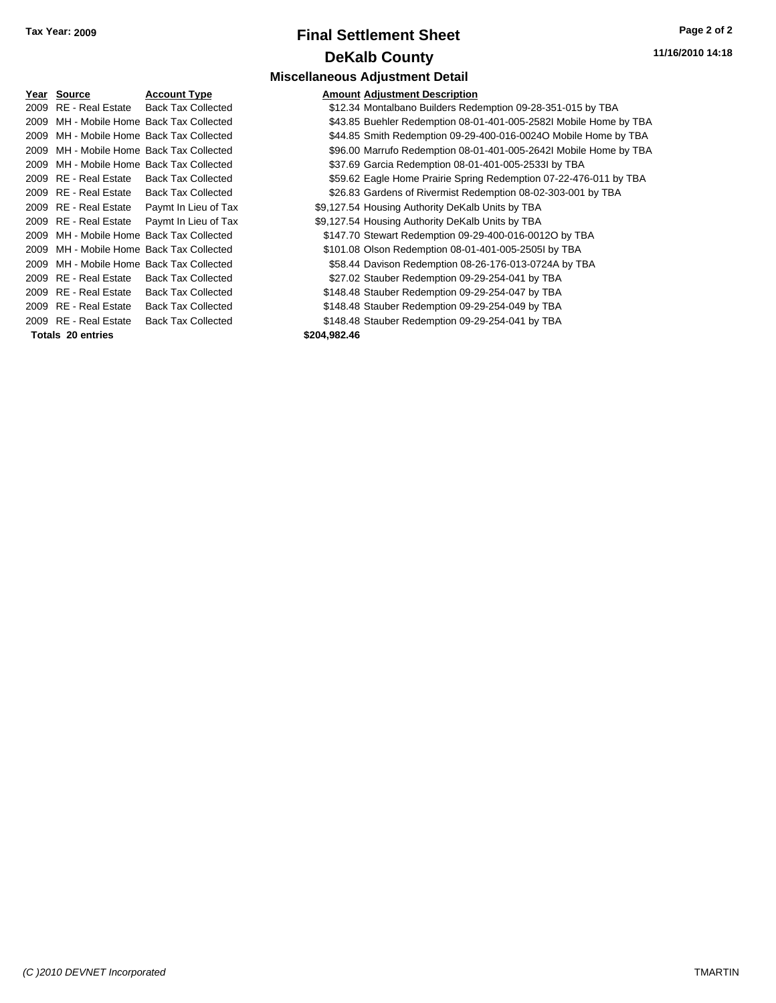# **Final Settlement Sheet Tax Year: 2009 Page 2 of 2 DeKalb County Miscellaneous Adjustment Detail**

| <u>Year</u> | Source                   | <b>Account Type</b>                      |              | <b>Amount Adjustment Description</b> |
|-------------|--------------------------|------------------------------------------|--------------|--------------------------------------|
|             | 2009 RE - Real Estate    | <b>Back Tax Collected</b>                |              | \$12.34 Montalbano Builders Red      |
|             |                          | 2009 MH - Mobile Home Back Tax Collected |              | \$43.85 Buehler Redemption 08-0      |
|             |                          | 2009 MH - Mobile Home Back Tax Collected |              | \$44.85 Smith Redemption 09-29-      |
|             |                          | 2009 MH - Mobile Home Back Tax Collected |              | \$96.00 Marrufo Redemption 08-0      |
|             |                          | 2009 MH - Mobile Home Back Tax Collected |              | \$37.69 Garcia Redemption 08-01      |
|             |                          | 2009 RE - Real Estate Back Tax Collected |              | \$59.62 Eagle Home Prairie Sprin     |
|             | 2009 RE - Real Estate    | <b>Back Tax Collected</b>                |              | \$26.83 Gardens of Rivermist Red     |
|             | 2009 RE - Real Estate    | Paymt In Lieu of Tax                     |              | \$9,127.54 Housing Authority DeKalb  |
|             | 2009 RE - Real Estate    | Paymt In Lieu of Tax                     |              | \$9,127.54 Housing Authority DeKalb  |
|             |                          | 2009 MH - Mobile Home Back Tax Collected |              | \$147.70 Stewart Redemption 09-2     |
|             |                          | 2009 MH - Mobile Home Back Tax Collected |              | \$101.08 Olson Redemption 08-01      |
|             |                          | 2009 MH - Mobile Home Back Tax Collected |              | \$58.44 Davison Redemption 08-2      |
|             | 2009 RE - Real Estate    | <b>Back Tax Collected</b>                |              | \$27.02 Stauber Redemption 09-2      |
|             | 2009 RE - Real Estate    | <b>Back Tax Collected</b>                |              | \$148.48 Stauber Redemption 09-2     |
|             | 2009 RE - Real Estate    | <b>Back Tax Collected</b>                |              | \$148.48 Stauber Redemption 09-2     |
|             | 2009 RE - Real Estate    | <b>Back Tax Collected</b>                |              | \$148.48 Stauber Redemption 09-2     |
|             | <b>Totals 20 entries</b> |                                          | \$204,982.46 |                                      |

| Year Source              | <b>Account Type</b>                      | <b>Amount Adjustment Description</b>                              |
|--------------------------|------------------------------------------|-------------------------------------------------------------------|
| 2009 RE - Real Estate    | <b>Back Tax Collected</b>                | \$12.34 Montalbano Builders Redemption 09-28-351-015 by TBA       |
|                          | 2009 MH - Mobile Home Back Tax Collected | \$43.85 Buehler Redemption 08-01-401-005-2582l Mobile Home by TBA |
|                          | 2009 MH - Mobile Home Back Tax Collected | \$44.85 Smith Redemption 09-29-400-016-0024O Mobile Home by TBA   |
|                          | 2009 MH - Mobile Home Back Tax Collected | \$96.00 Marrufo Redemption 08-01-401-005-2642l Mobile Home by TBA |
|                          | 2009 MH - Mobile Home Back Tax Collected | \$37.69 Garcia Redemption 08-01-401-005-2533l by TBA              |
| 2009 RE - Real Estate    | <b>Back Tax Collected</b>                | \$59.62 Eagle Home Prairie Spring Redemption 07-22-476-011 by TBA |
| 2009 RE - Real Estate    | <b>Back Tax Collected</b>                | \$26.83 Gardens of Rivermist Redemption 08-02-303-001 by TBA      |
| 2009 RE - Real Estate    | Paymt In Lieu of Tax                     | \$9,127.54 Housing Authority DeKalb Units by TBA                  |
| 2009 RE - Real Estate    | Paymt In Lieu of Tax                     | \$9,127.54 Housing Authority DeKalb Units by TBA                  |
|                          | 2009 MH - Mobile Home Back Tax Collected | \$147.70 Stewart Redemption 09-29-400-016-0012O by TBA            |
|                          | 2009 MH - Mobile Home Back Tax Collected | \$101.08 Olson Redemption 08-01-401-005-2505l by TBA              |
|                          | 2009 MH - Mobile Home Back Tax Collected | \$58.44 Davison Redemption 08-26-176-013-0724A by TBA             |
| 2009 RE - Real Estate    | <b>Back Tax Collected</b>                | \$27.02 Stauber Redemption 09-29-254-041 by TBA                   |
| 2009 RE - Real Estate    | <b>Back Tax Collected</b>                | \$148.48 Stauber Redemption 09-29-254-047 by TBA                  |
| 2009 RE - Real Estate    | <b>Back Tax Collected</b>                | \$148.48 Stauber Redemption 09-29-254-049 by TBA                  |
| 2009 RE - Real Estate    | <b>Back Tax Collected</b>                | \$148.48 Stauber Redemption 09-29-254-041 by TBA                  |
| <b>Totals 20 entries</b> |                                          | \$204,982.46                                                      |
|                          |                                          |                                                                   |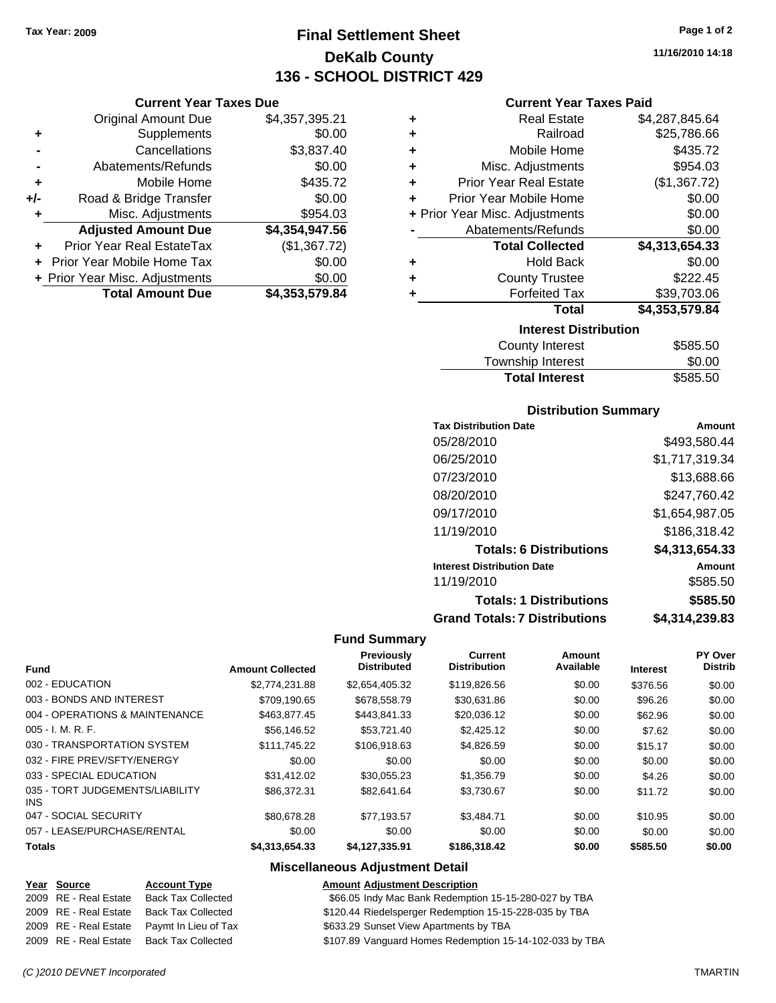**Current Year Taxes Due** Original Amount Due \$4,357,395.21

**Adjusted Amount Due \$4,354,947.56**

**+** Supplements \$0.00 **-** Cancellations \$3,837.40 **-** Abatements/Refunds \$0.00 **+** Mobile Home \$435.72 **+/-** Road & Bridge Transfer \$0.00 **+** Misc. Adjustments \$954.03

**+** Prior Year Real EstateTax (\$1,367.72) **+** Prior Year Mobile Home Tax \$0.00 **+ Prior Year Misc. Adjustments \$0.00<br>Total Amount Due \$4,353,579.84** 

**Total Amount Due** 

# **Final Settlement Sheet Tax Year: 2009 Page 1 of 2 DeKalb County 136 - SCHOOL DISTRICT 429**

**11/16/2010 14:18**

#### **Current Year Taxes Paid**

| ٠ | <b>Real Estate</b>             | \$4,287,845.64 |
|---|--------------------------------|----------------|
| ÷ | Railroad                       | \$25,786.66    |
| ٠ | Mobile Home                    | \$435.72       |
| ÷ | Misc. Adjustments              | \$954.03       |
| ÷ | <b>Prior Year Real Estate</b>  | (\$1,367.72)   |
| ÷ | Prior Year Mobile Home         | \$0.00         |
|   | + Prior Year Misc. Adjustments | \$0.00         |
|   | Abatements/Refunds             | \$0.00         |
|   | <b>Total Collected</b>         | \$4,313,654.33 |
| ٠ | <b>Hold Back</b>               | \$0.00         |
| ٠ | <b>County Trustee</b>          | \$222.45       |
|   | <b>Forfeited Tax</b>           | \$39,703.06    |
|   | <b>Total</b>                   | \$4,353,579.84 |
|   | <b>Interest Distribution</b>   |                |
|   | County Interest                | <b>CERE EN</b> |

| <b>County Interest</b> | \$585.50 |
|------------------------|----------|
| Township Interest      | \$0.00   |
| <b>Total Interest</b>  | \$585.50 |

#### **Distribution Summary**

| <b>Tax Distribution Date</b>         | Amount         |
|--------------------------------------|----------------|
| 05/28/2010                           | \$493,580.44   |
| 06/25/2010                           | \$1,717,319.34 |
| 07/23/2010                           | \$13,688.66    |
| 08/20/2010                           | \$247,760.42   |
| 09/17/2010                           | \$1,654,987.05 |
| 11/19/2010                           | \$186,318.42   |
| <b>Totals: 6 Distributions</b>       | \$4,313,654.33 |
| <b>Interest Distribution Date</b>    | Amount         |
| 11/19/2010                           | \$585.50       |
| <b>Totals: 1 Distributions</b>       | \$585.50       |
| <b>Grand Totals: 7 Distributions</b> | \$4,314,239.83 |

#### **Fund Summary**

|                                               |                         | Previously         | <b>Current</b>      | Amount    |                 | PY Over        |
|-----------------------------------------------|-------------------------|--------------------|---------------------|-----------|-----------------|----------------|
| <b>Fund</b>                                   | <b>Amount Collected</b> | <b>Distributed</b> | <b>Distribution</b> | Available | <b>Interest</b> | <b>Distrib</b> |
| 002 - EDUCATION                               | \$2,774,231.88          | \$2,654,405.32     | \$119,826.56        | \$0.00    | \$376.56        | \$0.00         |
| 003 - BONDS AND INTEREST                      | \$709.190.65            | \$678,558.79       | \$30.631.86         | \$0.00    | \$96.26         | \$0.00         |
| 004 - OPERATIONS & MAINTENANCE                | \$463,877.45            | \$443,841.33       | \$20,036.12         | \$0.00    | \$62.96         | \$0.00         |
| $005 - I. M. R. F.$                           | \$56,146.52             | \$53.721.40        | \$2,425.12          | \$0.00    | \$7.62          | \$0.00         |
| 030 - TRANSPORTATION SYSTEM                   | \$111.745.22            | \$106.918.63       | \$4.826.59          | \$0.00    | \$15.17         | \$0.00         |
| 032 - FIRE PREV/SFTY/ENERGY                   | \$0.00                  | \$0.00             | \$0.00              | \$0.00    | \$0.00          | \$0.00         |
| 033 - SPECIAL EDUCATION                       | \$31,412.02             | \$30,055.23        | \$1,356.79          | \$0.00    | \$4.26          | \$0.00         |
| 035 - TORT JUDGEMENTS/LIABILITY<br><b>INS</b> | \$86,372,31             | \$82.641.64        | \$3,730.67          | \$0.00    | \$11.72         | \$0.00         |
| 047 - SOCIAL SECURITY                         | \$80,678.28             | \$77.193.57        | \$3.484.71          | \$0.00    | \$10.95         | \$0.00         |
| 057 - LEASE/PURCHASE/RENTAL                   | \$0.00                  | \$0.00             | \$0.00              | \$0.00    | \$0.00          | \$0.00         |
| <b>Totals</b>                                 | \$4,313,654,33          | \$4.127.335.91     | \$186,318,42        | \$0.00    | \$585.50        | \$0.00         |

#### **Miscellaneous Adjustment Detail**

#### **Year Source Account Type Amount Adjustment Description**

| 2009 RE - Real Estate | Back Tax Collected   | \$66.05 Indy Mac Bank Redemption 15-15-280-027 by TBA   |
|-----------------------|----------------------|---------------------------------------------------------|
| 2009 RE - Real Estate | Back Tax Collected   | \$120.44 Riedelsperger Redemption 15-15-228-035 by TBA  |
| 2009 RE - Real Estate | Pavmt In Lieu of Tax | \$633.29 Sunset View Apartments by TBA                  |
| 2009 RE - Real Estate | Back Tax Collected   | \$107.89 Vanguard Homes Redemption 15-14-102-033 by TBA |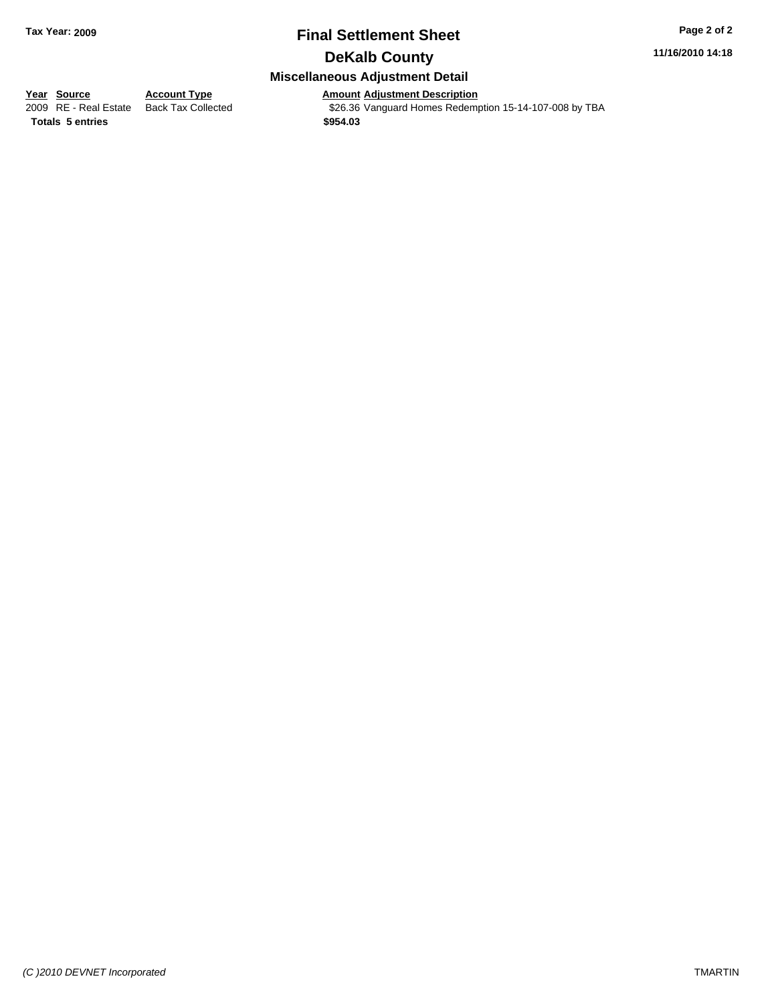# **Final Settlement Sheet Tax Year: 2009 Page 2 of 2**

**11/16/2010 14:18**

# **Miscellaneous Adjustment Detail**

**Year Source Account Type Amount Adjustment Description**<br> **Amount Adjustment Description**<br> **Amount Adjustment Description**<br>
\$26.36 Vanguard Homes Redempt \$26.36 Vanguard Homes Redemption 15-14-107-008 by TBA **Totals \$954.03 5 entries**

**DeKalb County**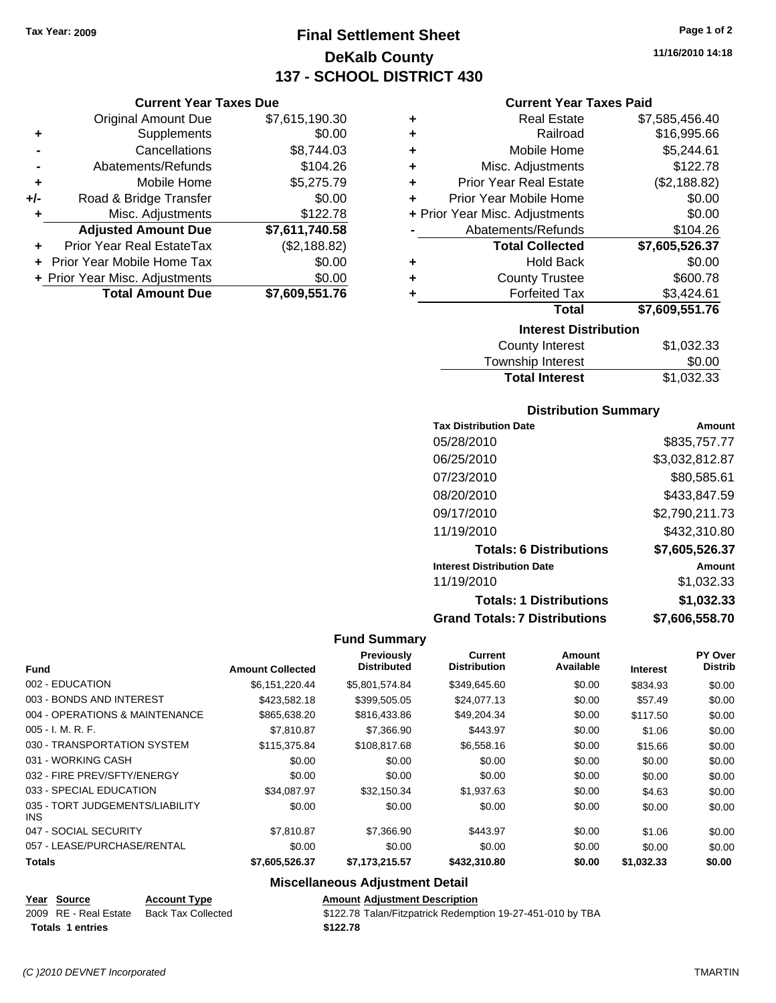**Current Year Taxes Due** Original Amount Due \$7,615,190.30

**Adjusted Amount Due \$7,611,740.58**

**Total Amount Due \$7,609,551.76**

**+** Supplements \$0.00 **-** Cancellations \$8,744.03 **-** Abatements/Refunds \$104.26 **+** Mobile Home \$5,275.79 **+/-** Road & Bridge Transfer \$0.00 **+** Misc. Adjustments \$122.78

**+** Prior Year Real EstateTax (\$2,188.82) **+** Prior Year Mobile Home Tax \$0.00 **+ Prior Year Misc. Adjustments**  $$0.00$ 

# **Final Settlement Sheet Tax Year: 2009 Page 1 of 2 DeKalb County 137 - SCHOOL DISTRICT 430**

**11/16/2010 14:18**

#### **Current Year Taxes Paid**

| ٠ | <b>Real Estate</b>             | \$7,585,456.40 |
|---|--------------------------------|----------------|
| ÷ | Railroad                       | \$16,995.66    |
| ÷ | Mobile Home                    | \$5,244.61     |
| ÷ | Misc. Adjustments              | \$122.78       |
| ÷ | <b>Prior Year Real Estate</b>  | (\$2,188.82)   |
| ÷ | Prior Year Mobile Home         | \$0.00         |
|   | + Prior Year Misc. Adjustments | \$0.00         |
|   | Abatements/Refunds             | \$104.26       |
|   | <b>Total Collected</b>         | \$7,605,526.37 |
| ٠ | <b>Hold Back</b>               | \$0.00         |
| ٠ | <b>County Trustee</b>          | \$600.78       |
| ٠ | <b>Forfeited Tax</b>           | \$3,424.61     |
|   | <b>Total</b>                   | \$7,609,551.76 |
|   | <b>Interest Distribution</b>   |                |
|   | County Interest                | \$1,032.33     |

| County Interest       | \$1,032.33 |
|-----------------------|------------|
| Township Interest     | \$0.00     |
| <b>Total Interest</b> | \$1,032.33 |

#### **Distribution Summary**

| <b>Tax Distribution Date</b>         | Amount         |
|--------------------------------------|----------------|
| 05/28/2010                           | \$835,757.77   |
| 06/25/2010                           | \$3,032,812.87 |
| 07/23/2010                           | \$80,585.61    |
| 08/20/2010                           | \$433.847.59   |
| 09/17/2010                           | \$2,790,211.73 |
| 11/19/2010                           | \$432,310.80   |
| <b>Totals: 6 Distributions</b>       | \$7,605,526.37 |
| <b>Interest Distribution Date</b>    | Amount         |
| 11/19/2010                           | \$1,032.33     |
| <b>Totals: 1 Distributions</b>       | \$1,032.33     |
| <b>Grand Totals: 7 Distributions</b> | \$7,606,558.70 |

#### **Fund Summary**

|                                         |                         | Previously         | Current<br><b>Distribution</b> | Amount<br>Available |                 | PY Over<br><b>Distrib</b> |
|-----------------------------------------|-------------------------|--------------------|--------------------------------|---------------------|-----------------|---------------------------|
| <b>Fund</b>                             | <b>Amount Collected</b> | <b>Distributed</b> |                                |                     | <b>Interest</b> |                           |
| 002 - EDUCATION                         | \$6,151,220.44          | \$5,801,574.84     | \$349,645.60                   | \$0.00              | \$834.93        | \$0.00                    |
| 003 - BONDS AND INTEREST                | \$423,582.18            | \$399,505.05       | \$24,077.13                    | \$0.00              | \$57.49         | \$0.00                    |
| 004 - OPERATIONS & MAINTENANCE          | \$865,638,20            | \$816,433.86       | \$49,204.34                    | \$0.00              | \$117.50        | \$0.00                    |
| $005 - I. M. R. F.$                     | \$7.810.87              | \$7,366.90         | \$443.97                       | \$0.00              | \$1.06          | \$0.00                    |
| 030 - TRANSPORTATION SYSTEM             | \$115,375.84            | \$108,817.68       | \$6,558.16                     | \$0.00              | \$15.66         | \$0.00                    |
| 031 - WORKING CASH                      | \$0.00                  | \$0.00             | \$0.00                         | \$0.00              | \$0.00          | \$0.00                    |
| 032 - FIRE PREV/SFTY/ENERGY             | \$0.00                  | \$0.00             | \$0.00                         | \$0.00              | \$0.00          | \$0.00                    |
| 033 - SPECIAL EDUCATION                 | \$34.087.97             | \$32,150.34        | \$1,937.63                     | \$0.00              | \$4.63          | \$0.00                    |
| 035 - TORT JUDGEMENTS/LIABILITY<br>INS. | \$0.00                  | \$0.00             | \$0.00                         | \$0.00              | \$0.00          | \$0.00                    |
| 047 - SOCIAL SECURITY                   | \$7.810.87              | \$7,366.90         | \$443.97                       | \$0.00              | \$1.06          | \$0.00                    |
| 057 - LEASE/PURCHASE/RENTAL             | \$0.00                  | \$0.00             | \$0.00                         | \$0.00              | \$0.00          | \$0.00                    |
| <b>Totals</b>                           | \$7,605,526.37          | \$7,173,215.57     | \$432,310.80                   | \$0.00              | \$1,032.33      | \$0.00                    |

### **Miscellaneous Adjustment Detail**

|  |  | Year Source | <b>Account Type</b> | <b>Amount Adjustment Description</b> |
|--|--|-------------|---------------------|--------------------------------------|
|--|--|-------------|---------------------|--------------------------------------|

2009 RE - Real Estate Back Tax Collected \$122.78 Talan/Fitzpatrick Redemption 19-27-451-010 by TBA **Totals \$122.78 1 entries**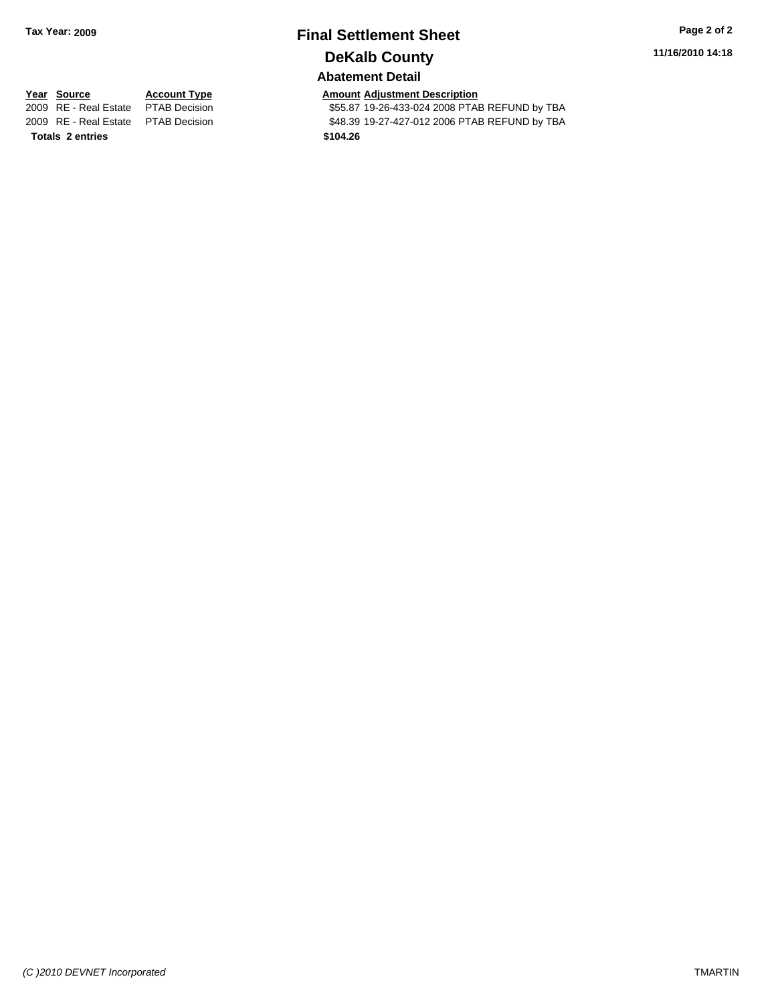# **Final Settlement Sheet Tax Year: 2009 Page 2 of 2 DeKalb County**

**11/16/2010 14:18**

#### **Abatement Detail**

\$55.87 19-26-433-024 2008 PTAB REFUND by TBA 2009 RE - Real Estate \$48.39 19-27-427-012 2006 PTAB REFUND by TBA PTAB Decision

**Year Source Account Type Amount Adjustment Description**<br>
2009 RE - Real Estate PTAB Decision **Amount** \$55.87 19-26-433-024 2008 PTAI **Totals \$104.26 2 entries**

*(C )2010 DEVNET Incorporated* TMARTIN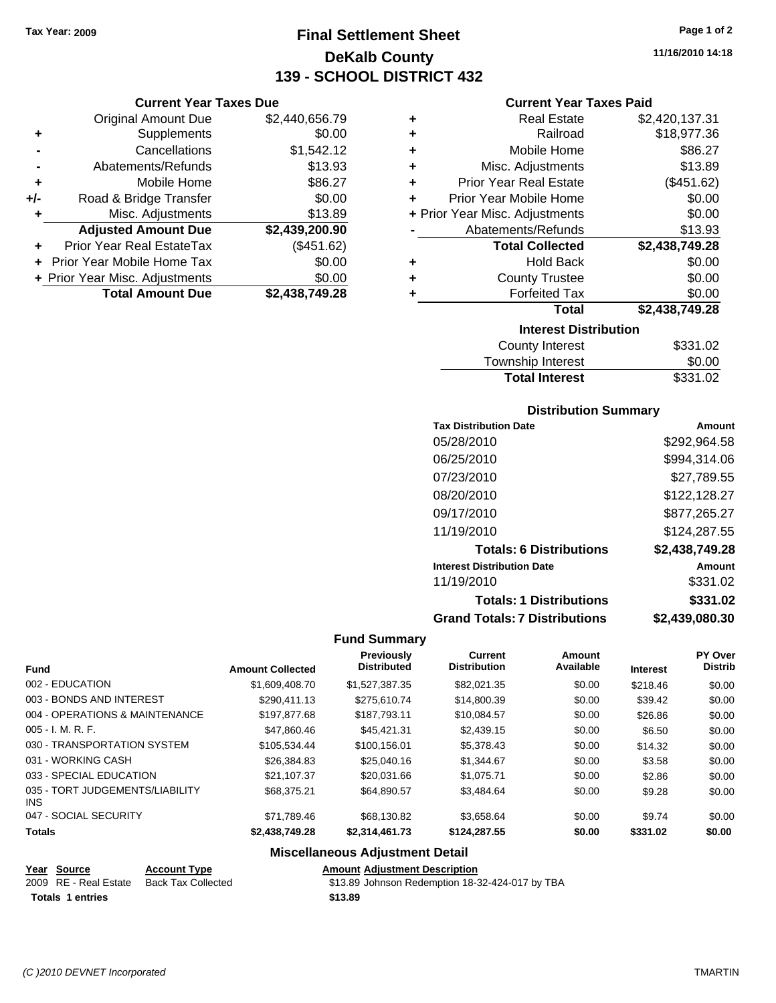**Current Year Taxes Due** Original Amount Due \$2,440,656.79

**Adjusted Amount Due \$2,439,200.90**

**Total Amount Due \$2,438,749.28**

**+** Supplements \$0.00 **-** Cancellations \$1,542.12 **-** Abatements/Refunds \$13.93 **+** Mobile Home \$86.27 **+/-** Road & Bridge Transfer \$0.00 **+** Misc. Adjustments \$13.89

**+** Prior Year Real EstateTax (\$451.62) **+** Prior Year Mobile Home Tax \$0.00 **+ Prior Year Misc. Adjustments**  $$0.00$ 

# **Final Settlement Sheet Tax Year: 2009 Page 1 of 2 DeKalb County 139 - SCHOOL DISTRICT 432**

**11/16/2010 14:18**

#### **Current Year Taxes Paid**

| ٠ | <b>Real Estate</b>             | \$2,420,137.31 |
|---|--------------------------------|----------------|
| ٠ | Railroad                       | \$18,977.36    |
| ٠ | Mobile Home                    | \$86.27        |
| ٠ | Misc. Adjustments              | \$13.89        |
| ÷ | <b>Prior Year Real Estate</b>  | (\$451.62)     |
| ÷ | Prior Year Mobile Home         | \$0.00         |
|   | + Prior Year Misc. Adjustments | \$0.00         |
|   | Abatements/Refunds             | \$13.93        |
|   | <b>Total Collected</b>         | \$2,438,749.28 |
| ٠ | <b>Hold Back</b>               | \$0.00         |
| ٠ | <b>County Trustee</b>          | \$0.00         |
| ٠ | <b>Forfeited Tax</b>           | \$0.00         |
|   | <b>Total</b>                   | \$2,438,749.28 |
|   | <b>Interest Distribution</b>   |                |
|   | <b>County Interest</b>         | \$331.02       |

| <b>Total Interest</b> | \$331.02 |
|-----------------------|----------|
| Township Interest     | \$0.00   |
| County Interest       | \$331.02 |

#### **Distribution Summary**

| <b>Tax Distribution Date</b>         | Amount         |
|--------------------------------------|----------------|
| 05/28/2010                           | \$292,964.58   |
| 06/25/2010                           | \$994,314.06   |
| 07/23/2010                           | \$27,789.55    |
| 08/20/2010                           | \$122,128.27   |
| 09/17/2010                           | \$877,265.27   |
| 11/19/2010                           | \$124,287.55   |
| <b>Totals: 6 Distributions</b>       | \$2,438,749.28 |
| <b>Interest Distribution Date</b>    | Amount         |
| 11/19/2010                           | \$331.02       |
| <b>Totals: 1 Distributions</b>       | \$331.02       |
| <b>Grand Totals: 7 Distributions</b> | \$2,439,080.30 |

#### **Fund Summary**

| <b>Fund</b>                             | <b>Amount Collected</b> | Previously<br><b>Distributed</b> | <b>Current</b><br><b>Distribution</b> | Amount<br>Available | <b>Interest</b> | PY Over<br><b>Distrib</b> |
|-----------------------------------------|-------------------------|----------------------------------|---------------------------------------|---------------------|-----------------|---------------------------|
| 002 - EDUCATION                         | \$1,609,408.70          | \$1.527.387.35                   | \$82.021.35                           | \$0.00              | \$218.46        | \$0.00                    |
| 003 - BONDS AND INTEREST                | \$290.411.13            | \$275.610.74                     | \$14,800.39                           | \$0.00              | \$39.42         | \$0.00                    |
| 004 - OPERATIONS & MAINTENANCE          | \$197.877.68            | \$187.793.11                     | \$10.084.57                           | \$0.00              | \$26.86         | \$0.00                    |
| $005 - I. M. R. F.$                     | \$47.860.46             | \$45,421.31                      | \$2,439.15                            | \$0.00              | \$6.50          | \$0.00                    |
| 030 - TRANSPORTATION SYSTEM             | \$105.534.44            | \$100.156.01                     | \$5,378.43                            | \$0.00              | \$14.32         | \$0.00                    |
| 031 - WORKING CASH                      | \$26,384.83             | \$25,040.16                      | \$1.344.67                            | \$0.00              | \$3.58          | \$0.00                    |
| 033 - SPECIAL EDUCATION                 | \$21.107.37             | \$20.031.66                      | \$1.075.71                            | \$0.00              | \$2.86          | \$0.00                    |
| 035 - TORT JUDGEMENTS/LIABILITY<br>INS. | \$68,375.21             | \$64.890.57                      | \$3.484.64                            | \$0.00              | \$9.28          | \$0.00                    |
| 047 - SOCIAL SECURITY                   | \$71.789.46             | \$68,130.82                      | \$3.658.64                            | \$0.00              | \$9.74          | \$0.00                    |
| <b>Totals</b>                           | \$2,438,749.28          | \$2,314,461.73                   | \$124,287.55                          | \$0.00              | \$331.02        | \$0.00                    |

## **Miscellaneous Adjustment Detail**

|  |  | <b>Amount Adjustment Description</b> |
|--|--|--------------------------------------|
|--|--|--------------------------------------|

| 2009 RE - Real Estate Back Tax Collected |         | \$13.89 Johnson Redemption 18-32-424-017 by TBA |
|------------------------------------------|---------|-------------------------------------------------|
| <b>Totals 1 entries</b>                  | \$13.89 |                                                 |

**Year Source Account** Type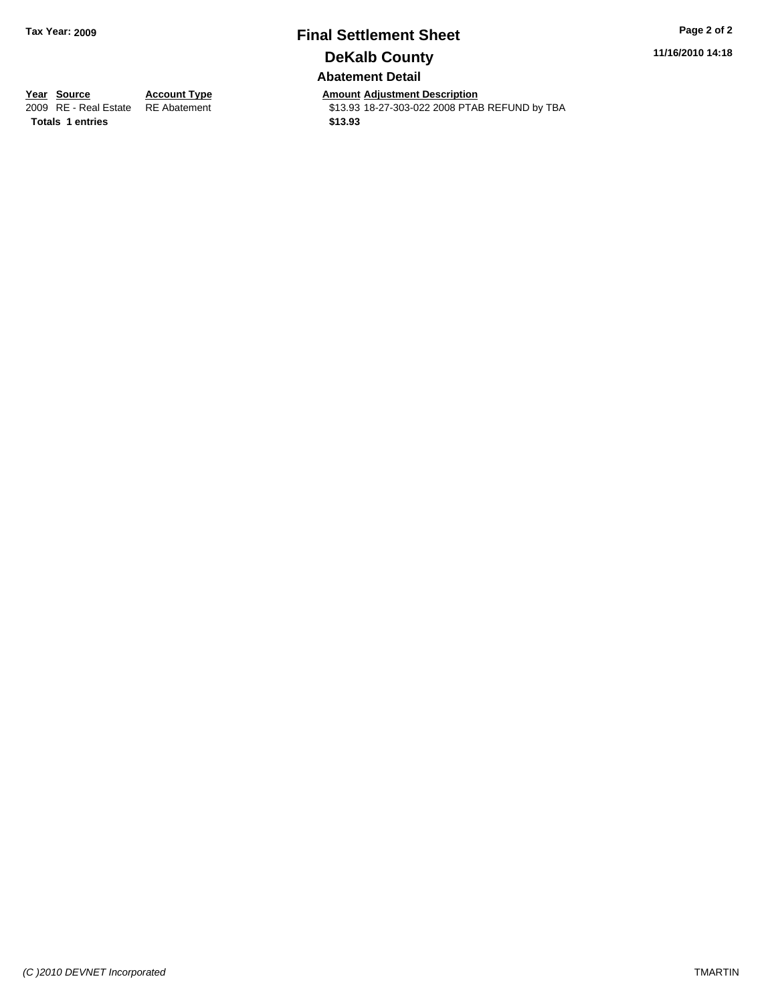# **Final Settlement Sheet Tax Year: 2009 Page 2 of 2 DeKalb County Abatement Detail**

**11/16/2010 14:18**

**Totals \$13.93 1 entries**

**Year Source Account Type Amount Adjustment Description**<br> **2009** RE - Real Estate RE Abatement **Adjustment** 513.93 18-27-303-022 2008 PTAI \$13.93 18-27-303-022 2008 PTAB REFUND by TBA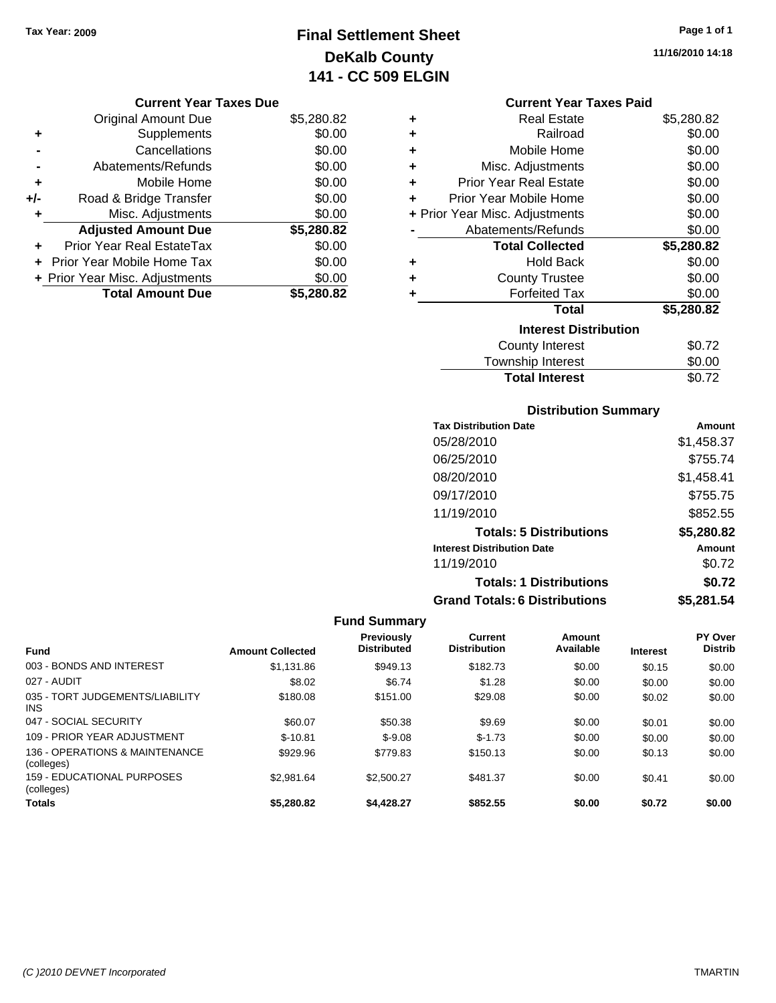# **Final Settlement Sheet Tax Year: 2009 Page 1 of 1 DeKalb County 141 - CC 509 ELGIN**

**11/16/2010 14:18**

#### **Current Year Taxes Due**

|       | <b>Original Amount Due</b>     | \$5,280.82 |
|-------|--------------------------------|------------|
| ٠     | Supplements                    | \$0.00     |
|       | Cancellations                  | \$0.00     |
|       | Abatements/Refunds             | \$0.00     |
| ÷     | Mobile Home                    | \$0.00     |
| $+/-$ | Road & Bridge Transfer         | \$0.00     |
| ٠     | Misc. Adjustments              | \$0.00     |
|       | <b>Adjusted Amount Due</b>     | \$5,280.82 |
| ÷     | Prior Year Real EstateTax      | \$0.00     |
|       | Prior Year Mobile Home Tax     | \$0.00     |
|       | + Prior Year Misc. Adjustments | \$0.00     |
|       | <b>Total Amount Due</b>        | \$5,280.82 |

#### **Current Year Taxes Paid**

| ٠ | <b>Real Estate</b>             | \$5,280.82 |
|---|--------------------------------|------------|
| ÷ | Railroad                       | \$0.00     |
| ٠ | Mobile Home                    | \$0.00     |
| ٠ | Misc. Adjustments              | \$0.00     |
| ÷ | <b>Prior Year Real Estate</b>  | \$0.00     |
| ÷ | Prior Year Mobile Home         | \$0.00     |
|   | + Prior Year Misc. Adjustments | \$0.00     |
|   | Abatements/Refunds             | \$0.00     |
|   |                                |            |
|   | <b>Total Collected</b>         | \$5,280.82 |
| ٠ | <b>Hold Back</b>               | \$0.00     |
| ÷ | <b>County Trustee</b>          | \$0.00     |
| ٠ | <b>Forfeited Tax</b>           | \$0.00     |
|   | <b>Total</b>                   | \$5,280.82 |
|   | <b>Interest Distribution</b>   |            |
|   | County Interest                | \$0.72     |

# **Distribution Summary**

**Total Interest** \$0.72

| <b>Tax Distribution Date</b>         | Amount     |
|--------------------------------------|------------|
| 05/28/2010                           | \$1,458.37 |
| 06/25/2010                           | \$755.74   |
| 08/20/2010                           | \$1,458.41 |
| 09/17/2010                           | \$755.75   |
| 11/19/2010                           | \$852.55   |
| <b>Totals: 5 Distributions</b>       | \$5,280.82 |
| <b>Interest Distribution Date</b>    | Amount     |
| 11/19/2010                           | \$0.72     |
| <b>Totals: 1 Distributions</b>       | \$0.72     |
| <b>Grand Totals: 6 Distributions</b> | \$5,281.54 |

| <b>Fund</b>                                     | <b>Amount Collected</b> | <b>Previously</b><br><b>Distributed</b> | Current<br><b>Distribution</b> | Amount<br>Available | <b>Interest</b> | <b>PY Over</b><br><b>Distrib</b> |
|-------------------------------------------------|-------------------------|-----------------------------------------|--------------------------------|---------------------|-----------------|----------------------------------|
|                                                 |                         |                                         |                                |                     |                 |                                  |
| 003 - BONDS AND INTEREST                        | \$1,131.86              | \$949.13                                | \$182.73                       | \$0.00              | \$0.15          | \$0.00                           |
| 027 - AUDIT                                     | \$8.02                  | \$6.74                                  | \$1.28                         | \$0.00              | \$0.00          | \$0.00                           |
| 035 - TORT JUDGEMENTS/LIABILITY<br>INS          | \$180.08                | \$151.00                                | \$29.08                        | \$0.00              | \$0.02          | \$0.00                           |
| 047 - SOCIAL SECURITY                           | \$60.07                 | \$50.38                                 | \$9.69                         | \$0.00              | \$0.01          | \$0.00                           |
| 109 - PRIOR YEAR ADJUSTMENT                     | $$-10.81$               | $$-9.08$                                | $$-1.73$                       | \$0.00              | \$0.00          | \$0.00                           |
| 136 - OPERATIONS & MAINTENANCE<br>(colleges)    | \$929.96                | \$779.83                                | \$150.13                       | \$0.00              | \$0.13          | \$0.00                           |
| <b>159 - EDUCATIONAL PURPOSES</b><br>(colleges) | \$2.981.64              | \$2,500.27                              | \$481.37                       | \$0.00              | \$0.41          | \$0.00                           |
| <b>Totals</b>                                   | \$5,280.82              | \$4.428.27                              | \$852.55                       | \$0.00              | \$0.72          | \$0.00                           |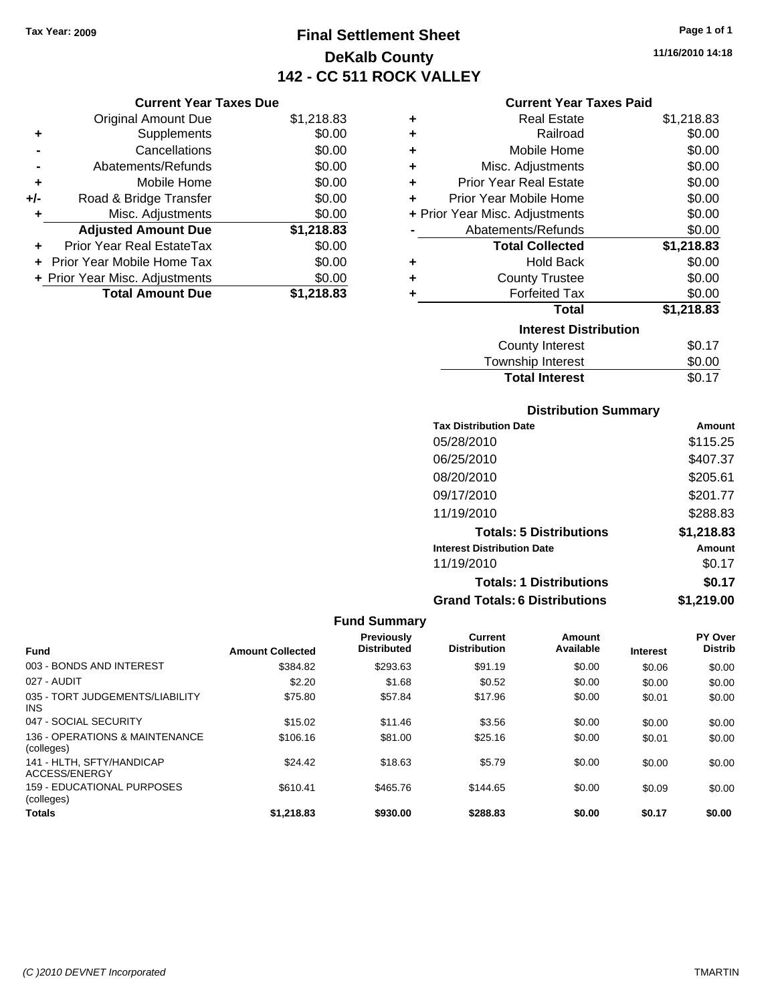# **Final Settlement Sheet Tax Year: 2009 Page 1 of 1 DeKalb County 142 - CC 511 ROCK VALLEY**

# **11/16/2010 14:18**

|       | <b>Original Amount Due</b>     | \$1,218.83 |
|-------|--------------------------------|------------|
| ٠     | Supplements                    | \$0.00     |
|       | Cancellations                  | \$0.00     |
|       | Abatements/Refunds             | \$0.00     |
| ٠     | Mobile Home                    | \$0.00     |
| $+/-$ | Road & Bridge Transfer         | \$0.00     |
|       | Misc. Adjustments              | \$0.00     |
|       | <b>Adjusted Amount Due</b>     | \$1,218.83 |
|       | Prior Year Real EstateTax      | \$0.00     |
|       | Prior Year Mobile Home Tax     | \$0.00     |
|       | + Prior Year Misc. Adjustments | \$0.00     |
|       | <b>Total Amount Due</b>        | \$1,218.83 |

### **Current Year Taxes Paid**

|   | <b>Real Estate</b>             | \$1,218.83 |
|---|--------------------------------|------------|
| ٠ | Railroad                       | \$0.00     |
| ٠ | Mobile Home                    | \$0.00     |
| ٠ | Misc. Adjustments              | \$0.00     |
| ÷ | <b>Prior Year Real Estate</b>  | \$0.00     |
| ٠ | Prior Year Mobile Home         | \$0.00     |
|   | + Prior Year Misc. Adjustments | \$0.00     |
|   | Abatements/Refunds             | \$0.00     |
|   | <b>Total Collected</b>         | \$1,218.83 |
| ٠ | <b>Hold Back</b>               | \$0.00     |
|   |                                |            |
| ÷ | <b>County Trustee</b>          | \$0.00     |
| ٠ | <b>Forfeited Tax</b>           | \$0.00     |
|   | <b>Total</b>                   | \$1,218.83 |
|   | <b>Interest Distribution</b>   |            |
|   | <b>County Interest</b>         | \$0.17     |

### Township Interest 50.00<br>Total Interest \$0.17 **Total Interest**

| <b>Distribution Summary</b>  |        |
|------------------------------|--------|
| <b>Tax Distribution Date</b> | Amount |
|                              |        |

| . 88 PRESSIONIDA PRIS                |            |
|--------------------------------------|------------|
| 05/28/2010                           | \$115.25   |
| 06/25/2010                           | \$407.37   |
| 08/20/2010                           | \$205.61   |
| 09/17/2010                           | \$201.77   |
| 11/19/2010                           | \$288.83   |
| <b>Totals: 5 Distributions</b>       | \$1,218.83 |
| <b>Interest Distribution Date</b>    | Amount     |
| 11/19/2010                           | \$0.17     |
| <b>Totals: 1 Distributions</b>       | \$0.17     |
| <b>Grand Totals: 6 Distributions</b> | \$1,219.00 |
|                                      |            |

| <b>Fund</b>                                   | <b>Amount Collected</b> | <b>Previously</b><br><b>Distributed</b> | Current<br><b>Distribution</b> | Amount<br>Available | <b>Interest</b> | PY Over<br><b>Distrib</b> |
|-----------------------------------------------|-------------------------|-----------------------------------------|--------------------------------|---------------------|-----------------|---------------------------|
| 003 - BONDS AND INTEREST                      | \$384.82                | \$293.63                                | \$91.19                        | \$0.00              | \$0.06          | \$0.00                    |
| 027 - AUDIT                                   | \$2.20                  | \$1.68                                  | \$0.52                         | \$0.00              | \$0.00          | \$0.00                    |
| 035 - TORT JUDGEMENTS/LIABILITY<br><b>INS</b> | \$75.80                 | \$57.84                                 | \$17.96                        | \$0.00              | \$0.01          | \$0.00                    |
| 047 - SOCIAL SECURITY                         | \$15.02                 | \$11.46                                 | \$3.56                         | \$0.00              | \$0.00          | \$0.00                    |
| 136 - OPERATIONS & MAINTENANCE<br>(colleges)  | \$106.16                | \$81.00                                 | \$25.16                        | \$0.00              | \$0.01          | \$0.00                    |
| 141 - HLTH, SFTY/HANDICAP<br>ACCESS/ENERGY    | \$24.42                 | \$18.63                                 | \$5.79                         | \$0.00              | \$0.00          | \$0.00                    |
| 159 - EDUCATIONAL PURPOSES<br>(colleges)      | \$610.41                | \$465.76                                | \$144.65                       | \$0.00              | \$0.09          | \$0.00                    |
| <b>Totals</b>                                 | \$1,218.83              | \$930.00                                | \$288.83                       | \$0.00              | \$0.17          | \$0.00                    |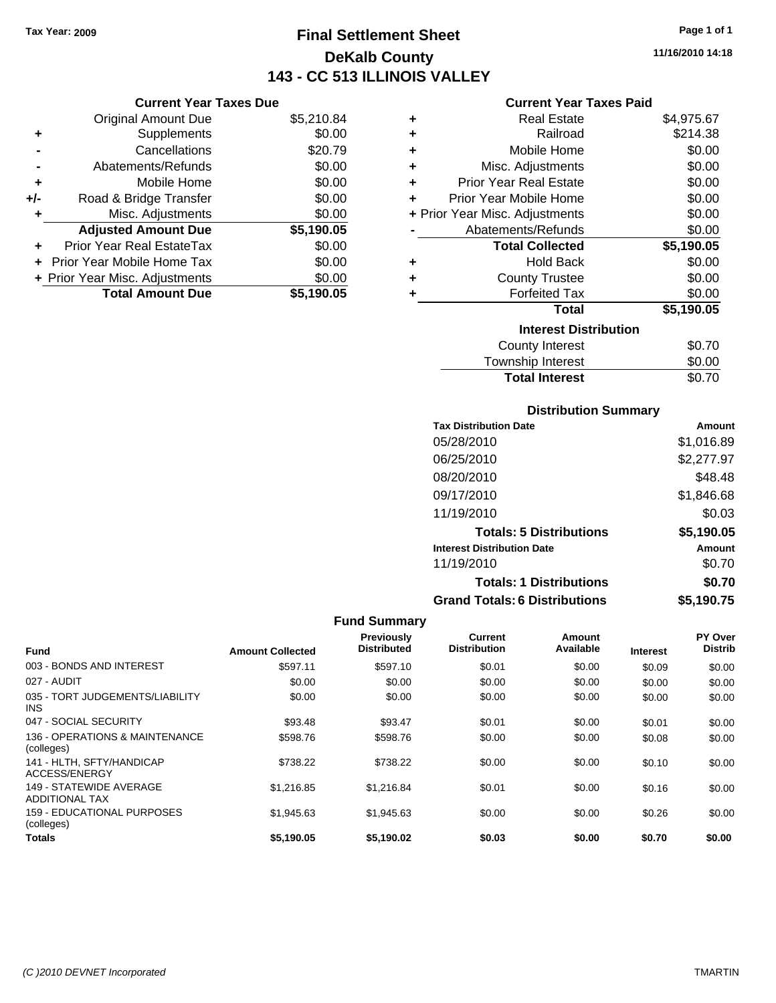**Current Year Taxes Due** Original Amount Due \$5,210.84

**Adjusted Amount Due \$5,190.05**

**Total Amount Due \$5,190.05**

**+** Supplements \$0.00 **-** Cancellations \$20.79 **-** Abatements/Refunds \$0.00 **+** Mobile Home \$0.00 **+/-** Road & Bridge Transfer \$0.00 **+** Misc. Adjustments \$0.00

**+** Prior Year Real EstateTax \$0.00 **+** Prior Year Mobile Home Tax \$0.00 **+ Prior Year Misc. Adjustments**  $$0.00$ 

# **Final Settlement Sheet Tax Year: 2009 Page 1 of 1 DeKalb County 143 - CC 513 ILLINOIS VALLEY**

**11/16/2010 14:18**

### **Current Year Taxes Paid**

| ٠ | <b>Real Estate</b>             | \$4,975.67 |
|---|--------------------------------|------------|
| ٠ | Railroad                       | \$214.38   |
| ٠ | Mobile Home                    | \$0.00     |
| ٠ | Misc. Adjustments              | \$0.00     |
| ÷ | <b>Prior Year Real Estate</b>  | \$0.00     |
| ÷ | Prior Year Mobile Home         | \$0.00     |
|   | + Prior Year Misc. Adjustments | \$0.00     |
|   | Abatements/Refunds             | \$0.00     |
|   | <b>Total Collected</b>         | \$5,190.05 |
| ٠ | <b>Hold Back</b>               | \$0.00     |
| ٠ | <b>County Trustee</b>          | \$0.00     |
|   | <b>Forfeited Tax</b>           | \$0.00     |
|   | <b>Total</b>                   | \$5,190.05 |
|   | <b>Interest Distribution</b>   |            |
|   | <b>County Interest</b>         | \$0.70     |
|   | Townehin Interact              | ቁስ ሰስ      |

| <b>Total Interest</b>  | \$0.70          |
|------------------------|-----------------|
| Township Interest      | \$0.00          |
| <b>OVAIRY INVICTOR</b> | <b>v</b> v. 1 v |

### **Distribution Summary**

| <b>Tax Distribution Date</b>         | Amount     |
|--------------------------------------|------------|
| 05/28/2010                           | \$1,016.89 |
| 06/25/2010                           | \$2,277.97 |
| 08/20/2010                           | \$48.48    |
| 09/17/2010                           | \$1,846.68 |
| 11/19/2010                           | \$0.03     |
| <b>Totals: 5 Distributions</b>       | \$5,190.05 |
| <b>Interest Distribution Date</b>    | Amount     |
| 11/19/2010                           | \$0.70     |
| <b>Totals: 1 Distributions</b>       | \$0.70     |
| <b>Grand Totals: 6 Distributions</b> | \$5,190.75 |

| <b>Fund</b>                                      | <b>Amount Collected</b> | Previously<br><b>Distributed</b> | <b>Current</b><br><b>Distribution</b> | Amount<br>Available | <b>Interest</b> | PY Over<br><b>Distrib</b> |
|--------------------------------------------------|-------------------------|----------------------------------|---------------------------------------|---------------------|-----------------|---------------------------|
| 003 - BONDS AND INTEREST                         | \$597.11                | \$597.10                         | \$0.01                                | \$0.00              | \$0.09          | \$0.00                    |
| 027 - AUDIT                                      | \$0.00                  | \$0.00                           | \$0.00                                | \$0.00              | \$0.00          | \$0.00                    |
| 035 - TORT JUDGEMENTS/LIABILITY<br>INS.          | \$0.00                  | \$0.00                           | \$0.00                                | \$0.00              | \$0.00          | \$0.00                    |
| 047 - SOCIAL SECURITY                            | \$93.48                 | \$93.47                          | \$0.01                                | \$0.00              | \$0.01          | \$0.00                    |
| 136 - OPERATIONS & MAINTENANCE<br>(colleges)     | \$598.76                | \$598.76                         | \$0.00                                | \$0.00              | \$0.08          | \$0.00                    |
| 141 - HLTH, SFTY/HANDICAP<br>ACCESS/ENERGY       | \$738.22                | \$738.22                         | \$0.00                                | \$0.00              | \$0.10          | \$0.00                    |
| 149 - STATEWIDE AVERAGE<br><b>ADDITIONAL TAX</b> | \$1.216.85              | \$1.216.84                       | \$0.01                                | \$0.00              | \$0.16          | \$0.00                    |
| 159 - EDUCATIONAL PURPOSES<br>(colleges)         | \$1.945.63              | \$1.945.63                       | \$0.00                                | \$0.00              | \$0.26          | \$0.00                    |
| <b>Totals</b>                                    | \$5.190.05              | \$5.190.02                       | \$0.03                                | \$0.00              | \$0.70          | \$0.00                    |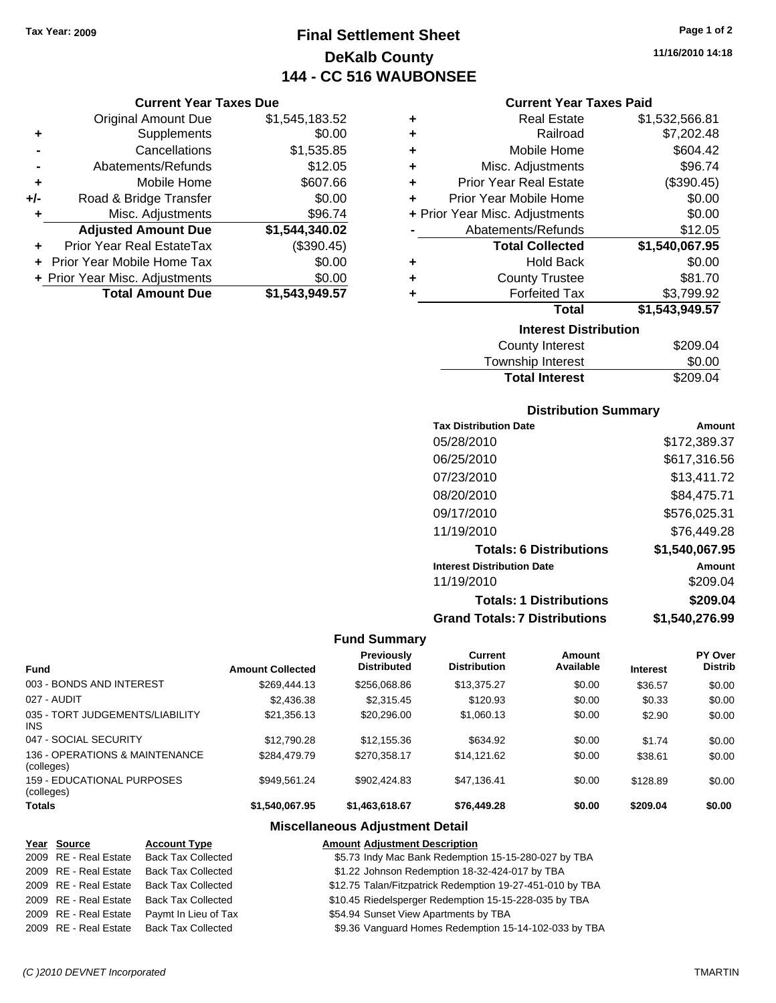# **Final Settlement Sheet Tax Year: 2009 Page 1 of 2 DeKalb County 144 - CC 516 WAUBONSEE**

**11/16/2010 14:18**

### **Current Year Taxes Due**

|     | <b>Original Amount Due</b>        | \$1,545,183.52 |
|-----|-----------------------------------|----------------|
| ٠   | Supplements                       | \$0.00         |
|     | Cancellations                     | \$1,535.85     |
|     | Abatements/Refunds                | \$12.05        |
| ÷   | Mobile Home                       | \$607.66       |
| +/- | Road & Bridge Transfer            | \$0.00         |
| ٠   | Misc. Adjustments                 | \$96.74        |
|     | <b>Adjusted Amount Due</b>        | \$1,544,340.02 |
|     | Prior Year Real EstateTax         | (\$390.45)     |
|     | <b>Prior Year Mobile Home Tax</b> | \$0.00         |
|     | + Prior Year Misc. Adjustments    | \$0.00         |
|     | <b>Total Amount Due</b>           | \$1,543,949.57 |

### **Current Year Taxes Paid**

| ٠ | <b>Real Estate</b>             | \$1,532,566.81 |
|---|--------------------------------|----------------|
| ٠ | Railroad                       | \$7,202.48     |
| ٠ | Mobile Home                    | \$604.42       |
| ÷ | Misc. Adjustments              | \$96.74        |
| ÷ | <b>Prior Year Real Estate</b>  | (\$390.45)     |
| ٠ | Prior Year Mobile Home         | \$0.00         |
|   | + Prior Year Misc. Adjustments | \$0.00         |
|   | Abatements/Refunds             | \$12.05        |
|   | <b>Total Collected</b>         | \$1,540,067.95 |
| ٠ | <b>Hold Back</b>               | \$0.00         |
| ٠ | <b>County Trustee</b>          | \$81.70        |
| ٠ | <b>Forfeited Tax</b>           | \$3,799.92     |
|   | Total                          | \$1,543,949.57 |
|   | <b>Interest Distribution</b>   |                |
|   |                                | 0000 Q 1       |

| County Interest       | \$209.04 |
|-----------------------|----------|
| Township Interest     | \$0.00   |
| <b>Total Interest</b> | \$209.04 |

### **Distribution Summary**

| <b>Tax Distribution Date</b>         | Amount         |
|--------------------------------------|----------------|
| 05/28/2010                           | \$172,389.37   |
| 06/25/2010                           | \$617,316.56   |
| 07/23/2010                           | \$13,411.72    |
| 08/20/2010                           | \$84,475.71    |
| 09/17/2010                           | \$576,025.31   |
| 11/19/2010                           | \$76,449.28    |
| <b>Totals: 6 Distributions</b>       | \$1,540,067.95 |
| <b>Interest Distribution Date</b>    | Amount         |
| 11/19/2010                           | \$209.04       |
| <b>Totals: 1 Distributions</b>       | \$209.04       |
| <b>Grand Totals: 7 Distributions</b> | \$1,540,276.99 |

### **Fund Summary**

| <b>Fund</b>                                   | <b>Amount Collected</b> | Previously<br><b>Distributed</b> | Current<br><b>Distribution</b> | Amount<br>Available | <b>Interest</b> | <b>PY Over</b><br><b>Distrib</b> |
|-----------------------------------------------|-------------------------|----------------------------------|--------------------------------|---------------------|-----------------|----------------------------------|
| 003 - BONDS AND INTEREST                      | \$269,444.13            | \$256,068.86                     | \$13,375.27                    | \$0.00              | \$36.57         | \$0.00                           |
| 027 - AUDIT                                   | \$2,436.38              | \$2,315.45                       | \$120.93                       | \$0.00              | \$0.33          | \$0.00                           |
| 035 - TORT JUDGEMENTS/LIABILITY<br><b>INS</b> | \$21,356.13             | \$20,296.00                      | \$1,060.13                     | \$0.00              | \$2.90          | \$0.00                           |
| 047 - SOCIAL SECURITY                         | \$12,790.28             | \$12.155.36                      | \$634.92                       | \$0.00              | \$1.74          | \$0.00                           |
| 136 - OPERATIONS & MAINTENANCE<br>(colleges)  | \$284.479.79            | \$270.358.17                     | \$14.121.62                    | \$0.00              | \$38.61         | \$0.00                           |
| 159 - EDUCATIONAL PURPOSES<br>(colleges)      | \$949.561.24            | \$902.424.83                     | \$47.136.41                    | \$0.00              | \$128.89        | \$0.00                           |
| <b>Totals</b>                                 | \$1,540,067.95          | \$1,463,618.67                   | \$76,449.28                    | \$0.00              | \$209.04        | \$0.00                           |

### **Miscellaneous Adjustment Detail**

### **Year Source Account Type Amount Adjustment Description**

| 2009 RE - Real Estate | <b>Back Tax Collected</b>                | \$5.73 Indy Mac Bank Redemption 15-15-280-027 by TBA      |
|-----------------------|------------------------------------------|-----------------------------------------------------------|
| 2009 RE - Real Estate | <b>Back Tax Collected</b>                | \$1.22 Johnson Redemption 18-32-424-017 by TBA            |
| 2009 RE - Real Estate | <b>Back Tax Collected</b>                | \$12.75 Talan/Fitzpatrick Redemption 19-27-451-010 by TBA |
| 2009 RE - Real Estate | <b>Back Tax Collected</b>                | \$10.45 Riedelsperger Redemption 15-15-228-035 by TBA     |
| 2009 RE - Real Estate | Paymt In Lieu of Tax                     | \$54.94 Sunset View Apartments by TBA                     |
|                       | 2009 RE - Real Estate Back Tax Collected | \$9.36 Vanguard Homes Redemption 15-14-102-033 by TBA     |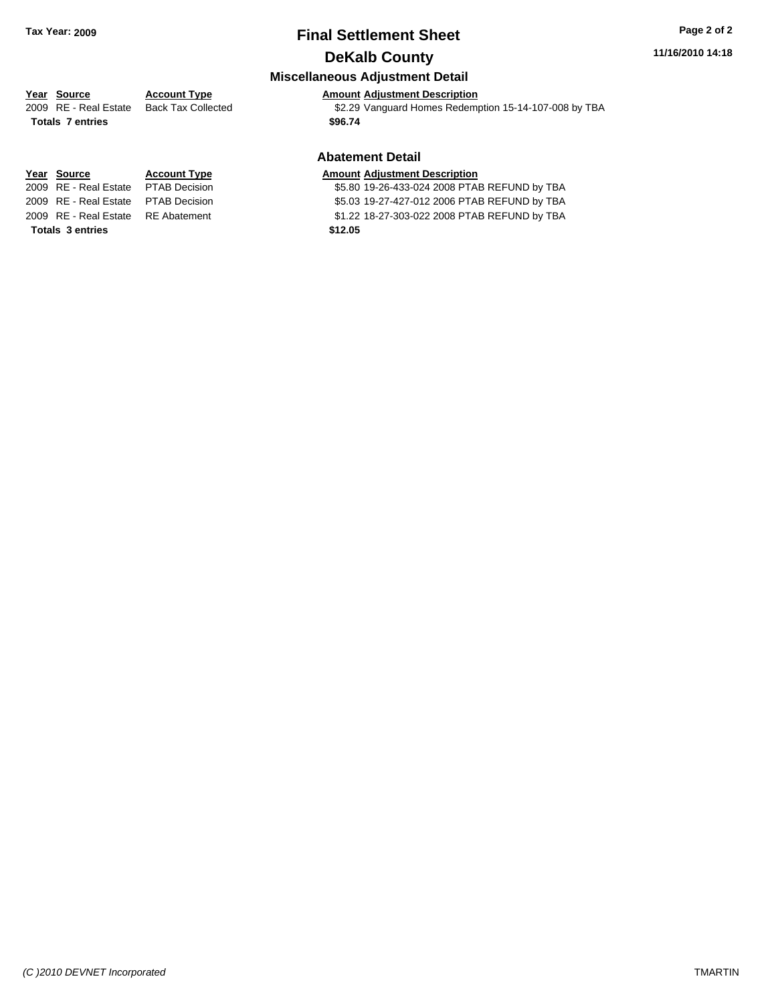# **Final Settlement Sheet Tax Year: 2009 Page 2 of 2 DeKalb County**

### **11/16/2010 14:18**

### **Miscellaneous Adjustment Detail**

# **Year Source Account Type Amount Adjustment Description**

2009 RE - Real Estate Back Tax Collected \$2.29 Vanguard Homes Redemption 15-14-107-008 by TBA

### **Abatement Detail**

### **Year Source Account Type Amount Adjustment Description**

2009 RE - Real Estate \$5.80 19-26-433-024 2008 PTAB REFUND by TBA PTAB Decision

2009 RE - Real Estate \$5.03 19-27-427-012 2006 PTAB REFUND by TBA PTAB Decision

2009 RE - Real Estate \$1.22 18-27-303-022 2008 PTAB REFUND by TBA RE Abatement

**Totals \$96.74 7 entries**

**Totals \$12.05 3 entries**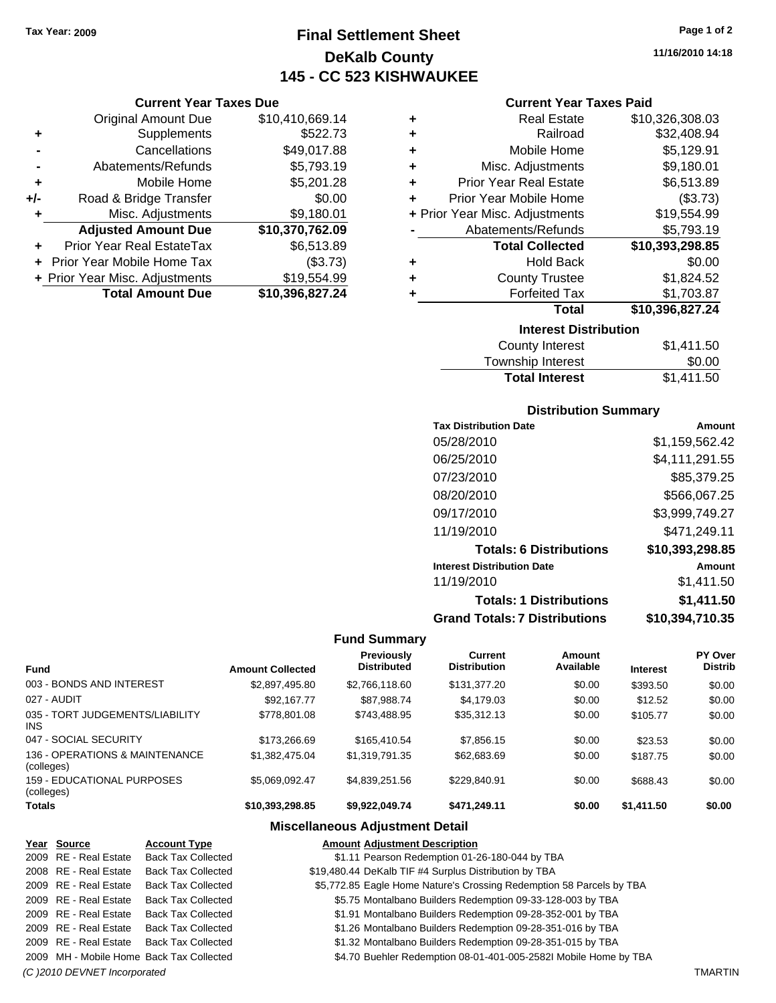# **Final Settlement Sheet Tax Year: 2009 Page 1 of 2 DeKalb County 145 - CC 523 KISHWAUKEE**

### **Current Year Taxes Due**

|       | <b>Original Amount Due</b>       | \$10,410,669.14 |  |  |
|-------|----------------------------------|-----------------|--|--|
| ٠     | Supplements                      | \$522.73        |  |  |
|       | Cancellations                    | \$49,017.88     |  |  |
|       | Abatements/Refunds               | \$5,793.19      |  |  |
| ÷     | Mobile Home                      | \$5,201.28      |  |  |
| $+/-$ | \$0.00<br>Road & Bridge Transfer |                 |  |  |
| ٠     | Misc. Adjustments                | \$9,180.01      |  |  |
|       | <b>Adjusted Amount Due</b>       | \$10,370,762.09 |  |  |
|       | Prior Year Real EstateTax        | \$6,513.89      |  |  |
|       | Prior Year Mobile Home Tax       | (\$3.73)        |  |  |
|       | + Prior Year Misc. Adjustments   | \$19,554.99     |  |  |
|       | <b>Total Amount Due</b>          | \$10,396,827.24 |  |  |

|   | <b>Interest Distribution</b>   |                 |  |  |
|---|--------------------------------|-----------------|--|--|
|   | Total                          | \$10,396,827.24 |  |  |
| ٠ | <b>Forfeited Tax</b>           | \$1,703.87      |  |  |
| ٠ | <b>County Trustee</b>          | \$1,824.52      |  |  |
| ٠ | Hold Back                      | \$0.00          |  |  |
|   | <b>Total Collected</b>         | \$10,393,298.85 |  |  |
|   | Abatements/Refunds             | \$5,793.19      |  |  |
|   | + Prior Year Misc. Adjustments | \$19,554.99     |  |  |
| ÷ | Prior Year Mobile Home         | (\$3.73)        |  |  |
| ÷ | <b>Prior Year Real Estate</b>  | \$6,513.89      |  |  |
| ٠ | Misc. Adjustments              | \$9,180.01      |  |  |
| ٠ | Mobile Home                    | \$5,129.91      |  |  |
| ٠ | Railroad                       | \$32,408.94     |  |  |
| ٠ | <b>Real Estate</b>             | \$10,326,308.03 |  |  |

| \$1,411.50 |  |  |  |
|------------|--|--|--|
| \$0.00     |  |  |  |
| \$1,411.50 |  |  |  |
|            |  |  |  |

### **Distribution Summary**

| <b>Tax Distribution Date</b>         | Amount          |
|--------------------------------------|-----------------|
| 05/28/2010                           | \$1,159,562.42  |
| 06/25/2010                           | \$4,111,291.55  |
| 07/23/2010                           | \$85,379.25     |
| 08/20/2010                           | \$566,067.25    |
| 09/17/2010                           | \$3,999,749.27  |
| 11/19/2010                           | \$471,249.11    |
| <b>Totals: 6 Distributions</b>       | \$10,393,298.85 |
| <b>Interest Distribution Date</b>    | Amount          |
| 11/19/2010                           | \$1,411.50      |
| <b>Totals: 1 Distributions</b>       | \$1,411.50      |
| <b>Grand Totals: 7 Distributions</b> | \$10,394,710.35 |

### **Fund Summary**

|                                              |                         | <b>Previously</b>  | Current             | Amount    |                 | PY Over        |
|----------------------------------------------|-------------------------|--------------------|---------------------|-----------|-----------------|----------------|
| <b>Fund</b>                                  | <b>Amount Collected</b> | <b>Distributed</b> | <b>Distribution</b> | Available | <b>Interest</b> | <b>Distrib</b> |
| 003 - BONDS AND INTEREST                     | \$2,897,495.80          | \$2,766,118.60     | \$131,377.20        | \$0.00    | \$393.50        | \$0.00         |
| 027 - AUDIT                                  | \$92,167.77             | \$87,988.74        | \$4,179.03          | \$0.00    | \$12.52         | \$0.00         |
| 035 - TORT JUDGEMENTS/LIABILITY<br>INS.      | \$778,801.08            | \$743.488.95       | \$35,312.13         | \$0.00    | \$105.77        | \$0.00         |
| 047 - SOCIAL SECURITY                        | \$173,266.69            | \$165,410.54       | \$7,856.15          | \$0.00    | \$23.53         | \$0.00         |
| 136 - OPERATIONS & MAINTENANCE<br>(colleges) | \$1,382,475.04          | \$1,319,791.35     | \$62,683.69         | \$0.00    | \$187.75        | \$0.00         |
| 159 - EDUCATIONAL PURPOSES<br>(colleges)     | \$5.069.092.47          | \$4.839.251.56     | \$229.840.91        | \$0.00    | \$688.43        | \$0.00         |
| <b>Totals</b>                                | \$10.393.298.85         | \$9.922.049.74     | \$471.249.11        | \$0.00    | \$1,411.50      | \$0.00         |

### **Miscellaneous Adjustment Detail**

### **Year Source Account Type Amount Adjustment Description** \$1.11 Pearson Redemption 01-26-180-044 by TBA 2008 RE - Real Estate Back Tax Collected \$19,480.44 DeKalb TIF #4 Surplus Distribution by TBA 2009 RE - Real Estate Back Tax Collected \$5,772.85 Eagle Home Nature's Crossing Redemption 58 Parcels by TBA 2009 RE - Real Estate Back Tax Collected \$5.75 Montalbano Builders Redemption 09-33-128-003 by TBA 2009 RE - Real Estate Back Tax Collected **1988 St.91 Montalbano Builders Redemption 09-28-352-001 by TBA** 81.91 Montalbano Builders Redemption 09-28-351-016 by TBA \$1.26 Montalbano Builders Redemption 09-28-351-016 by TBA 2009 RE - Real Estate Back Tax Collected \$1.32 Montalbano Builders Redemption 09-28-351-015 by TBA 2009 MH - Mobile Home Back Tax Collected \$4.70 Buehler Redemption 08-01-401-005-2582I Mobile Home by TBA *(C )2010 DEVNET Incorporated* TMARTIN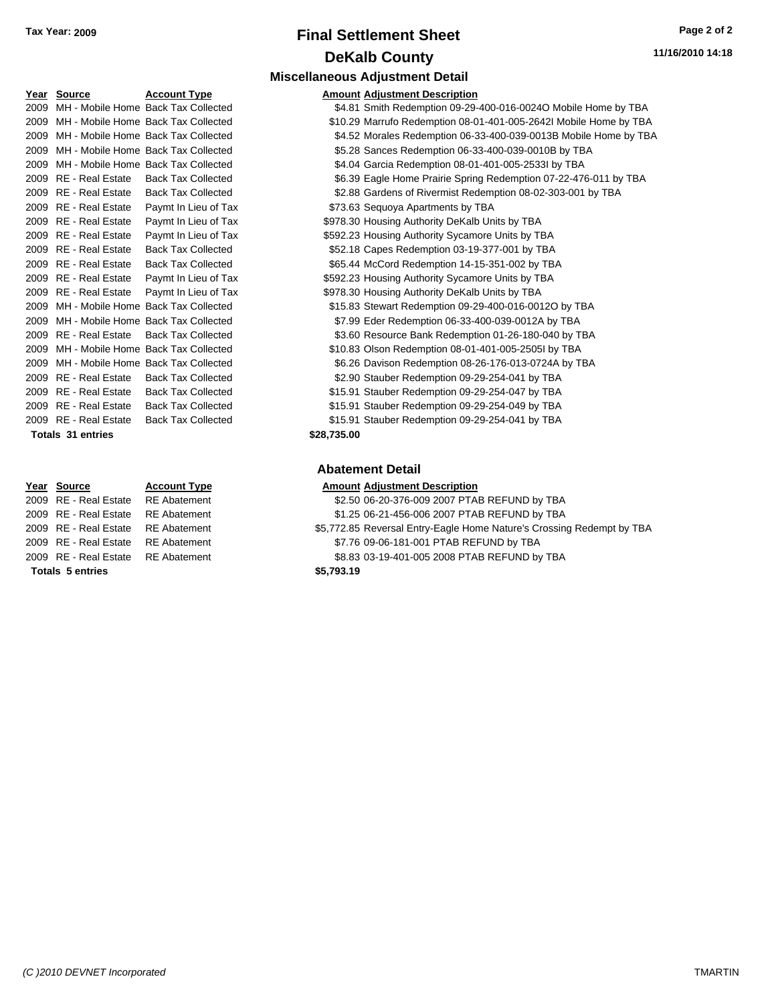| Tax Year: 2009 | <b>Final Settlement Sheet</b> | Page 2 of 2      |
|----------------|-------------------------------|------------------|
|                | <b>DeKalb County</b>          | 11/16/2010 14:18 |

| Year Source              | <b>Account Type</b>                      |             | <b>Amount Adjustment Description</b> |
|--------------------------|------------------------------------------|-------------|--------------------------------------|
|                          | 2009 MH - Mobile Home Back Tax Collected |             | \$4.81 Smith Redemption 09-29-400    |
|                          | 2009 MH - Mobile Home Back Tax Collected |             | \$10.29 Marrufo Redemption 08-01-4   |
|                          | 2009 MH - Mobile Home Back Tax Collected |             | \$4.52 Morales Redemption 06-33-4    |
|                          | 2009 MH - Mobile Home Back Tax Collected |             | \$5.28 Sances Redemption 06-33-4     |
|                          | 2009 MH - Mobile Home Back Tax Collected |             | \$4.04 Garcia Redemption 08-01-40    |
| 2009 RE - Real Estate    | <b>Back Tax Collected</b>                |             | \$6.39 Eagle Home Prairie Spring R   |
| 2009 RE - Real Estate    | <b>Back Tax Collected</b>                |             | \$2.88 Gardens of Rivermist Redem    |
| 2009 RE - Real Estate    | Paymt In Lieu of Tax                     |             | \$73.63 Sequoya Apartments by TBA    |
| 2009 RE - Real Estate    | Paymt In Lieu of Tax                     |             | \$978.30 Housing Authority DeKalb Ur |
| 2009 RE - Real Estate    | Paymt In Lieu of Tax                     |             | \$592.23 Housing Authority Sycamore  |
| 2009 RE - Real Estate    | <b>Back Tax Collected</b>                |             | \$52.18 Capes Redemption 03-19-37    |
| 2009 RE - Real Estate    | <b>Back Tax Collected</b>                |             | \$65.44 McCord Redemption 14-15-3    |
| 2009 RE - Real Estate    | Paymt In Lieu of Tax                     |             | \$592.23 Housing Authority Sycamore  |
| 2009 RE - Real Estate    | Paymt In Lieu of Tax                     |             | \$978.30 Housing Authority DeKalb Ur |
|                          | 2009 MH - Mobile Home Back Tax Collected |             | \$15.83 Stewart Redemption 09-29-4   |
|                          | 2009 MH - Mobile Home Back Tax Collected |             | \$7.99 Eder Redemption 06-33-400-    |
| 2009 RE - Real Estate    | <b>Back Tax Collected</b>                |             | \$3.60 Resource Bank Redemption      |
|                          | 2009 MH - Mobile Home Back Tax Collected |             | \$10.83 Olson Redemption 08-01-401   |
|                          | 2009 MH - Mobile Home Back Tax Collected |             | \$6.26 Davison Redemption 08-26-1    |
| 2009 RE - Real Estate    | <b>Back Tax Collected</b>                |             | \$2.90 Stauber Redemption 09-29-2    |
| 2009 RE - Real Estate    | <b>Back Tax Collected</b>                |             | \$15.91 Stauber Redemption 09-29-2   |
| 2009 RE - Real Estate    | <b>Back Tax Collected</b>                |             | \$15.91 Stauber Redemption 09-29-2   |
| 2009 RE - Real Estate    | <b>Back Tax Collected</b>                |             | \$15.91 Stauber Redemption 09-29-2   |
| <b>Totals 31 entries</b> |                                          | \$28,735.00 |                                      |
|                          |                                          |             |                                      |

| Year Source                        | <b>Account Type</b> | Amount     |
|------------------------------------|---------------------|------------|
| 2009 RE - Real Estate RE Abatement |                     | \$2.50     |
| 2009 RE - Real Estate              | RE Abatement        | \$1.25     |
| 2009 RE - Real Estate RE Abatement |                     | \$5,772.85 |
| 2009 RE - Real Estate RE Abatement |                     | \$7.76     |
| 2009 RE - Real Estate RE Abatement |                     | \$8.83     |
| <b>Totals 5 entries</b>            |                     | \$5,793.19 |

# **Miscellaneous Adjustment Detail**

|                                          |                                          |             | <b>MISCELLANEOUS Adjustment Detail</b>                            |
|------------------------------------------|------------------------------------------|-------------|-------------------------------------------------------------------|
| Year Source                              | <b>Account Type</b>                      |             | <b>Amount Adjustment Description</b>                              |
| 2009 MH - Mobile Home Back Tax Collected |                                          |             | \$4.81 Smith Redemption 09-29-400-016-0024O Mobile Home by TBA    |
|                                          | 2009 MH - Mobile Home Back Tax Collected |             | \$10.29 Marrufo Redemption 08-01-401-005-2642I Mobile Home by TBA |
|                                          | 2009 MH - Mobile Home Back Tax Collected |             | \$4.52 Morales Redemption 06-33-400-039-0013B Mobile Home by TBA  |
|                                          | 2009 MH - Mobile Home Back Tax Collected |             | \$5.28 Sances Redemption 06-33-400-039-0010B by TBA               |
|                                          | 2009 MH - Mobile Home Back Tax Collected |             | \$4.04 Garcia Redemption 08-01-401-005-2533l by TBA               |
| 2009 RE - Real Estate                    | <b>Back Tax Collected</b>                |             | \$6.39 Eagle Home Prairie Spring Redemption 07-22-476-011 by TBA  |
| 2009 RE - Real Estate                    | <b>Back Tax Collected</b>                |             | \$2.88 Gardens of Rivermist Redemption 08-02-303-001 by TBA       |
| 2009 RE - Real Estate                    | Paymt In Lieu of Tax                     |             | \$73.63 Sequoya Apartments by TBA                                 |
| 2009 RE - Real Estate                    | Paymt In Lieu of Tax                     |             | \$978.30 Housing Authority DeKalb Units by TBA                    |
| 2009 RE - Real Estate                    | Paymt In Lieu of Tax                     |             | \$592.23 Housing Authority Sycamore Units by TBA                  |
| 2009 RE - Real Estate                    | <b>Back Tax Collected</b>                |             | \$52.18 Capes Redemption 03-19-377-001 by TBA                     |
| 2009 RE - Real Estate                    | <b>Back Tax Collected</b>                |             | \$65.44 McCord Redemption 14-15-351-002 by TBA                    |
| 2009 RE - Real Estate                    | Paymt In Lieu of Tax                     |             | \$592.23 Housing Authority Sycamore Units by TBA                  |
| 2009 RE - Real Estate                    | Paymt In Lieu of Tax                     |             | \$978.30 Housing Authority DeKalb Units by TBA                    |
|                                          | 2009 MH - Mobile Home Back Tax Collected |             | \$15.83 Stewart Redemption 09-29-400-016-0012O by TBA             |
|                                          | 2009 MH - Mobile Home Back Tax Collected |             | \$7.99 Eder Redemption 06-33-400-039-0012A by TBA                 |
| 2009 RE - Real Estate                    | <b>Back Tax Collected</b>                |             | \$3.60 Resource Bank Redemption 01-26-180-040 by TBA              |
|                                          | 2009 MH - Mobile Home Back Tax Collected |             | \$10.83 Olson Redemption 08-01-401-005-2505l by TBA               |
|                                          | 2009 MH - Mobile Home Back Tax Collected |             | \$6.26 Davison Redemption 08-26-176-013-0724A by TBA              |
| 2009 RE - Real Estate                    | <b>Back Tax Collected</b>                |             | \$2.90 Stauber Redemption 09-29-254-041 by TBA                    |
| 2009 RE - Real Estate                    | <b>Back Tax Collected</b>                |             | \$15.91 Stauber Redemption 09-29-254-047 by TBA                   |
| 2009 RE - Real Estate                    | <b>Back Tax Collected</b>                |             | \$15.91 Stauber Redemption 09-29-254-049 by TBA                   |
| 2009 RE - Real Estate                    | <b>Back Tax Collected</b>                |             | \$15.91 Stauber Redemption 09-29-254-041 by TBA                   |
| <b>Totals 31 entries</b>                 |                                          | \$28,735.00 |                                                                   |
|                                          |                                          |             |                                                                   |

### **Abatement Detail**

### **Year Source Account Type Amount Adjustment Description**

- ent 32.50 06-20-376-009 2007 PTAB REFUND by TBA
- ent 2009 81.25 06-21-456-006 2007 PTAB REFUND by TBA
- ent **2009 85,772.85 Reversal Entry-Eagle Home Nature's Crossing Redempt by TBA** ent - 2009 87.76 09-06-181-001 PTAB REFUND by TBA
- 2008 REAL Estate the Real Estate \$8.83 03-19-401-005 2008 PTAB REFUND by TBA
	-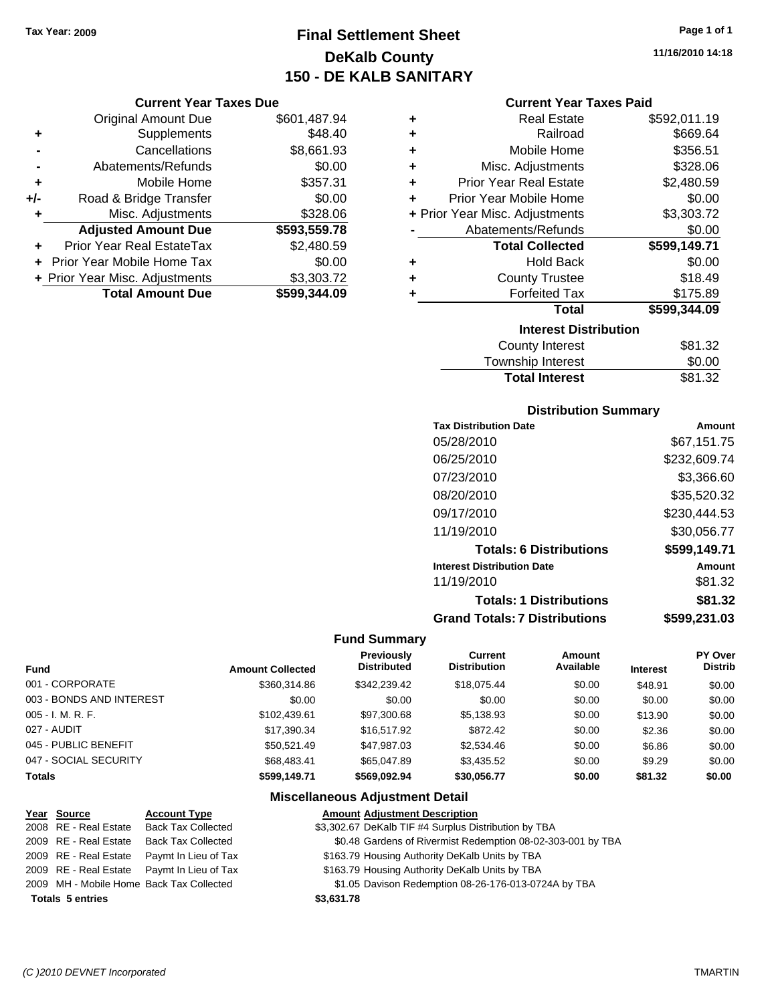**Current Year Taxes Due** Original Amount Due \$601,487.94

**Adjusted Amount Due \$593,559.78**

**Total Amount Due \$599,344.09**

**+** Supplements \$48.40 **-** Cancellations \$8,661.93 **-** Abatements/Refunds \$0.00 **+** Mobile Home \$357.31 **+/-** Road & Bridge Transfer \$0.00 **+** Misc. Adjustments \$328.06

**+** Prior Year Real EstateTax \$2,480.59 **+** Prior Year Mobile Home Tax \$0.00 + Prior Year Misc. Adjustments \$3,303.72

# **Final Settlement Sheet Tax Year: 2009 Page 1 of 1 DeKalb County 150 - DE KALB SANITARY**

**11/16/2010 14:18**

### **Current Year Taxes Paid**

| ٠ | <b>Real Estate</b>             | \$592,011.19 |  |  |  |
|---|--------------------------------|--------------|--|--|--|
| ٠ | Railroad                       | \$669.64     |  |  |  |
| ٠ | Mobile Home                    | \$356.51     |  |  |  |
| ٠ | Misc. Adjustments              | \$328.06     |  |  |  |
| ÷ | <b>Prior Year Real Estate</b>  | \$2,480.59   |  |  |  |
| ÷ | Prior Year Mobile Home         | \$0.00       |  |  |  |
|   | + Prior Year Misc. Adjustments | \$3,303.72   |  |  |  |
|   | Abatements/Refunds             | \$0.00       |  |  |  |
|   | <b>Total Collected</b>         | \$599,149.71 |  |  |  |
| ٠ | <b>Hold Back</b>               | \$0.00       |  |  |  |
| ٠ | <b>County Trustee</b>          | \$18.49      |  |  |  |
| ÷ | <b>Forfeited Tax</b>           | \$175.89     |  |  |  |
|   | <b>Total</b>                   | \$599,344.09 |  |  |  |
|   | <b>Interest Distribution</b>   |              |  |  |  |
|   | <b>County Interest</b>         | \$81.32      |  |  |  |
|   | Township Interact              | ድስ ሰስ        |  |  |  |

### Township Interest  $$0.00$ Total Interest \$81.32

| <b>Distribution Summary</b>          |              |  |  |  |
|--------------------------------------|--------------|--|--|--|
| <b>Tax Distribution Date</b>         | Amount       |  |  |  |
| 05/28/2010                           | \$67,151.75  |  |  |  |
| 06/25/2010                           | \$232,609.74 |  |  |  |
| 07/23/2010                           | \$3,366.60   |  |  |  |
| 08/20/2010                           | \$35,520.32  |  |  |  |
| 09/17/2010                           | \$230,444.53 |  |  |  |
| 11/19/2010                           | \$30,056.77  |  |  |  |
| <b>Totals: 6 Distributions</b>       | \$599,149.71 |  |  |  |
| <b>Interest Distribution Date</b>    | Amount       |  |  |  |
| 11/19/2010                           | \$81.32      |  |  |  |
| <b>Totals: 1 Distributions</b>       | \$81.32      |  |  |  |
| <b>Grand Totals: 7 Distributions</b> | \$599,231.03 |  |  |  |

### **Fund Summary**

|                          |                         | <b>Previously</b>  | <b>Current</b>      | Amount    |                 | PY Over        |
|--------------------------|-------------------------|--------------------|---------------------|-----------|-----------------|----------------|
| <b>Fund</b>              | <b>Amount Collected</b> | <b>Distributed</b> | <b>Distribution</b> | Available | <b>Interest</b> | <b>Distrib</b> |
| 001 - CORPORATE          | \$360,314.86            | \$342,239.42       | \$18,075.44         | \$0.00    | \$48.91         | \$0.00         |
| 003 - BONDS AND INTEREST | \$0.00                  | \$0.00             | \$0.00              | \$0.00    | \$0.00          | \$0.00         |
| $005 - I. M. R. F.$      | \$102.439.61            | \$97,300.68        | \$5,138.93          | \$0.00    | \$13.90         | \$0.00         |
| 027 - AUDIT              | \$17,390.34             | \$16,517.92        | \$872.42            | \$0.00    | \$2.36          | \$0.00         |
| 045 - PUBLIC BENEFIT     | \$50.521.49             | \$47.987.03        | \$2,534.46          | \$0.00    | \$6.86          | \$0.00         |
| 047 - SOCIAL SECURITY    | \$68,483,41             | \$65,047.89        | \$3,435.52          | \$0.00    | \$9.29          | \$0.00         |
| <b>Totals</b>            | \$599,149.71            | \$569.092.94       | \$30,056.77         | \$0.00    | \$81.32         | \$0.00         |

### **Miscellaneous Adjustment Detail**

# **Year Source Account Type Amount Adjustment Description** 2008 RE - Real Estate Back Tax Collected \$3,302.67 DeKalb TIF #4 Surplus Distribution by TBA

2009 RE - Real Estate Back Tax Collected \$0.48 Gardens of Rivermist Redemption 08-02-303-001 by TBA

- 2009 RE Real Estate Paymt In Lieu of Tax \$163.79 Housing Authority DeKalb Units by TBA
- 2009 RE Real Estate Paymt In Lieu of Tax \$163.79 Housing Authority DeKalb Units by TBA
- 2009 MH Mobile Home Back Tax Collected \$1.05 Davison Redemption 08-26-176-013-0724A by TBA

**Totals \$3,631.78 5 entries**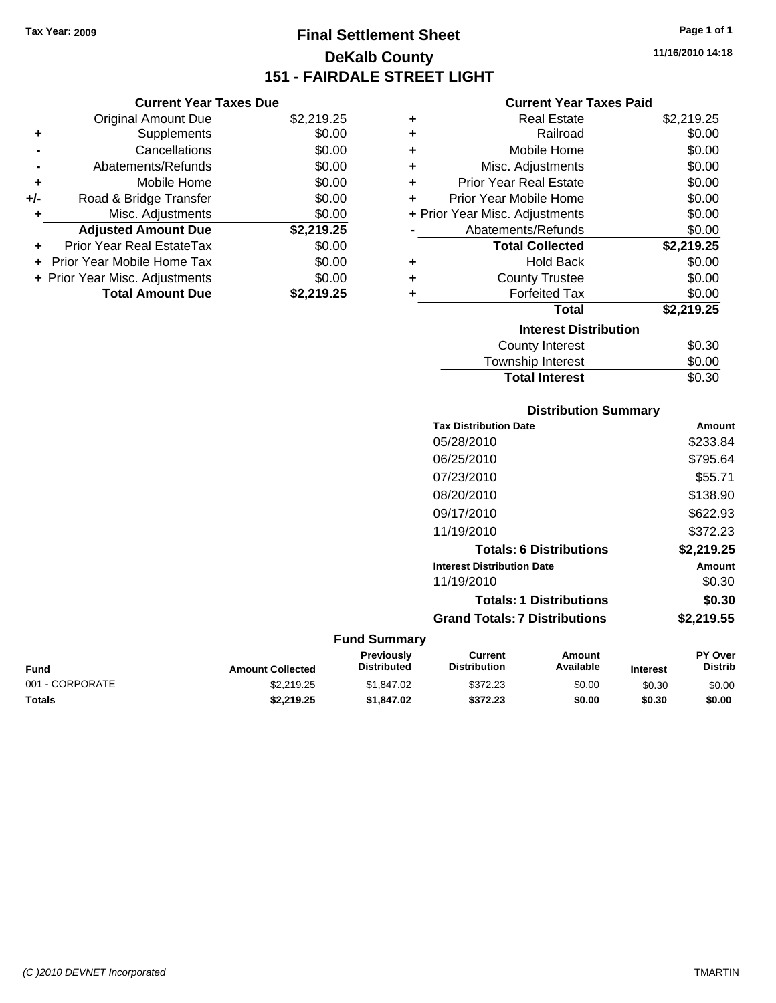**Current Year Taxes Due** Original Amount Due \$2,219.25

**Adjusted Amount Due \$2,219.25**

**Total Amount Due \$2,219.25**

**+** Supplements \$0.00 **-** Cancellations \$0.00 **-** Abatements/Refunds \$0.00 **+** Mobile Home \$0.00 **+/-** Road & Bridge Transfer \$0.00 **+** Misc. Adjustments \$0.00

**+** Prior Year Real EstateTax \$0.00 **+** Prior Year Mobile Home Tax \$0.00 **+ Prior Year Misc. Adjustments**  $$0.00$ 

# **Final Settlement Sheet Tax Year: 2009 Page 1 of 1 DeKalb County 151 - FAIRDALE STREET LIGHT**

**11/16/2010 14:18**

### **Current Year Taxes Paid**

| ٠ | <b>Real Estate</b>             | \$2,219.25 |
|---|--------------------------------|------------|
| ٠ | Railroad                       | \$0.00     |
| ٠ | Mobile Home                    | \$0.00     |
| ٠ | Misc. Adjustments              | \$0.00     |
| ÷ | <b>Prior Year Real Estate</b>  | \$0.00     |
| ٠ | Prior Year Mobile Home         | \$0.00     |
|   | + Prior Year Misc. Adjustments | \$0.00     |
|   | Abatements/Refunds             | \$0.00     |
|   | <b>Total Collected</b>         | \$2,219.25 |
| ٠ | <b>Hold Back</b>               | \$0.00     |
| ٠ | <b>County Trustee</b>          | \$0.00     |
| ٠ | <b>Forfeited Tax</b>           | \$0.00     |
|   | <b>Total</b>                   | \$2,219.25 |
|   | <b>Interest Distribution</b>   |            |
|   | <b>County Interest</b>         | \$0.30     |
|   | Townshin Interest              | ደበ በበ      |

# $T_{\text{F}}$  ownship interest  $\phi$ 0.00 Total Interest \$0.30

### **Distribution Summary**

|                     | <b>Tax Distribution Date</b>         | Amount     |
|---------------------|--------------------------------------|------------|
|                     | 05/28/2010                           | \$233.84   |
|                     | 06/25/2010                           | \$795.64   |
|                     | 07/23/2010                           | \$55.71    |
|                     | 08/20/2010                           | \$138.90   |
|                     | 09/17/2010                           | \$622.93   |
|                     | 11/19/2010                           | \$372.23   |
|                     | <b>Totals: 6 Distributions</b>       | \$2,219.25 |
|                     | <b>Interest Distribution Date</b>    | Amount     |
|                     | 11/19/2010                           | \$0.30     |
|                     | <b>Totals: 1 Distributions</b>       | \$0.30     |
|                     | <b>Grand Totals: 7 Distributions</b> | \$2,219.55 |
| <b>Fund Summary</b> |                                      |            |

### **Fund Interest Amount Collected Distributed PY Over Distrib Amount Available Current Distribution Previously** 001 - CORPORATE \$2,219.25 \$1,847.02 \$372.23 \$0.00 \$0.30 \$0.00 **Totals \$2,219.25 \$1,847.02 \$372.23 \$0.00 \$0.30 \$0.00**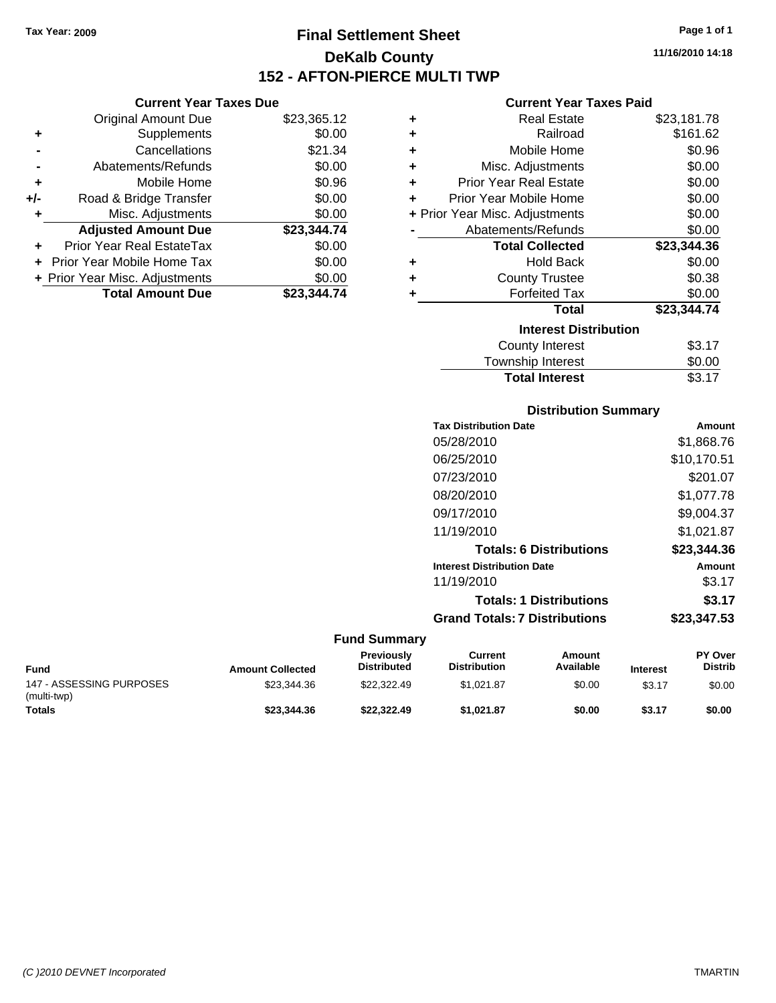**Current Year Taxes Due** Original Amount Due \$23,365.12

**Adjusted Amount Due \$23,344.74**

**Total Amount Due \$23,344.74**

**+** Supplements \$0.00 **-** Cancellations \$21.34 **-** Abatements/Refunds \$0.00 **+** Mobile Home \$0.96 **+/-** Road & Bridge Transfer \$0.00 **+** Misc. Adjustments \$0.00

**+** Prior Year Real EstateTax \$0.00 **+** Prior Year Mobile Home Tax \$0.00 **+ Prior Year Misc. Adjustments**  $$0.00$ 

# **Final Settlement Sheet Tax Year: 2009 Page 1 of 1 DeKalb County 152 - AFTON-PIERCE MULTI TWP**

**11/16/2010 14:18**

### **Current Year Taxes Paid**

| ٠ | <b>Real Estate</b>             | \$23,181.78 |
|---|--------------------------------|-------------|
| ٠ | Railroad                       | \$161.62    |
| ٠ | Mobile Home                    | \$0.96      |
| ÷ | Misc. Adjustments              | \$0.00      |
| ÷ | <b>Prior Year Real Estate</b>  | \$0.00      |
| ٠ | Prior Year Mobile Home         | \$0.00      |
|   | + Prior Year Misc. Adjustments | \$0.00      |
|   | Abatements/Refunds             | \$0.00      |
|   | <b>Total Collected</b>         | \$23,344.36 |
| ٠ | <b>Hold Back</b>               | \$0.00      |
| ٠ | <b>County Trustee</b>          | \$0.38      |
|   | <b>Forfeited Tax</b>           | \$0.00      |
|   | <b>Total</b>                   | \$23,344.74 |
|   | <b>Interest Distribution</b>   |             |
|   | <b>County Interest</b>         | \$3.17      |
|   | Township Interest              | \$0.00      |

# **Distribution Summary** Total Interest \$3.17

| <b>Tax Distribution Date</b>         | Amount      |
|--------------------------------------|-------------|
| 05/28/2010                           | \$1,868.76  |
| 06/25/2010                           | \$10,170.51 |
| 07/23/2010                           | \$201.07    |
| 08/20/2010                           | \$1.077.78  |
| 09/17/2010                           | \$9,004.37  |
| 11/19/2010                           | \$1,021.87  |
| <b>Totals: 6 Distributions</b>       | \$23,344.36 |
| <b>Interest Distribution Date</b>    | Amount      |
| 11/19/2010                           | \$3.17      |
| <b>Totals: 1 Distributions</b>       | \$3.17      |
| <b>Grand Totals: 7 Distributions</b> | \$23,347,53 |

| <b>Fund</b>                             | <b>Amount Collected</b> | <b>Previously</b><br><b>Distributed</b> | Current<br><b>Distribution</b> | Amount<br>Available | <b>Interest</b> | <b>PY Over</b><br><b>Distrib</b> |
|-----------------------------------------|-------------------------|-----------------------------------------|--------------------------------|---------------------|-----------------|----------------------------------|
| 147 - ASSESSING PURPOSES<br>(multi-twp) | \$23.344.36             | \$22,322.49                             | \$1.021.87                     | \$0.00              | \$3.17          | \$0.00                           |
| <b>Totals</b>                           | \$23,344,36             | \$22,322.49                             | \$1.021.87                     | \$0.00              | \$3.17          | \$0.00                           |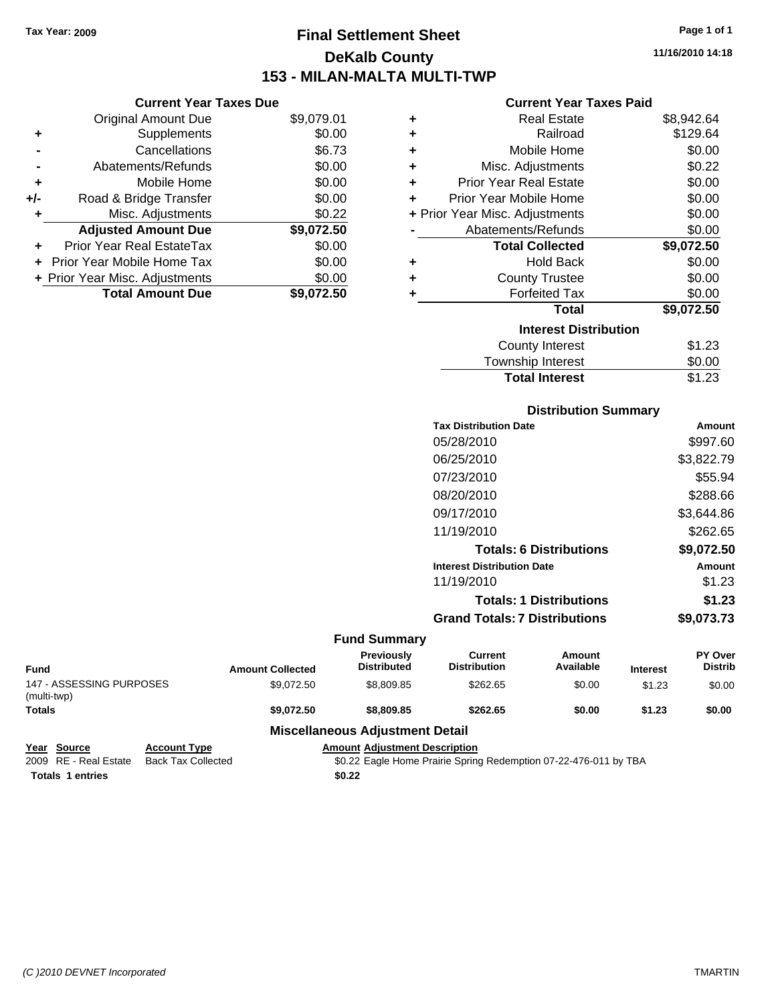**Current Year Taxes Due** Original Amount Due \$9,079.01

**Adjusted Amount Due \$9,072.50**

**Total Amount Due \$9,072.50**

**+** Supplements \$0.00 **-** Cancellations \$6.73 **-** Abatements/Refunds \$0.00 **+** Mobile Home \$0.00 **+/-** Road & Bridge Transfer \$0.00 **+** Misc. Adjustments \$0.22

**+** Prior Year Real EstateTax \$0.00 **+** Prior Year Mobile Home Tax \$0.00 **+ Prior Year Misc. Adjustments**  $$0.00$ 

# **Final Settlement Sheet Tax Year: 2009 Page 1 of 1 DeKalb County 153 - MILAN-MALTA MULTI-TWP**

**11/16/2010 14:18**

### **Current Year Taxes Paid**

| ٠ | <b>Real Estate</b>             | \$8,942.64 |
|---|--------------------------------|------------|
| ٠ | Railroad                       | \$129.64   |
| ٠ | Mobile Home                    | \$0.00     |
| ٠ | Misc. Adjustments              | \$0.22     |
| ÷ | <b>Prior Year Real Estate</b>  | \$0.00     |
| ٠ | Prior Year Mobile Home         | \$0.00     |
|   | + Prior Year Misc. Adjustments | \$0.00     |
|   | Abatements/Refunds             | \$0.00     |
|   | <b>Total Collected</b>         | \$9,072.50 |
| ٠ | <b>Hold Back</b>               | \$0.00     |
| ٠ | <b>County Trustee</b>          | \$0.00     |
| ٠ | <b>Forfeited Tax</b>           | \$0.00     |
|   | <b>Total</b>                   | \$9,072.50 |
|   | <b>Interest Distribution</b>   |            |
|   | <b>County Interest</b>         | \$1.23     |
|   | Townshin Interest              | ደ0 00      |

| <b>Total Interest</b>  | \$1.23  |
|------------------------|---------|
| Township Interest      | \$0.00  |
| <b>COUTTLY IFTERST</b> | د∠.ו دت |

### **Distribution Summary**

| <b>Tax Distribution Date</b>         | Amount     |
|--------------------------------------|------------|
| 05/28/2010                           | \$997.60   |
| 06/25/2010                           | \$3,822.79 |
| 07/23/2010                           | \$55.94    |
| 08/20/2010                           | \$288.66   |
| 09/17/2010                           | \$3.644.86 |
| 11/19/2010                           | \$262.65   |
| <b>Totals: 6 Distributions</b>       | \$9,072.50 |
| <b>Interest Distribution Date</b>    | Amount     |
| 11/19/2010                           | \$1.23     |
| <b>Totals: 1 Distributions</b>       | \$1.23     |
| <b>Grand Totals: 7 Distributions</b> | \$9,073.73 |
|                                      |            |

|                                         |                     |                         | <b>Fund Summary</b>                     |                                |                     |                 |                           |
|-----------------------------------------|---------------------|-------------------------|-----------------------------------------|--------------------------------|---------------------|-----------------|---------------------------|
| <b>Fund</b>                             |                     | <b>Amount Collected</b> | <b>Previously</b><br><b>Distributed</b> | Current<br><b>Distribution</b> | Amount<br>Available | <b>Interest</b> | PY Over<br><b>Distrib</b> |
| 147 - ASSESSING PURPOSES<br>(multi-twp) |                     | \$9.072.50              | \$8,809.85                              | \$262.65                       | \$0.00              | \$1.23          | \$0.00                    |
| <b>Totals</b>                           |                     | \$9.072.50              | \$8,809.85                              | \$262.65                       | \$0.00              | \$1.23          | \$0.00                    |
|                                         |                     |                         | <b>Miscellaneous Adjustment Detail</b>  |                                |                     |                 |                           |
| Year<br><b>Source</b>                   | <b>Account Type</b> |                         | <b>Amount Adjustment Description</b>    |                                |                     |                 |                           |

| 2009 RE - Real Estate Back Tax Collected | \$0.22 Eagle Home Prairie Spring Redemption 07-22-476-011 by TBA |
|------------------------------------------|------------------------------------------------------------------|
| <b>Totals 1 entries</b>                  | \$0.22                                                           |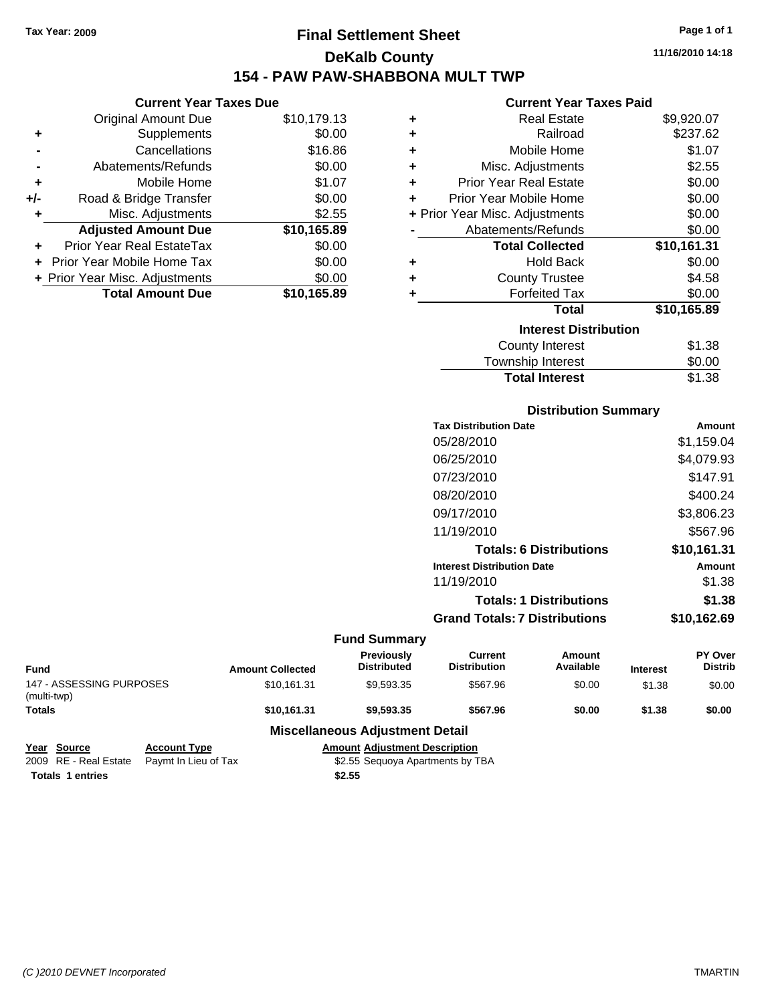# **Final Settlement Sheet Tax Year: 2009 Page 1 of 1 DeKalb County 154 - PAW PAW-SHABBONA MULT TWP**

**11/16/2010 14:18**

### **Current Year Taxes Paid**

| ٠ | <b>Real Estate</b>             | \$9,920.07  |
|---|--------------------------------|-------------|
| ٠ | Railroad                       | \$237.62    |
| ÷ | Mobile Home                    | \$1.07      |
| ٠ | Misc. Adjustments              | \$2.55      |
| ٠ | <b>Prior Year Real Estate</b>  | \$0.00      |
| ÷ | Prior Year Mobile Home         | \$0.00      |
|   | + Prior Year Misc. Adjustments | \$0.00      |
|   | Abatements/Refunds             | \$0.00      |
|   | <b>Total Collected</b>         | \$10,161.31 |
| ٠ | <b>Hold Back</b>               | \$0.00      |
| ٠ | <b>County Trustee</b>          | \$4.58      |
| ٠ | <b>Forfeited Tax</b>           | \$0.00      |
|   | <b>Total</b>                   | \$10,165.89 |
|   | <b>Interest Distribution</b>   |             |
|   | <b>County Interest</b>         | \$1.38      |
|   | Township Interact              | ድስ ሰስ       |

### Township Interest \$0.00 **Total Interest** \$1.38

| <b>Distribution Summary</b>       |             |
|-----------------------------------|-------------|
| <b>Tax Distribution Date</b>      | Amount      |
| 05/28/2010                        | \$1,159.04  |
| 06/25/2010                        | \$4,079.93  |
| 07/23/2010                        | \$147.91    |
| 08/20/2010                        | \$400.24    |
| 09/17/2010                        | \$3,806.23  |
| 11/19/2010                        | \$567.96    |
| <b>Totals: 6 Distributions</b>    | \$10,161.31 |
| <b>Interest Distribution Date</b> | Amount      |
| 11/19/2010                        | \$1.38      |
| <b>Totals: 1 Distributions</b>    | \$1.38      |
| Grand Totals: 7 Distributions     | \$10,162.69 |
|                                   |             |

|                                         |                      |                                  | <b>Fund Summary</b>                     |                                |                     |                 |                           |
|-----------------------------------------|----------------------|----------------------------------|-----------------------------------------|--------------------------------|---------------------|-----------------|---------------------------|
| Fund                                    |                      | <b>Amount Collected</b>          | <b>Previously</b><br><b>Distributed</b> | Current<br><b>Distribution</b> | Amount<br>Available | <b>Interest</b> | PY Over<br><b>Distrib</b> |
| 147 - ASSESSING PURPOSES<br>(multi-twp) |                      | \$10.161.31                      | \$9.593.35                              | \$567.96                       | \$0.00              | \$1.38          | \$0.00                    |
| <b>Totals</b>                           |                      | \$10.161.31                      | \$9,593,35                              | \$567.96                       | \$0.00              | \$1.38          | \$0.00                    |
|                                         |                      |                                  | <b>Miscellaneous Adjustment Detail</b>  |                                |                     |                 |                           |
| Year Source                             | <b>Account Type</b>  |                                  | <b>Amount Adiustment Description</b>    |                                |                     |                 |                           |
| 2009 RE - Real Estate                   | Paymt In Lieu of Tax | \$2.55 Sequoya Apartments by TBA |                                         |                                |                     |                 |                           |

| <b>IGAI JUULUG</b>      | AGGOUIL IVDE                               | Allivulli Aulustillelli Dest |
|-------------------------|--------------------------------------------|------------------------------|
|                         | 2009 RE - Real Estate Paymt In Lieu of Tax | \$2.55 Sequoya Apartme       |
| <b>Totals 1 entries</b> |                                            | \$2.55                       |

**Current Year Taxes Due** Original Amount Due \$10,179.13

**Adjusted Amount Due \$10,165.89**

**Total Amount Due \$10,165.89**

**+** Supplements \$0.00 **-** Cancellations \$16.86 **-** Abatements/Refunds \$0.00 **+** Mobile Home \$1.07 **+/-** Road & Bridge Transfer \$0.00 **+** Misc. Adjustments \$2.55

**+** Prior Year Real EstateTax \$0.00 **+** Prior Year Mobile Home Tax \$0.00 **+ Prior Year Misc. Adjustments**  $$0.00$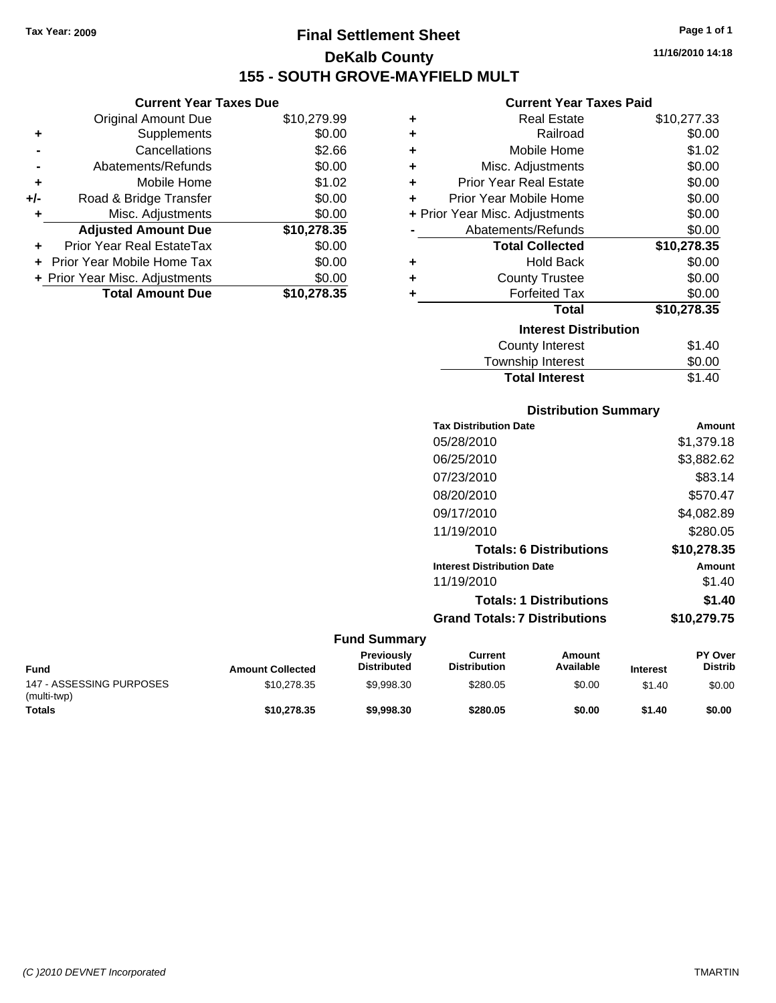# **Final Settlement Sheet Tax Year: 2009 Page 1 of 1 DeKalb County 155 - SOUTH GROVE-MAYFIELD MULT**

**11/16/2010 14:18**

### **Current Year Taxes Paid**

| ٠                            | <b>Real Estate</b>             | \$10,277.33 |  |  |  |
|------------------------------|--------------------------------|-------------|--|--|--|
| ٠                            | Railroad                       | \$0.00      |  |  |  |
| ÷                            | Mobile Home                    | \$1.02      |  |  |  |
| ٠                            | Misc. Adjustments              | \$0.00      |  |  |  |
| ٠                            | <b>Prior Year Real Estate</b>  | \$0.00      |  |  |  |
| ÷                            | Prior Year Mobile Home         | \$0.00      |  |  |  |
|                              | + Prior Year Misc. Adjustments | \$0.00      |  |  |  |
|                              | Abatements/Refunds             | \$0.00      |  |  |  |
|                              | <b>Total Collected</b>         | \$10,278.35 |  |  |  |
| ٠                            | <b>Hold Back</b>               | \$0.00      |  |  |  |
| ٠                            | <b>County Trustee</b>          | \$0.00      |  |  |  |
| ٠                            | <b>Forfeited Tax</b>           | \$0.00      |  |  |  |
|                              | Total                          | \$10,278.35 |  |  |  |
| <b>Interest Distribution</b> |                                |             |  |  |  |
|                              | <b>County Interest</b>         | \$1.40      |  |  |  |
|                              | Townshin Interest              | ፍስ ሰስ       |  |  |  |

# **Distribution Summary** Township Interest **1000**<br>Total Interest **1000** S1.40 **Total Interest**

| <b>Tax Distribution Date</b>         | Amount      |
|--------------------------------------|-------------|
| 05/28/2010                           | \$1,379.18  |
| 06/25/2010                           | \$3,882.62  |
| 07/23/2010                           | \$83.14     |
| 08/20/2010                           | \$570.47    |
| 09/17/2010                           | \$4,082.89  |
| 11/19/2010                           | \$280.05    |
| <b>Totals: 6 Distributions</b>       | \$10,278.35 |
| <b>Interest Distribution Date</b>    | Amount      |
| 11/19/2010                           | \$1.40      |
| <b>Totals: 1 Distributions</b>       | \$1.40      |
| <b>Grand Totals: 7 Distributions</b> | \$10,279.75 |

| <b>Fund</b>                             | <b>Amount Collected</b> | <b>Previously</b><br><b>Distributed</b> | Current<br><b>Distribution</b> | Amount<br>Available | <b>Interest</b> | <b>PY Over</b><br><b>Distrib</b> |
|-----------------------------------------|-------------------------|-----------------------------------------|--------------------------------|---------------------|-----------------|----------------------------------|
| 147 - ASSESSING PURPOSES<br>(multi-twp) | \$10,278,35             | \$9.998.30                              | \$280.05                       | \$0.00              | \$1.40          | \$0.00                           |
| <b>Totals</b>                           | \$10,278,35             | \$9,998,30                              | \$280.05                       | \$0.00              | \$1.40          | \$0.00                           |

|     | <b>Total Amount Due</b>           | \$10,278.35 |
|-----|-----------------------------------|-------------|
|     | + Prior Year Misc. Adjustments    | \$0.00      |
|     | <b>Prior Year Mobile Home Tax</b> | \$0.00      |
|     | Prior Year Real EstateTax         | \$0.00      |
|     | <b>Adjusted Amount Due</b>        | \$10,278.35 |
| ٠   | Misc. Adjustments                 | \$0.00      |
| +/- | Road & Bridge Transfer            | \$0.00      |
| ٠   | Mobile Home                       | \$1.02      |
|     | Abatements/Refunds                | \$0.00      |
|     | Cancellations                     | \$2.66      |
| ٠   | Supplements                       | \$0.00      |
|     | <b>Original Amount Due</b>        | \$10,279.99 |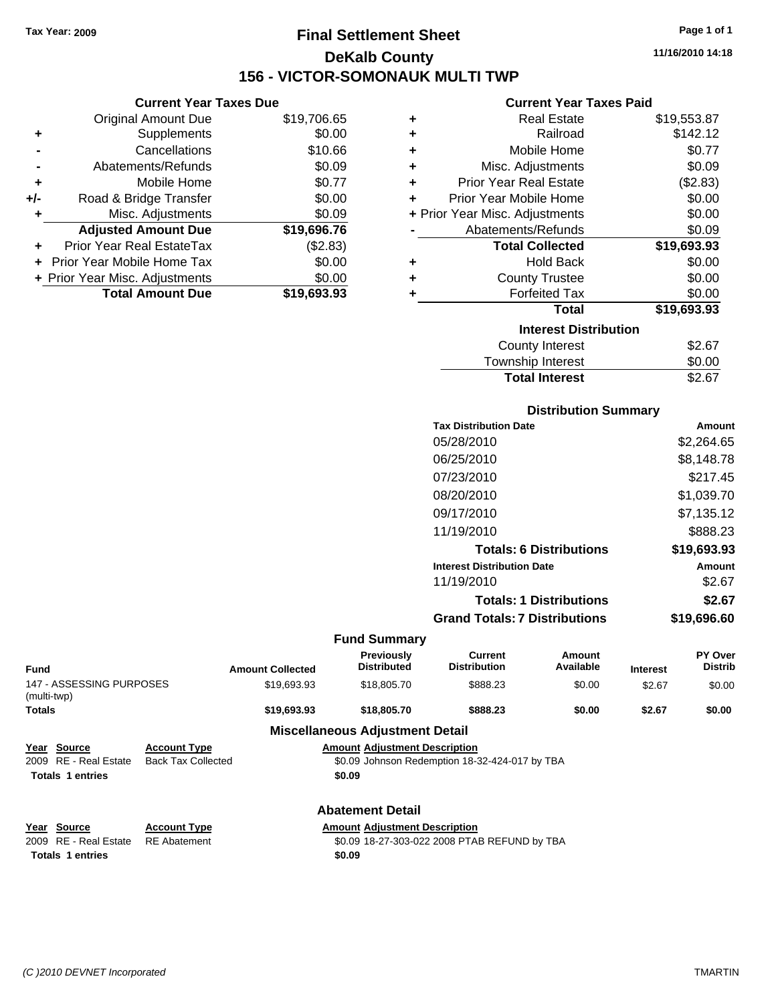**Current Year Taxes Due** Original Amount Due \$19,706.65

**Adjusted Amount Due \$19,696.76**

**Total Amount Due \$19,693.93**

**+** Supplements \$0.00 **-** Cancellations \$10.66 **-** Abatements/Refunds \$0.09 **+** Mobile Home \$0.77 **+/-** Road & Bridge Transfer \$0.00 **+** Misc. Adjustments \$0.09

**+** Prior Year Real EstateTax (\$2.83) **+** Prior Year Mobile Home Tax \$0.00 **+ Prior Year Misc. Adjustments**  $$0.00$ 

# **Final Settlement Sheet Tax Year: 2009 Page 1 of 1 DeKalb County 156 - VICTOR-SOMONAUK MULTI TWP**

**11/16/2010 14:18**

### **Current Year Taxes Paid**

|   | 9911911\ 1991 1989 1999        |             |
|---|--------------------------------|-------------|
| ٠ | <b>Real Estate</b>             | \$19,553.87 |
| ÷ | Railroad                       | \$142.12    |
| ÷ | Mobile Home                    | \$0.77      |
| ٠ | Misc. Adjustments              | \$0.09      |
| ٠ | <b>Prior Year Real Estate</b>  | (\$2.83)    |
| ÷ | Prior Year Mobile Home         | \$0.00      |
|   | + Prior Year Misc. Adjustments | \$0.00      |
|   | Abatements/Refunds             | \$0.09      |
|   | <b>Total Collected</b>         | \$19,693.93 |
| ٠ | <b>Hold Back</b>               | \$0.00      |
| ٠ | <b>County Trustee</b>          | \$0.00      |
| ٠ | <b>Forfeited Tax</b>           | \$0.00      |
|   | <b>Total</b>                   | \$19,693.93 |
|   | <b>Interest Distribution</b>   |             |
|   | County Interest                | \$2.67      |
|   | <b>Township Interest</b>       | \$0.00      |

# **Distribution Summary Total Interest** \$2.67

| <b>Tax Distribution Date</b>      | Amount        |
|-----------------------------------|---------------|
| 05/28/2010                        | \$2,264.65    |
| 06/25/2010                        | \$8,148.78    |
| 07/23/2010                        | \$217.45      |
| 08/20/2010                        | \$1,039.70    |
| 09/17/2010                        | \$7,135.12    |
| 11/19/2010                        | \$888.23      |
| <b>Totals: 6 Distributions</b>    | \$19,693.93   |
| <b>Interest Distribution Date</b> | <b>Amount</b> |
| 11/19/2010                        | \$2.67        |
| <b>Totals: 1 Distributions</b>    | \$2.67        |
| Grand Totals: 7 Distributions     | \$19,696,60   |
|                                   |               |

|                                         |                                                                     |                                      | <b>Fund Summary</b>                     |                                                |                     |                 |                           |
|-----------------------------------------|---------------------------------------------------------------------|--------------------------------------|-----------------------------------------|------------------------------------------------|---------------------|-----------------|---------------------------|
| <b>Fund</b>                             |                                                                     | <b>Amount Collected</b>              | <b>Previously</b><br><b>Distributed</b> | <b>Current</b><br><b>Distribution</b>          | Amount<br>Available | <b>Interest</b> | PY Over<br><b>Distrib</b> |
| 147 - ASSESSING PURPOSES<br>(multi-twp) |                                                                     | \$19,693.93                          | \$18,805.70                             | \$888.23                                       | \$0.00              | \$2.67          | \$0.00                    |
| <b>Totals</b>                           |                                                                     | \$19,693.93                          | \$18,805.70                             | \$888.23                                       | \$0.00              | \$2.67          | \$0.00                    |
|                                         |                                                                     |                                      | <b>Miscellaneous Adjustment Detail</b>  |                                                |                     |                 |                           |
| Year Source                             | <b>Account Type</b>                                                 |                                      | <b>Amount Adjustment Description</b>    |                                                |                     |                 |                           |
| RE - Real Estate<br>2009                | <b>Back Tax Collected</b>                                           |                                      |                                         | \$0.09 Johnson Redemption 18-32-424-017 by TBA |                     |                 |                           |
| Totals 1 entries                        |                                                                     |                                      | \$0.09                                  |                                                |                     |                 |                           |
|                                         |                                                                     |                                      |                                         |                                                |                     |                 |                           |
|                                         |                                                                     |                                      | <b>Abatement Detail</b>                 |                                                |                     |                 |                           |
| Year Source                             | <b>Account Type</b>                                                 | <b>Amount Adjustment Description</b> |                                         |                                                |                     |                 |                           |
| 2009 RE - Real Estate                   | <b>RE</b> Abatement<br>\$0.09 18-27-303-022 2008 PTAB REFUND by TBA |                                      |                                         |                                                |                     |                 |                           |
| \$0.09<br>Totals 1 entries              |                                                                     |                                      |                                         |                                                |                     |                 |                           |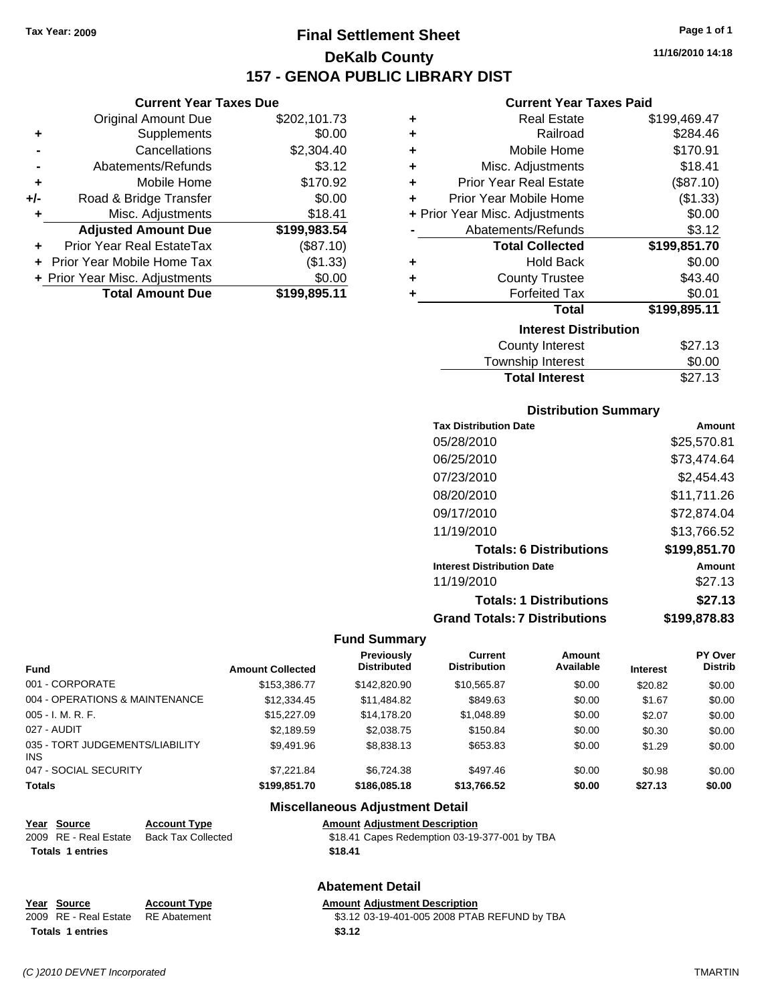# **Final Settlement Sheet Tax Year: 2009 Page 1 of 1 DeKalb County 157 - GENOA PUBLIC LIBRARY DIST**

### **Current Year Taxes Due**

|     | <b>Original Amount Due</b>        | \$202,101.73 |
|-----|-----------------------------------|--------------|
| ٠   | Supplements                       | \$0.00       |
|     | Cancellations                     | \$2,304.40   |
|     | Abatements/Refunds                | \$3.12       |
| ÷   | Mobile Home                       | \$170.92     |
| +/- | Road & Bridge Transfer            | \$0.00       |
| ٠   | Misc. Adjustments                 | \$18.41      |
|     | <b>Adjusted Amount Due</b>        | \$199,983.54 |
|     | Prior Year Real EstateTax         | (\$87.10)    |
|     | <b>Prior Year Mobile Home Tax</b> | (\$1.33)     |
|     | + Prior Year Misc. Adjustments    | \$0.00       |
|     | <b>Total Amount Due</b>           | \$199,895.11 |

### **Current Year Taxes Paid**

| ٠ | <b>Real Estate</b>             | \$199,469.47 |
|---|--------------------------------|--------------|
| ٠ | Railroad                       | \$284.46     |
| ٠ | Mobile Home                    | \$170.91     |
| ÷ | Misc. Adjustments              | \$18.41      |
| ٠ | <b>Prior Year Real Estate</b>  | (\$87.10)    |
| ٠ | Prior Year Mobile Home         | (\$1.33)     |
|   | + Prior Year Misc. Adjustments | \$0.00       |
|   | Abatements/Refunds             | \$3.12       |
|   | <b>Total Collected</b>         | \$199,851.70 |
| ٠ | <b>Hold Back</b>               | \$0.00       |
| ٠ | <b>County Trustee</b>          | \$43.40      |
| ٠ | <b>Forfeited Tax</b>           | \$0.01       |
|   | Total                          | \$199,895.11 |
|   | <b>Interest Distribution</b>   |              |
|   | <b>County Interest</b>         | \$27.13      |
|   | Townshin Interest              | ደ0 00        |

# Township Interest  $$0.00$ Total Interest \$27.13

### **Distribution Summary**

| <b>Tax Distribution Date</b>         | Amount       |
|--------------------------------------|--------------|
| 05/28/2010                           | \$25,570.81  |
| 06/25/2010                           | \$73,474.64  |
| 07/23/2010                           | \$2,454.43   |
| 08/20/2010                           | \$11,711.26  |
| 09/17/2010                           | \$72,874.04  |
| 11/19/2010                           | \$13,766.52  |
| <b>Totals: 6 Distributions</b>       | \$199,851.70 |
| <b>Interest Distribution Date</b>    | Amount       |
| 11/19/2010                           | \$27.13      |
| <b>Totals: 1 Distributions</b>       | \$27.13      |
| <b>Grand Totals: 7 Distributions</b> | \$199,878.83 |

### **Fund Summary**

| <b>Fund</b>                             | <b>Amount Collected</b> | <b>Previously</b><br><b>Distributed</b> | Current<br><b>Distribution</b> | Amount<br>Available | <b>Interest</b> | <b>PY Over</b><br><b>Distrib</b> |
|-----------------------------------------|-------------------------|-----------------------------------------|--------------------------------|---------------------|-----------------|----------------------------------|
| 001 - CORPORATE                         | \$153,386,77            | \$142,820,90                            | \$10.565.87                    | \$0.00              |                 |                                  |
|                                         |                         |                                         |                                |                     | \$20.82         | \$0.00                           |
| 004 - OPERATIONS & MAINTENANCE          | \$12,334.45             | \$11,484.82                             | \$849.63                       | \$0.00              | \$1.67          | \$0.00                           |
| 005 - I. M. R. F.                       | \$15,227.09             | \$14.178.20                             | \$1,048.89                     | \$0.00              | \$2.07          | \$0.00                           |
| 027 - AUDIT                             | \$2,189.59              | \$2,038.75                              | \$150.84                       | \$0.00              | \$0.30          | \$0.00                           |
| 035 - TORT JUDGEMENTS/LIABILITY<br>INS. | \$9,491.96              | \$8,838.13                              | \$653.83                       | \$0.00              | \$1.29          | \$0.00                           |
| 047 - SOCIAL SECURITY                   | \$7.221.84              | \$6.724.38                              | \$497.46                       | \$0.00              | \$0.98          | \$0.00                           |
| <b>Totals</b>                           | \$199,851.70            | \$186,085.18                            | \$13,766.52                    | \$0.00              | \$27.13         | \$0.00                           |

### **Miscellaneous Adjustment Detail**

| Year Source             | <b>Account Type</b>       | <b>Amount Adjustment Description</b>          |
|-------------------------|---------------------------|-----------------------------------------------|
| 2009 RE - Real Estate   | <b>Back Tax Collected</b> | \$18.41 Capes Redemption 03-19-377-001 by TBA |
| <b>Totals 1 entries</b> |                           | \$18.41                                       |
|                         |                           |                                               |

### **Abatement Detail**

# **Year Source Account Type Amount Adjustment Description**<br>
2009 RE - Real Estate RE Abatement **Amount** \$3.12 03-19-401-005 2008 PTAI Totals 1 entries **1.12 1.12 1.12 1.12 1.12**

\$3.12 03-19-401-005 2008 PTAB REFUND by TBA

**11/16/2010 14:18**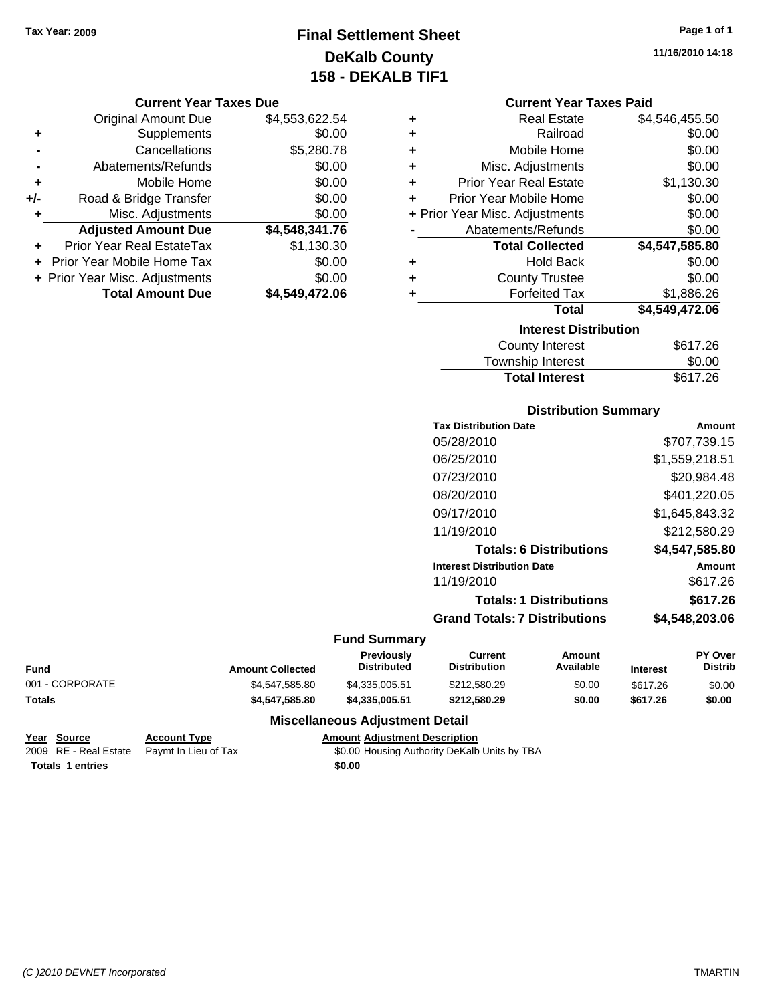# **Final Settlement Sheet Tax Year: 2009 Page 1 of 1 DeKalb County 158 - DEKALB TIF1**

## **11/16/2010 14:18**

### **Current Year Taxes Paid**

| ٠ | <b>Real Estate</b>             | \$4,546,455.50 |
|---|--------------------------------|----------------|
| ÷ | Railroad                       | \$0.00         |
| ٠ | Mobile Home                    | \$0.00         |
| ٠ | Misc. Adjustments              | \$0.00         |
| ÷ | <b>Prior Year Real Estate</b>  | \$1,130.30     |
| ÷ | Prior Year Mobile Home         | \$0.00         |
|   | + Prior Year Misc. Adjustments | \$0.00         |
|   | Abatements/Refunds             | \$0.00         |
|   | <b>Total Collected</b>         | \$4,547,585.80 |
| ٠ | <b>Hold Back</b>               | \$0.00         |
| ٠ | <b>County Trustee</b>          | \$0.00         |
| ÷ | <b>Forfeited Tax</b>           | \$1,886.26     |
|   | Total                          | \$4,549,472.06 |
|   | <b>Interest Distribution</b>   |                |
|   | <b>County Interest</b>         | \$617.26       |

| <b>Total Interest</b> | \$617.26 |
|-----------------------|----------|
| Township Interest     | \$0.00   |
| County Interest       | \$617.26 |

### **Distribution Summary**

| <b>Tax Distribution Date</b>         | Amount         |
|--------------------------------------|----------------|
| 05/28/2010                           | \$707,739.15   |
| 06/25/2010                           | \$1,559,218.51 |
| 07/23/2010                           | \$20,984.48    |
| 08/20/2010                           | \$401,220.05   |
| 09/17/2010                           | \$1,645,843.32 |
| 11/19/2010                           | \$212.580.29   |
| <b>Totals: 6 Distributions</b>       | \$4,547,585.80 |
| <b>Interest Distribution Date</b>    | Amount         |
| 11/19/2010                           | \$617.26       |
| <b>Totals: 1 Distributions</b>       | \$617.26       |
| <b>Grand Totals: 7 Distributions</b> | \$4,548,203.06 |

### **Fund Summary**

| Fund            | <b>Amount Collected</b> | <b>Previously</b><br><b>Distributed</b> | Current<br>Distribution | Amount<br>Available | <b>Interest</b> | <b>PY Over</b><br><b>Distrib</b> |
|-----------------|-------------------------|-----------------------------------------|-------------------------|---------------------|-----------------|----------------------------------|
| 001 - CORPORATE | \$4.547.585.80          | \$4.335.005.51                          | \$212,580.29            | \$0.00              | \$617.26        | \$0.00                           |
| Totals          | \$4,547,585,80          | \$4.335.005.51                          | \$212,580.29            | \$0.00              | \$617.26        | \$0.00                           |

### **Miscellaneous Adjustment Detail**

**Year Source Account Type Amount Adjustment Description Totals 1 entries** \$0.00

**Current Year Taxes Due** Original Amount Due \$4,553,622.54

**Adjusted Amount Due \$4,548,341.76**

**Total Amount Due \$4,549,472.06**

**+** Supplements \$0.00 **-** Cancellations \$5,280.78 **-** Abatements/Refunds \$0.00 **+** Mobile Home \$0.00 **+/-** Road & Bridge Transfer \$0.00 **+** Misc. Adjustments \$0.00

**+** Prior Year Real EstateTax \$1,130.30 **+** Prior Year Mobile Home Tax \$0.00 **+ Prior Year Misc. Adjustments**  $$0.00$ 

2009 RE - Real Estate Paymt In Lieu of Tax \$0.00 Housing Authority DeKalb Units by TBA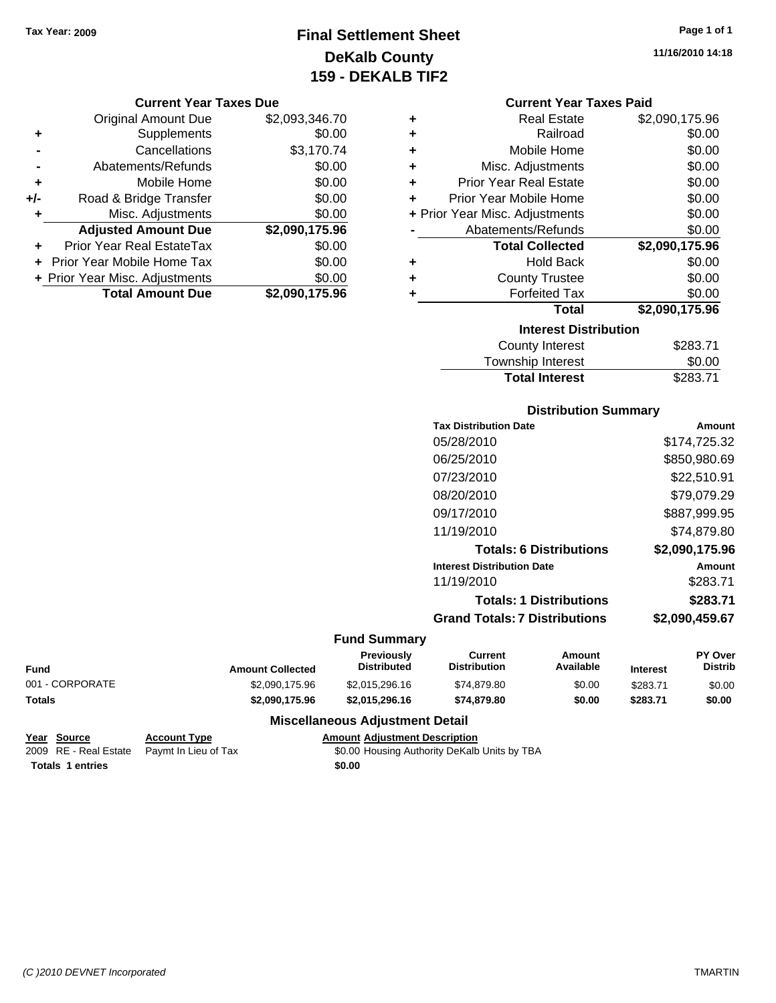# **Final Settlement Sheet Tax Year: 2009 Page 1 of 1 DeKalb County 159 - DEKALB TIF2**

### **Current Year Taxes Due**

|     | <b>Original Amount Due</b>     | \$2,093,346.70 |
|-----|--------------------------------|----------------|
| ٠   | Supplements                    | \$0.00         |
|     | Cancellations                  | \$3,170.74     |
|     | Abatements/Refunds             | \$0.00         |
| ٠   | Mobile Home                    | \$0.00         |
| +/- | Road & Bridge Transfer         | \$0.00         |
| ٠   | Misc. Adjustments              | \$0.00         |
|     | <b>Adjusted Amount Due</b>     | \$2,090,175.96 |
|     | Prior Year Real EstateTax      | \$0.00         |
|     | Prior Year Mobile Home Tax     | \$0.00         |
|     | + Prior Year Misc. Adjustments | \$0.00         |
|     | <b>Total Amount Due</b>        | \$2,090,175.96 |

| ٠ | <b>Real Estate</b>             | \$2,090,175.96 |
|---|--------------------------------|----------------|
| ÷ | Railroad                       | \$0.00         |
| ÷ | Mobile Home                    | \$0.00         |
| ÷ | Misc. Adjustments              | \$0.00         |
| ÷ | Prior Year Real Estate         | \$0.00         |
| ٠ | Prior Year Mobile Home         | \$0.00         |
|   | + Prior Year Misc. Adjustments | \$0.00         |
|   | Abatements/Refunds             | \$0.00         |
|   | <b>Total Collected</b>         | \$2,090,175.96 |
| ٠ | <b>Hold Back</b>               | \$0.00         |
| ٠ | <b>County Trustee</b>          | \$0.00         |
| ٠ | <b>Forfeited Tax</b>           | \$0.00         |
|   | <b>Total</b>                   | \$2,090,175.96 |
|   | <b>Interest Distribution</b>   |                |
|   | County Interest                | \$283.71       |

| <b>Total Interest</b> | \$283.71 |
|-----------------------|----------|
| Township Interest     | \$0.00   |
| County Interest       | \$283.71 |

### **Distribution Summary**

| Amount         |
|----------------|
| \$174,725.32   |
| \$850,980.69   |
| \$22,510.91    |
| \$79,079.29    |
| \$887,999.95   |
| \$74.879.80    |
| \$2,090,175.96 |
| Amount         |
| \$283.71       |
| \$283.71       |
| \$2,090,459.67 |
|                |

### **Fund Summary**

| Fund            | <b>Amount Collected</b> | Previously<br><b>Distributed</b> | Current<br><b>Distribution</b> | Amount<br>Available | <b>Interest</b> | <b>PY Over</b><br>Distrib |
|-----------------|-------------------------|----------------------------------|--------------------------------|---------------------|-----------------|---------------------------|
| 001 - CORPORATE | \$2.090.175.96          | \$2.015.296.16                   | \$74,879.80                    | \$0.00              | \$283.71        | \$0.00                    |
| Totals          | \$2,090,175.96          | \$2.015.296.16                   | \$74,879.80                    | \$0.00              | \$283.71        | \$0.00                    |

### **Miscellaneous Adjustment Detail**

```
Year Source Account Type Amount Adjustment Description
2009 RE - Real Estate   Paymt In Lieu of Tax   S0.00 Housing Authority DeKalb Units by TBA
Totals 1 entries $0.00
```
**11/16/2010 14:18**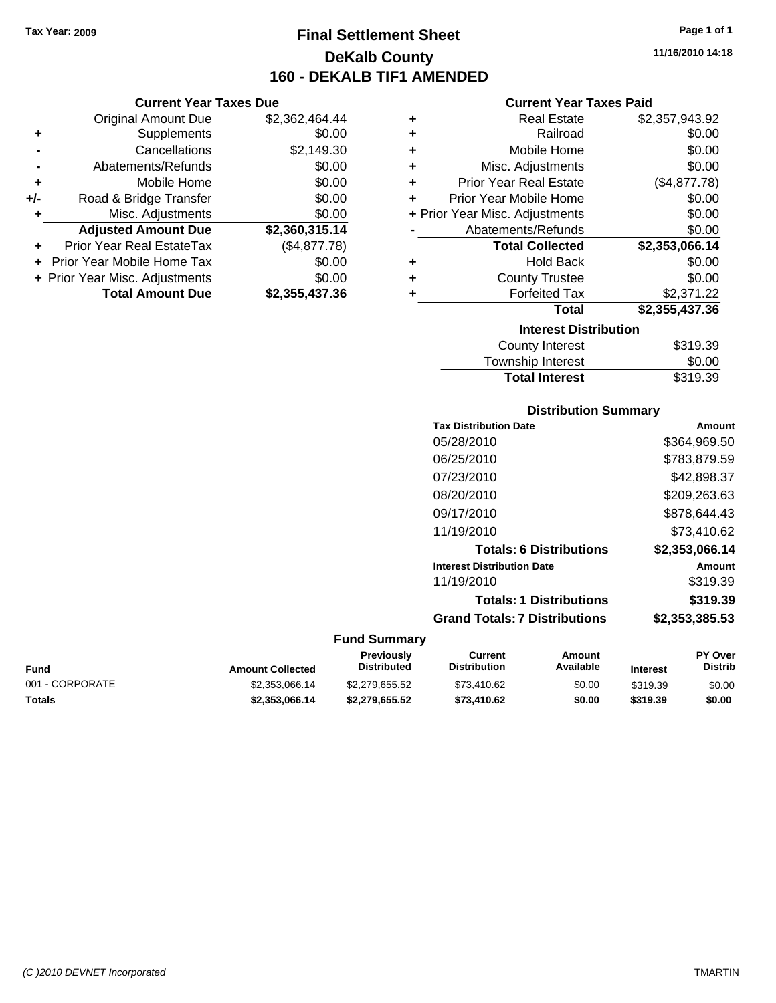**Current Year Taxes Due** Original Amount Due \$2,362,464.44

**Adjusted Amount Due \$2,360,315.14**

**Total Amount Due \$2,355,437.36**

**+** Supplements \$0.00 **-** Cancellations \$2,149.30 **-** Abatements/Refunds \$0.00 **+** Mobile Home \$0.00 **+/-** Road & Bridge Transfer \$0.00 **+** Misc. Adjustments \$0.00

**+** Prior Year Real EstateTax (\$4,877.78) **+** Prior Year Mobile Home Tax \$0.00 **+ Prior Year Misc. Adjustments**  $$0.00$ 

# **Final Settlement Sheet Tax Year: 2009 Page 1 of 1 DeKalb County 160 - DEKALB TIF1 AMENDED**

**11/16/2010 14:18**

### **Current Year Taxes Paid**

| <b>Real Estate</b><br>٠<br>Railroad<br>÷<br>Mobile Home<br>÷<br>Misc. Adjustments<br>÷<br><b>Prior Year Real Estate</b><br>÷<br>Prior Year Mobile Home<br>÷<br>+ Prior Year Misc. Adjustments<br>Abatements/Refunds<br><b>Total Collected</b><br><b>Hold Back</b><br>٠<br><b>County Trustee</b><br>٠<br><b>Forfeited Tax</b><br>٠<br><b>Total</b><br><b>Interest Distribution</b> |  |                        |                |  |
|-----------------------------------------------------------------------------------------------------------------------------------------------------------------------------------------------------------------------------------------------------------------------------------------------------------------------------------------------------------------------------------|--|------------------------|----------------|--|
|                                                                                                                                                                                                                                                                                                                                                                                   |  |                        | \$2,357,943.92 |  |
|                                                                                                                                                                                                                                                                                                                                                                                   |  |                        | \$0.00         |  |
|                                                                                                                                                                                                                                                                                                                                                                                   |  |                        | \$0.00         |  |
|                                                                                                                                                                                                                                                                                                                                                                                   |  |                        | \$0.00         |  |
|                                                                                                                                                                                                                                                                                                                                                                                   |  |                        | (\$4,877.78)   |  |
|                                                                                                                                                                                                                                                                                                                                                                                   |  |                        | \$0.00         |  |
|                                                                                                                                                                                                                                                                                                                                                                                   |  |                        | \$0.00         |  |
|                                                                                                                                                                                                                                                                                                                                                                                   |  |                        | \$0.00         |  |
|                                                                                                                                                                                                                                                                                                                                                                                   |  |                        | \$2,353,066.14 |  |
|                                                                                                                                                                                                                                                                                                                                                                                   |  |                        | \$0.00         |  |
|                                                                                                                                                                                                                                                                                                                                                                                   |  |                        | \$0.00         |  |
|                                                                                                                                                                                                                                                                                                                                                                                   |  |                        | \$2,371.22     |  |
|                                                                                                                                                                                                                                                                                                                                                                                   |  |                        | \$2,355,437.36 |  |
|                                                                                                                                                                                                                                                                                                                                                                                   |  |                        |                |  |
|                                                                                                                                                                                                                                                                                                                                                                                   |  | <b>County Interest</b> | \$319.39       |  |

| <b>Total Interest</b> | \$319.39 |
|-----------------------|----------|
| Township Interest     | \$0.00   |
| County Interest       | \$319.39 |

### **Distribution Summary**

| <b>Tax Distribution Date</b>         | Amount         |
|--------------------------------------|----------------|
| 05/28/2010                           | \$364,969.50   |
| 06/25/2010                           | \$783,879.59   |
| 07/23/2010                           | \$42,898.37    |
| 08/20/2010                           | \$209,263.63   |
| 09/17/2010                           | \$878,644.43   |
| 11/19/2010                           | \$73.410.62    |
| <b>Totals: 6 Distributions</b>       | \$2,353,066.14 |
| <b>Interest Distribution Date</b>    | Amount         |
| 11/19/2010                           | \$319.39       |
| <b>Totals: 1 Distributions</b>       | \$319.39       |
| <b>Grand Totals: 7 Distributions</b> | \$2,353,385.53 |
|                                      |                |

| Fund            | <b>Amount Collected</b> | Previously<br><b>Distributed</b> | Current<br>Distribution | Amount<br>Available | <b>Interest</b> | <b>PY Over</b><br><b>Distrib</b> |
|-----------------|-------------------------|----------------------------------|-------------------------|---------------------|-----------------|----------------------------------|
| 001 - CORPORATE | \$2,353,066.14          | \$2,279,655,52                   | \$73,410.62             | \$0.00              | \$319.39        | \$0.00                           |
| Totals          | \$2,353,066,14          | \$2.279.655.52                   | \$73,410.62             | \$0.00              | \$319.39        | \$0.00                           |

| Fund            |  |
|-----------------|--|
| 001 - CORPORATE |  |
|                 |  |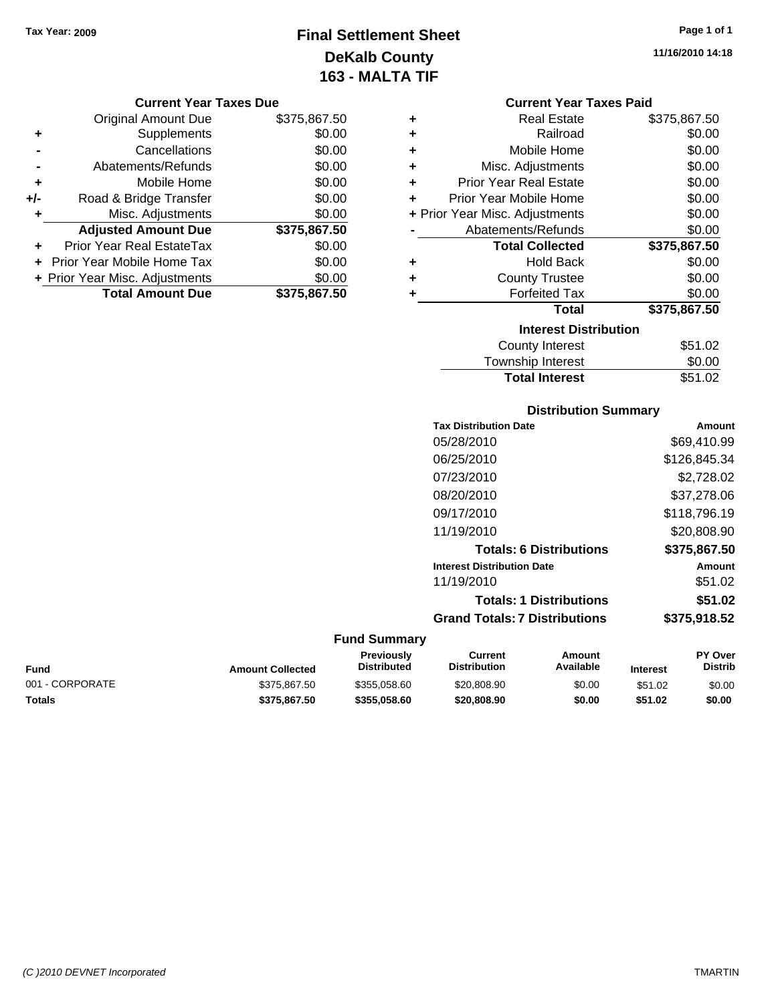**Current Year Taxes Due** Original Amount Due \$375,867.50

**Adjusted Amount Due \$375,867.50**

**Total Amount Due \$375,867.50**

**+** Supplements \$0.00 **-** Cancellations \$0.00 **-** Abatements/Refunds \$0.00 **+** Mobile Home \$0.00 **+/-** Road & Bridge Transfer \$0.00 **+** Misc. Adjustments \$0.00

**+** Prior Year Real EstateTax \$0.00 **+** Prior Year Mobile Home Tax \$0.00 **+ Prior Year Misc. Adjustments**  $$0.00$ 

# **Final Settlement Sheet Tax Year: 2009 Page 1 of 1 DeKalb County 163 - MALTA TIF**

**11/16/2010 14:18**

### **Current Year Taxes Paid**

|   | GUITEIN TEAT TAXES FAIU        |              |
|---|--------------------------------|--------------|
| ٠ | <b>Real Estate</b>             | \$375,867.50 |
| ÷ | Railroad                       | \$0.00       |
| ÷ | Mobile Home                    | \$0.00       |
| ÷ | Misc. Adjustments              | \$0.00       |
| ÷ | <b>Prior Year Real Estate</b>  | \$0.00       |
| ÷ | Prior Year Mobile Home         | \$0.00       |
|   | + Prior Year Misc. Adjustments | \$0.00       |
|   | Abatements/Refunds             | \$0.00       |
|   | <b>Total Collected</b>         | \$375,867.50 |
| ٠ | <b>Hold Back</b>               | \$0.00       |
| ٠ | <b>County Trustee</b>          | \$0.00       |
| ٠ | <b>Forfeited Tax</b>           | \$0.00       |
|   | <b>Total</b>                   | \$375,867.50 |
|   | <b>Interest Distribution</b>   |              |
|   | <b>County Interest</b>         | \$51.02      |
|   |                                |              |

# Township Interest  $$0.00$ Total Interest \$51.02

### **Distribution Summary**

|                     | <b>Tax Distribution Date</b>         | Amount       |
|---------------------|--------------------------------------|--------------|
|                     | 05/28/2010                           | \$69,410.99  |
|                     | 06/25/2010                           | \$126,845.34 |
|                     | 07/23/2010                           | \$2,728.02   |
|                     | 08/20/2010                           | \$37,278.06  |
|                     | 09/17/2010                           | \$118,796.19 |
|                     | 11/19/2010                           | \$20,808.90  |
|                     | <b>Totals: 6 Distributions</b>       | \$375,867.50 |
|                     | <b>Interest Distribution Date</b>    | Amount       |
|                     | 11/19/2010                           | \$51.02      |
|                     | <b>Totals: 1 Distributions</b>       | \$51.02      |
|                     | <b>Grand Totals: 7 Distributions</b> | \$375,918.52 |
| <b>Fund Summary</b> |                                      |              |

### **Fund Interest Amount Collected Distributed PY Over Distrib Amount Available Current Distribution Previously** 001 - CORPORATE \$375,867.50 \$375,867.50 \$355,058.60 \$20,808.90 \$0.00 \$51.02 \$0.00 **Totals \$375,867.50 \$355,058.60 \$20,808.90 \$0.00 \$51.02 \$0.00**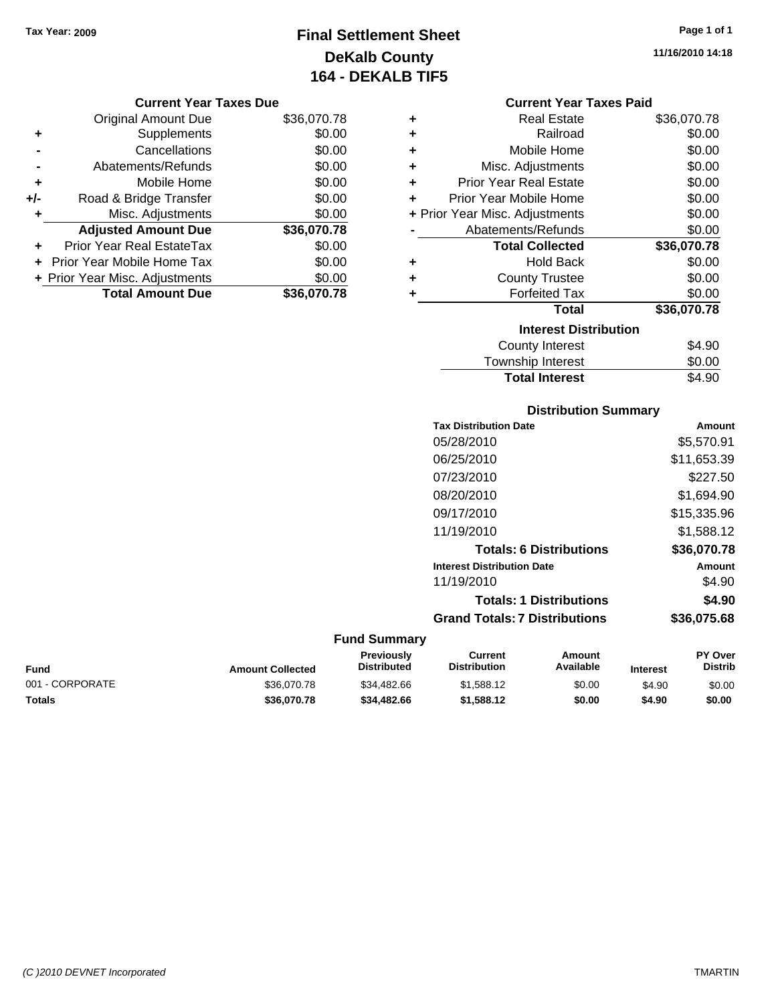# **Final Settlement Sheet Tax Year: 2009 Page 1 of 1 DeKalb County 164 - DEKALB TIF5**

**11/16/2010 14:18**

### **Current Year Taxes Due**

|       | <b>Original Amount Due</b>     | \$36,070.78 |
|-------|--------------------------------|-------------|
| ٠     | Supplements                    | \$0.00      |
|       | Cancellations                  | \$0.00      |
|       | Abatements/Refunds             | \$0.00      |
| ÷     | Mobile Home                    | \$0.00      |
| $+/-$ | Road & Bridge Transfer         | \$0.00      |
| ۰     | Misc. Adjustments              | \$0.00      |
|       | <b>Adjusted Amount Due</b>     | \$36,070.78 |
| ÷     | Prior Year Real EstateTax      | \$0.00      |
|       | Prior Year Mobile Home Tax     | \$0.00      |
|       | + Prior Year Misc. Adjustments | \$0.00      |
|       | <b>Total Amount Due</b>        | \$36,070.78 |

### **Current Year Taxes Paid**

| ٠ | Real Estate                    | \$36,070.78 |
|---|--------------------------------|-------------|
| ٠ | Railroad                       | \$0.00      |
| ٠ | Mobile Home                    | \$0.00      |
| ٠ | Misc. Adjustments              | \$0.00      |
| ÷ | Prior Year Real Estate         | \$0.00      |
| ٠ | Prior Year Mobile Home         | \$0.00      |
|   | + Prior Year Misc. Adjustments | \$0.00      |
|   | Abatements/Refunds             | \$0.00      |
|   | <b>Total Collected</b>         | \$36,070.78 |
| ٠ | <b>Hold Back</b>               | \$0.00      |
| ÷ | <b>County Trustee</b>          | \$0.00      |
| ٠ | <b>Forfeited Tax</b>           | \$0.00      |
|   | <b>Total</b>                   | \$36,070.78 |
|   | <b>Interest Distribution</b>   |             |
|   | County Interest                | \$4.90      |
|   | <b>Township Interest</b>       | \$0.00      |
|   | <b>Total Interest</b>          | \$4.90      |

# **Distribution Summary**

| <b>Tax Distribution Date</b>         | Amount      |
|--------------------------------------|-------------|
| 05/28/2010                           | \$5,570.91  |
| 06/25/2010                           | \$11,653.39 |
| 07/23/2010                           | \$227.50    |
| 08/20/2010                           | \$1,694.90  |
| 09/17/2010                           | \$15,335.96 |
| 11/19/2010                           | \$1,588.12  |
| <b>Totals: 6 Distributions</b>       | \$36,070.78 |
| <b>Interest Distribution Date</b>    | Amount      |
| 11/19/2010                           | \$4.90      |
| <b>Totals: 1 Distributions</b>       | \$4.90      |
| <b>Grand Totals: 7 Distributions</b> | \$36,075,68 |
|                                      |             |

| Fund            | <b>Amount Collected</b> | <b>Previously</b><br><b>Distributed</b> | Current<br><b>Distribution</b> | Amount<br>Available | <b>Interest</b> | <b>PY Over</b><br>Distrib |
|-----------------|-------------------------|-----------------------------------------|--------------------------------|---------------------|-----------------|---------------------------|
| 001 - CORPORATE | \$36,070.78             | \$34,482.66                             | \$1,588.12                     | \$0.00              | \$4.90          | \$0.00                    |
| Totals          | \$36,070.78             | \$34,482.66                             | \$1,588,12                     | \$0.00              | \$4.90          | \$0.00                    |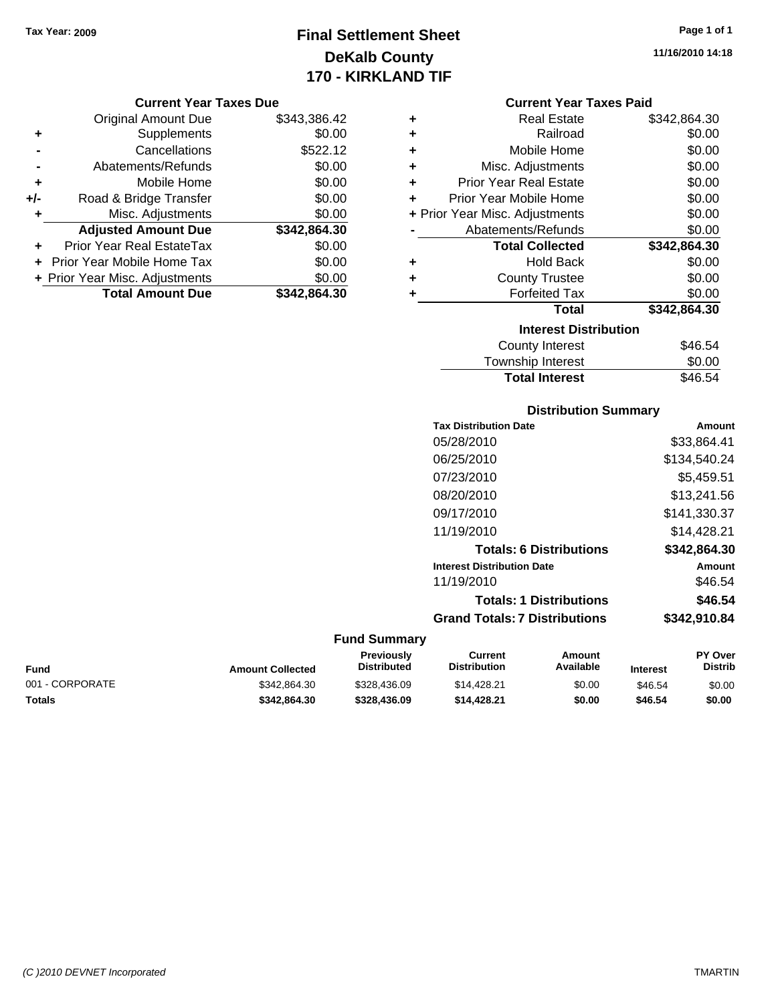# **Final Settlement Sheet Tax Year: 2009 Page 1 of 1 DeKalb County 170 - KIRKLAND TIF**

**11/16/2010 14:18**

### **Current Year Taxes Due**

|       | <b>Original Amount Due</b>       | \$343,386.42 |
|-------|----------------------------------|--------------|
| ٠     | Supplements                      | \$0.00       |
|       | Cancellations                    | \$522.12     |
|       | Abatements/Refunds               | \$0.00       |
| ÷     | Mobile Home                      | \$0.00       |
| $+/-$ | Road & Bridge Transfer           | \$0.00       |
| ۰     | Misc. Adjustments                | \$0.00       |
|       | <b>Adjusted Amount Due</b>       | \$342,864.30 |
|       | <b>Prior Year Real EstateTax</b> | \$0.00       |
|       | Prior Year Mobile Home Tax       | \$0.00       |
|       | + Prior Year Misc. Adjustments   | \$0.00       |
|       | <b>Total Amount Due</b>          | \$342.864.30 |

### **Current Year Taxes Paid**

|   | <b>Real Estate</b>             | \$342,864.30 |
|---|--------------------------------|--------------|
| ٠ | Railroad                       | \$0.00       |
| ٠ | Mobile Home                    | \$0.00       |
| ٠ | Misc. Adjustments              | \$0.00       |
| ٠ | <b>Prior Year Real Estate</b>  | \$0.00       |
| ÷ | Prior Year Mobile Home         | \$0.00       |
|   | + Prior Year Misc. Adjustments | \$0.00       |
|   | Abatements/Refunds             | \$0.00       |
|   | <b>Total Collected</b>         | \$342,864.30 |
| ٠ | <b>Hold Back</b>               | \$0.00       |
|   |                                |              |
| ٠ | <b>County Trustee</b>          | \$0.00       |
| ٠ | <b>Forfeited Tax</b>           | \$0.00       |
|   | <b>Total</b>                   | \$342,864.30 |
|   | <b>Interest Distribution</b>   |              |

# Township Interest  $$0.00$ **Total Interest** \$46.54

### **Distribution Summary**

| <b>Tax Distribution Date</b>         | Amount       |
|--------------------------------------|--------------|
| 05/28/2010                           | \$33,864.41  |
| 06/25/2010                           | \$134,540.24 |
| 07/23/2010                           | \$5,459.51   |
| 08/20/2010                           | \$13,241.56  |
| 09/17/2010                           | \$141,330.37 |
| 11/19/2010                           | \$14.428.21  |
| <b>Totals: 6 Distributions</b>       | \$342,864.30 |
| <b>Interest Distribution Date</b>    | Amount       |
| 11/19/2010                           | \$46.54      |
| <b>Totals: 1 Distributions</b>       | \$46.54      |
| <b>Grand Totals: 7 Distributions</b> | \$342,910.84 |
|                                      |              |

| Fund            | <b>Amount Collected</b> | Previously<br><b>Distributed</b> | Current<br><b>Distribution</b> | Amount<br>Available | <b>Interest</b> | <b>PY Over</b><br>Distrib |
|-----------------|-------------------------|----------------------------------|--------------------------------|---------------------|-----------------|---------------------------|
| 001 - CORPORATE | \$342,864.30            | \$328,436.09                     | \$14,428.21                    | \$0.00              | \$46.54         | \$0.00                    |
| Totals          | \$342.864.30            | \$328,436.09                     | \$14,428.21                    | \$0.00              | \$46.54         | \$0.00                    |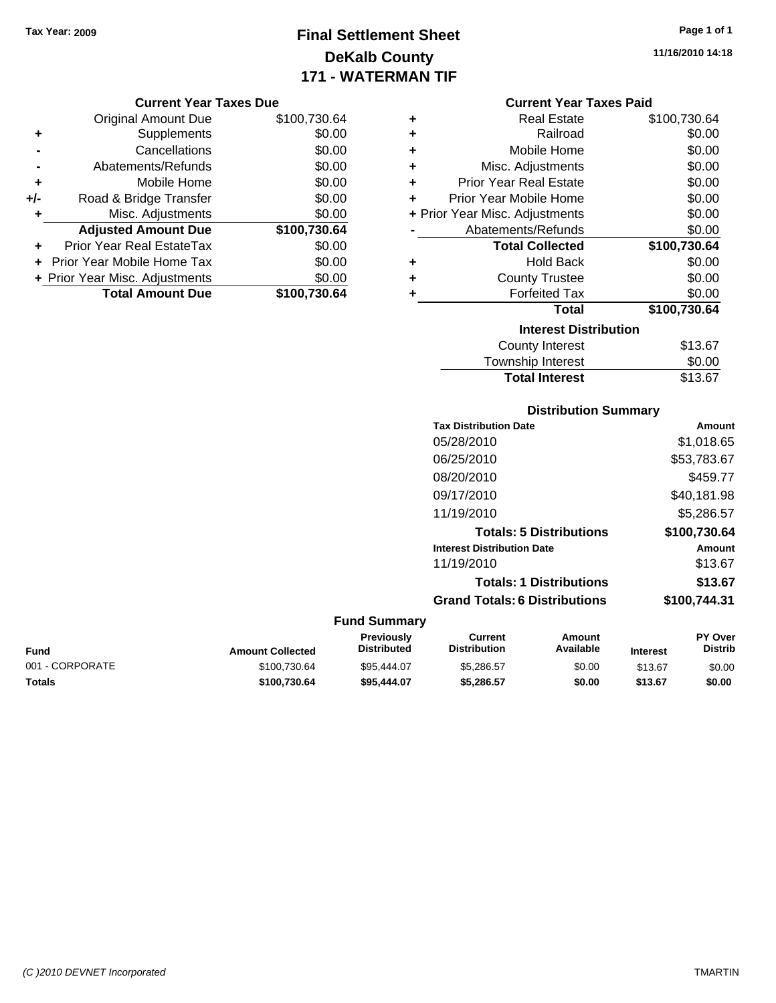# **Final Settlement Sheet Tax Year: 2009 Page 1 of 1 DeKalb County 171 - WATERMAN TIF**

### **Current Year Taxes Due**

|       | <b>Original Amount Due</b>       | \$100,730.64 |
|-------|----------------------------------|--------------|
| ٠     | Supplements                      | \$0.00       |
|       | Cancellations                    | \$0.00       |
|       | Abatements/Refunds               | \$0.00       |
| ٠     | Mobile Home                      | \$0.00       |
| $+/-$ | Road & Bridge Transfer           | \$0.00       |
| ٠     | Misc. Adjustments                | \$0.00       |
|       | <b>Adjusted Amount Due</b>       | \$100,730.64 |
|       | <b>Prior Year Real EstateTax</b> | \$0.00       |
|       | Prior Year Mobile Home Tax       | \$0.00       |
|       | + Prior Year Misc. Adjustments   | \$0.00       |
|       | <b>Total Amount Due</b>          | \$100,730.64 |

| ٠ | <b>Real Estate</b>             | \$100,730.64  |
|---|--------------------------------|---------------|
| ÷ | Railroad                       | \$0.00        |
| ٠ | Mobile Home                    | \$0.00        |
| ٠ | Misc. Adjustments              | \$0.00        |
| ٠ | <b>Prior Year Real Estate</b>  | \$0.00        |
| ÷ | Prior Year Mobile Home         | \$0.00        |
|   | + Prior Year Misc. Adjustments | \$0.00        |
|   | Abatements/Refunds             | \$0.00        |
|   | <b>Total Collected</b>         | \$100,730.64  |
| ٠ | <b>Hold Back</b>               | \$0.00        |
| ٠ | <b>County Trustee</b>          | \$0.00        |
| ٠ | <b>Forfeited Tax</b>           | \$0.00        |
|   | Total                          | \$100,730.64  |
|   | <b>Interest Distribution</b>   |               |
|   | <b>County Interest</b>         | \$13.67       |
|   |                                | $\sim$ $\sim$ |

# Township Interest \$0.00<br>
Total Interest \$13.67

**Total Interest** 

|                         |                                         |                                      | <b>Distribution Summary</b>    |                 |                           |
|-------------------------|-----------------------------------------|--------------------------------------|--------------------------------|-----------------|---------------------------|
|                         |                                         | <b>Tax Distribution Date</b>         |                                |                 | Amount                    |
|                         |                                         | 05/28/2010                           |                                |                 | \$1,018.65                |
|                         |                                         | 06/25/2010                           |                                |                 | \$53,783.67               |
|                         |                                         | 08/20/2010                           |                                |                 | \$459.77                  |
|                         |                                         | 09/17/2010                           |                                |                 | \$40,181.98               |
|                         |                                         | 11/19/2010                           |                                |                 | \$5,286.57                |
|                         |                                         |                                      | <b>Totals: 5 Distributions</b> |                 | \$100,730.64              |
|                         |                                         | <b>Interest Distribution Date</b>    |                                |                 | <b>Amount</b>             |
|                         |                                         | 11/19/2010                           |                                |                 | \$13.67                   |
|                         |                                         |                                      | <b>Totals: 1 Distributions</b> |                 | \$13.67                   |
|                         |                                         | <b>Grand Totals: 6 Distributions</b> |                                |                 | \$100,744.31              |
|                         | <b>Fund Summary</b>                     |                                      |                                |                 |                           |
| <b>Amount Collected</b> | <b>Previously</b><br><b>Distributed</b> | Current<br><b>Distribution</b>       | <b>Amount</b><br>Available     | <b>Interest</b> | PY Over<br><b>Distrib</b> |

**Fund Interest** 001 - CORPORATE \$100,730.64 \$95,444.07 \$5,286.57 \$0.00 \$13.67 \$0.00 **Totals \$100,730.64 \$95,444.07 \$5,286.57 \$0.00 \$13.67 \$0.00**

**11/16/2010 14:18**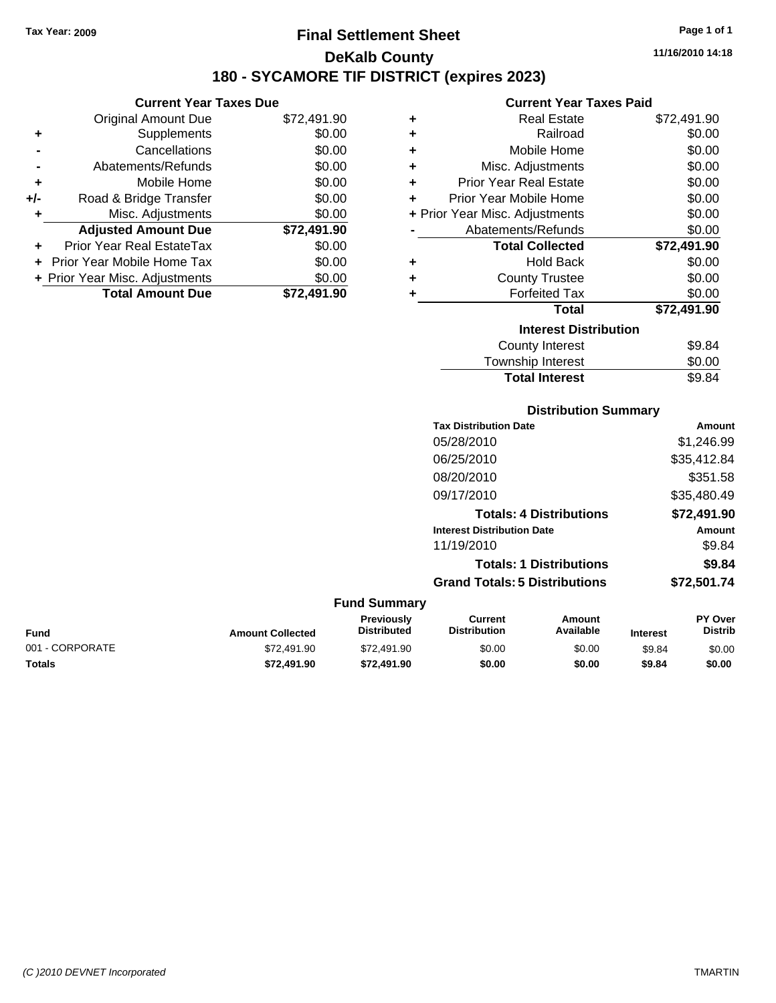# **Final Settlement Sheet Tax Year: 2009 Page 1 of 1 DeKalb County 180 - SYCAMORE TIF DISTRICT (expires 2023)**

**11/16/2010 14:18**

# **Current Year Taxes Paid**

|       | <b>Current Year Taxes Due</b>  |             |
|-------|--------------------------------|-------------|
|       | <b>Original Amount Due</b>     | \$72,491.90 |
| ٠     | Supplements                    | \$0.00      |
|       | Cancellations                  | \$0.00      |
|       | Abatements/Refunds             | \$0.00      |
| ٠     | Mobile Home                    | \$0.00      |
| $+/-$ | Road & Bridge Transfer         | \$0.00      |
| ٠     | Misc. Adjustments              | \$0.00      |
|       | <b>Adjusted Amount Due</b>     | \$72,491.90 |
|       | Prior Year Real EstateTax      | \$0.00      |
|       | Prior Year Mobile Home Tax     | \$0.00      |
|       | + Prior Year Misc. Adjustments | \$0.00      |
|       | <b>Total Amount Due</b>        | \$72,491.90 |

|   | GUITEIIL TEAL TAXES FAIU       |             |
|---|--------------------------------|-------------|
| ٠ | <b>Real Estate</b>             | \$72,491.90 |
| ٠ | Railroad                       | \$0.00      |
| ٠ | Mobile Home                    | \$0.00      |
| ٠ | Misc. Adjustments              | \$0.00      |
| ÷ | <b>Prior Year Real Estate</b>  | \$0.00      |
| ٠ | Prior Year Mobile Home         | \$0.00      |
|   | + Prior Year Misc. Adjustments | \$0.00      |
|   | Abatements/Refunds             | \$0.00      |
|   | <b>Total Collected</b>         | \$72,491.90 |
| ٠ | <b>Hold Back</b>               | \$0.00      |
| ٠ | <b>County Trustee</b>          | \$0.00      |
| ٠ | <b>Forfeited Tax</b>           | \$0.00      |
|   | Total                          | \$72,491.90 |
|   | <b>Interest Distribution</b>   |             |
|   | County Interest                | \$9.84      |
|   | <b>Township Interest</b>       | \$0.00      |
|   | <b>Total Interest</b>          | \$9.84      |

### **Distribution Summary Tax Distribution Date Amount** 05/28/2010 \$1,246.99 06/25/2010 \$35,412.84 08/20/2010 \$351.58 09/17/2010 \$35,480.49 **Totals: 4 Distributions \$72,491.90 Interest Distribution Date Amount** 11/19/2010 \$9.84 **Totals: 1 Distributions \$9.84 Grand Totals: 5 Distributions \$72,501.74 Fund Summary Fund Interest Amount Collected Distributed PY Over Distrib Amount Available Current Distribution Previously** 001 - CORPORATE \$72,491.90 \$72,491.90 \$0.00 \$0.00 \$9.84 \$0.00 **Totals \$72,491.90 \$72,491.90 \$0.00 \$0.00 \$9.84 \$0.00**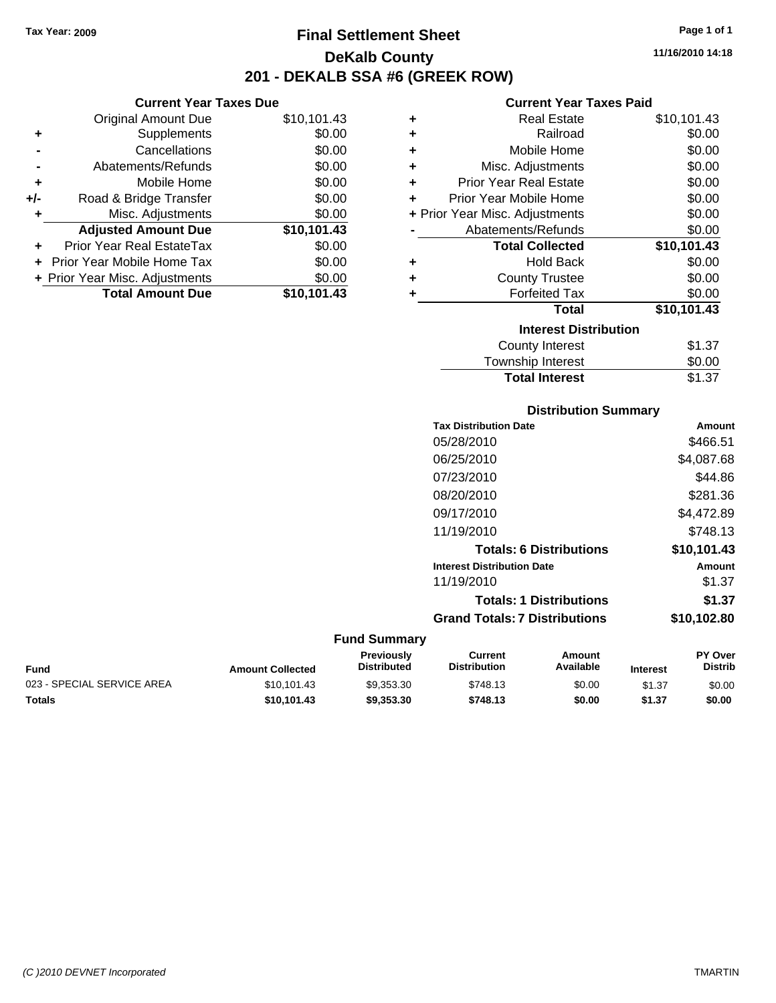**+** Supplements **-** Cancellations **-** Abatements/Refunds **+** Mobile Home **+/-** Road & Bridge Transfer **+** Misc. Adjustments

**+** Prior Year Real EstateTax \$0.00 **+** Prior Year Mobile Home Tax **+ Prior Year Misc. Adjustments** 

**Current Year Taxes Due**

# **Final Settlement Sheet Tax Year: 2009 Page 1 of 1 DeKalb County 201 - DEKALB SSA #6 (GREEK ROW)**

**11/16/2010 14:18**

### **Current Year Taxes Paid**

| ип уна тоаг талоо <i>р</i> ао |             |   |                                |             |
|-------------------------------|-------------|---|--------------------------------|-------------|
| <b>Original Amount Due</b>    | \$10,101.43 | ٠ | <b>Real Estate</b>             | \$10,101.43 |
| Supplements                   | \$0.00      | ٠ | Railroad                       | \$0.00      |
| Cancellations                 | \$0.00      | ٠ | Mobile Home                    | \$0.00      |
| Abatements/Refunds            | \$0.00      | ٠ | Misc. Adjustments              | \$0.00      |
| Mobile Home                   | \$0.00      | ٠ | <b>Prior Year Real Estate</b>  | \$0.00      |
| Road & Bridge Transfer        | \$0.00      | ٠ | Prior Year Mobile Home         | \$0.00      |
| Misc. Adjustments             | \$0.00      |   | + Prior Year Misc. Adjustments | \$0.00      |
| <b>Adjusted Amount Due</b>    | \$10,101.43 |   | Abatements/Refunds             | \$0.00      |
| ior Year Real EstateTax       | \$0.00      |   | <b>Total Collected</b>         | \$10,101.43 |
| r Year Mobile Home Tax        | \$0.00      | ٠ | <b>Hold Back</b>               | \$0.00      |
| Year Misc. Adjustments        | \$0.00      | ٠ | <b>County Trustee</b>          | \$0.00      |
| <b>Total Amount Due</b>       | \$10,101.43 |   | <b>Forfeited Tax</b>           | \$0.00      |
|                               |             |   | <b>Total</b>                   | \$10,101.43 |
|                               |             |   | <b>Interest Distribution</b>   |             |
|                               |             |   | County Interest                | \$1.37      |
|                               |             |   |                                |             |

| <b>Total Interest</b> | \$1.37 |
|-----------------------|--------|
| Township Interest     | \$0.00 |
|                       | -----  |

| <b>Distribution Summary</b>       |             |
|-----------------------------------|-------------|
| <b>Tax Distribution Date</b>      | Amount      |
| 05/28/2010                        | \$466.51    |
| 06/25/2010                        | \$4,087.68  |
| 07/23/2010                        | \$44.86     |
| 08/20/2010                        | \$281.36    |
| 09/17/2010                        | \$4,472.89  |
| 11/19/2010                        | \$748.13    |
| <b>Totals: 6 Distributions</b>    | \$10,101.43 |
| <b>Interest Distribution Date</b> | Amount      |
| 11/19/2010                        | \$1.37      |
| <b>Totals: 1 Distributions</b>    | \$1.37      |
|                                   |             |

### **Grand Totals: 7 Distributions \$10,102.80**

| Fund                       | <b>Amount Collected</b> | <b>Previously</b><br><b>Distributed</b> | Current<br><b>Distribution</b> | Amount<br>Available | <b>Interest</b> | <b>PY Over</b><br><b>Distrib</b> |
|----------------------------|-------------------------|-----------------------------------------|--------------------------------|---------------------|-----------------|----------------------------------|
| 023 - SPECIAL SERVICE AREA | \$10.101.43             | \$9.353.30                              | \$748.13                       | \$0.00              | \$1.37          | \$0.00                           |
| Totals                     | \$10.101.43             | \$9,353,30                              | \$748.13                       | \$0.00              | \$1.37          | \$0.00                           |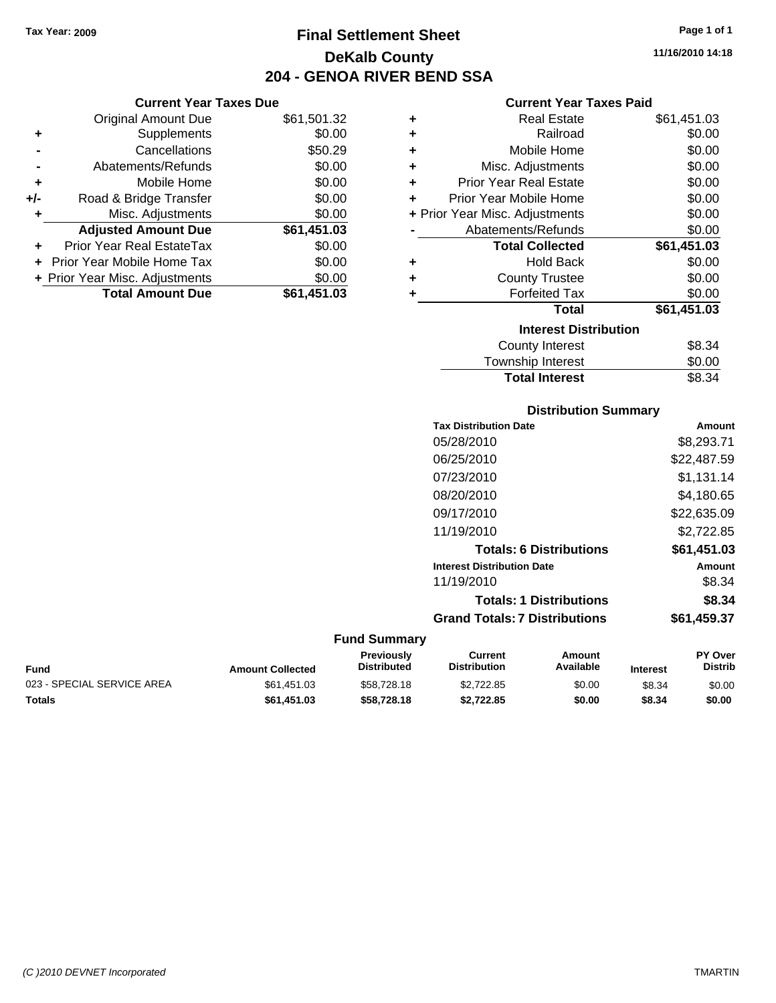**Current Year Taxes Due** Original Amount Due \$61,501.32

**Adjusted Amount Due \$61,451.03**

**+** Supplements \$0.00 **-** Cancellations \$50.29 **-** Abatements/Refunds \$0.00 **+** Mobile Home \$0.00 **+/-** Road & Bridge Transfer \$0.00 **+** Misc. Adjustments \$0.00

**+** Prior Year Real EstateTax \$0.00 **+** Prior Year Mobile Home Tax \$0.00 **+ Prior Year Misc. Adjustments \$0.00<br>
<b>Total Amount Due** \$61,451.03

**Total Amount Due** 

# **Final Settlement Sheet Tax Year: 2009 Page 1 of 1 DeKalb County 204 - GENOA RIVER BEND SSA**

# **11/16/2010 14:18**

### **Current Year Taxes Paid**

| ٠ | <b>Real Estate</b>             | \$61,451.03 |
|---|--------------------------------|-------------|
| ٠ | Railroad                       | \$0.00      |
| ٠ | Mobile Home                    | \$0.00      |
| ٠ | Misc. Adjustments              | \$0.00      |
| ÷ | <b>Prior Year Real Estate</b>  | \$0.00      |
| ٠ | Prior Year Mobile Home         | \$0.00      |
|   | + Prior Year Misc. Adjustments | \$0.00      |
|   | Abatements/Refunds             | \$0.00      |
|   | <b>Total Collected</b>         | \$61,451.03 |
| ٠ | <b>Hold Back</b>               | \$0.00      |
| ٠ | <b>County Trustee</b>          | \$0.00      |
| ٠ | <b>Forfeited Tax</b>           | \$0.00      |
|   | <b>Total</b>                   | \$61,451.03 |
|   | <b>Interest Distribution</b>   |             |
|   | County Interest                | \$8.34      |
|   | <b>Township Interest</b>       | \$0.00      |

| <b>Total Interest</b> | \$8.34 |
|-----------------------|--------|
| Township Interest     | \$0.00 |
| County Interest       | აგ.კ4  |

### **Distribution Summary**

| <b>Tax Distribution Date</b>         | Amount      |
|--------------------------------------|-------------|
| 05/28/2010                           | \$8,293.71  |
| 06/25/2010                           | \$22,487.59 |
| 07/23/2010                           | \$1,131.14  |
| 08/20/2010                           | \$4,180.65  |
| 09/17/2010                           | \$22,635.09 |
| 11/19/2010                           | \$2,722.85  |
| <b>Totals: 6 Distributions</b>       | \$61.451.03 |
| <b>Interest Distribution Date</b>    | Amount      |
| 11/19/2010                           | \$8.34      |
| <b>Totals: 1 Distributions</b>       | \$8.34      |
| <b>Grand Totals: 7 Distributions</b> | \$61,459.37 |
|                                      |             |

### **Fund Summary**

| Fund                       | <b>Amount Collected</b> | Previously<br><b>Distributed</b> | Current<br><b>Distribution</b> | Amount<br>Available | <b>Interest</b> | <b>PY Over</b><br><b>Distrib</b> |
|----------------------------|-------------------------|----------------------------------|--------------------------------|---------------------|-----------------|----------------------------------|
| 023 - SPECIAL SERVICE AREA | \$61.451.03             | \$58,728.18                      | \$2.722.85                     | \$0.00              | \$8.34          | \$0.00                           |
| Totals                     | \$61,451.03             | \$58,728,18                      | \$2.722.85                     | \$0.00              | \$8.34          | \$0.00                           |

### *(C )2010 DEVNET Incorporated* TMARTIN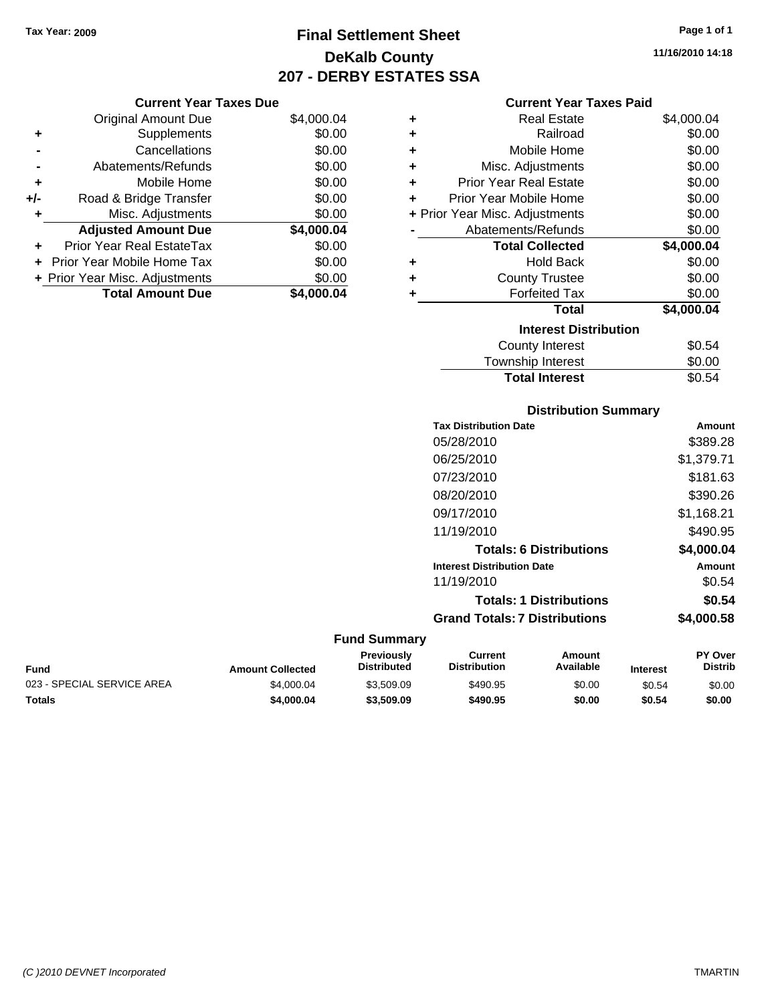# **Final Settlement Sheet Tax Year: 2009 Page 1 of 1 DeKalb County 207 - DERBY ESTATES SSA**

### **Current Year Taxes Due**

| \$4,000.04<br><b>Original Amount Due</b><br>\$0.00<br>Supplements<br>٠<br>\$0.00<br>Cancellations<br>\$0.00<br>Abatements/Refunds<br>\$0.00<br>Mobile Home<br>٠<br>\$0.00<br>Road & Bridge Transfer<br>$+/-$<br>\$0.00<br>Misc. Adjustments<br>÷<br>\$4,000.04<br><b>Adjusted Amount Due</b><br>\$0.00<br><b>Prior Year Real EstateTax</b><br>÷<br>\$0.00<br>Prior Year Mobile Home Tax<br>\$0.00<br>+ Prior Year Misc. Adjustments<br><b>Total Amount Due</b><br>\$4,000.04 |
|------------------------------------------------------------------------------------------------------------------------------------------------------------------------------------------------------------------------------------------------------------------------------------------------------------------------------------------------------------------------------------------------------------------------------------------------------------------------------|
|                                                                                                                                                                                                                                                                                                                                                                                                                                                                              |
|                                                                                                                                                                                                                                                                                                                                                                                                                                                                              |
|                                                                                                                                                                                                                                                                                                                                                                                                                                                                              |
|                                                                                                                                                                                                                                                                                                                                                                                                                                                                              |
|                                                                                                                                                                                                                                                                                                                                                                                                                                                                              |
|                                                                                                                                                                                                                                                                                                                                                                                                                                                                              |
|                                                                                                                                                                                                                                                                                                                                                                                                                                                                              |
|                                                                                                                                                                                                                                                                                                                                                                                                                                                                              |
|                                                                                                                                                                                                                                                                                                                                                                                                                                                                              |
|                                                                                                                                                                                                                                                                                                                                                                                                                                                                              |
|                                                                                                                                                                                                                                                                                                                                                                                                                                                                              |
|                                                                                                                                                                                                                                                                                                                                                                                                                                                                              |
|                                                                                                                                                                                                                                                                                                                                                                                                                                                                              |

### **Current Year Taxes Paid**

|   | <b>Real Estate</b>             | \$4,000.04 |
|---|--------------------------------|------------|
| ٠ |                                |            |
| ÷ | Railroad                       | \$0.00     |
| ÷ | Mobile Home                    | \$0.00     |
| ٠ | Misc. Adjustments              | \$0.00     |
| ÷ | <b>Prior Year Real Estate</b>  | \$0.00     |
| ٠ | Prior Year Mobile Home         | \$0.00     |
|   | + Prior Year Misc. Adjustments | \$0.00     |
|   | Abatements/Refunds             | \$0.00     |
|   |                                |            |
|   | <b>Total Collected</b>         | \$4,000.04 |
| ٠ | Hold Back                      | \$0.00     |
| ÷ | <b>County Trustee</b>          | \$0.00     |
| ٠ | <b>Forfeited Tax</b>           | \$0.00     |
|   | <b>Total</b>                   | \$4,000.04 |
|   | <b>Interest Distribution</b>   |            |
|   | County Interest                | \$0.54     |

# **Distribution Summary**

Total Interest \$0.54

|                     | <b>Tax Distribution Date</b>         | Amount        |
|---------------------|--------------------------------------|---------------|
|                     | 05/28/2010                           | \$389.28      |
|                     | 06/25/2010                           | \$1,379.71    |
|                     | 07/23/2010                           | \$181.63      |
|                     | 08/20/2010                           | \$390.26      |
|                     | 09/17/2010                           | \$1,168.21    |
|                     | 11/19/2010                           | \$490.95      |
|                     | <b>Totals: 6 Distributions</b>       | \$4,000.04    |
|                     | <b>Interest Distribution Date</b>    | <b>Amount</b> |
|                     | 11/19/2010                           | \$0.54        |
|                     | <b>Totals: 1 Distributions</b>       | \$0.54        |
|                     | <b>Grand Totals: 7 Distributions</b> | \$4,000.58    |
| <b>Fund Summary</b> |                                      |               |

### **Fund Interest Amount Collected Distributed PY Over Distrib Amount Available Current Distribution Previously** 023 - SPECIAL SERVICE AREA  $$4,000.04$   $$3,509.09$   $$490.95$  \$0.00 \$0.54 \$0.00 **Totals \$4,000.04 \$3,509.09 \$490.95 \$0.00 \$0.54 \$0.00**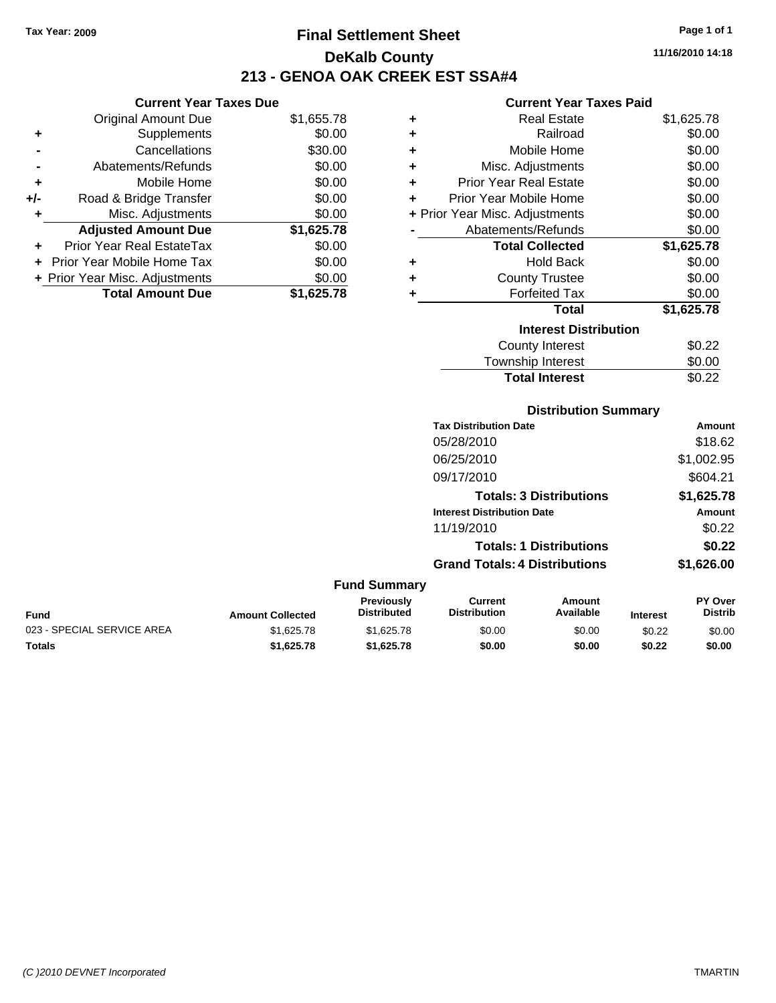# **Final Settlement Sheet Tax Year: 2009 Page 1 of 1 DeKalb County 213 - GENOA OAK CREEK EST SSA#4**

### **Current Year Taxes Due**

|       | <b>Original Amount Due</b>       | \$1,655.78 |
|-------|----------------------------------|------------|
| ٠     | Supplements                      | \$0.00     |
|       | Cancellations                    | \$30.00    |
|       | Abatements/Refunds               | \$0.00     |
| ÷     | Mobile Home                      | \$0.00     |
| $+/-$ | Road & Bridge Transfer           | \$0.00     |
| ۰     | Misc. Adjustments                | \$0.00     |
|       | <b>Adjusted Amount Due</b>       | \$1,625.78 |
|       | <b>Prior Year Real EstateTax</b> | \$0.00     |
|       | Prior Year Mobile Home Tax       | \$0.00     |
|       | + Prior Year Misc. Adjustments   | \$0.00     |
|       | <b>Total Amount Due</b>          | \$1.625.78 |

### **Current Year Taxes Paid**

|   | <b>Real Estate</b>             | \$1,625.78 |
|---|--------------------------------|------------|
| ÷ | Railroad                       | \$0.00     |
| ٠ | Mobile Home                    | \$0.00     |
| ٠ | Misc. Adjustments              | \$0.00     |
| ٠ | <b>Prior Year Real Estate</b>  | \$0.00     |
| ٠ | Prior Year Mobile Home         | \$0.00     |
|   | + Prior Year Misc. Adjustments | \$0.00     |
|   | Abatements/Refunds             | \$0.00     |
|   | <b>Total Collected</b>         | \$1,625.78 |
| ٠ | <b>Hold Back</b>               | \$0.00     |
| ٠ | <b>County Trustee</b>          | \$0.00     |
| ٠ | <b>Forfeited Tax</b>           | \$0.00     |
|   | Total                          | \$1,625.78 |
|   | <b>Interest Distribution</b>   |            |
|   | County Interest                | \$0.22     |
|   | Township Interest              | \$0.00     |
|   | <b>Total Interest</b>          | \$0.22     |

|                  | <b>Distribution Summary</b>      |                                      |                                |          |                           |
|------------------|----------------------------------|--------------------------------------|--------------------------------|----------|---------------------------|
|                  |                                  | <b>Tax Distribution Date</b>         |                                |          | <b>Amount</b>             |
|                  |                                  | 05/28/2010                           |                                |          | \$18.62                   |
|                  |                                  | 06/25/2010                           |                                |          | \$1,002.95                |
|                  |                                  | 09/17/2010                           |                                |          | \$604.21                  |
|                  |                                  |                                      | <b>Totals: 3 Distributions</b> |          | \$1,625.78                |
|                  |                                  | <b>Interest Distribution Date</b>    |                                |          | Amount                    |
|                  |                                  | 11/19/2010                           |                                |          | \$0.22                    |
|                  |                                  |                                      | <b>Totals: 1 Distributions</b> |          | \$0.22                    |
|                  |                                  | <b>Grand Totals: 4 Distributions</b> |                                |          | \$1,626.00                |
|                  | <b>Fund Summary</b>              |                                      |                                |          |                           |
| Amount Collected | Previously<br><b>Distributed</b> | Current<br><b>Distribution</b>       | Amount<br>Available            | Interest | PY Over<br><b>Distrib</b> |

|                            |                         | <b>Previously</b>  | Current             | Amount    |                 | <b>PY Over</b> |
|----------------------------|-------------------------|--------------------|---------------------|-----------|-----------------|----------------|
| <b>Fund</b>                | <b>Amount Collected</b> | <b>Distributed</b> | <b>Distribution</b> | Available | <b>Interest</b> | <b>Distrib</b> |
| 023 - SPECIAL SERVICE AREA | \$1,625,78              | \$1.625.78         | \$0.00              | \$0.00    | \$0.22          | \$0.00         |
| <b>Totals</b>              | \$1.625.78              | \$1.625.78         | \$0.00              | \$0.00    | \$0.22          | \$0.00         |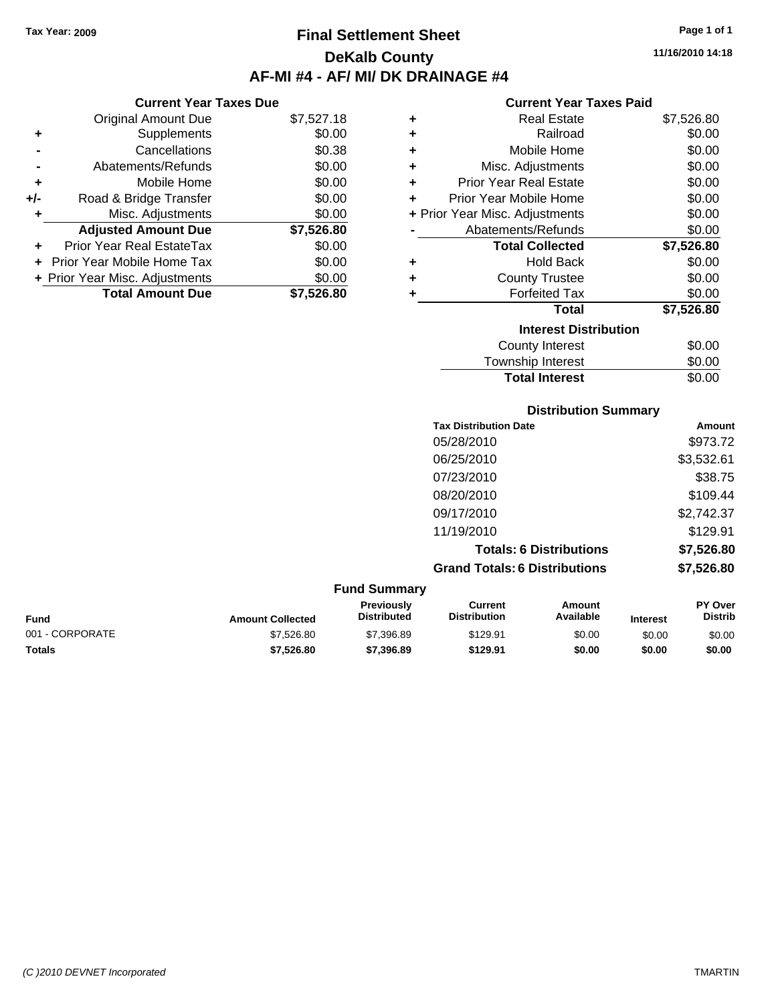**Current Year Taxes Due** Original Amount Due \$7,527.18

**Adjusted Amount Due \$7,526.80**

**Total Amount Due \$7,526.80**

**+** Supplements \$0.00 **-** Cancellations \$0.38 **-** Abatements/Refunds \$0.00 **+** Mobile Home \$0.00 **+/-** Road & Bridge Transfer \$0.00 **+** Misc. Adjustments \$0.00

**+** Prior Year Real EstateTax \$0.00 **+** Prior Year Mobile Home Tax \$0.00 **+ Prior Year Misc. Adjustments**  $$0.00$ 

# **Final Settlement Sheet Tax Year: 2009 Page 1 of 1 DeKalb County AF-MI #4 - AF/ MI/ DK DRAINAGE #4**

**11/16/2010 14:18**

### **Current Year Taxes Paid**

| ٠ | <b>Real Estate</b>             | \$7,526.80 |
|---|--------------------------------|------------|
| ÷ | Railroad                       | \$0.00     |
| ٠ | Mobile Home                    | \$0.00     |
| ÷ | Misc. Adjustments              | \$0.00     |
| ÷ | <b>Prior Year Real Estate</b>  | \$0.00     |
| ٠ | Prior Year Mobile Home         | \$0.00     |
|   | + Prior Year Misc. Adjustments | \$0.00     |
|   | Abatements/Refunds             | \$0.00     |
|   | <b>Total Collected</b>         | \$7,526.80 |
| ÷ | <b>Hold Back</b>               | \$0.00     |
| ٠ | <b>County Trustee</b>          | \$0.00     |
| ÷ | <b>Forfeited Tax</b>           | \$0.00     |
|   | <b>Total</b>                   | \$7,526.80 |
|   | <b>Interest Distribution</b>   |            |
|   | <b>County Interest</b>         | \$0.00     |
|   | <b>Township Interest</b>       | \$0.00     |

Total Interest \$0.00

# **Distribution Summary Tax Distribution Date Amount** 05/28/2010 \$973.72 06/25/2010 \$3,532.61 07/23/2010 \$38.75 08/20/2010 \$109.44 09/17/2010 \$2,742.37 11/19/2010 \$129.91 **Totals: 6 Distributions \$7,526.80 Grand Totals: 6 Distributions \$7,526.80 Fund Summary**

| Fund            | <b>Amount Collected</b> | <b>Previously</b><br><b>Distributed</b> | Current<br><b>Distribution</b> | Amount<br>Available | <b>Interest</b> | <b>PY Over</b><br><b>Distrib</b> |
|-----------------|-------------------------|-----------------------------------------|--------------------------------|---------------------|-----------------|----------------------------------|
| 001 - CORPORATE | \$7,526.80              | \$7,396.89                              | \$129.91                       | \$0.00              | \$0.00          | \$0.00                           |
| <b>Totals</b>   | \$7,526.80              | \$7,396.89                              | \$129.91                       | \$0.00              | \$0.00          | \$0.00                           |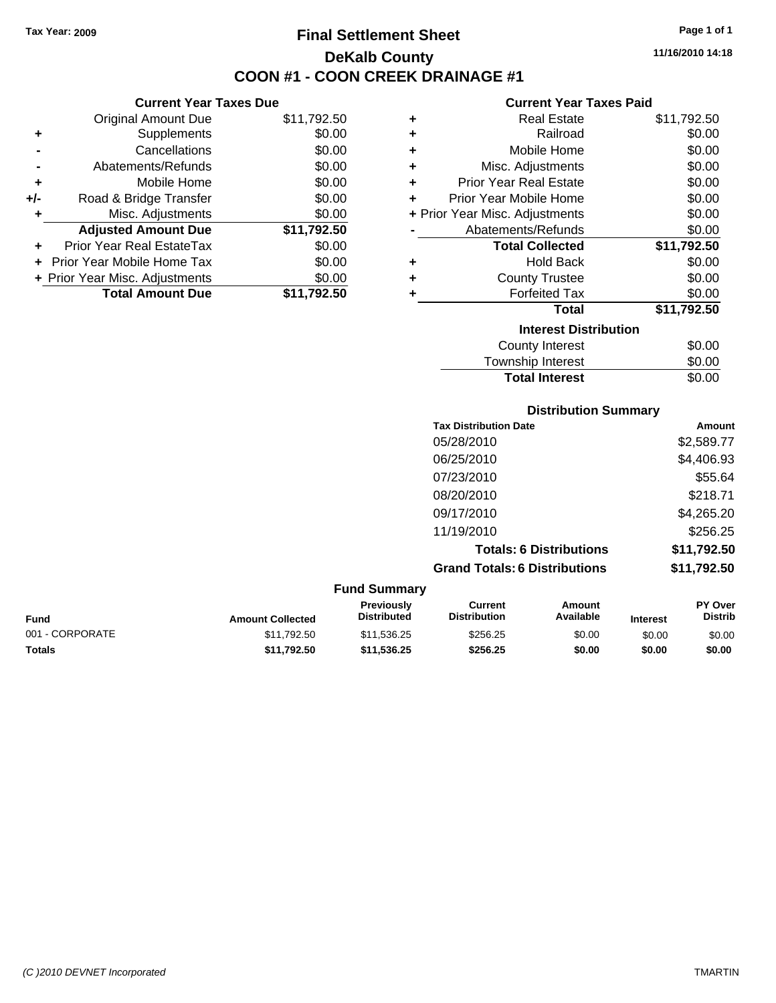**Current Year Taxes Due** Original Amount Due \$11,792.50

**Adjusted Amount Due \$11,792.50**

**Total Amount Due \$11,792.50**

**+** Supplements \$0.00 **-** Cancellations \$0.00 **-** Abatements/Refunds \$0.00 **+** Mobile Home \$0.00 **+/-** Road & Bridge Transfer \$0.00 **+** Misc. Adjustments \$0.00

**+** Prior Year Real EstateTax \$0.00 **+** Prior Year Mobile Home Tax \$0.00 **+ Prior Year Misc. Adjustments**  $$0.00$ 

# **Final Settlement Sheet Tax Year: 2009 Page 1 of 1 DeKalb County COON #1 - COON CREEK DRAINAGE #1**

**11/16/2010 14:18**

### **Current Year Taxes Paid**

| ٠ | <b>Real Estate</b>             | \$11,792.50 |
|---|--------------------------------|-------------|
| ٠ | Railroad                       | \$0.00      |
| ٠ | Mobile Home                    | \$0.00      |
| ٠ | Misc. Adjustments              | \$0.00      |
| ÷ | <b>Prior Year Real Estate</b>  | \$0.00      |
| ٠ | Prior Year Mobile Home         | \$0.00      |
|   | + Prior Year Misc. Adjustments | \$0.00      |
|   | Abatements/Refunds             | \$0.00      |
|   | <b>Total Collected</b>         | \$11,792.50 |
| ٠ | <b>Hold Back</b>               | \$0.00      |
| ٠ | <b>County Trustee</b>          | \$0.00      |
| ٠ | <b>Forfeited Tax</b>           | \$0.00      |
|   | <b>Total</b>                   | \$11,792.50 |
|   | <b>Interest Distribution</b>   |             |
|   | <b>County Interest</b>         | \$0.00      |
|   | <b>Township Interest</b>       | \$0.00      |

Total Interest \$0.00

## **Distribution Summary Tax Distribution Date Amount** 05/28/2010 \$2,589.77 06/25/2010 \$4,406.93 07/23/2010 \$55.64 08/20/2010 \$218.71 09/17/2010 \$4,265.20 11/19/2010 \$256.25 **Totals: 6 Distributions \$11,792.50 Grand Totals: 6 Distributions \$11,792.50 Fund Summary**

| ------------------ |                         |                                         |                                |                     |                 |                                  |
|--------------------|-------------------------|-----------------------------------------|--------------------------------|---------------------|-----------------|----------------------------------|
| Fund               | <b>Amount Collected</b> | <b>Previously</b><br><b>Distributed</b> | Current<br><b>Distribution</b> | Amount<br>Available | <b>Interest</b> | <b>PY Over</b><br><b>Distrib</b> |
| 001 - CORPORATE    | \$11,792.50             | \$11,536.25                             | \$256.25                       | \$0.00              | \$0.00          | \$0.00                           |
| Totals             | \$11.792.50             | \$11.536.25                             | \$256.25                       | \$0.00              | \$0.00          | \$0.00                           |
|                    |                         |                                         |                                |                     |                 |                                  |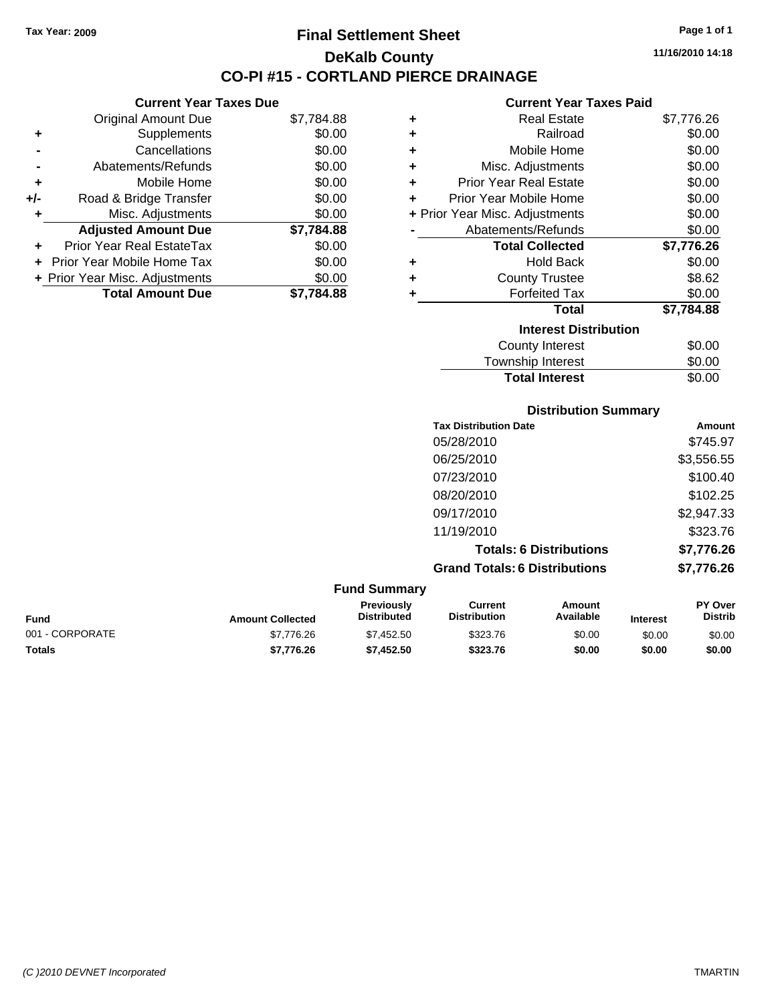**Current Year Taxes Due** Original Amount Due \$7,784.88

**Adjusted Amount Due \$7,784.88**

**Total Amount Due \$7,784.88**

**+** Supplements \$0.00 **-** Cancellations \$0.00 **-** Abatements/Refunds \$0.00 **+** Mobile Home \$0.00 **+/-** Road & Bridge Transfer \$0.00 **+** Misc. Adjustments \$0.00

**+** Prior Year Real EstateTax \$0.00 **+** Prior Year Mobile Home Tax \$0.00 **+ Prior Year Misc. Adjustments**  $$0.00$ 

# **Final Settlement Sheet Tax Year: 2009 Page 1 of 1 DeKalb County CO-PI #15 - CORTLAND PIERCE DRAINAGE**

**11/16/2010 14:18**

### **Current Year Taxes Paid**

| ÷ | <b>Real Estate</b>             | \$7,776.26 |
|---|--------------------------------|------------|
| ٠ | Railroad                       | \$0.00     |
| ٠ | Mobile Home                    | \$0.00     |
| ٠ | Misc. Adjustments              | \$0.00     |
| ÷ | <b>Prior Year Real Estate</b>  | \$0.00     |
| ÷ | Prior Year Mobile Home         | \$0.00     |
|   | + Prior Year Misc. Adjustments | \$0.00     |
|   | Abatements/Refunds             | \$0.00     |
|   | <b>Total Collected</b>         | \$7,776.26 |
| ٠ | <b>Hold Back</b>               | \$0.00     |
| ÷ | <b>County Trustee</b>          | \$8.62     |
| ٠ | <b>Forfeited Tax</b>           | \$0.00     |
|   | <b>Total</b>                   | \$7,784.88 |
|   | <b>Interest Distribution</b>   |            |
|   | County Interest                | \$0.00     |
|   | Tauraahin Intornat             | ሮስ ሰሰ      |

# Township Interest \$0.00 **Total Interest** \$0.00

### **Distribution Summary**

| <b>Tax Distribution Date</b>         | Amount     |
|--------------------------------------|------------|
| 05/28/2010                           | \$745.97   |
| 06/25/2010                           | \$3,556.55 |
| 07/23/2010                           | \$100.40   |
| 08/20/2010                           | \$102.25   |
| 09/17/2010                           | \$2,947.33 |
| 11/19/2010                           | \$323.76   |
| <b>Totals: 6 Distributions</b>       | \$7,776.26 |
| <b>Grand Totals: 6 Distributions</b> | \$7,776.26 |

| <b>Amount Collected</b> | <b>Previously</b><br><b>Distributed</b> | Current<br><b>Distribution</b> | Amount<br>Available | <b>Interest</b> | <b>PY Over</b><br><b>Distrib</b> |
|-------------------------|-----------------------------------------|--------------------------------|---------------------|-----------------|----------------------------------|
| \$7,776.26              | \$7,452.50                              | \$323.76                       | \$0.00              | \$0.00          | \$0.00                           |
| \$7.776.26              | \$7,452.50                              | \$323.76                       | \$0.00              | \$0.00          | \$0.00                           |
|                         |                                         | <b>Fund Summary</b>            |                     |                 |                                  |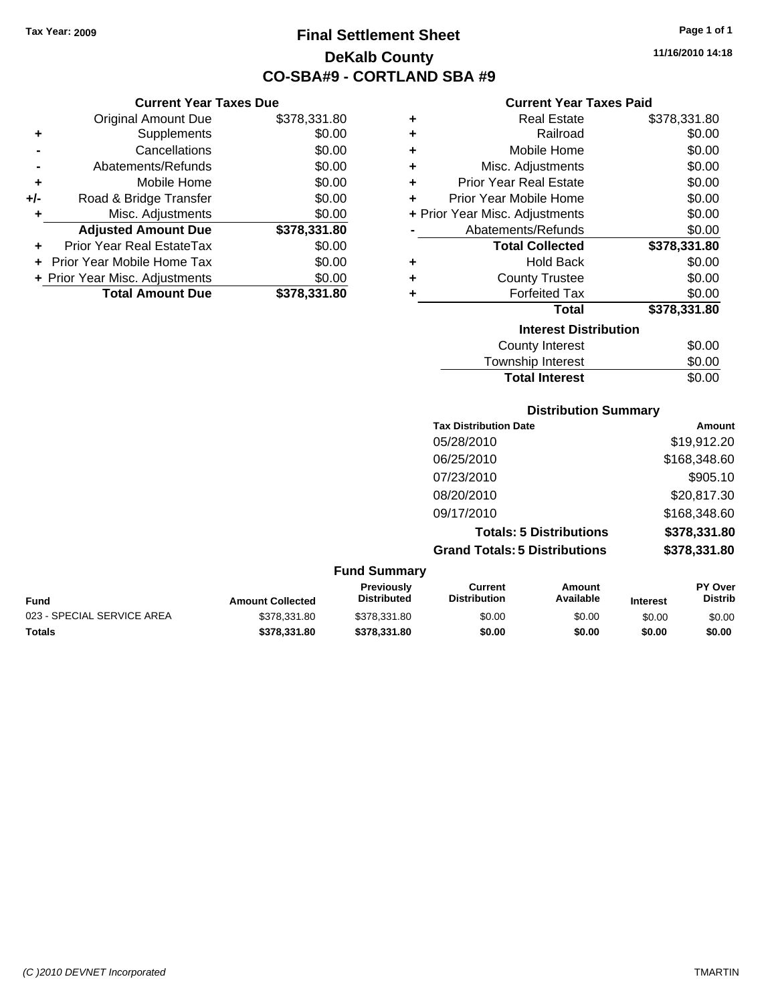**Current Year Taxes Due** Original Amount Due \$378,331.80

**Adjusted Amount Due \$378,331.80**

**Total Amount Due \$378,331.80**

**+** Supplements \$0.00 **-** Cancellations \$0.00 **-** Abatements/Refunds \$0.00 **+** Mobile Home \$0.00 **+/-** Road & Bridge Transfer \$0.00 **+** Misc. Adjustments \$0.00

**+** Prior Year Real EstateTax \$0.00 **+** Prior Year Mobile Home Tax \$0.00 **+ Prior Year Misc. Adjustments**  $$0.00$ 

# **Final Settlement Sheet Tax Year: 2009 Page 1 of 1 DeKalb County CO-SBA#9 - CORTLAND SBA #9**

**11/16/2010 14:18**

### **Current Year Taxes Paid**

| ٠ | <b>Real Estate</b>             | \$378,331.80 |
|---|--------------------------------|--------------|
| ٠ | Railroad                       | \$0.00       |
| ÷ | Mobile Home                    | \$0.00       |
| ÷ | Misc. Adjustments              | \$0.00       |
| ÷ | <b>Prior Year Real Estate</b>  | \$0.00       |
| ÷ | Prior Year Mobile Home         | \$0.00       |
|   | + Prior Year Misc. Adjustments | \$0.00       |
|   | Abatements/Refunds             | \$0.00       |
|   | <b>Total Collected</b>         | \$378,331.80 |
| ٠ | <b>Hold Back</b>               | \$0.00       |
| ٠ | <b>County Trustee</b>          | \$0.00       |
| ٠ | <b>Forfeited Tax</b>           | \$0.00       |
|   | Total                          | \$378,331.80 |
|   | <b>Interest Distribution</b>   |              |
|   | County Interest                | \$0.00       |
|   |                                |              |

| <b>Total Interest</b> | \$0.00 |
|-----------------------|--------|
| Township Interest     | \$0.00 |
| County Interest       | \$0.00 |

### **Distribution Summary**

| <b>Tax Distribution Date</b>         | Amount       |
|--------------------------------------|--------------|
| 05/28/2010                           | \$19,912.20  |
| 06/25/2010                           | \$168,348.60 |
| 07/23/2010                           | \$905.10     |
| 08/20/2010                           | \$20,817.30  |
| 09/17/2010                           | \$168,348.60 |
| <b>Totals: 5 Distributions</b>       | \$378,331.80 |
| <b>Grand Totals: 5 Distributions</b> | \$378,331.80 |
|                                      |              |

| Fund                       | <b>Amount Collected</b> | <b>Previously</b><br><b>Distributed</b> | Current<br><b>Distribution</b> | Amount<br>Available | <b>Interest</b> | <b>PY Over</b><br><b>Distrib</b> |
|----------------------------|-------------------------|-----------------------------------------|--------------------------------|---------------------|-----------------|----------------------------------|
| 023 - SPECIAL SERVICE AREA | \$378,331.80            | \$378.331.80                            | \$0.00                         | \$0.00              | \$0.00          | \$0.00                           |
| <b>Totals</b>              | \$378.331.80            | \$378.331.80                            | \$0.00                         | \$0.00              | \$0.00          | \$0.00                           |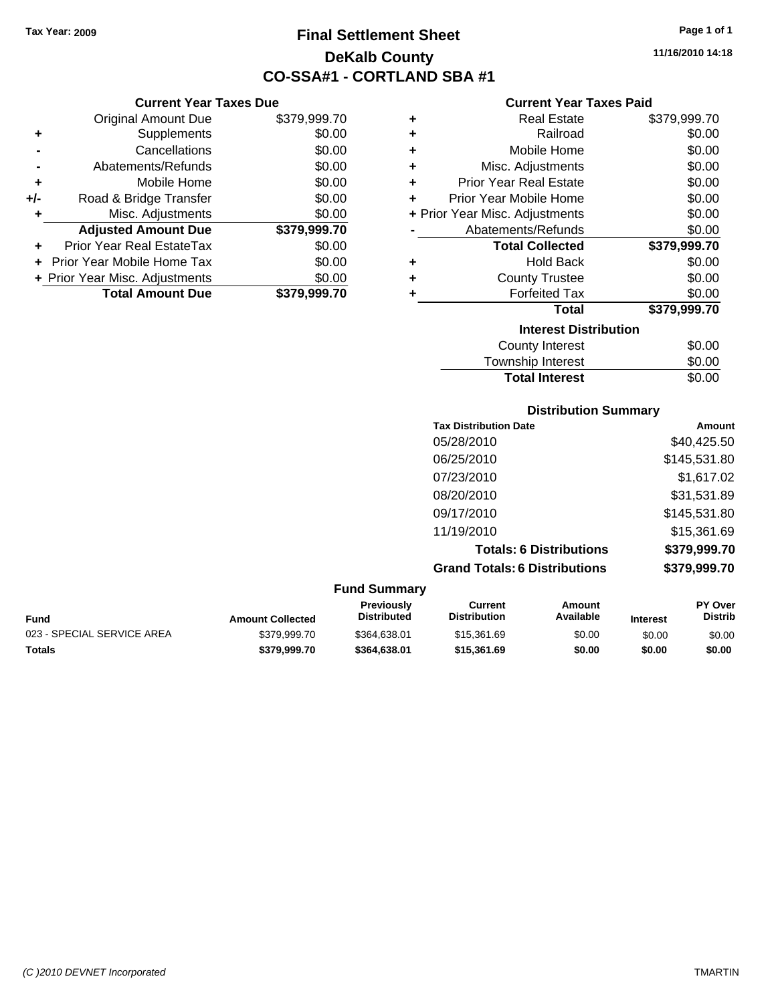**Current Year Taxes Due** Original Amount Due \$379,999.70

**Adjusted Amount Due \$379,999.70**

**Total Amount Due \$379,999.70**

**+** Supplements \$0.00 **-** Cancellations \$0.00 **-** Abatements/Refunds \$0.00 **+** Mobile Home \$0.00 **+/-** Road & Bridge Transfer \$0.00 **+** Misc. Adjustments \$0.00

**+** Prior Year Real EstateTax \$0.00 **+** Prior Year Mobile Home Tax \$0.00 **+ Prior Year Misc. Adjustments**  $$0.00$ 

# **Final Settlement Sheet Tax Year: 2009 Page 1 of 1 DeKalb County CO-SSA#1 - CORTLAND SBA #1**

**11/16/2010 14:18**

### **Current Year Taxes Paid**

| ٠ | <b>Real Estate</b>             | \$379,999.70 |
|---|--------------------------------|--------------|
| ٠ | Railroad                       | \$0.00       |
| ٠ | Mobile Home                    | \$0.00       |
| ٠ | Misc. Adjustments              | \$0.00       |
| ٠ | <b>Prior Year Real Estate</b>  | \$0.00       |
| ÷ | Prior Year Mobile Home         | \$0.00       |
|   | + Prior Year Misc. Adjustments | \$0.00       |
|   | Abatements/Refunds             | \$0.00       |
|   | <b>Total Collected</b>         | \$379,999.70 |
| ٠ | <b>Hold Back</b>               | \$0.00       |
| ٠ | <b>County Trustee</b>          | \$0.00       |
| ٠ | <b>Forfeited Tax</b>           | \$0.00       |
|   | <b>Total</b>                   | \$379,999.70 |
|   | <b>Interest Distribution</b>   |              |
|   | <b>County Interest</b>         | \$0.00       |
|   | -                              |              |

| <b>Total Interest</b> | \$0.00 |
|-----------------------|--------|
| Township Interest     | \$0.00 |
| County Interest       | \$0.00 |

### **Distribution Summary**

| <b>Tax Distribution Date</b>         | Amount       |
|--------------------------------------|--------------|
| 05/28/2010                           | \$40,425.50  |
| 06/25/2010                           | \$145,531.80 |
| 07/23/2010                           | \$1,617.02   |
| 08/20/2010                           | \$31,531.89  |
| 09/17/2010                           | \$145,531.80 |
| 11/19/2010                           | \$15,361.69  |
| <b>Totals: 6 Distributions</b>       | \$379,999.70 |
| <b>Grand Totals: 6 Distributions</b> | \$379,999.70 |

### **Fund Summary Fund Interest Amount Collected Distributed PY Over Distrib Amount Available Current Distribution Previously** 023 - SPECIAL SERVICE AREA  $$379,999.70$  \$364,638.01 \$15,361.69 \$0.00 \$0.00 \$0.00 \$0.00 **Totals \$379,999.70 \$364,638.01 \$15,361.69 \$0.00 \$0.00 \$0.00**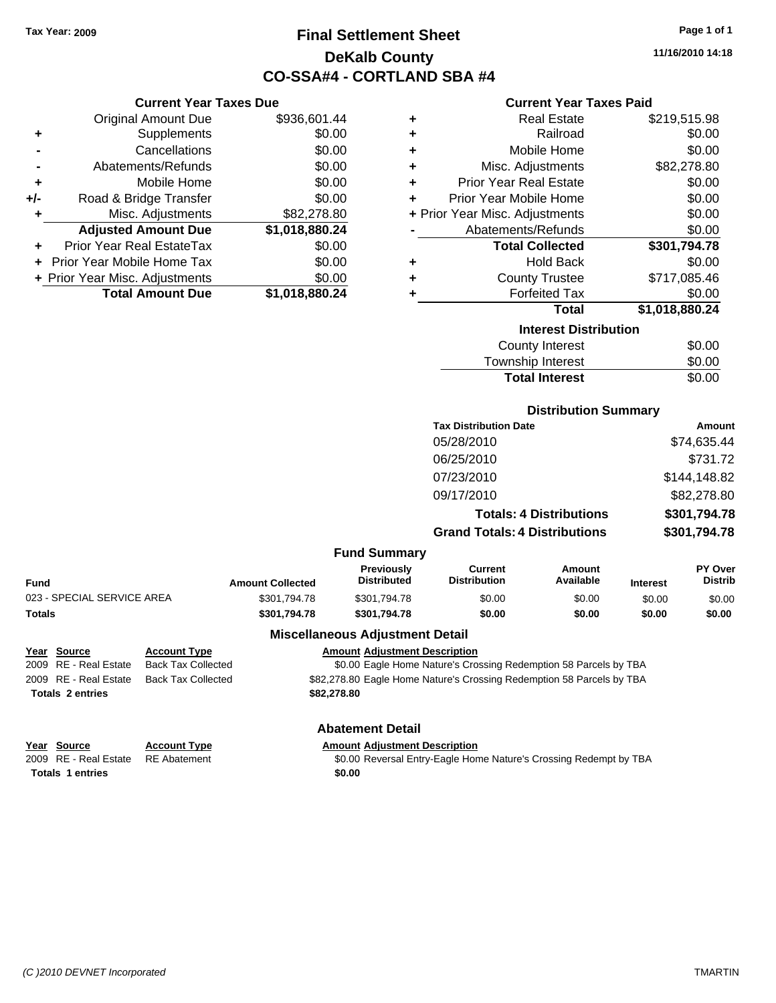**Current Year Taxes Due** Original Amount Due \$936,601.44

**Adjusted Amount Due \$1,018,880.24**

**Total Amount Due \$1,018,880.24**

**+** Supplements \$0.00 **-** Cancellations \$0.00 **-** Abatements/Refunds \$0.00 **+** Mobile Home \$0.00 **+/-** Road & Bridge Transfer \$0.00 **+** Misc. Adjustments \$82,278.80

**+** Prior Year Real EstateTax \$0.00 **+** Prior Year Mobile Home Tax \$0.00 **+ Prior Year Misc. Adjustments**  $$0.00$ 

# **Final Settlement Sheet Tax Year: 2009 Page 1 of 1 DeKalb County CO-SSA#4 - CORTLAND SBA #4**

**11/16/2010 14:18**

### **Current Year Taxes Paid**

| ٠ | <b>Real Estate</b>             | \$219,515.98   |
|---|--------------------------------|----------------|
| ٠ | Railroad                       | \$0.00         |
| ٠ | Mobile Home                    | \$0.00         |
| ٠ | Misc. Adjustments              | \$82,278.80    |
| ٠ | <b>Prior Year Real Estate</b>  | \$0.00         |
| ٠ | Prior Year Mobile Home         | \$0.00         |
|   | + Prior Year Misc. Adjustments | \$0.00         |
|   | Abatements/Refunds             | \$0.00         |
|   | <b>Total Collected</b>         | \$301,794.78   |
| ٠ | <b>Hold Back</b>               | \$0.00         |
| ٠ | <b>County Trustee</b>          | \$717,085.46   |
| ٠ | <b>Forfeited Tax</b>           | \$0.00         |
|   | Total                          | \$1,018,880.24 |
|   | <b>Interest Distribution</b>   |                |
|   | County Interest                | .ፍሰ ሰበ         |

| <b>Total Interest</b>  | \$0.00 |
|------------------------|--------|
| Township Interest      | \$0.00 |
| <b>County Interest</b> | \$0.00 |

### **Distribution Summary**

| <b>Tax Distribution Date</b>         | Amount       |
|--------------------------------------|--------------|
| 05/28/2010                           | \$74,635.44  |
| 06/25/2010                           | \$731.72     |
| 07/23/2010                           | \$144,148.82 |
| 09/17/2010                           | \$82,278.80  |
| <b>Totals: 4 Distributions</b>       | \$301,794.78 |
| <b>Grand Totals: 4 Distributions</b> | \$301,794.78 |
|                                      |              |

### **Fund Summary**

| Fund                       | <b>Amount Collected</b> | <b>Previously</b><br><b>Distributed</b> | Current<br><b>Distribution</b> | Amount<br>Available | <b>Interest</b> | <b>PY Over</b><br><b>Distrib</b> |
|----------------------------|-------------------------|-----------------------------------------|--------------------------------|---------------------|-----------------|----------------------------------|
| 023 - SPECIAL SERVICE AREA | \$301.794.78            | \$301.794.78                            | \$0.00                         | \$0.00              | \$0.00          | \$0.00                           |
| Totals                     | \$301.794.78            | \$301.794.78                            | \$0.00                         | \$0.00              | \$0.00          | \$0.00                           |
|                            |                         |                                         |                                |                     |                 |                                  |

### **Miscellaneous Adjustment Detail**

| <u>Year Source</u>      | <b>Account Type</b> | <b>Amount Adjustment Description</b>                                  |
|-------------------------|---------------------|-----------------------------------------------------------------------|
| 2009 RE - Real Estate   | Back Tax Collected  | \$0.00 Eagle Home Nature's Crossing Redemption 58 Parcels by TBA      |
| 2009 RE - Real Estate   | Back Tax Collected  | \$82,278.80 Eagle Home Nature's Crossing Redemption 58 Parcels by TBA |
| <b>Totals 2 entries</b> |                     | \$82,278,80                                                           |
|                         |                     |                                                                       |

### **Abatement Detail**

**Year Source Account Type Amount Adjustment Description Totals 1 entries** \$0.00

2009 RE - Real Estate RE Abatement \$0.00 Reversal Entry-Eagle Home Nature's Crossing Redempt by TBA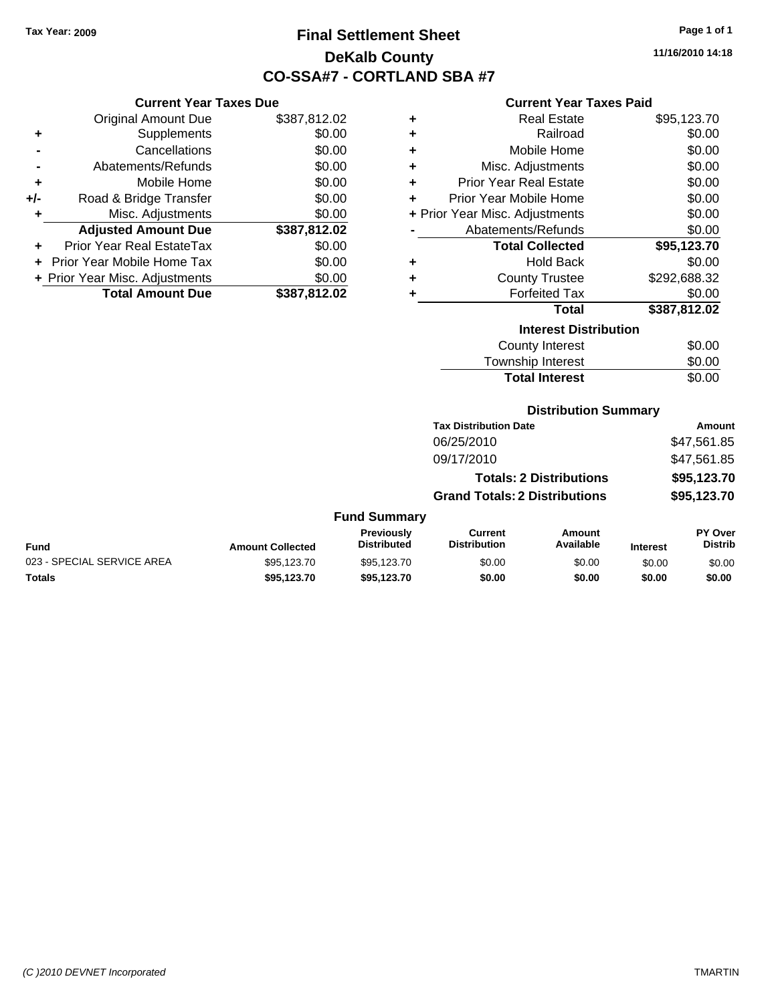# **Final Settlement Sheet Tax Year: 2009 Page 1 of 1 DeKalb County CO-SSA#7 - CORTLAND SBA #7**

**11/16/2010 14:18**

## **Current Year Taxes Paid**

| uavu puv     |   | 9911911 - 1991 - 1989 - 1989   |              |
|--------------|---|--------------------------------|--------------|
| \$387,812.02 | ÷ | <b>Real Estate</b>             | \$95,123.70  |
| \$0.00       | ÷ | Railroad                       | \$0.00       |
| \$0.00       | ÷ | Mobile Home                    | \$0.00       |
| \$0.00       | ÷ | Misc. Adjustments              | \$0.00       |
| \$0.00       | ÷ | <b>Prior Year Real Estate</b>  | \$0.00       |
| \$0.00       | ٠ | Prior Year Mobile Home         | \$0.00       |
| \$0.00       |   | + Prior Year Misc. Adjustments | \$0.00       |
| \$387,812.02 |   | Abatements/Refunds             | \$0.00       |
| \$0.00       |   | <b>Total Collected</b>         | \$95,123.70  |
| \$0.00       | ÷ | <b>Hold Back</b>               | \$0.00       |
| \$0.00       | ÷ | <b>County Trustee</b>          | \$292,688.32 |
| \$387,812.02 | ٠ | <b>Forfeited Tax</b>           | \$0.00       |
|              |   | Total                          | \$387,812.02 |
|              |   | <b>Interest Distribution</b>   |              |

| <b>Interest Distribution</b> |        |  |  |
|------------------------------|--------|--|--|
| County Interest              | \$0.00 |  |  |
| Township Interest            | \$0.00 |  |  |
| <b>Total Interest</b>        | \$0.00 |  |  |

### **Distribution Summary**

|                     | <b>Tax Distribution Date</b>         | Amount      |
|---------------------|--------------------------------------|-------------|
|                     | 06/25/2010                           | \$47,561.85 |
|                     | 09/17/2010                           | \$47,561.85 |
|                     | <b>Totals: 2 Distributions</b>       | \$95,123.70 |
|                     | <b>Grand Totals: 2 Distributions</b> | \$95,123.70 |
| <b>Fund Summary</b> |                                      |             |

### **Fund Interest Amount Collected Distributed PY Over Distrib Amount Available Current Distribution Previously** 023 - SPECIAL SERVICE AREA  $$95,123.70$   $$95,123.70$   $$0.00$   $$0.00$   $$0.00$   $$0.00$ **Totals \$95,123.70 \$95,123.70 \$0.00 \$0.00 \$0.00 \$0.00**

|     | <b>Original Amount Due</b>        | \$387,812.02 |
|-----|-----------------------------------|--------------|
| ٠   | Supplements                       | \$0.00       |
|     | Cancellations                     | \$0.00       |
|     | Abatements/Refunds                | \$0.00       |
| ÷   | Mobile Home                       | \$0.00       |
| +/- | Road & Bridge Transfer            | \$0.00       |
| ٠   | Misc. Adjustments                 | \$0.00       |
|     | <b>Adjusted Amount Due</b>        | \$387,812.02 |
|     | <b>Prior Year Real EstateTax</b>  | \$0.00       |
|     | <b>Prior Year Mobile Home Tax</b> | \$0.00       |
|     | + Prior Year Misc. Adjustments    | \$0.00       |
|     | <b>Total Amount Due</b>           | \$387,812.02 |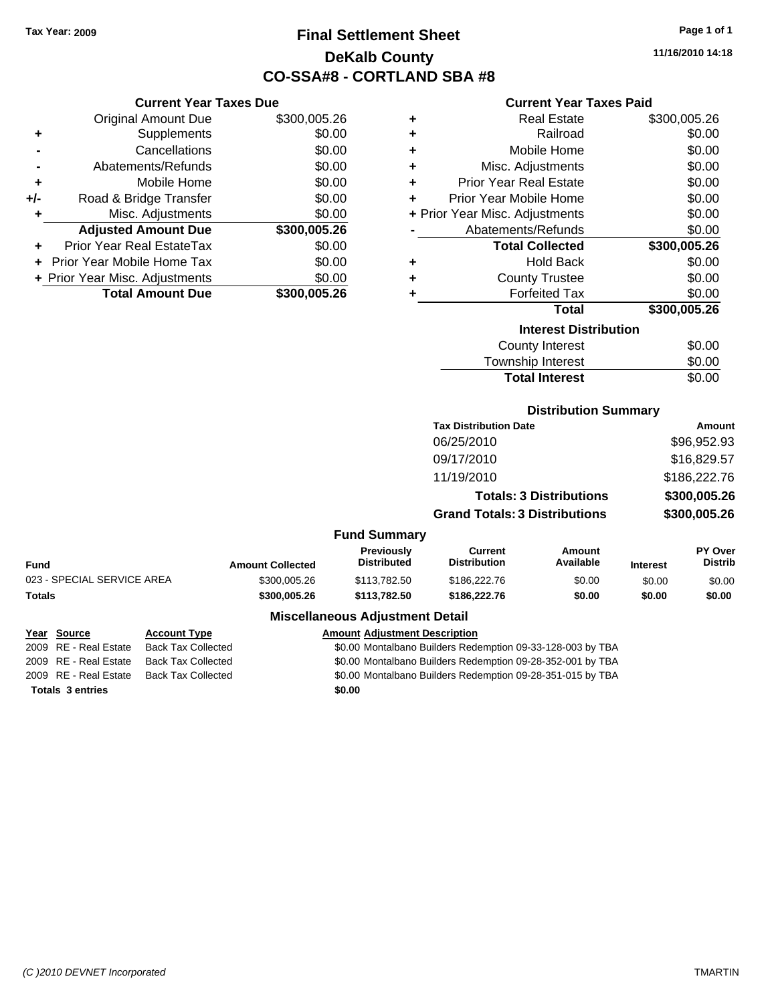# **Final Settlement Sheet Tax Year: 2009 Page 1 of 1 DeKalb County CO-SSA#8 - CORTLAND SBA #8**

**11/16/2010 14:18**

### **Current Year Taxes Paid**

|     | <b>Current Year Taxes Due</b>  |              |     |
|-----|--------------------------------|--------------|-----|
|     | <b>Original Amount Due</b>     | \$300,005.26 |     |
|     | Supplements                    | \$0.00       |     |
|     | Cancellations                  | \$0.00       |     |
|     | Abatements/Refunds             | \$0.00       |     |
|     | Mobile Home                    | \$0.00       |     |
| +/- | Road & Bridge Transfer         | \$0.00       |     |
|     | Misc. Adjustments              | \$0.00       | + P |
|     | <b>Adjusted Amount Due</b>     | \$300,005.26 |     |
|     | Prior Year Real EstateTax      | \$0.00       |     |
|     | Prior Year Mobile Home Tax     | \$0.00       |     |
|     | + Prior Year Misc. Adjustments | \$0.00       |     |
|     | <b>Total Amount Due</b>        | \$300,005.26 |     |
|     |                                |              |     |

| ٠ | Real Estate                    | \$300,005.26 |
|---|--------------------------------|--------------|
| ٠ | Railroad                       | \$0.00       |
| ٠ | Mobile Home                    | \$0.00       |
| ٠ | Misc. Adjustments              | \$0.00       |
| ٠ | <b>Prior Year Real Estate</b>  | \$0.00       |
| ٠ | Prior Year Mobile Home         | \$0.00       |
|   | + Prior Year Misc. Adjustments | \$0.00       |
|   | Abatements/Refunds             | \$0.00       |
|   | <b>Total Collected</b>         | \$300,005.26 |
|   |                                |              |
| ٠ | <b>Hold Back</b>               | \$0.00       |
| ٠ | <b>County Trustee</b>          | \$0.00       |
| ٠ | <b>Forfeited Tax</b>           | \$0.00       |
|   | <b>Total</b>                   | \$300,005.26 |
|   | <b>Interest Distribution</b>   |              |
|   | <b>County Interest</b>         | \$0.00       |

| <b>Total Interest</b>  | \$0.00 |
|------------------------|--------|
| Township Interest      | \$0.00 |
| <b>COUTTY THICLEST</b> | vv.vv  |

### **Distribution Summary**

| <b>Tax Distribution Date</b>         | Amount       |
|--------------------------------------|--------------|
| 06/25/2010                           | \$96,952.93  |
| 09/17/2010                           | \$16,829.57  |
| 11/19/2010                           | \$186,222.76 |
| <b>Totals: 3 Distributions</b>       | \$300,005.26 |
| <b>Grand Totals: 3 Distributions</b> | \$300,005.26 |

| Fund                       | <b>Amount Collected</b> | Previously<br><b>Distributed</b>       | Current<br><b>Distribution</b> | Amount<br>Available | <b>Interest</b> | PY Over<br><b>Distrib</b> |
|----------------------------|-------------------------|----------------------------------------|--------------------------------|---------------------|-----------------|---------------------------|
| 023 - SPECIAL SERVICE AREA | \$300,005.26            | \$113,782,50                           | \$186,222,76                   | \$0.00              | \$0.00          | \$0.00                    |
| Totals                     | \$300,005.26            | \$113,782,50                           | \$186,222,76                   | \$0.00              | \$0.00          | \$0.00                    |
|                            |                         | <b>Miscellaneous Adjustment Detail</b> |                                |                     |                 |                           |

| Year Source             | <b>Account Type</b>       | <b>Amount Adjustment Description</b>                       |
|-------------------------|---------------------------|------------------------------------------------------------|
| 2009 RE - Real Estate   | <b>Back Tax Collected</b> | \$0.00 Montalbano Builders Redemption 09-33-128-003 by TBA |
| 2009 RE - Real Estate   | <b>Back Tax Collected</b> | \$0.00 Montalbano Builders Redemption 09-28-352-001 by TBA |
| 2009 RE - Real Estate   | <b>Back Tax Collected</b> | \$0.00 Montalbano Builders Redemption 09-28-351-015 by TBA |
| <b>Totals 3 entries</b> |                           | \$0.00                                                     |
|                         |                           |                                                            |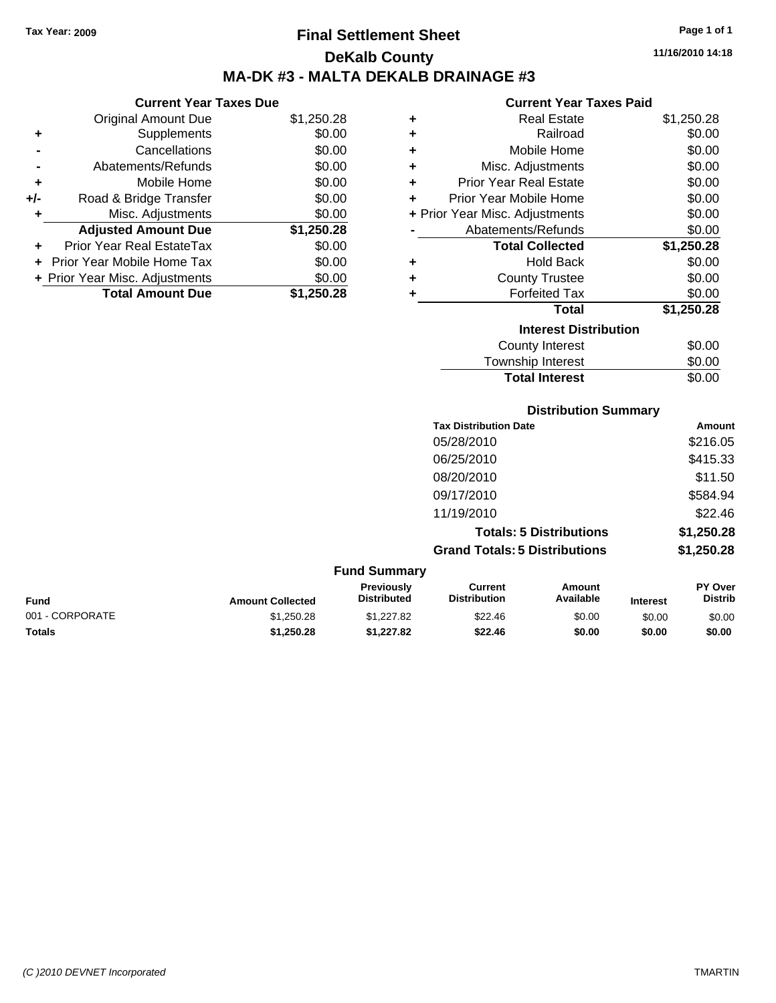**Current Year Taxes Due** Original Amount Due \$1,250.28

**Adjusted Amount Due \$1,250.28**

**Total Amount Due \$1,250.28**

**+** Supplements \$0.00 **-** Cancellations \$0.00 **-** Abatements/Refunds \$0.00 **+** Mobile Home \$0.00 **+/-** Road & Bridge Transfer \$0.00 **+** Misc. Adjustments \$0.00

**+** Prior Year Real EstateTax \$0.00 **+** Prior Year Mobile Home Tax \$0.00 **+ Prior Year Misc. Adjustments**  $$0.00$ 

# **Final Settlement Sheet Tax Year: 2009 Page 1 of 1 DeKalb County MA-DK #3 - MALTA DEKALB DRAINAGE #3**

**11/16/2010 14:18**

### **Current Year Taxes Paid**

| ٠ | <b>Real Estate</b>             | \$1,250.28 |
|---|--------------------------------|------------|
| ٠ | Railroad                       | \$0.00     |
| ٠ | Mobile Home                    | \$0.00     |
| ٠ | Misc. Adjustments              | \$0.00     |
| ÷ | <b>Prior Year Real Estate</b>  | \$0.00     |
| ٠ | Prior Year Mobile Home         | \$0.00     |
|   | + Prior Year Misc. Adjustments | \$0.00     |
|   | Abatements/Refunds             | \$0.00     |
|   | <b>Total Collected</b>         | \$1,250.28 |
| ÷ | <b>Hold Back</b>               | \$0.00     |
| ٠ | <b>County Trustee</b>          | \$0.00     |
| ٠ | <b>Forfeited Tax</b>           | \$0.00     |
|   | <b>Total</b>                   | \$1,250.28 |
|   | <b>Interest Distribution</b>   |            |
|   | <b>County Interest</b>         | \$0.00     |
|   | <b>Township Interest</b>       | \$0.00     |

# **Distribution Summary Tax Distribution Date Amount** 05/28/2010 \$216.05 06/25/2010 \$415.33 08/20/2010 \$11.50 09/17/2010 \$584.94 11/19/2010 \$22.46 **Totals: 5 Distributions \$1,250.28 Grand Totals: 5 Distributions \$1,250.28** Total Interest \$0.00

|                 |                         | <b>Fund Summary</b>                     |                                |                     |                 |                                  |
|-----------------|-------------------------|-----------------------------------------|--------------------------------|---------------------|-----------------|----------------------------------|
| <b>Fund</b>     | <b>Amount Collected</b> | <b>Previously</b><br><b>Distributed</b> | Current<br><b>Distribution</b> | Amount<br>Available | <b>Interest</b> | <b>PY Over</b><br><b>Distrib</b> |
| 001 - CORPORATE | \$1.250.28              | \$1,227.82                              | \$22.46                        | \$0.00              | \$0.00          | \$0.00                           |
| <b>Totals</b>   | \$1,250.28              | \$1.227.82                              | \$22.46                        | \$0.00              | \$0.00          | \$0.00                           |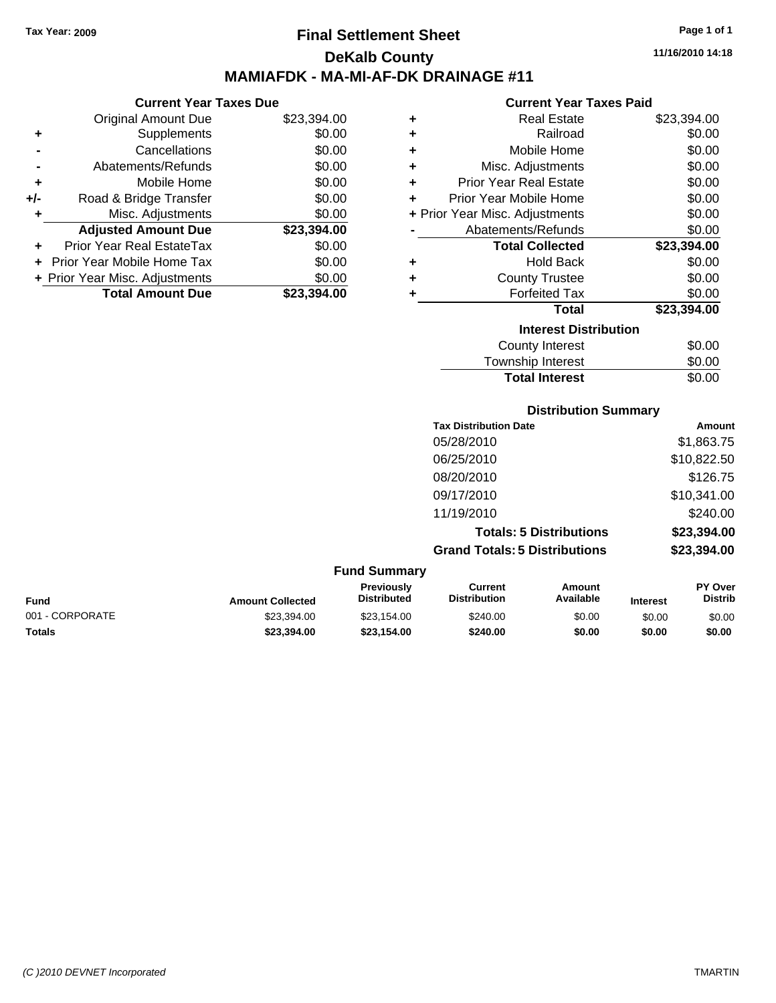# **Final Settlement Sheet Tax Year: 2009 Page 1 of 1 DeKalb County MAMIAFDK - MA-MI-AF-DK DRAINAGE #11**

**Current Year Taxes Due**

|       | <b>Total Amount Due</b>        | \$23,394.00 |
|-------|--------------------------------|-------------|
|       | + Prior Year Misc. Adjustments | \$0.00      |
|       | Prior Year Mobile Home Tax     | \$0.00      |
|       | Prior Year Real EstateTax      | \$0.00      |
|       | <b>Adjusted Amount Due</b>     | \$23,394.00 |
| ٠     | Misc. Adjustments              | \$0.00      |
| $+/-$ | Road & Bridge Transfer         | \$0.00      |
| ÷     | Mobile Home                    | \$0.00      |
|       | Abatements/Refunds             | \$0.00      |
|       | Cancellations                  | \$0.00      |
| ٠     | Supplements                    | \$0.00      |
|       | <b>Original Amount Due</b>     | \$23,394.00 |
|       |                                |             |

### **Current Year Taxes Paid**

|   | <b>Real Estate</b>             | \$23,394.00 |
|---|--------------------------------|-------------|
| ٠ | Railroad                       | \$0.00      |
| ٠ | Mobile Home                    | \$0.00      |
| ٠ | Misc. Adjustments              | \$0.00      |
| ٠ | <b>Prior Year Real Estate</b>  | \$0.00      |
|   | Prior Year Mobile Home         | \$0.00      |
|   | + Prior Year Misc. Adjustments | \$0.00      |
|   | Abatements/Refunds             | \$0.00      |
|   | <b>Total Collected</b>         | \$23,394.00 |
|   | <b>Hold Back</b>               | \$0.00      |
| ÷ |                                |             |
| ٠ | <b>County Trustee</b>          | \$0.00      |
| ٠ | <b>Forfeited Tax</b>           | \$0.00      |
|   | Total                          | \$23,394.00 |
|   | <b>Interest Distribution</b>   |             |
|   | <b>County Interest</b>         | \$0.00      |

Total Interest \$0.00

### **Distribution Summary**

| <b>Tax Distribution Date</b>         | Amount      |
|--------------------------------------|-------------|
| 05/28/2010                           | \$1,863.75  |
| 06/25/2010                           | \$10,822.50 |
| 08/20/2010                           | \$126.75    |
| 09/17/2010                           | \$10,341.00 |
| 11/19/2010                           | \$240.00    |
| <b>Totals: 5 Distributions</b>       | \$23,394.00 |
| <b>Grand Totals: 5 Distributions</b> | \$23,394.00 |
|                                      |             |

### **Fund Summary**

| <b>Fund</b>     | <b>Amount Collected</b> | Previously<br><b>Distributed</b> | Current<br><b>Distribution</b> | Amount<br>Available | <b>Interest</b> | PY Over<br><b>Distrib</b> |
|-----------------|-------------------------|----------------------------------|--------------------------------|---------------------|-----------------|---------------------------|
| 001 - CORPORATE | \$23.394.00             | \$23.154.00                      | \$240.00                       | \$0.00              | \$0.00          | \$0.00                    |
| Totals          | \$23.394.00             | \$23,154,00                      | \$240.00                       | \$0.00              | \$0.00          | \$0.00                    |

**11/16/2010 14:18**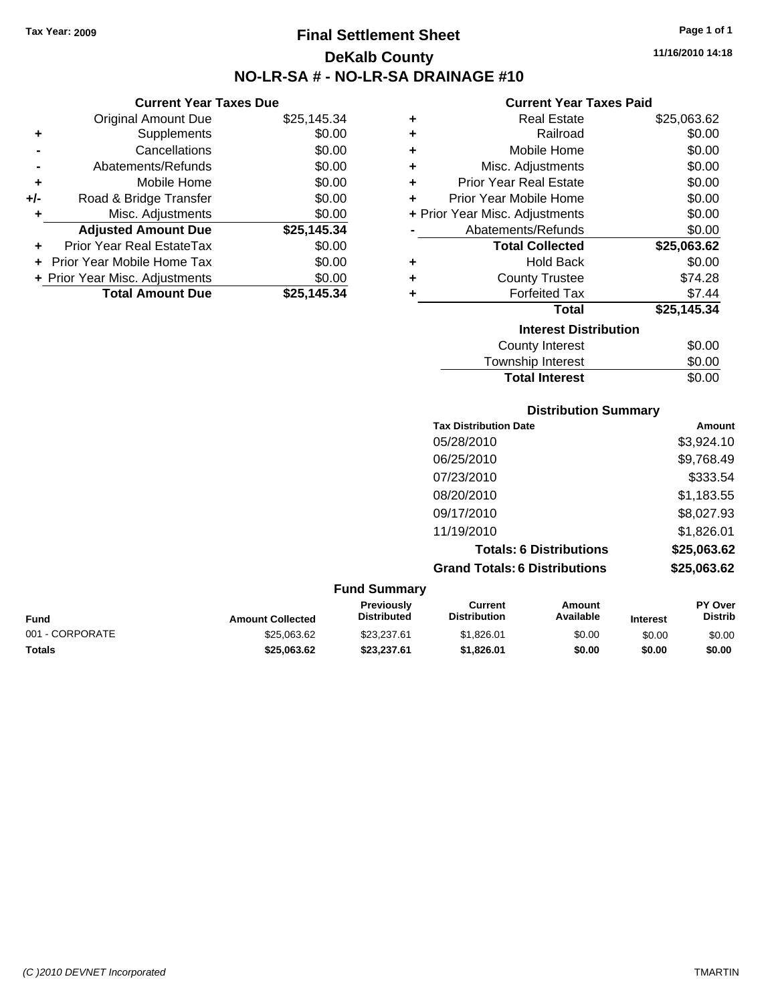## **Final Settlement Sheet Tax Year: 2009 Page 1 of 1 DeKalb County SA # - NO-LR-SA DRAINAGE #10**

**11/16/2010 14:18**

#### **Current Year Taxes Paid**

|   | 911 - 1091 - 1092 - 109        |             |  |  |  |
|---|--------------------------------|-------------|--|--|--|
| ٠ | <b>Real Estate</b>             | \$25,063.62 |  |  |  |
| ٠ | Railroad                       | \$0.00      |  |  |  |
| ÷ | Mobile Home                    | \$0.00      |  |  |  |
| ÷ | Misc. Adjustments              | \$0.00      |  |  |  |
| ٠ | <b>Prior Year Real Estate</b>  | \$0.00      |  |  |  |
| ÷ | Prior Year Mobile Home         | \$0.00      |  |  |  |
|   | + Prior Year Misc. Adjustments | \$0.00      |  |  |  |
|   | Abatements/Refunds             | \$0.00      |  |  |  |
|   | <b>Total Collected</b>         | \$25,063.62 |  |  |  |
| ٠ | <b>Hold Back</b>               | \$0.00      |  |  |  |
| ÷ | <b>County Trustee</b>          | \$74.28     |  |  |  |
| ٠ | <b>Forfeited Tax</b>           | \$7.44      |  |  |  |
|   | <b>Total</b>                   | \$25,145.34 |  |  |  |
|   | <b>Interest Distribution</b>   |             |  |  |  |
|   | County Interest                | \$0.00      |  |  |  |
|   | Township Interest              | \$0.00      |  |  |  |

| Township Interest               | \$0.00 |
|---------------------------------|--------|
| <b>Total Interest</b>           | \$0.00 |
| <b>Distribution Summary</b>     |        |
| and Police and continues Police |        |

| <b>Tax Distribution Date</b>         | <b>Amount</b> |
|--------------------------------------|---------------|
| 05/28/2010                           | \$3,924.10    |
| 06/25/2010                           | \$9,768.49    |
| 07/23/2010                           | \$333.54      |
| 08/20/2010                           | \$1,183.55    |
| 09/17/2010                           | \$8,027.93    |
| 11/19/2010                           | \$1,826.01    |
| <b>Totals: 6 Distributions</b>       | \$25,063.62   |
| <b>Grand Totals: 6 Distributions</b> | \$25,063.62   |

| <b>Fund Summary</b>     |                                         |                                       |                     |                 |                                  |
|-------------------------|-----------------------------------------|---------------------------------------|---------------------|-----------------|----------------------------------|
| <b>Amount Collected</b> | <b>Previously</b><br><b>Distributed</b> | <b>Current</b><br><b>Distribution</b> | Amount<br>Available | <b>Interest</b> | <b>PY Over</b><br><b>Distrib</b> |
| \$25,063,62             | \$23.237.61                             | \$1.826.01                            | \$0.00              | \$0.00          | \$0.00                           |
| \$25,063,62             | \$23.237.61                             | \$1.826.01                            | \$0.00              | \$0.00          | \$0.00                           |
|                         |                                         |                                       |                     |                 |                                  |

| <b>NO-LR-S</b> |
|----------------|

**Current Year Taxes Due**

|     | <b>Original Amount Due</b>        | \$25,145.34 |
|-----|-----------------------------------|-------------|
| ٠   | Supplements                       | \$0.00      |
|     | Cancellations                     | \$0.00      |
|     | Abatements/Refunds                | \$0.00      |
| ٠   | Mobile Home                       | \$0.00      |
| +/- | Road & Bridge Transfer            | \$0.00      |
| ٠   | Misc. Adjustments                 | \$0.00      |
|     | <b>Adjusted Amount Due</b>        | \$25,145.34 |
|     |                                   |             |
|     | Prior Year Real EstateTax         | \$0.00      |
|     | <b>Prior Year Mobile Home Tax</b> | \$0.00      |
|     | + Prior Year Misc. Adjustments    | \$0.00      |
|     | <b>Total Amount Due</b>           | \$25,145.34 |

*(C )2010 DEVNET Incorporated* TMARTIN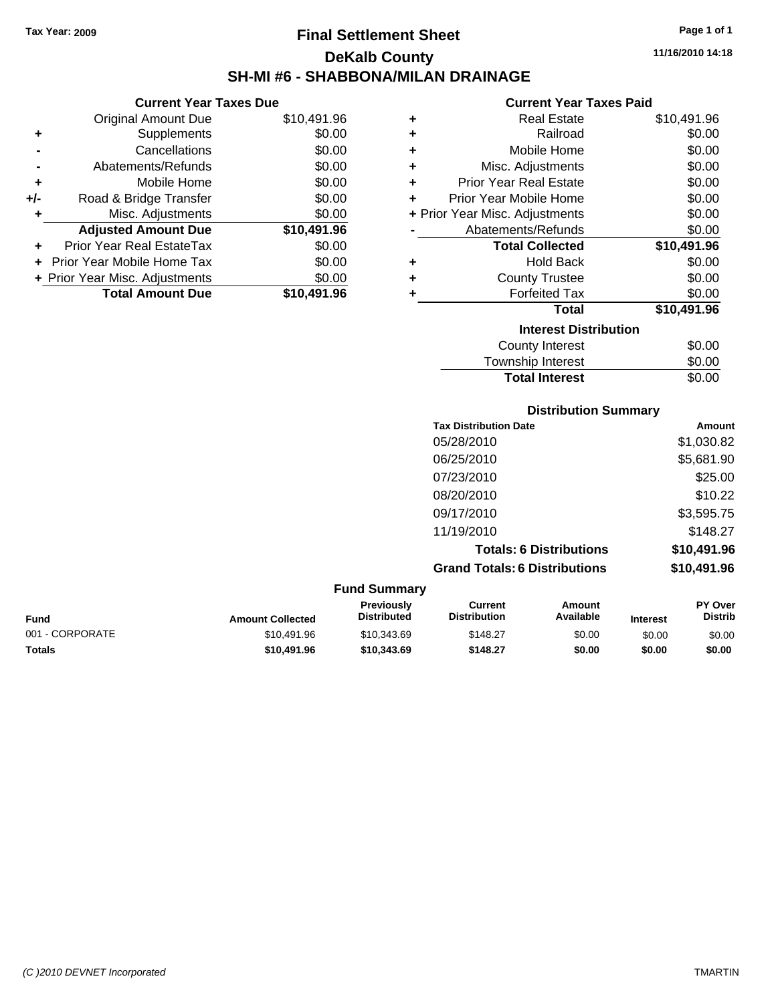**Current Year Taxes Due** Original Amount Due \$10,491.96

**Adjusted Amount Due \$10,491.96**

**Total Amount Due \$10,491.96**

**+** Supplements \$0.00 **-** Cancellations \$0.00 **-** Abatements/Refunds \$0.00 **+** Mobile Home \$0.00 **+/-** Road & Bridge Transfer \$0.00 **+** Misc. Adjustments \$0.00

**+** Prior Year Real EstateTax \$0.00 **+** Prior Year Mobile Home Tax \$0.00 **+ Prior Year Misc. Adjustments**  $$0.00$ 

## **Final Settlement Sheet Tax Year: 2009 Page 1 of 1 DeKalb County SH-MI #6 - SHABBONA/MILAN DRAINAGE**

**11/16/2010 14:18**

### **Current Year Taxes Paid**

| ٠ | <b>Real Estate</b>             | \$10,491.96 |
|---|--------------------------------|-------------|
| ٠ | Railroad                       | \$0.00      |
| ÷ | Mobile Home                    | \$0.00      |
| ÷ | Misc. Adjustments              | \$0.00      |
| ÷ | <b>Prior Year Real Estate</b>  | \$0.00      |
| ÷ | Prior Year Mobile Home         | \$0.00      |
|   | + Prior Year Misc. Adjustments | \$0.00      |
|   | Abatements/Refunds             | \$0.00      |
|   | <b>Total Collected</b>         | \$10,491.96 |
| ٠ | <b>Hold Back</b>               | \$0.00      |
| ÷ | <b>County Trustee</b>          | \$0.00      |
| ٠ | <b>Forfeited Tax</b>           | \$0.00      |
|   | Total                          | \$10,491.96 |
|   | <b>Interest Distribution</b>   |             |
|   | <b>County Interest</b>         | \$0.00      |
|   | Township Interest              | \$0.00      |

| <b>Total Interest</b>                | \$0.00      |
|--------------------------------------|-------------|
| <b>Distribution Summary</b>          |             |
| <b>Tax Distribution Date</b>         | Amount      |
| 05/28/2010                           | \$1,030.82  |
| 06/25/2010                           | \$5,681.90  |
| 07/23/2010                           | \$25.00     |
| 08/20/2010                           | \$10.22     |
| 09/17/2010                           | \$3,595.75  |
| 11/19/2010                           | \$148.27    |
| <b>Totals: 6 Distributions</b>       | \$10,491.96 |
| <b>Grand Totals: 6 Distributions</b> | \$10,491.96 |
| <b>Fund Summary</b>                  |             |

| <b>Fund</b>     | <b>Amount Collected</b> | <b>Previously</b><br><b>Distributed</b> | Current<br><b>Distribution</b> | Amount<br>Available | <b>Interest</b> | <b>PY Over</b><br><b>Distrib</b> |
|-----------------|-------------------------|-----------------------------------------|--------------------------------|---------------------|-----------------|----------------------------------|
| 001 - CORPORATE | \$10.491.96             | \$10.343.69                             | \$148.27                       | \$0.00              | \$0.00          | \$0.00                           |
| <b>Totals</b>   | \$10,491.96             | \$10,343.69                             | \$148.27                       | \$0.00              | \$0.00          | \$0.00                           |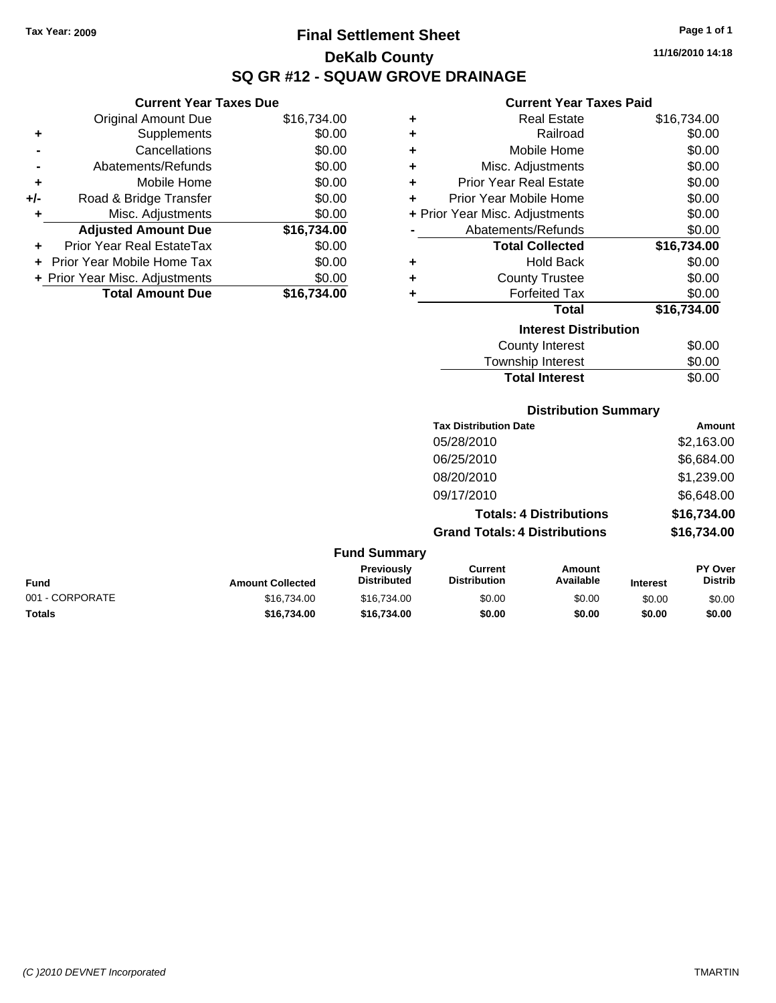**+** Supplements **-** Cancellations **-** Abatements/Refunds **+** Mobile Home **+/-** Road & Bridge Transfer **+** Misc. Adjustments

**+** Prior Year Real EstateTax **+** Prior Year Mobile Home Tax \$0.00 **+ Prior Year Misc. Adjustments** 

**Current Year Taxes Due**

## **Final Settlement Sheet Tax Year: 2009 Page 1 of 1 DeKalb County SQ GR #12 - SQUAW GROVE DRAINAGE**

**11/16/2010 14:18**

### **Current Year Taxes Paid**

| Original Amount Due        | \$16,734.00 | ٠ | <b>Real Estate</b>             | \$16,734.00 |
|----------------------------|-------------|---|--------------------------------|-------------|
| Supplements                | \$0.00      | ٠ | Railroad                       | \$0.00      |
| Cancellations              | \$0.00      | ٠ | Mobile Home                    | \$0.00      |
| Abatements/Refunds         | \$0.00      | ÷ | Misc. Adjustments              | \$0.00      |
| Mobile Home                | \$0.00      | ٠ | <b>Prior Year Real Estate</b>  | \$0.00      |
| Road & Bridge Transfer     | \$0.00      | ٠ | Prior Year Mobile Home         | \$0.00      |
| Misc. Adjustments          | \$0.00      |   | + Prior Year Misc. Adjustments | \$0.00      |
| <b>Adjusted Amount Due</b> | \$16,734.00 |   | Abatements/Refunds             | \$0.00      |
| ior Year Real EstateTax    | \$0.00      |   | <b>Total Collected</b>         | \$16,734.00 |
| r Year Mobile Home Tax     | \$0.00      | ٠ | <b>Hold Back</b>               | \$0.00      |
| Year Misc. Adjustments     | \$0.00      | ÷ | <b>County Trustee</b>          | \$0.00      |
| <b>Total Amount Due</b>    | \$16,734.00 |   | <b>Forfeited Tax</b>           | \$0.00      |
|                            |             |   | Total                          | \$16,734.00 |
|                            |             |   | <b>Interest Distribution</b>   |             |
|                            |             |   | <b>County Interest</b>         | \$0.00      |
|                            |             |   | <b>Township Interest</b>       | \$0.00      |

# **Distribution Summary**

Total Interest \$0.00

| <b>Tax Distribution Date</b>         | Amount      |
|--------------------------------------|-------------|
| 05/28/2010                           | \$2,163.00  |
| 06/25/2010                           | \$6,684.00  |
| 08/20/2010                           | \$1,239.00  |
| 09/17/2010                           | \$6,648.00  |
| <b>Totals: 4 Distributions</b>       | \$16,734.00 |
| <b>Grand Totals: 4 Distributions</b> | \$16,734.00 |
|                                      |             |

#### **Fund Summary Fund Interest Amount Collected Distributed PY Over Distrib Amount Available Current Distribution Previously** 001 - CORPORATE \$16,734.00 \$16,734.00 \$0.00 \$0.00 \$0.00 \$0.00 **Totals \$16,734.00 \$16,734.00 \$0.00 \$0.00 \$0.00 \$0.00**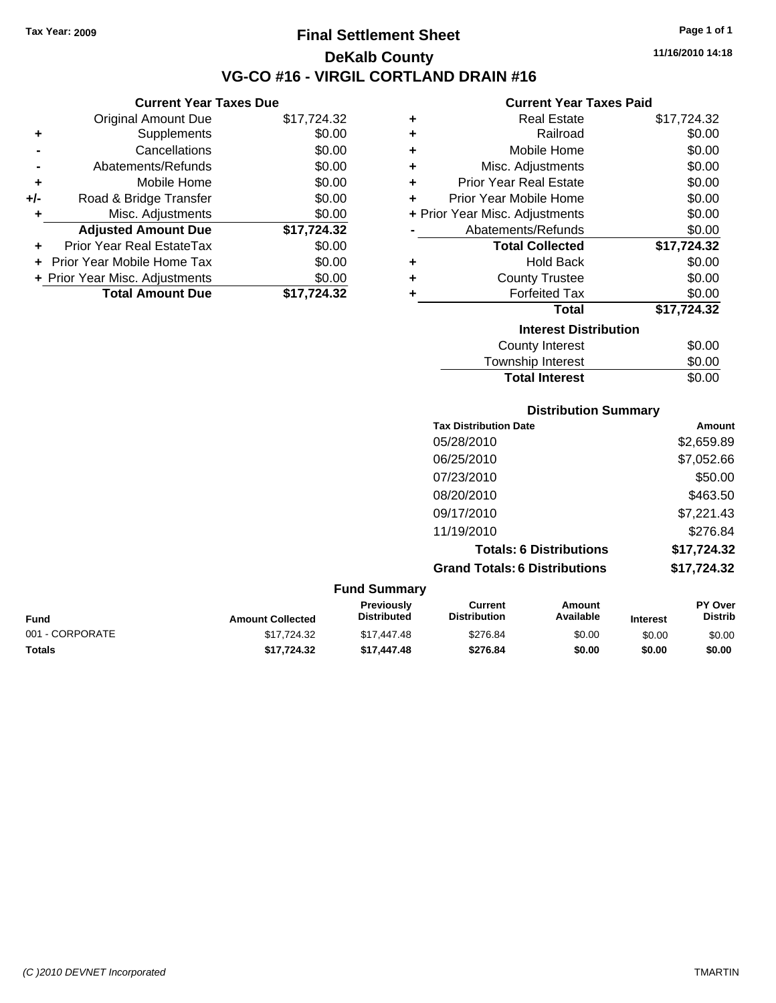**Current Year Taxes Due** Original Amount Due \$17,724.32

**Adjusted Amount Due \$17,724.32**

**Total Amount Due \$17,724.32**

**+** Supplements \$0.00 **-** Cancellations \$0.00 **-** Abatements/Refunds \$0.00 **+** Mobile Home \$0.00 **+/-** Road & Bridge Transfer \$0.00 **+** Misc. Adjustments \$0.00

**+** Prior Year Real EstateTax \$0.00 **+** Prior Year Mobile Home Tax \$0.00 **+ Prior Year Misc. Adjustments**  $$0.00$ 

### **Final Settlement Sheet Tax Year: 2009 Page 1 of 1 DeKalb County VG-CO #16 - VIRGIL CORTLAND DRAIN #16**

**11/16/2010 14:18**

#### **Current Year Taxes Paid**

|                              | апоне гоат галоо гана          |             |  |  |  |
|------------------------------|--------------------------------|-------------|--|--|--|
| ٠                            | <b>Real Estate</b>             | \$17,724.32 |  |  |  |
| ٠                            | Railroad                       | \$0.00      |  |  |  |
| ÷                            | Mobile Home                    | \$0.00      |  |  |  |
| ÷                            | Misc. Adjustments              | \$0.00      |  |  |  |
| ÷                            | <b>Prior Year Real Estate</b>  | \$0.00      |  |  |  |
| ÷                            | Prior Year Mobile Home         | \$0.00      |  |  |  |
|                              | + Prior Year Misc. Adjustments | \$0.00      |  |  |  |
|                              | Abatements/Refunds             | \$0.00      |  |  |  |
|                              | <b>Total Collected</b>         | \$17,724.32 |  |  |  |
| ٠                            | <b>Hold Back</b>               | \$0.00      |  |  |  |
| ٠                            | <b>County Trustee</b>          | \$0.00      |  |  |  |
| ٠                            | <b>Forfeited Tax</b>           | \$0.00      |  |  |  |
|                              | <b>Total</b>                   | \$17,724.32 |  |  |  |
| <b>Interest Distribution</b> |                                |             |  |  |  |
|                              | <b>County Interest</b>         | \$0.00      |  |  |  |
|                              | Townshin Interest              | ፍስ ሰስ       |  |  |  |

## **Distribution Summary** ownship interest Total Interest \$0.00

| <b>Tax Distribution Date</b>         | Amount      |
|--------------------------------------|-------------|
| 05/28/2010                           | \$2,659.89  |
| 06/25/2010                           | \$7,052.66  |
| 07/23/2010                           | \$50.00     |
| 08/20/2010                           | \$463.50    |
| 09/17/2010                           | \$7,221.43  |
| 11/19/2010                           | \$276.84    |
| <b>Totals: 6 Distributions</b>       | \$17,724.32 |
| <b>Grand Totals: 6 Distributions</b> | \$17,724.32 |

#### **Fund Summary Fund Interest Amount Collected Distributed PY Over Distrib Amount Available Current Distribution Previously** 001 - CORPORATE \$17,724.32 \$17,447.48 \$276.84 \$0.00 \$0.00 \$0.00 **Totals \$17,724.32 \$17,447.48 \$276.84 \$0.00 \$0.00 \$0.00**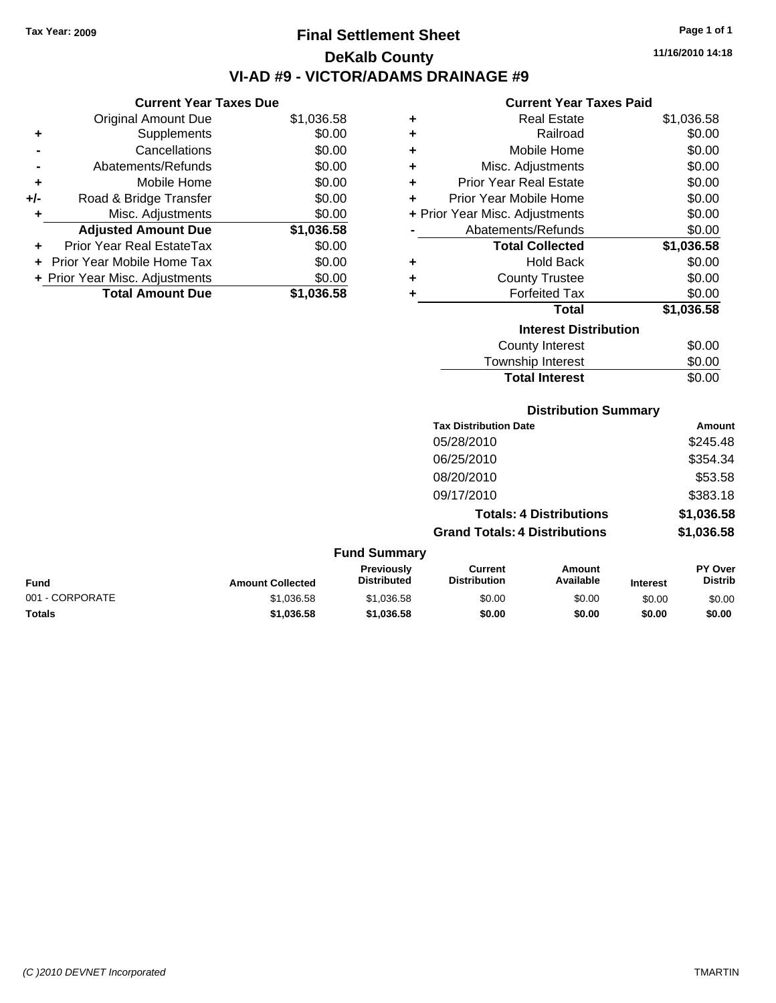**Current Year Taxes Due** Original Amount Due \$1,036.58

**Adjusted Amount Due \$1,036.58**

**Total Amount Due \$1,036.58**

**+** Supplements \$0.00 **-** Cancellations \$0.00 **-** Abatements/Refunds \$0.00 **+** Mobile Home \$0.00 **+/-** Road & Bridge Transfer \$0.00 **+** Misc. Adjustments \$0.00

**+** Prior Year Real EstateTax \$0.00 **+** Prior Year Mobile Home Tax \$0.00 **+ Prior Year Misc. Adjustments**  $$0.00$ 

## **Final Settlement Sheet Tax Year: 2009 Page 1 of 1 DeKalb County VI-AD #9 - VICTOR/ADAMS DRAINAGE #9**

**11/16/2010 14:18**

#### **Current Year Taxes Paid**

| ٠ | <b>Real Estate</b>             | \$1,036.58 |
|---|--------------------------------|------------|
| ٠ | Railroad                       | \$0.00     |
| ٠ | Mobile Home                    | \$0.00     |
| ٠ | Misc. Adjustments              | \$0.00     |
| ٠ | <b>Prior Year Real Estate</b>  | \$0.00     |
| ÷ | Prior Year Mobile Home         | \$0.00     |
|   | + Prior Year Misc. Adjustments | \$0.00     |
|   | Abatements/Refunds             | \$0.00     |
|   | <b>Total Collected</b>         | \$1,036.58 |
| ٠ | <b>Hold Back</b>               | \$0.00     |
| ٠ | <b>County Trustee</b>          | \$0.00     |
| ٠ | <b>Forfeited Tax</b>           | \$0.00     |
|   | <b>Total</b>                   | \$1,036.58 |
|   | <b>Interest Distribution</b>   |            |
|   | <b>County Interest</b>         | \$0.00     |
|   | Townshin Interest              | ፍስ ሰስ      |

### $T_{\text{F}}$  ownship interest  $\phi$ 0.00 Total Interest \$0.00

#### **Distribution Summary**

| <b>Tax Distribution Date</b>         | Amount     |
|--------------------------------------|------------|
| 05/28/2010                           | \$245.48   |
| 06/25/2010                           | \$354.34   |
| 08/20/2010                           | \$53.58    |
| 09/17/2010                           | \$383.18   |
| <b>Totals: 4 Distributions</b>       | \$1,036.58 |
| <b>Grand Totals: 4 Distributions</b> | \$1,036.58 |

#### **Fund Summary Fund Interest Amount Collected Distributed PY Over Distrib Amount Available Current Distribution Previously** 001 - CORPORATE 6 \$1,036.58 \$1,036.58 \$0.00 \$0.00 \$0.00 \$0.00 \$0.00 \$0.00 \$0.00 \$0.00 \$0.00 \$0 **Totals \$1,036.58 \$1,036.58 \$0.00 \$0.00 \$0.00 \$0.00**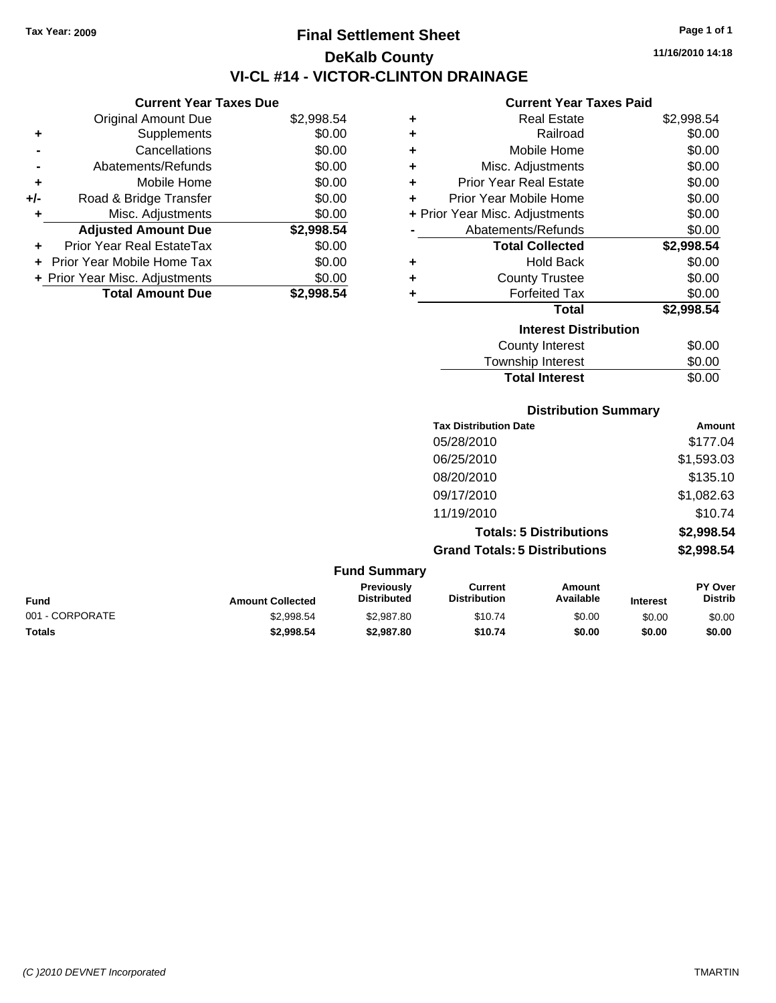**Current Year Taxes Due** Original Amount Due \$2,998.54

**Adjusted Amount Due \$2,998.54**

**Total Amount Due \$2,998.54**

**+** Supplements \$0.00 **-** Cancellations \$0.00 **-** Abatements/Refunds \$0.00 **+** Mobile Home \$0.00 **+/-** Road & Bridge Transfer \$0.00 **+** Misc. Adjustments \$0.00

**+** Prior Year Real EstateTax \$0.00 **+** Prior Year Mobile Home Tax \$0.00 **+ Prior Year Misc. Adjustments**  $$0.00$ 

## **Final Settlement Sheet Tax Year: 2009 Page 1 of 1 DeKalb County VI-CL #14 - VICTOR-CLINTON DRAINAGE**

**11/16/2010 14:18**

### **Current Year Taxes Paid**

| ٠ | <b>Real Estate</b>             | \$2,998.54 |  |  |
|---|--------------------------------|------------|--|--|
| ٠ | Railroad                       | \$0.00     |  |  |
| ٠ | Mobile Home                    | \$0.00     |  |  |
| ٠ | Misc. Adjustments              | \$0.00     |  |  |
| ÷ | <b>Prior Year Real Estate</b>  | \$0.00     |  |  |
| ÷ | Prior Year Mobile Home         | \$0.00     |  |  |
|   | + Prior Year Misc. Adjustments | \$0.00     |  |  |
|   | Abatements/Refunds             | \$0.00     |  |  |
|   | <b>Total Collected</b>         | \$2,998.54 |  |  |
| ٠ | <b>Hold Back</b>               | \$0.00     |  |  |
| ٠ | <b>County Trustee</b>          | \$0.00     |  |  |
| ٠ | <b>Forfeited Tax</b>           | \$0.00     |  |  |
|   | <b>Total</b>                   | \$2,998.54 |  |  |
|   | <b>Interest Distribution</b>   |            |  |  |
|   | <b>County Interest</b>         | \$0.00     |  |  |
|   | Township Interact              | ድስ ሰስ      |  |  |

| \$0.00 |
|--------|
| \$0.00 |
| \$0.00 |
|        |

| <b>Distribution Summary</b> |  |
|-----------------------------|--|
|-----------------------------|--|

| <b>Tax Distribution Date</b>         | Amount     |
|--------------------------------------|------------|
| 05/28/2010                           | \$177.04   |
| 06/25/2010                           | \$1,593.03 |
| 08/20/2010                           | \$135.10   |
| 09/17/2010                           | \$1,082.63 |
| 11/19/2010                           | \$10.74    |
| <b>Totals: 5 Distributions</b>       | \$2,998.54 |
| <b>Grand Totals: 5 Distributions</b> | \$2,998.54 |
|                                      |            |

| <b>Fund Summary</b> |                         |                                         |                                |                     |                 |                                  |
|---------------------|-------------------------|-----------------------------------------|--------------------------------|---------------------|-----------------|----------------------------------|
| Fund                | <b>Amount Collected</b> | <b>Previously</b><br><b>Distributed</b> | Current<br><b>Distribution</b> | Amount<br>Available | <b>Interest</b> | <b>PY Over</b><br><b>Distrib</b> |
| 001 - CORPORATE     | \$2.998.54              | \$2,987.80                              | \$10.74                        | \$0.00              | \$0.00          | \$0.00                           |
| <b>Totals</b>       | \$2.998.54              | \$2,987.80                              | \$10.74                        | \$0.00              | \$0.00          | \$0.00                           |